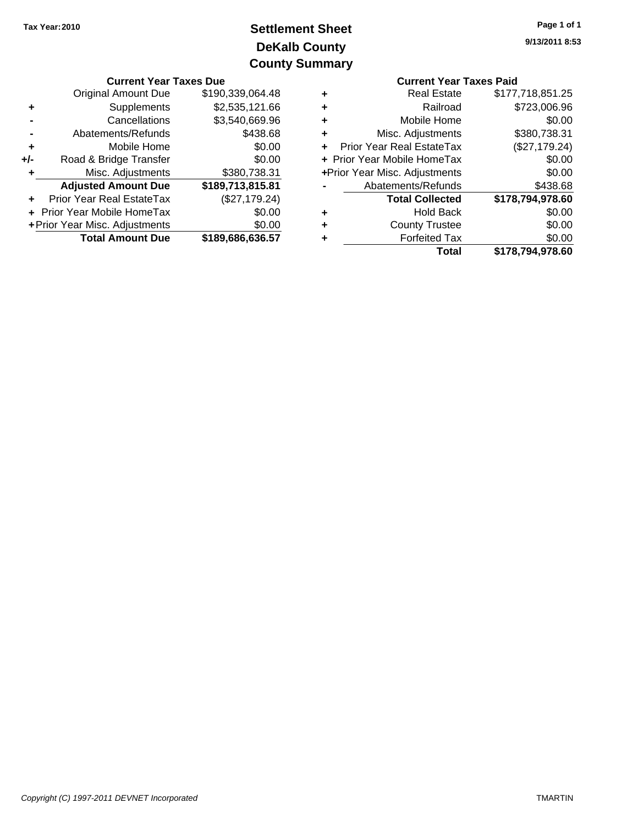# **DeKalb County Settlement Sheet Tax Year:2010 County Summary**

| <b>Current Year Taxes Due</b> |                                  |                  | <b>Current Year Taxes Paid</b> |                                  |                        |
|-------------------------------|----------------------------------|------------------|--------------------------------|----------------------------------|------------------------|
|                               | <b>Original Amount Due</b>       | \$190,339,064.48 | ٠                              | <b>Real Estate</b>               | \$177,718,851.25       |
|                               | Supplements                      | \$2,535,121.66   | ٠                              | Railroad                         | \$723,006.96           |
|                               | Cancellations                    | \$3,540,669.96   | ٠                              | Mobile Home                      | \$0.00                 |
|                               | Abatements/Refunds               | \$438.68         | ٠                              | Misc. Adjustments                | \$380,738.31           |
|                               | Mobile Home                      | \$0.00           |                                | <b>Prior Year Real EstateTax</b> | (\$27,179.24)          |
| $+/-$                         | Road & Bridge Transfer           | \$0.00           |                                | + Prior Year Mobile HomeTax      | \$0.00                 |
|                               | Misc. Adjustments                | \$380,738.31     |                                | +Prior Year Misc. Adjustments    | \$0.00                 |
|                               | <b>Adjusted Amount Due</b>       | \$189,713,815.81 |                                | Abatements/Refunds               | \$438.68               |
|                               | <b>Prior Year Real EstateTax</b> | (\$27,179.24)    |                                | <b>Total Collected</b>           | \$178,794,978.60       |
|                               | + Prior Year Mobile HomeTax      | \$0.00           | ٠                              | <b>Hold Back</b>                 | \$0.00                 |
|                               | + Prior Year Misc. Adjustments   | \$0.00           | ٠                              | <b>County Trustee</b>            | \$0.00                 |
|                               | <b>Total Amount Due</b>          | \$189,686,636.57 | ٠                              | <b>Forfeited Tax</b>             | \$0.00                 |
|                               |                                  |                  |                                | $T0$ tal                         | <b>¢170 704 070 GN</b> |

|   | <b>Current Year Taxes Paid</b> |                  |  |  |  |
|---|--------------------------------|------------------|--|--|--|
| ٠ | <b>Real Estate</b>             | \$177,718,851.25 |  |  |  |
|   | Railroad                       | \$723,006.96     |  |  |  |
| ٠ | Mobile Home                    | \$0.00           |  |  |  |
| ٠ | Misc. Adjustments              | \$380,738.31     |  |  |  |
|   | Prior Year Real EstateTax      | (\$27,179.24)    |  |  |  |
|   | + Prior Year Mobile HomeTax    | \$0.00           |  |  |  |
|   | +Prior Year Misc. Adjustments  | \$0.00           |  |  |  |
|   | Abatements/Refunds             | \$438.68         |  |  |  |
|   | <b>Total Collected</b>         | \$178,794,978.60 |  |  |  |
|   | <b>Hold Back</b>               | \$0.00           |  |  |  |
|   | <b>County Trustee</b>          | \$0.00           |  |  |  |
|   | <b>Forfeited Tax</b>           | \$0.00           |  |  |  |
|   | Total                          | \$178,794,978.60 |  |  |  |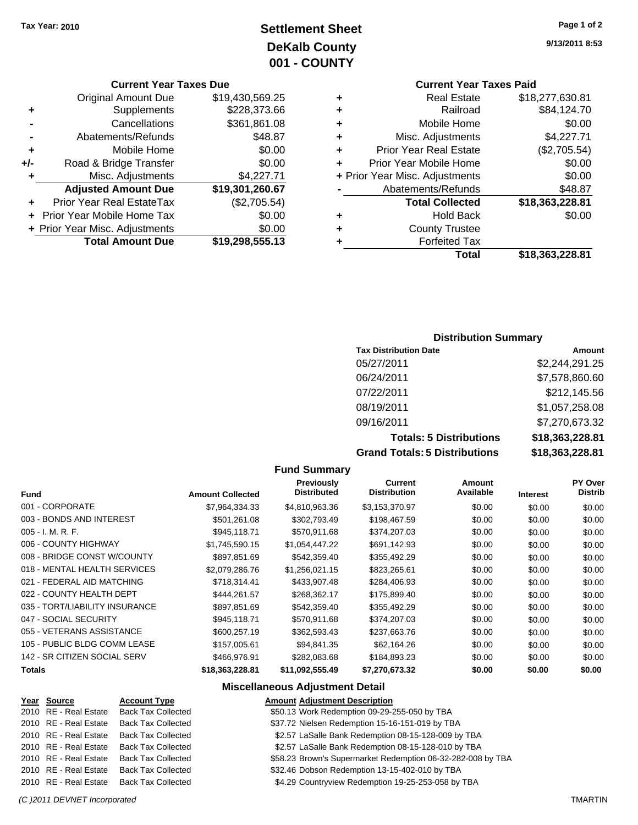## **Settlement Sheet Tax Year: 2010 Page 1 of 2 DeKalb County 001 - COUNTY**

#### **Current Year Taxes Due**

|     | <b>Total Amount Due</b>          | \$19,298,555.13 |
|-----|----------------------------------|-----------------|
|     | + Prior Year Misc. Adjustments   | \$0.00          |
|     | Prior Year Mobile Home Tax       | \$0.00          |
|     | <b>Prior Year Real EstateTax</b> | (\$2,705.54)    |
|     | <b>Adjusted Amount Due</b>       | \$19,301,260.67 |
|     | Misc. Adjustments                | \$4,227.71      |
| +/- | Road & Bridge Transfer           | \$0.00          |
| ٠   | Mobile Home                      | \$0.00          |
|     | Abatements/Refunds               | \$48.87         |
|     | Cancellations                    | \$361,861.08    |
| ٠   | Supplements                      | \$228,373.66    |
|     | <b>Original Amount Due</b>       | \$19,430,569.25 |

### **Current Year Taxes Paid**

| ٠ | <b>Real Estate</b>             | \$18,277,630.81 |
|---|--------------------------------|-----------------|
| ٠ | Railroad                       | \$84,124.70     |
| ٠ | Mobile Home                    | \$0.00          |
| ٠ | Misc. Adjustments              | \$4,227.71      |
| ÷ | <b>Prior Year Real Estate</b>  | (\$2,705.54)    |
| ٠ | Prior Year Mobile Home         | \$0.00          |
|   | + Prior Year Misc. Adjustments | \$0.00          |
|   | Abatements/Refunds             | \$48.87         |
|   | <b>Total Collected</b>         | \$18,363,228.81 |
| ٠ | <b>Hold Back</b>               | \$0.00          |
| ٠ | <b>County Trustee</b>          |                 |
| ٠ | <b>Forfeited Tax</b>           |                 |
|   | Total                          | \$18,363,228.81 |
|   |                                |                 |

### **Distribution Summary**

| <b>Tax Distribution Date</b>         | Amount          |
|--------------------------------------|-----------------|
| 05/27/2011                           | \$2,244,291.25  |
| 06/24/2011                           | \$7,578,860.60  |
| 07/22/2011                           | \$212,145.56    |
| 08/19/2011                           | \$1,057,258.08  |
| 09/16/2011                           | \$7,270,673.32  |
| <b>Totals: 5 Distributions</b>       | \$18,363,228.81 |
| <b>Grand Totals: 5 Distributions</b> | \$18,363,228.81 |

#### **Fund Summary**

| <b>Fund</b>                    | <b>Amount Collected</b> | Previously<br><b>Distributed</b> | Current<br><b>Distribution</b> | Amount<br>Available | <b>Interest</b> | <b>PY Over</b><br>Distrib |
|--------------------------------|-------------------------|----------------------------------|--------------------------------|---------------------|-----------------|---------------------------|
| 001 - CORPORATE                | \$7,964,334.33          | \$4.810.963.36                   | \$3,153,370.97                 | \$0.00              | \$0.00          | \$0.00                    |
| 003 - BONDS AND INTEREST       | \$501,261.08            | \$302,793.49                     | \$198,467.59                   | \$0.00              | \$0.00          | \$0.00                    |
| $005 - I. M. R. F.$            | \$945,118.71            | \$570,911.68                     | \$374,207.03                   | \$0.00              | \$0.00          | \$0.00                    |
| 006 - COUNTY HIGHWAY           | \$1,745,590.15          | \$1,054,447.22                   | \$691,142.93                   | \$0.00              | \$0.00          | \$0.00                    |
| 008 - BRIDGE CONST W/COUNTY    | \$897.851.69            | \$542,359.40                     | \$355,492.29                   | \$0.00              | \$0.00          | \$0.00                    |
| 018 - MENTAL HEALTH SERVICES   | \$2,079,286.76          | \$1,256,021.15                   | \$823,265.61                   | \$0.00              | \$0.00          | \$0.00                    |
| 021 - FEDERAL AID MATCHING     | \$718.314.41            | \$433,907.48                     | \$284,406.93                   | \$0.00              | \$0.00          | \$0.00                    |
| 022 - COUNTY HEALTH DEPT       | \$444.261.57            | \$268.362.17                     | \$175,899.40                   | \$0.00              | \$0.00          | \$0.00                    |
| 035 - TORT/LIABILITY INSURANCE | \$897,851.69            | \$542,359.40                     | \$355,492.29                   | \$0.00              | \$0.00          | \$0.00                    |
| 047 - SOCIAL SECURITY          | \$945.118.71            | \$570,911.68                     | \$374,207.03                   | \$0.00              | \$0.00          | \$0.00                    |
| 055 - VETERANS ASSISTANCE      | \$600,257.19            | \$362,593.43                     | \$237,663.76                   | \$0.00              | \$0.00          | \$0.00                    |
| 105 - PUBLIC BLDG COMM LEASE   | \$157,005.61            | \$94.841.35                      | \$62.164.26                    | \$0.00              | \$0.00          | \$0.00                    |
| 142 - SR CITIZEN SOCIAL SERV   | \$466,976.91            | \$282,083.68                     | \$184,893.23                   | \$0.00              | \$0.00          | \$0.00                    |
| Totals                         | \$18,363,228.81         | \$11,092,555.49                  | \$7,270,673.32                 | \$0.00              | \$0.00          | \$0.00                    |

### **Miscellaneous Adjustment Detail**

#### **Year Source Account Type Amount Adjustment Description**

| 2010 RE - Real Estate | <b>Back Tax Collected</b> | \$50.13 Work Redemption 09-29-255-050 by TBA                |
|-----------------------|---------------------------|-------------------------------------------------------------|
| 2010 RE - Real Estate | <b>Back Tax Collected</b> | \$37.72 Nielsen Redemption 15-16-151-019 by TBA             |
| 2010 RE - Real Estate | <b>Back Tax Collected</b> | \$2.57 LaSalle Bank Redemption 08-15-128-009 by TBA         |
| 2010 RE - Real Estate | <b>Back Tax Collected</b> | \$2.57 LaSalle Bank Redemption 08-15-128-010 by TBA         |
| 2010 RE - Real Estate | <b>Back Tax Collected</b> | \$58.23 Brown's Supermarket Redemption 06-32-282-008 by TBA |
| 2010 RE - Real Estate | <b>Back Tax Collected</b> | \$32.46 Dobson Redemption 13-15-402-010 by TBA              |
| 2010 RE - Real Estate | <b>Back Tax Collected</b> | \$4.29 Countryview Redemption 19-25-253-058 by TBA          |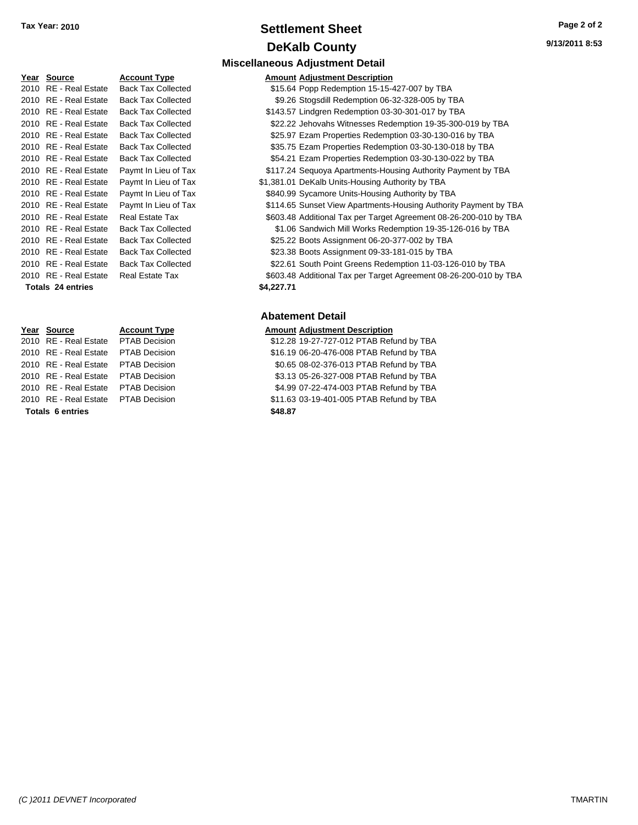### **Settlement Sheet Tax Year: 2010 Page 2 of 2 DeKalb County**

**Miscellaneous Adjustment Detail**

| Year Source              | <b>Account Type</b>       |            | <b>Amount Adjustment Description</b> |
|--------------------------|---------------------------|------------|--------------------------------------|
| 2010 RE - Real Estate    | <b>Back Tax Collected</b> |            | \$15.64 Popp Redemption 15-15-       |
| 2010 RE - Real Estate    | <b>Back Tax Collected</b> |            | \$9.26 Stogsdill Redemption 06-      |
| 2010 RE - Real Estate    | <b>Back Tax Collected</b> |            | \$143.57 Lindgren Redemption 03-     |
| 2010 RE - Real Estate    | <b>Back Tax Collected</b> |            | \$22.22 Jehovahs Witnesses Red       |
| 2010 RE - Real Estate    | <b>Back Tax Collected</b> |            | \$25.97 Ezam Properties Redemp       |
| 2010 RE - Real Estate    | <b>Back Tax Collected</b> |            | \$35.75 Ezam Properties Redemp       |
| 2010 RE - Real Estate    | <b>Back Tax Collected</b> |            | \$54.21 Ezam Properties Redemp       |
| 2010 RE - Real Estate    | Paymt In Lieu of Tax      |            | \$117.24 Sequoya Apartments-Hou      |
| 2010 RE - Real Estate    | Paymt In Lieu of Tax      |            | \$1,381.01 DeKalb Units-Housing Au   |
| 2010 RE - Real Estate    | Paymt In Lieu of Tax      |            | \$840.99 Sycamore Units-Housing      |
| 2010 RE - Real Estate    | Paymt In Lieu of Tax      |            | \$114.65 Sunset View Apartments-     |
| 2010 RE - Real Estate    | Real Estate Tax           |            | \$603.48 Additional Tax per Target   |
| 2010 RE - Real Estate    | <b>Back Tax Collected</b> |            | \$1.06 Sandwich Mill Works Red       |
| 2010 RE - Real Estate    | <b>Back Tax Collected</b> |            | \$25.22 Boots Assignment 06-20-      |
| 2010 RE - Real Estate    | <b>Back Tax Collected</b> |            | \$23.38 Boots Assignment 09-33-      |
| 2010 RE - Real Estate    | <b>Back Tax Collected</b> |            | \$22.61 South Point Greens Rede      |
| 2010 RE - Real Estate    | <b>Real Estate Tax</b>    |            | \$603.48 Additional Tax per Target   |
| <b>Totals 24 entries</b> |                           | \$4,227.71 |                                      |

# **Year Source Account Type Amount Adjustment Description Totals \$48.87 6 entries**

| 2010 RE - Real Estate    | <b>Back Tax Collected</b> | \$15.64 Popp Redemption 15-15-427-007 by TBA                      |
|--------------------------|---------------------------|-------------------------------------------------------------------|
| 2010 RE - Real Estate    | <b>Back Tax Collected</b> | \$9.26 Stogsdill Redemption 06-32-328-005 by TBA                  |
| 2010 RE - Real Estate    | <b>Back Tax Collected</b> | \$143.57 Lindgren Redemption 03-30-301-017 by TBA                 |
| 2010 RE - Real Estate    | <b>Back Tax Collected</b> | \$22.22 Jehovahs Witnesses Redemption 19-35-300-019 by TBA        |
| 2010 RE - Real Estate    | <b>Back Tax Collected</b> | \$25.97 Ezam Properties Redemption 03-30-130-016 by TBA           |
| 2010 RE - Real Estate    | <b>Back Tax Collected</b> | \$35.75 Ezam Properties Redemption 03-30-130-018 by TBA           |
| 2010 RE - Real Estate    | <b>Back Tax Collected</b> | \$54.21 Ezam Properties Redemption 03-30-130-022 by TBA           |
| 2010 RE - Real Estate    | Paymt In Lieu of Tax      | \$117.24 Sequoya Apartments-Housing Authority Payment by TBA      |
| 2010 RE - Real Estate    | Paymt In Lieu of Tax      | \$1,381.01 DeKalb Units-Housing Authority by TBA                  |
| 2010 RE - Real Estate    | Paymt In Lieu of Tax      | \$840.99 Sycamore Units-Housing Authority by TBA                  |
| 2010 RE - Real Estate    | Paymt In Lieu of Tax      | \$114.65 Sunset View Apartments-Housing Authority Payment by TBA  |
| 2010 RE - Real Estate    | <b>Real Estate Tax</b>    | \$603.48 Additional Tax per Target Agreement 08-26-200-010 by TBA |
| 2010 RE - Real Estate    | <b>Back Tax Collected</b> | \$1.06 Sandwich Mill Works Redemption 19-35-126-016 by TBA        |
| 2010 RE - Real Estate    | <b>Back Tax Collected</b> | \$25.22 Boots Assignment 06-20-377-002 by TBA                     |
| 2010 RE - Real Estate    | <b>Back Tax Collected</b> | \$23.38 Boots Assignment 09-33-181-015 by TBA                     |
| 2010 RE - Real Estate    | <b>Back Tax Collected</b> | \$22.61 South Point Greens Redemption 11-03-126-010 by TBA        |
| 2010 RE - Real Estate    | <b>Real Estate Tax</b>    | \$603.48 Additional Tax per Target Agreement 08-26-200-010 by TBA |
| <b>Totals 24 entries</b> |                           | \$4,227.71                                                        |
|                          |                           |                                                                   |
|                          |                           | Ahatamant Datail                                                  |

#### **Abatement Detail**

### 2010 RE - Real Estate \$12.28 19-27-727-012 PTAB Refund by TBA PTAB Decision 2010 RE - Real Estate \$16.19 06-20-476-008 PTAB Refund by TBA PTAB Decision 2010 RE - Real Estate \$0.65 08-02-376-013 PTAB Refund by TBA PTAB Decision 2010 RE - Real Estate \$3.13 05-26-327-008 PTAB Refund by TBA PTAB Decision 2010 RE - Real Estate \$4.99 07-22-474-003 PTAB Refund by TBA PTAB Decision 2010 RE - Real Estate \$11.63 03-19-401-005 PTAB Refund by TBA PTAB Decision

*(C )2011 DEVNET Incorporated* TMARTIN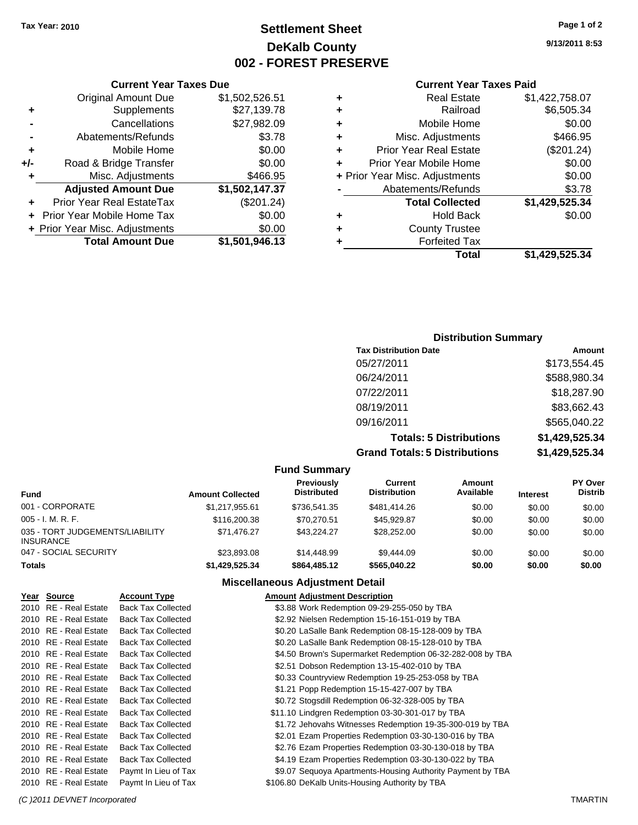### **Settlement Sheet Tax Year: 2010 Page 1 of 2 DeKalb County 002 - FOREST PRESERVE**

**9/13/2011 8:53**

#### **Current Year Taxes Paid**

|                        | \$1,422,758.07                                                                                                                        |
|------------------------|---------------------------------------------------------------------------------------------------------------------------------------|
| Railroad               | \$6,505.34                                                                                                                            |
| Mobile Home            | \$0.00                                                                                                                                |
| Misc. Adjustments      | \$466.95                                                                                                                              |
|                        | (\$201.24)                                                                                                                            |
|                        | \$0.00                                                                                                                                |
|                        | \$0.00                                                                                                                                |
|                        | \$3.78                                                                                                                                |
| <b>Total Collected</b> | \$1,429,525.34                                                                                                                        |
| <b>Hold Back</b>       | \$0.00                                                                                                                                |
| <b>County Trustee</b>  |                                                                                                                                       |
| <b>Forfeited Tax</b>   |                                                                                                                                       |
| Total                  | \$1.429.525.34                                                                                                                        |
|                        | <b>Real Estate</b><br><b>Prior Year Real Estate</b><br>Prior Year Mobile Home<br>+ Prior Year Misc. Adjustments<br>Abatements/Refunds |

|     | <b>Current Year Taxes Due</b>    |                |
|-----|----------------------------------|----------------|
|     | <b>Original Amount Due</b>       | \$1,502,526.51 |
| ٠   | Supplements                      | \$27,139.78    |
|     | Cancellations                    | \$27,982.09    |
|     | Abatements/Refunds               | \$3.78         |
| ٠   | Mobile Home                      | \$0.00         |
| +/- | Road & Bridge Transfer           | \$0.00         |
| ٠   | Misc. Adjustments                | \$466.95       |
|     | <b>Adjusted Amount Due</b>       | \$1,502,147.37 |
|     | <b>Prior Year Real EstateTax</b> | (\$201.24)     |
|     | Prior Year Mobile Home Tax       | \$0.00         |
|     | + Prior Year Misc. Adjustments   | \$0.00         |
|     | <b>Total Amount Due</b>          | \$1,501,946.13 |

### **Distribution Summary**

| <b>Tax Distribution Date</b>         | Amount         |
|--------------------------------------|----------------|
| 05/27/2011                           | \$173,554.45   |
| 06/24/2011                           | \$588,980.34   |
| 07/22/2011                           | \$18,287.90    |
| 08/19/2011                           | \$83,662.43    |
| 09/16/2011                           | \$565,040.22   |
| <b>Totals: 5 Distributions</b>       | \$1,429,525.34 |
| <b>Grand Totals: 5 Distributions</b> | \$1,429,525.34 |

#### **Fund Summary**

| <b>Fund</b>                                         | <b>Amount Collected</b> | Previously<br><b>Distributed</b> | Current<br><b>Distribution</b> | Amount<br>Available | <b>Interest</b> | <b>PY Over</b><br><b>Distrib</b> |  |
|-----------------------------------------------------|-------------------------|----------------------------------|--------------------------------|---------------------|-----------------|----------------------------------|--|
| 001 - CORPORATE                                     | \$1.217.955.61          | \$736.541.35                     | \$481.414.26                   | \$0.00              | \$0.00          | \$0.00                           |  |
| $005 - I. M. R. F.$                                 | \$116,200.38            | \$70.270.51                      | \$45,929.87                    | \$0.00              | \$0.00          | \$0.00                           |  |
| 035 - TORT JUDGEMENTS/LIABILITY<br><b>INSURANCE</b> | \$71.476.27             | \$43.224.27                      | \$28.252.00                    | \$0.00              | \$0.00          | \$0.00                           |  |
| 047 - SOCIAL SECURITY                               | \$23,893,08             | \$14,448.99                      | \$9,444.09                     | \$0.00              | \$0.00          | \$0.00                           |  |
| <b>Totals</b>                                       | \$1,429,525.34          | \$864,485,12                     | \$565,040.22                   | \$0.00              | \$0.00          | \$0.00                           |  |
|                                                     |                         |                                  |                                |                     |                 |                                  |  |

### **Miscellaneous Adjustment Detail**

| <b>Account Type</b>                                                                                                                                                                                                                                                                                                                                                                                                         | <b>Amount Adjustment Description</b>                                                                                                                                                                                                                                                                                                                                                                                                                               |
|-----------------------------------------------------------------------------------------------------------------------------------------------------------------------------------------------------------------------------------------------------------------------------------------------------------------------------------------------------------------------------------------------------------------------------|--------------------------------------------------------------------------------------------------------------------------------------------------------------------------------------------------------------------------------------------------------------------------------------------------------------------------------------------------------------------------------------------------------------------------------------------------------------------|
|                                                                                                                                                                                                                                                                                                                                                                                                                             | \$3.88 Work Redemption 09-29-255-050 by TBA                                                                                                                                                                                                                                                                                                                                                                                                                        |
|                                                                                                                                                                                                                                                                                                                                                                                                                             | \$2.92 Nielsen Redemption 15-16-151-019 by TBA                                                                                                                                                                                                                                                                                                                                                                                                                     |
|                                                                                                                                                                                                                                                                                                                                                                                                                             | \$0.20 LaSalle Bank Redemption 08-15-128-009 by TBA                                                                                                                                                                                                                                                                                                                                                                                                                |
|                                                                                                                                                                                                                                                                                                                                                                                                                             | \$0.20 LaSalle Bank Redemption 08-15-128-010 by TBA                                                                                                                                                                                                                                                                                                                                                                                                                |
|                                                                                                                                                                                                                                                                                                                                                                                                                             | \$4.50 Brown's Supermarket Redemption 06-32-282-008 by TBA                                                                                                                                                                                                                                                                                                                                                                                                         |
|                                                                                                                                                                                                                                                                                                                                                                                                                             | \$2.51 Dobson Redemption 13-15-402-010 by TBA                                                                                                                                                                                                                                                                                                                                                                                                                      |
|                                                                                                                                                                                                                                                                                                                                                                                                                             | \$0.33 Countryview Redemption 19-25-253-058 by TBA                                                                                                                                                                                                                                                                                                                                                                                                                 |
|                                                                                                                                                                                                                                                                                                                                                                                                                             | \$1.21 Popp Redemption 15-15-427-007 by TBA                                                                                                                                                                                                                                                                                                                                                                                                                        |
|                                                                                                                                                                                                                                                                                                                                                                                                                             | \$0.72 Stogsdill Redemption 06-32-328-005 by TBA                                                                                                                                                                                                                                                                                                                                                                                                                   |
|                                                                                                                                                                                                                                                                                                                                                                                                                             | \$11.10 Lindgren Redemption 03-30-301-017 by TBA                                                                                                                                                                                                                                                                                                                                                                                                                   |
|                                                                                                                                                                                                                                                                                                                                                                                                                             | \$1.72 Jehovahs Witnesses Redemption 19-35-300-019 by TBA                                                                                                                                                                                                                                                                                                                                                                                                          |
|                                                                                                                                                                                                                                                                                                                                                                                                                             | \$2.01 Ezam Properties Redemption 03-30-130-016 by TBA                                                                                                                                                                                                                                                                                                                                                                                                             |
|                                                                                                                                                                                                                                                                                                                                                                                                                             | \$2.76 Ezam Properties Redemption 03-30-130-018 by TBA                                                                                                                                                                                                                                                                                                                                                                                                             |
|                                                                                                                                                                                                                                                                                                                                                                                                                             | \$4.19 Ezam Properties Redemption 03-30-130-022 by TBA                                                                                                                                                                                                                                                                                                                                                                                                             |
|                                                                                                                                                                                                                                                                                                                                                                                                                             | \$9.07 Sequoya Apartments-Housing Authority Payment by TBA                                                                                                                                                                                                                                                                                                                                                                                                         |
|                                                                                                                                                                                                                                                                                                                                                                                                                             | \$106.80 DeKalb Units-Housing Authority by TBA                                                                                                                                                                                                                                                                                                                                                                                                                     |
| Year Source<br>2010 RE - Real Estate<br>2010 RE - Real Estate<br>2010 RE - Real Estate<br>2010 RE - Real Estate<br>2010 RE - Real Estate<br>2010 RE - Real Estate<br>2010 RE - Real Estate<br>2010 RE - Real Estate<br>2010 RE - Real Estate<br>2010 RE - Real Estate<br>2010 RE - Real Estate<br>2010 RE - Real Estate<br>2010 RE - Real Estate<br>2010 RE - Real Estate<br>2010 RE - Real Estate<br>2010 RE - Real Estate | <b>Back Tax Collected</b><br><b>Back Tax Collected</b><br><b>Back Tax Collected</b><br><b>Back Tax Collected</b><br><b>Back Tax Collected</b><br><b>Back Tax Collected</b><br><b>Back Tax Collected</b><br><b>Back Tax Collected</b><br><b>Back Tax Collected</b><br><b>Back Tax Collected</b><br><b>Back Tax Collected</b><br><b>Back Tax Collected</b><br><b>Back Tax Collected</b><br><b>Back Tax Collected</b><br>Paymt In Lieu of Tax<br>Paymt In Lieu of Tax |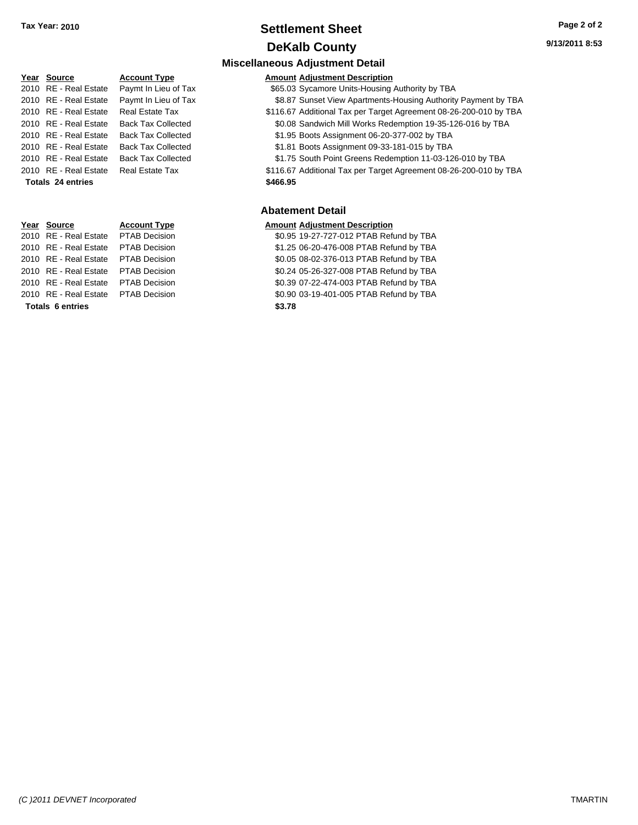### **Settlement Sheet Tax Year: 2010 Page 2 of 2 DeKalb County**

**Miscellaneous Adjustment Detail**

| <u>Year Source</u>    | <b>Account Type</b>       | Amount   |
|-----------------------|---------------------------|----------|
| 2010 RE - Real Estate | Paymt In Lieu of Tax      | \$65.03  |
| 2010 RE - Real Estate | Paymt In Lieu of Tax      | \$8.87   |
| 2010 RE - Real Estate | <b>Real Estate Tax</b>    | \$116.67 |
| 2010 RE - Real Estate | <b>Back Tax Collected</b> | \$0.08   |
| 2010 RE - Real Estate | <b>Back Tax Collected</b> | \$1.95   |
| 2010 RE - Real Estate | <b>Back Tax Collected</b> | \$1.81   |
| 2010 RE - Real Estate | <b>Back Tax Collected</b> | \$1.75   |
| 2010 RE - Real Estate | Real Estate Tax           | \$116.67 |
| Totals 24 entries     |                           | \$466.95 |
|                       |                           |          |

**Totals \$3.78 6 entries**

**PERR 19 TELEVIS AMOUNT ADDEN TYPE ACCOUNT ADDEN THE TYPE ARTICLES** 

In Lieu of Tax **3000 State \$65.03** Sycamore Units-Housing Authority by TBA 2010 In Lieu of Tax **3010 Band State \$8.87 Sunset View Apartments-Housing Authority Payment by TBA** 2010 8116.67 Additional Tax per Target Agreement 08-26-200-010 by TBA <sup>2</sup> ax Collected **2010 Real Estate Solid Solid Sendwich Mill Works Redemption 19-35-126-016 by TBA** <sup>2</sup> ax Collected **2010 Real Estate State \$1.95 Boots Assignment 06-20-377-002 by TBA** 

<sup>2</sup> ax Collected **2010 Back State State \$1.81 Boots Assignment 09-33-181-015 by TBA** 

<sup>2</sup> ax Collected **2010 Real Estate State \$1.75 South Point Greens Redemption 11-03-126-010 by TBA** 

2010 8116.67 Additional Tax per Target Agreement 08-26-200-010 by TBA

#### **Abatement Detail**

#### **Year Source Account Type Amount Adjustment Description**

2010 RE - Real Estate \$0.95 19-27-727-012 PTAB Refund by TBA PTAB Decision

2010 RE - Real Estate \$1.25 06-20-476-008 PTAB Refund by TBA PTAB Decision

2010 RE - Real Estate \$0.05 08-02-376-013 PTAB Refund by TBA PTAB Decision

2010 RE - Real Estate \$0.24 05-26-327-008 PTAB Refund by TBA PTAB Decision

2010 RE - Real Estate \$0.39 07-22-474-003 PTAB Refund by TBA PTAB Decision

2010 RE - Real Estate \$0.90 03-19-401-005 PTAB Refund by TBA PTAB Decision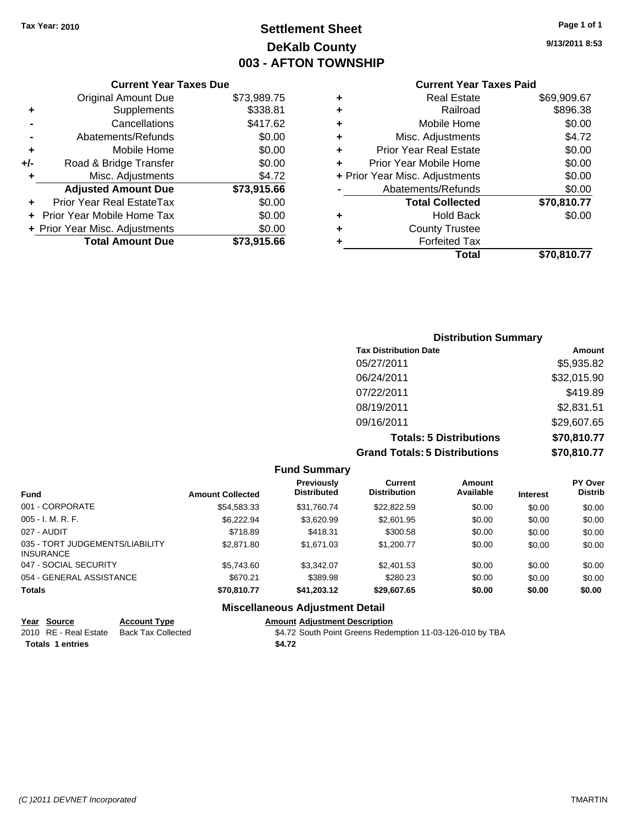### **Settlement Sheet Tax Year: 2010 Page 1 of 1 DeKalb County 003 - AFTON TOWNSHIP**

**9/13/2011 8:53**

| <b>Current Year Taxes Paid</b> |  |  |
|--------------------------------|--|--|
|                                |  |  |

|     | <b>Current Year Taxes Due</b>    |             |  |
|-----|----------------------------------|-------------|--|
|     | <b>Original Amount Due</b>       | \$73,989.75 |  |
| ٠   | Supplements                      | \$338.81    |  |
|     | Cancellations                    | \$417.62    |  |
|     | Abatements/Refunds               | \$0.00      |  |
| ٠   | Mobile Home                      | \$0.00      |  |
| +/- | Road & Bridge Transfer           | \$0.00      |  |
| ٠   | Misc. Adjustments                | \$4.72      |  |
|     | <b>Adjusted Amount Due</b>       | \$73,915.66 |  |
| ÷   | <b>Prior Year Real EstateTax</b> | \$0.00      |  |
|     | Prior Year Mobile Home Tax       | \$0.00      |  |
|     | + Prior Year Misc. Adjustments   | \$0.00      |  |
|     | <b>Total Amount Due</b>          | \$73,915,66 |  |
|     |                                  |             |  |

| <b>Real Estate</b>            | \$69,909.67                    |
|-------------------------------|--------------------------------|
| Railroad                      | \$896.38                       |
| Mobile Home                   | \$0.00                         |
| Misc. Adjustments             | \$4.72                         |
| <b>Prior Year Real Estate</b> | \$0.00                         |
| Prior Year Mobile Home        | \$0.00                         |
|                               | \$0.00                         |
| Abatements/Refunds            | \$0.00                         |
| <b>Total Collected</b>        | \$70,810.77                    |
| <b>Hold Back</b>              | \$0.00                         |
| <b>County Trustee</b>         |                                |
| <b>Forfeited Tax</b>          |                                |
| Total                         | \$70,810.77                    |
|                               | + Prior Year Misc. Adjustments |

| <b>Distribution Summary</b>          |             |
|--------------------------------------|-------------|
| <b>Tax Distribution Date</b>         | Amount      |
| 05/27/2011                           | \$5,935.82  |
| 06/24/2011                           | \$32,015.90 |
| 07/22/2011                           | \$419.89    |
| 08/19/2011                           | \$2,831.51  |
| 09/16/2011                           | \$29,607.65 |
| <b>Totals: 5 Distributions</b>       | \$70,810.77 |
| <b>Grand Totals: 5 Distributions</b> | \$70,810.77 |

| <b>Fund Summary</b>                                 |                         |                                         |                                       |                     |                 |                           |
|-----------------------------------------------------|-------------------------|-----------------------------------------|---------------------------------------|---------------------|-----------------|---------------------------|
| <b>Fund</b>                                         | <b>Amount Collected</b> | <b>Previously</b><br><b>Distributed</b> | <b>Current</b><br><b>Distribution</b> | Amount<br>Available | <b>Interest</b> | PY Over<br><b>Distrib</b> |
| 001 - CORPORATE                                     | \$54.583.33             | \$31.760.74                             | \$22,822.59                           | \$0.00              | \$0.00          | \$0.00                    |
| $005 - I. M. R. F.$                                 | \$6.222.94              | \$3.620.99                              | \$2,601.95                            | \$0.00              | \$0.00          | \$0.00                    |
| 027 - AUDIT                                         | \$718.89                | \$418.31                                | \$300.58                              | \$0.00              | \$0.00          | \$0.00                    |
| 035 - TORT JUDGEMENTS/LIABILITY<br><b>INSURANCE</b> | \$2,871.80              | \$1,671.03                              | \$1,200.77                            | \$0.00              | \$0.00          | \$0.00                    |
| 047 - SOCIAL SECURITY                               | \$5.743.60              | \$3.342.07                              | \$2,401.53                            | \$0.00              | \$0.00          | \$0.00                    |
| 054 - GENERAL ASSISTANCE                            | \$670.21                | \$389.98                                | \$280.23                              | \$0.00              | \$0.00          | \$0.00                    |
| <b>Totals</b>                                       | \$70.810.77             | \$41,203.12                             | \$29,607.65                           | \$0.00              | \$0.00          | \$0.00                    |
|                                                     |                         | <b>Miscellaneous Adjustment Detail</b>  |                                       |                     |                 |                           |

| Year Source           | <b>Account Type</b> | <b>Amount Adiustment Description</b>                      |
|-----------------------|---------------------|-----------------------------------------------------------|
| 2010 RE - Real Estate | Back Tax Collected  | \$4.72 South Point Greens Redemption 11-03-126-010 by TBA |
| Totals 1 entries      |                     | \$4.72                                                    |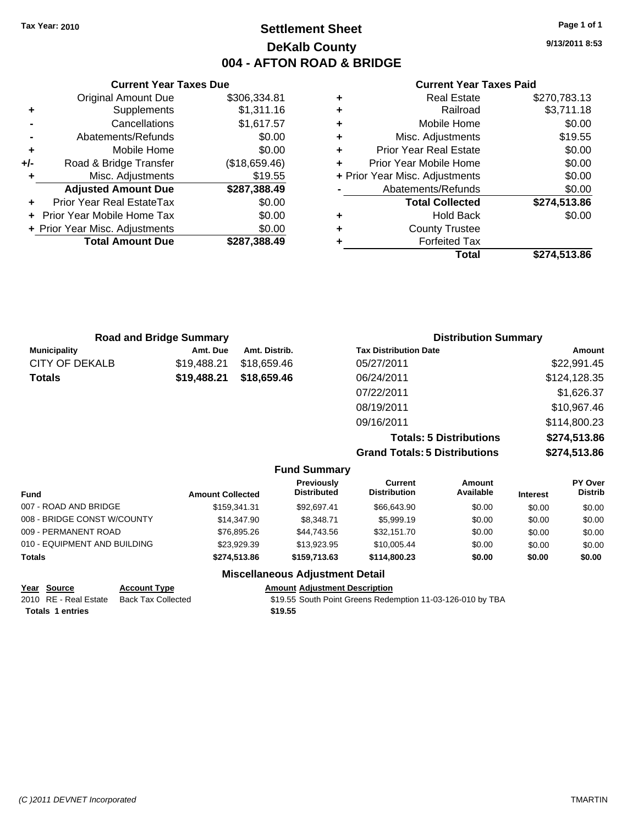### **Settlement Sheet Tax Year: 2010 Page 1 of 1 DeKalb County 004 - AFTON ROAD & BRIDGE**

**9/13/2011 8:53**

#### **Current Year Taxes Paid**

|     | <b>Current Year Taxes Due</b>  |               |
|-----|--------------------------------|---------------|
|     | <b>Original Amount Due</b>     | \$306,334.81  |
| ٠   | Supplements                    | \$1,311.16    |
|     | Cancellations                  | \$1,617.57    |
|     | Abatements/Refunds             | \$0.00        |
| ٠   | Mobile Home                    | \$0.00        |
| +/- | Road & Bridge Transfer         | (\$18,659.46) |
| ٠   | Misc. Adjustments              | \$19.55       |
|     | <b>Adjusted Amount Due</b>     | \$287,388.49  |
|     | Prior Year Real EstateTax      | \$0.00        |
|     | Prior Year Mobile Home Tax     | \$0.00        |
|     | + Prior Year Misc. Adjustments | \$0.00        |
|     | <b>Total Amount Due</b>        | \$287,388.49  |
|     |                                |               |

|   | Total                          | \$274.513.86 |
|---|--------------------------------|--------------|
| ٠ | <b>Forfeited Tax</b>           |              |
| ٠ | <b>County Trustee</b>          |              |
| ٠ | <b>Hold Back</b>               | \$0.00       |
|   | <b>Total Collected</b>         | \$274,513.86 |
|   | Abatements/Refunds             | \$0.00       |
|   | + Prior Year Misc. Adjustments | \$0.00       |
| ÷ | Prior Year Mobile Home         | \$0.00       |
| ٠ | <b>Prior Year Real Estate</b>  | \$0.00       |
| ٠ | Misc. Adjustments              | \$19.55      |
| ٠ | Mobile Home                    | \$0.00       |
| ٠ | Railroad                       | \$3,711.18   |
| ٠ | <b>Real Estate</b>             | \$270,783.13 |

| <b>Road and Bridge Summary</b> |             |               | <b>Distribution Summary</b>  |              |  |
|--------------------------------|-------------|---------------|------------------------------|--------------|--|
| <b>Municipality</b>            | Amt. Due    | Amt. Distrib. | <b>Tax Distribution Date</b> | Amount       |  |
| <b>CITY OF DEKALB</b>          | \$19,488.21 | \$18,659.46   | 05/27/2011                   | \$22,991.45  |  |
| <b>Totals</b>                  | \$19,488.21 | \$18,659.46   | 06/24/2011                   | \$124,128.35 |  |
|                                |             |               | 07/22/2011                   | \$1,626.37   |  |
|                                |             |               | 08/19/2011                   | \$10,967.46  |  |
|                                |             |               | 09/16/2011                   | \$114,800.23 |  |
|                                |             |               |                              |              |  |

**Totals: 5 Distributions \$274,513.86 Grand Totals: 5 Distributions \$274,513.86**

|  |  | <b>Fund Summary</b> |
|--|--|---------------------|
|--|--|---------------------|

| <b>Amount Collected</b> | Previously<br><b>Distributed</b> | Current<br><b>Distribution</b> | Amount<br>Available | <b>Interest</b> | PY Over<br><b>Distrib</b> |  |
|-------------------------|----------------------------------|--------------------------------|---------------------|-----------------|---------------------------|--|
| \$159.341.31            | \$92.697.41                      | \$66,643.90                    | \$0.00              | \$0.00          | \$0.00                    |  |
| \$14,347.90             | \$8.348.71                       | \$5,999.19                     | \$0.00              | \$0.00          | \$0.00                    |  |
| \$76,895.26             | \$44.743.56                      | \$32,151.70                    | \$0.00              | \$0.00          | \$0.00                    |  |
| \$23,929.39             | \$13,923,95                      | \$10,005.44                    | \$0.00              | \$0.00          | \$0.00                    |  |
| \$274.513.86            | \$159,713,63                     | \$114,800.23                   | \$0.00              | \$0.00          | \$0.00                    |  |
|                         |                                  |                                |                     |                 |                           |  |

### **Miscellaneous Adjustment Detail**

|                         | Year Source           | <b>Account Type</b> | <b>Amount Adiustment Description</b>                       |
|-------------------------|-----------------------|---------------------|------------------------------------------------------------|
|                         | 2010 RE - Real Estate | Back Tax Collected  | \$19.55 South Point Greens Redemption 11-03-126-010 by TBA |
| <b>Totals 1 entries</b> |                       |                     | \$19.55                                                    |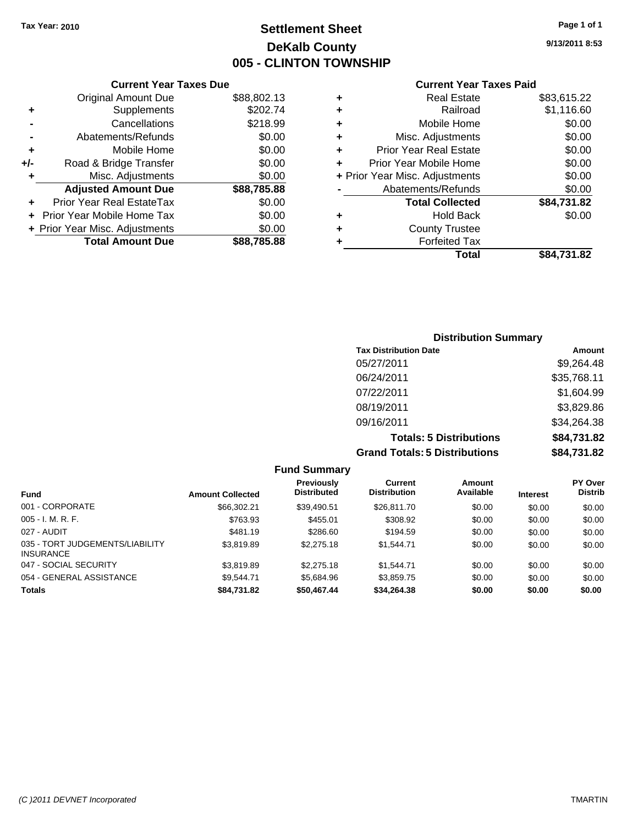### **Settlement Sheet Tax Year: 2010 Page 1 of 1 DeKalb County 005 - CLINTON TOWNSHIP**

**9/13/2011 8:53**

### **Current Year Taxes Paid**

|     | <b>Current Year Taxes Due</b>    |             |     |
|-----|----------------------------------|-------------|-----|
|     | <b>Original Amount Due</b>       | \$88,802.13 |     |
|     | <b>Supplements</b>               | \$202.74    |     |
|     | Cancellations                    | \$218.99    |     |
|     | Abatements/Refunds               | \$0.00      |     |
|     | Mobile Home                      | \$0.00      |     |
| +/- | Road & Bridge Transfer           | \$0.00      |     |
|     | Misc. Adjustments                | \$0.00      | + P |
|     | <b>Adjusted Amount Due</b>       | \$88,785.88 |     |
|     | <b>Prior Year Real EstateTax</b> | \$0.00      |     |
|     | Prior Year Mobile Home Tax       | \$0.00      |     |
|     | + Prior Year Misc. Adjustments   | \$0.00      |     |
|     | <b>Total Amount Due</b>          | \$88,785.88 |     |

| ٠ | <b>Real Estate</b>             | \$83,615.22 |
|---|--------------------------------|-------------|
| ٠ | Railroad                       | \$1,116.60  |
| ٠ | Mobile Home                    | \$0.00      |
| ٠ | Misc. Adjustments              | \$0.00      |
| ٠ | <b>Prior Year Real Estate</b>  | \$0.00      |
| ÷ | Prior Year Mobile Home         | \$0.00      |
|   | + Prior Year Misc. Adjustments | \$0.00      |
|   | Abatements/Refunds             | \$0.00      |
|   | <b>Total Collected</b>         | \$84,731.82 |
| ٠ | <b>Hold Back</b>               | \$0.00      |
| ٠ | <b>County Trustee</b>          |             |
| ٠ | <b>Forfeited Tax</b>           |             |
|   | Total                          | \$84,731.82 |
|   |                                |             |

### **Distribution Summary Tax Distribution Date Amount** 05/27/2011 \$9,264.48 06/24/2011 \$35,768.11 07/22/2011 \$1,604.99 08/19/2011 \$3,829.86 09/16/2011 \$34,264.38 **Totals: 5 Distributions \$84,731.82 Grand Totals: 5 Distributions \$84,731.82**

|                                                     |                         | <b>Fund Summary</b>              |                                |                     |                 |                           |
|-----------------------------------------------------|-------------------------|----------------------------------|--------------------------------|---------------------|-----------------|---------------------------|
| <b>Fund</b>                                         | <b>Amount Collected</b> | Previously<br><b>Distributed</b> | Current<br><b>Distribution</b> | Amount<br>Available | <b>Interest</b> | PY Over<br><b>Distrib</b> |
| 001 - CORPORATE                                     | \$66,302.21             | \$39,490.51                      | \$26,811.70                    | \$0.00              | \$0.00          | \$0.00                    |
| $005 - I. M. R. F.$                                 | \$763.93                | \$455.01                         | \$308.92                       | \$0.00              | \$0.00          | \$0.00                    |
| 027 - AUDIT                                         | \$481.19                | \$286.60                         | \$194.59                       | \$0.00              | \$0.00          | \$0.00                    |
| 035 - TORT JUDGEMENTS/LIABILITY<br><b>INSURANCE</b> | \$3,819.89              | \$2,275.18                       | \$1.544.71                     | \$0.00              | \$0.00          | \$0.00                    |
| 047 - SOCIAL SECURITY                               | \$3.819.89              | \$2,275.18                       | \$1.544.71                     | \$0.00              | \$0.00          | \$0.00                    |
| 054 - GENERAL ASSISTANCE                            | \$9.544.71              | \$5.684.96                       | \$3,859.75                     | \$0.00              | \$0.00          | \$0.00                    |
| <b>Totals</b>                                       | \$84,731.82             | \$50,467.44                      | \$34,264.38                    | \$0.00              | \$0.00          | \$0.00                    |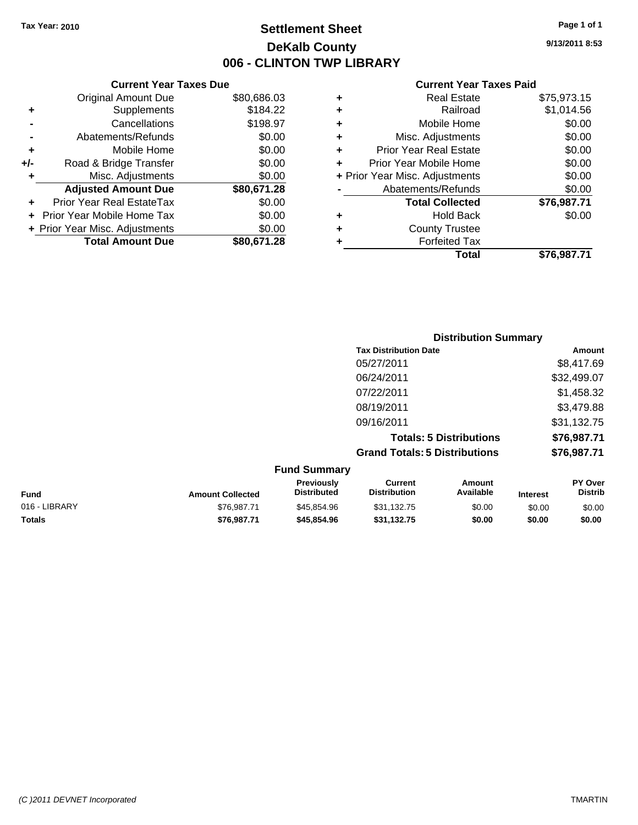### **Settlement Sheet Tax Year: 2010 Page 1 of 1 DeKalb County 006 - CLINTON TWP LIBRARY**

**9/13/2011 8:53**

#### **Current Year Taxes Paid**

| <b>Current Year Taxes Due</b> |  |  |  |
|-------------------------------|--|--|--|
| \$80,686.03                   |  |  |  |
| \$184.22                      |  |  |  |
| \$198.97                      |  |  |  |
| \$0.00                        |  |  |  |
| \$0.00                        |  |  |  |
| \$0.00                        |  |  |  |
| \$0.00                        |  |  |  |
| \$80,671.28                   |  |  |  |
| \$0.00                        |  |  |  |
| \$0.00                        |  |  |  |
| \$0.00                        |  |  |  |
| \$80,671,28                   |  |  |  |
|                               |  |  |  |

|   | <b>Real Estate</b>             | \$75,973.15 |
|---|--------------------------------|-------------|
| ٠ | Railroad                       | \$1,014.56  |
| ٠ | Mobile Home                    | \$0.00      |
| ٠ | Misc. Adjustments              | \$0.00      |
| ٠ | <b>Prior Year Real Estate</b>  | \$0.00      |
| ٠ | Prior Year Mobile Home         | \$0.00      |
|   | + Prior Year Misc. Adjustments | \$0.00      |
|   | Abatements/Refunds             | \$0.00      |
|   | <b>Total Collected</b>         | \$76,987.71 |
| ٠ | <b>Hold Back</b>               | \$0.00      |
| ٠ | <b>County Trustee</b>          |             |
| ٠ | <b>Forfeited Tax</b>           |             |
|   | <b>Total</b>                   | \$76,987.71 |
|   |                                |             |

|                     | <b>Distribution Summary</b>          |             |
|---------------------|--------------------------------------|-------------|
|                     | <b>Tax Distribution Date</b>         | Amount      |
|                     | 05/27/2011                           | \$8,417.69  |
|                     | 06/24/2011                           | \$32,499.07 |
|                     | 07/22/2011                           | \$1,458.32  |
|                     | 08/19/2011                           | \$3,479.88  |
|                     | 09/16/2011                           | \$31,132.75 |
|                     | <b>Totals: 5 Distributions</b>       | \$76,987.71 |
|                     | <b>Grand Totals: 5 Distributions</b> | \$76,987.71 |
| <b>Fund Summary</b> |                                      |             |

| <b>Amount Collected</b> | <b>Previously</b><br><b>Distributed</b> | Current<br><b>Distribution</b> | Amount<br>Available | <b>Interest</b> | <b>PY Over</b><br><b>Distrib</b> |
|-------------------------|-----------------------------------------|--------------------------------|---------------------|-----------------|----------------------------------|
| \$76.987.71             | \$45.854.96                             | \$31,132.75                    | \$0.00              | \$0.00          | \$0.00                           |
| \$76.987.71             | \$45,854.96                             | \$31.132.75                    | \$0.00              | \$0.00          | \$0.00                           |
|                         |                                         | .                              |                     |                 |                                  |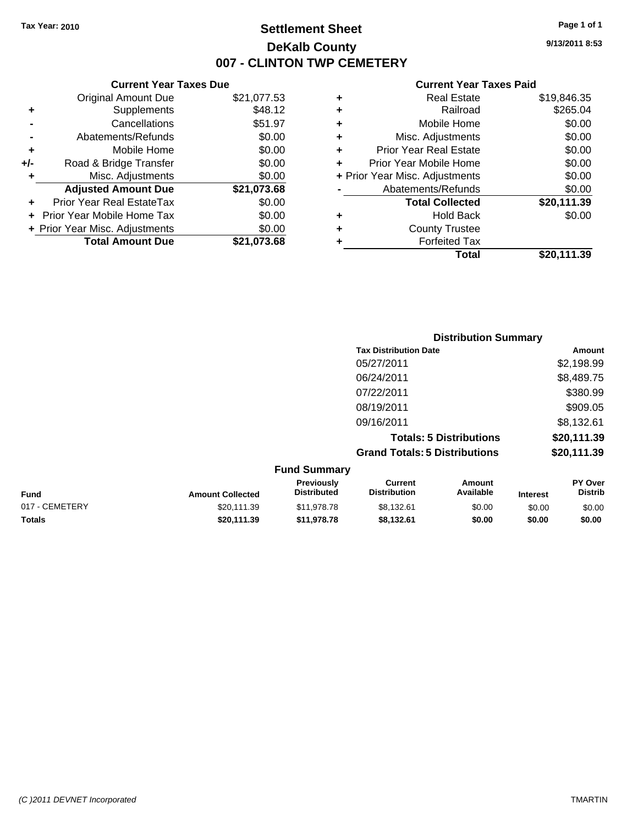**+/-** Road & Bridge

### **Settlement Sheet Tax Year: 2010 Page 1 of 1 DeKalb County 007 - CLINTON TWP CEMETERY**

**9/13/2011 8:53**

#### **Current Year Taxes Paid**

| <b>Current Y</b>           |   | <b>Current Year Taxes Due</b> |                                |           |  |
|----------------------------|---|-------------------------------|--------------------------------|-----------|--|
| <b>Real Es</b>             |   | \$21,077.53                   | Original Amount Due            |           |  |
| Railı                      |   | \$48.12                       | <b>Supplements</b>             | ÷         |  |
| Mobile He                  | ٠ | \$51.97                       | Cancellations                  |           |  |
| Misc. Adjustm              | ٠ | \$0.00                        | Abatements/Refunds             |           |  |
| <b>Prior Year Real Es</b>  | ÷ | \$0.00                        | Mobile Home                    | $\ddot{}$ |  |
| Prior Year Mobile He       |   | \$0.00                        | Road & Bridge Transfer         | I-        |  |
| + Prior Year Misc. Adjustm |   | \$0.00                        | Misc. Adjustments              | ÷         |  |
| Abatements/Refu            |   | \$21,073.68                   | <b>Adjusted Amount Due</b>     |           |  |
| <b>Total Colled</b>        |   | \$0.00                        | Prior Year Real EstateTax      | $\ddot{}$ |  |
| Hold B                     | ٠ | \$0.00                        | + Prior Year Mobile Home Tax   |           |  |
| County Tru                 | ٠ | \$0.00                        | + Prior Year Misc. Adjustments |           |  |
| Forfeited                  |   | \$21,073.68                   | <b>Total Amount Due</b>        |           |  |
|                            |   |                               |                                |           |  |

|   | Total                          | \$20,111.39 |
|---|--------------------------------|-------------|
|   | <b>Forfeited Tax</b>           |             |
| ٠ | <b>County Trustee</b>          |             |
| ٠ | <b>Hold Back</b>               | \$0.00      |
|   | <b>Total Collected</b>         | \$20,111.39 |
|   | Abatements/Refunds             | \$0.00      |
|   | + Prior Year Misc. Adjustments | \$0.00      |
| ÷ | Prior Year Mobile Home         | \$0.00      |
| ٠ | <b>Prior Year Real Estate</b>  | \$0.00      |
| ٠ | Misc. Adjustments              | \$0.00      |
| ٠ | Mobile Home                    | \$0.00      |
| ٠ | Railroad                       | \$265.04    |
| ٠ | <b>Real Estate</b>             | \$19,846.35 |

|                |                         |                                  | <b>Distribution Summary</b>           |                                |                 |                           |
|----------------|-------------------------|----------------------------------|---------------------------------------|--------------------------------|-----------------|---------------------------|
|                |                         |                                  | <b>Tax Distribution Date</b>          |                                |                 | Amount                    |
|                |                         |                                  | 05/27/2011                            |                                |                 | \$2,198.99                |
|                |                         |                                  | 06/24/2011                            |                                |                 | \$8,489.75                |
|                |                         |                                  | 07/22/2011                            |                                |                 | \$380.99                  |
|                |                         |                                  | 08/19/2011                            |                                |                 | \$909.05                  |
|                |                         |                                  | 09/16/2011                            |                                |                 | \$8,132.61                |
|                |                         |                                  |                                       | <b>Totals: 5 Distributions</b> |                 | \$20,111.39               |
|                |                         |                                  | <b>Grand Totals: 5 Distributions</b>  |                                |                 | \$20,111.39               |
|                |                         | <b>Fund Summary</b>              |                                       |                                |                 |                           |
| <b>Fund</b>    | <b>Amount Collected</b> | Previously<br><b>Distributed</b> | <b>Current</b><br><b>Distribution</b> | Amount<br>Available            | <b>Interest</b> | PY Over<br><b>Distrib</b> |
| 017 - CEMETERY | \$20,111.39             | \$11,978.78                      | \$8,132.61                            | \$0.00                         | \$0.00          | \$0.00                    |

**Totals \$20,111.39 \$11,978.78 \$8,132.61 \$0.00 \$0.00 \$0.00**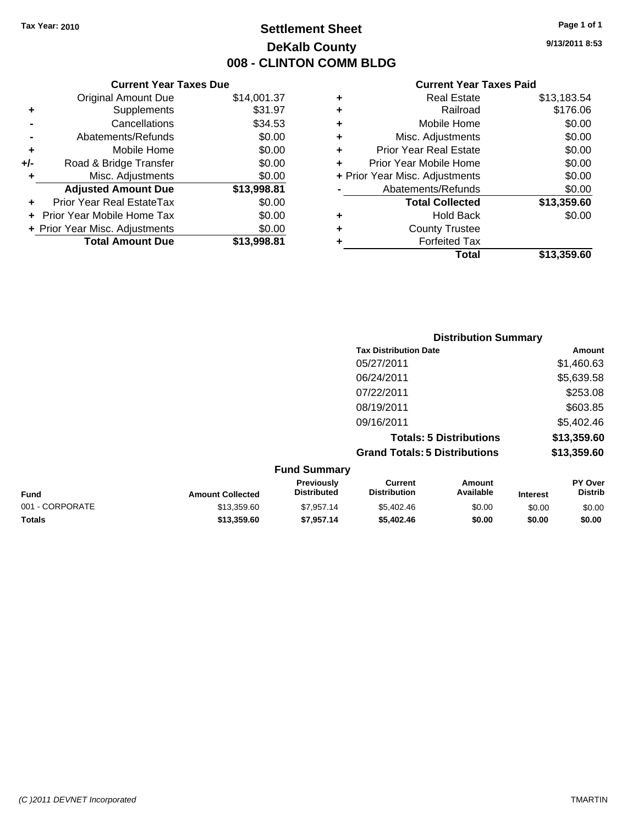### **Settlement Sheet Tax Year: 2010 Page 1 of 1 DeKalb County 008 - CLINTON COMM BLDG**

**9/13/2011 8:53**

#### **Current Year Taxes Paid**

| <b>Current Year Taxes Due</b>  |                         |
|--------------------------------|-------------------------|
| <b>Original Amount Due</b>     | \$14,001.37             |
| Supplements                    | \$31.97                 |
| Cancellations                  | \$34.53                 |
| Abatements/Refunds             | \$0.00                  |
| Mobile Home                    | \$0.00                  |
| Road & Bridge Transfer         | \$0.00                  |
| Misc. Adjustments              | \$0.00                  |
| <b>Adjusted Amount Due</b>     | \$13,998.81             |
| Prior Year Real EstateTax      | \$0.00                  |
| Prior Year Mobile Home Tax     | \$0.00                  |
| + Prior Year Misc. Adjustments | \$0.00                  |
|                                | \$13,998.81             |
|                                | <b>Total Amount Due</b> |

| ٠ | <b>Real Estate</b>             | \$13,183.54 |
|---|--------------------------------|-------------|
| ٠ | Railroad                       | \$176.06    |
| ٠ | Mobile Home                    | \$0.00      |
| ٠ | Misc. Adjustments              | \$0.00      |
| ÷ | <b>Prior Year Real Estate</b>  | \$0.00      |
| ٠ | Prior Year Mobile Home         | \$0.00      |
|   | + Prior Year Misc. Adjustments | \$0.00      |
|   | Abatements/Refunds             | \$0.00      |
|   | <b>Total Collected</b>         | \$13,359.60 |
| ٠ | Hold Back                      | \$0.00      |
| ٠ | <b>County Trustee</b>          |             |
| ٠ | <b>Forfeited Tax</b>           |             |
|   | Total                          | \$13,359.60 |
|   |                                |             |

| <b>Distribution Summary</b>          |             |
|--------------------------------------|-------------|
| <b>Tax Distribution Date</b>         | Amount      |
| 05/27/2011                           | \$1,460.63  |
| 06/24/2011                           | \$5,639.58  |
| 07/22/2011                           | \$253.08    |
| 08/19/2011                           | \$603.85    |
| 09/16/2011                           | \$5,402.46  |
| <b>Totals: 5 Distributions</b>       | \$13,359.60 |
| <b>Grand Totals: 5 Distributions</b> | \$13,359.60 |
| <b>Fund Summary</b>                  |             |

| <b>Fund</b>     | <b>Amount Collected</b> | <b>Previously</b><br><b>Distributed</b> | Current<br><b>Distribution</b> | Amount<br>Available | <b>Interest</b> | <b>PY Over</b><br><b>Distrib</b> |
|-----------------|-------------------------|-----------------------------------------|--------------------------------|---------------------|-----------------|----------------------------------|
| 001 - CORPORATE | \$13,359.60             | \$7.957.14                              | \$5,402.46                     | \$0.00              | \$0.00          | \$0.00                           |
| <b>Totals</b>   | \$13,359.60             | \$7.957.14                              | \$5,402.46                     | \$0.00              | \$0.00          | \$0.00                           |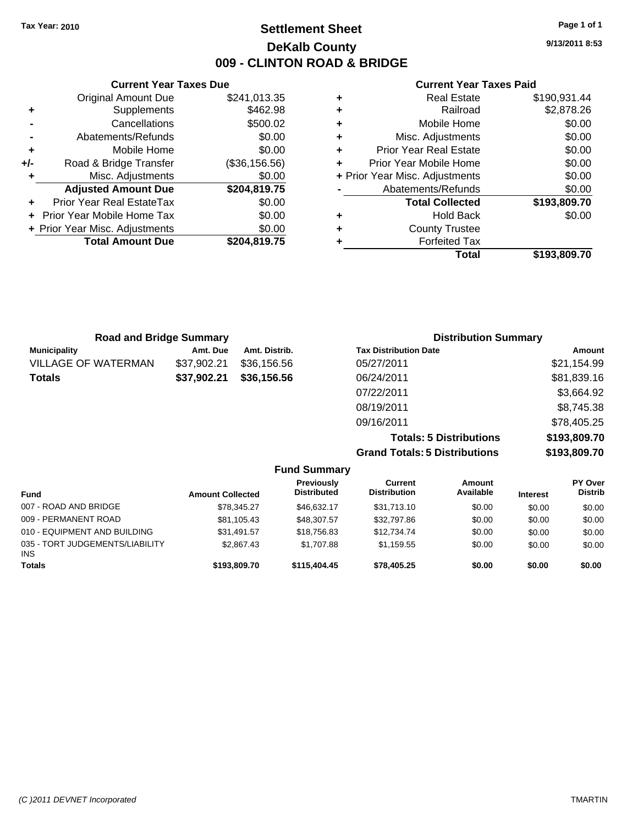### **Settlement Sheet Tax Year: 2010 Page 1 of 1 DeKalb County 009 - CLINTON ROAD & BRIDGE**

**9/13/2011 8:53**

#### **Current Year Taxes Paid**

|   | Total                          | \$193,809.70 |
|---|--------------------------------|--------------|
|   | <b>Forfeited Tax</b>           |              |
| ٠ | <b>County Trustee</b>          |              |
| ٠ | <b>Hold Back</b>               | \$0.00       |
|   | <b>Total Collected</b>         | \$193,809.70 |
|   | Abatements/Refunds             | \$0.00       |
|   | + Prior Year Misc. Adjustments | \$0.00       |
| ÷ | Prior Year Mobile Home         | \$0.00       |
| ٠ | <b>Prior Year Real Estate</b>  | \$0.00       |
| ٠ | Misc. Adjustments              | \$0.00       |
| ٠ | Mobile Home                    | \$0.00       |
| ٠ | Railroad                       | \$2,878.26   |
|   | <b>Real Estate</b>             | \$190,931.44 |

|       | <b>Current Year Taxes Due</b>               |               |  |  |  |  |
|-------|---------------------------------------------|---------------|--|--|--|--|
|       | <b>Original Amount Due</b>                  | \$241,013.35  |  |  |  |  |
| ٠     | Supplements                                 | \$462.98      |  |  |  |  |
|       | Cancellations                               | \$500.02      |  |  |  |  |
|       | Abatements/Refunds                          | \$0.00        |  |  |  |  |
| ٠     | Mobile Home                                 | \$0.00        |  |  |  |  |
| $+/-$ | Road & Bridge Transfer                      | (\$36,156.56) |  |  |  |  |
|       | \$0.00<br>Misc. Adjustments                 |               |  |  |  |  |
|       | <b>Adjusted Amount Due</b>                  | \$204,819.75  |  |  |  |  |
| ٠     | Prior Year Real EstateTax                   | \$0.00        |  |  |  |  |
|       | \$0.00<br><b>Prior Year Mobile Home Tax</b> |               |  |  |  |  |
|       | + Prior Year Misc. Adjustments              | \$0.00        |  |  |  |  |
|       | <b>Total Amount Due</b>                     | \$204,819.75  |  |  |  |  |
|       |                                             |               |  |  |  |  |

| <b>Road and Bridge Summary</b> |             |               | <b>Distribution Summary</b>  |             |  |
|--------------------------------|-------------|---------------|------------------------------|-------------|--|
| <b>Municipality</b>            | Amt. Due    | Amt. Distrib. | <b>Tax Distribution Date</b> | Amount      |  |
| VILLAGE OF WATERMAN            | \$37,902.21 | \$36,156.56   | 05/27/2011                   | \$21,154.99 |  |
| Totals                         | \$37,902.21 | \$36,156.56   | 06/24/2011                   | \$81,839.16 |  |
|                                |             |               | 07/22/2011                   | \$3,664.92  |  |
|                                |             |               | 08/19/2011                   | \$8,745.38  |  |
|                                |             |               | 09/16/2011                   | \$78,405.25 |  |
|                                |             |               |                              |             |  |

**Totals: 5 Distributions \$193,809.70 Grand Totals: 5 Distributions \$193,809.70**

| <b>Fund Summary</b> |
|---------------------|
| .                   |

| <b>Fund</b>                                   | <b>Amount Collected</b> | Previously<br><b>Distributed</b> | <b>Current</b><br>Distribution | <b>Amount</b><br>Available | <b>Interest</b> | PY Over<br><b>Distrib</b> |
|-----------------------------------------------|-------------------------|----------------------------------|--------------------------------|----------------------------|-----------------|---------------------------|
| 007 - ROAD AND BRIDGE                         | \$78,345.27             | \$46.632.17                      | \$31,713.10                    | \$0.00                     | \$0.00          | \$0.00                    |
| 009 - PERMANENT ROAD                          | \$81.105.43             | \$48,307.57                      | \$32,797.86                    | \$0.00                     | \$0.00          | \$0.00                    |
| 010 - EQUIPMENT AND BUILDING                  | \$31.491.57             | \$18,756.83                      | \$12,734.74                    | \$0.00                     | \$0.00          | \$0.00                    |
| 035 - TORT JUDGEMENTS/LIABILITY<br><b>INS</b> | \$2,867.43              | \$1,707.88                       | \$1.159.55                     | \$0.00                     | \$0.00          | \$0.00                    |
| <b>Totals</b>                                 | \$193,809.70            | \$115,404.45                     | \$78,405.25                    | \$0.00                     | \$0.00          | \$0.00                    |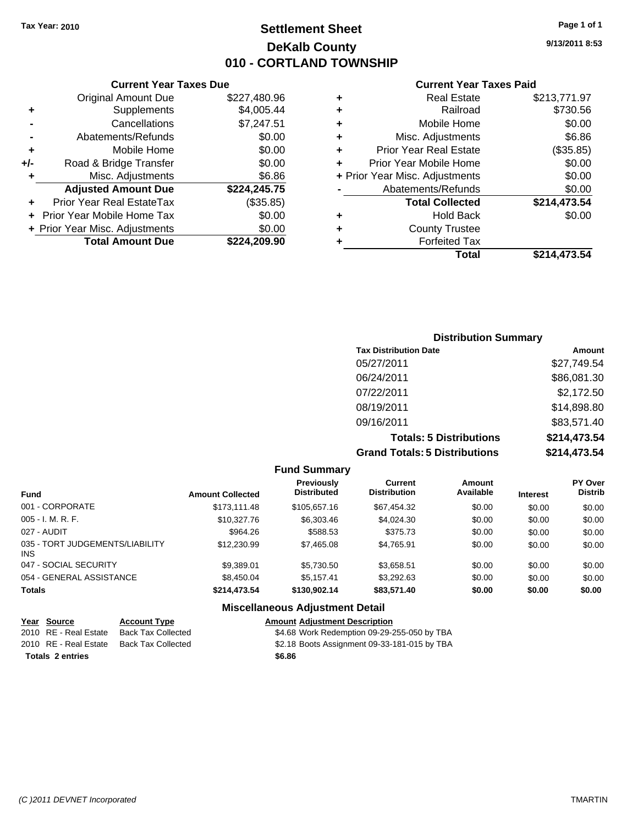**Current Year Taxes Due** Original Amount Due \$227,480.96

**Adjusted Amount Due \$224,245.75**

**Total Amount Due \$224,209.90**

**+** Supplements \$4,005.44 **-** Cancellations \$7,247.51 **-** Abatements/Refunds \$0.00 **+** Mobile Home \$0.00 **+/-** Road & Bridge Transfer \$0.00 **+** Misc. Adjustments \$6.86

**+** Prior Year Real EstateTax (\$35.85) **+** Prior Year Mobile Home Tax \$0.00 **+ Prior Year Misc. Adjustments**  $$0.00$ 

### **Settlement Sheet Tax Year: 2010 Page 1 of 1 DeKalb County 010 - CORTLAND TOWNSHIP**

**9/13/2011 8:53**

#### **Current Year Taxes Paid**

| ٠ | <b>Real Estate</b>             | \$213,771.97 |
|---|--------------------------------|--------------|
| ٠ | Railroad                       | \$730.56     |
| ٠ | Mobile Home                    | \$0.00       |
| ÷ | Misc. Adjustments              | \$6.86       |
| ٠ | <b>Prior Year Real Estate</b>  | (\$35.85)    |
| ÷ | Prior Year Mobile Home         | \$0.00       |
|   | + Prior Year Misc. Adjustments | \$0.00       |
|   | Abatements/Refunds             | \$0.00       |
|   | <b>Total Collected</b>         | \$214,473.54 |
| ٠ | <b>Hold Back</b>               | \$0.00       |
| ٠ | <b>County Trustee</b>          |              |
|   | <b>Forfeited Tax</b>           |              |
|   | Total                          | \$214.473.54 |

### **Distribution Summary Tax Distribution Date Amount** 05/27/2011 \$27,749.54 06/24/2011 \$86,081.30 07/22/2011 \$2,172.50 08/19/2011 \$14,898.80 09/16/2011 \$83,571.40 **Totals: 5 Distributions \$214,473.54 Grand Totals: 5 Distributions \$214,473.54**

**Fund Summary Fund Interest Amount Collected Distributed PY Over Distrib Amount Available Current Distribution Previously** 001 - CORPORATE \$173,111.48 \$105,657.16 \$67,454.32 \$0.00 \$0.00 \$0.00 005 - I. M. R. F. \$10,327.76 \$6,303.46 \$4,024.30 \$0.00 \$0.00 \$0.00 027 - AUDIT \$964.26 \$588.53 \$375.73 \$0.00 \$0.00 \$0.00 035 - TORT JUDGEMENTS/LIABILITY INS \$12,230.99 \$7,465.08 \$4,765.91 \$0.00 \$0.00 \$0.00 047 - SOCIAL SECURITY \$9,389.01 \$5,730.50 \$3,658.51 \$0.00 \$0.00 \$0.00 054 - GENERAL ASSISTANCE 68.450.04 \$5,157.41 \$3,292.63 \$0.00 \$0.00 \$0.00 \$0.00 **Totals \$214,473.54 \$130,902.14 \$83,571.40 \$0.00 \$0.00 \$0.00 Miscellaneous Adjustment Detail**

| Year Source             | <b>Account Type</b>       | <b>Amount Adjustment Description</b>         |
|-------------------------|---------------------------|----------------------------------------------|
| 2010 RE - Real Estate   | <b>Back Tax Collected</b> | \$4.68 Work Redemption 09-29-255-050 by TBA  |
| 2010 RE - Real Estate   | Back Tax Collected        | \$2.18 Boots Assignment 09-33-181-015 by TBA |
| <b>Totals 2 entries</b> |                           | \$6.86                                       |
|                         |                           |                                              |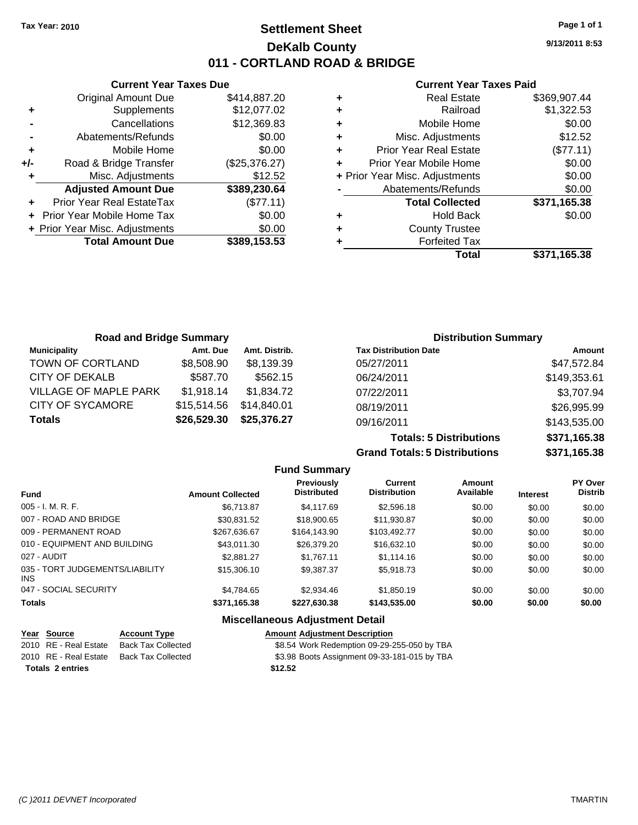### **Settlement Sheet Tax Year: 2010 Page 1 of 1 DeKalb County 011 - CORTLAND ROAD & BRIDGE**

**9/13/2011 8:53**

#### **Current Year Taxes Paid**

|     | <b>Current Year Taxes Due</b>  |               |           |
|-----|--------------------------------|---------------|-----------|
|     | <b>Original Amount Due</b>     | \$414,887.20  | ٠         |
|     | Supplements                    | \$12,077.02   | ٠         |
|     | Cancellations                  | \$12,369.83   | ٠         |
|     | Abatements/Refunds             | \$0.00        | ٠         |
|     | Mobile Home                    | \$0.00        | ٠         |
| +/- | Road & Bridge Transfer         | (\$25,376.27) | ٠         |
|     | Misc. Adjustments              | \$12.52       | $+$ Prior |
|     | <b>Adjusted Amount Due</b>     | \$389,230.64  |           |
|     | Prior Year Real EstateTax      | (\$77.11)     |           |
|     | Prior Year Mobile Home Tax     | \$0.00        | ٠         |
|     | + Prior Year Misc. Adjustments | \$0.00        |           |
|     | <b>Total Amount Due</b>        | \$389,153.53  |           |
|     |                                |               |           |

|   | <b>Real Estate</b>             | \$369,907.44 |
|---|--------------------------------|--------------|
| ÷ | Railroad                       | \$1,322.53   |
| ÷ | Mobile Home                    | \$0.00       |
| ٠ | Misc. Adjustments              | \$12.52      |
| ٠ | <b>Prior Year Real Estate</b>  | (\$77.11)    |
|   | Prior Year Mobile Home         | \$0.00       |
|   | + Prior Year Misc. Adjustments | \$0.00       |
|   | Abatements/Refunds             | \$0.00       |
|   | <b>Total Collected</b>         | \$371,165.38 |
|   | <b>Hold Back</b>               | \$0.00       |
| ٠ | <b>County Trustee</b>          |              |
|   | <b>Forfeited Tax</b>           |              |
|   | Total                          | \$371,165.38 |
|   |                                |              |

| <b>Road and Bridge Summary</b> |             |               |                              | <b>Distribution Summary</b> |
|--------------------------------|-------------|---------------|------------------------------|-----------------------------|
| <b>Municipality</b>            | Amt. Due    | Amt. Distrib. | <b>Tax Distribution Date</b> | Amount                      |
| TOWN OF CORTLAND               | \$8,508.90  | \$8,139.39    | 05/27/2011                   | \$47,572.84                 |
| CITY OF DEKALB                 | \$587.70    | \$562.15      | 06/24/2011                   | \$149,353.61                |
| <b>VILLAGE OF MAPLE PARK</b>   | \$1,918.14  | \$1,834.72    | 07/22/2011                   | \$3,707.94                  |
| <b>CITY OF SYCAMORE</b>        | \$15,514.56 | \$14.840.01   | 08/19/2011                   | \$26,995.99                 |
| <b>Totals</b>                  | \$26,529.30 | \$25,376.27   | 09/16/2011                   | \$143,535.00                |

**Totals: 5 Distributions \$371,165.38 Grand Totals: 5 Distributions \$371,165.38**

|                                         |                         | <b>Fund Summary</b>                     |                                       |                            |                 |                           |
|-----------------------------------------|-------------------------|-----------------------------------------|---------------------------------------|----------------------------|-----------------|---------------------------|
| <b>Fund</b>                             | <b>Amount Collected</b> | <b>Previously</b><br><b>Distributed</b> | <b>Current</b><br><b>Distribution</b> | <b>Amount</b><br>Available | <b>Interest</b> | PY Over<br><b>Distrib</b> |
| 005 - I. M. R. F.                       | \$6.713.87              | \$4,117.69                              | \$2,596.18                            | \$0.00                     | \$0.00          | \$0.00                    |
| 007 - ROAD AND BRIDGE                   | \$30.831.52             | \$18,900.65                             | \$11.930.87                           | \$0.00                     | \$0.00          | \$0.00                    |
| 009 - PERMANENT ROAD                    | \$267.636.67            | \$164,143.90                            | \$103,492.77                          | \$0.00                     | \$0.00          | \$0.00                    |
| 010 - EQUIPMENT AND BUILDING            | \$43.011.30             | \$26,379.20                             | \$16,632.10                           | \$0.00                     | \$0.00          | \$0.00                    |
| 027 - AUDIT                             | \$2.881.27              | \$1.767.11                              | \$1,114.16                            | \$0.00                     | \$0.00          | \$0.00                    |
| 035 - TORT JUDGEMENTS/LIABILITY<br>INS. | \$15,306.10             | \$9,387.37                              | \$5,918.73                            | \$0.00                     | \$0.00          | \$0.00                    |
| 047 - SOCIAL SECURITY                   | \$4,784.65              | \$2,934.46                              | \$1,850.19                            | \$0.00                     | \$0.00          | \$0.00                    |
| <b>Totals</b>                           | \$371,165.38            | \$227,630.38                            | \$143,535.00                          | \$0.00                     | \$0.00          | \$0.00                    |
|                                         |                         | <b>Miscellaneous Adjustment Detail</b>  |                                       |                            |                 |                           |
| $\sim$ $\sim$ $\sim$ $\sim$             |                         |                                         |                                       |                            |                 |                           |

| Year Source             | <b>Account Type</b>                      |         | <b>Amount Adjustment Description</b>         |
|-------------------------|------------------------------------------|---------|----------------------------------------------|
| 2010 RE - Real Estate   | <b>Back Tax Collected</b>                |         | \$8.54 Work Redemption 09-29-255-050 by TBA  |
|                         | 2010 RE - Real Estate Back Tax Collected |         | \$3.98 Boots Assignment 09-33-181-015 by TBA |
| <b>Totals 2 entries</b> |                                          | \$12.52 |                                              |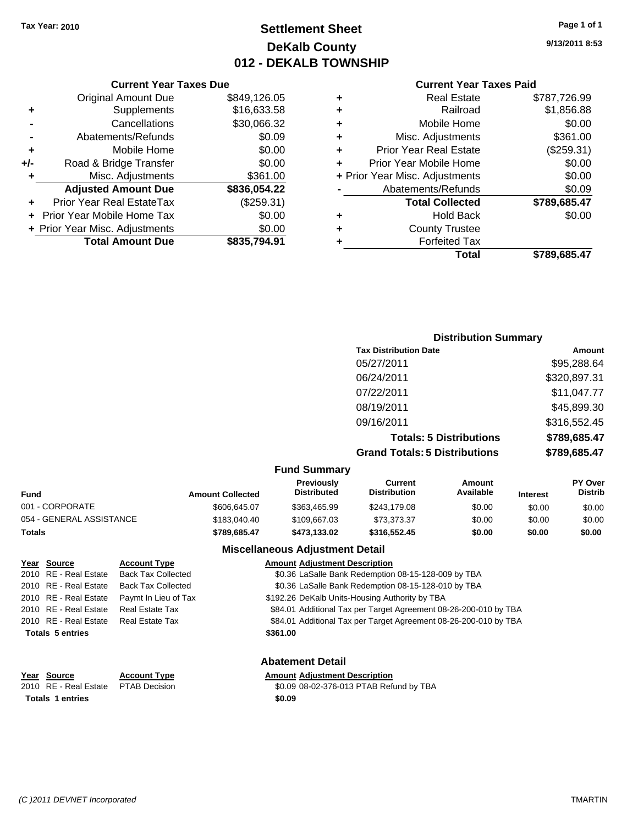### **Settlement Sheet Tax Year: 2010 Page 1 of 1 DeKalb County 012 - DEKALB TOWNSHIP**

**9/13/2011 8:53**

|  |  |  |  | <b>Current Year Taxes Paid</b> |  |
|--|--|--|--|--------------------------------|--|
|--|--|--|--|--------------------------------|--|

|   | Total                          | \$789,685.47 |
|---|--------------------------------|--------------|
| ٠ | <b>Forfeited Tax</b>           |              |
| ٠ | <b>County Trustee</b>          |              |
| ٠ | <b>Hold Back</b>               | \$0.00       |
|   | <b>Total Collected</b>         | \$789,685.47 |
|   | Abatements/Refunds             | \$0.09       |
|   | + Prior Year Misc. Adjustments | \$0.00       |
| ٠ | Prior Year Mobile Home         | \$0.00       |
| ÷ | <b>Prior Year Real Estate</b>  | (\$259.31)   |
| ÷ | Misc. Adjustments              | \$361.00     |
| ٠ | Mobile Home                    | \$0.00       |
| ٠ | Railroad                       | \$1,856.88   |
|   |                                |              |
| ٠ | <b>Real Estate</b>             | \$787,726.99 |

| <b>Current Year Taxes Due</b>    |              |  |  |  |  |
|----------------------------------|--------------|--|--|--|--|
| <b>Original Amount Due</b>       | \$849,126.05 |  |  |  |  |
| Supplements                      | \$16,633.58  |  |  |  |  |
| Cancellations                    | \$30,066.32  |  |  |  |  |
| Abatements/Refunds               | \$0.09       |  |  |  |  |
| Mobile Home                      | \$0.00       |  |  |  |  |
| Road & Bridge Transfer           | \$0.00       |  |  |  |  |
| Misc. Adjustments                | \$361.00     |  |  |  |  |
| <b>Adjusted Amount Due</b>       | \$836,054.22 |  |  |  |  |
| <b>Prior Year Real EstateTax</b> | (\$259.31)   |  |  |  |  |
| Prior Year Mobile Home Tax       | \$0.00       |  |  |  |  |
| + Prior Year Misc. Adjustments   | \$0.00       |  |  |  |  |
| <b>Total Amount Due</b>          | \$835,794.91 |  |  |  |  |
|                                  |              |  |  |  |  |

| <b>Distribution Summary</b>          |                                |              |
|--------------------------------------|--------------------------------|--------------|
| <b>Tax Distribution Date</b>         |                                | Amount       |
| 05/27/2011                           |                                | \$95,288.64  |
| 06/24/2011                           |                                | \$320,897.31 |
| 07/22/2011                           |                                | \$11,047.77  |
| 08/19/2011                           |                                | \$45,899.30  |
| 09/16/2011                           |                                | \$316,552.45 |
|                                      | <b>Totals: 5 Distributions</b> | \$789,685.47 |
| <b>Grand Totals: 5 Distributions</b> |                                | \$789,685.47 |

### **Fund Summary**

| - ----- - ----------     |                         |                                         |                                |                     |                 |                                  |
|--------------------------|-------------------------|-----------------------------------------|--------------------------------|---------------------|-----------------|----------------------------------|
| <b>Fund</b>              | <b>Amount Collected</b> | <b>Previously</b><br><b>Distributed</b> | Current<br><b>Distribution</b> | Amount<br>Available | <b>Interest</b> | <b>PY Over</b><br><b>Distrib</b> |
| 001 - CORPORATE          | \$606.645.07            | \$363,465.99                            | \$243.179.08                   | \$0.00              | \$0.00          | \$0.00                           |
| 054 - GENERAL ASSISTANCE | \$183,040.40            | \$109,667.03                            | \$73.373.37                    | \$0.00              | \$0.00          | \$0.00                           |
| Totals                   | \$789.685.47            | \$473.133.02                            | \$316,552,45                   | \$0.00              | \$0.00          | \$0.00                           |

### **Miscellaneous Adjustment Detail**

| Year Source             | <b>Account Type</b>       | <b>Amount Adjustment Description</b>                             |
|-------------------------|---------------------------|------------------------------------------------------------------|
| 2010 RE - Real Estate   | <b>Back Tax Collected</b> | \$0.36 LaSalle Bank Redemption 08-15-128-009 by TBA              |
| 2010 RE - Real Estate   | <b>Back Tax Collected</b> | \$0.36 LaSalle Bank Redemption 08-15-128-010 by TBA              |
| 2010 RE - Real Estate   | Paymt In Lieu of Tax      | \$192.26 DeKalb Units-Housing Authority by TBA                   |
| 2010 RE - Real Estate   | Real Estate Tax           | \$84.01 Additional Tax per Target Agreement 08-26-200-010 by TBA |
| 2010 RE - Real Estate   | Real Estate Tax           | \$84.01 Additional Tax per Target Agreement 08-26-200-010 by TBA |
| <b>Totals 5 entries</b> |                           | \$361.00                                                         |
|                         |                           |                                                                  |
|                         |                           |                                                                  |

**Totals 1 entries** \$0.09

### **Abatement Detail**

### **Year Source Account Type Amount Adjustment Description**

2010 RE - Real Estate \$0.09 08-02-376-013 PTAB Refund by TBA PTAB Decision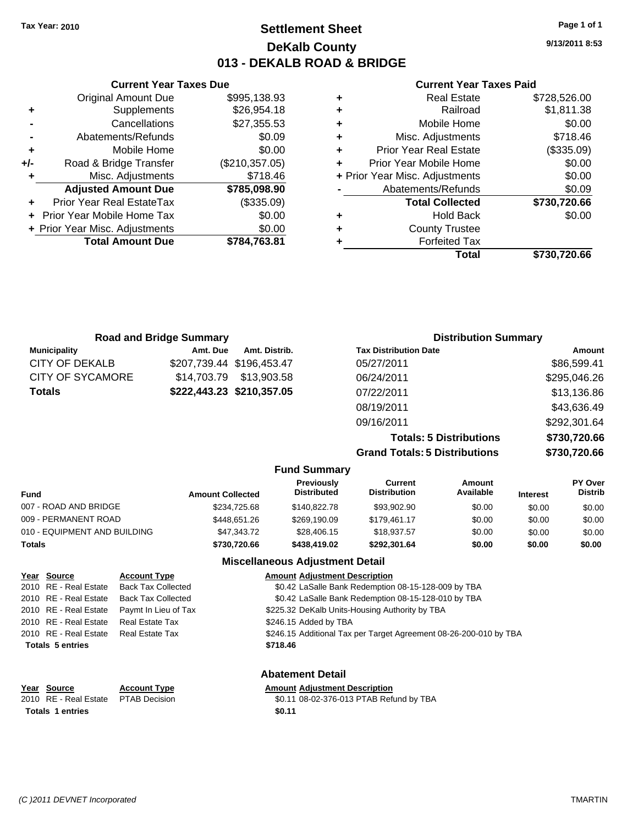### **Settlement Sheet Tax Year: 2010 Page 1 of 1 DeKalb County 013 - DEKALB ROAD & BRIDGE**

**9/13/2011 8:53**

#### **Current Year Taxes Paid**

|   | <b>Real Estate</b>             | \$728,526.00 |
|---|--------------------------------|--------------|
| ٠ | Railroad                       | \$1,811.38   |
| ٠ | Mobile Home                    | \$0.00       |
| ٠ | Misc. Adjustments              | \$718.46     |
| ٠ | <b>Prior Year Real Estate</b>  | (\$335.09)   |
|   | Prior Year Mobile Home         | \$0.00       |
|   | + Prior Year Misc. Adjustments | \$0.00       |
|   | Abatements/Refunds             | \$0.09       |
|   | <b>Total Collected</b>         | \$730,720.66 |
| ٠ | <b>Hold Back</b>               | \$0.00       |
| ٠ | <b>County Trustee</b>          |              |
|   | <b>Forfeited Tax</b>           |              |
|   | Total                          | \$730.720.66 |

|     | <b>Current Year Taxes Due</b>  |                |
|-----|--------------------------------|----------------|
|     | <b>Original Amount Due</b>     | \$995,138.93   |
| ٠   | Supplements                    | \$26,954.18    |
|     | Cancellations                  | \$27,355.53    |
|     | Abatements/Refunds             | \$0.09         |
| ٠   | Mobile Home                    | \$0.00         |
| +/- | Road & Bridge Transfer         | (\$210,357.05) |
| ٠   | Misc. Adjustments              | \$718.46       |
|     | <b>Adjusted Amount Due</b>     | \$785,098.90   |
|     | Prior Year Real EstateTax      | (\$335.09)     |
|     | Prior Year Mobile Home Tax     | \$0.00         |
|     | + Prior Year Misc. Adjustments | \$0.00         |
|     | <b>Total Amount Due</b>        | \$784,763.81   |
|     |                                |                |

| <b>Road and Bridge Summary</b> |             |                           | <b>Distribution Summary</b>          |              |  |
|--------------------------------|-------------|---------------------------|--------------------------------------|--------------|--|
| <b>Municipality</b>            | Amt. Due    | Amt. Distrib.             | <b>Tax Distribution Date</b>         | Amount       |  |
| CITY OF DEKALB                 |             | \$207,739.44 \$196,453.47 | 05/27/2011                           | \$86,599.41  |  |
| CITY OF SYCAMORE               | \$14.703.79 | \$13,903.58               | 06/24/2011                           | \$295,046.26 |  |
| <b>Totals</b>                  |             | \$222,443.23 \$210,357.05 | 07/22/2011                           | \$13,136.86  |  |
|                                |             |                           | 08/19/2011                           | \$43,636.49  |  |
|                                |             |                           | 09/16/2011                           | \$292,301.64 |  |
|                                |             |                           | <b>Totals: 5 Distributions</b>       | \$730,720.66 |  |
|                                |             |                           | <b>Grand Totals: 5 Distributions</b> | \$730,720.66 |  |

|  | <b>Fund Summary</b> |  |
|--|---------------------|--|
|  |                     |  |

| <b>Fund</b>                  | <b>Amount Collected</b> | <b>Previously</b><br><b>Distributed</b> | Current<br><b>Distribution</b> | Amount<br>Available | <b>Interest</b> | <b>PY Over</b><br><b>Distrib</b> |
|------------------------------|-------------------------|-----------------------------------------|--------------------------------|---------------------|-----------------|----------------------------------|
| 007 - ROAD AND BRIDGE        | \$234,725.68            | \$140,822.78                            | \$93,902.90                    | \$0.00              | \$0.00          | \$0.00                           |
| 009 - PERMANENT ROAD         | \$448,651.26            | \$269,190.09                            | \$179,461.17                   | \$0.00              | \$0.00          | \$0.00                           |
| 010 - EQUIPMENT AND BUILDING | \$47,343.72             | \$28,406.15                             | \$18,937.57                    | \$0.00              | \$0.00          | \$0.00                           |
| <b>Totals</b>                | \$730,720.66            | \$438,419.02                            | \$292,301.64                   | \$0.00              | \$0.00          | \$0.00                           |

#### **Miscellaneous Adjustment Detail**

| Year Source             | <b>Account Type</b>       | <b>Amount Adjustment Description</b>                              |
|-------------------------|---------------------------|-------------------------------------------------------------------|
| 2010 RE - Real Estate   | <b>Back Tax Collected</b> | \$0.42 LaSalle Bank Redemption 08-15-128-009 by TBA               |
| 2010 RE - Real Estate   | <b>Back Tax Collected</b> | \$0.42 LaSalle Bank Redemption 08-15-128-010 by TBA               |
| 2010 RE - Real Estate   | Paymt In Lieu of Tax      | \$225.32 DeKalb Units-Housing Authority by TBA                    |
| 2010 RE - Real Estate   | <b>Real Estate Tax</b>    | \$246.15 Added by TBA                                             |
| 2010 RE - Real Estate   | Real Estate Tax           | \$246.15 Additional Tax per Target Agreement 08-26-200-010 by TBA |
| <b>Totals 5 entries</b> |                           | \$718.46                                                          |
|                         |                           |                                                                   |
|                         |                           |                                                                   |

**Abatement Detail**

\$0.11 08-02-376-013 PTAB Refund by TBA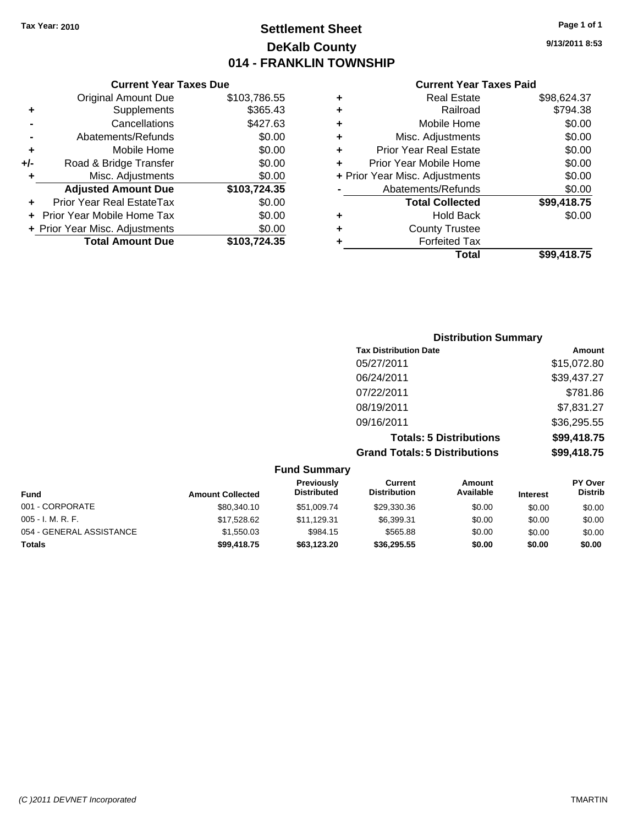### **Settlement Sheet Tax Year: 2010 Page 1 of 1 DeKalb County 014 - FRANKLIN TOWNSHIP**

**9/13/2011 8:53**

#### **Current Year Taxes Paid**

|     | <b>Current Year Taxes Due</b>    |              |
|-----|----------------------------------|--------------|
|     | <b>Original Amount Due</b>       | \$103,786.55 |
| ٠   | Supplements                      | \$365.43     |
|     | Cancellations                    | \$427.63     |
|     | Abatements/Refunds               | \$0.00       |
| ٠   | Mobile Home                      | \$0.00       |
| +/- | Road & Bridge Transfer           | \$0.00       |
| ٠   | Misc. Adjustments                | \$0.00       |
|     | <b>Adjusted Amount Due</b>       | \$103,724.35 |
|     | <b>Prior Year Real EstateTax</b> | \$0.00       |
|     | Prior Year Mobile Home Tax       | \$0.00       |
|     | + Prior Year Misc. Adjustments   | \$0.00       |
|     | <b>Total Amount Due</b>          | \$103,724.35 |

| <b>Distribution Summary</b>          |             |
|--------------------------------------|-------------|
| <b>Tax Distribution Date</b>         | Amount      |
| 05/27/2011                           | \$15,072.80 |
| 06/24/2011                           | \$39,437.27 |
| 07/22/2011                           | \$781.86    |
| 08/19/2011                           | \$7,831.27  |
| 09/16/2011                           | \$36,295.55 |
| <b>Totals: 5 Distributions</b>       | \$99,418.75 |
| <b>Grand Totals: 5 Distributions</b> | \$99,418.75 |

|                          |                         | <b>Fund Summary</b>              |                                |                            |                 |                           |
|--------------------------|-------------------------|----------------------------------|--------------------------------|----------------------------|-----------------|---------------------------|
| <b>Fund</b>              | <b>Amount Collected</b> | Previously<br><b>Distributed</b> | Current<br><b>Distribution</b> | <b>Amount</b><br>Available | <b>Interest</b> | PY Over<br><b>Distrib</b> |
| 001 - CORPORATE          | \$80,340.10             | \$51,009.74                      | \$29,330.36                    | \$0.00                     | \$0.00          | \$0.00                    |
| $005 - I. M. R. F.$      | \$17,528.62             | \$11,129.31                      | \$6,399.31                     | \$0.00                     | \$0.00          | \$0.00                    |
| 054 - GENERAL ASSISTANCE | \$1,550.03              | \$984.15                         | \$565.88                       | \$0.00                     | \$0.00          | \$0.00                    |
| <b>Totals</b>            | \$99,418.75             | \$63,123.20                      | \$36.295.55                    | \$0.00                     | \$0.00          | \$0.00                    |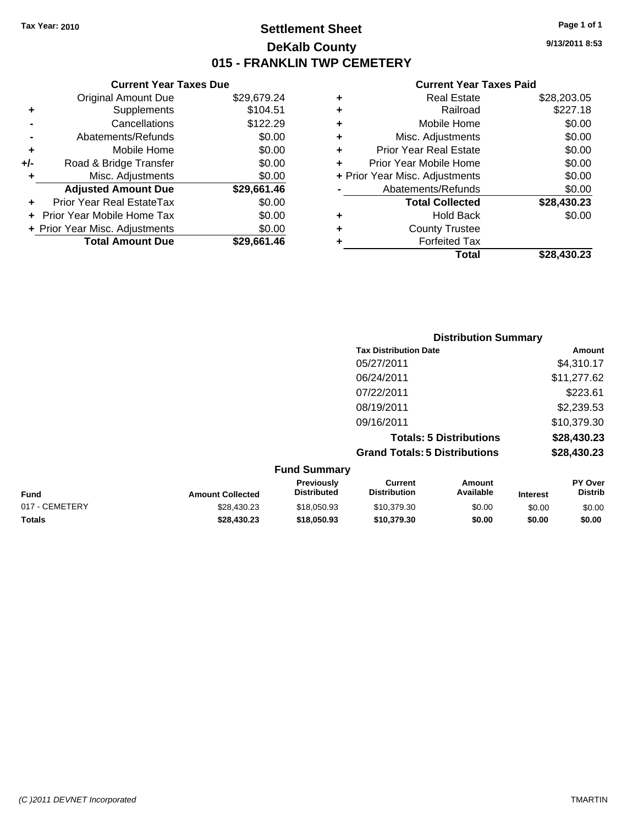### **Settlement Sheet Tax Year: 2010 Page 1 of 1 DeKalb County 015 - FRANKLIN TWP CEMETERY**

### **Current Year Taxes Due**

|       | <b>Original Amount Due</b>        | \$29,679.24 |
|-------|-----------------------------------|-------------|
| ٠     | Supplements                       | \$104.51    |
|       | Cancellations                     | \$122.29    |
|       | Abatements/Refunds                | \$0.00      |
| ٠     | Mobile Home                       | \$0.00      |
| $+/-$ | Road & Bridge Transfer            | \$0.00      |
| ٠     | Misc. Adjustments                 | \$0.00      |
|       | <b>Adjusted Amount Due</b>        | \$29,661.46 |
|       | <b>Prior Year Real EstateTax</b>  | \$0.00      |
|       | <b>Prior Year Mobile Home Tax</b> | \$0.00      |
|       | + Prior Year Misc. Adjustments    | \$0.00      |
|       | <b>Total Amount Due</b>           | \$29,661.46 |

#### **Current Year Taxes Paid**

|   | <b>Real Estate</b>             | \$28,203.05 |
|---|--------------------------------|-------------|
| ٠ | Railroad                       | \$227.18    |
| ٠ | Mobile Home                    | \$0.00      |
| ٠ | Misc. Adjustments              | \$0.00      |
| ٠ | <b>Prior Year Real Estate</b>  | \$0.00      |
|   | Prior Year Mobile Home         | \$0.00      |
|   | + Prior Year Misc. Adjustments | \$0.00      |
|   | Abatements/Refunds             | \$0.00      |
|   | <b>Total Collected</b>         | \$28,430.23 |
| ٠ | <b>Hold Back</b>               | \$0.00      |
| ٠ | <b>County Trustee</b>          |             |
| ٠ | <b>Forfeited Tax</b>           |             |
|   | Total                          | \$28,430.23 |
|   |                                |             |

|                     | <b>Distribution Summary</b>          |             |
|---------------------|--------------------------------------|-------------|
|                     | <b>Tax Distribution Date</b>         | Amount      |
|                     | 05/27/2011                           | \$4,310.17  |
|                     | 06/24/2011                           | \$11,277.62 |
|                     | 07/22/2011                           | \$223.61    |
|                     | 08/19/2011                           | \$2,239.53  |
|                     | 09/16/2011                           | \$10,379.30 |
|                     | <b>Totals: 5 Distributions</b>       | \$28,430.23 |
|                     | <b>Grand Totals: 5 Distributions</b> | \$28,430.23 |
| <b>Fund Summary</b> |                                      |             |

| <b>Amount Collected</b> | <b>Previously</b><br><b>Distributed</b> | Current<br><b>Distribution</b> | Amount<br>Available | <b>Interest</b> | <b>PY Over</b><br><b>Distrib</b> |  |
|-------------------------|-----------------------------------------|--------------------------------|---------------------|-----------------|----------------------------------|--|
| \$28,430.23             | \$18,050.93                             | \$10.379.30                    | \$0.00              | \$0.00          | \$0.00                           |  |
| \$28.430.23             | \$18,050.93                             | \$10,379,30                    | \$0.00              | \$0.00          | \$0.00                           |  |
|                         |                                         |                                |                     |                 |                                  |  |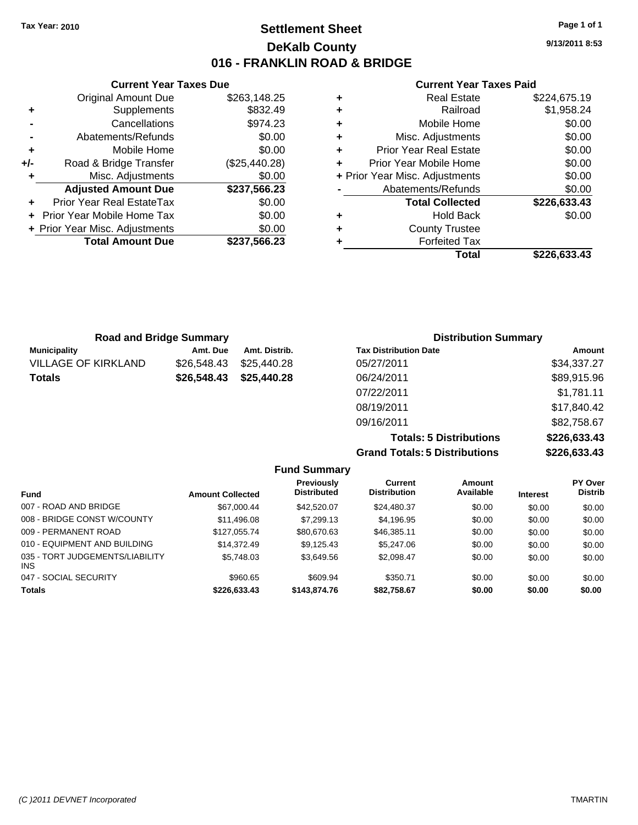**Current Year Taxes Due** Original Amount Due \$263,148.25

**Adjusted Amount Due \$237,566.23**

**Total Amount Due \$237,566.23**

**+** Supplements \$832.49 **-** Cancellations **\$974.23 -** Abatements/Refunds \$0.00 **+** Mobile Home \$0.00 **+/-** Road & Bridge Transfer (\$25,440.28) **+** Misc. Adjustments \$0.00

**+** Prior Year Real EstateTax \$0.00 **+** Prior Year Mobile Home Tax \$0.00 **+ Prior Year Misc. Adjustments**  $$0.00$ 

### **Settlement Sheet Tax Year: 2010 Page 1 of 1 DeKalb County 016 - FRANKLIN ROAD & BRIDGE**

**9/13/2011 8:53**

#### **Current Year Taxes Paid**

| ٠ | <b>Real Estate</b>             | \$224,675.19 |
|---|--------------------------------|--------------|
| ٠ | Railroad                       | \$1,958.24   |
| ٠ | Mobile Home                    | \$0.00       |
| ٠ | Misc. Adjustments              | \$0.00       |
| ٠ | <b>Prior Year Real Estate</b>  | \$0.00       |
| ٠ | Prior Year Mobile Home         | \$0.00       |
|   | + Prior Year Misc. Adjustments | \$0.00       |
|   | Abatements/Refunds             | \$0.00       |
|   | <b>Total Collected</b>         | \$226,633.43 |
| ٠ | <b>Hold Back</b>               | \$0.00       |
| ٠ | <b>County Trustee</b>          |              |
| ٠ | <b>Forfeited Tax</b>           |              |
|   | Total                          | \$226,633.43 |

|                            | <b>Road and Bridge Summary</b> |               | <b>Distribution Summary</b>  |             |
|----------------------------|--------------------------------|---------------|------------------------------|-------------|
| <b>Municipality</b>        | Amt. Due                       | Amt. Distrib. | <b>Tax Distribution Date</b> | Amount      |
| <b>VILLAGE OF KIRKLAND</b> | \$26,548.43                    | \$25,440.28   | 05/27/2011                   | \$34,337.27 |
| <b>Totals</b>              | \$26,548.43                    | \$25,440.28   | 06/24/2011                   | \$89,915.96 |
|                            |                                |               | 07/22/2011                   | \$1,781.11  |
|                            |                                |               | 08/19/2011                   | \$17,840.42 |

09/16/2011 \$82,758.67 **Totals: 5 Distributions \$226,633.43 Grand Totals: 5 Distributions \$226,633.43**

**Fund Summary Fund Interest Amount Collected Distributed PY Over Distrib Amount Available Current Distribution Previously** 007 - ROAD AND BRIDGE 60.00 \$67,000.44 \$42,520.07 \$24,480.37 \$0.00 \$0.00 \$0.00 008 - BRIDGE CONST W/COUNTY  $$11,496.08$   $$7,299.13$   $$4,196.95$   $$0.00$   $$0.00$   $$0.00$ 009 - PERMANENT ROAD \$127,055.74 \$80,670.63 \$46,385.11 \$0.00 \$0.00 \$0.00 \$0.00 010 - EQUIPMENT AND BUILDING \$14,372.49 \$9,125.43 \$5,247.06 \$0.00 \$0.00 \$0.00 \$0.00 035 - TORT JUDGEMENTS/LIABILITY INS \$5,748.03 \$3,649.56 \$2,098.47 \$0.00 \$0.00 \$0.00 047 - SOCIAL SECURITY \$960.65 \$609.94 \$350.71 \$0.00 \$0.00 \$0.00 **Totals \$226,633.43 \$143,874.76 \$82,758.67 \$0.00 \$0.00 \$0.00**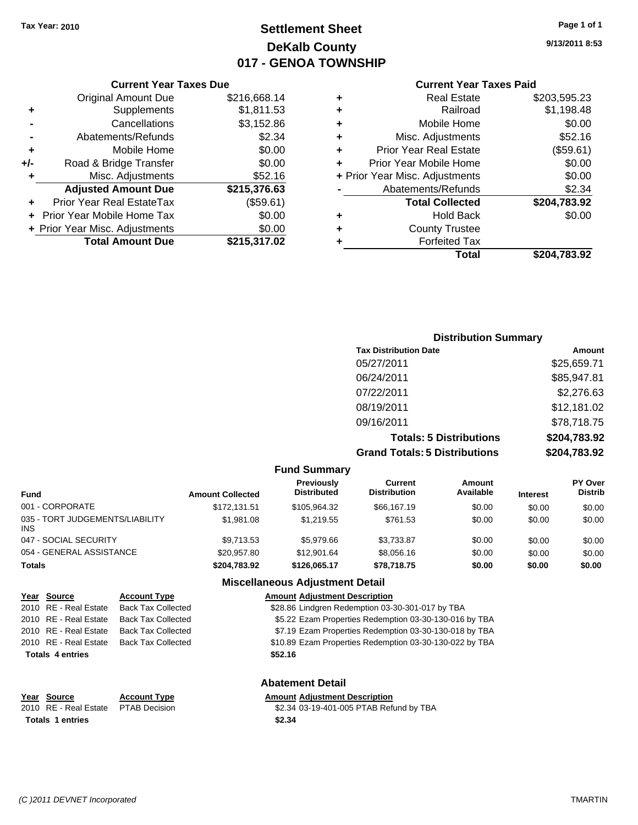### **Settlement Sheet Tax Year: 2010 Page 1 of 1 DeKalb County 017 - GENOA TOWNSHIP**

**9/13/2011 8:53**

| <b>Current Year Taxes Paid</b> |  |  |  |
|--------------------------------|--|--|--|
|--------------------------------|--|--|--|

|     | <b>Current Year Taxes Due</b>  |              |  |  |  |  |
|-----|--------------------------------|--------------|--|--|--|--|
|     | <b>Original Amount Due</b>     | \$216,668.14 |  |  |  |  |
| ٠   | Supplements                    | \$1,811.53   |  |  |  |  |
|     | Cancellations                  | \$3,152.86   |  |  |  |  |
|     | Abatements/Refunds             | \$2.34       |  |  |  |  |
| ٠   | Mobile Home                    | \$0.00       |  |  |  |  |
| +/- | Road & Bridge Transfer         | \$0.00       |  |  |  |  |
| ٠   | Misc. Adjustments              | \$52.16      |  |  |  |  |
|     | <b>Adjusted Amount Due</b>     | \$215,376.63 |  |  |  |  |
| ٠   | Prior Year Real EstateTax      | (\$59.61)    |  |  |  |  |
|     | Prior Year Mobile Home Tax     | \$0.00       |  |  |  |  |
|     | + Prior Year Misc. Adjustments | \$0.00       |  |  |  |  |
|     | <b>Total Amount Due</b>        | \$215,317.02 |  |  |  |  |

| ٠ | <b>Real Estate</b>             | \$203,595.23 |
|---|--------------------------------|--------------|
| ٠ | Railroad                       | \$1,198.48   |
| ٠ | Mobile Home                    | \$0.00       |
| ÷ | Misc. Adjustments              | \$52.16      |
| ٠ | <b>Prior Year Real Estate</b>  | (\$59.61)    |
| ÷ | Prior Year Mobile Home         | \$0.00       |
|   | + Prior Year Misc. Adjustments | \$0.00       |
|   | Abatements/Refunds             | \$2.34       |
|   | <b>Total Collected</b>         | \$204,783.92 |
| ٠ | <b>Hold Back</b>               | \$0.00       |
| ٠ | <b>County Trustee</b>          |              |
| ٠ | <b>Forfeited Tax</b>           |              |
|   | Total                          | \$204,783.92 |
|   |                                |              |

| <b>Distribution Summary</b>          |              |
|--------------------------------------|--------------|
| <b>Tax Distribution Date</b>         | Amount       |
| 05/27/2011                           | \$25,659.71  |
| 06/24/2011                           | \$85,947.81  |
| 07/22/2011                           | \$2,276.63   |
| 08/19/2011                           | \$12,181.02  |
| 09/16/2011                           | \$78,718.75  |
| <b>Totals: 5 Distributions</b>       | \$204,783.92 |
| <b>Grand Totals: 5 Distributions</b> | \$204,783.92 |

| <b>Fund Summary</b>                           |                         |                                  |                                |                            |                 |                                  |
|-----------------------------------------------|-------------------------|----------------------------------|--------------------------------|----------------------------|-----------------|----------------------------------|
| <b>Fund</b>                                   | <b>Amount Collected</b> | Previously<br><b>Distributed</b> | Current<br><b>Distribution</b> | <b>Amount</b><br>Available | <b>Interest</b> | <b>PY Over</b><br><b>Distrib</b> |
| 001 - CORPORATE                               | \$172.131.51            | \$105.964.32                     | \$66,167.19                    | \$0.00                     | \$0.00          | \$0.00                           |
| 035 - TORT JUDGEMENTS/LIABILITY<br><b>INS</b> | \$1,981.08              | \$1.219.55                       | \$761.53                       | \$0.00                     | \$0.00          | \$0.00                           |
| 047 - SOCIAL SECURITY                         | \$9.713.53              | \$5,979.66                       | \$3,733.87                     | \$0.00                     | \$0.00          | \$0.00                           |
| 054 - GENERAL ASSISTANCE                      | \$20,957.80             | \$12,901.64                      | \$8,056.16                     | \$0.00                     | \$0.00          | \$0.00                           |
| <b>Totals</b>                                 | \$204,783.92            | \$126.065.17                     | \$78,718.75                    | \$0.00                     | \$0.00          | \$0.00                           |

### **Miscellaneous Adjustment Detail**

| Year Source             | <b>Account Type</b>       | <b>Amount Adjustment Description</b>                    |  |  |  |
|-------------------------|---------------------------|---------------------------------------------------------|--|--|--|
| 2010 RE - Real Estate   | <b>Back Tax Collected</b> | \$28.86 Lindgren Redemption 03-30-301-017 by TBA        |  |  |  |
| 2010 RE - Real Estate   | <b>Back Tax Collected</b> | \$5.22 Ezam Properties Redemption 03-30-130-016 by TBA  |  |  |  |
| 2010 RE - Real Estate   | <b>Back Tax Collected</b> | \$7.19 Ezam Properties Redemption 03-30-130-018 by TBA  |  |  |  |
| 2010 RE - Real Estate   | <b>Back Tax Collected</b> | \$10.89 Ezam Properties Redemption 03-30-130-022 by TBA |  |  |  |
| <b>Totals 4 entries</b> |                           | \$52.16                                                 |  |  |  |
| <b>Abatement Detail</b> |                           |                                                         |  |  |  |

**Totals \$2.34 1 entries**

**Year Source Account Type Amount Adjustment Description**<br>
2010 RE - Real Estate PTAB Decision **Amount** \$2.34 03-19-401-005 PTAB Refu \$2.34 03-19-401-005 PTAB Refund by TBA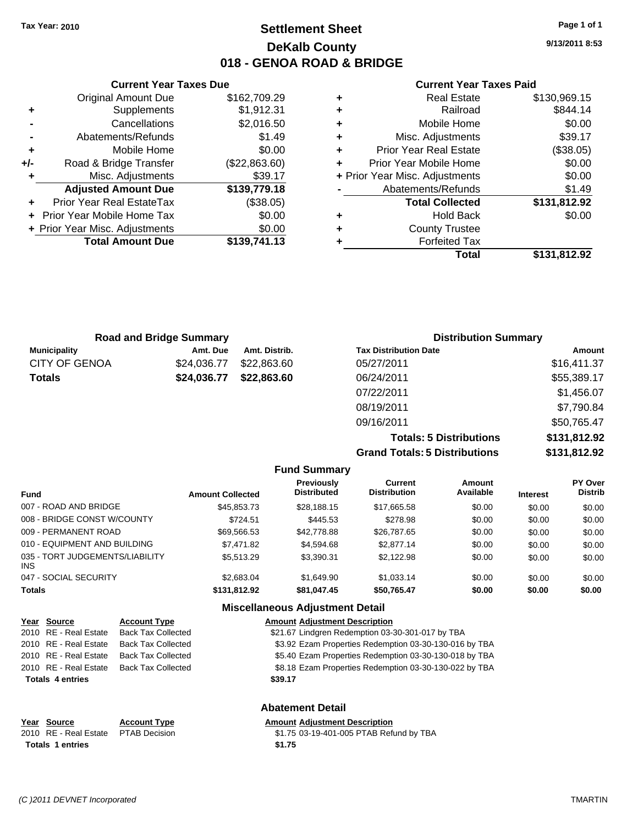### **Settlement Sheet Tax Year: 2010 Page 1 of 1 DeKalb County 018 - GENOA ROAD & BRIDGE**

**9/13/2011 8:53**

#### **Current Year Taxes Paid**

|     | <b>Current Year Taxes Due</b>     |               |   |
|-----|-----------------------------------|---------------|---|
|     | <b>Original Amount Due</b>        | \$162,709.29  | ٠ |
| ٠   | Supplements                       | \$1,912.31    | ٠ |
|     | Cancellations                     | \$2,016.50    | ٠ |
|     | Abatements/Refunds                | \$1.49        | ٠ |
|     | Mobile Home                       | \$0.00        | ٠ |
| +/- | Road & Bridge Transfer            | (\$22,863.60) | ٠ |
| ٠   | Misc. Adjustments                 | \$39.17       |   |
|     | <b>Adjusted Amount Due</b>        | \$139,779.18  |   |
|     | Prior Year Real EstateTax         | (\$38.05)     |   |
|     | <b>Prior Year Mobile Home Tax</b> | \$0.00        |   |
|     | + Prior Year Misc. Adjustments    | \$0.00        | ٠ |
|     | <b>Total Amount Due</b>           | \$139,741.13  |   |
|     |                                   |               |   |

| ٠ | Real Estate                    | \$130,969.15 |
|---|--------------------------------|--------------|
| ÷ | Railroad                       | \$844.14     |
| ٠ | Mobile Home                    | \$0.00       |
| ٠ | Misc. Adjustments              | \$39.17      |
| ٠ | <b>Prior Year Real Estate</b>  | (\$38.05)    |
| ٠ | Prior Year Mobile Home         | \$0.00       |
|   | + Prior Year Misc. Adjustments | \$0.00       |
|   | Abatements/Refunds             | \$1.49       |
|   | <b>Total Collected</b>         | \$131,812.92 |
| ٠ | <b>Hold Back</b>               | \$0.00       |
| ٠ | <b>County Trustee</b>          |              |
| ٠ | <b>Forfeited Tax</b>           |              |
|   | Total                          | \$131,812.92 |
|   |                                |              |

| <b>Road and Bridge Summary</b> |             |               | <b>Distribution Summary</b>  |             |  |
|--------------------------------|-------------|---------------|------------------------------|-------------|--|
| <b>Municipality</b>            | Amt. Due    | Amt. Distrib. | <b>Tax Distribution Date</b> | Amount      |  |
| <b>CITY OF GENOA</b>           | \$24,036.77 | \$22,863.60   | 05/27/2011                   | \$16,411.37 |  |
| <b>Totals</b>                  | \$24,036.77 | \$22,863.60   | 06/24/2011                   | \$55,389.17 |  |
|                                |             |               | 07/22/2011                   | \$1,456.07  |  |
|                                |             |               | 08/19/2011                   | \$7,790.84  |  |
|                                |             |               | 09/16/2011                   | \$50,765.47 |  |

**Totals: 5 Distributions \$131,812.92 Grand Totals: 5 Distributions \$131,812.92**

#### **Fund Summary**

| <b>Fund</b>                                   | <b>Amount Collected</b> | <b>Previously</b><br><b>Distributed</b> | Current<br><b>Distribution</b> | Amount<br>Available | <b>Interest</b> | PY Over<br><b>Distrib</b> |
|-----------------------------------------------|-------------------------|-----------------------------------------|--------------------------------|---------------------|-----------------|---------------------------|
| 007 - ROAD AND BRIDGE                         | \$45,853.73             | \$28,188.15                             | \$17,665.58                    | \$0.00              | \$0.00          | \$0.00                    |
| 008 - BRIDGE CONST W/COUNTY                   | \$724.51                | \$445.53                                | \$278.98                       | \$0.00              | \$0.00          | \$0.00                    |
| 009 - PERMANENT ROAD                          | \$69.566.53             | \$42,778.88                             | \$26,787.65                    | \$0.00              | \$0.00          | \$0.00                    |
| 010 - EQUIPMENT AND BUILDING                  | \$7,471.82              | \$4,594.68                              | \$2,877.14                     | \$0.00              | \$0.00          | \$0.00                    |
| 035 - TORT JUDGEMENTS/LIABILITY<br><b>INS</b> | \$5.513.29              | \$3.390.31                              | \$2.122.98                     | \$0.00              | \$0.00          | \$0.00                    |
| 047 - SOCIAL SECURITY                         | \$2,683,04              | \$1,649.90                              | \$1.033.14                     | \$0.00              | \$0.00          | \$0.00                    |
| <b>Totals</b>                                 | \$131.812.92            | \$81,047.45                             | \$50,765.47                    | \$0.00              | \$0.00          | \$0.00                    |

#### **Miscellaneous Adjustment Detail**

| Year Source             | <b>Account Type</b>       | <b>Amount Adjustment Description</b>                   |
|-------------------------|---------------------------|--------------------------------------------------------|
| 2010 RE - Real Estate   | <b>Back Tax Collected</b> | \$21.67 Lindgren Redemption 03-30-301-017 by TBA       |
| 2010 RE - Real Estate   | <b>Back Tax Collected</b> | \$3.92 Ezam Properties Redemption 03-30-130-016 by TBA |
| 2010 RE - Real Estate   | <b>Back Tax Collected</b> | \$5.40 Ezam Properties Redemption 03-30-130-018 by TBA |
| 2010 RE - Real Estate   | <b>Back Tax Collected</b> | \$8.18 Ezam Properties Redemption 03-30-130-022 by TBA |
| <b>Totals 4 entries</b> |                           | \$39.17                                                |
|                         |                           | <b>Abatement Detail</b>                                |

| Year Source                         | <b>Account Type</b> | <b>Amount Adiustment Description</b>    |
|-------------------------------------|---------------------|-----------------------------------------|
| 2010 RE - Real Estate PTAB Decision |                     | \$1.75 03-19-401-005 PTAB Refund by TBA |
| <b>Totals 1 entries</b>             |                     | \$1.75                                  |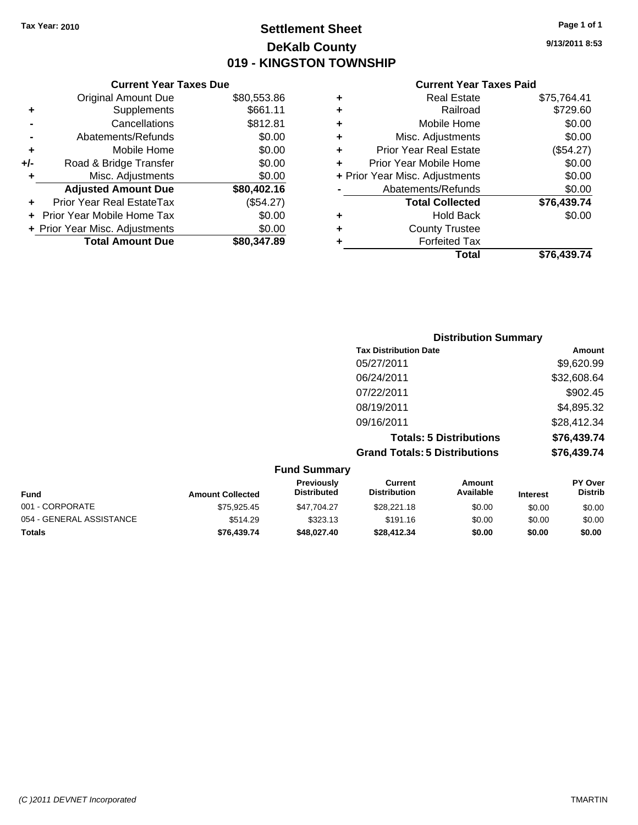**Current Year Taxes Due**

### **Settlement Sheet Tax Year: 2010 Page 1 of 1 DeKalb County 019 - KINGSTON TOWNSHIP**

**9/13/2011 8:53**

#### **Current Year Taxes Paid**

|     |                                |             |   | <b>Total</b>                   | \$76,439.74 |
|-----|--------------------------------|-------------|---|--------------------------------|-------------|
|     | <b>Total Amount Due</b>        | \$80,347.89 |   | <b>Forfeited Tax</b>           |             |
|     | + Prior Year Misc. Adjustments | \$0.00      | ٠ | <b>County Trustee</b>          |             |
|     | + Prior Year Mobile Home Tax   | \$0.00      | ٠ | <b>Hold Back</b>               | \$0.00      |
|     | Prior Year Real EstateTax      | (\$54.27)   |   | <b>Total Collected</b>         | \$76,439.74 |
|     | <b>Adjusted Amount Due</b>     | \$80,402.16 |   | Abatements/Refunds             | \$0.00      |
|     | Misc. Adjustments              | \$0.00      |   | + Prior Year Misc. Adjustments | \$0.00      |
| +/- | Road & Bridge Transfer         | \$0.00      |   | Prior Year Mobile Home         | \$0.00      |
| ÷   | Mobile Home                    | \$0.00      | ٠ | <b>Prior Year Real Estate</b>  | (\$54.27)   |
|     | Abatements/Refunds             | \$0.00      | ٠ | Misc. Adjustments              | \$0.00      |
|     | Cancellations                  | \$812.81    | ٠ | Mobile Home                    | \$0.00      |
| ٠   | Supplements                    | \$661.11    | ٠ | Railroad                       | \$729.60    |
|     | Original Amount Due            | \$80,553.86 | ٠ | <b>Real Estate</b>             | \$75,764.41 |

|                 |                         |                                  |                                      | <b>Distribution Summary</b>    |                 |                           |
|-----------------|-------------------------|----------------------------------|--------------------------------------|--------------------------------|-----------------|---------------------------|
|                 |                         |                                  | <b>Tax Distribution Date</b>         |                                |                 | Amount                    |
|                 |                         |                                  | 05/27/2011                           |                                |                 | \$9,620.99                |
|                 |                         |                                  | 06/24/2011                           |                                |                 | \$32,608.64               |
|                 |                         |                                  | 07/22/2011                           |                                |                 | \$902.45                  |
|                 |                         |                                  | 08/19/2011                           |                                |                 | \$4,895.32                |
|                 |                         |                                  | 09/16/2011                           |                                |                 | \$28,412.34               |
|                 |                         |                                  |                                      | <b>Totals: 5 Distributions</b> |                 | \$76,439.74               |
|                 |                         |                                  | <b>Grand Totals: 5 Distributions</b> |                                |                 | \$76,439.74               |
|                 |                         | <b>Fund Summary</b>              |                                      |                                |                 |                           |
| <b>Fund</b>     | <b>Amount Collected</b> | Previously<br><b>Distributed</b> | Current<br><b>Distribution</b>       | <b>Amount</b><br>Available     | <b>Interest</b> | PY Over<br><b>Distrib</b> |
| 001 - CORPORATE | \$75,925.45             | \$47,704.27                      | \$28,221.18                          | \$0.00                         | \$0.00          | \$0.00                    |

054 - GENERAL ASSISTANCE \$514.29 \$323.13 \$0.00 \$0.00 \$0.00 \$0.00 **Totals \$76,439.74 \$48,027.40 \$28,412.34 \$0.00 \$0.00 \$0.00**

#### *(C )2011 DEVNET Incorporated* TMARTIN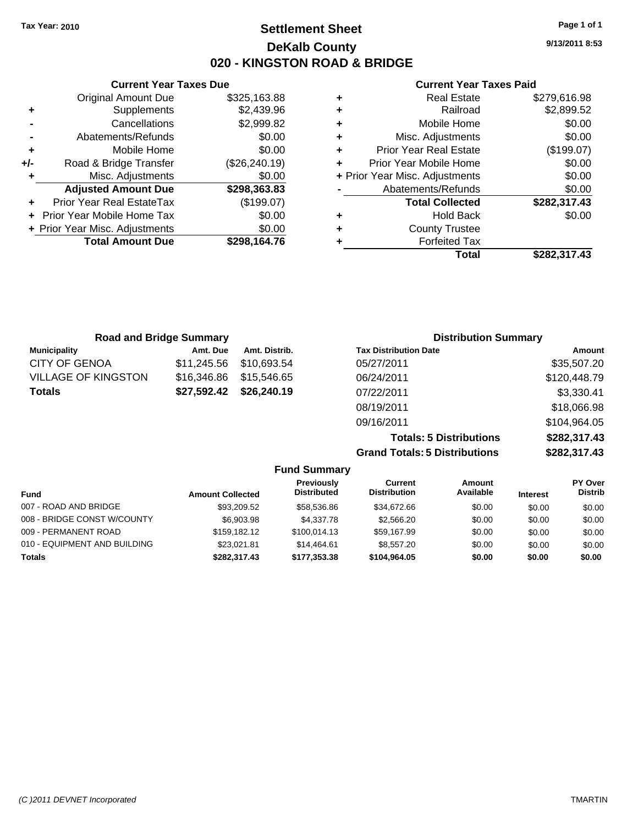**Current Year Taxes Due** Original Amount Due \$325,163.88

**Adjusted Amount Due \$298,363.83**

**Total Amount Due \$298,164.76**

**+** Supplements \$2,439.96 **-** Cancellations \$2,999.82 **-** Abatements/Refunds \$0.00 **+** Mobile Home \$0.00 **+/-** Road & Bridge Transfer (\$26,240.19) **+** Misc. Adjustments \$0.00

**+** Prior Year Real EstateTax (\$199.07) **+** Prior Year Mobile Home Tax \$0.00 **+ Prior Year Misc. Adjustments**  $$0.00$ 

### **Settlement Sheet Tax Year: 2010 Page 1 of 1 DeKalb County 020 - KINGSTON ROAD & BRIDGE**

**9/13/2011 8:53**

### **Current Year Taxes Paid**

| ٠ | <b>Real Estate</b>             | \$279,616.98 |
|---|--------------------------------|--------------|
| ٠ | Railroad                       | \$2,899.52   |
| ÷ | Mobile Home                    | \$0.00       |
| ٠ | Misc. Adjustments              | \$0.00       |
| ÷ | <b>Prior Year Real Estate</b>  | (\$199.07)   |
| ÷ | Prior Year Mobile Home         | \$0.00       |
|   | + Prior Year Misc. Adjustments | \$0.00       |
|   | Abatements/Refunds             | \$0.00       |
|   | <b>Total Collected</b>         | \$282,317.43 |
| ٠ | <b>Hold Back</b>               | \$0.00       |
| ٠ | <b>County Trustee</b>          |              |
| ٠ | <b>Forfeited Tax</b>           |              |
|   | Total                          | \$282.317.43 |

| <b>Road and Bridge Summary</b> |             |               | <b>Distribution Summary</b>  |              |
|--------------------------------|-------------|---------------|------------------------------|--------------|
| <b>Municipality</b>            | Amt. Due    | Amt. Distrib. | <b>Tax Distribution Date</b> | Amount       |
| <b>CITY OF GENOA</b>           | \$11.245.56 | \$10.693.54   | 05/27/2011                   | \$35,507.20  |
| <b>VILLAGE OF KINGSTON</b>     | \$16,346.86 | \$15,546.65   | 06/24/2011                   | \$120,448.79 |
| <b>Totals</b>                  | \$27,592.42 | \$26,240.19   | 07/22/2011                   | \$3,330.41   |
|                                |             |               | 08/19/2011                   | \$18,066.98  |
|                                |             |               | 09/16/2011                   | \$104,964.05 |

**Totals: 5 Distributions \$282,317.43 Grand Totals: 5 Distributions \$282,317.43**

| \$282,317.4 |
|-------------|
|             |

|                              |                         | -                                       |                                |                     |                 |                           |
|------------------------------|-------------------------|-----------------------------------------|--------------------------------|---------------------|-----------------|---------------------------|
| <b>Fund</b>                  | <b>Amount Collected</b> | <b>Previously</b><br><b>Distributed</b> | Current<br><b>Distribution</b> | Amount<br>Available | <b>Interest</b> | PY Over<br><b>Distrib</b> |
| 007 - ROAD AND BRIDGE        | \$93,209.52             | \$58,536.86                             | \$34,672.66                    | \$0.00              | \$0.00          | \$0.00                    |
| 008 - BRIDGE CONST W/COUNTY  | \$6,903.98              | \$4,337,78                              | \$2,566,20                     | \$0.00              | \$0.00          | \$0.00                    |
| 009 - PERMANENT ROAD         | \$159,182.12            | \$100.014.13                            | \$59,167.99                    | \$0.00              | \$0.00          | \$0.00                    |
| 010 - EQUIPMENT AND BUILDING | \$23.021.81             | \$14.464.61                             | \$8,557.20                     | \$0.00              | \$0.00          | \$0.00                    |
| <b>Totals</b>                | \$282,317.43            | \$177.353.38                            | \$104.964.05                   | \$0.00              | \$0.00          | \$0.00                    |

**Fund Summary**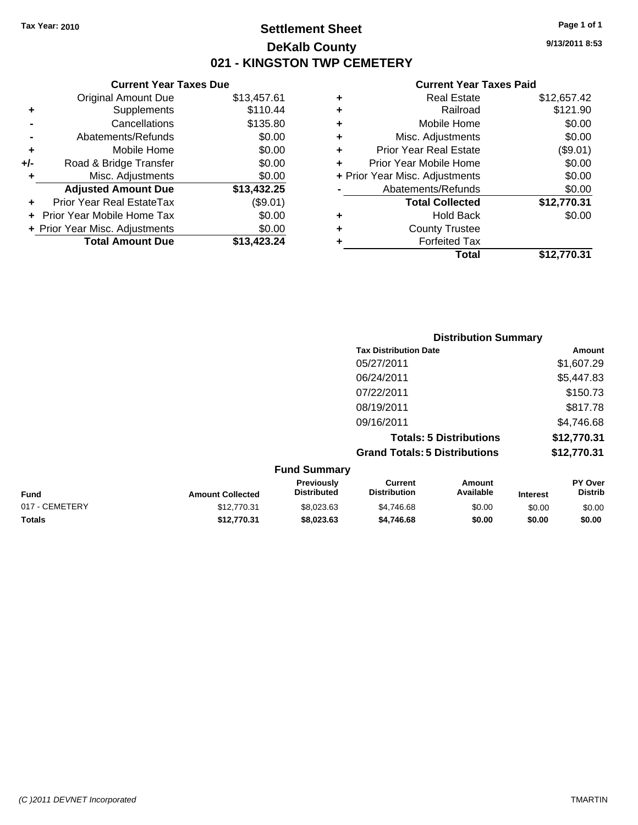### **Settlement Sheet Tax Year: 2010 Page 1 of 1 DeKalb County 021 - KINGSTON TWP CEMETERY**

**9/13/2011 8:53**

#### **Current Year Taxes Paid**

|   | <b>Forfeited Tax</b>           |             |
|---|--------------------------------|-------------|
| ٠ | <b>County Trustee</b>          |             |
| ٠ | <b>Hold Back</b>               | \$0.00      |
|   | <b>Total Collected</b>         | \$12,770.31 |
|   | Abatements/Refunds             | \$0.00      |
|   | + Prior Year Misc. Adjustments | \$0.00      |
| ٠ | Prior Year Mobile Home         | \$0.00      |
| ٠ | <b>Prior Year Real Estate</b>  | (\$9.01)    |
| ٠ | Misc. Adjustments              | \$0.00      |
| ٠ | Mobile Home                    | \$0.00      |
| ٠ | Railroad                       | \$121.90    |
| ٠ | <b>Real Estate</b>             | \$12,657.42 |

|     | <b>Original Amount Due</b>     | \$13,457.61 |
|-----|--------------------------------|-------------|
| ٠   | Supplements                    | \$110.44    |
|     | Cancellations                  | \$135.80    |
|     | Abatements/Refunds             | \$0.00      |
| ٠   | Mobile Home                    | \$0.00      |
| +/- | Road & Bridge Transfer         | \$0.00      |
| ٠   | Misc. Adjustments              | \$0.00      |
|     | <b>Adjusted Amount Due</b>     | \$13,432.25 |
| ٠   | Prior Year Real EstateTax      | (\$9.01)    |
|     | + Prior Year Mobile Home Tax   | \$0.00      |
|     | + Prior Year Misc. Adjustments | \$0.00      |
|     | <b>Total Amount Due</b>        | \$13,423.24 |

**Current Year Taxes Due**

|                     | <b>Distribution Summary</b>          |             |
|---------------------|--------------------------------------|-------------|
|                     | <b>Tax Distribution Date</b>         | Amount      |
|                     | 05/27/2011                           | \$1,607.29  |
|                     | 06/24/2011                           | \$5,447.83  |
|                     | 07/22/2011                           | \$150.73    |
|                     | 08/19/2011                           | \$817.78    |
|                     | 09/16/2011                           | \$4,746.68  |
|                     | <b>Totals: 5 Distributions</b>       | \$12,770.31 |
|                     | <b>Grand Totals: 5 Distributions</b> | \$12,770.31 |
| <b>Fund Summary</b> |                                      |             |

| <b>Fund</b>    | <b>Amount Collected</b> | <b>Previously</b><br><b>Distributed</b> | Current<br><b>Distribution</b> | Amount<br>Available | <b>Interest</b> | <b>PY Over</b><br><b>Distrib</b> |
|----------------|-------------------------|-----------------------------------------|--------------------------------|---------------------|-----------------|----------------------------------|
| 017 - CEMETERY | \$12.770.31             | \$8.023.63                              | \$4.746.68                     | \$0.00              | \$0.00          | \$0.00                           |
| <b>Totals</b>  | \$12.770.31             | \$8.023.63                              | \$4,746.68                     | \$0.00              | \$0.00          | \$0.00                           |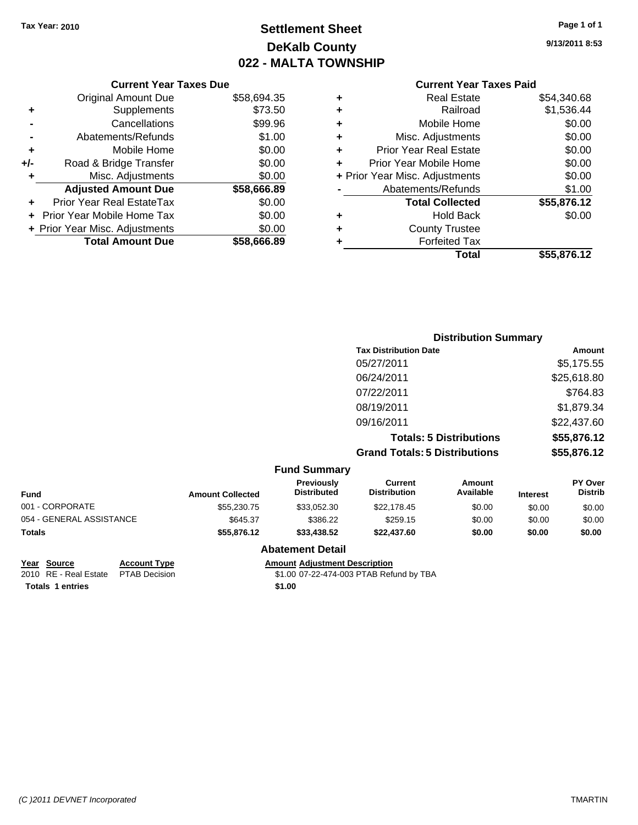## **Settlement Sheet Tax Year: 2010 Page 1 of 1 DeKalb County 022 - MALTA TOWNSHIP**

**9/13/2011 8:53**

#### **Current Year Taxes Paid**

|     | <b>Current Year Taxes Due</b>  |             |
|-----|--------------------------------|-------------|
|     | <b>Original Amount Due</b>     | \$58,694.35 |
| ٠   | Supplements                    | \$73.50     |
|     | Cancellations                  | \$99.96     |
|     | Abatements/Refunds             | \$1.00      |
| ٠   | Mobile Home                    | \$0.00      |
| +/- | Road & Bridge Transfer         | \$0.00      |
| ٠   | Misc. Adjustments              | \$0.00      |
|     | <b>Adjusted Amount Due</b>     | \$58,666.89 |
| ٠   | Prior Year Real EstateTax      | \$0.00      |
|     | Prior Year Mobile Home Tax     | \$0.00      |
|     | + Prior Year Misc. Adjustments | \$0.00      |
|     | <b>Total Amount Due</b>        | \$58,666.89 |
|     |                                |             |

| <b>Real Estate</b>             | \$54,340.68 |
|--------------------------------|-------------|
| Railroad                       | \$1,536.44  |
| Mobile Home                    | \$0.00      |
| Misc. Adjustments              | \$0.00      |
| <b>Prior Year Real Estate</b>  | \$0.00      |
| Prior Year Mobile Home         | \$0.00      |
| + Prior Year Misc. Adjustments | \$0.00      |
| Abatements/Refunds             | \$1.00      |
| <b>Total Collected</b>         | \$55,876.12 |
| <b>Hold Back</b>               | \$0.00      |
| <b>County Trustee</b>          |             |
| <b>Forfeited Tax</b>           |             |
| Total                          | \$55,876.12 |
|                                |             |

|                     | <b>Distribution Summary</b>          |             |  |  |
|---------------------|--------------------------------------|-------------|--|--|
|                     | <b>Tax Distribution Date</b>         | Amount      |  |  |
|                     | 05/27/2011                           | \$5,175.55  |  |  |
|                     | 06/24/2011                           | \$25,618.80 |  |  |
|                     | 07/22/2011                           | \$764.83    |  |  |
|                     | 08/19/2011                           | \$1,879.34  |  |  |
|                     | 09/16/2011                           | \$22,437.60 |  |  |
|                     | <b>Totals: 5 Distributions</b>       | \$55,876.12 |  |  |
|                     | <b>Grand Totals: 5 Distributions</b> | \$55,876.12 |  |  |
| <b>Fund Summary</b> |                                      |             |  |  |

| <b>Fund</b>              | <b>Amount Collected</b> | <b>Previously</b><br><b>Distributed</b> | Current<br><b>Distribution</b> | Amount<br>Available | <b>Interest</b> | <b>PY Over</b><br><b>Distrib</b> |
|--------------------------|-------------------------|-----------------------------------------|--------------------------------|---------------------|-----------------|----------------------------------|
| 001 - CORPORATE          | \$55,230.75             | \$33.052.30                             | \$22,178.45                    | \$0.00              | \$0.00          | \$0.00                           |
| 054 - GENERAL ASSISTANCE | \$645.37                | \$386.22                                | \$259.15                       | \$0.00              | \$0.00          | \$0.00                           |
| Totals                   | \$55.876.12             | \$33,438,52                             | \$22,437.60                    | \$0.00              | \$0.00          | \$0.00                           |

### **Abatement Detail**

**Totals 1 entries** \$1.00

**Year Source Account Type Amount Adjustment Description**<br>2010 RE - Real Estate PTAB Decision **Amount** 1.00 07-22-474-003 PTAB Refu \$1.00 07-22-474-003 PTAB Refund by TBA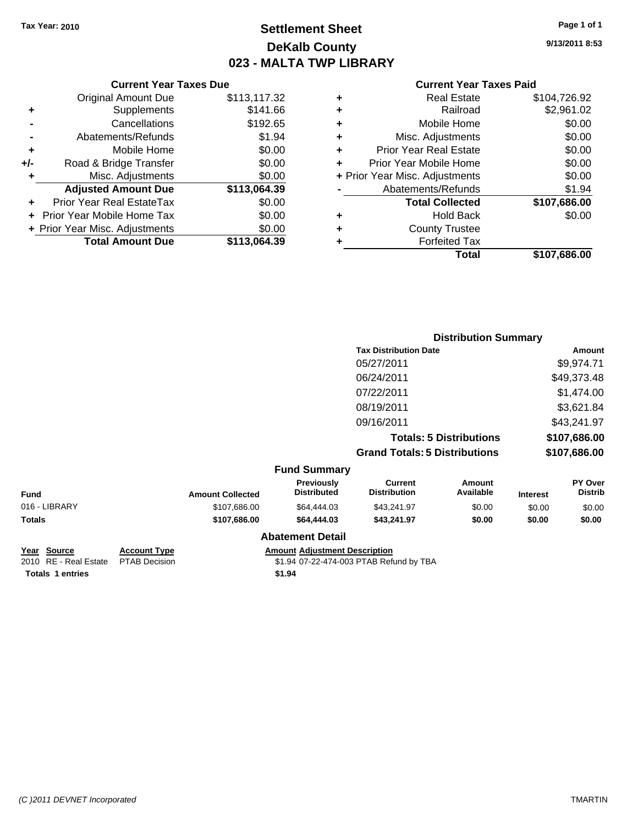### **Settlement Sheet Tax Year: 2010 Page 1 of 1 DeKalb County 023 - MALTA TWP LIBRARY**

**9/13/2011 8:53**

#### **Current Year Taxes Paid**

|   | Total                          | \$107,686.00 |
|---|--------------------------------|--------------|
| ٠ | <b>Forfeited Tax</b>           |              |
| ٠ | <b>County Trustee</b>          |              |
| ٠ | <b>Hold Back</b>               | \$0.00       |
|   | <b>Total Collected</b>         | \$107,686.00 |
|   | Abatements/Refunds             | \$1.94       |
|   | + Prior Year Misc. Adjustments | \$0.00       |
| ٠ | Prior Year Mobile Home         | \$0.00       |
| ÷ | <b>Prior Year Real Estate</b>  | \$0.00       |
| ٠ | Misc. Adjustments              | \$0.00       |
| ٠ | Mobile Home                    | \$0.00       |
| ٠ | Railroad                       | \$2,961.02   |
| ٠ | <b>Real Estate</b>             | \$104,726.92 |

|     | <b>Current Year Taxes Due</b>  |              |
|-----|--------------------------------|--------------|
|     | <b>Original Amount Due</b>     | \$113,117.32 |
| ٠   | Supplements                    | \$141.66     |
|     | Cancellations                  | \$192.65     |
|     | Abatements/Refunds             | \$1.94       |
| ٠   | Mobile Home                    | \$0.00       |
| +/- | Road & Bridge Transfer         | \$0.00       |
| ٠   | Misc. Adjustments              | \$0.00       |
|     | <b>Adjusted Amount Due</b>     | \$113,064.39 |
|     | Prior Year Real EstateTax      | \$0.00       |
|     | Prior Year Mobile Home Tax     | \$0.00       |
|     | + Prior Year Misc. Adjustments | \$0.00       |
|     | <b>Total Amount Due</b>        | \$113,064.39 |

|                     |                                      | <b>Distribution Summary</b>    |                                                     |
|---------------------|--------------------------------------|--------------------------------|-----------------------------------------------------|
|                     | <b>Tax Distribution Date</b>         |                                | Amount                                              |
|                     | 05/27/2011                           |                                | \$9,974.71                                          |
|                     | 06/24/2011                           |                                | \$49,373.48                                         |
|                     | 07/22/2011                           |                                | \$1,474.00                                          |
|                     | 08/19/2011                           |                                | \$3,621.84                                          |
|                     | 09/16/2011                           |                                | \$43,241.97                                         |
|                     |                                      | <b>Totals: 5 Distributions</b> | \$107,686.00                                        |
|                     | <b>Grand Totals: 5 Distributions</b> |                                | \$107,686.00                                        |
| <b>Fund Summary</b> |                                      |                                |                                                     |
| Deardanahr          | $P$                                  |                                | $\mathbf{D}$ $\mathbf{V}$ $\mathbf{D}$ $\mathbf{V}$ |

| <b>Fund</b>   | <b>Amount Collected</b> | Previously<br><b>Distributed</b> | Current<br><b>Distribution</b> | Amount<br>Available | <b>Interest</b> | <b>PY Over</b><br><b>Distrib</b> |
|---------------|-------------------------|----------------------------------|--------------------------------|---------------------|-----------------|----------------------------------|
| 016 - LIBRARY | \$107,686.00            | \$64,444,03                      | \$43,241.97                    | \$0.00              | \$0.00          | \$0.00                           |
| <b>Totals</b> | \$107.686.00            | \$64,444,03                      | \$43.241.97                    | \$0.00              | \$0.00          | \$0.00                           |
|               |                         | <b>Abatement Detail</b>          |                                |                     |                 |                                  |

**Year Source Account Type Amount Amount Adjustment Description**<br>2010 RE - Real Estate PTAB Decision **Amount** 1919 407-22-474-003 PTAB Refu **Totals \$1.94 1 entries**

\$1.94 07-22-474-003 PTAB Refund by TBA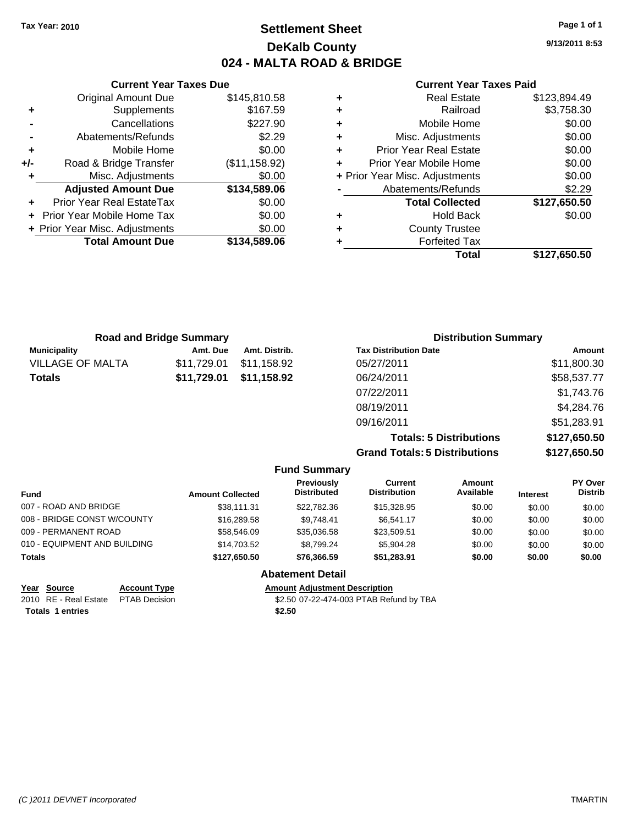### **Settlement Sheet Tax Year: 2010 Page 1 of 1 DeKalb County 024 - MALTA ROAD & BRIDGE**

**9/13/2011 8:53**

#### **Current Year Taxes Paid**

|     | <b>Current Year Taxes Due</b>  |               |           |
|-----|--------------------------------|---------------|-----------|
|     | <b>Original Amount Due</b>     | \$145,810.58  |           |
|     | Supplements                    | \$167.59      |           |
|     | Cancellations                  | \$227.90      |           |
|     | Abatements/Refunds             | \$2.29        | ٠         |
|     | Mobile Home                    | \$0.00        |           |
| +/- | Road & Bridge Transfer         | (\$11,158.92) |           |
|     | Misc. Adjustments              | \$0.00        | $+$ Prior |
|     | <b>Adjusted Amount Due</b>     | \$134,589.06  |           |
|     | Prior Year Real EstateTax      | \$0.00        |           |
|     | Prior Year Mobile Home Tax     | \$0.00        |           |
|     | + Prior Year Misc. Adjustments | \$0.00        |           |
|     | <b>Total Amount Due</b>        | \$134,589.06  |           |
|     |                                |               |           |

|   | <b>Forfeited Tax</b><br>Total  | \$127,650.50 |
|---|--------------------------------|--------------|
| ٠ | <b>County Trustee</b>          |              |
| ٠ | <b>Hold Back</b>               | \$0.00       |
|   | <b>Total Collected</b>         | \$127,650.50 |
|   | Abatements/Refunds             | \$2.29       |
|   | + Prior Year Misc. Adjustments | \$0.00       |
|   | Prior Year Mobile Home         | \$0.00       |
| ٠ | <b>Prior Year Real Estate</b>  | \$0.00       |
| ٠ | Misc. Adjustments              | \$0.00       |
| ٠ | Mobile Home                    | \$0.00       |
| ٠ | Railroad                       | \$3,758.30   |
| ٠ | <b>Real Estate</b>             | \$123,894.49 |

| <b>Road and Bridge Summary</b> |             |               | <b>Distribution Summary</b>  |             |  |
|--------------------------------|-------------|---------------|------------------------------|-------------|--|
| <b>Municipality</b>            | Amt. Due    | Amt. Distrib. | <b>Tax Distribution Date</b> | Amount      |  |
| <b>VILLAGE OF MALTA</b>        | \$11,729.01 | \$11,158.92   | 05/27/2011                   | \$11,800.30 |  |
| <b>Totals</b>                  | \$11,729.01 | \$11,158.92   | 06/24/2011                   | \$58,537.77 |  |
|                                |             |               | 07/22/2011                   | \$1,743.76  |  |
|                                |             |               | 08/19/2011                   | \$4,284.76  |  |
|                                |             |               | 09/16/2011                   | \$51,283.91 |  |

**Totals: 5 Distributions \$127,650.50 Grand Totals: 5 Distributions \$127,650.50**

|                              |                     |                         | <b>Fund Summary</b>                     |                                       |                     |                 |                           |
|------------------------------|---------------------|-------------------------|-----------------------------------------|---------------------------------------|---------------------|-----------------|---------------------------|
| <b>Fund</b>                  |                     | <b>Amount Collected</b> | <b>Previously</b><br><b>Distributed</b> | <b>Current</b><br><b>Distribution</b> | Amount<br>Available | <b>Interest</b> | PY Over<br><b>Distrib</b> |
| 007 - ROAD AND BRIDGE        |                     | \$38,111.31             | \$22,782,36                             | \$15,328.95                           | \$0.00              | \$0.00          | \$0.00                    |
| 008 - BRIDGE CONST W/COUNTY  |                     | \$16,289.58             | \$9.748.41                              | \$6,541.17                            | \$0.00              | \$0.00          | \$0.00                    |
| 009 - PERMANENT ROAD         |                     | \$58,546.09             | \$35,036.58                             | \$23,509.51                           | \$0.00              | \$0.00          | \$0.00                    |
| 010 - EQUIPMENT AND BUILDING |                     | \$14,703.52             | \$8.799.24                              | \$5,904.28                            | \$0.00              | \$0.00          | \$0.00                    |
| <b>Totals</b>                |                     | \$127,650.50            | \$76,366,59                             | \$51,283.91                           | \$0.00              | \$0.00          | \$0.00                    |
|                              |                     |                         | <b>Abatement Detail</b>                 |                                       |                     |                 |                           |
| Year Source                  | <b>Account Type</b> |                         | <b>Amount Adiustment Description</b>    |                                       |                     |                 |                           |

Totals 1 entries **\$2.50** 

2010 RE - Real Estate \$2.50 07-22-474-003 PTAB Refund by TBA PTAB Decision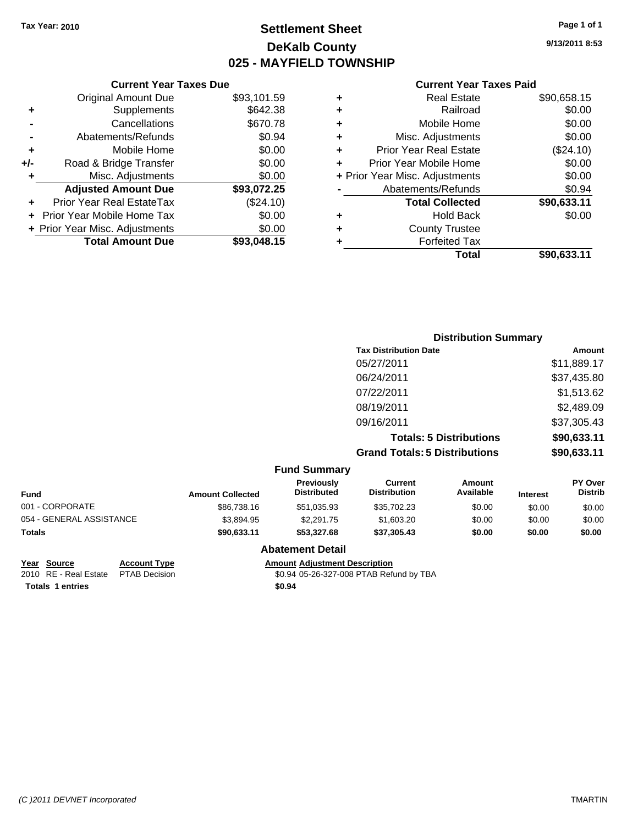### **Settlement Sheet Tax Year: 2010 Page 1 of 1 DeKalb County 025 - MAYFIELD TOWNSHIP**

**9/13/2011 8:53**

#### **Current Year Taxes Paid**

| <b>Real Estate</b>             | \$90,658.15 |
|--------------------------------|-------------|
| Railroad                       | \$0.00      |
| Mobile Home                    | \$0.00      |
| Misc. Adjustments              | \$0.00      |
| <b>Prior Year Real Estate</b>  | (\$24.10)   |
| Prior Year Mobile Home         | \$0.00      |
| + Prior Year Misc. Adjustments | \$0.00      |
| Abatements/Refunds             | \$0.94      |
| <b>Total Collected</b>         | \$90,633.11 |
| <b>Hold Back</b>               | \$0.00      |
| <b>County Trustee</b>          |             |
| <b>Forfeited Tax</b>           |             |
| Total                          | \$90,633.11 |
|                                |             |

|     | <b>Current Year Taxes Due</b>     |             |
|-----|-----------------------------------|-------------|
|     | <b>Original Amount Due</b>        | \$93,101.59 |
| ٠   | Supplements                       | \$642.38    |
|     | Cancellations                     | \$670.78    |
|     | Abatements/Refunds                | \$0.94      |
| ٠   | Mobile Home                       | \$0.00      |
| +/- | Road & Bridge Transfer            | \$0.00      |
| ٠   | Misc. Adjustments                 | \$0.00      |
|     | <b>Adjusted Amount Due</b>        | \$93,072.25 |
|     | Prior Year Real EstateTax         | (\$24.10)   |
|     | <b>Prior Year Mobile Home Tax</b> | \$0.00      |
|     | + Prior Year Misc. Adjustments    | \$0.00      |
|     | <b>Total Amount Due</b>           | \$93,048.15 |

|                     | <b>Distribution Summary</b>          |             |
|---------------------|--------------------------------------|-------------|
|                     | <b>Tax Distribution Date</b>         | Amount      |
|                     | 05/27/2011                           | \$11,889.17 |
|                     | 06/24/2011                           | \$37,435.80 |
|                     | 07/22/2011                           | \$1,513.62  |
|                     | 08/19/2011                           | \$2,489.09  |
|                     | 09/16/2011                           | \$37,305.43 |
|                     | <b>Totals: 5 Distributions</b>       | \$90,633.11 |
|                     | <b>Grand Totals: 5 Distributions</b> | \$90,633.11 |
| <b>Fund Summary</b> |                                      |             |

| Funu Juninary            |                         |                                         |                                |                     |                 |                           |
|--------------------------|-------------------------|-----------------------------------------|--------------------------------|---------------------|-----------------|---------------------------|
| <b>Fund</b>              | <b>Amount Collected</b> | <b>Previously</b><br><b>Distributed</b> | Current<br><b>Distribution</b> | Amount<br>Available | <b>Interest</b> | PY Over<br><b>Distrib</b> |
| 001 - CORPORATE          | \$86,738.16             | \$51,035.93                             | \$35,702.23                    | \$0.00              | \$0.00          | \$0.00                    |
| 054 - GENERAL ASSISTANCE | \$3.894.95              | \$2.291.75                              | \$1,603.20                     | \$0.00              | \$0.00          | \$0.00                    |
| <b>Totals</b>            | \$90,633.11             | \$53,327.68                             | \$37,305.43                    | \$0.00              | \$0.00          | \$0.00                    |
|                          |                         |                                         |                                |                     |                 |                           |

### **Abatement Detail**

**Totals \$0.94 1 entries**

**Year Source Account Type Amount Amount Adjustment Description**<br>2010 RE - Real Estate PTAB Decision **Amount** \$0.94 05-26-327-008 PTAB Refu \$0.94 05-26-327-008 PTAB Refund by TBA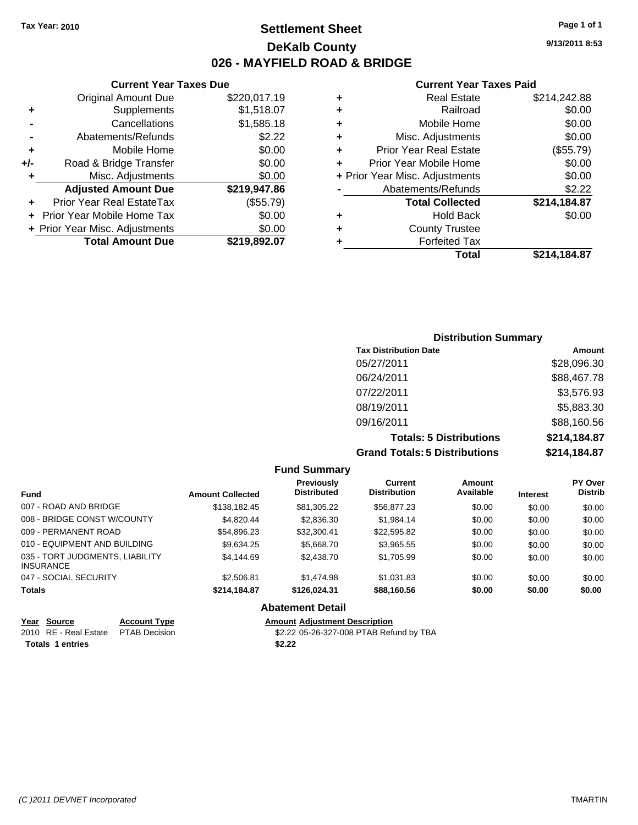**Current Year Taxes Due** Original Amount Due \$220,017.19

**+** Supplements \$1,518.07 **-** Cancellations \$1,585.18 **-** Abatements/Refunds \$2.22 **+** Mobile Home \$0.00 **+/-** Road & Bridge Transfer \$0.00 **+** Misc. Adjustments \$0.00

### **Settlement Sheet Tax Year: 2010 Page 1 of 1 DeKalb County 026 - MAYFIELD ROAD & BRIDGE**

**9/13/2011 8:53**

#### **Current Year Taxes Paid**

|   | Total                          | \$214,184.87 |
|---|--------------------------------|--------------|
|   | <b>Forfeited Tax</b>           |              |
| ٠ | <b>County Trustee</b>          |              |
| ٠ | <b>Hold Back</b>               | \$0.00       |
|   | <b>Total Collected</b>         | \$214,184.87 |
|   | Abatements/Refunds             | \$2.22       |
|   | + Prior Year Misc. Adjustments | \$0.00       |
| ٠ | Prior Year Mobile Home         | \$0.00       |
| ÷ | <b>Prior Year Real Estate</b>  | (\$55.79)    |
| ÷ | Misc. Adjustments              | \$0.00       |
| ٠ | Mobile Home                    | \$0.00       |
| ٠ | Railroad                       | \$0.00       |
| ٠ | <b>Real Estate</b>             | \$214,242.88 |
|   |                                |              |

# **Adjusted Amount Due \$219,947.86 +** Prior Year Real EstateTax (\$55.79) **+** Prior Year Mobile Home Tax \$0.00 **+ Prior Year Misc. Adjustments**  $$0.00$ **Total Amount Due \$219,892.07**

### **Distribution Summary Tax Distribution Date Amount** 05/27/2011 \$28,096.30 06/24/2011 \$88,467.78 07/22/2011 \$3,576.93 08/19/2011 \$5,883.30 09/16/2011 \$88,160.56 **Totals: 5 Distributions \$214,184.87 Grand Totals: 5 Distributions \$214,184.87**

|                                                     |                             |                         | <b>Fund Summary</b>              |                                |                     |                 |                           |
|-----------------------------------------------------|-----------------------------|-------------------------|----------------------------------|--------------------------------|---------------------|-----------------|---------------------------|
| <b>Fund</b>                                         |                             | <b>Amount Collected</b> | Previously<br><b>Distributed</b> | Current<br><b>Distribution</b> | Amount<br>Available | <b>Interest</b> | PY Over<br><b>Distrib</b> |
| 007 - ROAD AND BRIDGE                               |                             | \$138,182,45            | \$81.305.22                      | \$56,877.23                    | \$0.00              | \$0.00          | \$0.00                    |
| 008 - BRIDGE CONST W/COUNTY                         |                             | \$4.820.44              | \$2,836.30                       | \$1.984.14                     | \$0.00              | \$0.00          | \$0.00                    |
| 009 - PERMANENT ROAD                                |                             | \$54,896.23             | \$32,300.41                      | \$22,595.82                    | \$0.00              | \$0.00          | \$0.00                    |
| 010 - EQUIPMENT AND BUILDING                        |                             | \$9.634.25              | \$5,668,70                       | \$3,965.55                     | \$0.00              | \$0.00          | \$0.00                    |
| 035 - TORT JUDGMENTS, LIABILITY<br><b>INSURANCE</b> |                             | \$4,144.69              | \$2,438.70                       | \$1,705.99                     | \$0.00              | \$0.00          | \$0.00                    |
| 047 - SOCIAL SECURITY                               |                             | \$2,506.81              | \$1,474.98                       | \$1.031.83                     | \$0.00              | \$0.00          | \$0.00                    |
| <b>Totals</b>                                       |                             | \$214,184.87            | \$126.024.31                     | \$88,160.56                    | \$0.00              | \$0.00          | \$0.00                    |
|                                                     |                             |                         | <b>Abatement Detail</b>          |                                |                     |                 |                           |
| $V_{\text{max}}$ $C_{\text{max}}$                   | $A$ aaa $\cdots$ T $\cdots$ |                         | Americal Adjustment Description  |                                |                     |                 |                           |

| Year Source                         | <b>Account Type</b> | <b>Amount Adiustment Description</b>    |
|-------------------------------------|---------------------|-----------------------------------------|
| 2010 RE - Real Estate PTAB Decision |                     | \$2.22 05-26-327-008 PTAB Refund by TBA |
| <b>Totals 1 entries</b>             |                     | \$2.22                                  |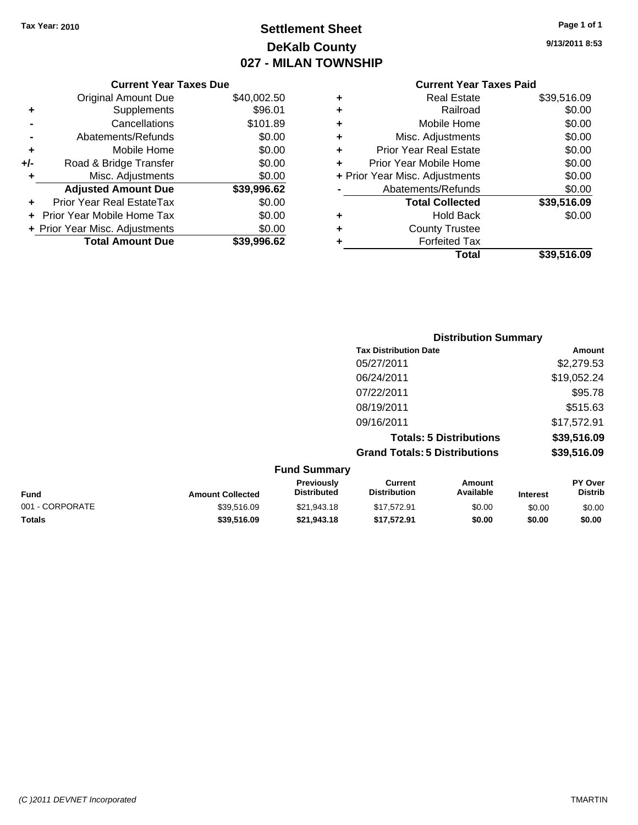## **Settlement Sheet Tax Year: 2010 Page 1 of 1 DeKalb County 027 - MILAN TOWNSHIP**

**9/13/2011 8:53**

| <b>Current Year Taxes Paid</b> |  |  |
|--------------------------------|--|--|
|                                |  |  |

|     | <b>Current Year Taxes Due</b>     |             |
|-----|-----------------------------------|-------------|
|     | <b>Original Amount Due</b>        | \$40,002.50 |
| ٠   | Supplements                       | \$96.01     |
|     | Cancellations                     | \$101.89    |
|     | Abatements/Refunds                | \$0.00      |
| ٠   | Mobile Home                       | \$0.00      |
| +/- | Road & Bridge Transfer            | \$0.00      |
| ۰   | Misc. Adjustments                 | \$0.00      |
|     | <b>Adjusted Amount Due</b>        | \$39,996.62 |
|     | Prior Year Real EstateTax         | \$0.00      |
|     | <b>Prior Year Mobile Home Tax</b> | \$0.00      |
|     | + Prior Year Misc. Adjustments    | \$0.00      |
|     | <b>Total Amount Due</b>           | \$39.996.62 |

| \$0.00<br>\$0.00 |
|------------------|
|                  |
|                  |
| \$0.00           |
| \$0.00           |
| \$0.00           |
| \$0.00           |
| \$0.00           |
| \$39,516.09      |
| \$0.00           |
|                  |
|                  |
| \$39,516.09      |
|                  |

|                     | <b>Distribution Summary</b>          |             |
|---------------------|--------------------------------------|-------------|
|                     | <b>Tax Distribution Date</b>         | Amount      |
|                     | 05/27/2011                           | \$2,279.53  |
|                     | 06/24/2011                           | \$19,052.24 |
|                     | 07/22/2011                           | \$95.78     |
|                     | 08/19/2011                           | \$515.63    |
|                     | 09/16/2011                           | \$17,572.91 |
|                     | <b>Totals: 5 Distributions</b>       | \$39,516.09 |
|                     | <b>Grand Totals: 5 Distributions</b> | \$39,516.09 |
| <b>Fund Summary</b> |                                      |             |

| Fund            | <b>Amount Collected</b> | <b>Previously</b><br><b>Distributed</b> | Current<br><b>Distribution</b> | Amount<br>Available | <b>Interest</b> | <b>PY Over</b><br><b>Distrib</b> |
|-----------------|-------------------------|-----------------------------------------|--------------------------------|---------------------|-----------------|----------------------------------|
| 001 - CORPORATE | \$39,516.09             | \$21,943.18                             | \$17.572.91                    | \$0.00              | \$0.00          | \$0.00                           |
| Totals          | \$39,516.09             | \$21.943.18                             | \$17.572.91                    | \$0.00              | \$0.00          | \$0.00                           |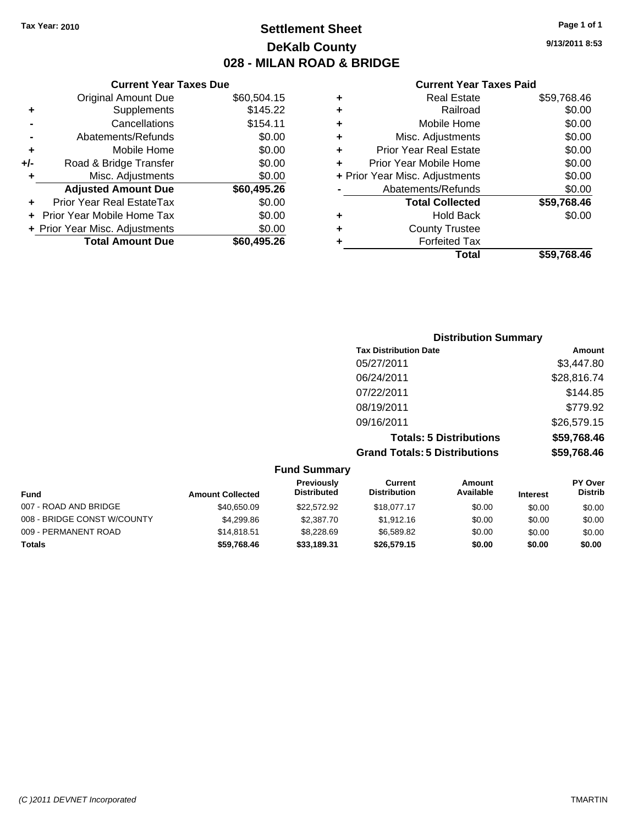### **Settlement Sheet Tax Year: 2010 Page 1 of 1 DeKalb County 028 - MILAN ROAD & BRIDGE**

### **Current Year Taxes Due**

|     | <b>Original Amount Due</b>        | \$60,504.15 |
|-----|-----------------------------------|-------------|
| ٠   | Supplements                       | \$145.22    |
|     | Cancellations                     | \$154.11    |
|     | Abatements/Refunds                | \$0.00      |
| ٠   | Mobile Home                       | \$0.00      |
| +/- | Road & Bridge Transfer            | \$0.00      |
| ٠   | Misc. Adjustments                 | \$0.00      |
|     | <b>Adjusted Amount Due</b>        | \$60,495.26 |
|     | <b>Prior Year Real EstateTax</b>  | \$0.00      |
|     | <b>Prior Year Mobile Home Tax</b> | \$0.00      |
|     | + Prior Year Misc. Adjustments    | \$0.00      |
|     | <b>Total Amount Due</b>           | \$60,495.26 |

#### **Current Year Taxes Paid**

|   | <b>Real Estate</b>             | \$59,768.46 |
|---|--------------------------------|-------------|
| ٠ | Railroad                       | \$0.00      |
| ٠ | Mobile Home                    | \$0.00      |
| ٠ | Misc. Adjustments              | \$0.00      |
| ÷ | <b>Prior Year Real Estate</b>  | \$0.00      |
|   | Prior Year Mobile Home         | \$0.00      |
|   | + Prior Year Misc. Adjustments | \$0.00      |
|   | Abatements/Refunds             | \$0.00      |
|   | <b>Total Collected</b>         | \$59,768.46 |
| ٠ | Hold Back                      | \$0.00      |
| ٠ | <b>County Trustee</b>          |             |
| ٠ | <b>Forfeited Tax</b>           |             |
|   | Total                          | \$59,768.46 |
|   |                                |             |

### **Distribution Summary Tax Distribution Date Amount** 05/27/2011 \$3,447.80 06/24/2011 \$28,816.74 07/22/2011 \$144.85 08/19/2011 \$779.92 09/16/2011 \$26,579.15 **Totals: 5 Distributions \$59,768.46 Grand Totals: 5 Distributions \$59,768.46**

|                             |                         | <b>Fund Summary</b>                     |                                |                     |                 |                                  |
|-----------------------------|-------------------------|-----------------------------------------|--------------------------------|---------------------|-----------------|----------------------------------|
| <b>Fund</b>                 | <b>Amount Collected</b> | <b>Previously</b><br><b>Distributed</b> | Current<br><b>Distribution</b> | Amount<br>Available | <b>Interest</b> | <b>PY Over</b><br><b>Distrib</b> |
| 007 - ROAD AND BRIDGE       | \$40,650.09             | \$22,572.92                             | \$18,077.17                    | \$0.00              | \$0.00          | \$0.00                           |
| 008 - BRIDGE CONST W/COUNTY | \$4,299.86              | \$2,387.70                              | \$1,912.16                     | \$0.00              | \$0.00          | \$0.00                           |
| 009 - PERMANENT ROAD        | \$14,818.51             | \$8,228,69                              | \$6.589.82                     | \$0.00              | \$0.00          | \$0.00                           |
| <b>Totals</b>               | \$59,768.46             | \$33,189.31                             | \$26,579.15                    | \$0.00              | \$0.00          | \$0.00                           |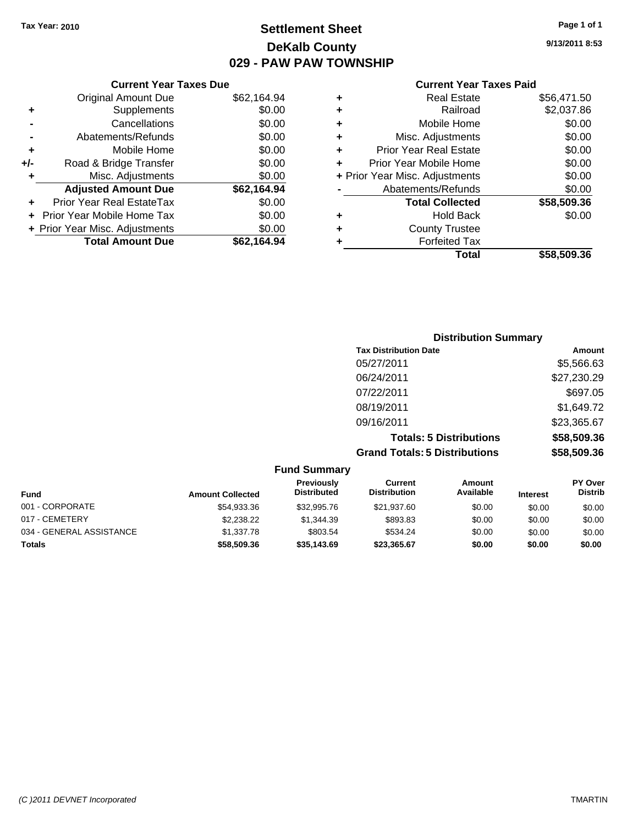### **Settlement Sheet Tax Year: 2010 Page 1 of 1 DeKalb County 029 - PAW PAW TOWNSHIP**

**9/13/2011 8:53**

### **Current Year Taxes Paid**

| ٠ | <b>Real Estate</b>             | \$56,471.50 |
|---|--------------------------------|-------------|
| ٠ | Railroad                       | \$2,037.86  |
| ٠ | Mobile Home                    | \$0.00      |
| ٠ | Misc. Adjustments              | \$0.00      |
| ٠ | <b>Prior Year Real Estate</b>  | \$0.00      |
|   | Prior Year Mobile Home         | \$0.00      |
|   | + Prior Year Misc. Adjustments | \$0.00      |
|   | Abatements/Refunds             | \$0.00      |
|   | <b>Total Collected</b>         | \$58,509.36 |
| ٠ | <b>Hold Back</b>               | \$0.00      |
| ٠ | <b>County Trustee</b>          |             |
| ٠ | <b>Forfeited Tax</b>           |             |
|   | Total                          | \$58.509.36 |

|     | <b>Current Year Taxes Due</b>  |             |
|-----|--------------------------------|-------------|
|     | <b>Original Amount Due</b>     | \$62,164.94 |
| ٠   | Supplements                    | \$0.00      |
|     | Cancellations                  | \$0.00      |
|     | Abatements/Refunds             | \$0.00      |
| ٠   | Mobile Home                    | \$0.00      |
| +/- | Road & Bridge Transfer         | \$0.00      |
| ٠   | Misc. Adjustments              | \$0.00      |
|     | <b>Adjusted Amount Due</b>     | \$62,164.94 |
|     | Prior Year Real EstateTax      | \$0.00      |
|     | Prior Year Mobile Home Tax     | \$0.00      |
|     | + Prior Year Misc. Adjustments | \$0.00      |
|     | <b>Total Amount Due</b>        | \$62.164.94 |

| Amount      |
|-------------|
| \$5,566.63  |
| \$27,230.29 |
| \$697.05    |
| \$1,649.72  |
| \$23,365.67 |
| \$58,509.36 |
| \$58,509.36 |
|             |

|                          |                         | <b>Fund Summary</b>                     |                                |                     |                 |                                  |
|--------------------------|-------------------------|-----------------------------------------|--------------------------------|---------------------|-----------------|----------------------------------|
| <b>Fund</b>              | <b>Amount Collected</b> | <b>Previously</b><br><b>Distributed</b> | Current<br><b>Distribution</b> | Amount<br>Available | <b>Interest</b> | <b>PY Over</b><br><b>Distrib</b> |
| 001 - CORPORATE          | \$54,933.36             | \$32,995.76                             | \$21,937.60                    | \$0.00              | \$0.00          | \$0.00                           |
| 017 - CEMETERY           | \$2,238.22              | \$1,344,39                              | \$893.83                       | \$0.00              | \$0.00          | \$0.00                           |
| 034 - GENERAL ASSISTANCE | \$1,337.78              | \$803.54                                | \$534.24                       | \$0.00              | \$0.00          | \$0.00                           |
| <b>Totals</b>            | \$58,509,36             | \$35,143,69                             | \$23.365.67                    | \$0.00              | \$0.00          | \$0.00                           |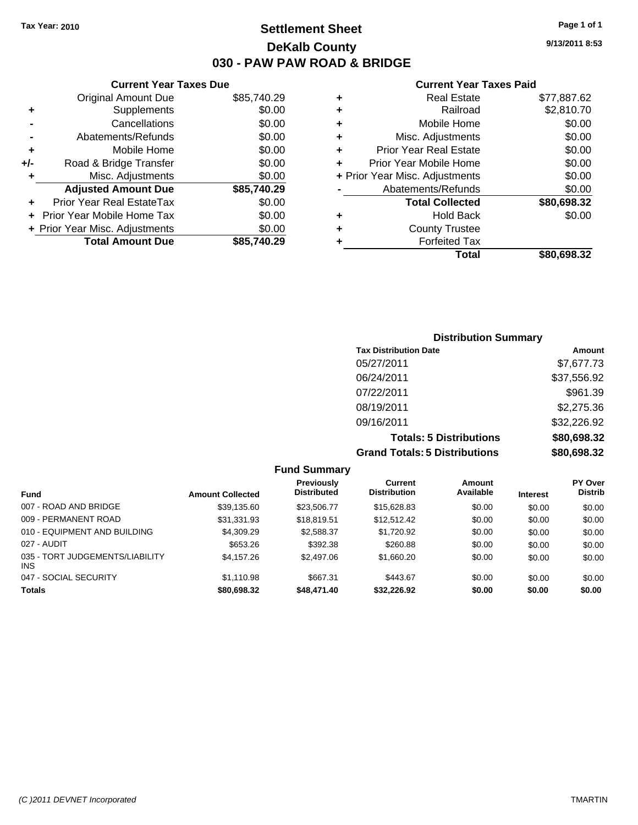### **Settlement Sheet Tax Year: 2010 Page 1 of 1 DeKalb County 030 - PAW PAW ROAD & BRIDGE**

**Current Year Taxes Due**

|       | <b>Total Amount Due</b>        | \$85,740.29 |
|-------|--------------------------------|-------------|
|       | + Prior Year Misc. Adjustments | \$0.00      |
|       | Prior Year Mobile Home Tax     | \$0.00      |
|       | Prior Year Real EstateTax      | \$0.00      |
|       | <b>Adjusted Amount Due</b>     | \$85,740.29 |
| ٠     | Misc. Adjustments              | \$0.00      |
| $+/-$ | Road & Bridge Transfer         | \$0.00      |
| ٠     | Mobile Home                    | \$0.00      |
|       | Abatements/Refunds             | \$0.00      |
|       | Cancellations                  | \$0.00      |
| ٠     | Supplements                    | \$0.00      |
|       | Original Amount Due            | \$85,740.29 |
|       |                                |             |

#### **Current Year Taxes Paid**

|   | <b>Real Estate</b>             | \$77,887.62 |
|---|--------------------------------|-------------|
| ٠ | Railroad                       | \$2,810.70  |
| ٠ | Mobile Home                    | \$0.00      |
| ٠ | Misc. Adjustments              | \$0.00      |
| ٠ | <b>Prior Year Real Estate</b>  | \$0.00      |
|   | Prior Year Mobile Home         | \$0.00      |
|   | + Prior Year Misc. Adjustments | \$0.00      |
|   | Abatements/Refunds             | \$0.00      |
|   | <b>Total Collected</b>         | \$80,698.32 |
| ٠ | <b>Hold Back</b>               | \$0.00      |
| ٠ | <b>County Trustee</b>          |             |
| ٠ | <b>Forfeited Tax</b>           |             |
|   | Total                          | \$80.698.32 |
|   |                                |             |

### **Distribution Summary Tax Distribution Date Amount** 05/27/2011 \$7,677.73 06/24/2011 \$37,556.92 07/22/2011 \$961.39 08/19/2011 \$2,275.36 09/16/2011 \$32,226.92 **Totals: 5 Distributions \$80,698.32 Grand Totals: 5 Distributions \$80,698.32**

|                                         |                         | <b>Fund Summary</b>                     |                                |                     |                 |                                  |
|-----------------------------------------|-------------------------|-----------------------------------------|--------------------------------|---------------------|-----------------|----------------------------------|
| <b>Fund</b>                             | <b>Amount Collected</b> | <b>Previously</b><br><b>Distributed</b> | Current<br><b>Distribution</b> | Amount<br>Available | <b>Interest</b> | <b>PY Over</b><br><b>Distrib</b> |
| 007 - ROAD AND BRIDGE                   | \$39,135.60             | \$23,506.77                             | \$15,628.83                    | \$0.00              | \$0.00          | \$0.00                           |
| 009 - PERMANENT ROAD                    | \$31,331.93             | \$18,819.51                             | \$12,512.42                    | \$0.00              | \$0.00          | \$0.00                           |
| 010 - EQUIPMENT AND BUILDING            | \$4,309.29              | \$2,588.37                              | \$1,720.92                     | \$0.00              | \$0.00          | \$0.00                           |
| 027 - AUDIT                             | \$653.26                | \$392.38                                | \$260.88                       | \$0.00              | \$0.00          | \$0.00                           |
| 035 - TORT JUDGEMENTS/LIABILITY<br>INS. | \$4,157.26              | \$2,497.06                              | \$1,660.20                     | \$0.00              | \$0.00          | \$0.00                           |
| 047 - SOCIAL SECURITY                   | \$1,110.98              | \$667.31                                | \$443.67                       | \$0.00              | \$0.00          | \$0.00                           |
| <b>Totals</b>                           | \$80,698.32             | \$48,471.40                             | \$32,226.92                    | \$0.00              | \$0.00          | \$0.00                           |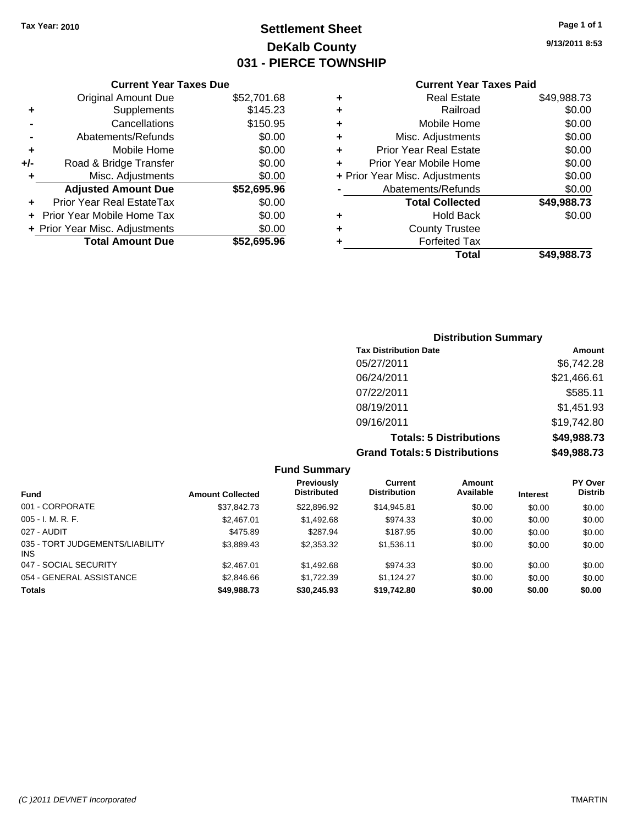### **Settlement Sheet Tax Year: 2010 Page 1 of 1 DeKalb County 031 - PIERCE TOWNSHIP**

### **Current Year Taxes Due**

|     | <b>Original Amount Due</b>        | \$52,701.68 |
|-----|-----------------------------------|-------------|
|     | Supplements                       | \$145.23    |
|     | Cancellations                     | \$150.95    |
|     | Abatements/Refunds                | \$0.00      |
| ٠   | Mobile Home                       | \$0.00      |
| +/- | Road & Bridge Transfer            | \$0.00      |
|     | Misc. Adjustments                 | \$0.00      |
|     | <b>Adjusted Amount Due</b>        | \$52,695.96 |
|     | Prior Year Real EstateTax         | \$0.00      |
|     | <b>Prior Year Mobile Home Tax</b> | \$0.00      |
|     | + Prior Year Misc. Adjustments    | \$0.00      |
|     | <b>Total Amount Due</b>           | \$52,695.96 |

### **Current Year Taxes Paid**

| ٠ | <b>Real Estate</b>             | \$49,988.73 |
|---|--------------------------------|-------------|
| ٠ | Railroad                       | \$0.00      |
| ٠ | Mobile Home                    | \$0.00      |
| ٠ | Misc. Adjustments              | \$0.00      |
| ٠ | Prior Year Real Estate         | \$0.00      |
| ÷ | Prior Year Mobile Home         | \$0.00      |
|   | + Prior Year Misc. Adjustments | \$0.00      |
|   | Abatements/Refunds             | \$0.00      |
|   | <b>Total Collected</b>         | \$49,988.73 |
| ٠ | <b>Hold Back</b>               | \$0.00      |
| ٠ | <b>County Trustee</b>          |             |
| ٠ | <b>Forfeited Tax</b>           |             |
|   | Total                          | \$49,988.73 |
|   |                                |             |

### **Distribution Summary Tax Distribution Date Amount** 05/27/2011 \$6,742.28 06/24/2011 \$21,466.61 07/22/2011 \$585.11 08/19/2011 \$1,451.93 09/16/2011 \$19,742.80 **Totals: 5 Distributions \$49,988.73 Grand Totals: 5 Distributions \$49,988.73**

| <b>Fund Summary</b>                     |                         |                                  |                                |                     |                 |                                  |
|-----------------------------------------|-------------------------|----------------------------------|--------------------------------|---------------------|-----------------|----------------------------------|
| <b>Fund</b>                             | <b>Amount Collected</b> | Previously<br><b>Distributed</b> | Current<br><b>Distribution</b> | Amount<br>Available | <b>Interest</b> | <b>PY Over</b><br><b>Distrib</b> |
| 001 - CORPORATE                         | \$37,842.73             | \$22,896.92                      | \$14,945.81                    | \$0.00              | \$0.00          | \$0.00                           |
| $005 - I. M. R. F.$                     | \$2,467.01              | \$1,492.68                       | \$974.33                       | \$0.00              | \$0.00          | \$0.00                           |
| 027 - AUDIT                             | \$475.89                | \$287.94                         | \$187.95                       | \$0.00              | \$0.00          | \$0.00                           |
| 035 - TORT JUDGEMENTS/LIABILITY<br>INS. | \$3,889.43              | \$2,353.32                       | \$1,536.11                     | \$0.00              | \$0.00          | \$0.00                           |
| 047 - SOCIAL SECURITY                   | \$2,467.01              | \$1,492.68                       | \$974.33                       | \$0.00              | \$0.00          | \$0.00                           |
| 054 - GENERAL ASSISTANCE                | \$2,846.66              | \$1,722.39                       | \$1,124.27                     | \$0.00              | \$0.00          | \$0.00                           |
| <b>Totals</b>                           | \$49,988.73             | \$30,245.93                      | \$19,742.80                    | \$0.00              | \$0.00          | \$0.00                           |

**9/13/2011 8:53**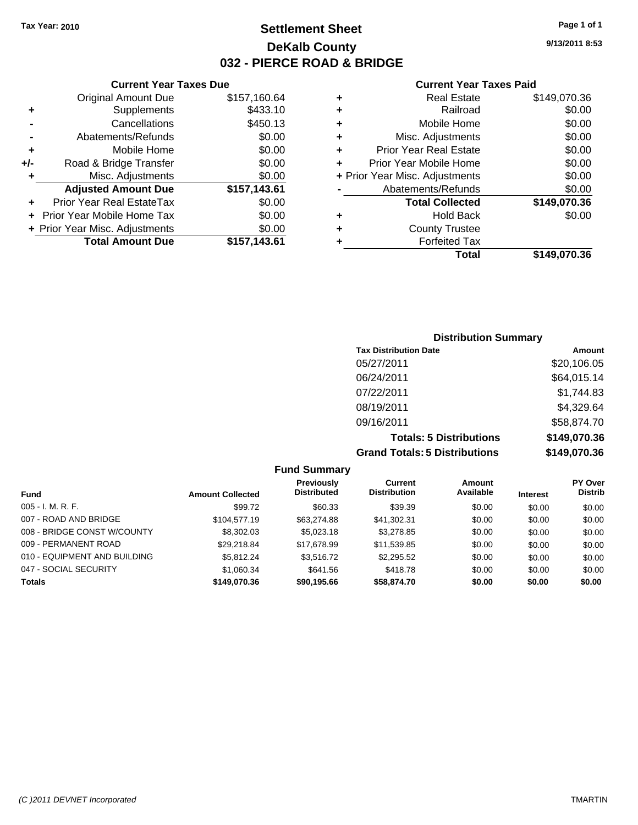**Current Year Taxes Due** Original Amount Due \$157,160.64

**Adjusted Amount Due \$157,143.61**

**Total Amount Due \$157,143.61**

**+** Supplements \$433.10 **-** Cancellations **\$450.13 -** Abatements/Refunds \$0.00 **+** Mobile Home \$0.00 **+/-** Road & Bridge Transfer \$0.00 **+** Misc. Adjustments \$0.00

**+** Prior Year Real EstateTax \$0.00 **+** Prior Year Mobile Home Tax \$0.00 **+ Prior Year Misc. Adjustments**  $$0.00$ 

### **Settlement Sheet Tax Year: 2010 Page 1 of 1 DeKalb County 032 - PIERCE ROAD & BRIDGE**

**9/13/2011 8:53**

#### **Current Year Taxes Paid**

|   | <b>Real Estate</b>             | \$149,070.36 |
|---|--------------------------------|--------------|
| ٠ | Railroad                       | \$0.00       |
| ٠ | Mobile Home                    | \$0.00       |
| ٠ | Misc. Adjustments              | \$0.00       |
| ٠ | <b>Prior Year Real Estate</b>  | \$0.00       |
|   | Prior Year Mobile Home         | \$0.00       |
|   | + Prior Year Misc. Adjustments | \$0.00       |
|   | Abatements/Refunds             | \$0.00       |
|   | <b>Total Collected</b>         | \$149,070.36 |
| ٠ | <b>Hold Back</b>               | \$0.00       |
| ٠ | <b>County Trustee</b>          |              |
|   | <b>Forfeited Tax</b>           |              |
|   | Total                          | \$149.070.36 |

### **Distribution Summary Tax Distribution Date Amount** 05/27/2011 \$20,106.05 06/24/2011 \$64,015.14 07/22/2011 \$1,744.83 08/19/2011 \$4,329.64 09/16/2011 \$58,874.70 **Totals: 5 Distributions \$149,070.36 Grand Totals: 5 Distributions \$149,070.36**

**Fund Summary Fund Interest Amount Collected Distributed PY Over Distrib Amount Available Current Distribution Previously** 005 - I. M. R. F. \$99.72 \$60.33 \$39.39 \$0.00 \$0.00 \$0.00 007 - ROAD AND BRIDGE \$104,577.19 \$63,274.88 \$41,302.31 \$0.00 \$0.00 \$0.00 008 - BRIDGE CONST W/COUNTY  $$8,302.03$   $$5,023.18$   $$3,278.85$   $$0.00$   $$0.00$   $$0.00$ 009 - PERMANENT ROAD \$29,218.84 \$17,678.99 \$11,539.85 \$0.00 \$0.00 \$0.00 010 - EQUIPMENT AND BUILDING \$5,812.24 \$3,516.72 \$2,295.52 \$0.00 \$0.00 \$0.00 047 - SOCIAL SECURITY \$1,060.34 \$641.56 \$418.78 \$0.00 \$0.00 \$0.00 **Totals \$149,070.36 \$90,195.66 \$58,874.70 \$0.00 \$0.00 \$0.00**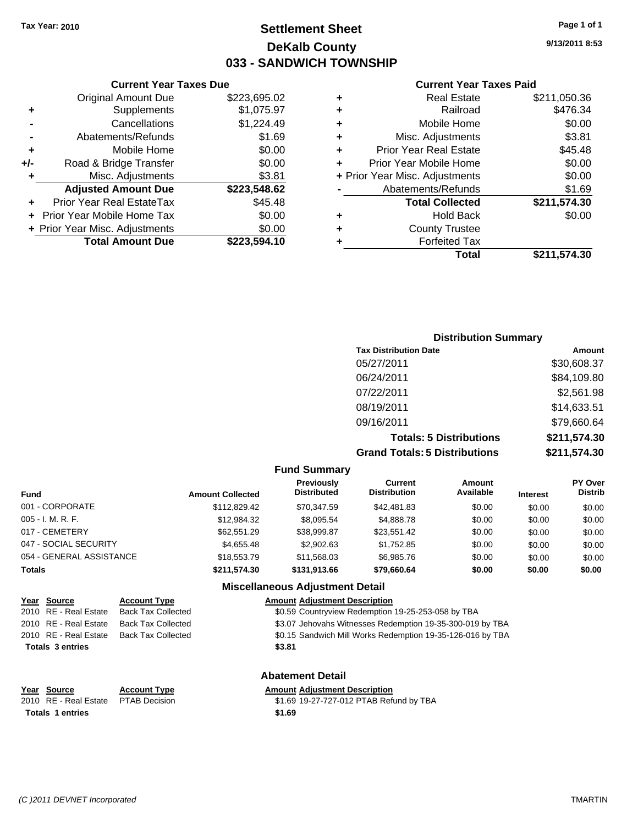### **Settlement Sheet Tax Year: 2010 Page 1 of 1 DeKalb County 033 - SANDWICH TOWNSHIP**

**Current Year Taxes Paid**

|   | OUITUR TUUT TUAUJ LUIU         |              |
|---|--------------------------------|--------------|
|   | <b>Real Estate</b>             | \$211,050.36 |
| ٠ | Railroad                       | \$476.34     |
| ÷ | Mobile Home                    | \$0.00       |
| ٠ | Misc. Adjustments              | \$3.81       |
| ٠ | <b>Prior Year Real Estate</b>  | \$45.48      |
| ٠ | Prior Year Mobile Home         | \$0.00       |
|   | + Prior Year Misc. Adjustments | \$0.00       |
|   | Abatements/Refunds             | \$1.69       |
|   | <b>Total Collected</b>         | \$211,574.30 |
|   | <b>Hold Back</b>               | \$0.00       |
|   | <b>County Trustee</b>          |              |
|   | <b>Forfeited Tax</b>           |              |
|   | Total                          | \$211,574.30 |
|   |                                |              |

|     | Prior Year Mobile Home Tax<br>+ Prior Year Misc. Adjustments | \$0.00<br>\$0.00 |  |  |  |
|-----|--------------------------------------------------------------|------------------|--|--|--|
|     | Prior Year Real EstateTax                                    | \$45.48          |  |  |  |
|     | <b>Adjusted Amount Due</b>                                   | \$223,548.62     |  |  |  |
| ٠   | Misc. Adjustments                                            | \$3.81           |  |  |  |
| +/- | Road & Bridge Transfer                                       | \$0.00           |  |  |  |
| ٠   | Mobile Home                                                  | \$0.00           |  |  |  |
|     | Abatements/Refunds                                           | \$1.69           |  |  |  |
|     | Cancellations                                                | \$1,224.49       |  |  |  |
| ٠   | Supplements                                                  | \$1,075.97       |  |  |  |
|     | <b>Original Amount Due</b>                                   | \$223,695.02     |  |  |  |
|     | <b>Current Year Taxes Due</b>                                |                  |  |  |  |

### **Distribution Summary**

| <b>Tax Distribution Date</b>         | Amount       |
|--------------------------------------|--------------|
| 05/27/2011                           | \$30,608.37  |
| 06/24/2011                           | \$84,109.80  |
| 07/22/2011                           | \$2,561.98   |
| 08/19/2011                           | \$14,633.51  |
| 09/16/2011                           | \$79,660.64  |
| <b>Totals: 5 Distributions</b>       | \$211,574.30 |
| <b>Grand Totals: 5 Distributions</b> | \$211,574.30 |

**Fund Summary**

| <b>Fund</b>              | <b>Amount Collected</b> | <b>Previously</b><br><b>Distributed</b> | Current<br><b>Distribution</b> | <b>Amount</b><br>Available | <b>Interest</b> | <b>PY Over</b><br><b>Distrib</b> |
|--------------------------|-------------------------|-----------------------------------------|--------------------------------|----------------------------|-----------------|----------------------------------|
| 001 - CORPORATE          | \$112,829.42            | \$70.347.59                             | \$42,481.83                    | \$0.00                     | \$0.00          | \$0.00                           |
| $005 - I. M. R. F.$      | \$12,984.32             | \$8,095.54                              | \$4,888.78                     | \$0.00                     | \$0.00          | \$0.00                           |
| 017 - CEMETERY           | \$62,551.29             | \$38,999.87                             | \$23,551.42                    | \$0.00                     | \$0.00          | \$0.00                           |
| 047 - SOCIAL SECURITY    | \$4,655,48              | \$2,902.63                              | \$1.752.85                     | \$0.00                     | \$0.00          | \$0.00                           |
| 054 - GENERAL ASSISTANCE | \$18,553,79             | \$11.568.03                             | \$6,985.76                     | \$0.00                     | \$0.00          | \$0.00                           |
| <b>Totals</b>            | \$211,574,30            | \$131,913.66                            | \$79,660.64                    | \$0.00                     | \$0.00          | \$0.00                           |

### **Miscellaneous Adjustment Detail**

#### **Year Source Account Type Amount Adjustment Description**

2010 RE - Real Estate Back Tax Collected \$0.59 Countryview Redemption 19-25-253-058 by TBA 2010 RE - Real Estate Back Tax Collected \$3.07 Jehovahs Witnesses Redemption 19-35-300-019 by TBA

2010 RE - Real Estate Back Tax Collected \$0.15 Sandwich Mill Works Redemption 19-35-126-016 by TBA

**Totals \$3.81 3 entries**

**Totals \$1.69 1 entries**

**Abatement Detail**

#### **Year Source Account Type Amount Adjustment Description**

2010 RE - Real Estate \$1.69 19-27-727-012 PTAB Refund by TBA PTAB Decision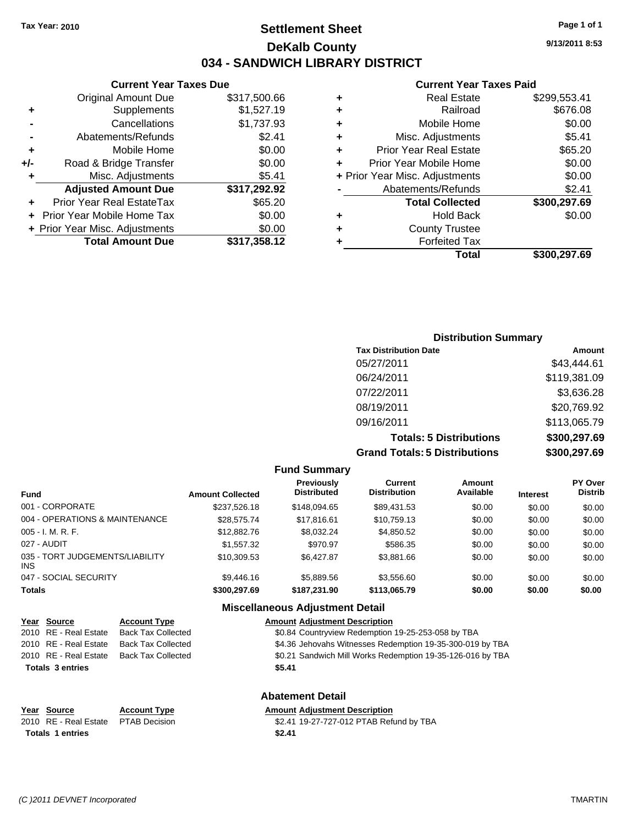## **Settlement Sheet Tax Year: 2010 Page 1 of 1 DeKalb County 034 - SANDWICH LIBRARY DISTRICT**

**9/13/2011 8:53**

#### **Current Year Taxes Paid**

| <b>Forfeited Tax</b>           |              |
|--------------------------------|--------------|
|                                |              |
| <b>County Trustee</b>          |              |
| <b>Hold Back</b>               | \$0.00       |
| <b>Total Collected</b>         | \$300,297.69 |
| Abatements/Refunds             | \$2.41       |
| + Prior Year Misc. Adjustments | \$0.00       |
| Prior Year Mobile Home         | \$0.00       |
| <b>Prior Year Real Estate</b>  | \$65.20      |
| Misc. Adjustments              | \$5.41       |
| Mobile Home                    | \$0.00       |
| Railroad                       | \$676.08     |
| <b>Real Estate</b>             | \$299,553.41 |
|                                |              |

|     | <b>Current Year Taxes Due</b>    |              |
|-----|----------------------------------|--------------|
|     | <b>Original Amount Due</b>       | \$317,500.66 |
| ٠   | Supplements                      | \$1,527.19   |
|     | Cancellations                    | \$1,737.93   |
|     | Abatements/Refunds               | \$2.41       |
| ٠   | Mobile Home                      | \$0.00       |
| +/- | Road & Bridge Transfer           | \$0.00       |
| ٠   | Misc. Adjustments                | \$5.41       |
|     | <b>Adjusted Amount Due</b>       | \$317,292.92 |
|     | <b>Prior Year Real EstateTax</b> | \$65.20      |
|     | Prior Year Mobile Home Tax       | \$0.00       |
|     | + Prior Year Misc. Adjustments   | \$0.00       |
|     | <b>Total Amount Due</b>          | \$317,358.12 |

| <b>Distribution Summary</b>          |              |
|--------------------------------------|--------------|
| <b>Tax Distribution Date</b>         | Amount       |
| 05/27/2011                           | \$43,444.61  |
| 06/24/2011                           | \$119,381.09 |
| 07/22/2011                           | \$3,636.28   |
| 08/19/2011                           | \$20,769.92  |
| 09/16/2011                           | \$113,065.79 |
| <b>Totals: 5 Distributions</b>       | \$300,297.69 |
| <b>Grand Totals: 5 Distributions</b> | \$300,297.69 |

| <b>Fund Summary</b> |  |
|---------------------|--|
|---------------------|--|

| <b>Amount Collected</b> | Previously<br><b>Distributed</b> | Current<br><b>Distribution</b> | Amount<br>Available | <b>Interest</b> | PY Over<br><b>Distrib</b> |
|-------------------------|----------------------------------|--------------------------------|---------------------|-----------------|---------------------------|
| \$237,526.18            | \$148,094.65                     | \$89,431.53                    | \$0.00              | \$0.00          | \$0.00                    |
| \$28,575.74             | \$17,816.61                      | \$10,759.13                    | \$0.00              | \$0.00          | \$0.00                    |
| \$12,882.76             | \$8,032.24                       | \$4,850.52                     | \$0.00              | \$0.00          | \$0.00                    |
| \$1,557,32              | \$970.97                         | \$586.35                       | \$0.00              | \$0.00          | \$0.00                    |
| \$10,309.53             | \$6,427.87                       | \$3,881.66                     | \$0.00              | \$0.00          | \$0.00                    |
| \$9,446.16              | \$5,889.56                       | \$3.556.60                     | \$0.00              | \$0.00          | \$0.00                    |
| \$300,297.69            | \$187.231.90                     | \$113,065.79                   | \$0.00              | \$0.00          | \$0.00                    |
|                         |                                  |                                |                     |                 |                           |

#### **Miscellaneous Adjustment Detail**

| Year Source             | <b>Account Type</b>       | <b>Amount Adjustment Description</b>                       |
|-------------------------|---------------------------|------------------------------------------------------------|
| 2010 RE - Real Estate   | <b>Back Tax Collected</b> | \$0.84 Countryview Redemption 19-25-253-058 by TBA         |
| 2010 RE - Real Estate   | <b>Back Tax Collected</b> | \$4.36 Jehovahs Witnesses Redemption 19-35-300-019 by TBA  |
| 2010 RE - Real Estate   | <b>Back Tax Collected</b> | \$0.21 Sandwich Mill Works Redemption 19-35-126-016 by TBA |
| <b>Totals 3 entries</b> |                           | \$5.41                                                     |
|                         |                           | <b>Abatement Detail</b>                                    |
| Year Source             | <b>Account Type</b>       | <b>Amount Adjustment Description</b>                       |
| 2010 RE - Real Estate   | <b>PTAB Decision</b>      | \$2.41 19-27-727-012 PTAB Refund by TBA                    |

**Totals \$2.41 1 entries**

*(C )2011 DEVNET Incorporated* TMARTIN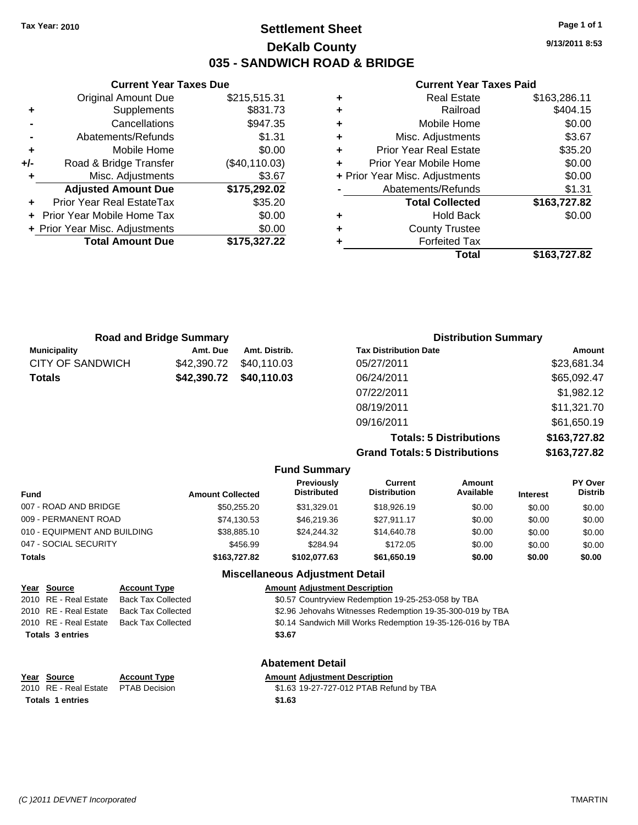**Current Year Taxes Due** Original Amount Due \$215,515.31

**Adjusted Amount Due \$175,292.02**

**Total Amount Due \$175,327.22**

**+** Supplements \$831.73 **-** Cancellations \$947.35 **-** Abatements/Refunds \$1.31 **+** Mobile Home \$0.00 **+/-** Road & Bridge Transfer (\$40,110.03) **+** Misc. Adjustments \$3.67

**+** Prior Year Real EstateTax \$35.20 **+** Prior Year Mobile Home Tax \$0.00 **+ Prior Year Misc. Adjustments**  $$0.00$ 

## **Settlement Sheet Tax Year: 2010 Page 1 of 1 DeKalb County 035 - SANDWICH ROAD & BRIDGE**

**9/13/2011 8:53**

#### **Current Year Taxes Paid**

|   | Total                          | \$163.727.82 |
|---|--------------------------------|--------------|
|   | <b>Forfeited Tax</b>           |              |
| ٠ | <b>County Trustee</b>          |              |
| ٠ | <b>Hold Back</b>               | \$0.00       |
|   | <b>Total Collected</b>         | \$163,727.82 |
|   | Abatements/Refunds             | \$1.31       |
|   | + Prior Year Misc. Adjustments | \$0.00       |
| ÷ | Prior Year Mobile Home         | \$0.00       |
| ٠ | <b>Prior Year Real Estate</b>  | \$35.20      |
| ÷ | Misc. Adjustments              | \$3.67       |
| ٠ | Mobile Home                    | \$0.00       |
| ÷ | Railroad                       | \$404.15     |
| ٠ | <b>Real Estate</b>             | \$163,286.11 |

| <b>Road and Bridge Summary</b> |             |               | <b>Distribution Summary</b>  |             |
|--------------------------------|-------------|---------------|------------------------------|-------------|
| <b>Municipality</b>            | Amt. Due    | Amt. Distrib. | <b>Tax Distribution Date</b> | Amount      |
| CITY OF SANDWICH               | \$42,390.72 | \$40,110.03   | 05/27/2011                   | \$23,681.34 |
| <b>Totals</b>                  | \$42,390.72 | \$40,110.03   | 06/24/2011                   | \$65,092.47 |
|                                |             |               | 07/22/2011                   | \$1,982.12  |
|                                |             |               | 08/19/2011                   | \$11,321.70 |
|                                |             |               | 09/16/2011                   | \$61,650.19 |

**Totals: 5 Distributions \$163,727.82 Grand Totals: 5 Distributions \$163,727.82**

|                              |                         | <b>Fund Summary</b>                     |                                |                     |                 |                           |
|------------------------------|-------------------------|-----------------------------------------|--------------------------------|---------------------|-----------------|---------------------------|
| <b>Fund</b>                  | <b>Amount Collected</b> | <b>Previously</b><br><b>Distributed</b> | Current<br><b>Distribution</b> | Amount<br>Available | <b>Interest</b> | PY Over<br><b>Distrib</b> |
| 007 - ROAD AND BRIDGE        | \$50.255.20             | \$31,329.01                             | \$18,926.19                    | \$0.00              | \$0.00          | \$0.00                    |
| 009 - PERMANENT ROAD         | \$74,130.53             | \$46,219,36                             | \$27.911.17                    | \$0.00              | \$0.00          | \$0.00                    |
| 010 - EQUIPMENT AND BUILDING | \$38,885.10             | \$24.244.32                             | \$14,640.78                    | \$0.00              | \$0.00          | \$0.00                    |
| 047 - SOCIAL SECURITY        | \$456.99                | \$284.94                                | \$172.05                       | \$0.00              | \$0.00          | \$0.00                    |
| Totals                       | \$163,727.82            | \$102.077.63                            | \$61,650.19                    | \$0.00              | \$0.00          | \$0.00                    |
|                              |                         | <b>Miscellaneous Adjustment Detail</b>  |                                |                     |                 |                           |

|               | Year Source             | <b>Account Type</b>       | <b>Amount Adjustment Description</b>                       |
|---------------|-------------------------|---------------------------|------------------------------------------------------------|
|               | 2010 RE - Real Estate   | <b>Back Tax Collected</b> | \$0.57 Countryview Redemption 19-25-253-058 by TBA         |
|               | 2010 RE - Real Estate   | <b>Back Tax Collected</b> | \$2.96 Jehovahs Witnesses Redemption 19-35-300-019 by TBA  |
|               | 2010 RE - Real Estate   | <b>Back Tax Collected</b> | \$0.14 Sandwich Mill Works Redemption 19-35-126-016 by TBA |
|               | <b>Totals 3 entries</b> |                           | \$3.67                                                     |
|               |                         |                           | <b>Abatement Detail</b>                                    |
| $\sim$ $\sim$ |                         |                           | .                                                          |

| ear Source                          | <b>Account Ivpe</b> | Amount |
|-------------------------------------|---------------------|--------|
| 010 RE - Real Estate  PTAB Decision |                     | \$1.63 |
| <b>Totals 1 entries</b>             |                     | \$1.63 |

## **Year Source Account Type Amount Adjustment Description**

2010 RE - Real Estate PTAB Decision S1.63 19-27-727-012 PTAB Refund by TBA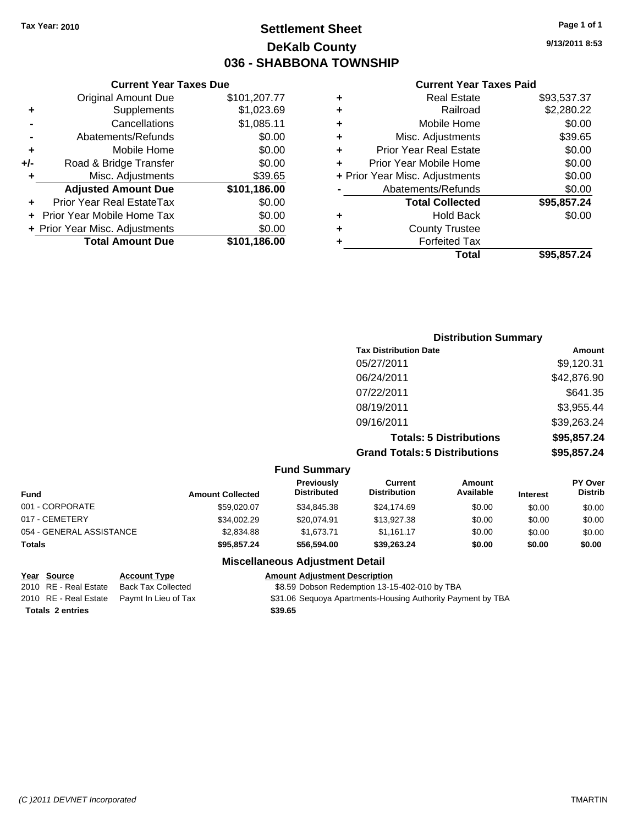## **Settlement Sheet Tax Year: 2010 Page 1 of 1 DeKalb County 036 - SHABBONA TOWNSHIP**

**9/13/2011 8:53**

#### **Current Year Taxes Paid**

| Total                          | \$95.857.24 |
|--------------------------------|-------------|
| <b>Forfeited Tax</b>           |             |
| <b>County Trustee</b>          |             |
| <b>Hold Back</b>               | \$0.00      |
| <b>Total Collected</b>         | \$95,857.24 |
| Abatements/Refunds             | \$0.00      |
| + Prior Year Misc. Adjustments | \$0.00      |
| Prior Year Mobile Home         | \$0.00      |
| <b>Prior Year Real Estate</b>  | \$0.00      |
| Misc. Adjustments              | \$39.65     |
| Mobile Home                    | \$0.00      |
| Railroad                       | \$2,280.22  |
| <b>Real Estate</b>             | \$93,537.37 |
|                                |             |

|                | <b>Total Amount Due</b>           | \$101,186.00 |
|----------------|-----------------------------------|--------------|
|                | + Prior Year Misc. Adjustments    | \$0.00       |
|                | <b>Prior Year Mobile Home Tax</b> | \$0.00       |
|                | Prior Year Real EstateTax         | \$0.00       |
|                | <b>Adjusted Amount Due</b>        | \$101,186.00 |
| ÷              | Misc. Adjustments                 | \$39.65      |
| +/-            | Road & Bridge Transfer            | \$0.00       |
| ÷              | Mobile Home                       | \$0.00       |
| $\blacksquare$ | Abatements/Refunds                | \$0.00       |
|                | Cancellations                     | \$1,085.11   |
| ٠              | Supplements                       | \$1,023.69   |
|                | <b>Original Amount Due</b>        | \$101,207.77 |

**Current Year Taxes Due**

| <b>Distribution Summary</b>          |             |
|--------------------------------------|-------------|
| <b>Tax Distribution Date</b>         | Amount      |
| 05/27/2011                           | \$9,120.31  |
| 06/24/2011                           | \$42,876.90 |
| 07/22/2011                           | \$641.35    |
| 08/19/2011                           | \$3,955.44  |
| 09/16/2011                           | \$39,263.24 |
| <b>Totals: 5 Distributions</b>       | \$95,857.24 |
| <b>Grand Totals: 5 Distributions</b> | \$95,857.24 |

#### **Fund Summary**

| <b>Fund</b>              | <b>Amount Collected</b> | <b>Previously</b><br><b>Distributed</b> | Current<br><b>Distribution</b> | Amount<br>Available | <b>Interest</b> | PY Over<br><b>Distrib</b> |
|--------------------------|-------------------------|-----------------------------------------|--------------------------------|---------------------|-----------------|---------------------------|
| 001 - CORPORATE          | \$59,020.07             | \$34.845.38                             | \$24,174.69                    | \$0.00              | \$0.00          | \$0.00                    |
| 017 - CEMETERY           | \$34,002.29             | \$20.074.91                             | \$13,927.38                    | \$0.00              | \$0.00          | \$0.00                    |
| 054 - GENERAL ASSISTANCE | \$2,834.88              | \$1.673.71                              | \$1.161.17                     | \$0.00              | \$0.00          | \$0.00                    |
| Totals                   | \$95,857.24             | \$56,594.00                             | \$39,263.24                    | \$0.00              | \$0.00          | \$0.00                    |

#### **Miscellaneous Adjustment Detail**

| Year Source             | <b>Account Type</b>                        | <b>Amount Adjustment Description</b>                        |
|-------------------------|--------------------------------------------|-------------------------------------------------------------|
| 2010 RE - Real Estate   | Back Tax Collected                         | \$8.59 Dobson Redemption 13-15-402-010 by TBA               |
|                         | 2010 RE - Real Estate Paymt In Lieu of Tax | \$31.06 Sequoya Apartments-Housing Authority Payment by TBA |
| <b>Totals 2 entries</b> |                                            | \$39.65                                                     |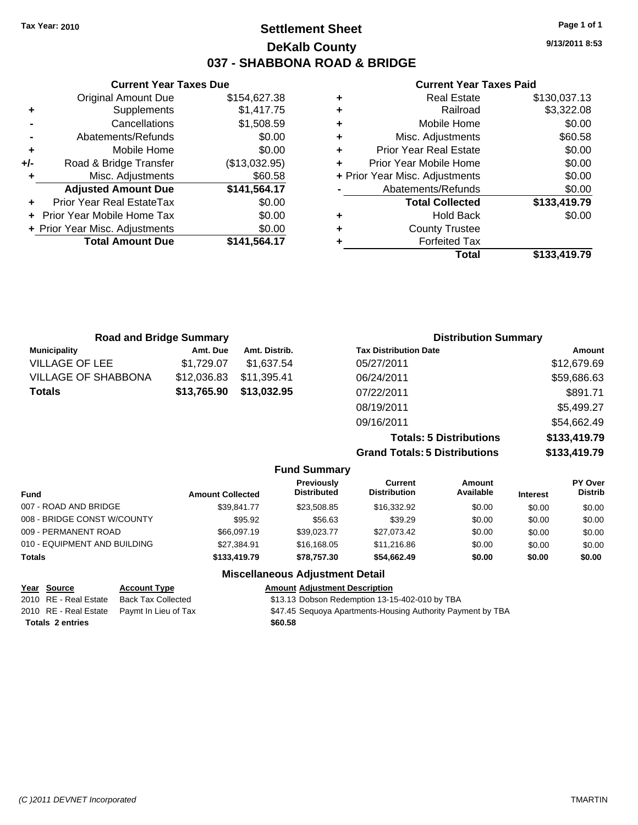**Current Year Taxes Due** Original Amount Due \$154,627.38

**Adjusted Amount Due \$141,564.17**

**Total Amount Due \$141,564.17**

**+** Supplements \$1,417.75 **-** Cancellations \$1,508.59 **-** Abatements/Refunds \$0.00 **+** Mobile Home \$0.00 **+/-** Road & Bridge Transfer (\$13,032.95) **+** Misc. Adjustments \$60.58

**+** Prior Year Real EstateTax \$0.00 **+** Prior Year Mobile Home Tax \$0.00 **+ Prior Year Misc. Adjustments**  $$0.00$ 

## **Settlement Sheet Tax Year: 2010 Page 1 of 1 DeKalb County 037 - SHABBONA ROAD & BRIDGE**

**9/13/2011 8:53**

#### **Current Year Taxes Paid**

| ٠ | <b>Real Estate</b>             | \$130,037.13 |
|---|--------------------------------|--------------|
| ٠ | Railroad                       | \$3,322.08   |
| ٠ | Mobile Home                    | \$0.00       |
| ٠ | Misc. Adjustments              | \$60.58      |
| ÷ | <b>Prior Year Real Estate</b>  | \$0.00       |
| ٠ | Prior Year Mobile Home         | \$0.00       |
|   | + Prior Year Misc. Adjustments | \$0.00       |
|   | Abatements/Refunds             | \$0.00       |
|   | <b>Total Collected</b>         | \$133,419.79 |
| ٠ | <b>Hold Back</b>               | \$0.00       |
| ٠ | <b>County Trustee</b>          |              |
| ٠ | <b>Forfeited Tax</b>           |              |
|   | Total                          | \$133.419.79 |

| <b>Road and Bridge Summary</b> |             |               | <b>Distribution Summary</b>  |             |
|--------------------------------|-------------|---------------|------------------------------|-------------|
| <b>Municipality</b>            | Amt. Due    | Amt. Distrib. | <b>Tax Distribution Date</b> | Amount      |
| <b>VILLAGE OF LEE</b>          | \$1.729.07  | \$1.637.54    | 05/27/2011                   | \$12,679.69 |
| <b>VILLAGE OF SHABBONA</b>     | \$12,036.83 | \$11,395.41   | 06/24/2011                   | \$59,686.63 |
| <b>Totals</b>                  | \$13,765.90 | \$13,032.95   | 07/22/2011                   | \$891.71    |
|                                |             |               | 08/19/2011                   | \$5,499.27  |
|                                |             |               | 09/16/2011                   | \$54,662.49 |

**Totals: 5 Distributions \$133,419.79 Grand Totals: 5 Distributions \$133,419.79**

#### **Fund Summary**

| Fund                         | <b>Amount Collected</b> | <b>Previously</b><br><b>Distributed</b> | Current<br><b>Distribution</b> | Amount<br>Available | <b>Interest</b> | PY Over<br><b>Distrib</b> |
|------------------------------|-------------------------|-----------------------------------------|--------------------------------|---------------------|-----------------|---------------------------|
| 007 - ROAD AND BRIDGE        | \$39.841.77             | \$23,508.85                             | \$16,332.92                    | \$0.00              | \$0.00          | \$0.00                    |
| 008 - BRIDGE CONST W/COUNTY  | \$95.92                 | \$56.63                                 | \$39.29                        | \$0.00              | \$0.00          | \$0.00                    |
| 009 - PERMANENT ROAD         | \$66,097.19             | \$39.023.77                             | \$27.073.42                    | \$0.00              | \$0.00          | \$0.00                    |
| 010 - EQUIPMENT AND BUILDING | \$27,384.91             | \$16,168,05                             | \$11,216.86                    | \$0.00              | \$0.00          | \$0.00                    |
| <b>Totals</b>                | \$133,419.79            | \$78.757.30                             | \$54.662.49                    | \$0.00              | \$0.00          | \$0.00                    |

#### **Miscellaneous Adjustment Detail**

| <u>Year Source</u>      | <b>Account Type</b>                        | <b>Amount Adjustment Description</b>                        |
|-------------------------|--------------------------------------------|-------------------------------------------------------------|
| 2010 RE - Real Estate   | Back Tax Collected                         | \$13.13 Dobson Redemption 13-15-402-010 by TBA              |
|                         | 2010 RE - Real Estate Paymt In Lieu of Tax | \$47.45 Sequoya Apartments-Housing Authority Payment by TBA |
| <b>Totals 2 entries</b> |                                            | \$60.58                                                     |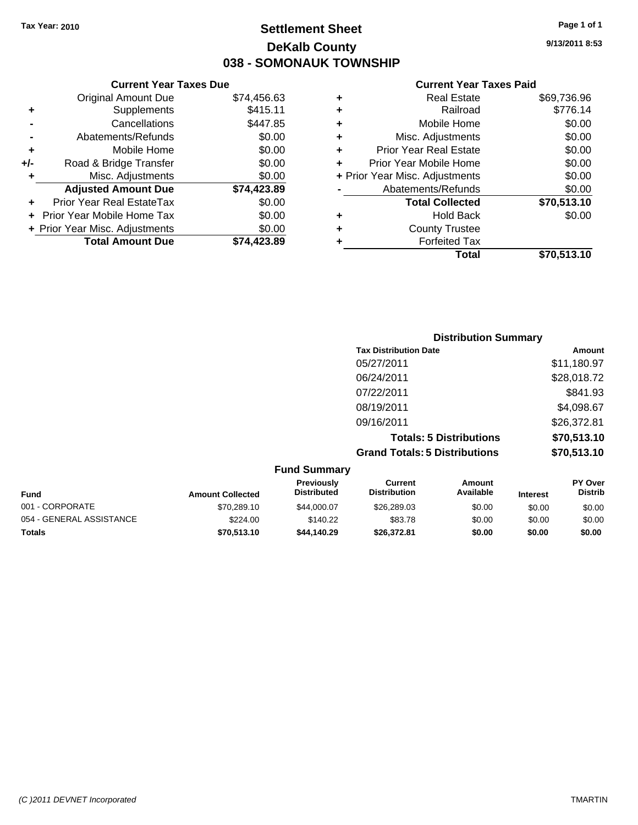## **Settlement Sheet Tax Year: 2010 Page 1 of 1 DeKalb County 038 - SOMONAUK TOWNSHIP**

**9/13/2011 8:53**

#### **Current Year Taxes Paid**

| \$0.00   | ٠ | <b>County Trustee</b>          |             |
|----------|---|--------------------------------|-------------|
| \$0.00   | ٠ | <b>Hold Back</b>               | \$0.00      |
| \$0.00   |   | <b>Total Collected</b>         | \$70,513.10 |
| 23.89    |   | Abatements/Refunds             | \$0.00      |
| \$0.00   |   | + Prior Year Misc. Adjustments | \$0.00      |
| \$0.00   |   | Prior Year Mobile Home         | \$0.00      |
| \$0.00   |   | <b>Prior Year Real Estate</b>  | \$0.00      |
| \$0.00   | ٠ | Misc. Adjustments              | \$0.00      |
| 47.85    | ٠ | Mobile Home                    | \$0.00      |
| $-15.11$ | ٠ | Railroad                       | \$776.14    |
| 56.63    | ٠ | <b>Real Estate</b>             | \$69,736.96 |
|          |   |                                |             |

|     | <b>Current Year Taxes Due</b>  |             |
|-----|--------------------------------|-------------|
|     | <b>Original Amount Due</b>     | \$74,456.63 |
| ٠   | Supplements                    | \$415.11    |
|     | Cancellations                  | \$447.85    |
|     | Abatements/Refunds             | \$0.00      |
| ٠   | Mobile Home                    | \$0.00      |
| +/- | Road & Bridge Transfer         | \$0.00      |
| ٠   | Misc. Adjustments              | \$0.00      |
|     | <b>Adjusted Amount Due</b>     | \$74,423.89 |
|     | Prior Year Real EstateTax      | \$0.00      |
|     | Prior Year Mobile Home Tax     | \$0.00      |
|     | + Prior Year Misc. Adjustments | \$0.00      |
|     | <b>Total Amount Due</b>        | \$74,423.89 |

| <b>Distribution Summary</b>          |             |
|--------------------------------------|-------------|
| <b>Tax Distribution Date</b>         | Amount      |
| 05/27/2011                           | \$11,180.97 |
| 06/24/2011                           | \$28,018.72 |
| 07/22/2011                           | \$841.93    |
| 08/19/2011                           | \$4,098.67  |
| 09/16/2011                           | \$26,372.81 |
| <b>Totals: 5 Distributions</b>       | \$70,513.10 |
| <b>Grand Totals: 5 Distributions</b> | \$70,513.10 |

| <b>Fund Summary</b>      |                         |                                  |                                |                            |                 |                                  |
|--------------------------|-------------------------|----------------------------------|--------------------------------|----------------------------|-----------------|----------------------------------|
| <b>Fund</b>              | <b>Amount Collected</b> | Previously<br><b>Distributed</b> | Current<br><b>Distribution</b> | <b>Amount</b><br>Available | <b>Interest</b> | <b>PY Over</b><br><b>Distrib</b> |
| 001 - CORPORATE          | \$70,289.10             | \$44,000.07                      | \$26,289.03                    | \$0.00                     | \$0.00          | \$0.00                           |
| 054 - GENERAL ASSISTANCE | \$224.00                | \$140.22                         | \$83.78                        | \$0.00                     | \$0.00          | \$0.00                           |
| <b>Totals</b>            | \$70,513.10             | \$44,140.29                      | \$26,372.81                    | \$0.00                     | \$0.00          | \$0.00                           |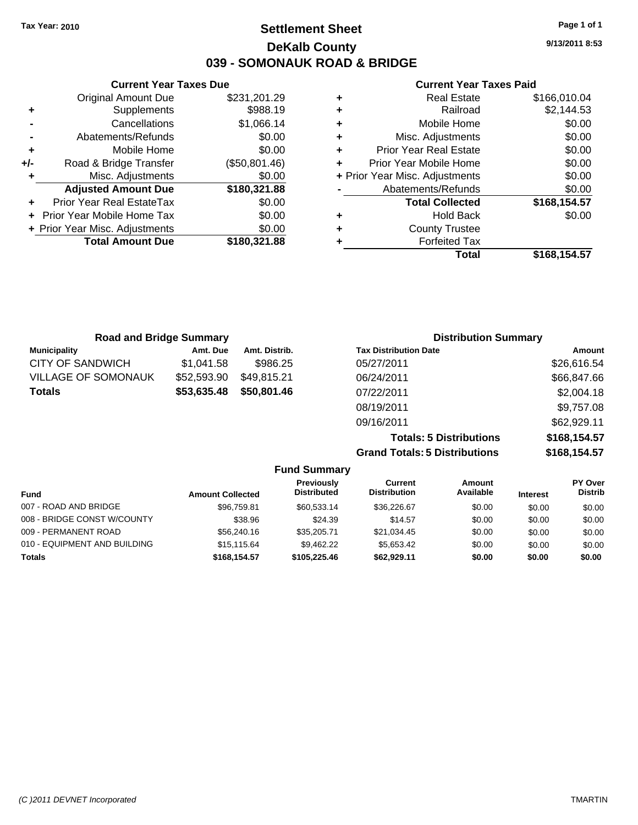**Settlement Sheet Tax Year: 2010 Page 1 of 1 DeKalb County 039 - SOMONAUK ROAD & BRIDGE**

**Current Year Taxes Due** Original Amount Due \$231,201.29 **+** Supplements \$988.19 **-** Cancellations \$1,066.14 **-** Abatements/Refunds \$0.00 **+** Mobile Home \$0.00 **+/-** Road & Bridge Transfer (\$50,801.46) **+** Misc. Adjustments \$0.00 **Adjusted Amount Due \$180,321.88 +** Prior Year Real EstateTax \$0.00 **+** Prior Year Mobile Home Tax \$0.00 **+ Prior Year Misc. Adjustments \$0.00<br>Total Amount Due \$180,321.88 Total Amount Due** 

#### **Current Year Taxes Paid**

|   | Total                          | \$168,154.57 |
|---|--------------------------------|--------------|
| ٠ | <b>Forfeited Tax</b>           |              |
| ٠ | <b>County Trustee</b>          |              |
| ٠ | Hold Back                      | \$0.00       |
|   | <b>Total Collected</b>         | \$168,154.57 |
|   | Abatements/Refunds             | \$0.00       |
|   | + Prior Year Misc. Adjustments | \$0.00       |
| ÷ | Prior Year Mobile Home         | \$0.00       |
| ٠ | <b>Prior Year Real Estate</b>  | \$0.00       |
| ٠ | Misc. Adjustments              | \$0.00       |
| ٠ | Mobile Home                    | \$0.00       |
| ٠ | Railroad                       | \$2,144.53   |
|   | <b>Real Estate</b>             | \$166,010.04 |

| <b>Road and Bridge Summary</b> |             |               | <b>Distribution Summary</b>  |             |
|--------------------------------|-------------|---------------|------------------------------|-------------|
| <b>Municipality</b>            | Amt. Due    | Amt. Distrib. | <b>Tax Distribution Date</b> | Amount      |
| CITY OF SANDWICH               | \$1.041.58  | \$986.25      | 05/27/2011                   | \$26,616.54 |
| <b>VILLAGE OF SOMONAUK</b>     | \$52,593.90 | \$49.815.21   | 06/24/2011                   | \$66,847.66 |
| <b>Totals</b>                  | \$53,635.48 | \$50,801.46   | 07/22/2011                   | \$2,004.18  |
|                                |             |               | 08/19/2011                   | \$9,757.08  |
|                                |             |               | ---------                    | .           |

09/16/2011 \$62,929.11 **Totals: 5 Distributions \$168,154.57 Grand Totals: 5 Distributions \$168,154.57**

| <b>Fund Summary</b>          |                         |                                  |                                |                     |                 |                                  |
|------------------------------|-------------------------|----------------------------------|--------------------------------|---------------------|-----------------|----------------------------------|
| <b>Fund</b>                  | <b>Amount Collected</b> | Previously<br><b>Distributed</b> | Current<br><b>Distribution</b> | Amount<br>Available | <b>Interest</b> | <b>PY Over</b><br><b>Distrib</b> |
| 007 - ROAD AND BRIDGE        | \$96,759.81             | \$60,533.14                      | \$36,226.67                    | \$0.00              | \$0.00          | \$0.00                           |
| 008 - BRIDGE CONST W/COUNTY  | \$38.96                 | \$24.39                          | \$14.57                        | \$0.00              | \$0.00          | \$0.00                           |
| 009 - PERMANENT ROAD         | \$56,240.16             | \$35,205.71                      | \$21.034.45                    | \$0.00              | \$0.00          | \$0.00                           |
| 010 - EQUIPMENT AND BUILDING | \$15,115.64             | \$9.462.22                       | \$5,653.42                     | \$0.00              | \$0.00          | \$0.00                           |
| <b>Totals</b>                | \$168,154,57            | \$105,225,46                     | \$62.929.11                    | \$0.00              | \$0.00          | \$0.00                           |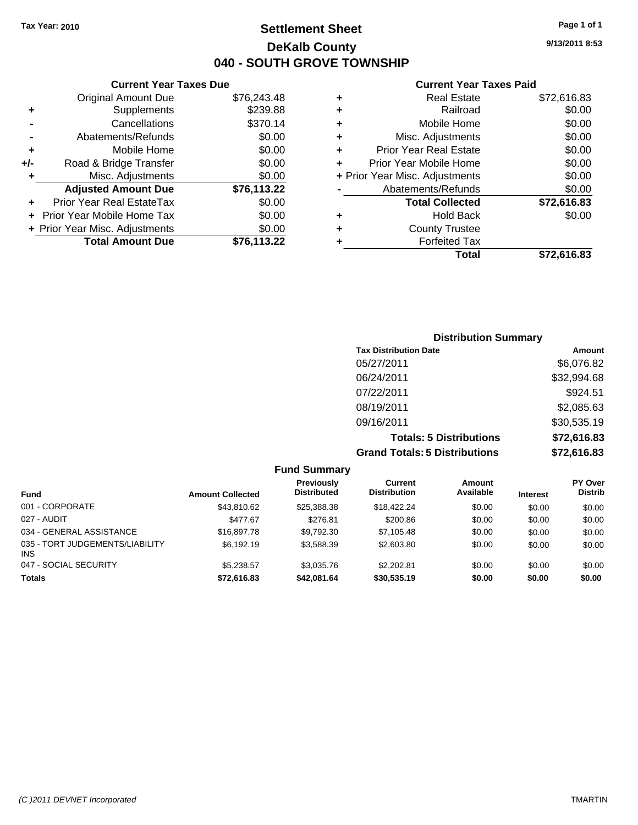**Current Year Taxes Due** Original Amount Due \$76,243.48

**Adjusted Amount Due \$76,113.22**

**Total Amount Due \$76,113.22**

**+** Supplements \$239.88 **-** Cancellations \$370.14 **-** Abatements/Refunds \$0.00 **+** Mobile Home \$0.00 **+/-** Road & Bridge Transfer \$0.00 **+** Misc. Adjustments \$0.00

**+** Prior Year Real EstateTax \$0.00 **+** Prior Year Mobile Home Tax \$0.00 **+ Prior Year Misc. Adjustments**  $$0.00$ 

## **Settlement Sheet Tax Year: 2010 Page 1 of 1 DeKalb County 040 - SOUTH GROVE TOWNSHIP**

**9/13/2011 8:53**

#### **Current Year Taxes Paid**

| ٠ | <b>Real Estate</b>             | \$72,616.83 |
|---|--------------------------------|-------------|
| ٠ | Railroad                       | \$0.00      |
| ٠ | Mobile Home                    | \$0.00      |
| ٠ | Misc. Adjustments              | \$0.00      |
| ٠ | <b>Prior Year Real Estate</b>  | \$0.00      |
| ÷ | Prior Year Mobile Home         | \$0.00      |
|   | + Prior Year Misc. Adjustments | \$0.00      |
|   | Abatements/Refunds             | \$0.00      |
|   | <b>Total Collected</b>         | \$72,616.83 |
| ٠ | <b>Hold Back</b>               | \$0.00      |
|   | <b>County Trustee</b>          |             |
|   | <b>Forfeited Tax</b>           |             |
|   | Total                          | \$72.616.83 |

## **Distribution Summary Tax Distribution Date Amount** 05/27/2011 \$6,076.82 06/24/2011 \$32,994.68 07/22/2011 \$924.51 08/19/2011 \$2,085.63 09/16/2011 \$30,535.19 **Totals: 5 Distributions \$72,616.83 Grand Totals: 5 Distributions \$72,616.83**

| <b>Fund Summary</b>                           |                         |                                         |                                |                     |                 |                                  |
|-----------------------------------------------|-------------------------|-----------------------------------------|--------------------------------|---------------------|-----------------|----------------------------------|
| <b>Fund</b>                                   | <b>Amount Collected</b> | <b>Previously</b><br><b>Distributed</b> | Current<br><b>Distribution</b> | Amount<br>Available | <b>Interest</b> | <b>PY Over</b><br><b>Distrib</b> |
| 001 - CORPORATE                               | \$43,810.62             | \$25,388,38                             | \$18,422.24                    | \$0.00              | \$0.00          | \$0.00                           |
| 027 - AUDIT                                   | \$477.67                | \$276.81                                | \$200.86                       | \$0.00              | \$0.00          | \$0.00                           |
| 034 - GENERAL ASSISTANCE                      | \$16,897.78             | \$9,792.30                              | \$7,105.48                     | \$0.00              | \$0.00          | \$0.00                           |
| 035 - TORT JUDGEMENTS/LIABILITY<br><b>INS</b> | \$6,192.19              | \$3,588.39                              | \$2,603.80                     | \$0.00              | \$0.00          | \$0.00                           |
| 047 - SOCIAL SECURITY                         | \$5.238.57              | \$3,035.76                              | \$2,202.81                     | \$0.00              | \$0.00          | \$0.00                           |
| <b>Totals</b>                                 | \$72,616.83             | \$42,081.64                             | \$30,535.19                    | \$0.00              | \$0.00          | \$0.00                           |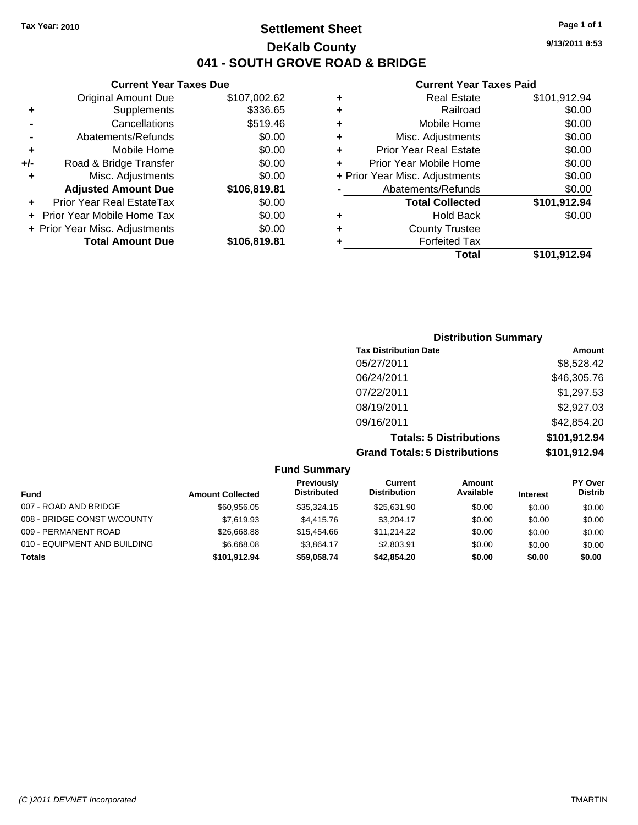## **Settlement Sheet Tax Year: 2010 Page 1 of 1 DeKalb County 041 - SOUTH GROVE ROAD & BRIDGE**

#### **Current Year Taxes Due**

|     | <b>Original Amount Due</b>     | \$107,002.62 |
|-----|--------------------------------|--------------|
| ٠   | Supplements                    | \$336.65     |
|     | Cancellations                  | \$519.46     |
|     | Abatements/Refunds             | \$0.00       |
| ٠   | Mobile Home                    | \$0.00       |
| +/- | Road & Bridge Transfer         | \$0.00       |
| ٠   | Misc. Adjustments              | \$0.00       |
|     |                                |              |
|     | <b>Adjusted Amount Due</b>     | \$106,819.81 |
|     | Prior Year Real EstateTax      | \$0.00       |
|     | Prior Year Mobile Home Tax     | \$0.00       |
|     | + Prior Year Misc. Adjustments | \$0.00       |
|     | <b>Total Amount Due</b>        | \$106,819.81 |

#### **Current Year Taxes Paid**

|   | <b>Real Estate</b>             | \$101,912.94 |
|---|--------------------------------|--------------|
| ٠ | Railroad                       | \$0.00       |
| ٠ | Mobile Home                    | \$0.00       |
| ٠ | Misc. Adjustments              | \$0.00       |
| ٠ | Prior Year Real Estate         | \$0.00       |
|   | Prior Year Mobile Home         | \$0.00       |
|   | + Prior Year Misc. Adjustments | \$0.00       |
|   | Abatements/Refunds             | \$0.00       |
|   | <b>Total Collected</b>         | \$101,912.94 |
| ٠ | <b>Hold Back</b>               | \$0.00       |
| ٠ | <b>County Trustee</b>          |              |
| ٠ | <b>Forfeited Tax</b>           |              |
|   | Total                          | \$101,912.94 |
|   |                                |              |

## **Distribution Summary Tax Distribution Date Amount** 05/27/2011 \$8,528.42 06/24/2011 \$46,305.76 07/22/2011 \$1,297.53 08/19/2011 \$2,927.03 09/16/2011 \$42,854.20 **Totals: 5 Distributions \$101,912.94 Grand Totals: 5 Distributions \$101,912.94**

#### **Fund Summary Fund Interest Amount Collected Distributed PY Over Distrib Amount Available Current Distribution Previously** 007 - ROAD AND BRIDGE 60.00 \$60,956.05 \$35,324.15 \$25,631.90 \$0.00 \$0.00 \$0.00 \$0.00 008 - BRIDGE CONST W/COUNTY  $$7,619.93$   $$4,415.76$   $$3,204.17$   $$0.00$   $$0.00$   $$0.00$ 009 - PERMANENT ROAD \$26,668.88 \$15,454.66 \$11,214.22 \$0.00 \$0.00 \$0.00 010 - EQUIPMENT AND BUILDING \$6,668.08 \$3,864.17 \$2,803.91 \$0.00 \$0.00 \$0.00 **Totals \$101,912.94 \$59,058.74 \$42,854.20 \$0.00 \$0.00 \$0.00**

**9/13/2011 8:53**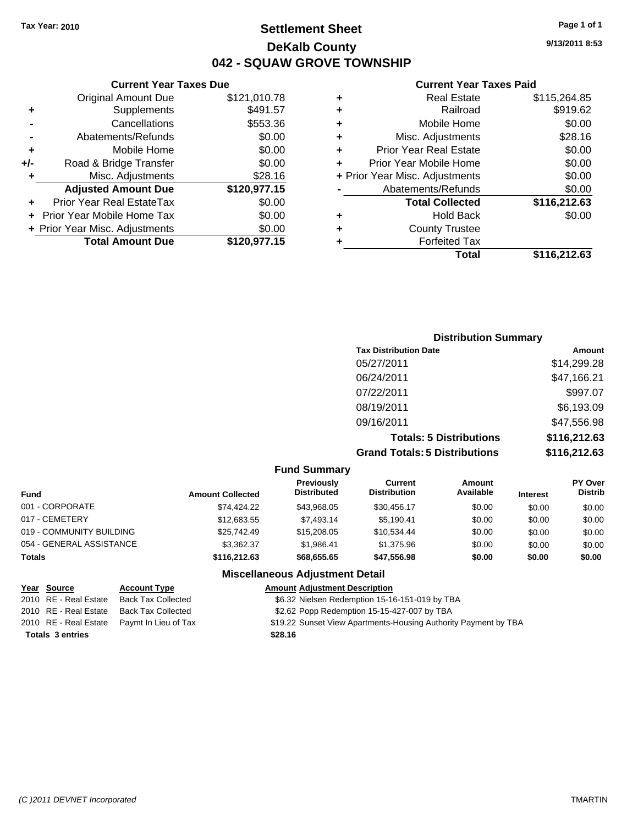## **Settlement Sheet Tax Year: 2010 Page 1 of 1 DeKalb County 042 - SQUAW GROVE TOWNSHIP**

**Current Year Taxes Due**

|     | <b>Original Amount Due</b>       | \$121,010.78 |
|-----|----------------------------------|--------------|
| ٠   | Supplements                      | \$491.57     |
|     | Cancellations                    | \$553.36     |
|     | Abatements/Refunds               | \$0.00       |
| ٠   | Mobile Home                      | \$0.00       |
| +/- | Road & Bridge Transfer           | \$0.00       |
| ٠   | Misc. Adjustments                | \$28.16      |
|     | <b>Adjusted Amount Due</b>       | \$120,977.15 |
|     | <b>Prior Year Real EstateTax</b> | \$0.00       |
|     | Prior Year Mobile Home Tax       | \$0.00       |
|     | + Prior Year Misc. Adjustments   | \$0.00       |
|     | <b>Total Amount Due</b>          | \$120,977.15 |
|     |                                  |              |

#### **Current Year Taxes Paid**

| <b>Real Estate</b>             | \$115,264.85 |
|--------------------------------|--------------|
| Railroad                       | \$919.62     |
| Mobile Home                    | \$0.00       |
| Misc. Adjustments              | \$28.16      |
| <b>Prior Year Real Estate</b>  | \$0.00       |
| Prior Year Mobile Home         | \$0.00       |
| + Prior Year Misc. Adjustments | \$0.00       |
| Abatements/Refunds             | \$0.00       |
| <b>Total Collected</b>         | \$116,212.63 |
| <b>Hold Back</b>               | \$0.00       |
| <b>County Trustee</b>          |              |
| <b>Forfeited Tax</b>           |              |
| Total                          | \$116,212.63 |
|                                |              |

| <b>Distribution Summary</b>          |              |
|--------------------------------------|--------------|
| <b>Tax Distribution Date</b>         | Amount       |
| 05/27/2011                           | \$14,299.28  |
| 06/24/2011                           | \$47,166.21  |
| 07/22/2011                           | \$997.07     |
| 08/19/2011                           | \$6,193.09   |
| 09/16/2011                           | \$47,556.98  |
| <b>Totals: 5 Distributions</b>       | \$116,212.63 |
| <b>Grand Totals: 5 Distributions</b> | \$116,212.63 |

#### **Fund Summary**

| <b>Fund</b>              | <b>Amount Collected</b> | Previously<br><b>Distributed</b> | Current<br><b>Distribution</b> | Amount<br>Available | <b>Interest</b> | <b>PY Over</b><br><b>Distrib</b> |
|--------------------------|-------------------------|----------------------------------|--------------------------------|---------------------|-----------------|----------------------------------|
| 001 - CORPORATE          | \$74,424.22             | \$43.968.05                      | \$30.456.17                    | \$0.00              | \$0.00          | \$0.00                           |
| 017 - CEMETERY           | \$12,683.55             | \$7.493.14                       | \$5,190.41                     | \$0.00              | \$0.00          | \$0.00                           |
| 019 - COMMUNITY BUILDING | \$25,742.49             | \$15,208,05                      | \$10.534.44                    | \$0.00              | \$0.00          | \$0.00                           |
| 054 - GENERAL ASSISTANCE | \$3.362.37              | \$1.986.41                       | \$1,375.96                     | \$0.00              | \$0.00          | \$0.00                           |
| <b>Totals</b>            | \$116,212,63            | \$68,655,65                      | \$47,556.98                    | \$0.00              | \$0.00          | \$0.00                           |

### **Miscellaneous Adjustment Detail**

|                         | Year Source           | <b>Account Type</b>                        | <b>Amount Adjustment Description</b>                            |
|-------------------------|-----------------------|--------------------------------------------|-----------------------------------------------------------------|
|                         | 2010 RE - Real Estate | Back Tax Collected                         | \$6.32 Nielsen Redemption 15-16-151-019 by TBA                  |
|                         |                       | 2010 RE - Real Estate Back Tax Collected   | \$2.62 Popp Redemption 15-15-427-007 by TBA                     |
|                         |                       | 2010 RE - Real Estate Paymt In Lieu of Tax | \$19.22 Sunset View Apartments-Housing Authority Payment by TBA |
| <b>Totals 3 entries</b> |                       |                                            | \$28.16                                                         |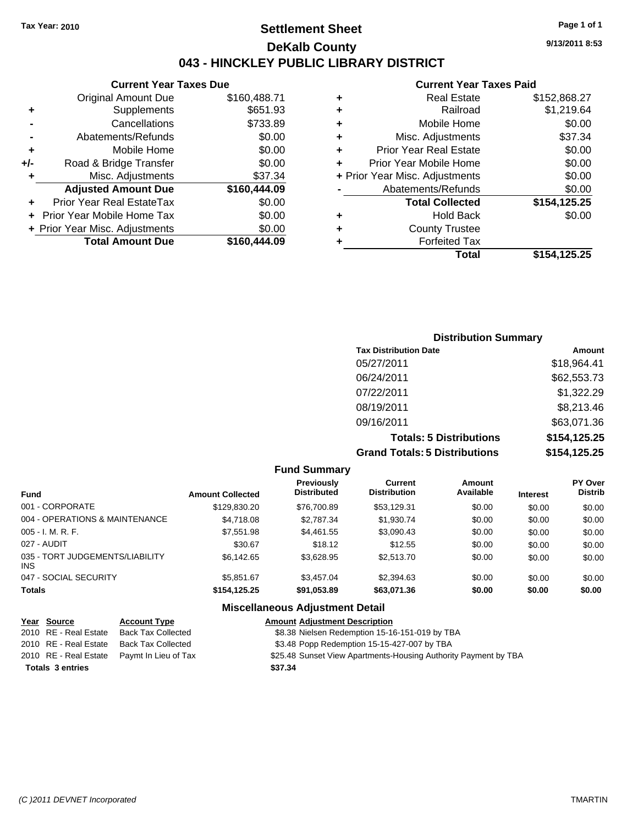## **Settlement Sheet Tax Year: 2010 Page 1 of 1 DeKalb County 043 - HINCKLEY PUBLIC LIBRARY DISTRICT**

**Current Year Taxes Due**

|       | <b>Original Amount Due</b>        | \$160,488.71 |
|-------|-----------------------------------|--------------|
| ٠     | Supplements                       | \$651.93     |
|       | Cancellations                     | \$733.89     |
|       | Abatements/Refunds                | \$0.00       |
| ÷     | Mobile Home                       | \$0.00       |
| $+/-$ | Road & Bridge Transfer            | \$0.00       |
| ٠     | Misc. Adjustments                 | \$37.34      |
|       | <b>Adjusted Amount Due</b>        | \$160,444.09 |
|       | Prior Year Real EstateTax         | \$0.00       |
|       | <b>Prior Year Mobile Home Tax</b> | \$0.00       |
|       | + Prior Year Misc. Adjustments    | \$0.00       |
|       | <b>Total Amount Due</b>           | \$160,444.09 |
|       |                                   |              |

#### **Current Year Taxes Paid**

| ٠ | <b>Real Estate</b>             | \$152,868.27 |
|---|--------------------------------|--------------|
| ٠ | Railroad                       | \$1,219.64   |
| ٠ | Mobile Home                    | \$0.00       |
| ٠ | Misc. Adjustments              | \$37.34      |
| ÷ | <b>Prior Year Real Estate</b>  | \$0.00       |
| ٠ | Prior Year Mobile Home         | \$0.00       |
|   | + Prior Year Misc. Adjustments | \$0.00       |
|   | Abatements/Refunds             | \$0.00       |
|   | <b>Total Collected</b>         | \$154,125.25 |
| ٠ | <b>Hold Back</b>               | \$0.00       |
| ٠ | <b>County Trustee</b>          |              |
| ٠ | <b>Forfeited Tax</b>           |              |
|   | Total                          | \$154,125.25 |
|   |                                |              |

## **Distribution Summary Tax Distribution Date Amount** 05/27/2011 \$18,964.41 06/24/2011 \$62,553.73 07/22/2011 \$1,322.29 08/19/2011 \$8,213.46 09/16/2011 \$63,071.36 **Totals: 5 Distributions \$154,125.25 Grand Totals: 5 Distributions \$154,125.25**

#### **Fund Summary Fund Interest Amount Collected Distributed PY Over Distrib Amount Available Current Distribution Previously** 001 - CORPORATE \$129,830.20 \$76,700.89 \$53,129.31 \$0.00 \$0.00 \$0.00 004 - OPERATIONS & MAINTENANCE \$4,718.08 \$2,787.34 \$1,930.74 \$0.00 \$0.00 \$0.00 005 - I. M. R. F. \$7,551.98 \$4,461.55 \$3,090.43 \$0.00 \$0.00 \$0.00 027 - AUDIT \$30.67 \$18.12 \$12.55 \$0.00 \$0.00 \$0.00 035 - TORT JUDGEMENTS/LIABILITY INS \$6,142.65 \$3,628.95 \$2,513.70 \$0.00 \$0.00 \$0.00 047 - SOCIAL SECURITY \$5,851.67 \$3,457.04 \$2,394.63 \$0.00 \$0.00 \$0.00 **Totals \$154,125.25 \$91,053.89 \$63,071.36 \$0.00 \$0.00 \$0.00 Miscellaneous Adjustment Detail**

| Year Source             | <b>Account Type</b>                        | <b>Amount Adjustment Description</b>                            |
|-------------------------|--------------------------------------------|-----------------------------------------------------------------|
| 2010 RE - Real Estate   | <b>Back Tax Collected</b>                  | \$8.38 Nielsen Redemption 15-16-151-019 by TBA                  |
| 2010 RE - Real Estate   | <b>Back Tax Collected</b>                  | \$3.48 Popp Redemption 15-15-427-007 by TBA                     |
|                         | 2010 RE - Real Estate Paymt In Lieu of Tax | \$25.48 Sunset View Apartments-Housing Authority Payment by TBA |
| <b>Totals 3 entries</b> |                                            | \$37.34                                                         |

**9/13/2011 8:53**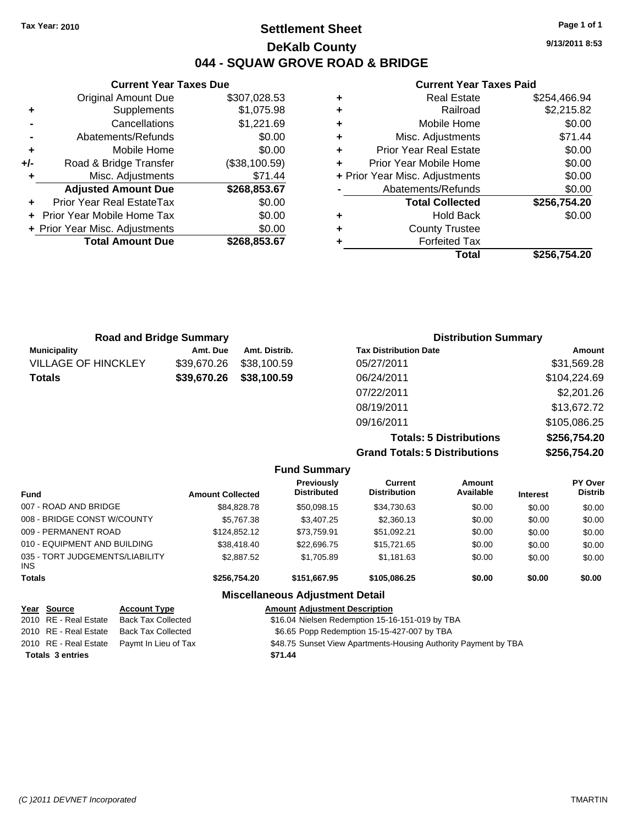**Current Year Taxes Due** Original Amount Due \$307,028.53

**Adjusted Amount Due \$268,853.67**

**Total Amount Due \$268,853.67**

**+** Supplements \$1,075.98 **-** Cancellations \$1,221.69 **-** Abatements/Refunds \$0.00 **+** Mobile Home \$0.00 **+/-** Road & Bridge Transfer (\$38,100.59) **+** Misc. Adjustments \$71.44

**+** Prior Year Real EstateTax \$0.00 **+** Prior Year Mobile Home Tax \$0.00 **+ Prior Year Misc. Adjustments**  $$0.00$ 

## **Settlement Sheet Tax Year: 2010 Page 1 of 1 DeKalb County 044 - SQUAW GROVE ROAD & BRIDGE**

**9/13/2011 8:53**

#### **Current Year Taxes Paid**

|   | Total                          | \$256,754.20 |
|---|--------------------------------|--------------|
|   | <b>Forfeited Tax</b>           |              |
| ٠ | <b>County Trustee</b>          |              |
| ٠ | <b>Hold Back</b>               | \$0.00       |
|   | <b>Total Collected</b>         | \$256,754.20 |
|   | Abatements/Refunds             | \$0.00       |
|   | + Prior Year Misc. Adjustments | \$0.00       |
|   | Prior Year Mobile Home         | \$0.00       |
| ٠ | <b>Prior Year Real Estate</b>  | \$0.00       |
| ٠ | Misc. Adjustments              | \$71.44      |
| ٠ | Mobile Home                    | \$0.00       |
| ٠ | Railroad                       | \$2,215.82   |
| ٠ | <b>Real Estate</b>             | \$254,466.94 |
|   |                                |              |

|                            | <b>Road and Bridge Summary</b> |                         | <b>Distribution Summary</b>  |              |
|----------------------------|--------------------------------|-------------------------|------------------------------|--------------|
| <b>Municipality</b>        | Amt. Due                       | Amt. Distrib.           | <b>Tax Distribution Date</b> | Amount       |
| <b>VILLAGE OF HINCKLEY</b> |                                | \$39,670.26 \$38,100.59 | 05/27/2011                   | \$31,569.28  |
| <b>Totals</b>              |                                | \$39,670.26 \$38,100.59 | 06/24/2011                   | \$104,224.69 |
|                            |                                |                         | 07/22/2011                   | \$2,201.26   |

| <b>Grand Totals: 5 Distributions</b> | \$256,754.20 |
|--------------------------------------|--------------|
| <b>Totals: 5 Distributions</b>       | \$256,754.20 |
| 09/16/2011                           | \$105,086.25 |
| 08/19/2011                           | \$13,672.72  |
| 07/22/2011                           | \$2,201.26   |
|                                      |              |

|  |  |  | <b>Fund Summary</b> |
|--|--|--|---------------------|
|--|--|--|---------------------|

| <b>PY Over</b><br><b>Distrib</b> |
|----------------------------------|
| \$0.00                           |
| \$0.00                           |
| \$0.00                           |
| \$0.00                           |
| \$0.00                           |
| \$0.00                           |
|                                  |

#### **Miscellaneous Adjustment Detail**

| Year Source             | <b>Account Type</b>                        | <b>Amount Adjustment Description</b>                            |
|-------------------------|--------------------------------------------|-----------------------------------------------------------------|
| 2010 RE - Real Estate   | Back Tax Collected                         | \$16.04 Nielsen Redemption 15-16-151-019 by TBA                 |
| 2010 RE - Real Estate   | Back Tax Collected                         | \$6.65 Popp Redemption 15-15-427-007 by TBA                     |
|                         | 2010 RE - Real Estate Paymt In Lieu of Tax | \$48.75 Sunset View Apartments-Housing Authority Payment by TBA |
| <b>Totals 3 entries</b> |                                            | \$71.44                                                         |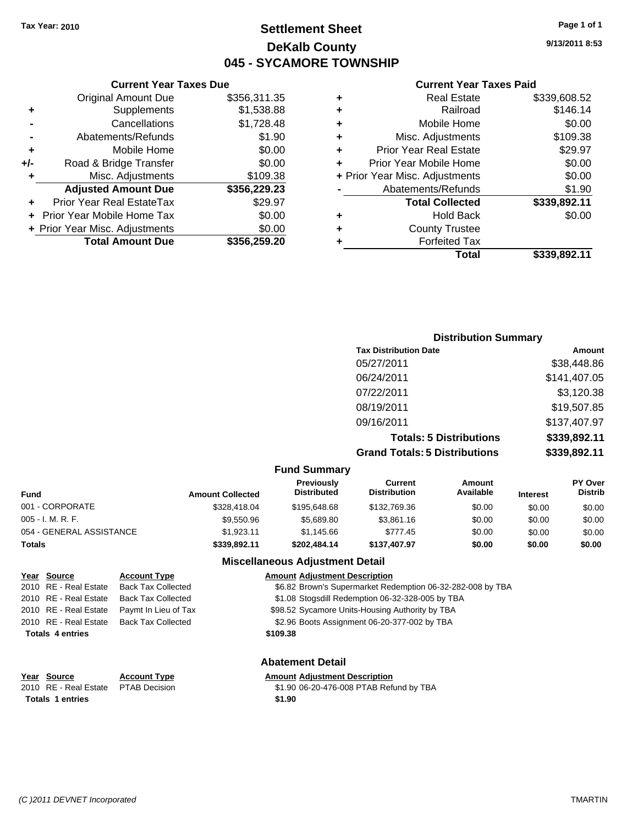## **Settlement Sheet Tax Year: 2010 Page 1 of 1 DeKalb County 045 - SYCAMORE TOWNSHIP**

### **Current Year Taxes Due**

|     | <b>Original Amount Due</b>     | \$356,311.35 |
|-----|--------------------------------|--------------|
| ٠   | Supplements                    | \$1,538.88   |
|     | Cancellations                  | \$1,728.48   |
|     | Abatements/Refunds             | \$1.90       |
| ٠   | Mobile Home                    | \$0.00       |
| +/- | Road & Bridge Transfer         | \$0.00       |
| ٠   | Misc. Adjustments              | \$109.38     |
|     | <b>Adjusted Amount Due</b>     | \$356,229.23 |
|     | Prior Year Real EstateTax      | \$29.97      |
|     | Prior Year Mobile Home Tax     | \$0.00       |
|     | + Prior Year Misc. Adjustments | \$0.00       |
|     | <b>Total Amount Due</b>        | \$356,259.20 |

#### **Current Year Taxes Paid**

|   | <b>Real Estate</b>             | \$339,608.52 |
|---|--------------------------------|--------------|
| ٠ | Railroad                       | \$146.14     |
| ٠ | Mobile Home                    | \$0.00       |
| ٠ | Misc. Adjustments              | \$109.38     |
| ٠ | <b>Prior Year Real Estate</b>  | \$29.97      |
|   | Prior Year Mobile Home         | \$0.00       |
|   | + Prior Year Misc. Adjustments | \$0.00       |
|   | Abatements/Refunds             | \$1.90       |
|   | <b>Total Collected</b>         | \$339,892.11 |
| ٠ | <b>Hold Back</b>               | \$0.00       |
| ٠ | <b>County Trustee</b>          |              |
| ٠ | <b>Forfeited Tax</b>           |              |
|   | Total                          | \$339,892.11 |
|   |                                |              |

| <b>Distribution Summary</b>          |              |
|--------------------------------------|--------------|
| <b>Tax Distribution Date</b>         | Amount       |
| 05/27/2011                           | \$38,448.86  |
| 06/24/2011                           | \$141,407.05 |
| 07/22/2011                           | \$3,120.38   |
| 08/19/2011                           | \$19,507.85  |
| 09/16/2011                           | \$137,407.97 |
| <b>Totals: 5 Distributions</b>       | \$339,892.11 |
| <b>Grand Totals: 5 Distributions</b> | \$339,892.11 |

#### **Fund Summary**

| <b>Amount Collected</b> | <b>Previously</b><br><b>Distributed</b> | Current<br><b>Distribution</b> | Amount<br>Available | <b>Interest</b> | <b>PY Over</b><br><b>Distrib</b> |
|-------------------------|-----------------------------------------|--------------------------------|---------------------|-----------------|----------------------------------|
| \$328,418.04            | \$195,648,68                            | \$132,769.36                   | \$0.00              | \$0.00          | \$0.00                           |
| \$9,550.96              | \$5,689.80                              | \$3,861.16                     | \$0.00              | \$0.00          | \$0.00                           |
| \$1.923.11              | \$1,145.66                              | \$777.45                       | \$0.00              | \$0.00          | \$0.00                           |
| \$339,892.11            | \$202,484.14                            | \$137,407.97                   | \$0.00              | \$0.00          | \$0.00                           |
|                         |                                         |                                |                     |                 |                                  |

#### **Miscellaneous Adjustment Detail**

| Year Source             | <b>Account Type</b>       | <b>Amount Adjustment Description</b>                       |
|-------------------------|---------------------------|------------------------------------------------------------|
| 2010 RE - Real Estate   | <b>Back Tax Collected</b> | \$6.82 Brown's Supermarket Redemption 06-32-282-008 by TBA |
| 2010 RE - Real Estate   | <b>Back Tax Collected</b> | \$1.08 Stogsdill Redemption 06-32-328-005 by TBA           |
| 2010 RE - Real Estate   | Paymt In Lieu of Tax      | \$98.52 Sycamore Units-Housing Authority by TBA            |
| 2010 RE - Real Estate   | <b>Back Tax Collected</b> | \$2.96 Boots Assignment 06-20-377-002 by TBA               |
| <b>Totals 4 entries</b> |                           | \$109.38                                                   |
|                         |                           | <b>Abatement Detail</b>                                    |
| Year Source             | <b>Account Type</b>       | <b>Amount Adjustment Description</b>                       |
| 2010 RE - Real Estate   | <b>PTAB Decision</b>      | \$1.90 06-20-476-008 PTAB Refund by TBA                    |

**Totals 1 entries** \$1.90

**9/13/2011 8:53**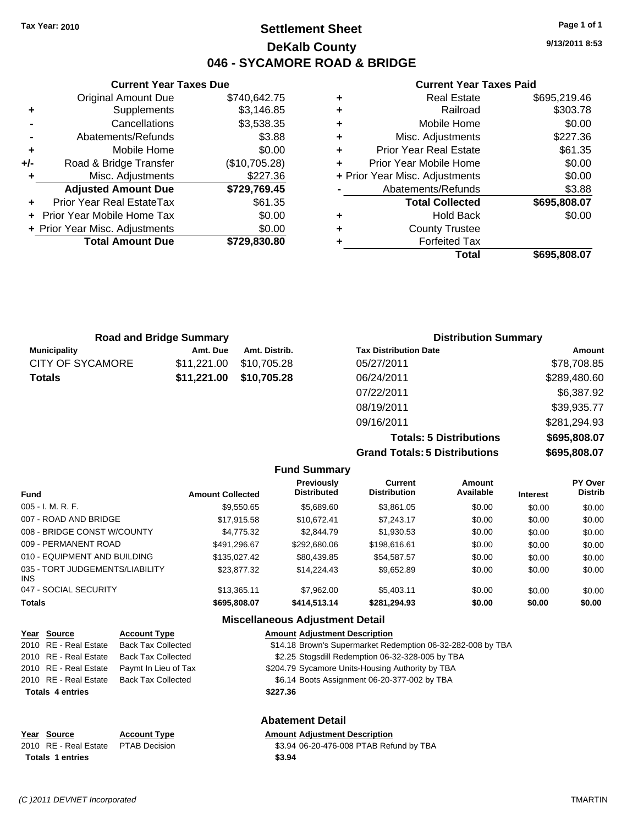**Current Year Taxes Due** Original Amount Due \$740,642.75

**Adjusted Amount Due \$729,769.45**

**Total Amount Due \$729,830.80**

**+** Supplements \$3,146.85 **-** Cancellations \$3,538.35 **-** Abatements/Refunds \$3.88 **+** Mobile Home \$0.00 **+/-** Road & Bridge Transfer (\$10,705.28) **+** Misc. Adjustments \$227.36

**+** Prior Year Real EstateTax \$61.35 **+** Prior Year Mobile Home Tax \$0.00 **+ Prior Year Misc. Adjustments**  $$0.00$ 

## **Settlement Sheet Tax Year: 2010 Page 1 of 1 DeKalb County 046 - SYCAMORE ROAD & BRIDGE**

**9/13/2011 8:53**

#### **Current Year Taxes Paid**

| ٠ | <b>Real Estate</b>             | \$695,219.46 |
|---|--------------------------------|--------------|
| ٠ | Railroad                       | \$303.78     |
| ٠ | Mobile Home                    | \$0.00       |
| ٠ | Misc. Adjustments              | \$227.36     |
| ÷ | <b>Prior Year Real Estate</b>  | \$61.35      |
| ÷ | Prior Year Mobile Home         | \$0.00       |
|   | + Prior Year Misc. Adjustments | \$0.00       |
|   | Abatements/Refunds             | \$3.88       |
|   | <b>Total Collected</b>         | \$695,808.07 |
| ٠ | Hold Back                      | \$0.00       |
| ÷ | <b>County Trustee</b>          |              |
| ٠ | <b>Forfeited Tax</b>           |              |
|   | Total                          | \$695,808.07 |

| <b>Road and Bridge Summary</b> |             |               | <b>Distribution Summary</b>  |              |
|--------------------------------|-------------|---------------|------------------------------|--------------|
| <b>Municipality</b>            | Amt. Due    | Amt. Distrib. | <b>Tax Distribution Date</b> | Amount       |
| CITY OF SYCAMORE               | \$11,221.00 | \$10,705.28   | 05/27/2011                   | \$78,708.85  |
| <b>Totals</b>                  | \$11,221.00 | \$10,705.28   | 06/24/2011                   | \$289,480.60 |
|                                |             |               | 07/22/2011                   | \$6,387.92   |
|                                |             |               | 08/19/2011                   | \$39,935.77  |

**Totals: 5 Distributions \$695,808.07 Grand Totals: 5 Distributions \$695,808.07**

09/16/2011 \$281,294.93

06-32-282-008 by TBA

|                                        |                         | <b>Fund Summary</b>              |                                       |                     |                 |                           |
|----------------------------------------|-------------------------|----------------------------------|---------------------------------------|---------------------|-----------------|---------------------------|
| <b>Fund</b>                            | <b>Amount Collected</b> | Previously<br><b>Distributed</b> | <b>Current</b><br><b>Distribution</b> | Amount<br>Available | <b>Interest</b> | PY Over<br><b>Distrib</b> |
| $005 - I. M. R. F.$                    | \$9.550.65              | \$5,689.60                       | \$3.861.05                            | \$0.00              | \$0.00          | \$0.00                    |
| 007 - ROAD AND BRIDGE                  | \$17.915.58             | \$10.672.41                      | \$7.243.17                            | \$0.00              | \$0.00          | \$0.00                    |
| 008 - BRIDGE CONST W/COUNTY            | \$4,775.32              | \$2,844.79                       | \$1.930.53                            | \$0.00              | \$0.00          | \$0.00                    |
| 009 - PERMANENT ROAD                   | \$491.296.67            | \$292,680,06                     | \$198,616,61                          | \$0.00              | \$0.00          | \$0.00                    |
| 010 - EQUIPMENT AND BUILDING           | \$135,027.42            | \$80.439.85                      | \$54,587.57                           | \$0.00              | \$0.00          | \$0.00                    |
| 035 - TORT JUDGEMENTS/LIABILITY<br>INS | \$23.877.32             | \$14.224.43                      | \$9.652.89                            | \$0.00              | \$0.00          | \$0.00                    |
| 047 - SOCIAL SECURITY                  | \$13,365.11             | \$7,962.00                       | \$5.403.11                            | \$0.00              | \$0.00          | \$0.00                    |
| <b>Totals</b>                          | \$695,808.07            | \$414,513.14                     | \$281,294.93                          | \$0.00              | \$0.00          | \$0.00                    |
|                                        |                         |                                  |                                       |                     |                 |                           |

#### **Miscellaneous Adjustment Detail**

| Year Source             | <b>Account Type</b>       | <b>Amount Adjustment Description</b>             |
|-------------------------|---------------------------|--------------------------------------------------|
| 2010 RE - Real Estate   | <b>Back Tax Collected</b> | \$14.18 Brown's Supermarket Redemption 06-32-282 |
| 2010 RE - Real Estate   | <b>Back Tax Collected</b> | \$2.25 Stogsdill Redemption 06-32-328-005 by TBA |
| 2010 RE - Real Estate   | Paymt In Lieu of Tax      | \$204.79 Sycamore Units-Housing Authority by TBA |
| 2010 RE - Real Estate   | <b>Back Tax Collected</b> | \$6.14 Boots Assignment 06-20-377-002 by TBA     |
| <b>Totals 4 entries</b> |                           | \$227.36                                         |
|                         |                           |                                                  |
|                         |                           |                                                  |

#### **Abatement Detail**

#### **Year Source Account Type Amount Adjustment Description**

2010 RE - Real Estate \$3.94 06-20-476-008 PTAB Refund by TBA PTAB Decision **Totals \$3.94 1 entries**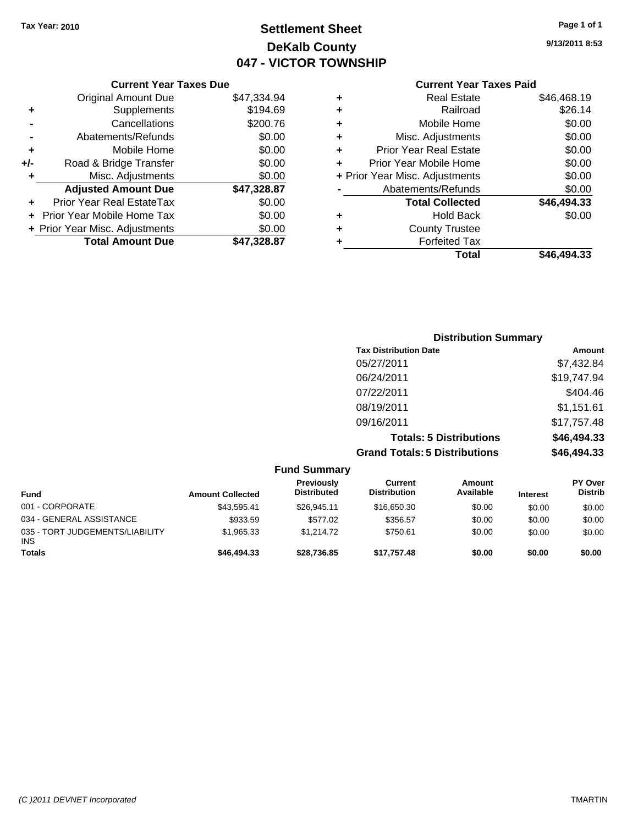## **Settlement Sheet Tax Year: 2010 Page 1 of 1 DeKalb County 047 - VICTOR TOWNSHIP**

**9/13/2011 8:53**

### **Current Year Taxes Paid**

|   | <b>Forfeited Tax</b><br>Total  | \$46.494.33 |
|---|--------------------------------|-------------|
| ٠ | <b>County Trustee</b>          |             |
| ٠ | <b>Hold Back</b>               | \$0.00      |
|   | <b>Total Collected</b>         | \$46,494.33 |
|   | Abatements/Refunds             | \$0.00      |
|   | + Prior Year Misc. Adjustments | \$0.00      |
| ÷ | Prior Year Mobile Home         | \$0.00      |
| ٠ | <b>Prior Year Real Estate</b>  | \$0.00      |
| ٠ | Misc. Adjustments              | \$0.00      |
| ٠ | Mobile Home                    | \$0.00      |
| ٠ | Railroad                       | \$26.14     |
|   | <b>Real Estate</b>             | \$46,468.19 |

|     | <b>Current Year Taxes Due</b>     |             |
|-----|-----------------------------------|-------------|
|     | <b>Original Amount Due</b>        | \$47,334.94 |
| ٠   | Supplements                       | \$194.69    |
|     | Cancellations                     | \$200.76    |
|     | Abatements/Refunds                | \$0.00      |
| ٠   | Mobile Home                       | \$0.00      |
| +/- | Road & Bridge Transfer            | \$0.00      |
| ٠   | Misc. Adjustments                 | \$0.00      |
|     | <b>Adjusted Amount Due</b>        | \$47,328.87 |
|     | Prior Year Real EstateTax         | \$0.00      |
|     | <b>Prior Year Mobile Home Tax</b> | \$0.00      |
|     | + Prior Year Misc. Adjustments    | \$0.00      |
|     | <b>Total Amount Due</b>           | \$47,328.87 |

| <b>Distribution Summary</b>          |             |
|--------------------------------------|-------------|
| <b>Tax Distribution Date</b>         | Amount      |
| 05/27/2011                           | \$7,432.84  |
| 06/24/2011                           | \$19,747.94 |
| 07/22/2011                           | \$404.46    |
| 08/19/2011                           | \$1,151.61  |
| 09/16/2011                           | \$17,757.48 |
| <b>Totals: 5 Distributions</b>       | \$46,494.33 |
| <b>Grand Totals: 5 Distributions</b> | \$46,494.33 |

|                                               |                         | <b>Fund Summary</b>              |                                |                     |                 |                                  |
|-----------------------------------------------|-------------------------|----------------------------------|--------------------------------|---------------------|-----------------|----------------------------------|
| <b>Fund</b>                                   | <b>Amount Collected</b> | Previously<br><b>Distributed</b> | Current<br><b>Distribution</b> | Amount<br>Available | <b>Interest</b> | <b>PY Over</b><br><b>Distrib</b> |
| 001 - CORPORATE                               | \$43.595.41             | \$26,945.11                      | \$16,650.30                    | \$0.00              | \$0.00          | \$0.00                           |
| 034 - GENERAL ASSISTANCE                      | \$933.59                | \$577.02                         | \$356.57                       | \$0.00              | \$0.00          | \$0.00                           |
| 035 - TORT JUDGEMENTS/LIABILITY<br><b>INS</b> | \$1,965.33              | \$1,214.72                       | \$750.61                       | \$0.00              | \$0.00          | \$0.00                           |
| <b>Totals</b>                                 | \$46,494,33             | \$28.736.85                      | \$17.757.48                    | \$0.00              | \$0.00          | \$0.00                           |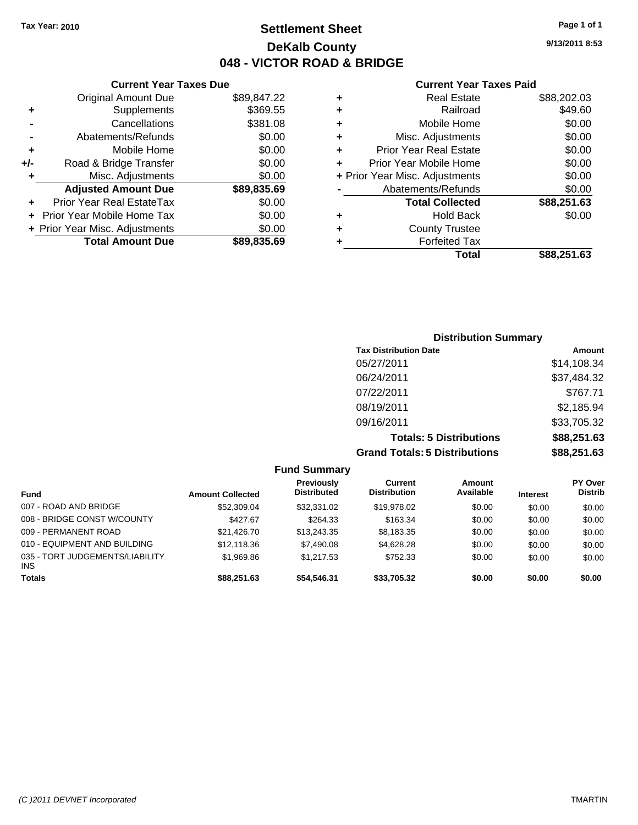## **Settlement Sheet Tax Year: 2010 Page 1 of 1 DeKalb County 048 - VICTOR ROAD & BRIDGE**

**Current Year Taxes Paid**

|   | OUITUR TUUT TUAUS TURU         |             |
|---|--------------------------------|-------------|
| ٠ | <b>Real Estate</b>             | \$88,202.03 |
| ٠ | Railroad                       | \$49.60     |
| ٠ | Mobile Home                    | \$0.00      |
| ٠ | Misc. Adjustments              | \$0.00      |
| ٠ | <b>Prior Year Real Estate</b>  | \$0.00      |
| ٠ | Prior Year Mobile Home         | \$0.00      |
|   | + Prior Year Misc. Adjustments | \$0.00      |
|   | Abatements/Refunds             | \$0.00      |
|   | <b>Total Collected</b>         | \$88,251.63 |
| ٠ | <b>Hold Back</b>               | \$0.00      |
| ÷ | <b>County Trustee</b>          |             |
| ٠ | <b>Forfeited Tax</b>           |             |
|   | Total                          | \$88,251.63 |
|   |                                |             |

|     | <b>Current Year Taxes Due</b>  |             |
|-----|--------------------------------|-------------|
|     | <b>Original Amount Due</b>     | \$89,847.22 |
| ٠   | Supplements                    | \$369.55    |
|     | Cancellations                  | \$381.08    |
|     | Abatements/Refunds             | \$0.00      |
| ٠   | Mobile Home                    | \$0.00      |
| +/- | Road & Bridge Transfer         | \$0.00      |
| ٠   | Misc. Adjustments              | \$0.00      |
|     | <b>Adjusted Amount Due</b>     | \$89,835.69 |
|     | Prior Year Real EstateTax      | \$0.00      |
|     | Prior Year Mobile Home Tax     | \$0.00      |
|     | + Prior Year Misc. Adjustments | \$0.00      |
|     | <b>Total Amount Due</b>        | \$89.835.69 |

| <b>Distribution Summary</b>          |             |
|--------------------------------------|-------------|
| <b>Tax Distribution Date</b>         | Amount      |
| 05/27/2011                           | \$14,108.34 |
| 06/24/2011                           | \$37,484.32 |
| 07/22/2011                           | \$767.71    |
| 08/19/2011                           | \$2,185.94  |
| 09/16/2011                           | \$33,705.32 |
| <b>Totals: 5 Distributions</b>       | \$88,251.63 |
| <b>Grand Totals: 5 Distributions</b> | \$88,251.63 |

|                                         |                         | <b>Fund Summary</b>                     |                                |                     |                 |                                  |
|-----------------------------------------|-------------------------|-----------------------------------------|--------------------------------|---------------------|-----------------|----------------------------------|
| <b>Fund</b>                             | <b>Amount Collected</b> | <b>Previously</b><br><b>Distributed</b> | Current<br><b>Distribution</b> | Amount<br>Available | <b>Interest</b> | <b>PY Over</b><br><b>Distrib</b> |
| 007 - ROAD AND BRIDGE                   | \$52,309.04             | \$32,331.02                             | \$19,978.02                    | \$0.00              | \$0.00          | \$0.00                           |
| 008 - BRIDGE CONST W/COUNTY             | \$427.67                | \$264.33                                | \$163.34                       | \$0.00              | \$0.00          | \$0.00                           |
| 009 - PERMANENT ROAD                    | \$21,426.70             | \$13,243,35                             | \$8,183.35                     | \$0.00              | \$0.00          | \$0.00                           |
| 010 - EQUIPMENT AND BUILDING            | \$12,118.36             | \$7,490.08                              | \$4,628.28                     | \$0.00              | \$0.00          | \$0.00                           |
| 035 - TORT JUDGEMENTS/LIABILITY<br>INS. | \$1,969.86              | \$1,217.53                              | \$752.33                       | \$0.00              | \$0.00          | \$0.00                           |
| <b>Totals</b>                           | \$88,251.63             | \$54,546.31                             | \$33,705.32                    | \$0.00              | \$0.00          | \$0.00                           |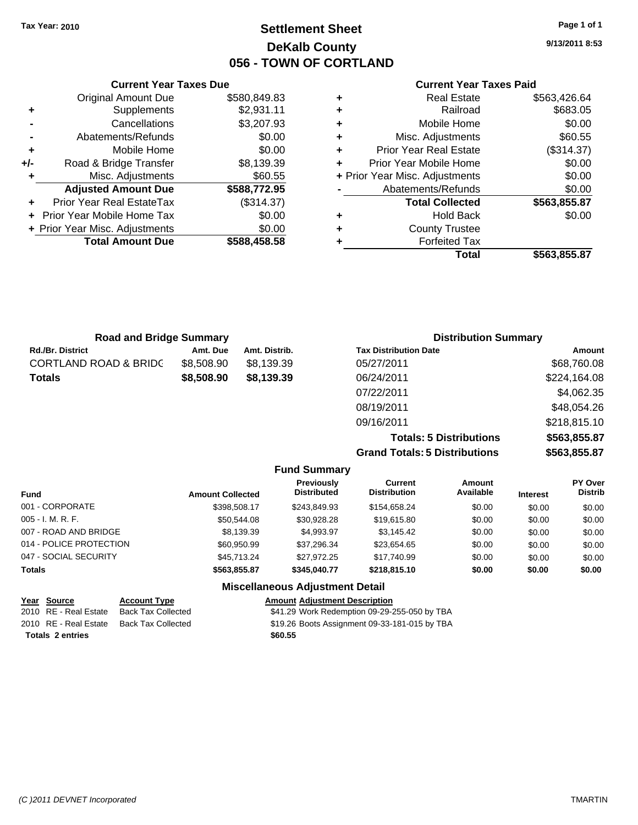## **Settlement Sheet Tax Year: 2010 Page 1 of 1 DeKalb County 056 - TOWN OF CORTLAND**

**9/13/2011 8:53**

#### **Current Year Taxes Paid**

|   | Total                          | \$563,855,87 |
|---|--------------------------------|--------------|
| ٠ | <b>Forfeited Tax</b>           |              |
| ٠ | <b>County Trustee</b>          |              |
| ٠ | <b>Hold Back</b>               | \$0.00       |
|   | <b>Total Collected</b>         | \$563,855.87 |
|   | Abatements/Refunds             | \$0.00       |
|   | + Prior Year Misc. Adjustments | \$0.00       |
| ÷ | Prior Year Mobile Home         | \$0.00       |
| ÷ | <b>Prior Year Real Estate</b>  | (\$314.37)   |
| ÷ | Misc. Adjustments              | \$60.55      |
| ÷ | Mobile Home                    | \$0.00       |
| ٠ | Railroad                       | \$683.05     |
| ٠ | <b>Real Estate</b>             | \$563,426.64 |

| <b>Road and Bridge Summary</b>   |            |               | <b>Distribution Summary</b>  |              |
|----------------------------------|------------|---------------|------------------------------|--------------|
| <b>Rd./Br. District</b>          | Amt. Due   | Amt. Distrib. | <b>Tax Distribution Date</b> | Amount       |
| <b>CORTLAND ROAD &amp; BRIDC</b> | \$8,508.90 | \$8.139.39    | 05/27/2011                   | \$68,760.08  |
| <b>Totals</b>                    | \$8,508.90 | \$8,139.39    | 06/24/2011                   | \$224,164.08 |
|                                  |            |               | 07/22/2011                   | \$4,062.35   |
|                                  |            |               | 08/19/2011                   | \$48,054.26  |

**Totals: 5 Distributions \$563,855.87 Grand Totals: 5 Distributions** 

09/16/2011 \$218,815.10

|  | \$563,855.87 |  |
|--|--------------|--|
|  |              |  |
|  |              |  |
|  |              |  |

|                         |                         | <b>Fund Summary</b>                     |                                |                     |                 |                           |
|-------------------------|-------------------------|-----------------------------------------|--------------------------------|---------------------|-----------------|---------------------------|
| <b>Fund</b>             | <b>Amount Collected</b> | <b>Previously</b><br><b>Distributed</b> | Current<br><b>Distribution</b> | Amount<br>Available | <b>Interest</b> | PY Over<br><b>Distrib</b> |
| 001 - CORPORATE         | \$398,508.17            | \$243,849.93                            | \$154,658.24                   | \$0.00              | \$0.00          | \$0.00                    |
| $005 - I. M. R. F.$     | \$50,544.08             | \$30.928.28                             | \$19,615.80                    | \$0.00              | \$0.00          | \$0.00                    |
| 007 - ROAD AND BRIDGE   | \$8,139.39              | \$4,993.97                              | \$3,145.42                     | \$0.00              | \$0.00          | \$0.00                    |
| 014 - POLICE PROTECTION | \$60,950.99             | \$37.296.34                             | \$23,654.65                    | \$0.00              | \$0.00          | \$0.00                    |
| 047 - SOCIAL SECURITY   | \$45,713,24             | \$27.972.25                             | \$17,740.99                    | \$0.00              | \$0.00          | \$0.00                    |
| <b>Totals</b>           | \$563,855.87            | \$345,040.77                            | \$218,815.10                   | \$0.00              | \$0.00          | \$0.00                    |
|                         |                         | <b>Miscellaneous Adjustment Detail</b>  |                                |                     |                 |                           |

## **Year Source Account Type Amount Adjustment Description**

2010 RE - Real Estate Back Tax Collected \$41.29 Work Redemption 09-29-255-050 by TBA 2010 RE - Real Estate Back Tax Collected \$19.26 Boots Assignment 09-33-181-015 by TBA

**Totals \$60.55 2 entries**

**Current Year Taxes Due** Original Amount Due \$580,849.83

**Adjusted Amount Due \$588,772.95**

**Total Amount Due \$588,458.58**

**+** Supplements \$2,931.11 **-** Cancellations \$3,207.93 **-** Abatements/Refunds \$0.00 **+** Mobile Home \$0.00 **+/-** Road & Bridge Transfer \$8,139.39 **+** Misc. Adjustments \$60.55

**+** Prior Year Real EstateTax (\$314.37) **+** Prior Year Mobile Home Tax \$0.00 **+ Prior Year Misc. Adjustments**  $$0.00$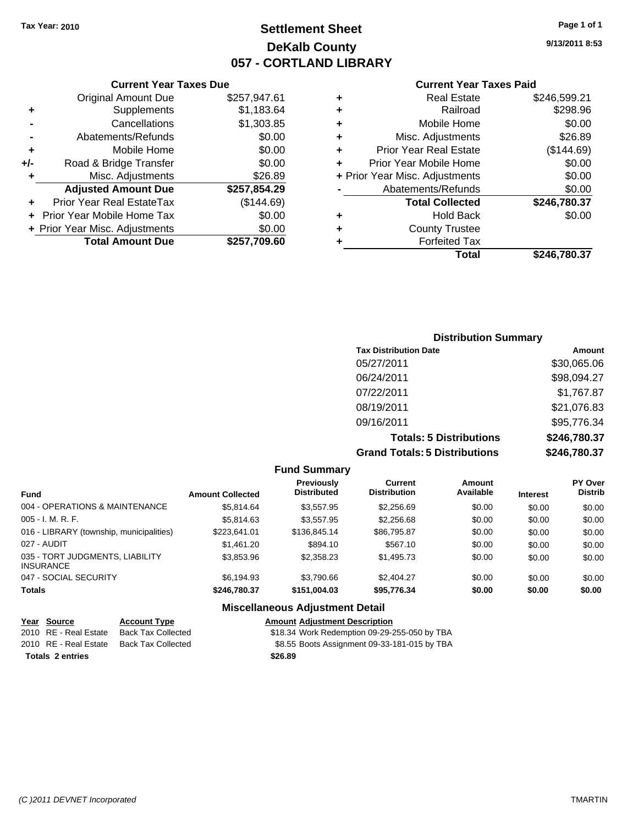## **Settlement Sheet Tax Year: 2010 Page 1 of 1 DeKalb County 057 - CORTLAND LIBRARY**

**9/13/2011 8:53**

#### **Current Year Taxes Paid**

| ٠                              | <b>Real Estate</b>            | \$246,599.21 |
|--------------------------------|-------------------------------|--------------|
| ٠                              | Railroad                      | \$298.96     |
| ٠                              | Mobile Home                   | \$0.00       |
| ٠                              | Misc. Adjustments             | \$26.89      |
| ٠                              | <b>Prior Year Real Estate</b> | (\$144.69)   |
| ÷                              | Prior Year Mobile Home        | \$0.00       |
| + Prior Year Misc. Adjustments |                               | \$0.00       |
|                                | Abatements/Refunds            | \$0.00       |
|                                | <b>Total Collected</b>        | \$246,780.37 |
| ٠                              | <b>Hold Back</b>              | \$0.00       |
| ٠                              | <b>County Trustee</b>         |              |
|                                | <b>Forfeited Tax</b>          |              |
|                                | Total                         | \$246.780.37 |

|     | <b>Current Year Taxes Due</b>  |              |  |  |
|-----|--------------------------------|--------------|--|--|
|     | <b>Original Amount Due</b>     | \$257,947.61 |  |  |
| ٠   | Supplements                    | \$1,183.64   |  |  |
|     | Cancellations                  | \$1,303.85   |  |  |
|     | Abatements/Refunds             | \$0.00       |  |  |
| ٠   | Mobile Home                    | \$0.00       |  |  |
| +/- | Road & Bridge Transfer         | \$0.00       |  |  |
| ٠   | Misc. Adjustments              | \$26.89      |  |  |
|     | <b>Adjusted Amount Due</b>     | \$257,854.29 |  |  |
|     | Prior Year Real EstateTax      | (\$144.69)   |  |  |
|     | Prior Year Mobile Home Tax     | \$0.00       |  |  |
|     | + Prior Year Misc. Adjustments | \$0.00       |  |  |
|     | <b>Total Amount Due</b>        | \$257,709.60 |  |  |

| <b>Distribution Summary</b>          |              |  |  |  |  |
|--------------------------------------|--------------|--|--|--|--|
| <b>Tax Distribution Date</b>         | Amount       |  |  |  |  |
| 05/27/2011                           | \$30,065.06  |  |  |  |  |
| 06/24/2011                           | \$98,094.27  |  |  |  |  |
| 07/22/2011                           | \$1,767.87   |  |  |  |  |
| 08/19/2011                           | \$21,076.83  |  |  |  |  |
| 09/16/2011                           | \$95,776.34  |  |  |  |  |
| <b>Totals: 5 Distributions</b>       | \$246,780.37 |  |  |  |  |
| <b>Grand Totals: 5 Distributions</b> | \$246,780.37 |  |  |  |  |

|                                                     |                         | <b>Fund Summary</b>                     |                                       |                     |                 |                                  |
|-----------------------------------------------------|-------------------------|-----------------------------------------|---------------------------------------|---------------------|-----------------|----------------------------------|
| <b>Fund</b>                                         | <b>Amount Collected</b> | <b>Previously</b><br><b>Distributed</b> | <b>Current</b><br><b>Distribution</b> | Amount<br>Available | <b>Interest</b> | <b>PY Over</b><br><b>Distrib</b> |
| 004 - OPERATIONS & MAINTENANCE                      | \$5.814.64              | \$3,557.95                              | \$2,256.69                            | \$0.00              | \$0.00          | \$0.00                           |
| $005 - I. M. R. F.$                                 | \$5.814.63              | \$3.557.95                              | \$2,256.68                            | \$0.00              | \$0.00          | \$0.00                           |
| 016 - LIBRARY (township, municipalities)            | \$223.641.01            | \$136,845.14                            | \$86,795.87                           | \$0.00              | \$0.00          | \$0.00                           |
| 027 - AUDIT                                         | \$1,461.20              | \$894.10                                | \$567.10                              | \$0.00              | \$0.00          | \$0.00                           |
| 035 - TORT JUDGMENTS, LIABILITY<br><b>INSURANCE</b> | \$3,853.96              | \$2,358.23                              | \$1,495.73                            | \$0.00              | \$0.00          | \$0.00                           |
| 047 - SOCIAL SECURITY                               | \$6.194.93              | \$3.790.66                              | \$2.404.27                            | \$0.00              | \$0.00          | \$0.00                           |
| <b>Totals</b>                                       | \$246.780.37            | \$151.004.03                            | \$95.776.34                           | \$0.00              | \$0.00          | \$0.00                           |
|                                                     |                         | <b>Miscellaneous Adjustment Detail</b>  |                                       |                     |                 |                                  |

| Year Source             | <b>Account Type</b>       | <b>Amount Adjustment Description</b>         |
|-------------------------|---------------------------|----------------------------------------------|
| 2010 RE - Real Estate   | <b>Back Tax Collected</b> | \$18.34 Work Redemption 09-29-255-050 by TBA |
| 2010 RE - Real Estate   | Back Tax Collected        | \$8.55 Boots Assignment 09-33-181-015 by TBA |
| <b>Totals 2 entries</b> |                           | \$26.89                                      |
|                         |                           |                                              |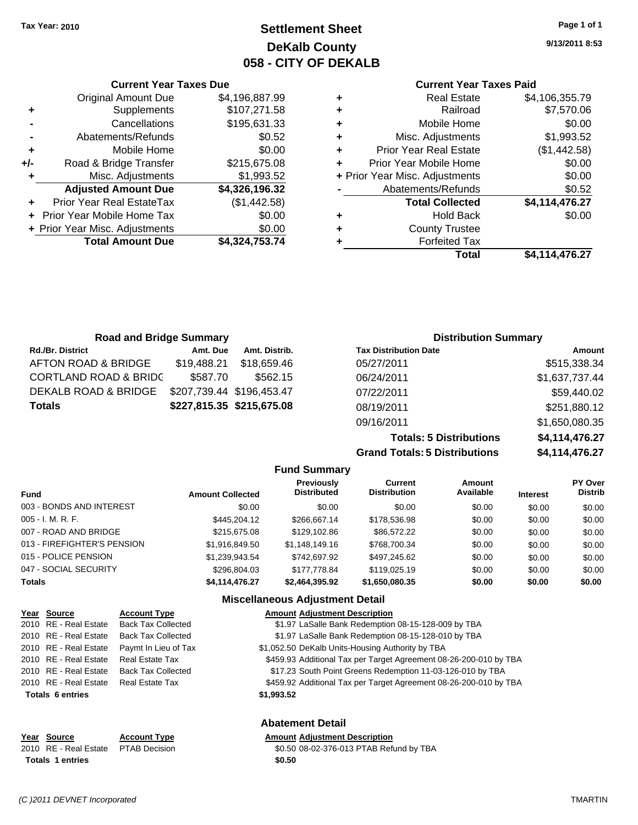**Current Year Taxes Due** Original Amount Due \$4,196,887.99

**Adjusted Amount Due \$4,326,196.32**

**Total Amount Due \$4,324,753.74**

**+** Supplements \$107,271.58 **-** Cancellations \$195,631.33 **-** Abatements/Refunds \$0.52 **+** Mobile Home \$0.00 **+/-** Road & Bridge Transfer \$215,675.08 **+** Misc. Adjustments \$1,993.52

**+** Prior Year Real EstateTax (\$1,442.58) **+** Prior Year Mobile Home Tax \$0.00 **+ Prior Year Misc. Adjustments**  $$0.00$ 

## **Settlement Sheet Tax Year: 2010 Page 1 of 1 DeKalb County 058 - CITY OF DEKALB**

**9/13/2011 8:53**

### **Current Year Taxes Paid**

|   | <b>Real Estate</b>             | \$4,106,355.79 |
|---|--------------------------------|----------------|
| ٠ | Railroad                       | \$7,570.06     |
| ٠ | Mobile Home                    | \$0.00         |
| ٠ | Misc. Adjustments              | \$1,993.52     |
| ٠ | <b>Prior Year Real Estate</b>  | (\$1,442.58)   |
| ÷ | Prior Year Mobile Home         | \$0.00         |
|   | + Prior Year Misc. Adjustments | \$0.00         |
|   | Abatements/Refunds             | \$0.52         |
|   | <b>Total Collected</b>         | \$4,114,476.27 |
| ٠ | <b>Hold Back</b>               | \$0.00         |
| ٠ | <b>County Trustee</b>          |                |
|   | <b>Forfeited Tax</b>           |                |
|   | Total                          | \$4,114,476.27 |

| <b>Road and Bridge Summary</b>   |             |                           | <b>Distribution Summary</b>  |                |  |
|----------------------------------|-------------|---------------------------|------------------------------|----------------|--|
| <b>Rd./Br. District</b>          | Amt. Due    | Amt. Distrib.             | <b>Tax Distribution Date</b> | Amount         |  |
| AFTON ROAD & BRIDGE              | \$19,488.21 | \$18.659.46               | 05/27/2011                   | \$515,338.34   |  |
| <b>CORTLAND ROAD &amp; BRIDC</b> | \$587.70    | \$562.15                  | 06/24/2011                   | \$1,637,737.44 |  |
| DEKALB ROAD & BRIDGE             |             | \$207,739.44 \$196,453.47 | 07/22/2011                   | \$59,440.02    |  |
| <b>Totals</b>                    |             | \$227,815.35 \$215,675.08 | 08/19/2011                   | \$251,880.12   |  |
|                                  |             |                           | 09/16/2011                   | \$1,650,080.35 |  |

**Totals: 5 Distributions \$4,114,476.27 Grand Totals: 5 Distributions** 

| 94, I 14,47 V.Z |  |
|-----------------|--|
| \$4,114,476.27  |  |

| <b>Fund Summary</b>         |                         |                                         |                                |                     |                 |                           |
|-----------------------------|-------------------------|-----------------------------------------|--------------------------------|---------------------|-----------------|---------------------------|
| <b>Fund</b>                 | <b>Amount Collected</b> | <b>Previously</b><br><b>Distributed</b> | Current<br><b>Distribution</b> | Amount<br>Available | <b>Interest</b> | PY Over<br><b>Distrib</b> |
| 003 - BONDS AND INTEREST    | \$0.00                  | \$0.00                                  | \$0.00                         | \$0.00              | \$0.00          | \$0.00                    |
| 005 - I. M. R. F.           | \$445,204.12            | \$266,667.14                            | \$178,536.98                   | \$0.00              | \$0.00          | \$0.00                    |
| 007 - ROAD AND BRIDGE       | \$215,675,08            | \$129,102.86                            | \$86,572.22                    | \$0.00              | \$0.00          | \$0.00                    |
| 013 - FIREFIGHTER'S PENSION | \$1,916,849.50          | \$1,148,149.16                          | \$768,700.34                   | \$0.00              | \$0.00          | \$0.00                    |
| 015 - POLICE PENSION        | \$1,239,943.54          | \$742.697.92                            | \$497,245.62                   | \$0.00              | \$0.00          | \$0.00                    |
| 047 - SOCIAL SECURITY       | \$296,804.03            | \$177.778.84                            | \$119,025.19                   | \$0.00              | \$0.00          | \$0.00                    |
| Totals                      | \$4,114,476.27          | \$2,464,395.92                          | \$1,650,080.35                 | \$0.00              | \$0.00          | \$0.00                    |

#### **Miscellaneous Adjustment Detail**

|      | Year Source             | <b>Account Type</b>       | <b>Amount Adiustment Description</b>                              |
|------|-------------------------|---------------------------|-------------------------------------------------------------------|
|      | 2010 RE - Real Estate   | <b>Back Tax Collected</b> | \$1.97 LaSalle Bank Redemption 08-15-128-009 by TBA               |
|      | 2010 RE - Real Estate   | <b>Back Tax Collected</b> | \$1.97 LaSalle Bank Redemption 08-15-128-010 by TBA               |
|      | 2010 RE - Real Estate   | Paymt In Lieu of Tax      | \$1,052.50 DeKalb Units-Housing Authority by TBA                  |
|      | 2010 RE - Real Estate   | <b>Real Estate Tax</b>    | \$459.93 Additional Tax per Target Agreement 08-26-200-010 by TBA |
|      | 2010 RE - Real Estate   | <b>Back Tax Collected</b> | \$17.23 South Point Greens Redemption 11-03-126-010 by TBA        |
|      | 2010 RE - Real Estate   | <b>Real Estate Tax</b>    | \$459.92 Additional Tax per Target Agreement 08-26-200-010 by TBA |
|      | <b>Totals 6 entries</b> |                           | \$1,993.52                                                        |
|      |                         |                           | <b>Abatement Detail</b>                                           |
| Year | Source                  | <b>Account Type</b>       | <b>Amount Adjustment Description</b>                              |
|      |                         |                           |                                                                   |

2010 RE - Real Estate \$0.50 08-02-376-013 PTAB Refund by TBA PTAB Decision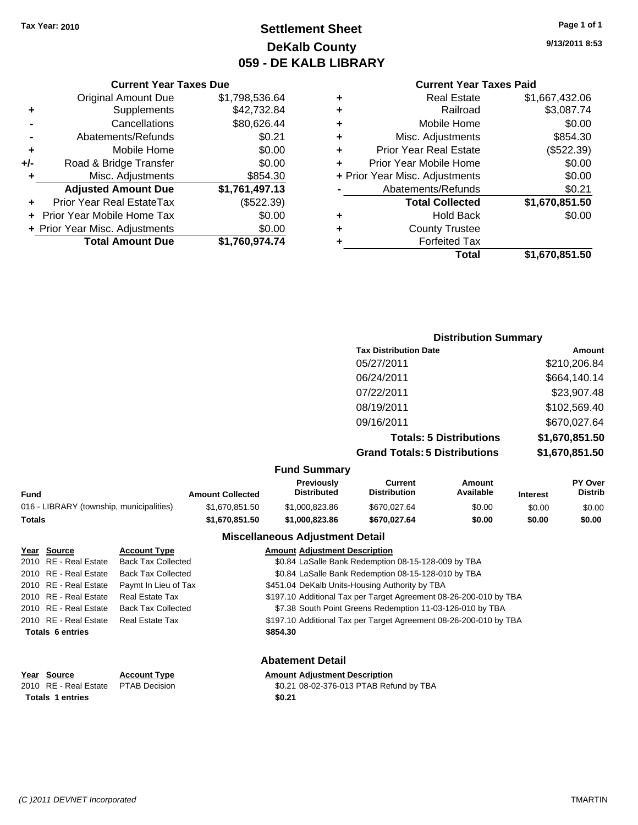## **Settlement Sheet Tax Year: 2010 Page 1 of 1 DeKalb County 059 - DE KALB LIBRARY**

**9/13/2011 8:53**

#### **Current Year Taxes Paid**

| ٠ | <b>Real Estate</b>             | \$1,667,432.06 |
|---|--------------------------------|----------------|
| ٠ | Railroad                       | \$3,087.74     |
| ٠ | Mobile Home                    | \$0.00         |
| ٠ | Misc. Adjustments              | \$854.30       |
| ÷ | <b>Prior Year Real Estate</b>  | (\$522.39)     |
| ٠ | Prior Year Mobile Home         | \$0.00         |
|   | + Prior Year Misc. Adjustments | \$0.00         |
|   | Abatements/Refunds             | \$0.21         |
|   | <b>Total Collected</b>         | \$1,670,851.50 |
| ٠ | <b>Hold Back</b>               | \$0.00         |
| ٠ | <b>County Trustee</b>          |                |
| ٠ | <b>Forfeited Tax</b>           |                |
|   | Total                          | \$1.670.851.50 |

#### **Current Year Taxes Due** Original Amount Due \$1,798,536.64 **+** Supplements \$42,732.84 **-** Cancellations \$80,626.44 **-** Abatements/Refunds \$0.21 **+** Mobile Home \$0.00 **+/-** Road & Bridge Transfer \$0.00 **+** Misc. Adjustments \$854.30 **Adjusted Amount Due \$1,761,497.13 +** Prior Year Real EstateTax (\$522.39) **+** Prior Year Mobile Home Tax \$0.00 **+ Prior Year Misc. Adjustments**  $$0.00$ **Total Amount Due \$1,760,974.74**

| <b>Distribution Summary</b>          |                |
|--------------------------------------|----------------|
| <b>Tax Distribution Date</b>         | Amount         |
| 05/27/2011                           | \$210,206.84   |
| 06/24/2011                           | \$664,140.14   |
| 07/22/2011                           | \$23,907.48    |
| 08/19/2011                           | \$102,569.40   |
| 09/16/2011                           | \$670,027.64   |
| <b>Totals: 5 Distributions</b>       | \$1,670,851.50 |
| <b>Grand Totals: 5 Distributions</b> | \$1,670,851.50 |

#### **Fund Summary**

| Fund                                     | <b>Amount Collected</b> | <b>Previously</b><br><b>Distributed</b> | Current<br>Distribution | Amount<br>Available | <b>Interest</b> | <b>PY Over</b><br><b>Distrib</b> |  |  |
|------------------------------------------|-------------------------|-----------------------------------------|-------------------------|---------------------|-----------------|----------------------------------|--|--|
| 016 - LIBRARY (township, municipalities) | \$1.670.851.50          | \$1,000,823,86                          | \$670,027,64            | \$0.00              | \$0.00          | \$0.00                           |  |  |
| Totals                                   | \$1.670.851.50          | \$1,000.823.86                          | \$670.027.64            | \$0.00              | \$0.00          | \$0.00                           |  |  |

#### **Miscellaneous Adjustment Detail**

| Year Source             | <b>Account Type</b>       | <b>Amount Adjustment Description</b>                              |
|-------------------------|---------------------------|-------------------------------------------------------------------|
| 2010 RE - Real Estate   | <b>Back Tax Collected</b> | \$0.84 LaSalle Bank Redemption 08-15-128-009 by TBA               |
| 2010 RE - Real Estate   | <b>Back Tax Collected</b> | \$0.84 LaSalle Bank Redemption 08-15-128-010 by TBA               |
| 2010 RE - Real Estate   | Paymt In Lieu of Tax      | \$451.04 DeKalb Units-Housing Authority by TBA                    |
| 2010 RE - Real Estate   | <b>Real Estate Tax</b>    | \$197.10 Additional Tax per Target Agreement 08-26-200-010 by TBA |
| 2010 RE - Real Estate   | <b>Back Tax Collected</b> | \$7.38 South Point Greens Redemption 11-03-126-010 by TBA         |
| 2010 RE - Real Estate   | Real Estate Tax           | \$197.10 Additional Tax per Target Agreement 08-26-200-010 by TBA |
| <b>Totals 6 entries</b> |                           | \$854.30                                                          |
|                         |                           |                                                                   |
|                         |                           |                                                                   |

| Year Source                         | <b>Account Type</b> | Amount |
|-------------------------------------|---------------------|--------|
| 2010 RE - Real Estate PTAB Decision |                     | \$0.21 |
| <b>Totals 1 entries</b>             |                     | \$0.21 |

### **Abatement Detail**

## **PERR 19 AMOUNT ADDEN IN A ADDEN THE ADDEN IN A ADDEN THE ADDEN THE ADDEN THE ADDEN IN A ADDEN IN A ADDEN IN A ADDEN IN A ADDEN THE ADDEN THE ADDEN THE ADDEN IN A ADDEN IN A ADDEN THE ADDEN THE ADDEN IN A ADDEN IN A ADDEN**

2010 TAB Decision **2010 Real Estate Access \$0.21 08-02-376-013 PTAB Refund by TBA**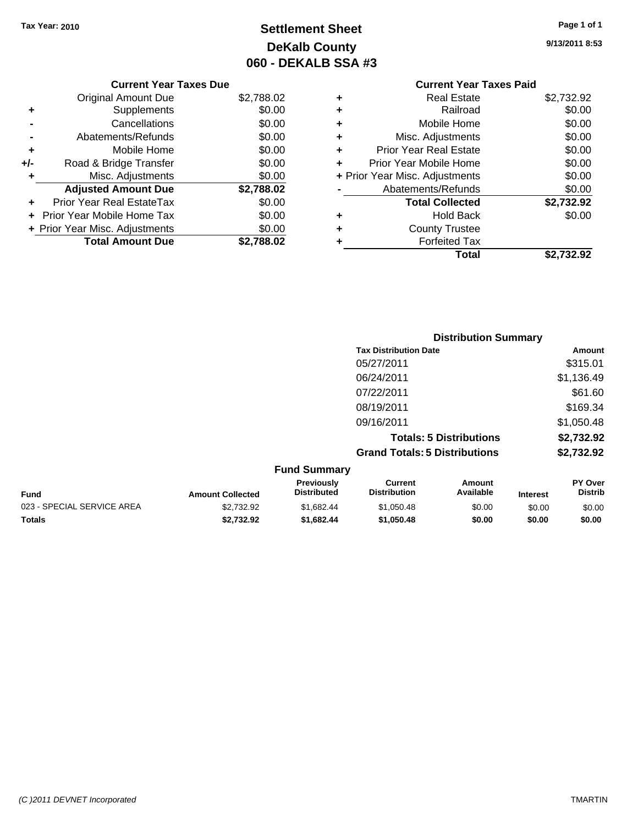## **Settlement Sheet Tax Year: 2010 Page 1 of 1 DeKalb County 060 - DEKALB SSA #3**

**9/13/2011 8:53**

|     | <b>Current Year Taxes Due</b>    |            |
|-----|----------------------------------|------------|
|     | <b>Original Amount Due</b>       | \$2,788.02 |
| ٠   | Supplements                      | \$0.00     |
|     | Cancellations                    | \$0.00     |
|     | Abatements/Refunds               | \$0.00     |
| ٠   | Mobile Home                      | \$0.00     |
| +/- | Road & Bridge Transfer           | \$0.00     |
| ٠   | Misc. Adjustments                | \$0.00     |
|     | <b>Adjusted Amount Due</b>       | \$2,788.02 |
| ÷   | <b>Prior Year Real EstateTax</b> | \$0.00     |
|     | Prior Year Mobile Home Tax       | \$0.00     |
|     | + Prior Year Misc. Adjustments   | \$0.00     |
|     | <b>Total Amount Due</b>          | \$2.788.02 |
|     |                                  |            |

### **Current Year Taxes Paid +** Real Estate \$2,732.92 **+** Railroad \$0.00 **+** Mobile Home \$0.00 **+** Misc. Adjustments \$0.00 **+** Prior Year Real Estate \$0.00 **+** Prior Year Mobile Home \$0.00 **+ Prior Year Misc. Adjustments**  $$0.00$ **-** Abatements/Refunds \$0.00 **Total Collected \$2,732.92 +** Hold Back \$0.00

**Total \$2,732.92**

**+** County Trustee **+** Forfeited Tax

| <b>Distribution Summary</b>          |            |
|--------------------------------------|------------|
| <b>Tax Distribution Date</b>         | Amount     |
| 05/27/2011                           | \$315.01   |
| 06/24/2011                           | \$1,136.49 |
| 07/22/2011                           | \$61.60    |
| 08/19/2011                           | \$169.34   |
| 09/16/2011                           | \$1,050.48 |
| <b>Totals: 5 Distributions</b>       | \$2,732.92 |
| <b>Grand Totals: 5 Distributions</b> | \$2,732.92 |
|                                      |            |

| <b>Fund Summary</b>        |                         |                                         |                                |                     |                 |                                  |
|----------------------------|-------------------------|-----------------------------------------|--------------------------------|---------------------|-----------------|----------------------------------|
| <b>Fund</b>                | <b>Amount Collected</b> | <b>Previously</b><br><b>Distributed</b> | Current<br><b>Distribution</b> | Amount<br>Available | <b>Interest</b> | <b>PY Over</b><br><b>Distrib</b> |
| 023 - SPECIAL SERVICE AREA | \$2.732.92              | \$1.682.44                              | \$1,050.48                     | \$0.00              | \$0.00          | \$0.00                           |
| <b>Totals</b>              | \$2,732.92              | \$1.682.44                              | \$1,050.48                     | \$0.00              | \$0.00          | \$0.00                           |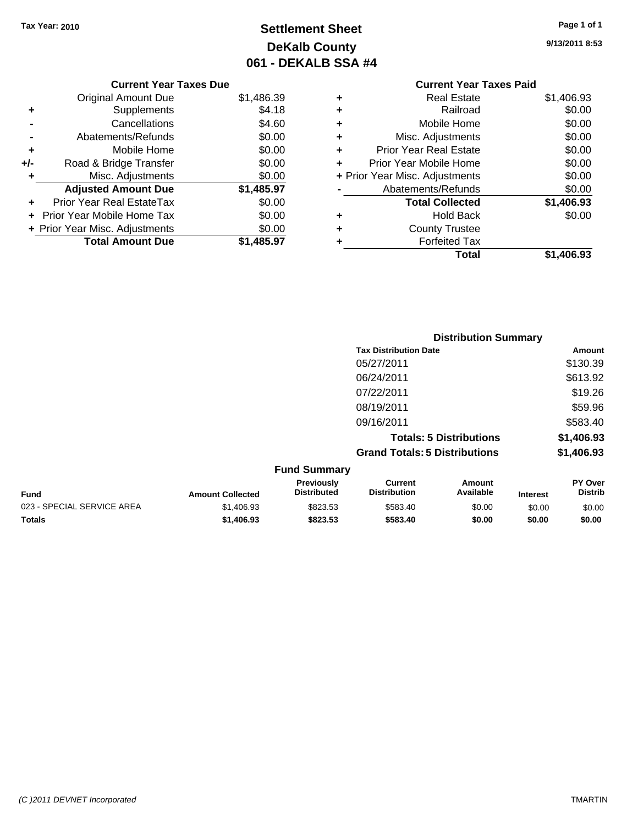## **Settlement Sheet Tax Year: 2010 Page 1 of 1 DeKalb County 061 - DEKALB SSA #4**

**9/13/2011 8:53**

# **Current Year Taxes Paid +** Real Estate \$1,406.93 **+** Railroad \$0.00

|     | <b>Total Amount Due</b>        | \$1,485.97 |
|-----|--------------------------------|------------|
|     | + Prior Year Misc. Adjustments | \$0.00     |
|     | Prior Year Mobile Home Tax     | \$0.00     |
|     | Prior Year Real EstateTax      | \$0.00     |
|     | <b>Adjusted Amount Due</b>     | \$1,485.97 |
| ÷   | Misc. Adjustments              | \$0.00     |
| +/- | Road & Bridge Transfer         | \$0.00     |
| ٠   | Mobile Home                    | \$0.00     |
|     | Abatements/Refunds             | \$0.00     |
|     | Cancellations                  | \$4.60     |
| ٠   | Supplements                    | \$4.18     |
|     | <b>Original Amount Due</b>     | \$1,486.39 |

**Current Year Taxes Due**

|   | Mobile Home                    | \$0.00     |
|---|--------------------------------|------------|
| ٠ | Misc. Adjustments              | \$0.00     |
| ٠ | <b>Prior Year Real Estate</b>  | \$0.00     |
|   | Prior Year Mobile Home         | \$0.00     |
|   | + Prior Year Misc. Adjustments | \$0.00     |
|   | Abatements/Refunds             | \$0.00     |
|   | <b>Total Collected</b>         | \$1,406.93 |
| ٠ | <b>Hold Back</b>               | \$0.00     |
| ÷ | <b>County Trustee</b>          |            |
|   | <b>Forfeited Tax</b>           |            |
|   | Total                          | \$1,406.93 |
|   |                                |            |

|                     | <b>Distribution Summary</b>          |            |  |
|---------------------|--------------------------------------|------------|--|
|                     | <b>Tax Distribution Date</b>         | Amount     |  |
|                     | 05/27/2011                           | \$130.39   |  |
|                     | 06/24/2011                           | \$613.92   |  |
|                     | 07/22/2011                           | \$19.26    |  |
|                     | 08/19/2011                           | \$59.96    |  |
|                     | 09/16/2011                           | \$583.40   |  |
|                     | <b>Totals: 5 Distributions</b>       | \$1,406.93 |  |
|                     | <b>Grand Totals: 5 Distributions</b> | \$1,406.93 |  |
| <b>Fund Summary</b> |                                      |            |  |

| <b>Fund</b>                | <b>Amount Collected</b> | <b>Previously</b><br><b>Distributed</b> | Current<br><b>Distribution</b> | Amount<br>Available | <b>Interest</b> | <b>PY Over</b><br><b>Distrib</b> |
|----------------------------|-------------------------|-----------------------------------------|--------------------------------|---------------------|-----------------|----------------------------------|
| 023 - SPECIAL SERVICE AREA | \$1,406.93              | \$823.53                                | \$583.40                       | \$0.00              | \$0.00          | \$0.00                           |
| <b>Totals</b>              | \$1,406.93              | \$823.53                                | \$583.40                       | \$0.00              | \$0.00          | \$0.00                           |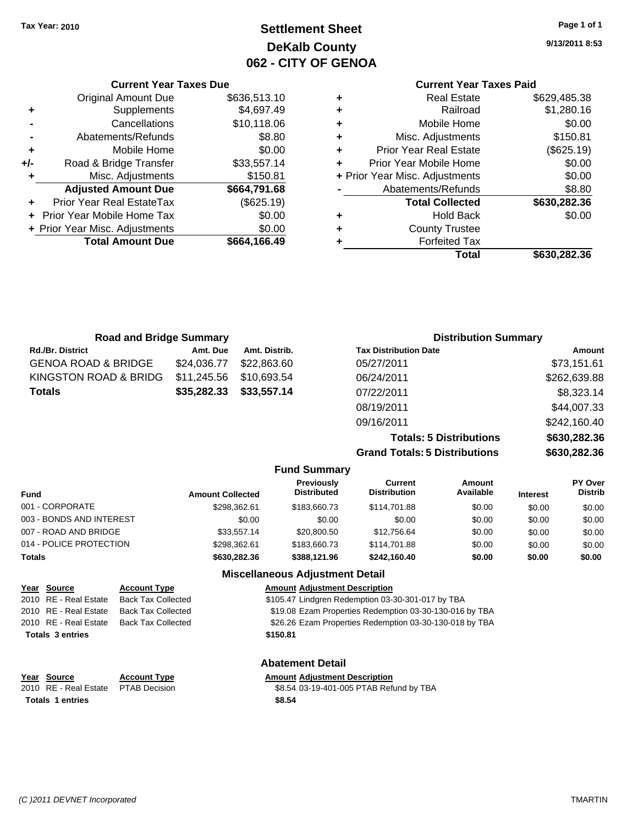## **Settlement Sheet Tax Year: 2010 Page 1 of 1 DeKalb County 062 - CITY OF GENOA**

**9/13/2011 8:53**

## **Current Year Taxes Paid**

|   | <b>Real Estate</b>             | \$629,485.38 |
|---|--------------------------------|--------------|
| ٠ | Railroad                       | \$1,280.16   |
| ٠ | Mobile Home                    | \$0.00       |
| ٠ | Misc. Adjustments              | \$150.81     |
| ٠ | <b>Prior Year Real Estate</b>  | (\$625.19)   |
| ÷ | Prior Year Mobile Home         | \$0.00       |
|   | + Prior Year Misc. Adjustments | \$0.00       |
|   | Abatements/Refunds             | \$8.80       |
|   | <b>Total Collected</b>         | \$630,282.36 |
| ٠ | <b>Hold Back</b>               | \$0.00       |
| ٠ | <b>County Trustee</b>          |              |
|   | <b>Forfeited Tax</b>           |              |
|   | Total                          | \$630,282,36 |

| <b>Current Year Taxes Due</b>    |              |
|----------------------------------|--------------|
| <b>Original Amount Due</b>       | \$636,513.10 |
| Supplements                      | \$4,697.49   |
| Cancellations                    | \$10,118.06  |
| Abatements/Refunds               | \$8.80       |
| Mobile Home                      | \$0.00       |
| Road & Bridge Transfer           | \$33,557.14  |
| Misc. Adjustments                | \$150.81     |
| <b>Adjusted Amount Due</b>       | \$664,791.68 |
| <b>Prior Year Real EstateTax</b> | (\$625.19)   |
| Prior Year Mobile Home Tax       | \$0.00       |
| + Prior Year Misc. Adjustments   | \$0.00       |
| <b>Total Amount Due</b>          | \$664.166.49 |
|                                  |              |

| <b>Road and Bridge Summary</b> |             |               | <b>Distribution Summary</b>  |              |
|--------------------------------|-------------|---------------|------------------------------|--------------|
| <b>Rd./Br. District</b>        | Amt. Due    | Amt. Distrib. | <b>Tax Distribution Date</b> | Amount       |
| GENOA ROAD & BRIDGE            | \$24,036,77 | \$22.863.60   | 05/27/2011                   | \$73,151.61  |
| KINGSTON ROAD & BRIDG          | \$11,245.56 | \$10,693.54   | 06/24/2011                   | \$262,639.88 |
| Totals                         | \$35,282.33 | \$33,557.14   | 07/22/2011                   | \$8,323.14   |
|                                |             |               | 08/19/2011                   | \$44,007.33  |
|                                |             |               | 09/16/2011                   | \$242,160.40 |
|                                |             |               |                              |              |

**Totals: 5 Distributions \$630,282.36 Grand Totals: 5 Distributions \$630,282.36**

|                                       |                         | <b>Fund Summary</b>                    |                                |                     |                 |                           |
|---------------------------------------|-------------------------|----------------------------------------|--------------------------------|---------------------|-----------------|---------------------------|
| Fund                                  | <b>Amount Collected</b> | Previously<br><b>Distributed</b>       | Current<br><b>Distribution</b> | Amount<br>Available | <b>Interest</b> | PY Over<br><b>Distrib</b> |
| 001 - CORPORATE                       | \$298.362.61            | \$183,660.73                           | \$114.701.88                   | \$0.00              | \$0.00          | \$0.00                    |
| 003 - BONDS AND INTEREST              | \$0.00                  | \$0.00                                 | \$0.00                         | \$0.00              | \$0.00          | \$0.00                    |
| 007 - ROAD AND BRIDGE                 | \$33.557.14             | \$20,800.50                            | \$12,756.64                    | \$0.00              | \$0.00          | \$0.00                    |
| 014 - POLICE PROTECTION               | \$298,362.61            | \$183,660.73                           | \$114,701.88                   | \$0.00              | \$0.00          | \$0.00                    |
| <b>Totals</b>                         | \$630,282,36            | \$388,121.96                           | \$242.160.40                   | \$0.00              | \$0.00          | \$0.00                    |
|                                       |                         | <b>Miscellaneous Adjustment Detail</b> |                                |                     |                 |                           |
| Year<br><b>Account Type</b><br>Source |                         | <b>Amount Adjustment Description</b>   |                                |                     |                 |                           |

| 2010 RE - Real Estate   | <b>Back Tax Collected</b> | \$105.47 Lindgren Redemption 03-30-301-017 by TBA       |
|-------------------------|---------------------------|---------------------------------------------------------|
| 2010 RE - Real Estate   | <b>Back Tax Collected</b> | \$19.08 Ezam Properties Redemption 03-30-130-016 by TBA |
| 2010 RE - Real Estate   | <b>Back Tax Collected</b> | \$26.26 Ezam Properties Redemption 03-30-130-018 by TBA |
| <b>Totals 3 entries</b> |                           | \$150.81                                                |
|                         |                           |                                                         |
|                         |                           |                                                         |

| Year Source             |                                     | <b>Account Type</b> | <b>Amount Adjustment Description</b> |
|-------------------------|-------------------------------------|---------------------|--------------------------------------|
|                         | 2010 RE - Real Estate PTAB Decision |                     | \$8.54 03-19-401-005 PTAB Refu       |
| <b>Totals 1 entries</b> |                                     | \$8.54              |                                      |

### **Abatement Detail**

2010 RE Decision **ABD** Decision **CENTAB SAMPLE SETATE SETATE SETABLE SETABLE PTAB Refund by TBA**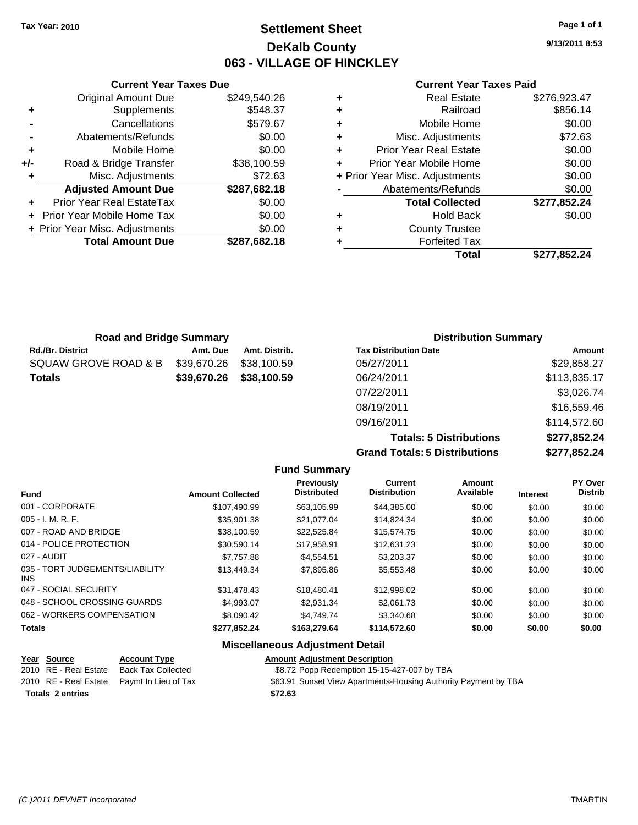## **Settlement Sheet Tax Year: 2010 Page 1 of 1 DeKalb County 063 - VILLAGE OF HINCKLEY**

**9/13/2011 8:53**

#### **Current Year Taxes Paid**

| Total                          | \$277,852.24 |
|--------------------------------|--------------|
| <b>Forfeited Tax</b>           |              |
| <b>County Trustee</b>          |              |
| Hold Back                      | \$0.00       |
| <b>Total Collected</b>         | \$277,852.24 |
| Abatements/Refunds             | \$0.00       |
| + Prior Year Misc. Adjustments | \$0.00       |
| Prior Year Mobile Home         | \$0.00       |
| <b>Prior Year Real Estate</b>  | \$0.00       |
| Misc. Adjustments              | \$72.63      |
| Mobile Home                    | \$0.00       |
| Railroad                       | \$856.14     |
| <b>Real Estate</b>             | \$276,923.47 |
|                                |              |

|       | <b>Original Amount Due</b>     | \$249,540.26 |
|-------|--------------------------------|--------------|
| ٠     | Supplements                    | \$548.37     |
|       | Cancellations                  | \$579.67     |
|       | Abatements/Refunds             | \$0.00       |
| ٠     | Mobile Home                    | \$0.00       |
| $+/-$ | Road & Bridge Transfer         | \$38,100.59  |
| ٠     | Misc. Adjustments              | \$72.63      |
|       | <b>Adjusted Amount Due</b>     | \$287,682.18 |
|       | Prior Year Real EstateTax      | \$0.00       |
|       | Prior Year Mobile Home Tax     | \$0.00       |
|       | + Prior Year Misc. Adjustments | \$0.00       |
|       | <b>Total Amount Due</b>        | \$287,682.18 |
|       |                                |              |

**Current Year Taxes Due**

| <b>Road and Bridge Summary</b> |             |               | <b>Distribution Summary</b>  |              |  |
|--------------------------------|-------------|---------------|------------------------------|--------------|--|
| Rd./Br. District               | Amt. Due    | Amt. Distrib. | <b>Tax Distribution Date</b> | Amount       |  |
| SQUAW GROVE ROAD & B           | \$39,670.26 | \$38,100.59   | 05/27/2011                   | \$29,858.27  |  |
| <b>Totals</b>                  | \$39,670.26 | \$38,100.59   | 06/24/2011                   | \$113,835.17 |  |
|                                |             |               | 07/22/2011                   | \$3,026.74   |  |
|                                |             |               | 08/19/2011                   | \$16,559.46  |  |

**Grand Totals: 5 Distributions** 

09/16/2011 \$114,572.60

| <b>Totals: 5 Distributions</b> | \$277,852.24 |
|--------------------------------|--------------|
| <b>Totals: 5 Distributions</b> | \$277,852.24 |
|                                |              |

| <b>Amount Collected</b> | Previously<br><b>Distributed</b> | <b>Current</b><br><b>Distribution</b> | Amount<br>Available | <b>Interest</b> | PY Over<br><b>Distrib</b> |
|-------------------------|----------------------------------|---------------------------------------|---------------------|-----------------|---------------------------|
| \$107.490.99            | \$63,105.99                      | \$44,385.00                           | \$0.00              | \$0.00          | \$0.00                    |
| \$35.901.38             | \$21.077.04                      | \$14,824.34                           | \$0.00              | \$0.00          | \$0.00                    |
| \$38,100.59             | \$22.525.84                      | \$15.574.75                           | \$0.00              | \$0.00          | \$0.00                    |
| \$30.590.14             | \$17.958.91                      | \$12.631.23                           | \$0.00              | \$0.00          | \$0.00                    |
| \$7.757.88              | \$4.554.51                       | \$3,203,37                            | \$0.00              | \$0.00          | \$0.00                    |
| \$13,449.34             | \$7,895.86                       | \$5,553.48                            | \$0.00              | \$0.00          | \$0.00                    |
| \$31,478.43             | \$18,480.41                      | \$12,998.02                           | \$0.00              | \$0.00          | \$0.00                    |
| \$4,993.07              | \$2,931.34                       | \$2,061.73                            | \$0.00              | \$0.00          | \$0.00                    |
| \$8.090.42              | \$4.749.74                       | \$3,340.68                            | \$0.00              | \$0.00          | \$0.00                    |
| \$277,852.24            | \$163,279.64                     | \$114,572.60                          | \$0.00              | \$0.00          | \$0.00                    |
|                         |                                  |                                       |                     |                 |                           |

**Fund Summary**

#### **Miscellaneous Adjustment Detail**

# **Year Source Account Type Amount Adjustment Description Totals \$72.63 2 entries**

\$8.72 Popp Redemption 15-15-427-007 by TBA

2010 RE - Real Estate Paymt In Lieu of Tax **\$63.91 Sunset View Apartments-Housing Authority Payment by TBA**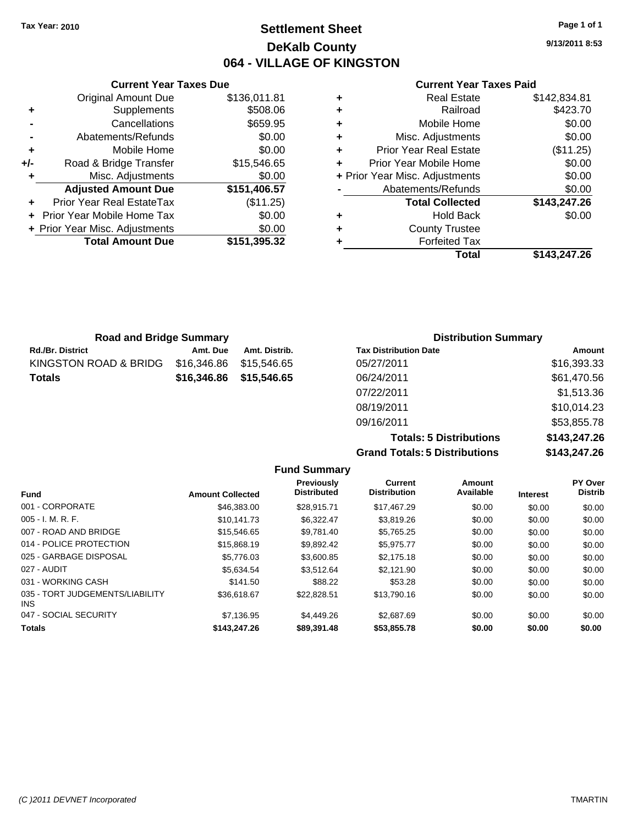## **Settlement Sheet Tax Year: 2010 Page 1 of 1 DeKalb County 064 - VILLAGE OF KINGSTON**

**9/13/2011 8:53**

#### **Current Year Taxes Paid**

|     | <b>Current Year Taxes Due</b>  |              |
|-----|--------------------------------|--------------|
|     | <b>Original Amount Due</b>     | \$136,011.81 |
| ٠   | Supplements                    | \$508.06     |
|     | Cancellations                  | \$659.95     |
|     | Abatements/Refunds             | \$0.00       |
| ٠   | Mobile Home                    | \$0.00       |
| +/- | Road & Bridge Transfer         | \$15,546.65  |
| ٠   | Misc. Adjustments              | \$0.00       |
|     | <b>Adjusted Amount Due</b>     | \$151,406.57 |
|     | Prior Year Real EstateTax      | (\$11.25)    |
|     | Prior Year Mobile Home Tax     | \$0.00       |
|     | + Prior Year Misc. Adjustments | \$0.00       |
|     | <b>Total Amount Due</b>        | \$151,395.32 |
|     |                                |              |

| <b>Road and Bridge Summary</b> |             |               | <b>Distribution Summary</b>  |             |  |
|--------------------------------|-------------|---------------|------------------------------|-------------|--|
| Rd./Br. District               | Amt. Due    | Amt. Distrib. | <b>Tax Distribution Date</b> | Amount      |  |
| KINGSTON ROAD & BRIDG          | \$16,346.86 | \$15,546.65   | 05/27/2011                   | \$16,393.33 |  |
| Totals                         | \$16,346.86 | \$15,546.65   | 06/24/2011                   | \$61,470.56 |  |
|                                |             |               | 07/22/2011                   | \$1,513.36  |  |
|                                |             |               | 08/19/2011                   | \$10,014.23 |  |
|                                |             |               | 09/16/2011                   | \$53,855.78 |  |

**Totals: 5 Distributions \$143,247.26 Grand Totals: 5 Distributions \$143,247.26**

|                                               |                         | <b>Fund Summary</b>              |                                |                     |                 |                           |
|-----------------------------------------------|-------------------------|----------------------------------|--------------------------------|---------------------|-----------------|---------------------------|
| <b>Fund</b>                                   | <b>Amount Collected</b> | Previously<br><b>Distributed</b> | Current<br><b>Distribution</b> | Amount<br>Available | <b>Interest</b> | PY Over<br><b>Distrib</b> |
| 001 - CORPORATE                               | \$46,383,00             | \$28.915.71                      | \$17,467.29                    | \$0.00              | \$0.00          | \$0.00                    |
| $005 - I. M. R. F.$                           | \$10.141.73             | \$6.322.47                       | \$3,819.26                     | \$0.00              | \$0.00          | \$0.00                    |
| 007 - ROAD AND BRIDGE                         | \$15.546.65             | \$9.781.40                       | \$5,765.25                     | \$0.00              | \$0.00          | \$0.00                    |
| 014 - POLICE PROTECTION                       | \$15,868.19             | \$9.892.42                       | \$5.975.77                     | \$0.00              | \$0.00          | \$0.00                    |
| 025 - GARBAGE DISPOSAL                        | \$5,776.03              | \$3,600.85                       | \$2,175.18                     | \$0.00              | \$0.00          | \$0.00                    |
| 027 - AUDIT                                   | \$5,634.54              | \$3.512.64                       | \$2,121.90                     | \$0.00              | \$0.00          | \$0.00                    |
| 031 - WORKING CASH                            | \$141.50                | \$88.22                          | \$53.28                        | \$0.00              | \$0.00          | \$0.00                    |
| 035 - TORT JUDGEMENTS/LIABILITY<br><b>INS</b> | \$36,618.67             | \$22,828.51                      | \$13,790.16                    | \$0.00              | \$0.00          | \$0.00                    |
| 047 - SOCIAL SECURITY                         | \$7,136.95              | \$4,449.26                       | \$2,687.69                     | \$0.00              | \$0.00          | \$0.00                    |
| <b>Totals</b>                                 | \$143,247.26            | \$89,391.48                      | \$53,855,78                    | \$0.00              | \$0.00          | \$0.00                    |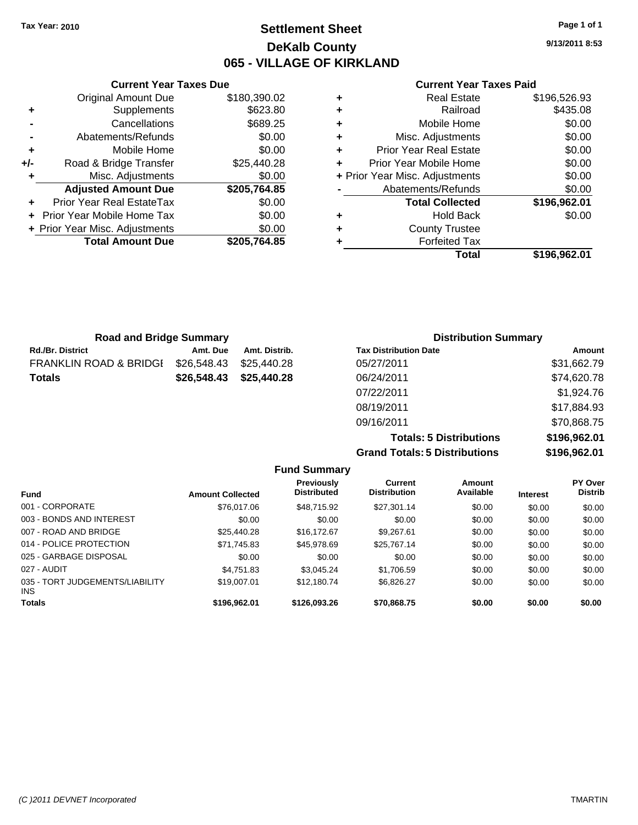**Current Year Taxes Due** Original Amount Due \$180,390.02

**Adjusted Amount Due \$205,764.85**

**Total Amount Due \$205,764.85**

**+** Supplements \$623.80 **-** Cancellations \$689.25 **-** Abatements/Refunds \$0.00 **+** Mobile Home \$0.00 **+/-** Road & Bridge Transfer \$25,440.28 **+** Misc. Adjustments \$0.00

**+** Prior Year Real EstateTax \$0.00 **+** Prior Year Mobile Home Tax \$0.00 **+ Prior Year Misc. Adjustments**  $$0.00$ 

## **Settlement Sheet Tax Year: 2010 Page 1 of 1 DeKalb County 065 - VILLAGE OF KIRKLAND**

**9/13/2011 8:53**

#### **Current Year Taxes Paid**

| ٠ | <b>Real Estate</b>             | \$196,526.93 |
|---|--------------------------------|--------------|
| ٠ | Railroad                       | \$435.08     |
| ٠ | Mobile Home                    | \$0.00       |
| ٠ | Misc. Adjustments              | \$0.00       |
| ٠ | <b>Prior Year Real Estate</b>  | \$0.00       |
|   | Prior Year Mobile Home         | \$0.00       |
|   | + Prior Year Misc. Adjustments | \$0.00       |
|   | Abatements/Refunds             | \$0.00       |
|   | <b>Total Collected</b>         | \$196,962.01 |
| ٠ | <b>Hold Back</b>               | \$0.00       |
| ٠ | <b>County Trustee</b>          |              |
|   | <b>Forfeited Tax</b>           |              |
|   | Total                          | \$196.962.01 |

| <b>Road and Bridge Summary</b>    |             |               | <b>Distribution Summary</b>  |             |
|-----------------------------------|-------------|---------------|------------------------------|-------------|
| <b>Rd./Br. District</b>           | Amt. Due    | Amt. Distrib. | <b>Tax Distribution Date</b> | Amount      |
| <b>FRANKLIN ROAD &amp; BRIDGI</b> | \$26,548.43 | \$25.440.28   | 05/27/2011                   | \$31,662.79 |
| <b>Totals</b>                     | \$26,548.43 | \$25,440.28   | 06/24/2011                   | \$74,620.78 |
|                                   |             |               | 07/22/2011                   | \$1,924.76  |
|                                   |             |               | 08/19/2011                   | \$17,884.93 |

**Totals: 5 Distributions \$196,962.01**

09/16/2011 \$70,868.75

|                                               |                         |                                         | <b>Grand Totals: 5 Distributions</b> | \$196,962.01        |                 |                           |
|-----------------------------------------------|-------------------------|-----------------------------------------|--------------------------------------|---------------------|-----------------|---------------------------|
|                                               |                         | <b>Fund Summary</b>                     |                                      |                     |                 |                           |
| <b>Fund</b>                                   | <b>Amount Collected</b> | <b>Previously</b><br><b>Distributed</b> | Current<br><b>Distribution</b>       | Amount<br>Available | <b>Interest</b> | PY Over<br><b>Distrib</b> |
| 001 - CORPORATE                               | \$76,017.06             | \$48.715.92                             | \$27.301.14                          | \$0.00              | \$0.00          | \$0.00                    |
| 003 - BONDS AND INTEREST                      | \$0.00                  | \$0.00                                  | \$0.00                               | \$0.00              | \$0.00          | \$0.00                    |
| 007 - ROAD AND BRIDGE                         | \$25,440.28             | \$16.172.67                             | \$9.267.61                           | \$0.00              | \$0.00          | \$0.00                    |
| 014 - POLICE PROTECTION                       | \$71,745.83             | \$45,978.69                             | \$25,767.14                          | \$0.00              | \$0.00          | \$0.00                    |
| 025 - GARBAGE DISPOSAL                        | \$0.00                  | \$0.00                                  | \$0.00                               | \$0.00              | \$0.00          | \$0.00                    |
| 027 - AUDIT                                   | \$4.751.83              | \$3.045.24                              | \$1,706.59                           | \$0.00              | \$0.00          | \$0.00                    |
| 035 - TORT JUDGEMENTS/LIABILITY<br><b>INS</b> | \$19,007.01             | \$12.180.74                             | \$6.826.27                           | \$0.00              | \$0.00          | \$0.00                    |
| <b>Totals</b>                                 | \$196.962.01            | \$126,093.26                            | \$70,868.75                          | \$0.00              | \$0.00          | \$0.00                    |
|                                               |                         |                                         |                                      |                     |                 |                           |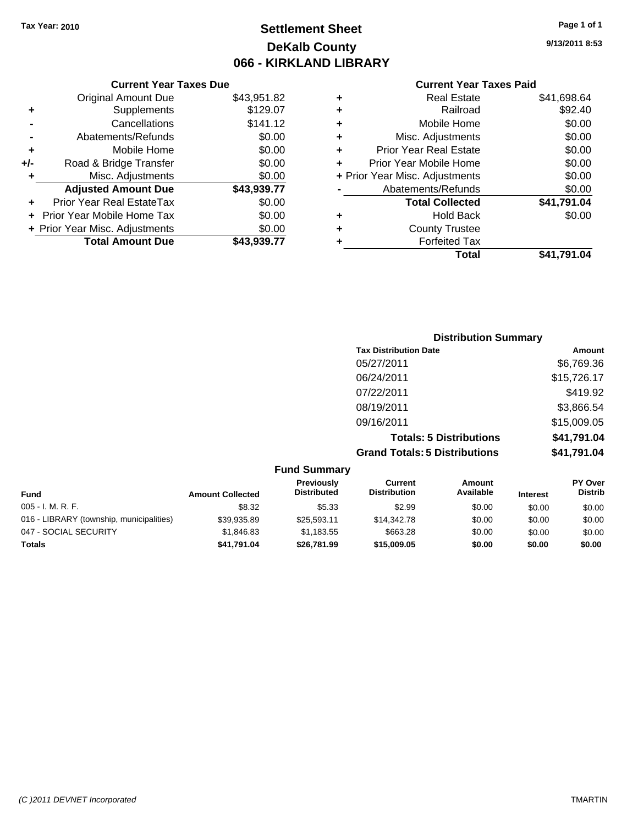## **Settlement Sheet Tax Year: 2010 Page 1 of 1 DeKalb County 066 - KIRKLAND LIBRARY**

|   | <b>Current Year Taxes Paid</b> |             |  |  |  |
|---|--------------------------------|-------------|--|--|--|
| ٠ | <b>Real Estate</b>             | \$41,698.64 |  |  |  |
| ٠ | Railroad                       | \$92.40     |  |  |  |
| ٠ | Mobile Home                    | \$0.00      |  |  |  |
| ٠ | Misc. Adjustments              | \$0.00      |  |  |  |
| ٠ | <b>Prior Year Real Estate</b>  |             |  |  |  |
|   | Prior Year Mobile Home         | \$0.00      |  |  |  |
|   | + Prior Year Misc. Adjustments | \$0.00      |  |  |  |
|   | Abatements/Refunds             | \$0.00      |  |  |  |
|   | <b>Total Collected</b>         | \$41,791.04 |  |  |  |
| ÷ | Hold Back                      | \$0.00      |  |  |  |
|   | <b>County Trustee</b>          |             |  |  |  |
|   | <b>Forfeited Tax</b>           |             |  |  |  |
|   | Total                          | \$41.791.04 |  |  |  |

|     | <b>Current Year Taxes Due</b>  |             |  |  |  |  |  |
|-----|--------------------------------|-------------|--|--|--|--|--|
|     | <b>Original Amount Due</b>     | \$43,951.82 |  |  |  |  |  |
| ٠   | Supplements                    | \$129.07    |  |  |  |  |  |
|     | Cancellations                  | \$141.12    |  |  |  |  |  |
|     | Abatements/Refunds             | \$0.00      |  |  |  |  |  |
| ٠   | Mobile Home                    | \$0.00      |  |  |  |  |  |
| +/- | Road & Bridge Transfer         | \$0.00      |  |  |  |  |  |
| ٠   | Misc. Adjustments              | \$0.00      |  |  |  |  |  |
|     | <b>Adjusted Amount Due</b>     | \$43,939.77 |  |  |  |  |  |
|     | Prior Year Real EstateTax      | \$0.00      |  |  |  |  |  |
|     | Prior Year Mobile Home Tax     | \$0.00      |  |  |  |  |  |
|     | + Prior Year Misc. Adjustments | \$0.00      |  |  |  |  |  |
|     | <b>Total Amount Due</b>        | \$43,939.77 |  |  |  |  |  |

| <b>Distribution Summary</b>          |             |
|--------------------------------------|-------------|
| <b>Tax Distribution Date</b>         | Amount      |
| 05/27/2011                           | \$6,769.36  |
| 06/24/2011                           | \$15,726.17 |
| 07/22/2011                           | \$419.92    |
| 08/19/2011                           | \$3,866.54  |
| 09/16/2011                           | \$15,009.05 |
| <b>Totals: 5 Distributions</b>       | \$41,791.04 |
| <b>Grand Totals: 5 Distributions</b> | \$41,791.04 |
|                                      |             |

|                                          |                         | <b>Fund Summary</b>              |                                       |                     |                 |                           |
|------------------------------------------|-------------------------|----------------------------------|---------------------------------------|---------------------|-----------------|---------------------------|
| Fund                                     | <b>Amount Collected</b> | Previously<br><b>Distributed</b> | <b>Current</b><br><b>Distribution</b> | Amount<br>Available | <b>Interest</b> | PY Over<br><b>Distrib</b> |
| $005 - I. M. R. F.$                      | \$8.32                  | \$5.33                           | \$2.99                                | \$0.00              | \$0.00          | \$0.00                    |
| 016 - LIBRARY (township, municipalities) | \$39,935.89             | \$25.593.11                      | \$14,342.78                           | \$0.00              | \$0.00          | \$0.00                    |
| 047 - SOCIAL SECURITY                    | \$1.846.83              | \$1,183.55                       | \$663.28                              | \$0.00              | \$0.00          | \$0.00                    |
| Totals                                   | \$41.791.04             | \$26,781.99                      | \$15,009.05                           | \$0.00              | \$0.00          | \$0.00                    |

**9/13/2011 8:53**

*(C )2011 DEVNET Incorporated* TMARTIN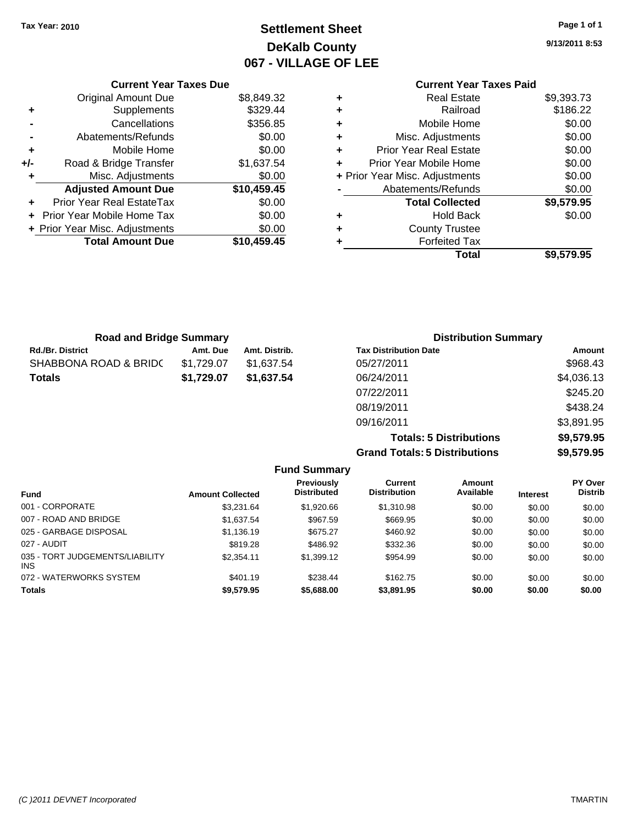## **Settlement Sheet Tax Year: 2010 Page 1 of 1 DeKalb County 067 - VILLAGE OF LEE**

**9/13/2011 8:53**

### **Current Year Taxes Paid +** Real Estate \$9,393.73 **+** Railroad \$186.22 **+** Mobile Home \$0.00 **+** Misc. Adjustments \$0.00 **+** Prior Year Real Estate \$0.00 **+** Prior Year Mobile Home \$0.00 **+** Prior Year Misc. Adjustments  $\text{\$0.00}$ Abatements/Refunds \$0.00 **Total Collected \$9,579.95 +** Hold Back \$0.00 **+** County Trustee **+** Forfeited Tax

**Total \$9,579.95**

| <b>Road and Bridge Summary</b> |            |               | <b>Distribution Summary</b>  |            |
|--------------------------------|------------|---------------|------------------------------|------------|
| <b>Rd./Br. District</b>        | Amt. Due   | Amt. Distrib. | <b>Tax Distribution Date</b> | Amount     |
| SHABBONA ROAD & BRIDC          | \$1.729.07 | \$1.637.54    | 05/27/2011                   | \$968.43   |
| <b>Totals</b>                  | \$1.729.07 | \$1.637.54    | 06/24/2011                   | \$4,036.13 |
|                                |            |               | 07/22/2011                   | \$245.20   |
|                                |            |               |                              |            |

08/19/2011 \$438.24 09/16/2011 \$3,891.95 **Totals: 5 Distributions \$9,579.95 Grand Totals: 5 Distributions \$9,579.95**

| <b>Fund Summary</b>                     |                         |                                         |                                |                     |                 |                           |  |  |
|-----------------------------------------|-------------------------|-----------------------------------------|--------------------------------|---------------------|-----------------|---------------------------|--|--|
| <b>Fund</b>                             | <b>Amount Collected</b> | <b>Previously</b><br><b>Distributed</b> | Current<br><b>Distribution</b> | Amount<br>Available | <b>Interest</b> | PY Over<br><b>Distrib</b> |  |  |
| 001 - CORPORATE                         | \$3.231.64              | \$1,920.66                              | \$1,310.98                     | \$0.00              | \$0.00          | \$0.00                    |  |  |
| 007 - ROAD AND BRIDGE                   | \$1.637.54              | \$967.59                                | \$669.95                       | \$0.00              | \$0.00          | \$0.00                    |  |  |
| 025 - GARBAGE DISPOSAL                  | \$1,136.19              | \$675.27                                | \$460.92                       | \$0.00              | \$0.00          | \$0.00                    |  |  |
| 027 - AUDIT                             | \$819.28                | \$486.92                                | \$332.36                       | \$0.00              | \$0.00          | \$0.00                    |  |  |
| 035 - TORT JUDGEMENTS/LIABILITY<br>INS. | \$2.354.11              | \$1,399.12                              | \$954.99                       | \$0.00              | \$0.00          | \$0.00                    |  |  |
| 072 - WATERWORKS SYSTEM                 | \$401.19                | \$238.44                                | \$162.75                       | \$0.00              | \$0.00          | \$0.00                    |  |  |
| <b>Totals</b>                           | \$9.579.95              | \$5,688.00                              | \$3,891.95                     | \$0.00              | \$0.00          | \$0.00                    |  |  |

| <b>Total Amount Due</b> | \$10,459.45 |
|-------------------------|-------------|
|                         |             |
|                         |             |

**Current Year Taxes Due** Original Amount Due \$8,849.32

**+** Supplements \$329.44 **-** Cancellations \$356.85 **-** Abatements/Refunds \$0.00 **+** Mobile Home \$0.00 **+/-** Road & Bridge Transfer \$1,637.54 **+** Misc. Adjustments \$0.00 **Adjusted Amount Due \$10,459.45**

**+** Prior Year Real EstateTax \$0.00 **+** Prior Year Mobile Home Tax \$0.00 **+ Prior Year Misc. Adjustments**  $$0.00$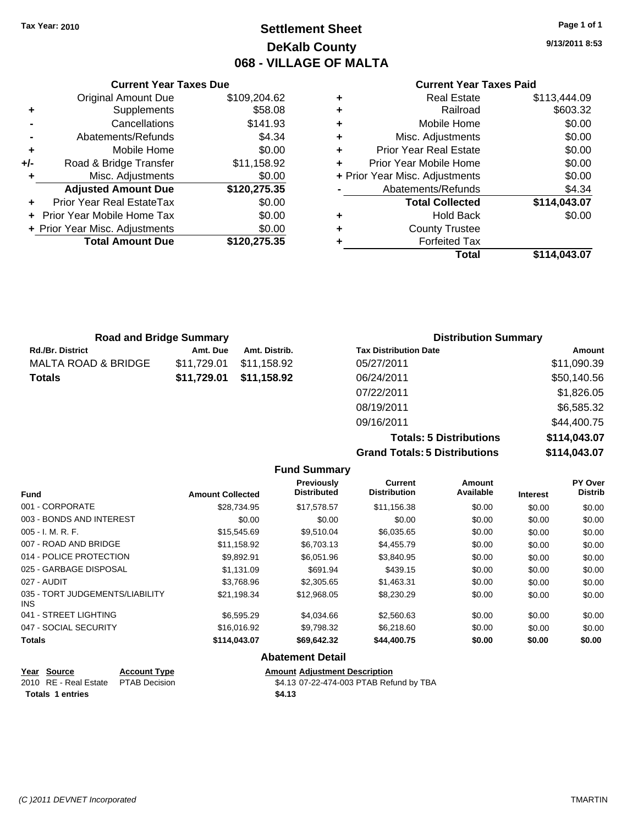## **Settlement Sheet Tax Year: 2010 Page 1 of 1 DeKalb County 068 - VILLAGE OF MALTA**

**9/13/2011 8:53**

#### **Current Year Taxes Paid**

| ÷ | <b>Real Estate</b>             | \$113,444.09 |
|---|--------------------------------|--------------|
| ٠ | Railroad                       | \$603.32     |
| ÷ | Mobile Home                    | \$0.00       |
| ÷ | Misc. Adjustments              | \$0.00       |
| ٠ | <b>Prior Year Real Estate</b>  | \$0.00       |
| ÷ | Prior Year Mobile Home         | \$0.00       |
|   | + Prior Year Misc. Adjustments | \$0.00       |
|   | Abatements/Refunds             | \$4.34       |
|   | <b>Total Collected</b>         | \$114,043.07 |
| ٠ | <b>Hold Back</b>               | \$0.00       |
| ٠ | <b>County Trustee</b>          |              |
|   | <b>Forfeited Tax</b>           |              |
|   | Total                          | \$114.043.07 |
|   |                                |              |

| <b>Current Year Taxes Due</b>  |              |  |  |  |  |
|--------------------------------|--------------|--|--|--|--|
| <b>Original Amount Due</b>     | \$109,204.62 |  |  |  |  |
| Supplements                    | \$58.08      |  |  |  |  |
| Cancellations                  | \$141.93     |  |  |  |  |
| Abatements/Refunds             | \$4.34       |  |  |  |  |
| Mobile Home                    | \$0.00       |  |  |  |  |
| Road & Bridge Transfer         | \$11,158.92  |  |  |  |  |
| Misc. Adjustments              | \$0.00       |  |  |  |  |
| <b>Adjusted Amount Due</b>     | \$120,275.35 |  |  |  |  |
| Prior Year Real EstateTax      | \$0.00       |  |  |  |  |
| Prior Year Mobile Home Tax     | \$0.00       |  |  |  |  |
| + Prior Year Misc. Adjustments | \$0.00       |  |  |  |  |
| <b>Total Amount Due</b>        | \$120,275.35 |  |  |  |  |
|                                |              |  |  |  |  |

|                         | <b>Road and Bridge Summary</b> |               | <b>Distribution Summary</b>  |             |
|-------------------------|--------------------------------|---------------|------------------------------|-------------|
| <b>Rd./Br. District</b> | Amt. Due                       | Amt. Distrib. | <b>Tax Distribution Date</b> | Amount      |
| MALTA ROAD & BRIDGE     | \$11.729.01                    | \$11.158.92   | 05/27/2011                   | \$11,090.39 |
| Totals                  | \$11,729.01                    | \$11,158.92   | 06/24/2011                   | \$50,140.56 |
|                         |                                |               | 07/22/2011                   | \$1,826.05  |
|                         |                                |               | 08/19/2011                   | \$6,585.32  |
|                         |                                |               | 09/16/2011                   | \$44,400.75 |

**Totals: 5 Distributions \$114,043.07 Grand Totals: 5 Distributions \$114,043.07**

|                                         |                         | <b>Fund Summary</b>                     |                                       |                     |                 |                           |
|-----------------------------------------|-------------------------|-----------------------------------------|---------------------------------------|---------------------|-----------------|---------------------------|
| <b>Fund</b>                             | <b>Amount Collected</b> | <b>Previously</b><br><b>Distributed</b> | <b>Current</b><br><b>Distribution</b> | Amount<br>Available | <b>Interest</b> | PY Over<br><b>Distrib</b> |
| 001 - CORPORATE                         | \$28,734.95             | \$17,578.57                             | \$11,156.38                           | \$0.00              | \$0.00          | \$0.00                    |
| 003 - BONDS AND INTEREST                | \$0.00                  | \$0.00                                  | \$0.00                                | \$0.00              | \$0.00          | \$0.00                    |
| $005 - I. M. R. F.$                     | \$15,545.69             | \$9,510.04                              | \$6,035.65                            | \$0.00              | \$0.00          | \$0.00                    |
| 007 - ROAD AND BRIDGE                   | \$11,158.92             | \$6,703.13                              | \$4,455.79                            | \$0.00              | \$0.00          | \$0.00                    |
| 014 - POLICE PROTECTION                 | \$9,892.91              | \$6,051.96                              | \$3,840.95                            | \$0.00              | \$0.00          | \$0.00                    |
| 025 - GARBAGE DISPOSAL                  | \$1,131.09              | \$691.94                                | \$439.15                              | \$0.00              | \$0.00          | \$0.00                    |
| 027 - AUDIT                             | \$3,768.96              | \$2,305.65                              | \$1,463.31                            | \$0.00              | \$0.00          | \$0.00                    |
| 035 - TORT JUDGEMENTS/LIABILITY<br>INS. | \$21,198.34             | \$12,968.05                             | \$8,230.29                            | \$0.00              | \$0.00          | \$0.00                    |
| 041 - STREET LIGHTING                   | \$6,595.29              | \$4,034.66                              | \$2,560.63                            | \$0.00              | \$0.00          | \$0.00                    |
| 047 - SOCIAL SECURITY                   | \$16,016.92             | \$9,798.32                              | \$6,218.60                            | \$0.00              | \$0.00          | \$0.00                    |
| <b>Totals</b>                           | \$114,043.07            | \$69,642.32                             | \$44,400.75                           | \$0.00              | \$0.00          | \$0.00                    |
|                                         |                         | <b>Abatement Detail</b>                 |                                       |                     |                 |                           |

## **Year Source Account Type Amount Adjustment Description**<br>
2010 RE - Real Estate PTAB Decision **Amount** \$4.13 07-22-474-003 PTAB Refu **Totals \$4.13 1 entries**

\$4.13 07-22-474-003 PTAB Refund by TBA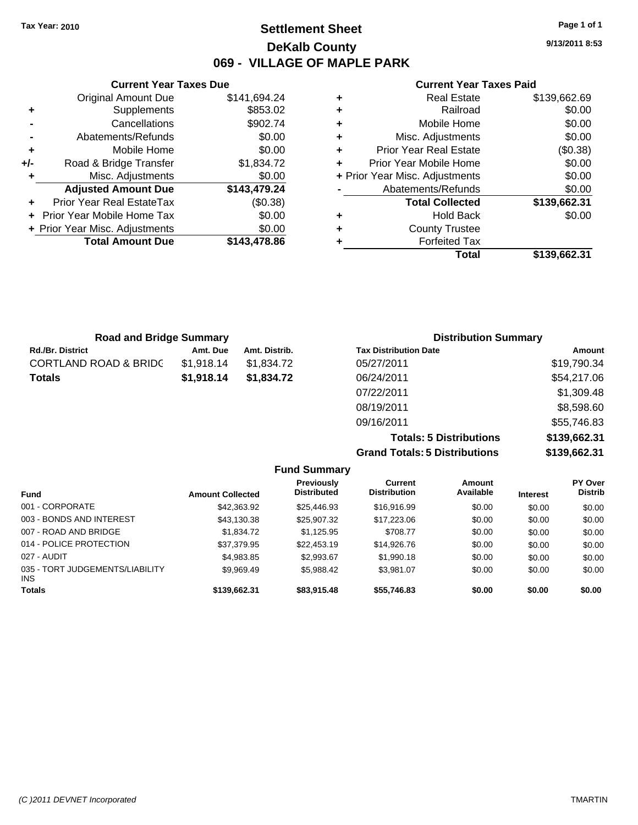**Current Year Taxes Due** Original Amount Due \$141,694.24

**Adjusted Amount Due \$143,479.24**

**Total Amount Due \$143,478.86**

**+** Supplements \$853.02 **-** Cancellations \$902.74 **-** Abatements/Refunds \$0.00 **+** Mobile Home \$0.00 **+/-** Road & Bridge Transfer \$1,834.72 **+** Misc. Adjustments \$0.00

**+** Prior Year Real EstateTax (\$0.38) **+** Prior Year Mobile Home Tax \$0.00 **+ Prior Year Misc. Adjustments**  $$0.00$ 

## **Settlement Sheet Tax Year: 2010 Page 1 of 1 DeKalb County 069 - VILLAGE OF MAPLE PARK**

**9/13/2011 8:53**

#### **Current Year Taxes Paid**

|   | Total                          | \$139.662.31 |
|---|--------------------------------|--------------|
| ٠ | <b>Forfeited Tax</b>           |              |
| ٠ | <b>County Trustee</b>          |              |
| ٠ | <b>Hold Back</b>               | \$0.00       |
|   | <b>Total Collected</b>         | \$139,662.31 |
|   | Abatements/Refunds             | \$0.00       |
|   | + Prior Year Misc. Adjustments | \$0.00       |
| ٠ | Prior Year Mobile Home         | \$0.00       |
| ٠ | <b>Prior Year Real Estate</b>  | (\$0.38)     |
| ٠ | Misc. Adjustments              | \$0.00       |
| ٠ | Mobile Home                    | \$0.00       |
| ٠ | Railroad                       | \$0.00       |
| ٠ | <b>Real Estate</b>             | \$139,662.69 |

| <b>Road and Bridge Summary</b>   |            |               | <b>Distribution Summary</b>  |             |
|----------------------------------|------------|---------------|------------------------------|-------------|
| <b>Rd./Br. District</b>          | Amt. Due   | Amt. Distrib. | <b>Tax Distribution Date</b> | Amount      |
| <b>CORTLAND ROAD &amp; BRIDC</b> | \$1,918.14 | \$1,834.72    | 05/27/2011                   | \$19,790.34 |
| Totals                           | \$1,918.14 | \$1,834.72    | 06/24/2011                   | \$54,217.06 |
|                                  |            |               | 07/22/2011                   | \$1,309.48  |
|                                  |            |               | 08/19/2011                   | \$8,598.60  |

**Grand Totals: 5 Distributions \$139,662.31**

09/16/2011 \$55,746.83

**Totals: 5 Distributions \$139,662.31**

|                         |                                  |                                |                     |                               | \$139,662.31                     |
|-------------------------|----------------------------------|--------------------------------|---------------------|-------------------------------|----------------------------------|
|                         |                                  |                                |                     |                               |                                  |
| <b>Amount Collected</b> | Previously<br><b>Distributed</b> | Current<br><b>Distribution</b> | Amount<br>Available | <b>Interest</b>               | <b>PY Over</b><br><b>Distrib</b> |
| \$42,363,92             | \$25,446.93                      | \$16,916.99                    | \$0.00              | \$0.00                        | \$0.00                           |
| \$43.130.38             | \$25,907.32                      | \$17,223.06                    | \$0.00              | \$0.00                        | \$0.00                           |
| \$1,834.72              | \$1.125.95                       | \$708.77                       | \$0.00              | \$0.00                        | \$0.00                           |
| \$37.379.95             | \$22,453.19                      | \$14,926,76                    | \$0.00              | \$0.00                        | \$0.00                           |
| \$4,983.85              | \$2.993.67                       | \$1,990.18                     | \$0.00              | \$0.00                        | \$0.00                           |
| \$9.969.49              | \$5.988.42                       | \$3.981.07                     | \$0.00              | \$0.00                        | \$0.00                           |
| \$139,662.31            | \$83,915.48                      | \$55,746.83                    | \$0.00              | \$0.00                        | \$0.00                           |
|                         |                                  |                                | <b>Fund Summary</b> | Grand Totals: 5 Distributions |                                  |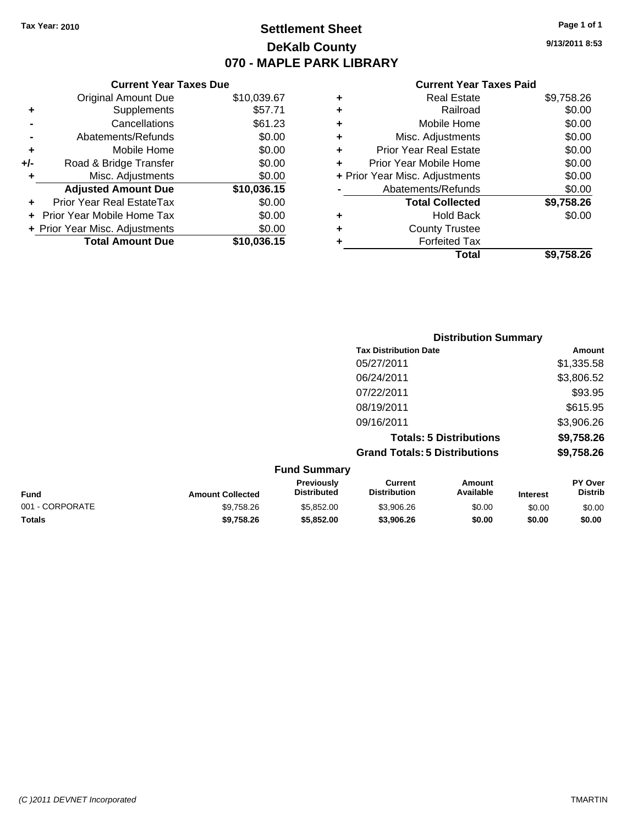## **Settlement Sheet Tax Year: 2010 Page 1 of 1 DeKalb County 070 - MAPLE PARK LIBRARY**

**9/13/2011 8:53**

| <b>Current Year Taxes Paid</b> |  |  |  |
|--------------------------------|--|--|--|
|--------------------------------|--|--|--|

|     | <b>Current Year Taxes Due</b>  |             |  |  |  |  |
|-----|--------------------------------|-------------|--|--|--|--|
|     | <b>Original Amount Due</b>     | \$10,039.67 |  |  |  |  |
| ٠   | Supplements                    | \$57.71     |  |  |  |  |
|     | Cancellations                  | \$61.23     |  |  |  |  |
|     | Abatements/Refunds             | \$0.00      |  |  |  |  |
| ٠   | Mobile Home                    | \$0.00      |  |  |  |  |
| +/- | Road & Bridge Transfer         | \$0.00      |  |  |  |  |
| ٠   | Misc. Adjustments              | \$0.00      |  |  |  |  |
|     | <b>Adjusted Amount Due</b>     | \$10,036.15 |  |  |  |  |
| ٠   | Prior Year Real EstateTax      | \$0.00      |  |  |  |  |
|     | Prior Year Mobile Home Tax     | \$0.00      |  |  |  |  |
|     | + Prior Year Misc. Adjustments | \$0.00      |  |  |  |  |
|     | <b>Total Amount Due</b>        | \$10,036.15 |  |  |  |  |

| ٠ | <b>Real Estate</b>             | \$9,758.26 |
|---|--------------------------------|------------|
| ٠ | Railroad                       | \$0.00     |
| ٠ | Mobile Home                    | \$0.00     |
| ٠ | Misc. Adjustments              | \$0.00     |
| ÷ | <b>Prior Year Real Estate</b>  | \$0.00     |
| ٠ | Prior Year Mobile Home         | \$0.00     |
|   | + Prior Year Misc. Adjustments | \$0.00     |
|   | Abatements/Refunds             | \$0.00     |
|   | <b>Total Collected</b>         | \$9,758.26 |
| ٠ | Hold Back                      | \$0.00     |
|   | <b>County Trustee</b>          |            |
| ٠ | <b>Forfeited Tax</b>           |            |
|   | Total                          | \$9,758,26 |
|   |                                |            |

|                 |                         | <b>Distribution Summary</b>      |                                       |                                |                 |                                  |
|-----------------|-------------------------|----------------------------------|---------------------------------------|--------------------------------|-----------------|----------------------------------|
|                 |                         |                                  | <b>Tax Distribution Date</b>          |                                |                 | Amount                           |
|                 |                         |                                  | 05/27/2011                            |                                |                 | \$1,335.58                       |
|                 |                         |                                  | 06/24/2011                            |                                |                 | \$3,806.52                       |
|                 |                         |                                  | 07/22/2011                            |                                |                 | \$93.95                          |
|                 |                         |                                  | 08/19/2011                            |                                |                 | \$615.95                         |
|                 |                         |                                  | 09/16/2011                            |                                |                 | \$3,906.26                       |
|                 |                         |                                  |                                       | <b>Totals: 5 Distributions</b> |                 | \$9,758.26                       |
|                 |                         |                                  | <b>Grand Totals: 5 Distributions</b>  |                                |                 | \$9,758.26                       |
|                 |                         | <b>Fund Summary</b>              |                                       |                                |                 |                                  |
| <b>Fund</b>     | <b>Amount Collected</b> | Previously<br><b>Distributed</b> | <b>Current</b><br><b>Distribution</b> | <b>Amount</b><br>Available     | <b>Interest</b> | <b>PY Over</b><br><b>Distrib</b> |
| 001 - CORPORATE | \$9,758.26              | \$5,852,00                       | \$3,906.26                            | \$0.00                         | \$0.00          | \$0.00                           |
|                 |                         |                                  |                                       |                                |                 |                                  |

**Totals \$9,758.26 \$5,852.00 \$3,906.26 \$0.00 \$0.00 \$0.00**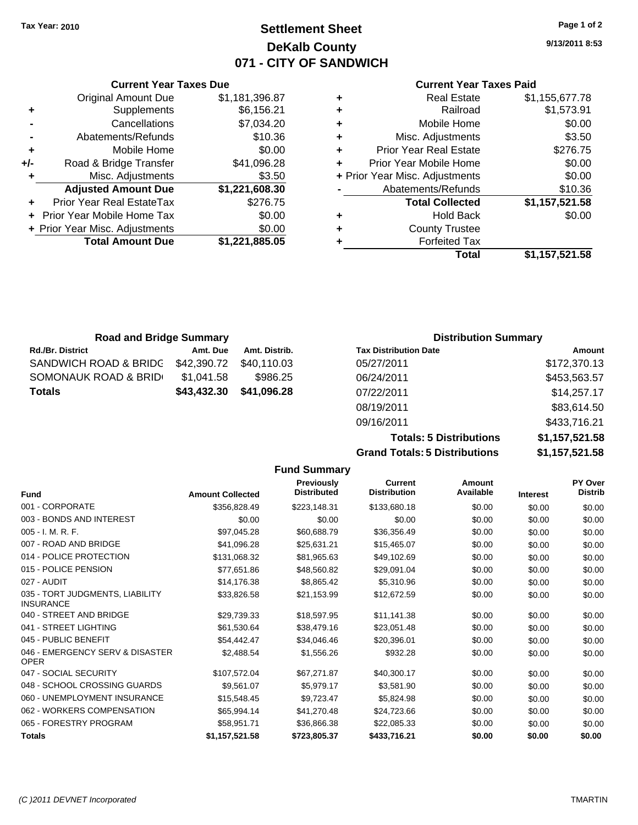## **Settlement Sheet Tax Year: 2010 Page 1 of 2 DeKalb County 071 - CITY OF SANDWICH**

**9/13/2011 8:53**

#### **Current Year Taxes Paid**

|   | <b>Real Estate</b>             | \$1,155,677.78 |
|---|--------------------------------|----------------|
| ٠ | Railroad                       | \$1,573.91     |
| ٠ | Mobile Home                    | \$0.00         |
| ٠ | Misc. Adjustments              | \$3.50         |
| ٠ | <b>Prior Year Real Estate</b>  | \$276.75       |
|   | Prior Year Mobile Home         | \$0.00         |
|   | + Prior Year Misc. Adjustments | \$0.00         |
|   | Abatements/Refunds             | \$10.36        |
|   | <b>Total Collected</b>         | \$1,157,521.58 |
|   | <b>Hold Back</b>               | \$0.00         |
| ٠ | <b>County Trustee</b>          |                |
|   | <b>Forfeited Tax</b>           |                |
|   | Total                          | \$1,157,521.58 |

|     | <b>Total Amount Due</b>        | \$1,221,885.05 |
|-----|--------------------------------|----------------|
|     | + Prior Year Misc. Adjustments | \$0.00         |
|     | Prior Year Mobile Home Tax     | \$0.00         |
| ٠   | Prior Year Real EstateTax      | \$276.75       |
|     | <b>Adjusted Amount Due</b>     | \$1,221,608.30 |
| ٠   | Misc. Adjustments              | \$3.50         |
| +/- | Road & Bridge Transfer         | \$41,096.28    |
| ÷   | Mobile Home                    | \$0.00         |
| -   | Abatements/Refunds             | \$10.36        |
|     | Cancellations                  | \$7,034.20     |
| ٠   | Supplements                    | \$6,156.21     |
|     | <b>Original Amount Due</b>     | \$1,181,396.87 |

**Current Year Taxes Due**

| <b>Road and Bridge Summary</b>  |             |               | <b>Distribution Summary</b>  |              |
|---------------------------------|-------------|---------------|------------------------------|--------------|
| <b>Rd./Br. District</b>         | Amt. Due    | Amt. Distrib. | <b>Tax Distribution Date</b> | Amount       |
| SANDWICH ROAD & BRIDG           | \$42,390.72 | \$40.110.03   | 05/27/2011                   | \$172,370.13 |
| <b>SOMONAUK ROAD &amp; BRID</b> | \$1,041.58  | \$986.25      | 06/24/2011                   | \$453,563.57 |
| Totals                          | \$43,432.30 | \$41,096.28   | 07/22/2011                   | \$14,257.17  |
|                                 |             |               | 08/19/2011                   | \$83,614.50  |

**Totals: 5 Distributions \$1,157,521.58 Grand Totals: 5 Distributions** 

09/16/2011 \$433,716.21

| \$1,157,521.58 |  |
|----------------|--|
|                |  |
|                |  |

|                                                     |                         | <b>Fund Summary</b>                     |                                       |                     |                 |                           |
|-----------------------------------------------------|-------------------------|-----------------------------------------|---------------------------------------|---------------------|-----------------|---------------------------|
| <b>Fund</b>                                         | <b>Amount Collected</b> | <b>Previously</b><br><b>Distributed</b> | <b>Current</b><br><b>Distribution</b> | Amount<br>Available | <b>Interest</b> | PY Over<br><b>Distrib</b> |
| 001 - CORPORATE                                     | \$356,828.49            | \$223,148.31                            | \$133,680.18                          | \$0.00              | \$0.00          | \$0.00                    |
| 003 - BONDS AND INTEREST                            | \$0.00                  | \$0.00                                  | \$0.00                                | \$0.00              | \$0.00          | \$0.00                    |
| 005 - I. M. R. F.                                   | \$97,045.28             | \$60,688.79                             | \$36,356.49                           | \$0.00              | \$0.00          | \$0.00                    |
| 007 - ROAD AND BRIDGE                               | \$41,096.28             | \$25,631.21                             | \$15,465.07                           | \$0.00              | \$0.00          | \$0.00                    |
| 014 - POLICE PROTECTION                             | \$131,068.32            | \$81,965.63                             | \$49,102.69                           | \$0.00              | \$0.00          | \$0.00                    |
| 015 - POLICE PENSION                                | \$77,651.86             | \$48,560.82                             | \$29,091.04                           | \$0.00              | \$0.00          | \$0.00                    |
| 027 - AUDIT                                         | \$14,176.38             | \$8,865.42                              | \$5,310.96                            | \$0.00              | \$0.00          | \$0.00                    |
| 035 - TORT JUDGMENTS, LIABILITY<br><b>INSURANCE</b> | \$33,826.58             | \$21,153.99                             | \$12,672.59                           | \$0.00              | \$0.00          | \$0.00                    |
| 040 - STREET AND BRIDGE                             | \$29,739.33             | \$18,597.95                             | \$11,141.38                           | \$0.00              | \$0.00          | \$0.00                    |
| 041 - STREET LIGHTING                               | \$61,530.64             | \$38,479.16                             | \$23,051.48                           | \$0.00              | \$0.00          | \$0.00                    |
| 045 - PUBLIC BENEFIT                                | \$54,442.47             | \$34.046.46                             | \$20.396.01                           | \$0.00              | \$0.00          | \$0.00                    |
| 046 - EMERGENCY SERV & DISASTER<br><b>OPER</b>      | \$2,488.54              | \$1,556.26                              | \$932.28                              | \$0.00              | \$0.00          | \$0.00                    |
| 047 - SOCIAL SECURITY                               | \$107,572.04            | \$67,271.87                             | \$40,300.17                           | \$0.00              | \$0.00          | \$0.00                    |
| 048 - SCHOOL CROSSING GUARDS                        | \$9.561.07              | \$5,979.17                              | \$3.581.90                            | \$0.00              | \$0.00          | \$0.00                    |
| 060 - UNEMPLOYMENT INSURANCE                        | \$15,548.45             | \$9,723.47                              | \$5,824.98                            | \$0.00              | \$0.00          | \$0.00                    |
| 062 - WORKERS COMPENSATION                          | \$65,994.14             | \$41,270.48                             | \$24,723.66                           | \$0.00              | \$0.00          | \$0.00                    |
| 065 - FORESTRY PROGRAM                              | \$58,951.71             | \$36.866.38                             | \$22,085.33                           | \$0.00              | \$0.00          | \$0.00                    |
| <b>Totals</b>                                       | \$1,157,521.58          | \$723,805.37                            | \$433,716.21                          | \$0.00              | \$0.00          | \$0.00                    |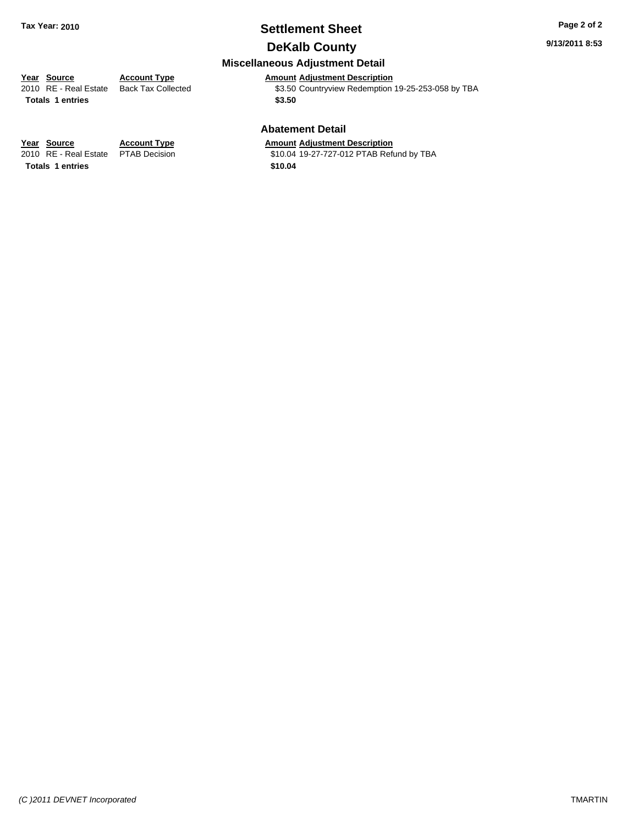## **Settlement Sheet Tax Year: 2010 Page 2 of 2**

**9/13/2011 8:53**

## **DeKalb County**

#### **Miscellaneous Adjustment Detail**

**Year Source Account Type Amount Adjustment Description**<br>
2010 RE - Real Estate Back Tax Collected \$3.50 Countryview Redemption \$3.50 Countryview Redemption 19-25-253-058 by TBA Totals 1 entries \$3.50

#### **Abatement Detail**

\$10.04 19-27-727-012 PTAB Refund by TBA

**Year Source Account Type Amount Adjustment Description**<br>2010 RE - Real Estate PTAB Decision **Amount** \$10.04 19-27-727-012 PTAB Refu **Totals \$10.04 1 entries**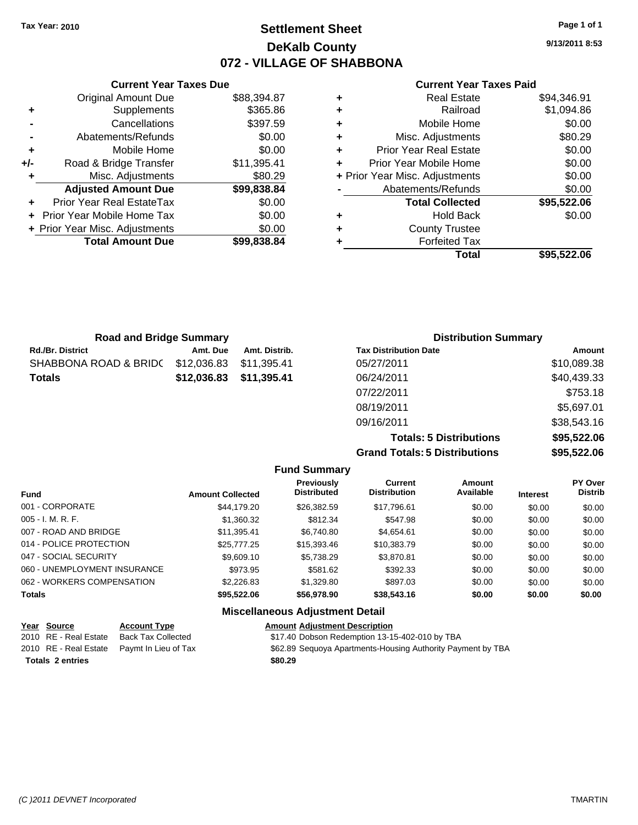**Current Year Taxes Due** Original Amount Due \$88,394.87

**Adjusted Amount Due \$99,838.84**

**Total Amount Due \$99,838.84**

**+** Supplements \$365.86 **-** Cancellations \$397.59 **-** Abatements/Refunds \$0.00 **+** Mobile Home \$0.00 **+/-** Road & Bridge Transfer \$11,395.41 **+** Misc. Adjustments \$80.29

**+** Prior Year Real EstateTax \$0.00 **+** Prior Year Mobile Home Tax \$0.00 **+ Prior Year Misc. Adjustments**  $$0.00$ 

## **Settlement Sheet Tax Year: 2010 Page 1 of 1 DeKalb County 072 - VILLAGE OF SHABBONA**

**9/13/2011 8:53**

**Amount** 

#### **Current Year Taxes Paid**

| ٠ | <b>Real Estate</b>             | \$94,346.91 |
|---|--------------------------------|-------------|
| ٠ | Railroad                       | \$1,094.86  |
| ÷ | Mobile Home                    | \$0.00      |
| ٠ | Misc. Adjustments              | \$80.29     |
| ٠ | <b>Prior Year Real Estate</b>  | \$0.00      |
|   | Prior Year Mobile Home         | \$0.00      |
|   | + Prior Year Misc. Adjustments | \$0.00      |
|   | Abatements/Refunds             | \$0.00      |
|   | <b>Total Collected</b>         | \$95,522.06 |
| ٠ | <b>Hold Back</b>               | \$0.00      |
| ٠ | <b>County Trustee</b>          |             |
| ٠ | <b>Forfeited Tax</b>           |             |
|   | Total                          | \$95.522.06 |

| <b>Road and Bridge Summary</b> |             |               | <b>Distribution Summary</b>  |  |
|--------------------------------|-------------|---------------|------------------------------|--|
| <b>Rd./Br. District</b>        | Amt. Due    | Amt. Distrib. | <b>Tax Distribution Date</b> |  |
| SHABBONA ROAD & BRIDC          | \$12,036.83 | \$11,395.41   | 05/27/2011                   |  |
| <b>Totals</b>                  | \$12,036.83 | \$11,395.41   | 06/24/2011                   |  |
|                                |             |               | 07/22/2011                   |  |

| <b>Grand Totals: 5 Distributions</b> | \$95,522.06 |
|--------------------------------------|-------------|
| <b>Totals: 5 Distributions</b>       | \$95,522.06 |
| 09/16/2011                           | \$38,543.16 |
| 08/19/2011                           | \$5,697.01  |
| 07/22/2011                           | \$753.18    |
| 06/24/2011                           | \$40,439.33 |
| 05/27/2011                           | \$10,089.38 |

|  | <b>Fund Summary</b> |
|--|---------------------|
|--|---------------------|

| <b>Fund</b>                  | <b>Amount Collected</b> | <b>Previously</b><br><b>Distributed</b> | Current<br><b>Distribution</b> | Amount<br>Available | <b>Interest</b> | PY Over<br><b>Distrib</b> |
|------------------------------|-------------------------|-----------------------------------------|--------------------------------|---------------------|-----------------|---------------------------|
| 001 - CORPORATE              | \$44,179.20             | \$26,382.59                             | \$17,796.61                    | \$0.00              | \$0.00          | \$0.00                    |
| $005 - I. M. R. F.$          | \$1,360.32              | \$812.34                                | \$547.98                       | \$0.00              | \$0.00          | \$0.00                    |
| 007 - ROAD AND BRIDGE        | \$11.395.41             | \$6,740.80                              | \$4.654.61                     | \$0.00              | \$0.00          | \$0.00                    |
| 014 - POLICE PROTECTION      | \$25,777.25             | \$15,393.46                             | \$10,383.79                    | \$0.00              | \$0.00          | \$0.00                    |
| 047 - SOCIAL SECURITY        | \$9,609.10              | \$5.738.29                              | \$3,870.81                     | \$0.00              | \$0.00          | \$0.00                    |
| 060 - UNEMPLOYMENT INSURANCE | \$973.95                | \$581.62                                | \$392.33                       | \$0.00              | \$0.00          | \$0.00                    |
| 062 - WORKERS COMPENSATION   | \$2,226.83              | \$1,329.80                              | \$897.03                       | \$0.00              | \$0.00          | \$0.00                    |
| <b>Totals</b>                | \$95,522.06             | \$56,978.90                             | \$38,543.16                    | \$0.00              | \$0.00          | \$0.00                    |

#### **Miscellaneous Adjustment Detail**

| Year Source             | <b>Account Type</b>                        | <b>Amount Adjustment Description</b>                        |
|-------------------------|--------------------------------------------|-------------------------------------------------------------|
| 2010 RE - Real Estate   | Back Tax Collected                         | \$17.40 Dobson Redemption 13-15-402-010 by TBA              |
|                         | 2010 RE - Real Estate Paymt In Lieu of Tax | \$62.89 Sequoya Apartments-Housing Authority Payment by TBA |
| <b>Totals 2 entries</b> |                                            | \$80.29                                                     |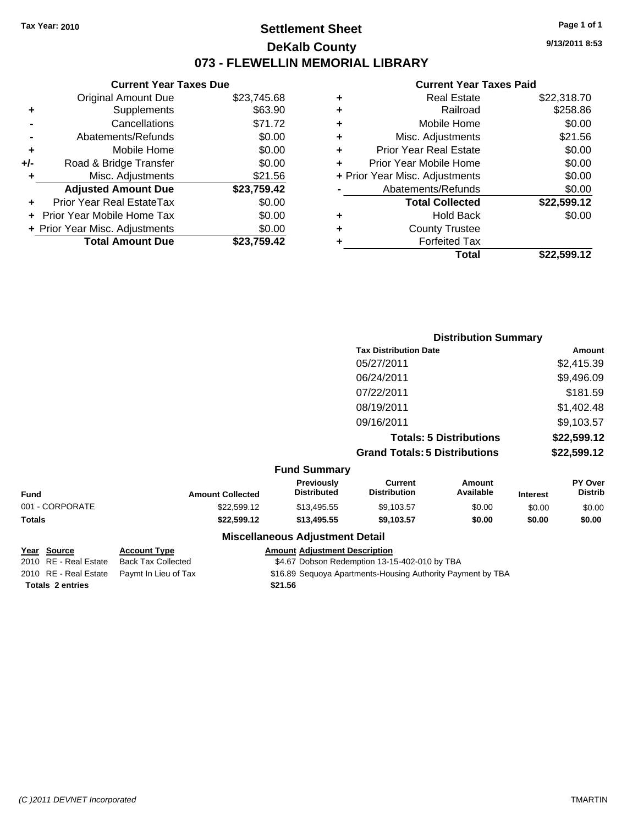## **Settlement Sheet Tax Year: 2010 Page 1 of 1 DeKalb County 073 - FLEWELLIN MEMORIAL LIBRARY**

**9/13/2011 8:53**

#### **Current Year Taxes Paid**

| \$23,745.68 | ÷ | <b>Real Estate</b>             | \$22,318.70 |
|-------------|---|--------------------------------|-------------|
| \$63.90     | ٠ | Railroad                       | \$258.86    |
| \$71.72     | ٠ | Mobile Home                    | \$0.00      |
| \$0.00      | ÷ | Misc. Adjustments              | \$21.56     |
| \$0.00      | ٠ | <b>Prior Year Real Estate</b>  | \$0.00      |
| \$0.00      |   | Prior Year Mobile Home         | \$0.00      |
| \$21.56     |   | + Prior Year Misc. Adjustments | \$0.00      |
| \$23,759.42 |   | Abatements/Refunds             | \$0.00      |
| \$0.00      |   | <b>Total Collected</b>         | \$22,599.12 |
| \$0.00      | ÷ | <b>Hold Back</b>               | \$0.00      |
| \$0.00      | ÷ | <b>County Trustee</b>          |             |
| \$23,759.42 |   | <b>Forfeited Tax</b>           |             |
|             |   | Total                          | \$22,599.12 |

|       | <b>Current Year Taxes Due</b>  |             |
|-------|--------------------------------|-------------|
|       | <b>Original Amount Due</b>     | \$23,745.68 |
| ٠     | Supplements                    | \$63.90     |
|       | Cancellations                  | \$71.72     |
|       | Abatements/Refunds             | \$0.00      |
| ٠     | Mobile Home                    | \$0.00      |
| $+/-$ | Road & Bridge Transfer         | \$0.00      |
|       | Misc. Adjustments              | \$21.56     |
|       | <b>Adjusted Amount Due</b>     | \$23,759.42 |
|       | Prior Year Real EstateTax      | \$0.00      |
|       | Prior Year Mobile Home Tax     | \$0.00      |
|       | + Prior Year Misc. Adjustments | \$0.00      |
|       | <b>Total Amount Due</b>        | \$23,759.42 |

|                     |                                      | <b>Distribution Summary</b>    |                |
|---------------------|--------------------------------------|--------------------------------|----------------|
|                     | <b>Tax Distribution Date</b>         |                                | Amount         |
|                     | 05/27/2011                           |                                | \$2,415.39     |
|                     | 06/24/2011                           |                                | \$9,496.09     |
|                     | 07/22/2011                           |                                | \$181.59       |
|                     | 08/19/2011                           |                                | \$1,402.48     |
|                     | 09/16/2011                           |                                | \$9,103.57     |
|                     |                                      | <b>Totals: 5 Distributions</b> | \$22,599.12    |
|                     | <b>Grand Totals: 5 Distributions</b> |                                | \$22,599.12    |
| <b>Fund Summary</b> |                                      |                                |                |
| Previously          | <b>Current</b>                       | Amount                         | <b>PY Over</b> |

| Fund            | <b>Amount Collected</b> | <b>Previously</b><br><b>Distributed</b> | Current<br>Distribution | Amount<br>Available | <b>Interest</b> | <b>PY Over</b><br><b>Distrib</b> |
|-----------------|-------------------------|-----------------------------------------|-------------------------|---------------------|-----------------|----------------------------------|
| 001 - CORPORATE | \$22,599.12             | \$13,495.55                             | \$9,103.57              | \$0.00              | \$0.00          | \$0.00                           |
| Totals          | \$22,599,12             | \$13,495.55                             | \$9.103.57              | \$0.00              | \$0.00          | \$0.00                           |
|                 |                         | <b>Miscellaneous Adjustment Detail</b>  |                         |                     |                 |                                  |

**Totals \$21.56 2 entries**

**Year Source Account Type Amount Adjustment Description**

2010 RE - Real Estate Back Tax Collected \$4.67 Dobson Redemption 13-15-402-010 by TBA

2010 RE - Real Estate Paymt In Lieu of Tax \$16.89 Sequoya Apartments-Housing Authority Payment by TBA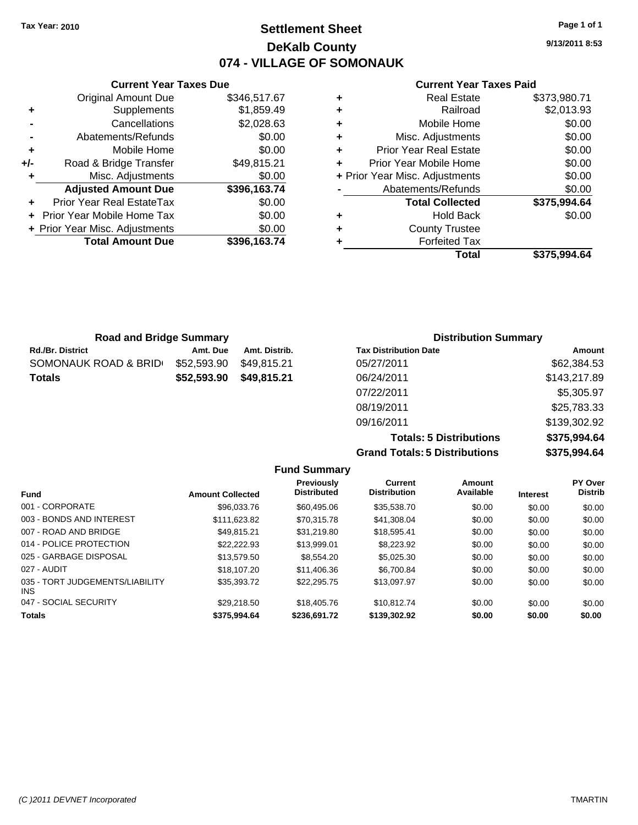## **Settlement Sheet Tax Year: 2010 Page 1 of 1 DeKalb County 074 - VILLAGE OF SOMONAUK**

**9/13/2011 8:53**

#### **Current Year Taxes Paid**

|   | <b>Real Estate</b>             | \$373,980.71 |
|---|--------------------------------|--------------|
| ٠ | Railroad                       | \$2,013.93   |
| ٠ | Mobile Home                    | \$0.00       |
| ٠ | Misc. Adjustments              | \$0.00       |
| ٠ | <b>Prior Year Real Estate</b>  | \$0.00       |
| ٠ | Prior Year Mobile Home         | \$0.00       |
|   | + Prior Year Misc. Adjustments | \$0.00       |
|   | Abatements/Refunds             | \$0.00       |
|   | <b>Total Collected</b>         | \$375,994.64 |
| ٠ | <b>Hold Back</b>               | \$0.00       |
| ٠ | <b>County Trustee</b>          |              |
|   | <b>Forfeited Tax</b>           |              |
|   | Total                          | \$375.994.64 |

|                | <b>Current Year Taxes Due</b>  |              |
|----------------|--------------------------------|--------------|
|                | <b>Original Amount Due</b>     | \$346,517.67 |
| ٠              | Supplements                    | \$1,859.49   |
|                | Cancellations                  | \$2,028.63   |
| $\blacksquare$ | Abatements/Refunds             | \$0.00       |
| ÷              | Mobile Home                    | \$0.00       |
| +/-            | Road & Bridge Transfer         | \$49,815.21  |
|                | Misc. Adjustments              | \$0.00       |
|                | <b>Adjusted Amount Due</b>     | \$396,163.74 |
|                | Prior Year Real EstateTax      | \$0.00       |
|                | Prior Year Mobile Home Tax     | \$0.00       |
|                | + Prior Year Misc. Adjustments | \$0.00       |
|                | <b>Total Amount Due</b>        | \$396,163.74 |

| <b>Road and Bridge Summary</b> |             |               | <b>Distribution Summary</b>  |              |
|--------------------------------|-------------|---------------|------------------------------|--------------|
| Rd./Br. District               | Amt. Due    | Amt. Distrib. | <b>Tax Distribution Date</b> | Amount       |
| SOMONAUK ROAD & BRID⊖          | \$52,593.90 | \$49.815.21   | 05/27/2011                   | \$62,384.53  |
| Totals                         | \$52,593.90 | \$49,815.21   | 06/24/2011                   | \$143,217.89 |
|                                |             |               | 07/22/2011                   | \$5,305.97   |
|                                |             |               | 08/19/2011                   | \$25,783.33  |
|                                |             |               | 09/16/2011                   | \$139,302.92 |

**Totals: 5 Distributions \$375,994.64 Grand Totals: 5 Distributions \$375,994.64**

|                                               |                         | <b>Fund Summary</b>              |                                       |                     |                 |                           |
|-----------------------------------------------|-------------------------|----------------------------------|---------------------------------------|---------------------|-----------------|---------------------------|
| <b>Fund</b>                                   | <b>Amount Collected</b> | Previously<br><b>Distributed</b> | <b>Current</b><br><b>Distribution</b> | Amount<br>Available | <b>Interest</b> | PY Over<br><b>Distrib</b> |
| 001 - CORPORATE                               | \$96,033,76             | \$60,495.06                      | \$35,538.70                           | \$0.00              | \$0.00          | \$0.00                    |
| 003 - BONDS AND INTEREST                      | \$111,623.82            | \$70.315.78                      | \$41,308.04                           | \$0.00              | \$0.00          | \$0.00                    |
| 007 - ROAD AND BRIDGE                         | \$49.815.21             | \$31.219.80                      | \$18,595.41                           | \$0.00              | \$0.00          | \$0.00                    |
| 014 - POLICE PROTECTION                       | \$22,222.93             | \$13,999.01                      | \$8,223,92                            | \$0.00              | \$0.00          | \$0.00                    |
| 025 - GARBAGE DISPOSAL                        | \$13,579.50             | \$8,554.20                       | \$5,025,30                            | \$0.00              | \$0.00          | \$0.00                    |
| 027 - AUDIT                                   | \$18,107.20             | \$11,406.36                      | \$6,700.84                            | \$0.00              | \$0.00          | \$0.00                    |
| 035 - TORT JUDGEMENTS/LIABILITY<br><b>INS</b> | \$35,393,72             | \$22,295.75                      | \$13.097.97                           | \$0.00              | \$0.00          | \$0.00                    |
| 047 - SOCIAL SECURITY                         | \$29,218.50             | \$18,405.76                      | \$10.812.74                           | \$0.00              | \$0.00          | \$0.00                    |
| <b>Totals</b>                                 | \$375.994.64            | \$236,691.72                     | \$139,302.92                          | \$0.00              | \$0.00          | \$0.00                    |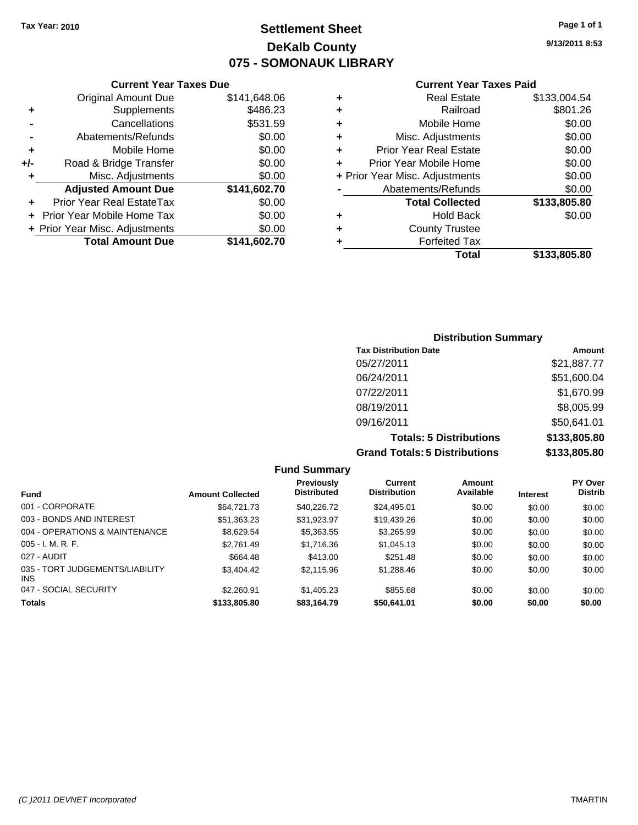## **Settlement Sheet Tax Year: 2010 Page 1 of 1 DeKalb County 075 - SOMONAUK LIBRARY**

|     | <b>Current Year Taxes Due</b>  |              |
|-----|--------------------------------|--------------|
|     | <b>Original Amount Due</b>     | \$141,648.06 |
| ٠   | Supplements                    | \$486.23     |
|     | Cancellations                  | \$531.59     |
|     | Abatements/Refunds             | \$0.00       |
| ٠   | Mobile Home                    | \$0.00       |
| +/- | Road & Bridge Transfer         | \$0.00       |
| ٠   | Misc. Adjustments              | \$0.00       |
|     | <b>Adjusted Amount Due</b>     | \$141,602.70 |
|     | Prior Year Real EstateTax      | \$0.00       |
|     | Prior Year Mobile Home Tax     | \$0.00       |
|     | + Prior Year Misc. Adjustments | \$0.00       |
|     | <b>Total Amount Due</b>        | \$141,602.70 |
|     |                                |              |

#### **Current Year Taxes Paid**

|   | Total                          | \$133,805.80 |
|---|--------------------------------|--------------|
| ٠ | <b>Forfeited Tax</b>           |              |
| ٠ | <b>County Trustee</b>          |              |
| ٠ | Hold Back                      | \$0.00       |
|   | <b>Total Collected</b>         | \$133,805.80 |
|   | Abatements/Refunds             | \$0.00       |
|   | + Prior Year Misc. Adjustments | \$0.00       |
| ٠ | Prior Year Mobile Home         | \$0.00       |
| ٠ | <b>Prior Year Real Estate</b>  | \$0.00       |
| ٠ | Misc. Adjustments              | \$0.00       |
| ٠ | Mobile Home                    | \$0.00       |
| ٠ | Railroad                       | \$801.26     |
| ٠ | <b>Real Estate</b>             | \$133,004.54 |

## **Distribution Summary Tax Distribution Date Amount** 05/27/2011 \$21,887.77 06/24/2011 \$51,600.04 07/22/2011 \$1,670.99 08/19/2011 \$8,005.99 09/16/2011 \$50,641.01 **Totals: 5 Distributions \$133,805.80 Grand Totals: 5 Distributions \$133,805.80**

| <b>Fund Summary</b>                           |                         |                                         |                                       |                     |                 |                                  |  |  |  |
|-----------------------------------------------|-------------------------|-----------------------------------------|---------------------------------------|---------------------|-----------------|----------------------------------|--|--|--|
| <b>Fund</b>                                   | <b>Amount Collected</b> | <b>Previously</b><br><b>Distributed</b> | <b>Current</b><br><b>Distribution</b> | Amount<br>Available | <b>Interest</b> | <b>PY Over</b><br><b>Distrib</b> |  |  |  |
| 001 - CORPORATE                               | \$64,721,73             | \$40.226.72                             | \$24,495.01                           | \$0.00              | \$0.00          | \$0.00                           |  |  |  |
| 003 - BONDS AND INTEREST                      | \$51.363.23             | \$31.923.97                             | \$19.439.26                           | \$0.00              | \$0.00          | \$0.00                           |  |  |  |
| 004 - OPERATIONS & MAINTENANCE                | \$8.629.54              | \$5.363.55                              | \$3.265.99                            | \$0.00              | \$0.00          | \$0.00                           |  |  |  |
| $005 - I. M. R. F.$                           | \$2.761.49              | \$1.716.36                              | \$1,045.13                            | \$0.00              | \$0.00          | \$0.00                           |  |  |  |
| 027 - AUDIT                                   | \$664.48                | \$413.00                                | \$251.48                              | \$0.00              | \$0.00          | \$0.00                           |  |  |  |
| 035 - TORT JUDGEMENTS/LIABILITY<br><b>INS</b> | \$3,404.42              | \$2,115.96                              | \$1,288.46                            | \$0.00              | \$0.00          | \$0.00                           |  |  |  |
| 047 - SOCIAL SECURITY                         | \$2,260.91              | \$1,405.23                              | \$855.68                              | \$0.00              | \$0.00          | \$0.00                           |  |  |  |
| <b>Totals</b>                                 | \$133,805.80            | \$83,164.79                             | \$50,641.01                           | \$0.00              | \$0.00          | \$0.00                           |  |  |  |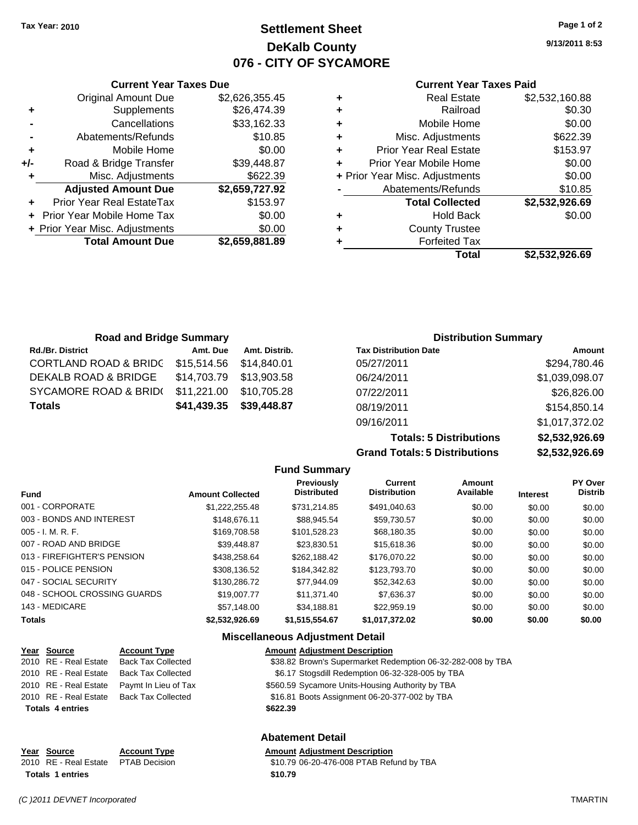**Current Year Taxes Due** Original Amount Due \$2,626,355.45

**Adjusted Amount Due \$2,659,727.92**

**Total Amount Due \$2,659,881.89**

**+** Supplements \$26,474.39 **-** Cancellations \$33,162.33 **-** Abatements/Refunds \$10.85 **+** Mobile Home \$0.00 **+/-** Road & Bridge Transfer \$39,448.87 **+** Misc. Adjustments \$622.39

**+** Prior Year Real EstateTax \$153.97 **+** Prior Year Mobile Home Tax \$0.00 **+ Prior Year Misc. Adjustments**  $$0.00$ 

# **Settlement Sheet Tax Year: 2010 Page 1 of 2 DeKalb County 076 - CITY OF SYCAMORE**

**9/13/2011 8:53**

#### **Current Year Taxes Paid**

|   | Total                          | \$2.532.926.69 |
|---|--------------------------------|----------------|
|   | <b>Forfeited Tax</b>           |                |
| ٠ | <b>County Trustee</b>          |                |
| ٠ | <b>Hold Back</b>               | \$0.00         |
|   | <b>Total Collected</b>         | \$2,532,926.69 |
|   | Abatements/Refunds             | \$10.85        |
|   | + Prior Year Misc. Adjustments | \$0.00         |
|   | Prior Year Mobile Home         | \$0.00         |
| ٠ | <b>Prior Year Real Estate</b>  | \$153.97       |
| ÷ | Misc. Adjustments              | \$622.39       |
| ٠ | Mobile Home                    | \$0.00         |
| ٠ | Railroad                       | \$0.30         |
| ٠ | Real Estate                    | \$2,532,160.88 |

| <b>Road and Bridge Summary</b>   |                         |               | <b>Distribution Summary</b>  |                |
|----------------------------------|-------------------------|---------------|------------------------------|----------------|
| <b>Rd./Br. District</b>          | Amt. Due                | Amt. Distrib. | <b>Tax Distribution Date</b> | Amount         |
| <b>CORTLAND ROAD &amp; BRIDC</b> | \$15,514.56 \$14,840.01 |               | 05/27/2011                   | \$294,780.46   |
| <b>DEKALB ROAD &amp; BRIDGE</b>  | \$14,703.79 \$13,903.58 |               | 06/24/2011                   | \$1,039,098.07 |
| SYCAMORE ROAD & BRID(            | \$11,221.00             | \$10,705.28   | 07/22/2011                   | \$26,826.00    |
| <b>Totals</b>                    | \$41,439.35             | \$39,448.87   | 08/19/2011                   | \$154,850.14   |

**Grand Totals: 5 Distributions** 

09/16/2011 \$1,017,372.02

**Totals: 5 Distributions \$2,532,926.69**

| \$2,532,926.69 |  |
|----------------|--|
|                |  |
|                |  |

|                              | <b>Fund Summary</b>     |                                         |                                       |                     |                 |                           |
|------------------------------|-------------------------|-----------------------------------------|---------------------------------------|---------------------|-----------------|---------------------------|
| <b>Fund</b>                  | <b>Amount Collected</b> | <b>Previously</b><br><b>Distributed</b> | <b>Current</b><br><b>Distribution</b> | Amount<br>Available | <b>Interest</b> | PY Over<br><b>Distrib</b> |
| 001 - CORPORATE              | \$1,222,255.48          | \$731.214.85                            | \$491,040.63                          | \$0.00              | \$0.00          | \$0.00                    |
| 003 - BONDS AND INTEREST     | \$148,676.11            | \$88.945.54                             | \$59.730.57                           | \$0.00              | \$0.00          | \$0.00                    |
| 005 - I. M. R. F.            | \$169,708.58            | \$101,528.23                            | \$68,180.35                           | \$0.00              | \$0.00          | \$0.00                    |
| 007 - ROAD AND BRIDGE        | \$39,448.87             | \$23,830.51                             | \$15,618,36                           | \$0.00              | \$0.00          | \$0.00                    |
| 013 - FIREFIGHTER'S PENSION  | \$438.258.64            | \$262.188.42                            | \$176,070.22                          | \$0.00              | \$0.00          | \$0.00                    |
| 015 - POLICE PENSION         | \$308.136.52            | \$184,342,82                            | \$123,793,70                          | \$0.00              | \$0.00          | \$0.00                    |
| 047 - SOCIAL SECURITY        | \$130,286.72            | \$77.944.09                             | \$52,342.63                           | \$0.00              | \$0.00          | \$0.00                    |
| 048 - SCHOOL CROSSING GUARDS | \$19,007.77             | \$11.371.40                             | \$7.636.37                            | \$0.00              | \$0.00          | \$0.00                    |
| 143 - MEDICARE               | \$57.148.00             | \$34,188.81                             | \$22,959.19                           | \$0.00              | \$0.00          | \$0.00                    |
| Totals                       | \$2,532,926.69          | \$1,515,554.67                          | \$1,017,372.02                        | \$0.00              | \$0.00          | \$0.00                    |

#### **Miscellaneous Adjustment Detail**

| Year Source             | <b>Account Type</b>       | <b>Amount Adjustment Description</b>                        |
|-------------------------|---------------------------|-------------------------------------------------------------|
| 2010 RE - Real Estate   | <b>Back Tax Collected</b> | \$38.82 Brown's Supermarket Redemption 06-32-282-008 by TBA |
| 2010 RE - Real Estate   | <b>Back Tax Collected</b> | \$6.17 Stogsdill Redemption 06-32-328-005 by TBA            |
| 2010 RE - Real Estate   | Paymt In Lieu of Tax      | \$560.59 Sycamore Units-Housing Authority by TBA            |
| 2010 RE - Real Estate   | <b>Back Tax Collected</b> | \$16.81 Boots Assignment 06-20-377-002 by TBA               |
| <b>Totals 4 entries</b> |                           | \$622.39                                                    |
|                         |                           |                                                             |
|                         |                           |                                                             |

#### **Abatement Detail**

**Year Source Account Type Amount Adjustment Description** 2010 RE - Real Estate \$10.79 06-20-476-008 PTAB Refund by TBA PTAB Decision **Totals 1 entries** \$10.79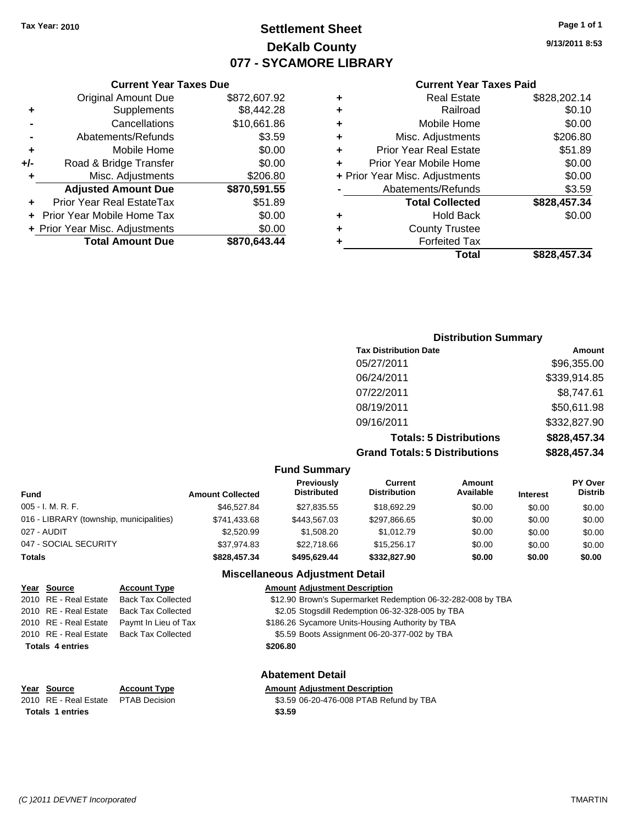# **Settlement Sheet Tax Year: 2010 Page 1 of 1 DeKalb County 077 - SYCAMORE LIBRARY**

**9/13/2011 8:53**

#### **Current Year Taxes Paid**

|     | <b>Current Year Taxes Due</b>     |              |
|-----|-----------------------------------|--------------|
|     | <b>Original Amount Due</b>        | \$872,607.92 |
| ٠   | Supplements                       | \$8,442.28   |
|     | Cancellations                     | \$10,661.86  |
|     | Abatements/Refunds                | \$3.59       |
| ٠   | Mobile Home                       | \$0.00       |
| +/- | Road & Bridge Transfer            | \$0.00       |
| ٠   | Misc. Adjustments                 | \$206.80     |
|     | <b>Adjusted Amount Due</b>        | \$870,591.55 |
|     | Prior Year Real EstateTax         | \$51.89      |
|     | <b>Prior Year Mobile Home Tax</b> | \$0.00       |
|     | + Prior Year Misc. Adjustments    | \$0.00       |
|     | <b>Total Amount Due</b>           | \$870.643.44 |

| <b>Distribution Summary</b>          |              |
|--------------------------------------|--------------|
| <b>Tax Distribution Date</b>         | Amount       |
| 05/27/2011                           | \$96,355.00  |
| 06/24/2011                           | \$339,914.85 |
| 07/22/2011                           | \$8,747.61   |
| 08/19/2011                           | \$50,611.98  |
| 09/16/2011                           | \$332,827.90 |
| <b>Totals: 5 Distributions</b>       | \$828,457.34 |
| <b>Grand Totals: 5 Distributions</b> | \$828,457.34 |

#### **Fund Summary**

| <b>Fund</b>                              | <b>Amount Collected</b> | <b>Previously</b><br><b>Distributed</b> | Current<br><b>Distribution</b> | Amount<br>Available | <b>Interest</b> | <b>PY Over</b><br><b>Distrib</b> |  |
|------------------------------------------|-------------------------|-----------------------------------------|--------------------------------|---------------------|-----------------|----------------------------------|--|
| 005 - I. M. R. F.                        | \$46,527.84             | \$27,835.55                             | \$18,692.29                    | \$0.00              | \$0.00          | \$0.00                           |  |
| 016 - LIBRARY (township, municipalities) | \$741,433.68            | \$443.567.03                            | \$297,866.65                   | \$0.00              | \$0.00          | \$0.00                           |  |
| 027 - AUDIT                              | \$2,520.99              | \$1,508.20                              | \$1.012.79                     | \$0.00              | \$0.00          | \$0.00                           |  |
| 047 - SOCIAL SECURITY                    | \$37,974.83             | \$22,718.66                             | \$15,256.17                    | \$0.00              | \$0.00          | \$0.00                           |  |
| <b>Totals</b>                            | \$828,457,34            | \$495.629.44                            | \$332,827,90                   | \$0.00              | \$0.00          | \$0.00                           |  |

### **Miscellaneous Adjustment Detail**

| Year Source             | <b>Account Type</b>       | <b>Amount Adjustment Description</b>                        |
|-------------------------|---------------------------|-------------------------------------------------------------|
| 2010 RE - Real Estate   | <b>Back Tax Collected</b> | \$12.90 Brown's Supermarket Redemption 06-32-282-008 by TBA |
| 2010 RE - Real Estate   | <b>Back Tax Collected</b> | \$2.05 Stogsdill Redemption 06-32-328-005 by TBA            |
| 2010 RE - Real Estate   | Paymt In Lieu of Tax      | \$186.26 Sycamore Units-Housing Authority by TBA            |
| 2010 RE - Real Estate   | <b>Back Tax Collected</b> | \$5.59 Boots Assignment 06-20-377-002 by TBA                |
| <b>Totals 4 entries</b> |                           | \$206.80                                                    |
|                         |                           |                                                             |
|                         |                           | <b>Abatement Detail</b>                                     |
| Year Source             | <b>Account Type</b>       | <b>Amount Adiustment Description</b>                        |
| 2010 RE - Real Estate   | <b>PTAB Decision</b>      | \$3.59 06-20-476-008 PTAB Refund by TBA                     |

Totals 1 entries **12.59 12.59**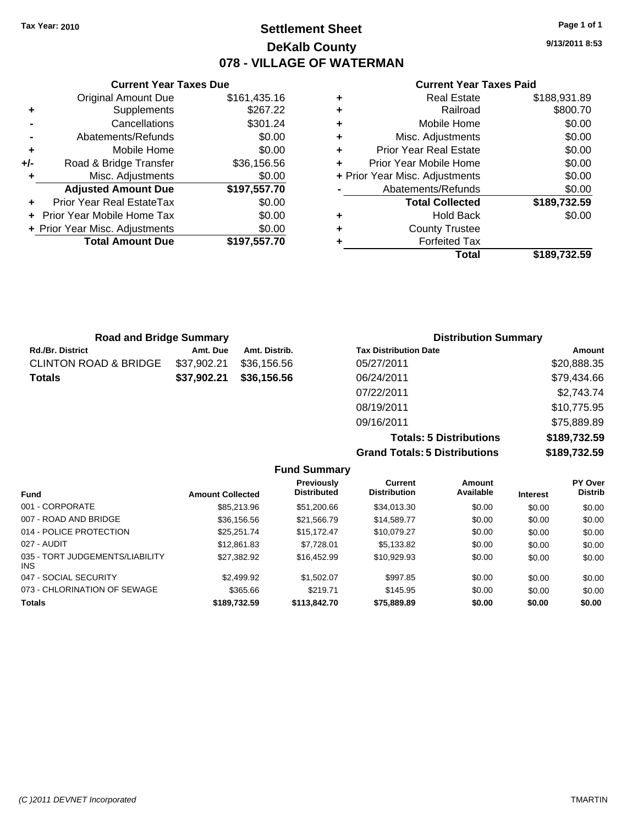# **Settlement Sheet Tax Year: 2010 Page 1 of 1 DeKalb County 078 - VILLAGE OF WATERMAN**

**9/13/2011 8:53**

#### **Current Year Taxes Paid**

|      |   | Total                          | \$189,732.59 |
|------|---|--------------------------------|--------------|
| 7.70 | ٠ | <b>Forfeited Tax</b>           |              |
| 0.00 | ٠ | <b>County Trustee</b>          |              |
| 0.00 | ٠ | <b>Hold Back</b>               | \$0.00       |
| 0.00 |   | <b>Total Collected</b>         | \$189,732.59 |
| 7.70 |   | Abatements/Refunds             | \$0.00       |
| 0.00 |   | + Prior Year Misc. Adjustments | \$0.00       |
| 6.56 | ÷ | Prior Year Mobile Home         | \$0.00       |
| 0.00 | ÷ | <b>Prior Year Real Estate</b>  | \$0.00       |
| 0.00 | ٠ | Misc. Adjustments              | \$0.00       |
| 1.24 | ٠ | Mobile Home                    | \$0.00       |
| 7.22 | ٠ | Railroad                       | \$800.70     |
| 5.16 | ٠ | <b>Real Estate</b>             | \$188,931.89 |
|      |   |                                |              |

|       | <b>Total Amount Due</b>        | \$197,557.70 |
|-------|--------------------------------|--------------|
|       | + Prior Year Misc. Adjustments | \$0.00       |
|       | Prior Year Mobile Home Tax     | \$0.00       |
| ÷     | Prior Year Real EstateTax      | \$0.00       |
|       | <b>Adjusted Amount Due</b>     | \$197,557.70 |
| ٠     | Misc. Adjustments              | \$0.00       |
| $+/-$ | Road & Bridge Transfer         | \$36,156.56  |
| ÷     | Mobile Home                    | \$0.00       |
|       | Abatements/Refunds             | \$0.00       |
|       | Cancellations                  | \$301.24     |
| ٠     | Supplements                    | \$267.22     |
|       | <b>Original Amount Due</b>     | \$161,435.16 |

**Current Year Taxes Due**

| <b>Road and Bridge Summary</b> |             |               | <b>Distribution Summary</b>  |             |  |
|--------------------------------|-------------|---------------|------------------------------|-------------|--|
| <b>Rd./Br. District</b>        | Amt. Due    | Amt. Distrib. | <b>Tax Distribution Date</b> | Amount      |  |
| CLINTON ROAD & BRIDGE          | \$37,902.21 | \$36,156.56   | 05/27/2011                   | \$20,888.35 |  |
| Totals                         | \$37,902.21 | \$36,156.56   | 06/24/2011                   | \$79,434.66 |  |
|                                |             |               | 07/22/2011                   | \$2,743.74  |  |
|                                |             |               | 08/19/2011                   | \$10,775.95 |  |
|                                |             |               | 09/16/2011                   | \$75,889.89 |  |

**Totals: 5 Distributions \$189,732.59 Grand Totals: 5 Distributions \$189,732.59**

|                                         |                         | <b>Fund Summary</b>                     |                                       |                     |                 |                           |
|-----------------------------------------|-------------------------|-----------------------------------------|---------------------------------------|---------------------|-----------------|---------------------------|
| Fund                                    | <b>Amount Collected</b> | <b>Previously</b><br><b>Distributed</b> | <b>Current</b><br><b>Distribution</b> | Amount<br>Available | <b>Interest</b> | PY Over<br><b>Distrib</b> |
| 001 - CORPORATE                         | \$85,213.96             | \$51,200.66                             | \$34,013,30                           | \$0.00              | \$0.00          | \$0.00                    |
| 007 - ROAD AND BRIDGE                   | \$36,156.56             | \$21,566.79                             | \$14.589.77                           | \$0.00              | \$0.00          | \$0.00                    |
| 014 - POLICE PROTECTION                 | \$25.251.74             | \$15,172.47                             | \$10.079.27                           | \$0.00              | \$0.00          | \$0.00                    |
| 027 - AUDIT                             | \$12,861.83             | \$7.728.01                              | \$5.133.82                            | \$0.00              | \$0.00          | \$0.00                    |
| 035 - TORT JUDGEMENTS/LIABILITY<br>INS. | \$27,382.92             | \$16,452.99                             | \$10,929.93                           | \$0.00              | \$0.00          | \$0.00                    |
| 047 - SOCIAL SECURITY                   | \$2,499.92              | \$1,502.07                              | \$997.85                              | \$0.00              | \$0.00          | \$0.00                    |
| 073 - CHLORINATION OF SEWAGE            | \$365.66                | \$219.71                                | \$145.95                              | \$0.00              | \$0.00          | \$0.00                    |
| <b>Totals</b>                           | \$189,732.59            | \$113,842.70                            | \$75,889.89                           | \$0.00              | \$0.00          | \$0.00                    |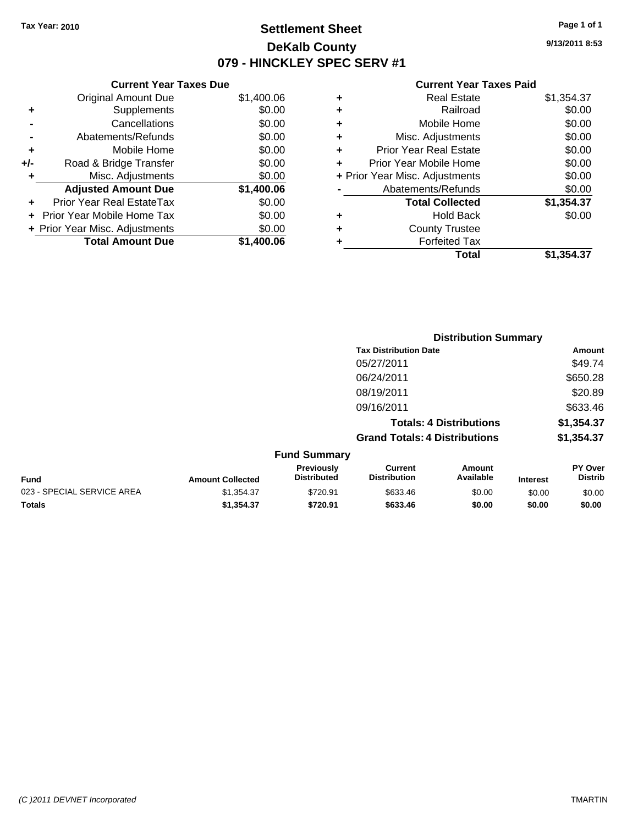# **Settlement Sheet Tax Year: 2010 Page 1 of 1 DeKalb County 079 - HINCKLEY SPEC SERV #1**

**9/13/2011 8:53**

| <b>Current Year Taxes Due</b>  |            |  |  |  |
|--------------------------------|------------|--|--|--|
| <b>Original Amount Due</b>     | \$1,400.06 |  |  |  |
| Supplements                    | \$0.00     |  |  |  |
| Cancellations                  | \$0.00     |  |  |  |
| Abatements/Refunds             | \$0.00     |  |  |  |
| Mobile Home                    | \$0.00     |  |  |  |
| Road & Bridge Transfer         | \$0.00     |  |  |  |
| Misc. Adjustments              | \$0.00     |  |  |  |
| <b>Adjusted Amount Due</b>     | \$1,400.06 |  |  |  |
| Prior Year Real EstateTax      | \$0.00     |  |  |  |
| Prior Year Mobile Home Tax     | \$0.00     |  |  |  |
| + Prior Year Misc. Adjustments | \$0.00     |  |  |  |
| <b>Total Amount Due</b>        | \$1,400.06 |  |  |  |
|                                |            |  |  |  |

| ٠                              | <b>Real Estate</b>            | \$1,354.37 |
|--------------------------------|-------------------------------|------------|
| ٠                              | Railroad                      | \$0.00     |
| ٠                              | Mobile Home                   | \$0.00     |
| ٠                              | Misc. Adjustments             | \$0.00     |
| ÷                              | <b>Prior Year Real Estate</b> | \$0.00     |
| ٠                              | Prior Year Mobile Home        | \$0.00     |
| + Prior Year Misc. Adjustments |                               | \$0.00     |
|                                | Abatements/Refunds            | \$0.00     |
|                                | <b>Total Collected</b>        | \$1,354.37 |
| ٠                              | <b>Hold Back</b>              | \$0.00     |
| ٠                              | <b>County Trustee</b>         |            |
| ٠                              | <b>Forfeited Tax</b>          |            |
|                                | <b>Total</b>                  | \$1,354,37 |
|                                |                               |            |

|                            |                         |                                  | <b>Distribution Summary</b>           |                                |                 |                                  |
|----------------------------|-------------------------|----------------------------------|---------------------------------------|--------------------------------|-----------------|----------------------------------|
|                            |                         |                                  | <b>Tax Distribution Date</b>          |                                |                 | Amount                           |
|                            |                         |                                  | 05/27/2011                            |                                |                 | \$49.74                          |
|                            |                         |                                  | 06/24/2011                            |                                |                 | \$650.28                         |
|                            |                         |                                  | 08/19/2011                            |                                |                 | \$20.89                          |
|                            |                         |                                  | 09/16/2011                            |                                |                 | \$633.46                         |
|                            |                         |                                  |                                       | <b>Totals: 4 Distributions</b> |                 | \$1,354.37                       |
|                            |                         |                                  | <b>Grand Totals: 4 Distributions</b>  |                                |                 | \$1,354.37                       |
|                            |                         | <b>Fund Summary</b>              |                                       |                                |                 |                                  |
| <b>Fund</b>                | <b>Amount Collected</b> | Previously<br><b>Distributed</b> | <b>Current</b><br><b>Distribution</b> | Amount<br>Available            | <b>Interest</b> | <b>PY Over</b><br><b>Distrib</b> |
| 023 - SPECIAL SERVICE AREA | \$1,354.37              | \$720.91                         | \$633.46                              | \$0.00                         | \$0.00          | \$0.00                           |
| Totals                     | \$1,354.37              | \$720.91                         | \$633.46                              | \$0.00                         | \$0.00          | \$0.00                           |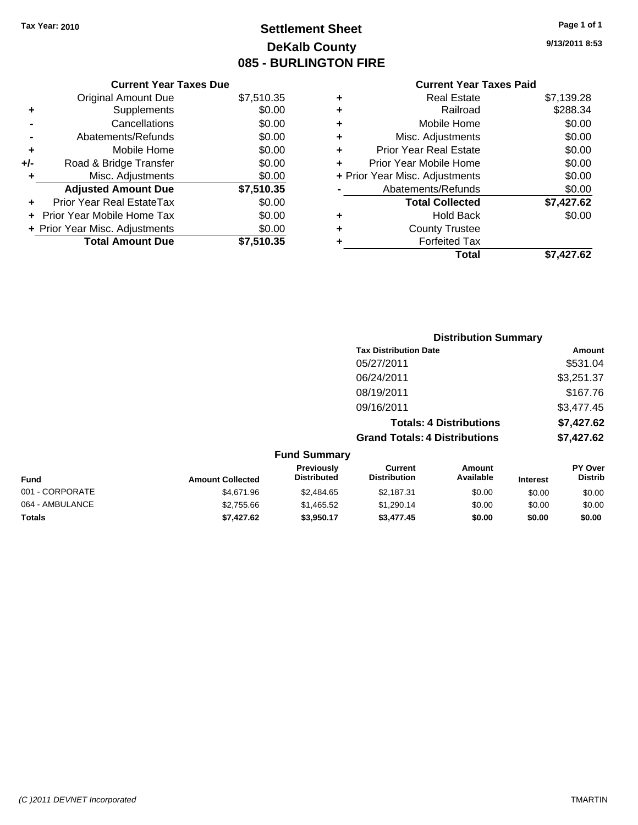# **Settlement Sheet Tax Year: 2010 Page 1 of 1 DeKalb County 085 - BURLINGTON FIRE**

**9/13/2011 8:53**

#### **Current Year Taxes Paid**

|     | <b>Current Year Taxes Due</b>  |            |
|-----|--------------------------------|------------|
|     | <b>Original Amount Due</b>     | \$7,510.35 |
| ٠   | Supplements                    | \$0.00     |
|     | Cancellations                  | \$0.00     |
|     | Abatements/Refunds             | \$0.00     |
| ٠   | Mobile Home                    | \$0.00     |
| +/- | Road & Bridge Transfer         | \$0.00     |
|     | Misc. Adjustments              | \$0.00     |
|     | <b>Adjusted Amount Due</b>     | \$7,510.35 |
|     | Prior Year Real EstateTax      | \$0.00     |
|     | Prior Year Mobile Home Tax     | \$0.00     |
|     | + Prior Year Misc. Adjustments | \$0.00     |
|     | <b>Total Amount Due</b>        | \$7.510.35 |

| ٠                              | <b>Real Estate</b>            | \$7,139.28 |
|--------------------------------|-------------------------------|------------|
| ٠                              | Railroad                      | \$288.34   |
| ٠                              | Mobile Home                   | \$0.00     |
| ٠                              | Misc. Adjustments             | \$0.00     |
| ÷                              | <b>Prior Year Real Estate</b> | \$0.00     |
|                                | Prior Year Mobile Home        | \$0.00     |
| + Prior Year Misc. Adjustments |                               | \$0.00     |
|                                | Abatements/Refunds            | \$0.00     |
|                                | <b>Total Collected</b>        | \$7,427.62 |
| ٠                              | Hold Back                     | \$0.00     |
| ٠                              | <b>County Trustee</b>         |            |
| ٠                              | <b>Forfeited Tax</b>          |            |
|                                | Total                         | \$7.427.62 |
|                                |                               |            |

|                 |                         |                                  | <b>Distribution Summary</b>           |                                |                 |                           |
|-----------------|-------------------------|----------------------------------|---------------------------------------|--------------------------------|-----------------|---------------------------|
|                 |                         |                                  | <b>Tax Distribution Date</b>          |                                |                 | Amount                    |
|                 |                         |                                  | 05/27/2011                            |                                |                 | \$531.04                  |
|                 |                         |                                  | 06/24/2011                            |                                |                 | \$3,251.37                |
|                 |                         |                                  | 08/19/2011                            |                                |                 | \$167.76                  |
|                 |                         |                                  | 09/16/2011                            |                                |                 | \$3,477.45                |
|                 |                         |                                  |                                       | <b>Totals: 4 Distributions</b> |                 | \$7,427.62                |
|                 |                         |                                  | <b>Grand Totals: 4 Distributions</b>  |                                |                 | \$7,427.62                |
|                 |                         | <b>Fund Summary</b>              |                                       |                                |                 |                           |
| <b>Fund</b>     | <b>Amount Collected</b> | Previously<br><b>Distributed</b> | <b>Current</b><br><b>Distribution</b> | Amount<br>Available            | <b>Interest</b> | PY Over<br><b>Distrib</b> |
| 001 - CORPORATE | \$4,671.96              | \$2,484.65                       | \$2,187.31                            | \$0.00                         | \$0.00          | \$0.00                    |
| 064 - AMBULANCE | \$2,755.66              | \$1,465.52                       | \$1,290.14                            | \$0.00                         | \$0.00          | \$0.00                    |
|                 |                         |                                  |                                       |                                |                 |                           |

**Totals \$7,427.62 \$3,950.17 \$3,477.45 \$0.00 \$0.00 \$0.00**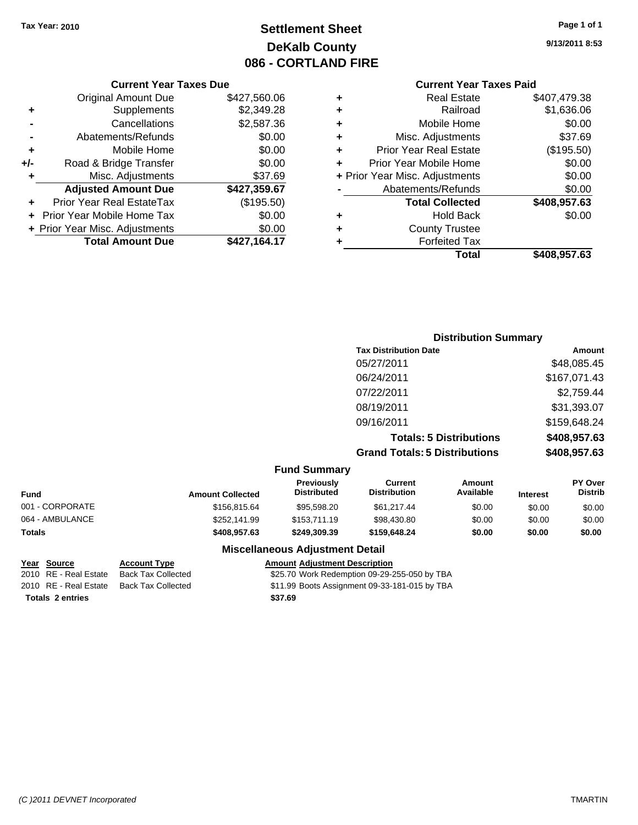# **Settlement Sheet Tax Year: 2010 Page 1 of 1 DeKalb County 086 - CORTLAND FIRE**

### **Current Year Taxes Paid**

| ٠ | <b>Real Estate</b>             | \$407,479.38 |
|---|--------------------------------|--------------|
| ٠ | Railroad                       | \$1,636.06   |
| ٠ | Mobile Home                    | \$0.00       |
| ٠ | Misc. Adjustments              | \$37.69      |
| ٠ | <b>Prior Year Real Estate</b>  | (\$195.50)   |
| ÷ | Prior Year Mobile Home         | \$0.00       |
|   | + Prior Year Misc. Adjustments | \$0.00       |
|   | Abatements/Refunds             | \$0.00       |
|   | <b>Total Collected</b>         | \$408,957.63 |
| ٠ | Hold Back                      | \$0.00       |
| ٠ | <b>County Trustee</b>          |              |
| ٠ | <b>Forfeited Tax</b>           |              |
|   | Total                          | \$408,957.63 |
|   |                                |              |

|     | <b>Current Year Taxes Due</b>  |              |  |  |  |
|-----|--------------------------------|--------------|--|--|--|
|     | <b>Original Amount Due</b>     | \$427,560.06 |  |  |  |
| ٠   | Supplements                    | \$2,349.28   |  |  |  |
|     | Cancellations                  | \$2,587.36   |  |  |  |
|     | Abatements/Refunds             | \$0.00       |  |  |  |
| ٠   | Mobile Home                    | \$0.00       |  |  |  |
| +/- | Road & Bridge Transfer         | \$0.00       |  |  |  |
| ٠   | Misc. Adjustments              | \$37.69      |  |  |  |
|     | <b>Adjusted Amount Due</b>     | \$427,359.67 |  |  |  |
|     | Prior Year Real EstateTax      | (\$195.50)   |  |  |  |
|     | Prior Year Mobile Home Tax     | \$0.00       |  |  |  |
|     | + Prior Year Misc. Adjustments | \$0.00       |  |  |  |
|     | <b>Total Amount Due</b>        | \$427,164.17 |  |  |  |

|                                      | <b>Distribution Summary</b>                    |  |  |
|--------------------------------------|------------------------------------------------|--|--|
| <b>Tax Distribution Date</b>         | Amount                                         |  |  |
| 05/27/2011                           | \$48,085.45                                    |  |  |
| 06/24/2011                           | \$167,071.43                                   |  |  |
| 07/22/2011                           | \$2,759.44                                     |  |  |
| 08/19/2011                           | \$31,393.07                                    |  |  |
| 09/16/2011                           | \$159,648.24                                   |  |  |
|                                      | \$408,957.63<br><b>Totals: 5 Distributions</b> |  |  |
| <b>Grand Totals: 5 Distributions</b> | \$408,957.63                                   |  |  |

|  |  | <b>Fund Summary</b> |
|--|--|---------------------|
|--|--|---------------------|

|                 |                         | - ----- - ----------                    |                                |                     |                 |                                  |
|-----------------|-------------------------|-----------------------------------------|--------------------------------|---------------------|-----------------|----------------------------------|
| <b>Fund</b>     | <b>Amount Collected</b> | <b>Previously</b><br><b>Distributed</b> | Current<br><b>Distribution</b> | Amount<br>Available | <b>Interest</b> | <b>PY Over</b><br><b>Distrib</b> |
| 001 - CORPORATE | \$156,815,64            | \$95.598.20                             | \$61.217.44                    | \$0.00              | \$0.00          | \$0.00                           |
| 064 - AMBULANCE | \$252,141.99            | \$153,711.19                            | \$98,430.80                    | \$0.00              | \$0.00          | \$0.00                           |
| <b>Totals</b>   | \$408,957.63            | \$249.309.39                            | \$159,648.24                   | \$0.00              | \$0.00          | \$0.00                           |

**Miscellaneous Adjustment Detail**

**Totals \$37.69 2 entries**

**Year Source Account Type Amount Adjustment Description** 2010 RE - Real Estate Back Tax Collected \$25.70 Work Redemption 09-29-255-050 by TBA 2010 RE - Real Estate Back Tax Collected \$11.99 Boots Assignment 09-33-181-015 by TBA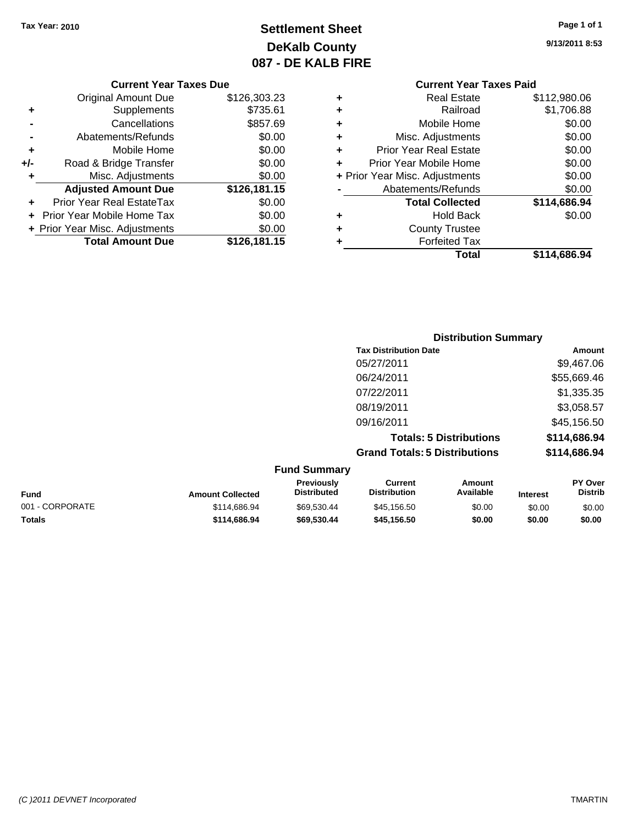# **Settlement Sheet Tax Year: 2010 Page 1 of 1 DeKalb County 087 - DE KALB FIRE**

**9/13/2011 8:53**

#### **Current Year Taxes Due**

|       | <b>Original Amount Due</b>        | \$126,303.23 |
|-------|-----------------------------------|--------------|
| ٠     | Supplements                       | \$735.61     |
|       | Cancellations                     | \$857.69     |
|       | Abatements/Refunds                | \$0.00       |
| ٠     | Mobile Home                       | \$0.00       |
| $+/-$ | Road & Bridge Transfer            | \$0.00       |
| ٠     | Misc. Adjustments                 | \$0.00       |
|       | <b>Adjusted Amount Due</b>        | \$126,181.15 |
|       | <b>Prior Year Real EstateTax</b>  | \$0.00       |
|       | <b>Prior Year Mobile Home Tax</b> | \$0.00       |
|       | + Prior Year Misc. Adjustments    | \$0.00       |
|       | <b>Total Amount Due</b>           | \$126,181.15 |

|   | Total                          | \$114.686.94 |
|---|--------------------------------|--------------|
| ٠ | <b>Forfeited Tax</b>           |              |
| ٠ | <b>County Trustee</b>          |              |
| ٠ | <b>Hold Back</b>               | \$0.00       |
|   | <b>Total Collected</b>         | \$114,686.94 |
|   | Abatements/Refunds             | \$0.00       |
|   | + Prior Year Misc. Adjustments | \$0.00       |
| ÷ | Prior Year Mobile Home         | \$0.00       |
| ٠ | <b>Prior Year Real Estate</b>  | \$0.00       |
| ٠ | Misc. Adjustments              | \$0.00       |
| ٠ | Mobile Home                    | \$0.00       |
| ٠ | Railroad                       | \$1,706.88   |
| ٠ | Real Estate                    | \$112,980.06 |

|                     | <b>Distribution Summary</b>          |              |
|---------------------|--------------------------------------|--------------|
|                     | <b>Tax Distribution Date</b>         | Amount       |
|                     | 05/27/2011                           | \$9,467.06   |
|                     | 06/24/2011                           | \$55,669.46  |
|                     | 07/22/2011                           | \$1,335.35   |
|                     | 08/19/2011                           | \$3,058.57   |
|                     | 09/16/2011                           | \$45,156.50  |
|                     | <b>Totals: 5 Distributions</b>       | \$114,686.94 |
|                     | <b>Grand Totals: 5 Distributions</b> | \$114,686.94 |
| <b>Fund Summary</b> |                                      |              |

| Amount<br>Available | <b>Interest</b> | <b>PY Over</b><br><b>Distrib</b> |
|---------------------|-----------------|----------------------------------|
| \$0.00              | \$0.00          | \$0.00                           |
| \$0.00              | \$0.00          | \$0.00                           |
|                     |                 |                                  |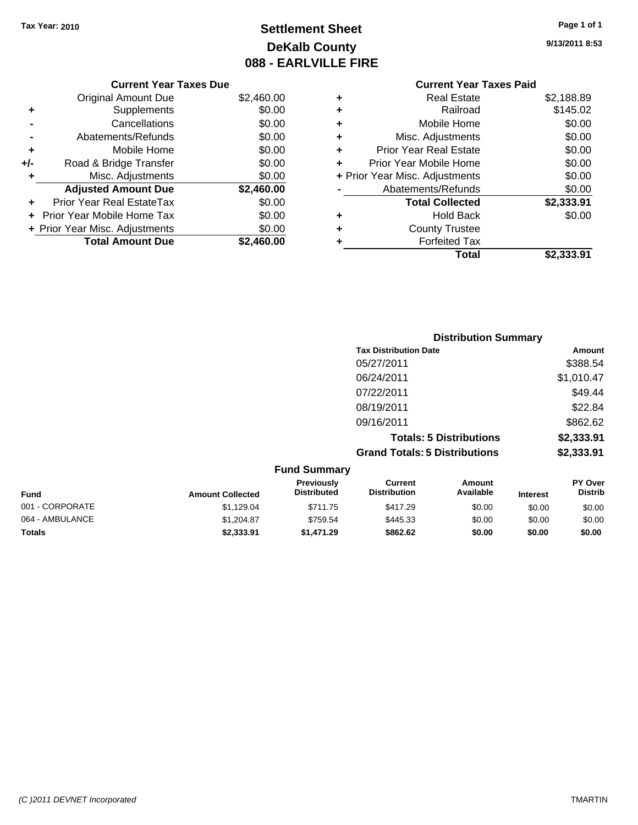# **Settlement Sheet Tax Year: 2010 Page 1 of 1 DeKalb County 088 - EARLVILLE FIRE**

**9/13/2011 8:53**

#### **Current Year Taxes Due**

|     | <b>Original Amount Due</b>     | \$2,460.00 |
|-----|--------------------------------|------------|
| ٠   | Supplements                    | \$0.00     |
|     | Cancellations                  | \$0.00     |
|     | Abatements/Refunds             | \$0.00     |
| ٠   | Mobile Home                    | \$0.00     |
| +/- | Road & Bridge Transfer         | \$0.00     |
| ٠   | Misc. Adjustments              | \$0.00     |
|     | <b>Adjusted Amount Due</b>     | \$2,460.00 |
|     | Prior Year Real EstateTax      | \$0.00     |
|     | Prior Year Mobile Home Tax     | \$0.00     |
|     | + Prior Year Misc. Adjustments | \$0.00     |
|     | <b>Total Amount Due</b>        | \$2.460.00 |

|   | Total                          | \$2.333.91 |
|---|--------------------------------|------------|
| ٠ | <b>Forfeited Tax</b>           |            |
| ٠ | <b>County Trustee</b>          |            |
| ٠ | Hold Back                      | \$0.00     |
|   | <b>Total Collected</b>         | \$2,333.91 |
|   | Abatements/Refunds             | \$0.00     |
|   | + Prior Year Misc. Adjustments | \$0.00     |
| ÷ | Prior Year Mobile Home         | \$0.00     |
| ٠ | <b>Prior Year Real Estate</b>  | \$0.00     |
| ٠ | Misc. Adjustments              | \$0.00     |
| ٠ | Mobile Home                    | \$0.00     |
| ٠ | Railroad                       | \$145.02   |
| ٠ | Real Estate                    | \$2,188.89 |

|                     | <b>Distribution Summary</b>          |            |
|---------------------|--------------------------------------|------------|
|                     | <b>Tax Distribution Date</b>         | Amount     |
|                     | 05/27/2011                           | \$388.54   |
|                     | 06/24/2011                           | \$1,010.47 |
|                     | 07/22/2011                           | \$49.44    |
|                     | 08/19/2011                           | \$22.84    |
|                     | 09/16/2011                           | \$862.62   |
|                     | <b>Totals: 5 Distributions</b>       | \$2,333.91 |
|                     | <b>Grand Totals: 5 Distributions</b> | \$2,333.91 |
| <b>Fund Summary</b> |                                      |            |

| Fund            | <b>Amount Collected</b> | <b>Previously</b><br><b>Distributed</b> | Current<br><b>Distribution</b> | Amount<br>Available | <b>Interest</b> | PY Over<br><b>Distrib</b> |
|-----------------|-------------------------|-----------------------------------------|--------------------------------|---------------------|-----------------|---------------------------|
| 001 - CORPORATE | \$1.129.04              | \$711.75                                | \$417.29                       | \$0.00              | \$0.00          | \$0.00                    |
| 064 - AMBULANCE | \$1,204.87              | \$759.54                                | \$445.33                       | \$0.00              | \$0.00          | \$0.00                    |
| <b>Totals</b>   | \$2,333.91              | \$1.471.29                              | \$862.62                       | \$0.00              | \$0.00          | \$0.00                    |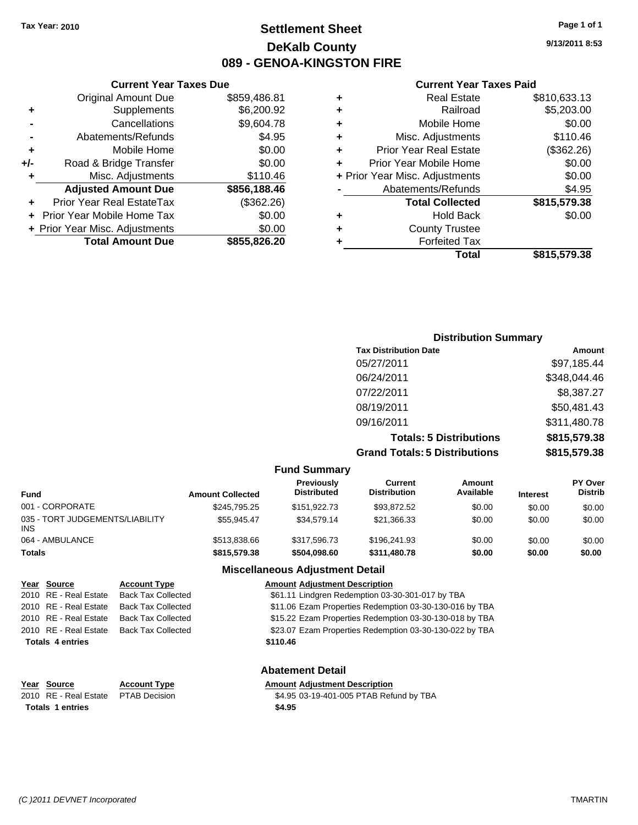# **Settlement Sheet Tax Year: 2010 Page 1 of 1 DeKalb County 089 - GENOA-KINGSTON FIRE**

**9/13/2011 8:53**

#### **Current Year Taxes Paid**

| ٠ | <b>Real Estate</b>             | \$810,633.13 |
|---|--------------------------------|--------------|
| ٠ | Railroad                       | \$5,203.00   |
| ٠ | Mobile Home                    | \$0.00       |
| ٠ | Misc. Adjustments              | \$110.46     |
| ٠ | <b>Prior Year Real Estate</b>  | (\$362.26)   |
|   | Prior Year Mobile Home         | \$0.00       |
|   | + Prior Year Misc. Adjustments | \$0.00       |
|   | Abatements/Refunds             | \$4.95       |
|   | <b>Total Collected</b>         | \$815,579.38 |
| ٠ | <b>Hold Back</b>               | \$0.00       |
| ٠ | <b>County Trustee</b>          |              |
|   | <b>Forfeited Tax</b>           |              |
|   | Total                          | \$815,579.38 |

|     | <b>Current Year Taxes Due</b>  |              |
|-----|--------------------------------|--------------|
|     | <b>Original Amount Due</b>     | \$859,486.81 |
| ٠   | Supplements                    | \$6,200.92   |
|     | Cancellations                  | \$9,604.78   |
|     | Abatements/Refunds             | \$4.95       |
| ٠   | Mobile Home                    | \$0.00       |
| +/- | Road & Bridge Transfer         | \$0.00       |
| ٠   | Misc. Adjustments              | \$110.46     |
|     | <b>Adjusted Amount Due</b>     | \$856,188.46 |
|     | Prior Year Real EstateTax      | (\$362.26)   |
|     | Prior Year Mobile Home Tax     | \$0.00       |
|     | + Prior Year Misc. Adjustments | \$0.00       |
|     | <b>Total Amount Due</b>        | \$855,826.20 |

| <b>Distribution Summary</b>          |              |
|--------------------------------------|--------------|
| <b>Tax Distribution Date</b>         | Amount       |
| 05/27/2011                           | \$97,185.44  |
| 06/24/2011                           | \$348,044.46 |
| 07/22/2011                           | \$8,387.27   |
| 08/19/2011                           | \$50,481.43  |
| 09/16/2011                           | \$311,480.78 |
| <b>Totals: 5 Distributions</b>       | \$815,579.38 |
| <b>Grand Totals: 5 Distributions</b> | \$815,579.38 |

|                                         |                         | <b>Fund Summary</b>                     |                                |                     |                 |                                  |
|-----------------------------------------|-------------------------|-----------------------------------------|--------------------------------|---------------------|-----------------|----------------------------------|
| Fund                                    | <b>Amount Collected</b> | <b>Previously</b><br><b>Distributed</b> | Current<br><b>Distribution</b> | Amount<br>Available | <b>Interest</b> | <b>PY Over</b><br><b>Distrib</b> |
| 001 - CORPORATE                         | \$245.795.25            | \$151.922.73                            | \$93.872.52                    | \$0.00              | \$0.00          | \$0.00                           |
| 035 - TORT JUDGEMENTS/LIABILITY<br>INS. | \$55.945.47             | \$34,579.14                             | \$21,366.33                    | \$0.00              | \$0.00          | \$0.00                           |
| 064 - AMBULANCE                         | \$513,838,66            | \$317,596,73                            | \$196,241.93                   | \$0.00              | \$0.00          | \$0.00                           |
| <b>Totals</b>                           | \$815,579.38            | \$504.098.60                            | \$311,480.78                   | \$0.00              | \$0.00          | \$0.00                           |
|                                         |                         | <b>Miscellaneous Adjustment Detail</b>  |                                |                     |                 |                                  |

| Year Source             | <b>Account Type</b>       | <b>Amount Adjustment Description</b>                    |
|-------------------------|---------------------------|---------------------------------------------------------|
| 2010 RE - Real Estate   | <b>Back Tax Collected</b> | \$61.11 Lindgren Redemption 03-30-301-017 by TBA        |
| 2010 RE - Real Estate   | <b>Back Tax Collected</b> | \$11.06 Ezam Properties Redemption 03-30-130-016 by TBA |
| 2010 RE - Real Estate   | <b>Back Tax Collected</b> | \$15.22 Ezam Properties Redemption 03-30-130-018 by TBA |
| 2010 RE - Real Estate   | <b>Back Tax Collected</b> | \$23.07 Ezam Properties Redemption 03-30-130-022 by TBA |
| <b>Totals 4 entries</b> |                           | \$110.46                                                |
|                         |                           |                                                         |
|                         |                           | <b>Abatement Detail</b>                                 |
|                         |                           |                                                         |

**Year Source Account Type Amount Adjustment Description**<br>2010 RE - Real Estate PTAB Decision **1949 1949 1949 1940** 19401-005 PTAB Refu **Totals \$4.95 1 entries**

\$4.95 03-19-401-005 PTAB Refund by TBA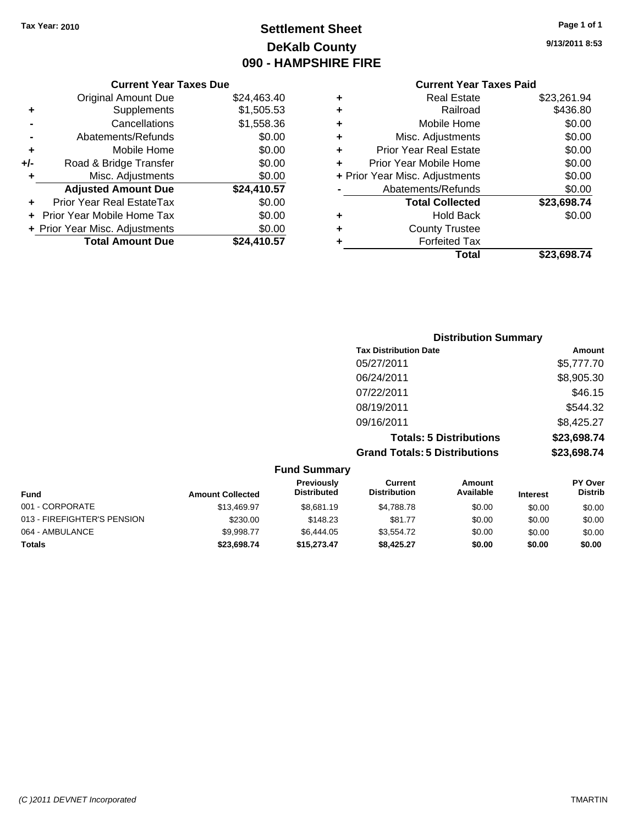# **Settlement Sheet Tax Year: 2010 Page 1 of 1 DeKalb County 090 - HAMPSHIRE FIRE**

**9/13/2011 8:53**

## **Current Year Taxes Paid**

|                |   | Total                          | \$23,698.74 |
|----------------|---|--------------------------------|-------------|
|                |   | <b>Forfeited Tax</b>           |             |
| $\frac{10}{7}$ | ٠ | <b>County Trustee</b>          |             |
| 0              | ٠ | <b>Hold Back</b>               | \$0.00      |
| 0              |   | <b>Total Collected</b>         | \$23,698.74 |
|                |   | Abatements/Refunds             | \$0.00      |
| $\frac{10}{7}$ |   | + Prior Year Misc. Adjustments | \$0.00      |
| 0              |   | Prior Year Mobile Home         | \$0.00      |
| 0              | ÷ | <b>Prior Year Real Estate</b>  | \$0.00      |
| 0              | ٠ | Misc. Adjustments              | \$0.00      |
| 6              | ٠ | Mobile Home                    | \$0.00      |
| З              | ٠ | Railroad                       | \$436.80    |
| ۰0             | ٠ | <b>Real Estate</b>             | \$23,261.94 |
|                |   |                                |             |

#### **Current Year Taxes Due** Original Amount Due \$24,463.4 **+** Supplements \$1,505.53 **-** Cancellations \$1,558.36 **-** Abatements/Refunds \$0.00 **+** Mobile Home \$0.00 **+/-** Road & Bridge Transfer \$0.00 **+** Misc. Adjustments \$0.0 Adjusted Amount Due \$24,410.5<sup>7</sup> **+** Prior Year Real EstateTax \$0.00 **+** Prior Year Mobile Home Tax \$0.00 **+ Prior Year Misc. Adjustments**  $\frac{$0.0}{$24,410.5}$ **Total Amount Due**

| <b>Distribution Summary</b>          |             |
|--------------------------------------|-------------|
| <b>Tax Distribution Date</b>         | Amount      |
| 05/27/2011                           | \$5,777.70  |
| 06/24/2011                           | \$8,905.30  |
| 07/22/2011                           | \$46.15     |
| 08/19/2011                           | \$544.32    |
| 09/16/2011                           | \$8,425.27  |
| <b>Totals: 5 Distributions</b>       | \$23,698.74 |
| <b>Grand Totals: 5 Distributions</b> | \$23,698.74 |

| <b>Fund Summary</b>         |                         |                                         |                                |                            |                 |                                  |  |
|-----------------------------|-------------------------|-----------------------------------------|--------------------------------|----------------------------|-----------------|----------------------------------|--|
| Fund                        | <b>Amount Collected</b> | <b>Previously</b><br><b>Distributed</b> | Current<br><b>Distribution</b> | <b>Amount</b><br>Available | <b>Interest</b> | <b>PY Over</b><br><b>Distrib</b> |  |
| 001 - CORPORATE             | \$13,469.97             | \$8,681.19                              | \$4.788.78                     | \$0.00                     | \$0.00          | \$0.00                           |  |
| 013 - FIREFIGHTER'S PENSION | \$230.00                | \$148.23                                | \$81.77                        | \$0.00                     | \$0.00          | \$0.00                           |  |
| 064 - AMBULANCE             | \$9,998.77              | \$6,444.05                              | \$3,554.72                     | \$0.00                     | \$0.00          | \$0.00                           |  |
| Totals                      | \$23,698.74             | \$15,273,47                             | \$8.425.27                     | \$0.00                     | \$0.00          | \$0.00                           |  |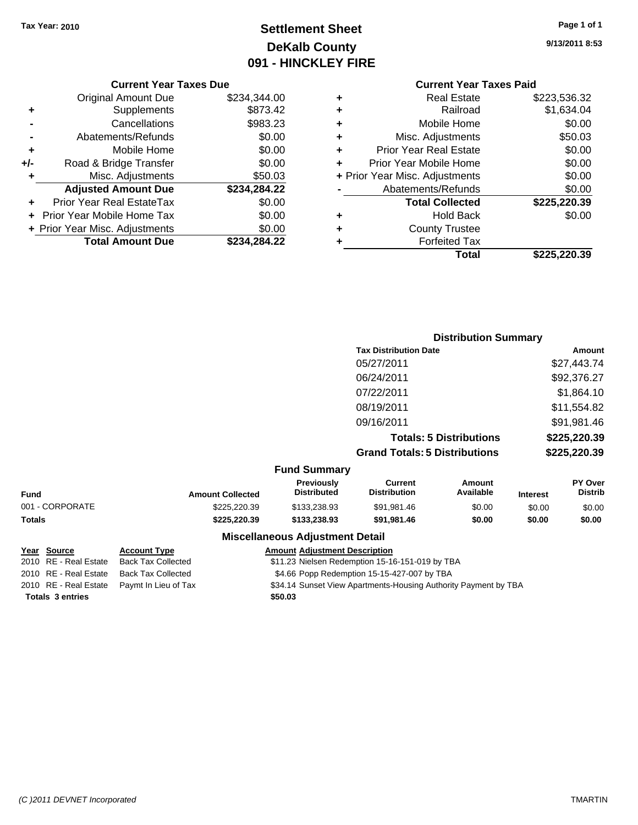# **Settlement Sheet Tax Year: 2010 Page 1 of 1 DeKalb County 091 - HINCKLEY FIRE**

**9/13/2011 8:53**

#### **Current Year Taxes Due**

|     | <b>Original Amount Due</b>       | \$234,344.00 |
|-----|----------------------------------|--------------|
| ٠   | Supplements                      | \$873.42     |
|     | Cancellations                    | \$983.23     |
|     | Abatements/Refunds               | \$0.00       |
| ٠   | Mobile Home                      | \$0.00       |
| +/- | Road & Bridge Transfer           | \$0.00       |
| ٠   | Misc. Adjustments                | \$50.03      |
|     | <b>Adjusted Amount Due</b>       | \$234,284.22 |
|     | <b>Prior Year Real EstateTax</b> | \$0.00       |
|     | Prior Year Mobile Home Tax       | \$0.00       |
|     | + Prior Year Misc. Adjustments   | \$0.00       |
|     | <b>Total Amount Due</b>          | \$234,284.22 |

# **Current Year Taxes Paid**

| ٠<br>٠ | <b>Hold Back</b><br><b>County Trustee</b> | \$0.00       |
|--------|-------------------------------------------|--------------|
|        | <b>Total Collected</b>                    | \$225,220.39 |
|        | Abatements/Refunds                        | \$0.00       |
|        | + Prior Year Misc. Adjustments            | \$0.00       |
|        | Prior Year Mobile Home                    | \$0.00       |
| ٠      | <b>Prior Year Real Estate</b>             | \$0.00       |
| ٠      | Misc. Adjustments                         | \$50.03      |
| ٠      | Mobile Home                               | \$0.00       |
| ٠      | Railroad                                  | \$1,634.04   |
|        | <b>Real Estate</b>                        | \$223,536.32 |

### **Distribution Summary Tax Distribution Date Amount** 05/27/2011 \$27,443.74 06/24/2011 \$92,376.27 07/22/2011 \$1,864.10 08/19/2011 \$11,554.82 09/16/2011 \$91,981.46 **Totals: 5 Distributions \$225,220.39 Grand Totals: 5 Distributions \$225,220.39 Fund Summary**

| <b>Fund</b>     | <b>Amount Collected</b> | <b>Previously</b><br><b>Distributed</b> | Current<br><b>Distribution</b> | Amount<br>Available | <b>Interest</b> | <b>PY Over</b><br><b>Distrib</b> |
|-----------------|-------------------------|-----------------------------------------|--------------------------------|---------------------|-----------------|----------------------------------|
| 001 - CORPORATE | \$225,220,39            | \$133,238.93                            | \$91.981.46                    | \$0.00              | \$0.00          | \$0.00                           |
| <b>Totals</b>   | \$225,220,39            | \$133,238,93                            | \$91.981.46                    | \$0.00              | \$0.00          | \$0.00                           |

#### **Miscellaneous Adjustment Detail**

# **Year Source Account Type Amount Adjustment Description**

| 2010 RE - Real Estate   | Back Tax Collected                         | \$11.23 Nielsen Redemption 15-16-151-019 by TBA                 |
|-------------------------|--------------------------------------------|-----------------------------------------------------------------|
| 2010 RE - Real Estate   | Back Tax Collected                         | \$4.66 Popp Redemption 15-15-427-007 by TBA                     |
|                         | 2010 RE - Real Estate Paymt In Lieu of Tax | \$34.14 Sunset View Apartments-Housing Authority Payment by TBA |
| <b>Totals 3 entries</b> |                                            | \$50.03                                                         |
|                         |                                            |                                                                 |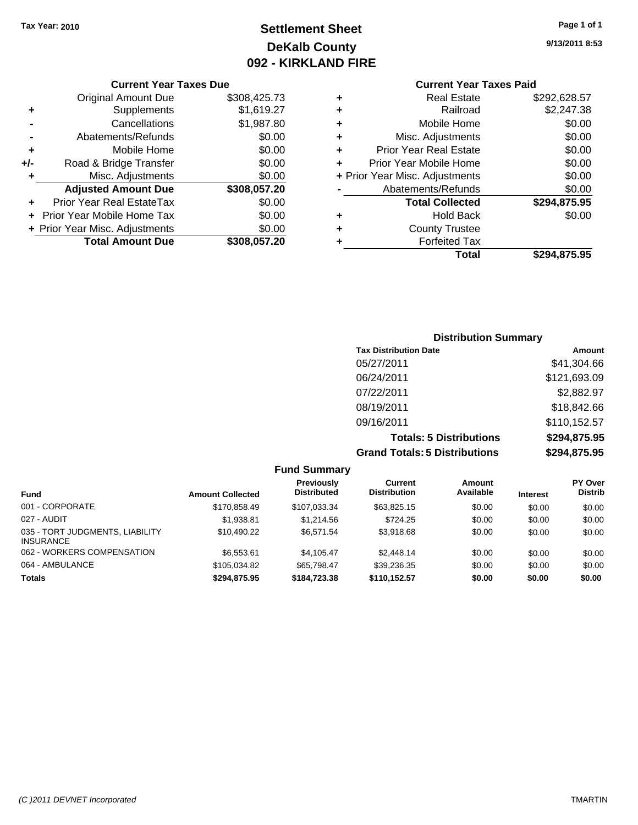# **Settlement Sheet Tax Year: 2010 Page 1 of 1 DeKalb County 092 - KIRKLAND FIRE**

**9/13/2011 8:53**

|     | <b>Original Amount Due</b>     | \$308,425.73 |
|-----|--------------------------------|--------------|
| ٠   | Supplements                    | \$1,619.27   |
|     | Cancellations                  | \$1,987.80   |
|     | Abatements/Refunds             | \$0.00       |
| ٠   | Mobile Home                    | \$0.00       |
| +/- | Road & Bridge Transfer         | \$0.00       |
| ٠   | Misc. Adjustments              | \$0.00       |
|     | <b>Adjusted Amount Due</b>     | \$308,057.20 |
|     | Prior Year Real EstateTax      | \$0.00       |
| ÷   | Prior Year Mobile Home Tax     | \$0.00       |
|     | + Prior Year Misc. Adjustments | \$0.00       |
|     | <b>Total Amount Due</b>        | \$308,057.20 |
|     |                                |              |

**Current Year Taxes Due**

| <b>Current Year Taxes Paid</b>     |              |
|------------------------------------|--------------|
| <b>Real Estate</b><br>٠            | \$292,628.57 |
| Railroad<br>٠                      | \$2,247.38   |
| Mobile Home<br>٠                   | \$0.00       |
| Misc. Adjustments<br>٠             | \$0.00       |
| <b>Prior Year Real Estate</b><br>٠ | \$0.00       |
| Prior Year Mobile Home<br>÷        | \$0.00       |
| + Prior Year Misc. Adjustments     | \$0.00       |
| Abatements/Refunds                 | \$0.00       |
| <b>Total Collected</b>             | \$294,875.95 |
| <b>Hold Back</b><br>٠              | \$0.00       |
| <b>County Trustee</b><br>٠         |              |
| <b>Forfeited Tax</b><br>٠          |              |
| Total                              | \$294,875.95 |

### **Distribution Summary Tax Distribution Date Amount** 05/27/2011 \$41,304.66 06/24/2011 \$121,693.09 07/22/2011 \$2,882.97 08/19/2011 \$18,842.66 09/16/2011 \$110,152.57 **Totals: 5 Distributions \$294,875.95 Grand Totals: 5 Distributions \$294,875.95**

| <b>Fund Summary</b>                                 |                         |                                  |                                |                     |                 |                                  |
|-----------------------------------------------------|-------------------------|----------------------------------|--------------------------------|---------------------|-----------------|----------------------------------|
| <b>Fund</b>                                         | <b>Amount Collected</b> | Previously<br><b>Distributed</b> | Current<br><b>Distribution</b> | Amount<br>Available | <b>Interest</b> | <b>PY Over</b><br><b>Distrib</b> |
| 001 - CORPORATE                                     | \$170.858.49            | \$107,033.34                     | \$63,825.15                    | \$0.00              | \$0.00          | \$0.00                           |
| 027 - AUDIT                                         | \$1.938.81              | \$1.214.56                       | \$724.25                       | \$0.00              | \$0.00          | \$0.00                           |
| 035 - TORT JUDGMENTS, LIABILITY<br><b>INSURANCE</b> | \$10.490.22             | \$6.571.54                       | \$3.918.68                     | \$0.00              | \$0.00          | \$0.00                           |
| 062 - WORKERS COMPENSATION                          | \$6,553.61              | \$4.105.47                       | \$2,448.14                     | \$0.00              | \$0.00          | \$0.00                           |
| 064 - AMBULANCE                                     | \$105.034.82            | \$65.798.47                      | \$39,236.35                    | \$0.00              | \$0.00          | \$0.00                           |
| <b>Totals</b>                                       | \$294.875.95            | \$184,723,38                     | \$110,152.57                   | \$0.00              | \$0.00          | \$0.00                           |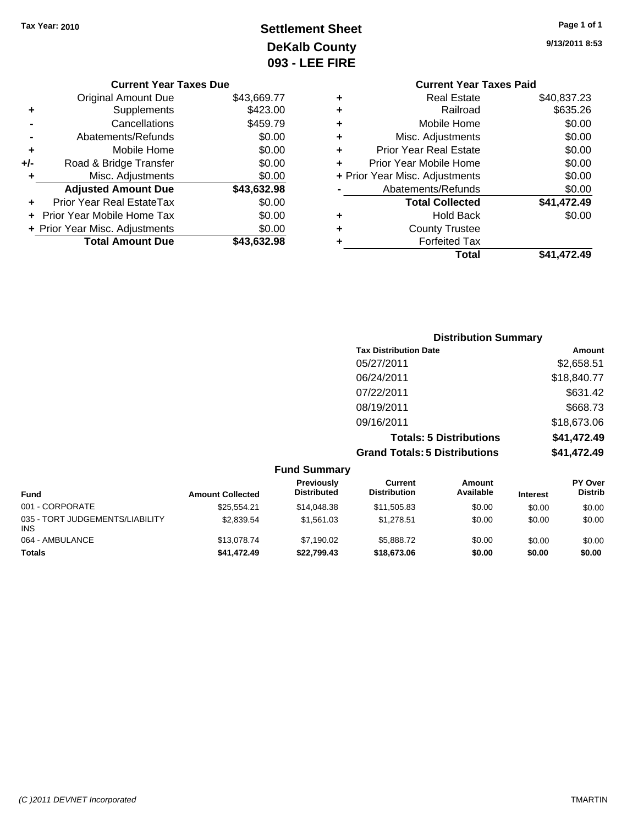# **Settlement Sheet Tax Year: 2010 Page 1 of 1 DeKalb County 093 - LEE FIRE**

| <b>Current Year Taxes Due</b>  |             |
|--------------------------------|-------------|
| <b>Original Amount Due</b>     | \$43,669.77 |
| Supplements                    | \$423.00    |
| Cancellations                  | \$459.79    |
| Abatements/Refunds             | \$0.00      |
| Mobile Home                    | \$0.00      |
| Road & Bridge Transfer         | \$0.00      |
| Misc. Adjustments              | \$0.00      |
| <b>Adjusted Amount Due</b>     | \$43,632.98 |
| Prior Year Real EstateTax      | \$0.00      |
| Prior Year Mobile Home Tax     | \$0.00      |
| + Prior Year Misc. Adjustments | \$0.00      |
| <b>Total Amount Due</b>        | \$43,632.98 |
|                                |             |

**9/13/2011 8:53**

|   | <b>Current Year Taxes Paid</b> |             |
|---|--------------------------------|-------------|
| ٠ | <b>Real Estate</b>             | \$40,837.23 |
| ٠ | Railroad                       | \$635.26    |
| ٠ | Mobile Home                    | \$0.00      |
| ٠ | Misc. Adjustments              | \$0.00      |
| ٠ | <b>Prior Year Real Estate</b>  | \$0.00      |
|   | Prior Year Mobile Home         | \$0.00      |
|   | + Prior Year Misc. Adjustments | \$0.00      |
|   | Abatements/Refunds             | \$0.00      |
|   | <b>Total Collected</b>         | \$41,472.49 |
| ٠ | Hold Back                      | \$0.00      |
| ٠ | <b>County Trustee</b>          |             |
|   | <b>Forfeited Tax</b>           |             |
|   | Total                          | \$41.472.49 |
|   |                                |             |

| <b>Distribution Summary</b>          |             |
|--------------------------------------|-------------|
| <b>Tax Distribution Date</b>         | Amount      |
| 05/27/2011                           | \$2,658.51  |
| 06/24/2011                           | \$18,840.77 |
| 07/22/2011                           | \$631.42    |
| 08/19/2011                           | \$668.73    |
| 09/16/2011                           | \$18,673.06 |
| <b>Totals: 5 Distributions</b>       | \$41,472.49 |
| <b>Grand Totals: 5 Distributions</b> | \$41,472.49 |

|                                               |                         | <b>Fund Summary</b>              |                                |                     |                 |                                  |
|-----------------------------------------------|-------------------------|----------------------------------|--------------------------------|---------------------|-----------------|----------------------------------|
| <b>Fund</b>                                   | <b>Amount Collected</b> | Previously<br><b>Distributed</b> | Current<br><b>Distribution</b> | Amount<br>Available | <b>Interest</b> | <b>PY Over</b><br><b>Distrib</b> |
| 001 - CORPORATE                               | \$25.554.21             | \$14,048.38                      | \$11,505.83                    | \$0.00              | \$0.00          | \$0.00                           |
| 035 - TORT JUDGEMENTS/LIABILITY<br><b>INS</b> | \$2.839.54              | \$1,561.03                       | \$1.278.51                     | \$0.00              | \$0.00          | \$0.00                           |
| 064 - AMBULANCE                               | \$13,078.74             | \$7.190.02                       | \$5,888,72                     | \$0.00              | \$0.00          | \$0.00                           |
| <b>Totals</b>                                 | \$41,472.49             | \$22.799.43                      | \$18,673.06                    | \$0.00              | \$0.00          | \$0.00                           |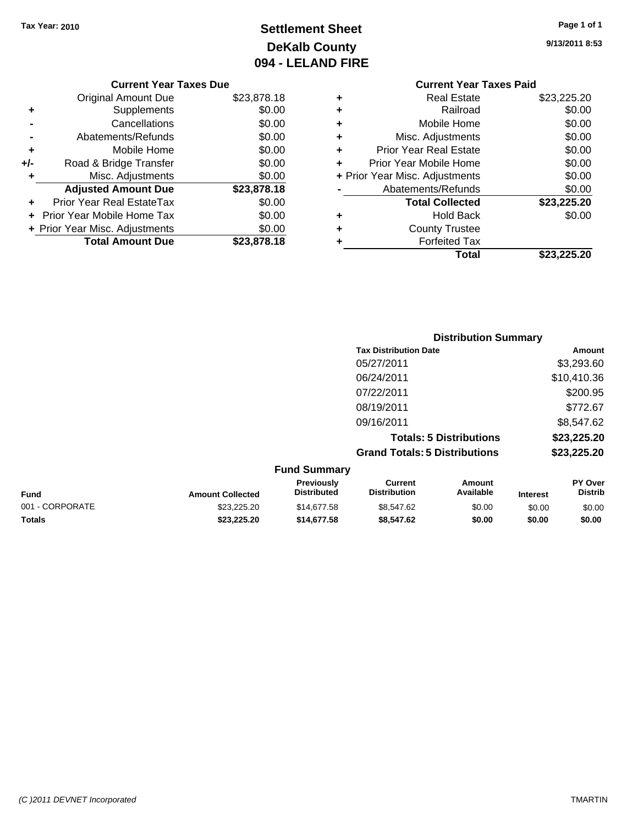# **Settlement Sheet Tax Year: 2010 Page 1 of 1 DeKalb County 094 - LELAND FIRE**

**9/13/2011 8:53**

#### **Current Year Taxes Due**

|     | <b>Original Amount Due</b>       | \$23,878.18 |
|-----|----------------------------------|-------------|
| ٠   | Supplements                      | \$0.00      |
|     | Cancellations                    | \$0.00      |
|     | Abatements/Refunds               | \$0.00      |
| ٠   | Mobile Home                      | \$0.00      |
| +/- | Road & Bridge Transfer           | \$0.00      |
| ٠   | Misc. Adjustments                | \$0.00      |
|     | <b>Adjusted Amount Due</b>       | \$23,878.18 |
|     | <b>Prior Year Real EstateTax</b> | \$0.00      |
|     | Prior Year Mobile Home Tax       | \$0.00      |
|     | + Prior Year Misc. Adjustments   | \$0.00      |
|     | <b>Total Amount Due</b>          | \$23.878.18 |

### **Current Year Taxes Paid +** Real Estate \$23,225.20 **+** Railroad \$0.00 **+** Mobile Home \$0.00

|   | Total                          | \$23,225.20 |
|---|--------------------------------|-------------|
| ٠ | <b>Forfeited Tax</b>           |             |
| ÷ | <b>County Trustee</b>          |             |
|   | <b>Hold Back</b>               | \$0.00      |
|   | <b>Total Collected</b>         | \$23,225.20 |
|   | Abatements/Refunds             | \$0.00      |
|   | + Prior Year Misc. Adjustments | \$0.00      |
|   | Prior Year Mobile Home         | \$0.00      |
| ÷ | <b>Prior Year Real Estate</b>  | \$0.00      |
|   | Misc. Adjustments              | \$0.00      |

|                     | <b>Distribution Summary</b>          |             |
|---------------------|--------------------------------------|-------------|
|                     | <b>Tax Distribution Date</b>         | Amount      |
|                     | 05/27/2011                           | \$3,293.60  |
|                     | 06/24/2011                           | \$10,410.36 |
|                     | 07/22/2011                           | \$200.95    |
|                     | 08/19/2011                           | \$772.67    |
|                     | 09/16/2011                           | \$8,547.62  |
|                     | <b>Totals: 5 Distributions</b>       | \$23,225.20 |
|                     | <b>Grand Totals: 5 Distributions</b> | \$23,225.20 |
| <b>Fund Summary</b> |                                      |             |

| unu vunnuary            |                                         |                                |                     |                 |                                  |  |
|-------------------------|-----------------------------------------|--------------------------------|---------------------|-----------------|----------------------------------|--|
| <b>Amount Collected</b> | <b>Previously</b><br><b>Distributed</b> | Current<br><b>Distribution</b> | Amount<br>Available | <b>Interest</b> | <b>PY Over</b><br><b>Distrib</b> |  |
| \$23.225.20             | \$14,677.58                             | \$8.547.62                     | \$0.00              | \$0.00          | \$0.00                           |  |
| \$23.225.20             | \$14,677.58                             | \$8,547.62                     | \$0.00              | \$0.00          | \$0.00                           |  |
|                         |                                         |                                |                     |                 |                                  |  |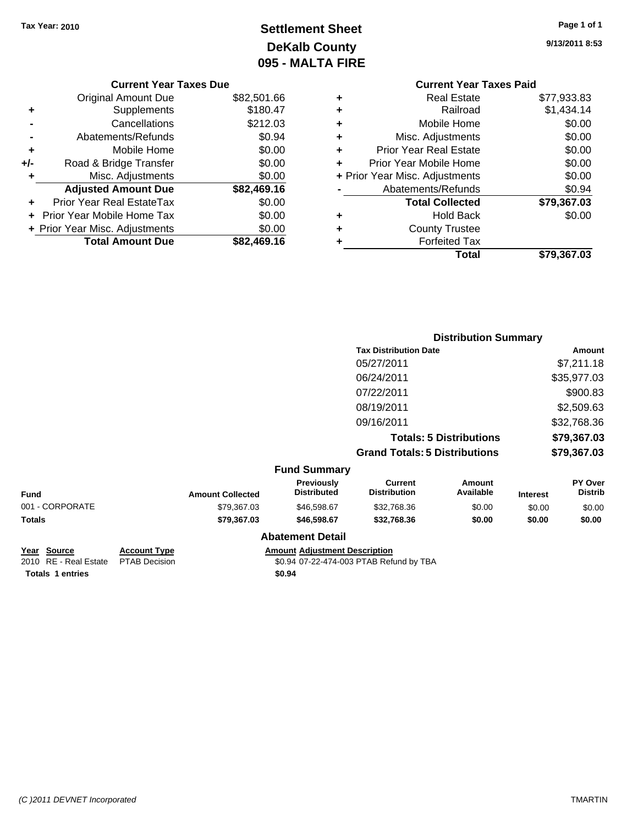# **Settlement Sheet Tax Year: 2010 Page 1 of 1 DeKalb County 095 - MALTA FIRE**

**9/13/2011 8:53**

|   | <b>Current Year Taxes Paid</b> |             |
|---|--------------------------------|-------------|
| ٠ | <b>Real Estate</b>             | \$77,933.83 |
| ٠ | Railroad                       | \$1,434.14  |
|   | Mobile Home                    | \$0.00      |
| ٠ | Misc. Adjustments              | \$0.00      |
| ٠ | <b>Prior Year Real Estate</b>  | \$0.00      |
|   | Prior Year Mobile Home         | \$0.00      |
|   | + Prior Year Misc. Adjustments | \$0.00      |
|   | Abatements/Refunds             | \$0.94      |
|   | <b>Total Collected</b>         | \$79,367.03 |
| ٠ | Hold Back                      | \$0.00      |
|   | <b>County Trustee</b>          |             |
|   | <b>Forfeited Tax</b>           |             |
|   | Total                          | \$79,367.03 |

|     | <b>Current Year Taxes Due</b>    |             |
|-----|----------------------------------|-------------|
|     | Original Amount Due              | \$82,501.66 |
| ٠   | Supplements                      | \$180.47    |
|     | Cancellations                    | \$212.03    |
|     | Abatements/Refunds               | \$0.94      |
| ٠   | Mobile Home                      | \$0.00      |
| +/- | Road & Bridge Transfer           | \$0.00      |
| ٠   | Misc. Adjustments                | \$0.00      |
|     | <b>Adjusted Amount Due</b>       | \$82,469.16 |
|     | <b>Prior Year Real EstateTax</b> | \$0.00      |
|     | Prior Year Mobile Home Tax       | \$0.00      |
|     | + Prior Year Misc. Adjustments   | \$0.00      |
|     | <b>Total Amount Due</b>          | \$82.469.16 |

|                 |                         |                                  |                                       | <b>Distribution Summary</b>    |                 |                           |
|-----------------|-------------------------|----------------------------------|---------------------------------------|--------------------------------|-----------------|---------------------------|
|                 |                         |                                  | <b>Tax Distribution Date</b>          |                                |                 | Amount                    |
|                 |                         |                                  | 05/27/2011                            |                                |                 | \$7,211.18                |
|                 |                         |                                  | 06/24/2011                            |                                |                 | \$35,977.03               |
|                 |                         |                                  | 07/22/2011                            |                                |                 | \$900.83                  |
|                 |                         |                                  | 08/19/2011                            |                                |                 | \$2,509.63                |
|                 |                         |                                  | 09/16/2011                            |                                |                 | \$32,768.36               |
|                 |                         |                                  |                                       | <b>Totals: 5 Distributions</b> |                 | \$79,367.03               |
|                 |                         |                                  | <b>Grand Totals: 5 Distributions</b>  |                                |                 | \$79,367.03               |
|                 |                         | <b>Fund Summary</b>              |                                       |                                |                 |                           |
| <b>Fund</b>     | <b>Amount Collected</b> | Previously<br><b>Distributed</b> | <b>Current</b><br><b>Distribution</b> | Amount<br>Available            | <b>Interest</b> | PY Over<br><b>Distrib</b> |
| 001 - CORPORATE | \$79,367.03             | \$46,598.67                      | \$32,768.36                           | \$0.00                         | \$0.00          | \$0.00                    |
| Totals          | \$79,367.03             | \$46,598.67                      | \$32,768.36                           | \$0.00                         | \$0.00          | \$0.00                    |
|                 |                         |                                  |                                       |                                |                 |                           |

# **Totals \$0.94 1 entries**

**Year Source Account Type Amount Adjustment Description**<br>
2010 RE - Real Estate PTAB Decision **Amount** \$0.94 07-22-474-003 PTAB Refu \$0.94 07-22-474-003 PTAB Refund by TBA

**Abatement Detail**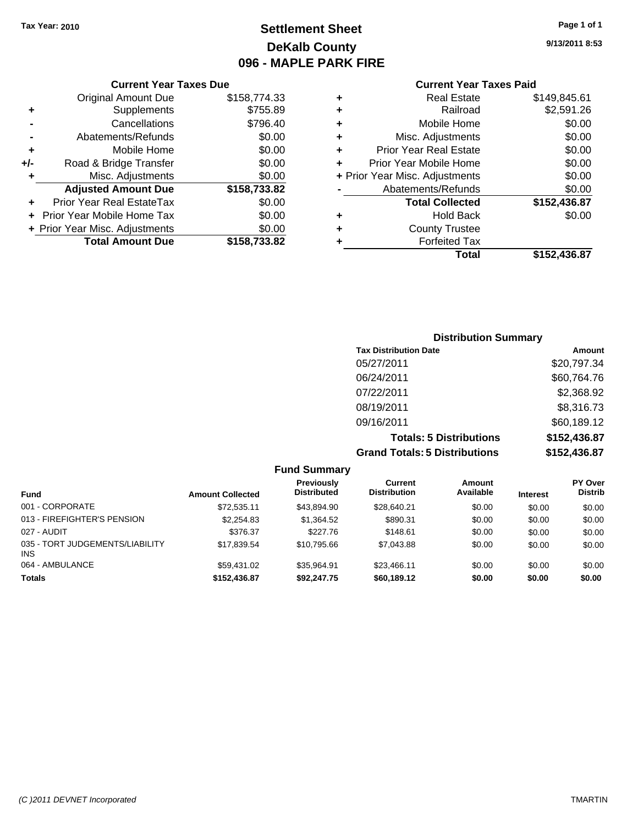**Original Amount Due** 

**Adjusted Amount Due** 

**Total Amount Due** 

**+** Supplements **-** Cancellations **-** Abatements/Refunds **+** Mobile Home **+/-** Road & Bridge Transfer **+** Misc. Adjustments

**+** Prior Year Real EstateTax **+** Prior Year Mobile Home Tax **+ Prior Year Misc. Adjustments** 

# **Settlement Sheet Tax Year: 2010 Page 1 of 1 DeKalb County 096 - MAPLE PARK FIRE**

**9/13/2011 8:53**

#### **Current Year Taxes Paid**

| <b>Current Year Taxes Due</b> |              |   | <b>Current Year Taxes Paid</b> |              |  |
|-------------------------------|--------------|---|--------------------------------|--------------|--|
| ıl Amount Due                 | \$158,774.33 | ٠ | <b>Real Estate</b>             | \$149,845.61 |  |
| Supplements                   | \$755.89     | ÷ | Railroad                       | \$2,591.26   |  |
| Cancellations                 | \$796.40     | ÷ | Mobile Home                    | \$0.00       |  |
| าents/Refunds                 | \$0.00       | ÷ | Misc. Adjustments              | \$0.00       |  |
| Mobile Home                   | \$0.00       | ÷ | <b>Prior Year Real Estate</b>  | \$0.00       |  |
| ridge Transfer                | \$0.00       | ÷ | Prior Year Mobile Home         | \$0.00       |  |
| . Adjustments                 | \$0.00       |   | + Prior Year Misc. Adjustments | \$0.00       |  |
| <b>Amount Due</b>             | \$158,733.82 |   | Abatements/Refunds             | \$0.00       |  |
| eal EstateTax                 | \$0.00       |   | <b>Total Collected</b>         | \$152,436.87 |  |
| pile Home Tax                 | \$0.00       | ÷ | <b>Hold Back</b>               | \$0.00       |  |
| . Adjustments                 | \$0.00       | ÷ | <b>County Trustee</b>          |              |  |
| <b>Amount Due</b>             | \$158,733.82 |   | <b>Forfeited Tax</b>           |              |  |
|                               |              |   | Total                          | \$152,436.87 |  |

| <b>Distribution Summary</b>          |              |
|--------------------------------------|--------------|
| <b>Tax Distribution Date</b>         | Amount       |
| 05/27/2011                           | \$20,797.34  |
| 06/24/2011                           | \$60,764.76  |
| 07/22/2011                           | \$2,368.92   |
| 08/19/2011                           | \$8,316.73   |
| 09/16/2011                           | \$60,189.12  |
| <b>Totals: 5 Distributions</b>       | \$152,436.87 |
| <b>Grand Totals: 5 Distributions</b> | \$152,436.87 |

**Fund Summary Fund Interest Amount Collected Distributed PY Over Distrib Amount Available Current Distribution Previously** 001 - CORPORATE \$72,535.11 \$43,894.90 \$28,640.21 \$0.00 \$0.00 \$0.00 013 - FIREFIGHTER'S PENSION \$2,254.83 \$1,364.52 \$890.31 \$0.00 \$0.00 \$0.00 \$0.00 027 - AUDIT \$376.37 \$227.76 \$148.61 \$0.00 \$0.00 \$0.00 035 - TORT JUDGEMENTS/LIABILITY INS \$17,839.54 \$10,795.66 \$7,043.88 \$0.00 \$0.00 \$0.00 064 - AMBULANCE \$59,431.02 \$35,964.91 \$23,466.11 \$0.00 \$0.00 \$0.00 **Totals \$152,436.87 \$92,247.75 \$60,189.12 \$0.00 \$0.00 \$0.00**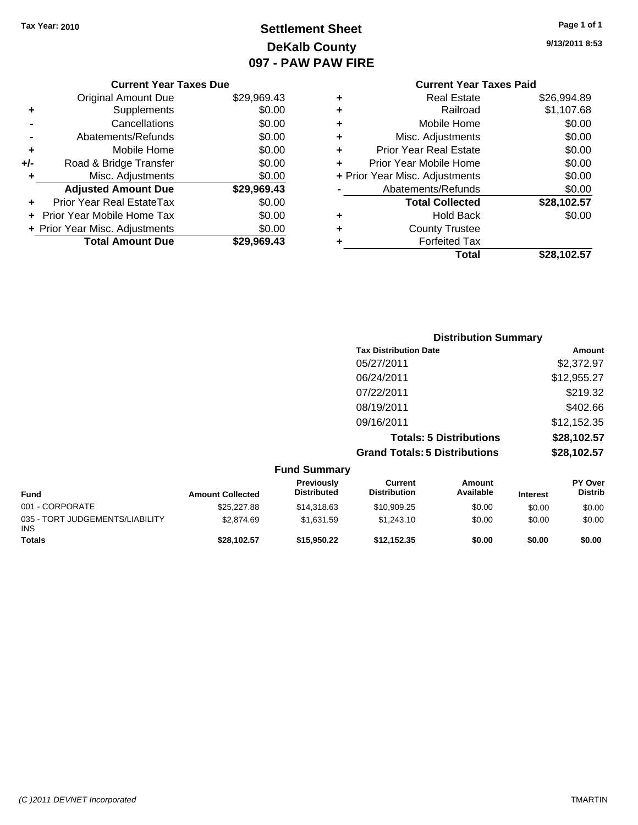# **Settlement Sheet Tax Year: 2010 Page 1 of 1 DeKalb County 097 - PAW PAW FIRE**

**9/13/2011 8:53**

|     | <b>Current Year Taxes Due</b>  |             |
|-----|--------------------------------|-------------|
|     | Original Amount Due            | \$29,969.43 |
|     | Supplements                    | \$0.00      |
|     | Cancellations                  | \$0.00      |
|     | Abatements/Refunds             | \$0.00      |
| ٠   | Mobile Home                    | \$0.00      |
| +/- | Road & Bridge Transfer         | \$0.00      |
| ٠   | Misc. Adjustments              | \$0.00      |
|     | <b>Adjusted Amount Due</b>     | \$29,969.43 |
|     | Prior Year Real EstateTax      | \$0.00      |
|     | Prior Year Mobile Home Tax     | \$0.00      |
|     | + Prior Year Misc. Adjustments | \$0.00      |
|     | <b>Total Amount Due</b>        | \$29,969,43 |
|     |                                |             |

### **Current Year Taxes Paid +** Real Estate \$26,994.89 **+** Railroad \$1,107.68 **+** Mobile Home \$0.00 **+** Misc. Adjustments \$0.00 **+** Prior Year Real Estate \$0.00 **+** Prior Year Mobile Home \$0.00 **+ Prior Year Misc. Adjustments**  $$0.00$ **-** Abatements/Refunds \$0.00 **Total Collected \$28,102.57 +** Hold Back \$0.00 **+** County Trustee **+** Forfeited Tax **Total \$28,102.57**

|                                 |                         | <b>Distribution Summary</b>      |                                      |                                |                 |                                  |
|---------------------------------|-------------------------|----------------------------------|--------------------------------------|--------------------------------|-----------------|----------------------------------|
|                                 |                         |                                  | <b>Tax Distribution Date</b>         |                                |                 | Amount                           |
|                                 |                         |                                  | 05/27/2011                           |                                |                 | \$2,372.97                       |
|                                 |                         |                                  | 06/24/2011                           |                                |                 | \$12,955.27                      |
|                                 |                         |                                  | 07/22/2011                           |                                |                 | \$219.32                         |
|                                 |                         |                                  | 08/19/2011                           |                                |                 | \$402.66                         |
|                                 |                         |                                  | 09/16/2011                           |                                |                 | \$12,152.35                      |
|                                 |                         |                                  |                                      | <b>Totals: 5 Distributions</b> |                 | \$28,102.57                      |
|                                 |                         |                                  | <b>Grand Totals: 5 Distributions</b> |                                |                 | \$28,102.57                      |
|                                 |                         | <b>Fund Summary</b>              |                                      |                                |                 |                                  |
| <b>Fund</b>                     | <b>Amount Collected</b> | Previously<br><b>Distributed</b> | Current<br><b>Distribution</b>       | <b>Amount</b><br>Available     | <b>Interest</b> | <b>PY Over</b><br><b>Distrib</b> |
| 001 - CORPORATE                 | \$25,227.88             | \$14,318.63                      | \$10,909.25                          | \$0.00                         | \$0.00          | \$0.00                           |
| 035 - TORT JUDGEMENTS/LIABILITY | \$2,874.69              | \$1,631.59                       | \$1,243.10                           | \$0.00                         | \$0.00          | \$0.00                           |

**Totals \$28,102.57 \$15,950.22 \$12,152.35 \$0.00 \$0.00 \$0.00**

INS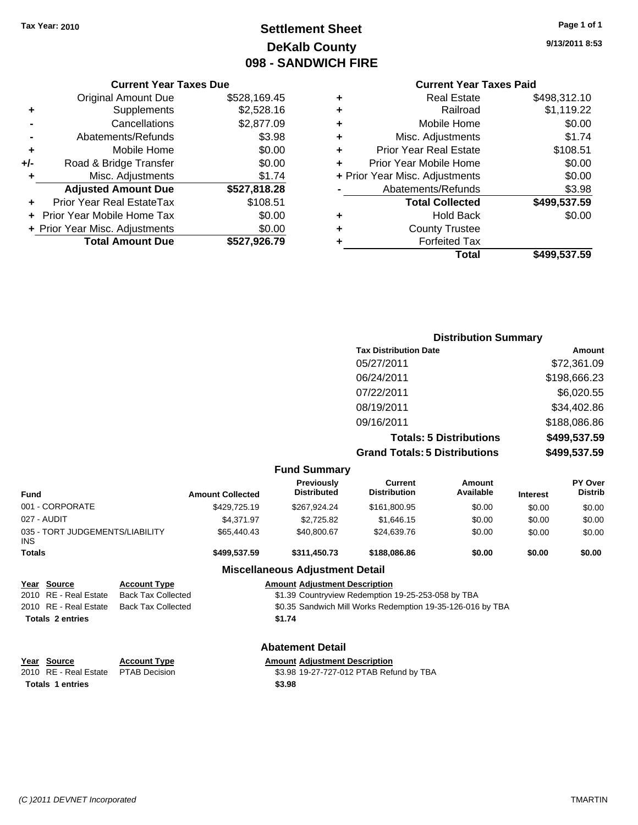**Current Year Taxes Due** Original Amount Due \$528,169.45

**Adjusted Amount Due \$527,818.28**

**+** Supplements \$2,528.16 **-** Cancellations \$2,877.09 **-** Abatements/Refunds **\$3.98 +** Mobile Home \$0.00 **+/-** Road & Bridge Transfer \$0.00 **+** Misc. Adjustments \$1.74

# **Settlement Sheet Tax Year: 2010 Page 1 of 1 DeKalb County 098 - SANDWICH FIRE**

**9/13/2011 8:53**

#### **Current Year Taxes Paid**

|   | Total                          | \$499,537.59 |
|---|--------------------------------|--------------|
| ٠ | <b>Forfeited Tax</b>           |              |
| ٠ | <b>County Trustee</b>          |              |
| ٠ | <b>Hold Back</b>               | \$0.00       |
|   | <b>Total Collected</b>         | \$499,537.59 |
|   | Abatements/Refunds             | \$3.98       |
|   | + Prior Year Misc. Adjustments | \$0.00       |
|   | Prior Year Mobile Home         | \$0.00       |
| ٠ | Prior Year Real Estate         | \$108.51     |
| ٠ | Misc. Adjustments              | \$1.74       |
| ٠ | Mobile Home                    | \$0.00       |
| ٠ | Railroad                       | \$1,119.22   |
| ٠ | <b>Real Estate</b>             | \$498,312.10 |
|   |                                |              |

# **+** Prior Year Real EstateTax \$108.51 **+** Prior Year Mobile Home Tax \$0.00 **+ Prior Year Misc. Adjustments**  $$0.00$ **Total Amount Due \$527,926.79**

|                                 |                         |                                         | <b>Distribution Summary</b>          |                                |                 |                           |
|---------------------------------|-------------------------|-----------------------------------------|--------------------------------------|--------------------------------|-----------------|---------------------------|
|                                 |                         |                                         | <b>Tax Distribution Date</b>         |                                |                 | <b>Amount</b>             |
|                                 |                         |                                         | 05/27/2011                           |                                |                 | \$72,361.09               |
|                                 |                         |                                         | 06/24/2011                           |                                |                 | \$198,666.23              |
|                                 |                         |                                         | 07/22/2011                           |                                |                 | \$6,020.55                |
|                                 |                         |                                         | 08/19/2011                           |                                |                 | \$34,402.86               |
|                                 |                         |                                         | 09/16/2011                           |                                |                 | \$188,086.86              |
|                                 |                         |                                         |                                      | <b>Totals: 5 Distributions</b> |                 | \$499,537.59              |
|                                 |                         |                                         | <b>Grand Totals: 5 Distributions</b> |                                |                 | \$499,537.59              |
|                                 |                         | <b>Fund Summary</b>                     |                                      |                                |                 |                           |
| <b>Fund</b>                     | <b>Amount Collected</b> | <b>Previously</b><br><b>Distributed</b> | Current<br><b>Distribution</b>       | Amount<br>Available            | <b>Interest</b> | PY Over<br><b>Distrib</b> |
| 001 - CORPORATE                 | \$429,725.19            | \$267,924.24                            | \$161,800.95                         | \$0.00                         | \$0.00          | \$0.00                    |
| 027 - AUDIT                     | \$4,371.97              | \$2,725.82                              | \$1,646.15                           | \$0.00                         | \$0.00          | \$0.00                    |
| 035 - TORT JUDGEMENTS/LIABILITY | \$65,440.43             | \$40,800.67                             | \$24,639.76                          | \$0.00                         | \$0.00          | \$0.00                    |

#### **Miscellaneous Adjustment Detail**

**Totals \$499,537.59 \$311,450.73 \$188,086.86 \$0.00 \$0.00 \$0.00**

| Year Source             | <b>Account Type</b>       | <b>Amount Adjustment Description</b>                       |
|-------------------------|---------------------------|------------------------------------------------------------|
| 2010 RE - Real Estate   | Back Tax Collected        | \$1.39 Countryview Redemption 19-25-253-058 by TBA         |
| 2010 RE - Real Estate   | <b>Back Tax Collected</b> | \$0.35 Sandwich Mill Works Redemption 19-35-126-016 by TBA |
| <b>Totals 2 entries</b> |                           | \$1.74                                                     |
|                         |                           |                                                            |
|                         |                           |                                                            |

#### **Abatement Detail**

| Year Source                         | <b>Account Type</b> | <b>Amount Adiustment Description</b>    |
|-------------------------------------|---------------------|-----------------------------------------|
| 2010 RE - Real Estate PTAB Decision |                     | \$3.98 19-27-727-012 PTAB Refund by TBA |
| Totale 1 ontrice                    |                     | es ao                                   |

INS

**<u>Year Source</u>**<br> **Account Type**<br> **ADJUSTMENTA PEAS Decision**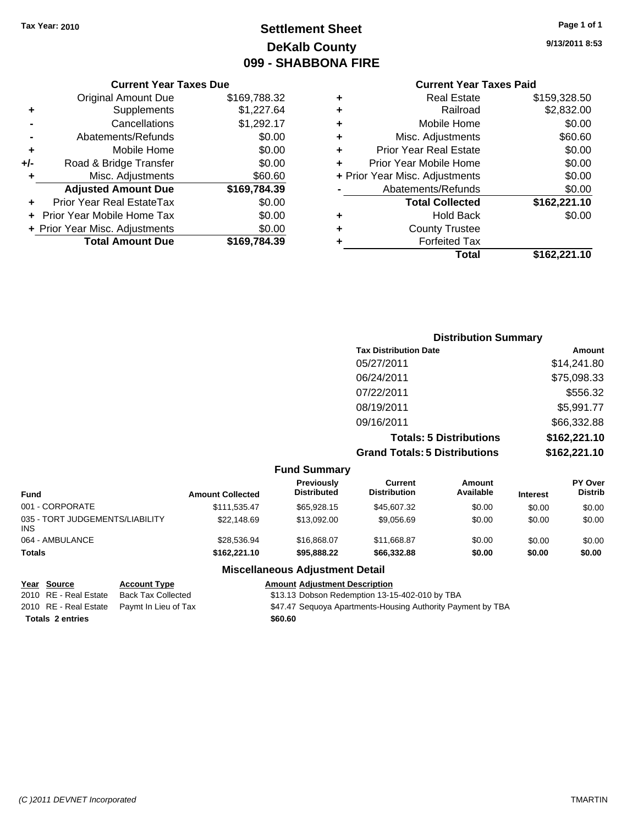# **Settlement Sheet Tax Year: 2010 Page 1 of 1 DeKalb County 099 - SHABBONA FIRE**

#### **Current Year Taxes Due**

|     | <b>Original Amount Due</b>        | \$169,788.32 |
|-----|-----------------------------------|--------------|
| ٠   | Supplements                       | \$1,227.64   |
|     | Cancellations                     | \$1,292.17   |
|     | Abatements/Refunds                | \$0.00       |
| ٠   | Mobile Home                       | \$0.00       |
| +/- | Road & Bridge Transfer            | \$0.00       |
| ٠   | Misc. Adjustments                 | \$60.60      |
|     | <b>Adjusted Amount Due</b>        | \$169,784.39 |
|     | <b>Prior Year Real EstateTax</b>  | \$0.00       |
|     | <b>Prior Year Mobile Home Tax</b> | \$0.00       |
|     | + Prior Year Misc. Adjustments    | \$0.00       |
|     | <b>Total Amount Due</b>           | \$169,784.39 |

# **Current Year Taxes Paid**

| ٠ | <b>Real Estate</b>             | \$159,328.50 |
|---|--------------------------------|--------------|
| ٠ | Railroad                       | \$2,832.00   |
| ٠ | Mobile Home                    | \$0.00       |
| ٠ | Misc. Adjustments              | \$60.60      |
| ٠ | <b>Prior Year Real Estate</b>  | \$0.00       |
| ÷ | Prior Year Mobile Home         | \$0.00       |
|   | + Prior Year Misc. Adjustments | \$0.00       |
|   | Abatements/Refunds             | \$0.00       |
|   | <b>Total Collected</b>         | \$162,221.10 |
| ٠ | Hold Back                      | \$0.00       |
| ٠ | <b>County Trustee</b>          |              |
| ٠ | <b>Forfeited Tax</b>           |              |
|   | Total                          | \$162,221.10 |

### **Distribution Summary Tax Distribution Date Amount** 05/27/2011 \$14,241.80 06/24/2011 \$75,098.33 07/22/2011 \$556.32 08/19/2011 \$5,991.77 09/16/2011 \$66,332.88 **Totals: 5 Distributions \$162,221.10 Grand Totals: 5 Distributions \$162,221.10**

| <b>Fund Summary</b>                           |                         |                                  |                                |                            |                 |                                  |
|-----------------------------------------------|-------------------------|----------------------------------|--------------------------------|----------------------------|-----------------|----------------------------------|
| <b>Fund</b>                                   | <b>Amount Collected</b> | Previously<br><b>Distributed</b> | Current<br><b>Distribution</b> | <b>Amount</b><br>Available | <b>Interest</b> | <b>PY Over</b><br><b>Distrib</b> |
| 001 - CORPORATE                               | \$111.535.47            | \$65.928.15                      | \$45,607.32                    | \$0.00                     | \$0.00          | \$0.00                           |
| 035 - TORT JUDGEMENTS/LIABILITY<br><b>INS</b> | \$22,148.69             | \$13,092,00                      | \$9,056.69                     | \$0.00                     | \$0.00          | \$0.00                           |
| 064 - AMBULANCE                               | \$28.536.94             | \$16,868,07                      | \$11,668.87                    | \$0.00                     | \$0.00          | \$0.00                           |
| <b>Totals</b>                                 | \$162,221,10            | \$95.888.22                      | \$66,332.88                    | \$0.00                     | \$0.00          | \$0.00                           |
|                                               |                         | Miccollanoous Adjustmant Dotail  |                                |                            |                 |                                  |

#### **Miscellaneous Adjustment Detail**

| Year Source             | <b>Account Type</b>                        | <b>Amount Adjustment Description</b>                        |
|-------------------------|--------------------------------------------|-------------------------------------------------------------|
| 2010 RE - Real Estate   | <b>Back Tax Collected</b>                  | \$13.13 Dobson Redemption 13-15-402-010 by TBA              |
|                         | 2010 RE - Real Estate Paymt In Lieu of Tax | \$47.47 Sequoya Apartments-Housing Authority Payment by TBA |
| <b>Totals 2 entries</b> |                                            | \$60.60                                                     |

**9/13/2011 8:53**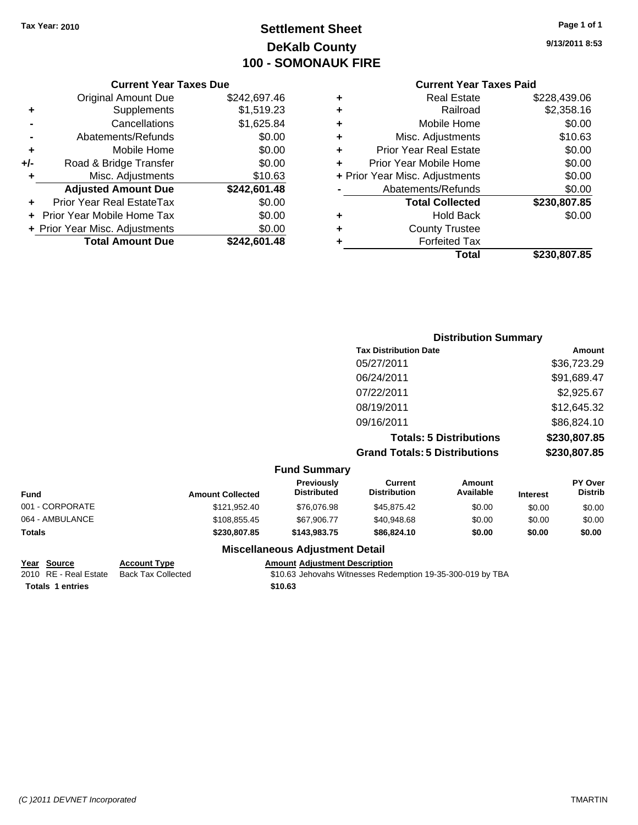# **Settlement Sheet Tax Year: 2010 Page 1 of 1 DeKalb County 100 - SOMONAUK FIRE**

**9/13/2011 8:53**

#### **Current Year Taxes Paid**

|     | <b>Current Year Taxes Due</b>  |              |  |
|-----|--------------------------------|--------------|--|
|     | <b>Original Amount Due</b>     | \$242,697.46 |  |
| ٠   | Supplements                    | \$1,519.23   |  |
|     | Cancellations                  | \$1,625.84   |  |
|     | Abatements/Refunds             | \$0.00       |  |
| ٠   | Mobile Home                    | \$0.00       |  |
| +/- | Road & Bridge Transfer         | \$0.00       |  |
| ٠   | Misc. Adjustments              | \$10.63      |  |
|     | <b>Adjusted Amount Due</b>     | \$242,601.48 |  |
| ÷   | Prior Year Real EstateTax      | \$0.00       |  |
|     | Prior Year Mobile Home Tax     | \$0.00       |  |
|     | + Prior Year Misc. Adjustments | \$0.00       |  |
|     | <b>Total Amount Due</b>        | \$242.601.48 |  |
|     |                                |              |  |

| ٠ | Real Estate                    | \$228,439.06 |
|---|--------------------------------|--------------|
| ٠ | Railroad                       | \$2,358.16   |
| ٠ | Mobile Home                    | \$0.00       |
| ٠ | Misc. Adjustments              | \$10.63      |
| ٠ | <b>Prior Year Real Estate</b>  | \$0.00       |
| ÷ | Prior Year Mobile Home         | \$0.00       |
|   | + Prior Year Misc. Adjustments | \$0.00       |
|   | Abatements/Refunds             | \$0.00       |
|   | <b>Total Collected</b>         | \$230,807.85 |
| ٠ | Hold Back                      | \$0.00       |
| ٠ | <b>County Trustee</b>          |              |
| ٠ | <b>Forfeited Tax</b>           |              |
|   | Total                          | \$230,807.85 |
|   |                                |              |

|                     | <b>Distribution Summary</b>          |              |
|---------------------|--------------------------------------|--------------|
|                     | <b>Tax Distribution Date</b>         | Amount       |
|                     | 05/27/2011                           | \$36,723.29  |
|                     | 06/24/2011                           | \$91,689.47  |
|                     | 07/22/2011                           | \$2,925.67   |
|                     | 08/19/2011                           | \$12,645.32  |
|                     | 09/16/2011                           | \$86,824.10  |
|                     | <b>Totals: 5 Distributions</b>       | \$230,807.85 |
|                     | <b>Grand Totals: 5 Distributions</b> | \$230,807.85 |
| <b>Fund Summary</b> |                                      |              |

| <b>Amount Collected</b> | <b>Previously</b><br><b>Distributed</b> | Current<br><b>Distribution</b> | Amount<br>Available | <b>Interest</b> | <b>PY Over</b><br><b>Distrib</b> |
|-------------------------|-----------------------------------------|--------------------------------|---------------------|-----------------|----------------------------------|
| \$121,952.40            | \$76,076.98                             | \$45,875.42                    | \$0.00              | \$0.00          | \$0.00                           |
| \$108.855.45            | \$67.906.77                             | \$40,948.68                    | \$0.00              | \$0.00          | \$0.00                           |
| \$230,807.85            | \$143.983.75                            | \$86,824.10                    | \$0.00              | \$0.00          | \$0.00                           |
|                         |                                         |                                |                     |                 |                                  |

**Totals \$10.63 1 entries**

**Miscellaneous Adjustment Detail Year Source Account Type Amount Adjustment Description**

 $\overline{$10.63}$  Jehovahs Witnesses Redemption 19-35-300-019 by TBA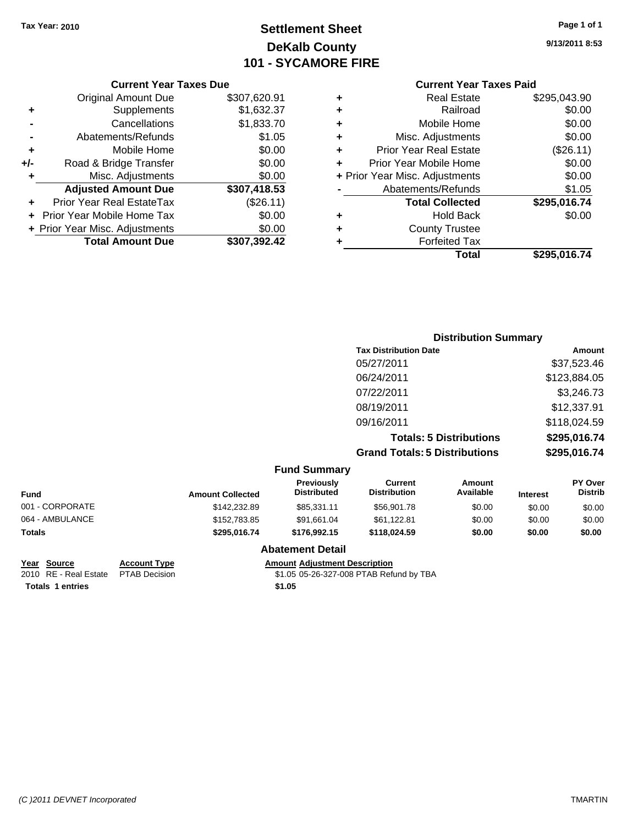# **Settlement Sheet Tax Year: 2010 Page 1 of 1 DeKalb County 101 - SYCAMORE FIRE**

|   | <b>Current Year Taxes Paid</b> |              |
|---|--------------------------------|--------------|
| ٠ | <b>Real Estate</b>             | \$295,043.90 |
| ٠ | Railroad                       | \$0.00       |
| ٠ | Mobile Home                    | \$0.00       |
| ٠ | Misc. Adjustments              | \$0.00       |
| ٠ | <b>Prior Year Real Estate</b>  | (\$26.11)    |
| ٠ | Prior Year Mobile Home         | \$0.00       |
|   | + Prior Year Misc. Adjustments | \$0.00       |
|   | Abatements/Refunds             | \$1.05       |
|   | <b>Total Collected</b>         | \$295,016.74 |
| ٠ | <b>Hold Back</b>               | \$0.00       |
| ٠ | <b>County Trustee</b>          |              |
|   | <b>Forfeited Tax</b>           |              |
|   | Total                          | \$295,016.74 |

#### **Current Year Taxes Due** Original Amount Due \$307,620.91 **+** Supplements \$1,632.37 **-** Cancellations \$1,833.70 **-** Abatements/Refunds \$1.05 **+** Mobile Home \$0.00 **+/-** Road & Bridge Transfer \$0.00 **+** Misc. Adjustments \$0.00 **Adjusted Amount Due \$307,418.53 +** Prior Year Real EstateTax (\$26.11) **+** Prior Year Mobile Home Tax \$0.00 **+ Prior Year Misc. Adjustments**  $$0.00$ **Total Amount Due \$307,392.42**

#### **Distribution Summary Tax Distribution Date Amount** 05/27/2011 \$37,523.46 06/24/2011 \$123,884.05 07/22/2011 \$3,246.73 08/19/2011 \$12,337.91 09/16/2011 \$118,024.59 **Totals: 5 Distributions \$295,016.74 Grand Totals: 5 Distributions \$295,016.74 Fund Summary Fund Interest Amount Collected Distributed PY Over Distrib Amount Available Current Distribution Previously** 001 - CORPORATE \$142,232.89 \$85,331.11 \$56,901.78 \$0.00 \$0.00 \$0.00 064 - AMBULANCE \$152,783.85 \$91,661.04 \$61,122.81 \$0.00 \$0.00 \$0.00 **Totals \$295,016.74 \$176,992.15 \$118,024.59 \$0.00 \$0.00 \$0.00**

#### **Abatement Detail**

**Totals \$1.05 1 entries**

**Year Source Account Type Amount Adjustment Description** 2010 RE - Real Estate \$1.05 05-26-327-008 PTAB Refund by TBA PTAB Decision **9/13/2011 8:53**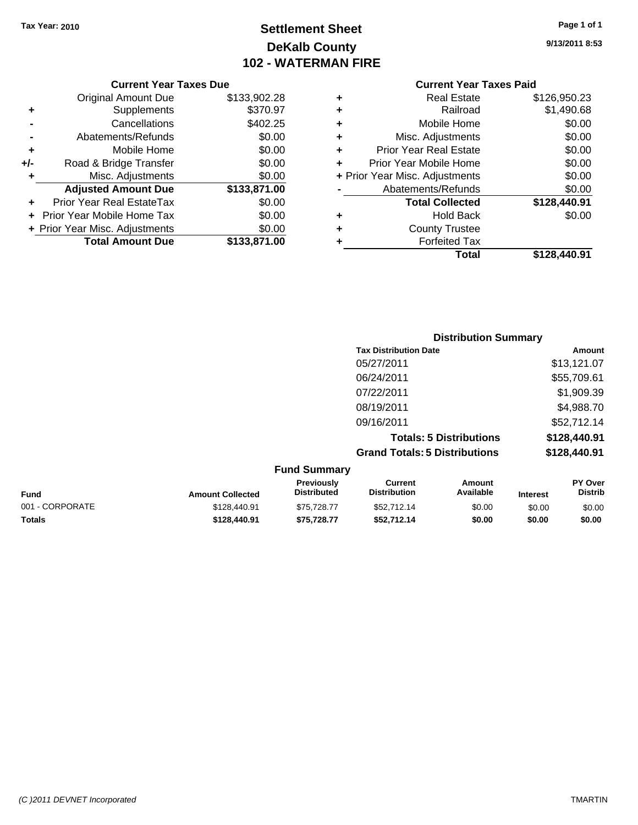# **Settlement Sheet Tax Year: 2010 Page 1 of 1 DeKalb County 102 - WATERMAN FIRE**

**9/13/2011 8:53**

| Current Year Taxes Due |  |  |
|------------------------|--|--|
|                        |  |  |

|     | <b>Original Amount Due</b>       | \$133,902.28 |
|-----|----------------------------------|--------------|
| ٠   | Supplements                      | \$370.97     |
|     | Cancellations                    | \$402.25     |
|     | Abatements/Refunds               | \$0.00       |
| ٠   | Mobile Home                      | \$0.00       |
| +/- | Road & Bridge Transfer           | \$0.00       |
| ٠   | Misc. Adjustments                | \$0.00       |
|     | <b>Adjusted Amount Due</b>       | \$133,871.00 |
|     | <b>Prior Year Real EstateTax</b> | \$0.00       |
|     | Prior Year Mobile Home Tax       | \$0.00       |
|     | + Prior Year Misc. Adjustments   | \$0.00       |
|     | <b>Total Amount Due</b>          | \$133,871.00 |

|   | Total                          | \$128,440.91 |
|---|--------------------------------|--------------|
| ٠ | <b>Forfeited Tax</b>           |              |
| ٠ | <b>County Trustee</b>          |              |
| ٠ | <b>Hold Back</b>               | \$0.00       |
|   | <b>Total Collected</b>         | \$128,440.91 |
|   | Abatements/Refunds             | \$0.00       |
|   | + Prior Year Misc. Adjustments | \$0.00       |
| ٠ | Prior Year Mobile Home         | \$0.00       |
| ٠ | Prior Year Real Estate         | \$0.00       |
| ٠ | Misc. Adjustments              | \$0.00       |
| ÷ | Mobile Home                    | \$0.00       |
| ÷ | Railroad                       | \$1,490.68   |
| ٠ | <b>Real Estate</b>             | \$126,950.23 |

|                     | <b>Distribution Summary</b>          |              |
|---------------------|--------------------------------------|--------------|
|                     | <b>Tax Distribution Date</b>         | Amount       |
|                     | 05/27/2011                           | \$13,121.07  |
|                     | 06/24/2011                           | \$55,709.61  |
|                     | 07/22/2011                           | \$1,909.39   |
|                     | 08/19/2011                           | \$4,988.70   |
|                     | 09/16/2011                           | \$52,712.14  |
|                     | <b>Totals: 5 Distributions</b>       | \$128,440.91 |
|                     | <b>Grand Totals: 5 Distributions</b> | \$128,440.91 |
| <b>Fund Summary</b> |                                      |              |

|              | <b>Previously</b><br><b>Distributed</b> | Current<br><b>Distribution</b> | Amount<br>Available | <b>Interest</b> | <b>PY Over</b><br><b>Distrib</b> |
|--------------|-----------------------------------------|--------------------------------|---------------------|-----------------|----------------------------------|
| \$128,440.91 | \$75.728.77                             | \$52,712.14                    | \$0.00              | \$0.00          | \$0.00                           |
| \$128,440.91 | \$75.728.77                             | \$52.712.14                    | \$0.00              | \$0.00          | \$0.00                           |
|              | <b>Amount Collected</b>                 |                                |                     |                 |                                  |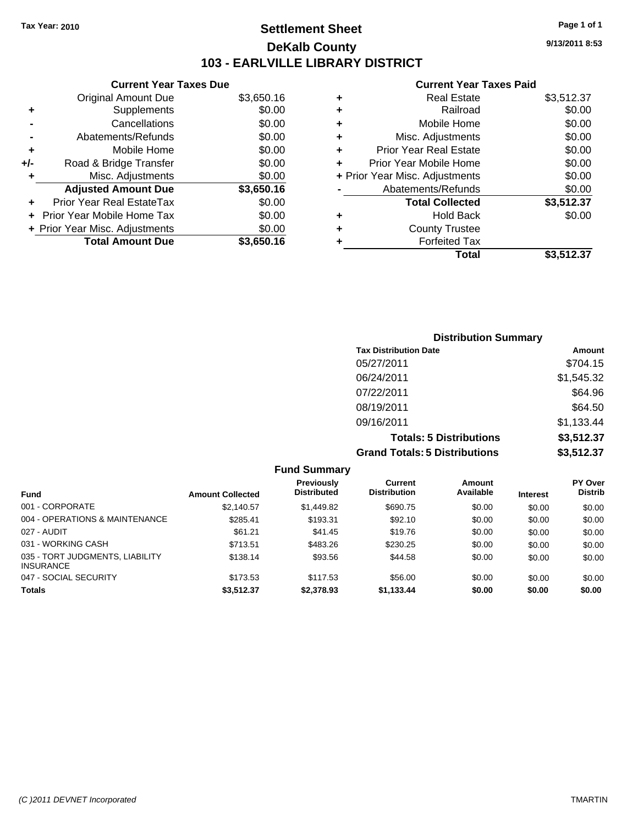# **Settlement Sheet Tax Year: 2010 Page 1 of 1 DeKalb County 103 - EARLVILLE LIBRARY DISTRICT**

**9/13/2011 8:53**

|     | <b>Current Year Taxes Due</b>  |            |
|-----|--------------------------------|------------|
|     | <b>Original Amount Due</b>     | \$3,650.16 |
| ٠   | Supplements                    | \$0.00     |
|     | Cancellations                  | \$0.00     |
|     | Abatements/Refunds             | \$0.00     |
| ٠   | Mobile Home                    | \$0.00     |
| +/- | Road & Bridge Transfer         | \$0.00     |
| ٠   | Misc. Adjustments              | \$0.00     |
|     | <b>Adjusted Amount Due</b>     | \$3,650.16 |
|     | Prior Year Real EstateTax      | \$0.00     |
|     | Prior Year Mobile Home Tax     | \$0.00     |
|     | + Prior Year Misc. Adjustments | \$0.00     |
|     | <b>Total Amount Due</b>        | \$3,650.16 |
|     |                                |            |

| ٠ | <b>Real Estate</b>             | \$3,512.37 |
|---|--------------------------------|------------|
| ٠ | Railroad                       | \$0.00     |
| ٠ | Mobile Home                    | \$0.00     |
| ٠ | Misc. Adjustments              | \$0.00     |
| ÷ | <b>Prior Year Real Estate</b>  | \$0.00     |
|   | Prior Year Mobile Home         | \$0.00     |
|   | + Prior Year Misc. Adjustments | \$0.00     |
|   | Abatements/Refunds             | \$0.00     |
|   | <b>Total Collected</b>         | \$3,512.37 |
| ٠ | <b>Hold Back</b>               | \$0.00     |
| ٠ | <b>County Trustee</b>          |            |
|   | <b>Forfeited Tax</b>           |            |
|   | Total                          | \$3.512.37 |

| <b>Distribution Summary</b>          |            |
|--------------------------------------|------------|
| <b>Tax Distribution Date</b>         | Amount     |
| 05/27/2011                           | \$704.15   |
| 06/24/2011                           | \$1,545.32 |
| 07/22/2011                           | \$64.96    |
| 08/19/2011                           | \$64.50    |
| 09/16/2011                           | \$1,133.44 |
| <b>Totals: 5 Distributions</b>       | \$3,512.37 |
| <b>Grand Totals: 5 Distributions</b> | \$3,512.37 |

|                                                     |                         | <b>Fund Summary</b>              |                                |                     |                 |                           |
|-----------------------------------------------------|-------------------------|----------------------------------|--------------------------------|---------------------|-----------------|---------------------------|
| <b>Fund</b>                                         | <b>Amount Collected</b> | Previously<br><b>Distributed</b> | Current<br><b>Distribution</b> | Amount<br>Available | <b>Interest</b> | PY Over<br><b>Distrib</b> |
| 001 - CORPORATE                                     | \$2,140.57              | \$1,449.82                       | \$690.75                       | \$0.00              | \$0.00          | \$0.00                    |
| 004 - OPERATIONS & MAINTENANCE                      | \$285.41                | \$193.31                         | \$92.10                        | \$0.00              | \$0.00          | \$0.00                    |
| 027 - AUDIT                                         | \$61.21                 | \$41.45                          | \$19.76                        | \$0.00              | \$0.00          | \$0.00                    |
| 031 - WORKING CASH                                  | \$713.51                | \$483.26                         | \$230.25                       | \$0.00              | \$0.00          | \$0.00                    |
| 035 - TORT JUDGMENTS, LIABILITY<br><b>INSURANCE</b> | \$138.14                | \$93.56                          | \$44.58                        | \$0.00              | \$0.00          | \$0.00                    |
| 047 - SOCIAL SECURITY                               | \$173.53                | \$117.53                         | \$56.00                        | \$0.00              | \$0.00          | \$0.00                    |
| <b>Totals</b>                                       | \$3,512.37              | \$2,378.93                       | \$1,133.44                     | \$0.00              | \$0.00          | \$0.00                    |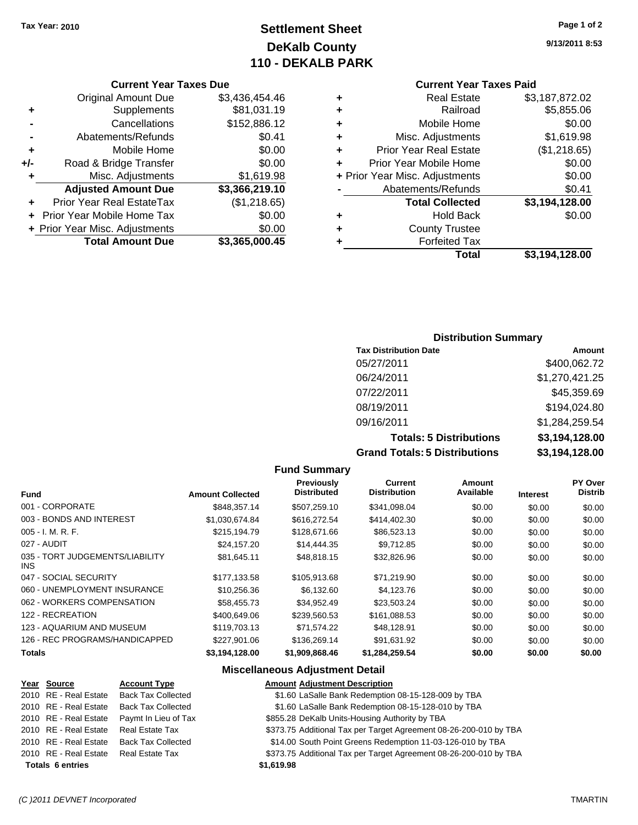# **Settlement Sheet Tax Year: 2010 Page 1 of 2 DeKalb County 110 - DEKALB PARK**

#### **Current Year Taxes Due**

|     | <b>Original Amount Due</b>        | \$3,436,454.46 |
|-----|-----------------------------------|----------------|
| ٠   | Supplements                       | \$81,031.19    |
|     | Cancellations                     | \$152,886.12   |
|     | Abatements/Refunds                | \$0.41         |
| ÷   | Mobile Home                       | \$0.00         |
| +/- | Road & Bridge Transfer            | \$0.00         |
| ٠   | Misc. Adjustments                 | \$1,619.98     |
|     | <b>Adjusted Amount Due</b>        | \$3,366,219.10 |
|     | Prior Year Real EstateTax         | (\$1,218.65)   |
|     | <b>Prior Year Mobile Home Tax</b> | \$0.00         |
|     | + Prior Year Misc. Adjustments    | \$0.00         |
|     | <b>Total Amount Due</b>           | \$3,365,000.45 |

# **Current Year Taxes Paid**

|   | <b>Real Estate</b>             | \$3,187,872.02 |
|---|--------------------------------|----------------|
| ٠ | Railroad                       | \$5,855.06     |
| ٠ | Mobile Home                    | \$0.00         |
| ٠ | Misc. Adjustments              | \$1,619.98     |
| ٠ | <b>Prior Year Real Estate</b>  | (\$1,218.65)   |
| ÷ | Prior Year Mobile Home         | \$0.00         |
|   | + Prior Year Misc. Adjustments | \$0.00         |
|   | Abatements/Refunds             | \$0.41         |
|   | <b>Total Collected</b>         | \$3,194,128.00 |
| ٠ | <b>Hold Back</b>               | \$0.00         |
| ٠ | <b>County Trustee</b>          |                |
| ٠ | <b>Forfeited Tax</b>           |                |
|   | Total                          | \$3,194,128.00 |
|   |                                |                |

#### **Distribution Summary**

| <b>Tax Distribution Date</b>         | Amount         |
|--------------------------------------|----------------|
| 05/27/2011                           | \$400,062.72   |
| 06/24/2011                           | \$1,270,421.25 |
| 07/22/2011                           | \$45,359.69    |
| 08/19/2011                           | \$194,024.80   |
| 09/16/2011                           | \$1,284,259.54 |
| <b>Totals: 5 Distributions</b>       | \$3,194,128.00 |
| <b>Grand Totals: 5 Distributions</b> | \$3,194,128.00 |

#### **Fund Summary**

|                                         |                         | <b>Previously</b>  | Current             | Amount    |                 | PY Over        |
|-----------------------------------------|-------------------------|--------------------|---------------------|-----------|-----------------|----------------|
| <b>Fund</b>                             | <b>Amount Collected</b> | <b>Distributed</b> | <b>Distribution</b> | Available | <b>Interest</b> | <b>Distrib</b> |
| 001 - CORPORATE                         | \$848,357.14            | \$507,259.10       | \$341,098.04        | \$0.00    | \$0.00          | \$0.00         |
| 003 - BONDS AND INTEREST                | \$1,030,674.84          | \$616,272.54       | \$414,402.30        | \$0.00    | \$0.00          | \$0.00         |
| $005 - I. M. R. F.$                     | \$215,194.79            | \$128,671.66       | \$86,523.13         | \$0.00    | \$0.00          | \$0.00         |
| 027 - AUDIT                             | \$24,157.20             | \$14,444.35        | \$9.712.85          | \$0.00    | \$0.00          | \$0.00         |
| 035 - TORT JUDGEMENTS/LIABILITY<br>INS. | \$81,645.11             | \$48,818.15        | \$32,826.96         | \$0.00    | \$0.00          | \$0.00         |
| 047 - SOCIAL SECURITY                   | \$177,133.58            | \$105.913.68       | \$71.219.90         | \$0.00    | \$0.00          | \$0.00         |
| 060 - UNEMPLOYMENT INSURANCE            | \$10.256.36             | \$6.132.60         | \$4,123.76          | \$0.00    | \$0.00          | \$0.00         |
| 062 - WORKERS COMPENSATION              | \$58.455.73             | \$34.952.49        | \$23.503.24         | \$0.00    | \$0.00          | \$0.00         |
| 122 - RECREATION                        | \$400,649,06            | \$239,560.53       | \$161,088.53        | \$0.00    | \$0.00          | \$0.00         |
| 123 - AQUARIUM AND MUSEUM               | \$119,703.13            | \$71.574.22        | \$48,128.91         | \$0.00    | \$0.00          | \$0.00         |
| 126 - REC PROGRAMS/HANDICAPPED          | \$227,901.06            | \$136,269.14       | \$91.631.92         | \$0.00    | \$0.00          | \$0.00         |
| <b>Totals</b>                           | \$3.194.128.00          | \$1,909,868,46     | \$1.284.259.54      | \$0.00    | \$0.00          | \$0.00         |

#### **Miscellaneous Adjustment Detail**

| Year Source                           | <b>Account Type</b>       | <b>Amount Adjustment Description</b>                              |
|---------------------------------------|---------------------------|-------------------------------------------------------------------|
| 2010 RE - Real Estate                 | <b>Back Tax Collected</b> | \$1.60 LaSalle Bank Redemption 08-15-128-009 by TBA               |
| 2010 RE - Real Estate                 | <b>Back Tax Collected</b> | \$1.60 LaSalle Bank Redemption 08-15-128-010 by TBA               |
| 2010 RE - Real Estate                 | Paymt In Lieu of Tax      | \$855.28 DeKalb Units-Housing Authority by TBA                    |
| 2010 RE - Real Estate                 | Real Estate Tax           | \$373.75 Additional Tax per Target Agreement 08-26-200-010 by TBA |
| 2010 RE - Real Estate                 | <b>Back Tax Collected</b> | \$14.00 South Point Greens Redemption 11-03-126-010 by TBA        |
| 2010 RE - Real Estate Real Estate Tax |                           | \$373.75 Additional Tax per Target Agreement 08-26-200-010 by TBA |
| <b>Totals 6 entries</b>               |                           | \$1,619.98                                                        |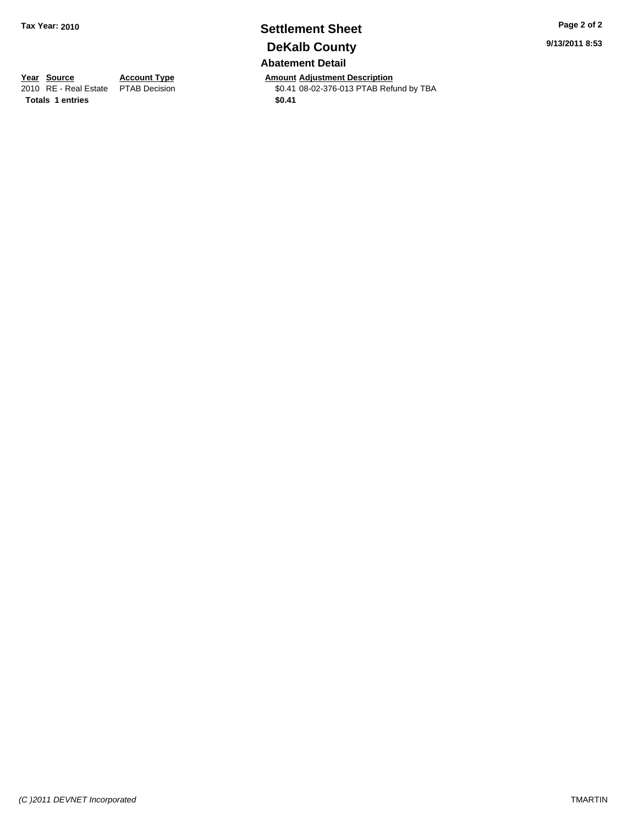# **Settlement Sheet Tax Year: 2010 Page 2 of 2 DeKalb County Abatement Detail**

**Year Source Account Type Amount Adjustment Description**<br>
2010 RE - Real Estate PTAB Decision **Amount Adjustment Description**<br>
\$0.41 08-02-376-013 PTAB Refu \$0.41 08-02-376-013 PTAB Refund by TBA

**9/13/2011 8:53**

Totals 1 entries \$0.41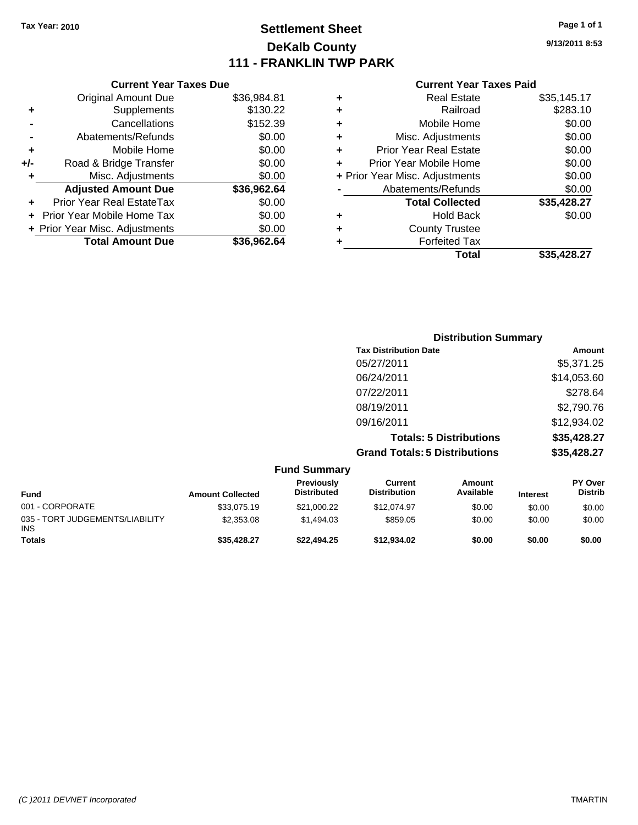# **Settlement Sheet Tax Year: 2010 Page 1 of 1 DeKalb County 111 - FRANKLIN TWP PARK**

**9/13/2011 8:53**

| <b>Current Year Taxes Due</b>     |                                |
|-----------------------------------|--------------------------------|
| <b>Original Amount Due</b>        | \$36,984.81                    |
| Supplements                       | \$130.22                       |
| Cancellations                     | \$152.39                       |
| Abatements/Refunds                | \$0.00                         |
| Mobile Home                       | \$0.00                         |
| Road & Bridge Transfer            | \$0.00                         |
| Misc. Adjustments                 | \$0.00                         |
| <b>Adjusted Amount Due</b>        | \$36,962.64                    |
| Prior Year Real EstateTax         | \$0.00                         |
| <b>Prior Year Mobile Home Tax</b> | \$0.00                         |
|                                   | \$0.00                         |
| <b>Total Amount Due</b>           | \$36.962.64                    |
|                                   | + Prior Year Misc. Adjustments |

| ٠ | <b>Real Estate</b>             | \$35,145.17 |
|---|--------------------------------|-------------|
| ٠ | Railroad                       | \$283.10    |
| ٠ | Mobile Home                    | \$0.00      |
| ٠ | Misc. Adjustments              | \$0.00      |
| ÷ | <b>Prior Year Real Estate</b>  | \$0.00      |
|   | Prior Year Mobile Home         | \$0.00      |
|   | + Prior Year Misc. Adjustments | \$0.00      |
|   | Abatements/Refunds             | \$0.00      |
|   | <b>Total Collected</b>         | \$35,428.27 |
| ٠ | Hold Back                      | \$0.00      |
| ٠ | <b>County Trustee</b>          |             |
| ٠ | <b>Forfeited Tax</b>           |             |
|   | Total                          | \$35.428.27 |
|   |                                |             |

|                                                       | <b>Distribution Summary</b>          |             |
|-------------------------------------------------------|--------------------------------------|-------------|
|                                                       | <b>Tax Distribution Date</b>         | Amount      |
|                                                       | 05/27/2011                           | \$5,371.25  |
|                                                       | 06/24/2011                           | \$14,053.60 |
|                                                       | 07/22/2011                           | \$278.64    |
|                                                       | 08/19/2011                           | \$2,790.76  |
|                                                       | 09/16/2011                           | \$12,934.02 |
|                                                       | <b>Totals: 5 Distributions</b>       | \$35,428.27 |
|                                                       | <b>Grand Totals: 5 Distributions</b> | \$35,428.27 |
| $E_{11}$ $E_{11}$ $E_{11}$ $E_{21}$ $E_{22}$ $E_{23}$ |                                      |             |

|                                               |                         | <b>Fund Summary</b>                     |                                |                     |                 |                                  |
|-----------------------------------------------|-------------------------|-----------------------------------------|--------------------------------|---------------------|-----------------|----------------------------------|
| <b>Fund</b>                                   | <b>Amount Collected</b> | <b>Previously</b><br><b>Distributed</b> | Current<br><b>Distribution</b> | Amount<br>Available | <b>Interest</b> | <b>PY Over</b><br><b>Distrib</b> |
| 001 - CORPORATE                               | \$33,075.19             | \$21,000.22                             | \$12,074.97                    | \$0.00              | \$0.00          | \$0.00                           |
| 035 - TORT JUDGEMENTS/LIABILITY<br><b>INS</b> | \$2,353.08              | \$1,494.03                              | \$859.05                       | \$0.00              | \$0.00          | \$0.00                           |
| <b>Totals</b>                                 | \$35,428.27             | \$22,494.25                             | \$12,934.02                    | \$0.00              | \$0.00          | \$0.00                           |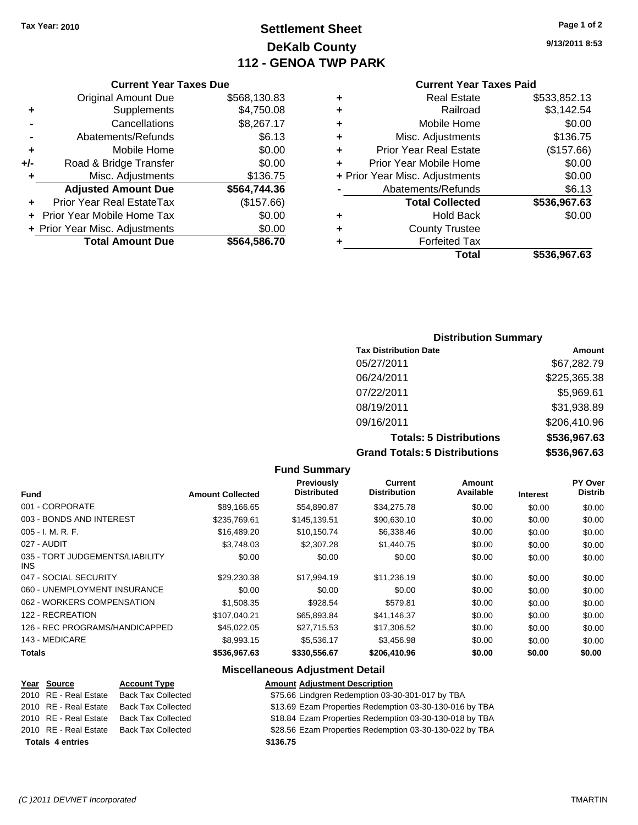# **Settlement Sheet Tax Year: 2010 Page 1 of 2 DeKalb County 112 - GENOA TWP PARK**

**9/13/2011 8:53**

#### **Current Year Taxes Paid**

| ٠ | <b>Real Estate</b>             | \$533,852.13 |
|---|--------------------------------|--------------|
| ٠ | Railroad                       | \$3,142.54   |
| ٠ | Mobile Home                    | \$0.00       |
| ٠ | Misc. Adjustments              | \$136.75     |
| ÷ | <b>Prior Year Real Estate</b>  | (\$157.66)   |
| ÷ | Prior Year Mobile Home         | \$0.00       |
|   | + Prior Year Misc. Adjustments | \$0.00       |
|   | Abatements/Refunds             | \$6.13       |
|   | <b>Total Collected</b>         | \$536,967.63 |
| ٠ | <b>Hold Back</b>               | \$0.00       |
| ٠ | <b>County Trustee</b>          |              |
| ٠ | <b>Forfeited Tax</b>           |              |
|   | Total                          | \$536.967.63 |

#### **Current Year Taxes Due** Original Amount Due \$568,130.83 **+** Supplements \$4,750.08 **-** Cancellations \$8,267.17 **-** Abatements/Refunds **\$6.13 +** Mobile Home \$0.00 **+/-** Road & Bridge Transfer \$0.00 **+** Misc. Adjustments \$136.75 **Adjusted Amount Due \$564,744.36 +** Prior Year Real EstateTax (\$157.66) **+** Prior Year Mobile Home Tax \$0.00 **+ Prior Year Misc. Adjustments**  $$0.00$ **Total Amount Due \$564,586.70**

#### **Distribution Summary**

| <b>Tax Distribution Date</b>         | Amount       |
|--------------------------------------|--------------|
| 05/27/2011                           | \$67,282.79  |
| 06/24/2011                           | \$225,365.38 |
| 07/22/2011                           | \$5,969.61   |
| 08/19/2011                           | \$31,938.89  |
| 09/16/2011                           | \$206,410.96 |
| <b>Totals: 5 Distributions</b>       | \$536,967.63 |
| <b>Grand Totals: 5 Distributions</b> | \$536,967.63 |

#### **Fund Summary Fund Interest Amount Collected Distributed PY Over Distrib Amount Available Current Distribution Previously** 001 - CORPORATE \$89,166.65 \$54,890.87 \$34,275.78 \$0.00 \$0.00 \$0.00 003 - BONDS AND INTEREST 6235,769.61 \$145,139.51 \$90,630.10 \$0.00 \$0.00 \$0.00 005 - I. M. R. F. \$16,489.20 \$10,150.74 \$6,338.46 \$0.00 \$0.00 \$0.00 027 - AUDIT \$3,748.03 \$2,307.28 \$1,440.75 \$0.00 \$0.00 \$0.00 035 - TORT JUDGEMENTS/LIABILITY INS \$0.00 \$0.00 \$0.00 \$0.00 \$0.00 \$0.00 047 - SOCIAL SECURITY \$29,230.38 \$17,994.19 \$11,236.19 \$0.00 \$0.00 \$0.00 060 - UNEMPLOYMENT INSURANCE  $$0.00$   $$0.00$   $$0.00$   $$0.00$   $$0.00$   $$0.00$   $$0.00$ 062 - WORKERS COMPENSATION \$1,508.35 \$928.54 \$579.81 \$0.00 \$0.00 \$0.00 \$0.00 122 - RECREATION \$107,040.21 \$65,893.84 \$41,146.37 \$0.00 \$0.00 \$0.00 126 - REC PROGRAMS/HANDICAPPED \$45,022.05 \$27,715.53 \$17,306.52 \$0.00 \$0.00 \$0.00 143 - MEDICARE \$8,993.15 \$5,536.17 \$3,456.98 \$0.00 \$0.00 \$0.00 **Totals \$536,967.63 \$330,556.67 \$206,410.96 \$0.00 \$0.00 \$0.00**

#### **Miscellaneous Adjustment Detail Year Source Account Type Amount Adjustment Description** 2010 RE - Real Estate Back Tax Collected \$75.66 Lindgren Redemption 03-30-301-017 by TBA 2010 RE - Real Estate Back Tax Collected \$13.69 Ezam Properties Redemption 03-30-130-016 by TBA 2010 RE - Real Estate Back Tax Collected \$18.84 Ezam Properties Redemption 03-30-130-018 by TBA 2010 RE - Real Estate Back Tax Collected \$28.56 Ezam Properties Redemption 03-30-130-022 by TBA **Totals \$136.75 4 entries**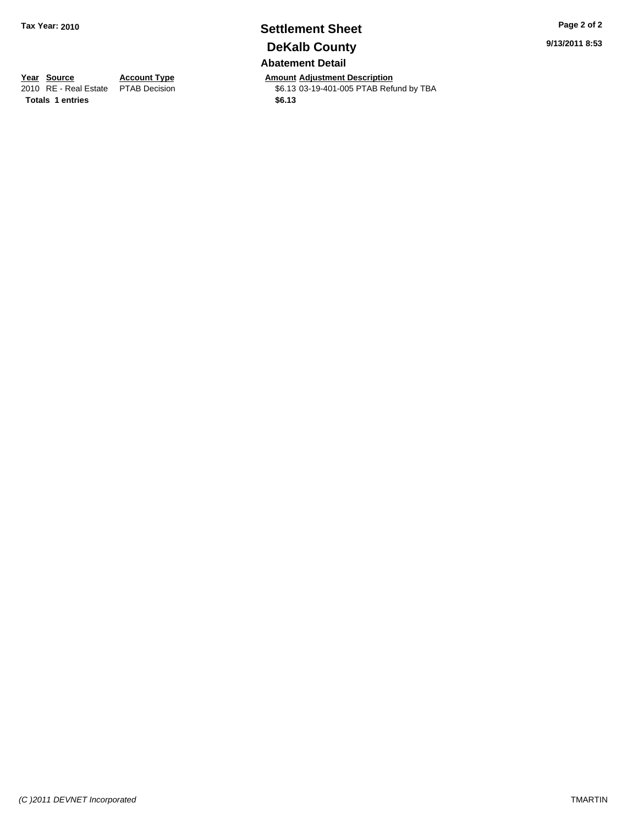## **Settlement Sheet Tax Year: 2010 Page 2 of 2 DeKalb County Abatement Detail**

**Year Source Account Type Amount Adjustment Description**<br>
2010 RE - Real Estate PTAB Decision **Amount 46.13** 03-19-401-005 PTAB Refu \$6.13 03-19-401-005 PTAB Refund by TBA

**9/13/2011 8:53**

**Totals \$6.13 1 entries**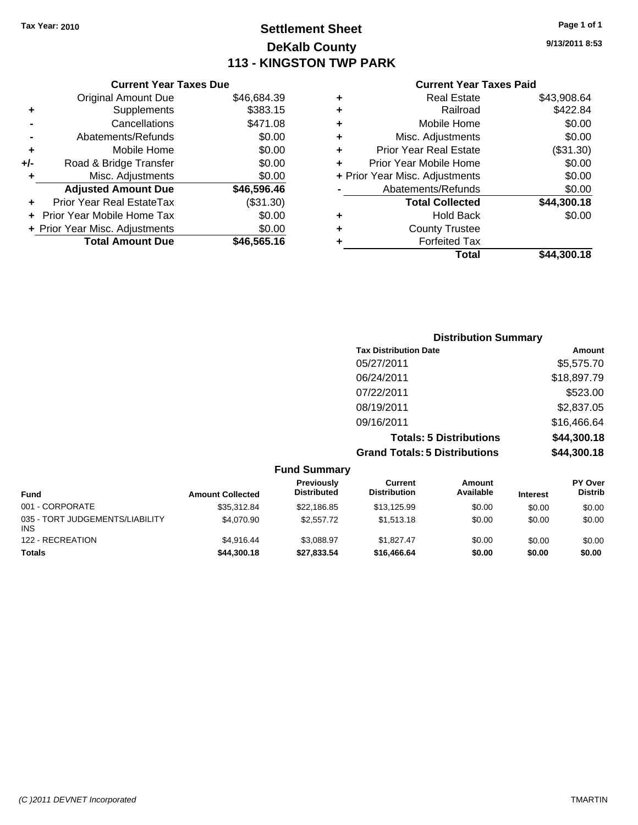# **Settlement Sheet Tax Year: 2010 Page 1 of 1 DeKalb County 113 - KINGSTON TWP PARK**

**9/13/2011 8:53**

| ٠ | Real Estate                    | \$43,908.64 |
|---|--------------------------------|-------------|
| ٠ | Railroad                       | \$422.84    |
| ٠ | Mobile Home                    | \$0.00      |
| ٠ | Misc. Adjustments              | \$0.00      |
| ٠ | <b>Prior Year Real Estate</b>  | (\$31.30)   |
| ÷ | Prior Year Mobile Home         | \$0.00      |
|   | + Prior Year Misc. Adjustments | \$0.00      |
|   | Abatements/Refunds             | \$0.00      |
|   | <b>Total Collected</b>         | \$44,300.18 |
| ٠ | <b>Hold Back</b>               | \$0.00      |
| ٠ | <b>County Trustee</b>          |             |
|   | <b>Forfeited Tax</b>           |             |
|   | Total                          | \$44.300.18 |

|     | <b>Current Year Taxes Due</b>  |             |
|-----|--------------------------------|-------------|
|     | <b>Original Amount Due</b>     | \$46,684.39 |
| ٠   | Supplements                    | \$383.15    |
|     | Cancellations                  | \$471.08    |
|     | Abatements/Refunds             | \$0.00      |
| ٠   | Mobile Home                    | \$0.00      |
| +/- | Road & Bridge Transfer         | \$0.00      |
| ٠   | Misc. Adjustments              | \$0.00      |
|     | <b>Adjusted Amount Due</b>     | \$46,596.46 |
|     | Prior Year Real EstateTax      | (\$31.30)   |
|     | Prior Year Mobile Home Tax     | \$0.00      |
|     | + Prior Year Misc. Adjustments | \$0.00      |
|     | <b>Total Amount Due</b>        | \$46,565.16 |

| <b>Distribution Summary</b>          |             |
|--------------------------------------|-------------|
| <b>Tax Distribution Date</b>         | Amount      |
| 05/27/2011                           | \$5,575.70  |
| 06/24/2011                           | \$18,897.79 |
| 07/22/2011                           | \$523.00    |
| 08/19/2011                           | \$2,837.05  |
| 09/16/2011                           | \$16,466.64 |
| <b>Totals: 5 Distributions</b>       | \$44,300.18 |
| <b>Grand Totals: 5 Distributions</b> | \$44,300.18 |

|                                               |                         | <b>Fund Summary</b>              |                                |                            |                 |                                  |
|-----------------------------------------------|-------------------------|----------------------------------|--------------------------------|----------------------------|-----------------|----------------------------------|
| Fund                                          | <b>Amount Collected</b> | Previously<br><b>Distributed</b> | Current<br><b>Distribution</b> | <b>Amount</b><br>Available | <b>Interest</b> | <b>PY Over</b><br><b>Distrib</b> |
| 001 - CORPORATE                               | \$35,312.84             | \$22.186.85                      | \$13,125.99                    | \$0.00                     | \$0.00          | \$0.00                           |
| 035 - TORT JUDGEMENTS/LIABILITY<br><b>INS</b> | \$4.070.90              | \$2,557.72                       | \$1,513.18                     | \$0.00                     | \$0.00          | \$0.00                           |
| 122 - RECREATION                              | \$4.916.44              | \$3.088.97                       | \$1.827.47                     | \$0.00                     | \$0.00          | \$0.00                           |
| <b>Totals</b>                                 | \$44,300.18             | \$27.833.54                      | \$16,466,64                    | \$0.00                     | \$0.00          | \$0.00                           |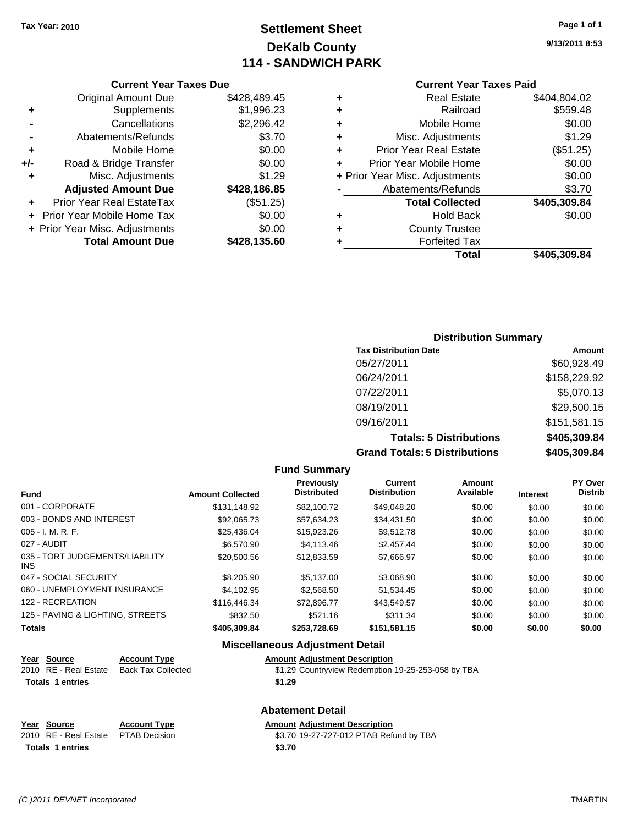# **Settlement Sheet Tax Year: 2010 Page 1 of 1 DeKalb County 114 - SANDWICH PARK**

**9/13/2011 8:53**

#### **Current Year Taxes Paid**

| ٠ | <b>Real Estate</b>             | \$404,804.02 |
|---|--------------------------------|--------------|
| ٠ | Railroad                       | \$559.48     |
| ٠ | Mobile Home                    | \$0.00       |
| ٠ | Misc. Adjustments              | \$1.29       |
| ٠ | <b>Prior Year Real Estate</b>  | (\$51.25)    |
| ٠ | Prior Year Mobile Home         | \$0.00       |
|   | + Prior Year Misc. Adjustments | \$0.00       |
|   | Abatements/Refunds             | \$3.70       |
|   | <b>Total Collected</b>         | \$405,309.84 |
| ٠ | Hold Back                      | \$0.00       |
| ٠ | <b>County Trustee</b>          |              |
| ٠ | <b>Forfeited Tax</b>           |              |
|   | Total                          | \$405.309.84 |

|     | <b>Current Year Taxes Due</b>    |              |
|-----|----------------------------------|--------------|
|     | <b>Original Amount Due</b>       | \$428,489.45 |
| ٠   | Supplements                      | \$1,996.23   |
|     | Cancellations                    | \$2,296.42   |
|     | Abatements/Refunds               | \$3.70       |
| ٠   | Mobile Home                      | \$0.00       |
| +/- | Road & Bridge Transfer           | \$0.00       |
|     | Misc. Adjustments                | \$1.29       |
|     | <b>Adjusted Amount Due</b>       | \$428,186.85 |
|     | <b>Prior Year Real EstateTax</b> | (\$51.25)    |
|     | Prior Year Mobile Home Tax       | \$0.00       |
|     | + Prior Year Misc. Adjustments   | \$0.00       |
|     | <b>Total Amount Due</b>          | \$428,135.60 |

# **Distribution Summary**

| <b>Tax Distribution Date</b>         | Amount       |
|--------------------------------------|--------------|
| 05/27/2011                           | \$60,928.49  |
| 06/24/2011                           | \$158,229.92 |
| 07/22/2011                           | \$5,070.13   |
| 08/19/2011                           | \$29,500.15  |
| 09/16/2011                           | \$151,581.15 |
| <b>Totals: 5 Distributions</b>       | \$405,309.84 |
| <b>Grand Totals: 5 Distributions</b> | \$405,309.84 |

#### **Fund Summary Fund Interest Amount Collected Distributed PY Over Distrib Amount Available Current Distribution Previously** 001 - CORPORATE \$131,148.92 \$82,100.72 \$49,048.20 \$0.00 \$0.00 \$0.00 003 - BONDS AND INTEREST 60.00 \$92,065.73 \$57,634.23 \$34,431.50 \$0.00 \$0.00 \$0.00 \$0.00 005 - I. M. R. F. \$25,436.04 \$15,923.26 \$9,512.78 \$0.00 \$0.00 \$0.00 027 - AUDIT \$6,570.90 \$4,113.46 \$2,457.44 \$0.00 \$0.00 \$0.00 035 - TORT JUDGEMENTS/LIABILITY INS  $$20,500.56$   $$12,833.59$   $$7,666.97$   $$0.00$   $$0.00$   $$0.00$ 047 - SOCIAL SECURITY \$8,205.90 \$5,137.00 \$3,068.90 \$0.00 \$0.00 \$0.00 060 - UNEMPLOYMENT INSURANCE  $$4,102.95$   $$2,568.50$   $$1,534.45$   $$0.00$   $$0.00$   $$0.00$ 122 - RECREATION \$116,446.34 \$12,896.77 \$43,549.57 \$0.00 \$0.00 \$0.00 \$0.00 125 - PAVING & LIGHTING, STREETS \$832.50 \$521.16 \$311.34 \$0.00 \$0.00 \$0.00 \$0.00 **Totals \$405,309.84 \$253,728.69 \$151,581.15 \$0.00 \$0.00 \$0.00**

#### **Miscellaneous Adjustment Detail**

**Abatement Detail**

|  | <b>Amount Adjustment Description</b> |  |
|--|--------------------------------------|--|
|--|--------------------------------------|--|

| Year Source             | <b>Account Type</b> | <b>Amount Adiustment Description</b>               |
|-------------------------|---------------------|----------------------------------------------------|
| 2010 RE - Real Estate   | Back Tax Collected  | \$1.29 Countryview Redemption 19-25-253-058 by TBA |
| <b>Totals 1 entries</b> |                     | \$1.29                                             |

| Year Source                         | <b>Account Type</b> | <b>Amount Adiustment Description</b>    |
|-------------------------------------|---------------------|-----------------------------------------|
| 2010 RE - Real Estate PTAB Decision |                     | \$3.70 19-27-727-012 PTAB Refund by TBA |
| <b>Totals 1 entries</b>             |                     | \$3.70                                  |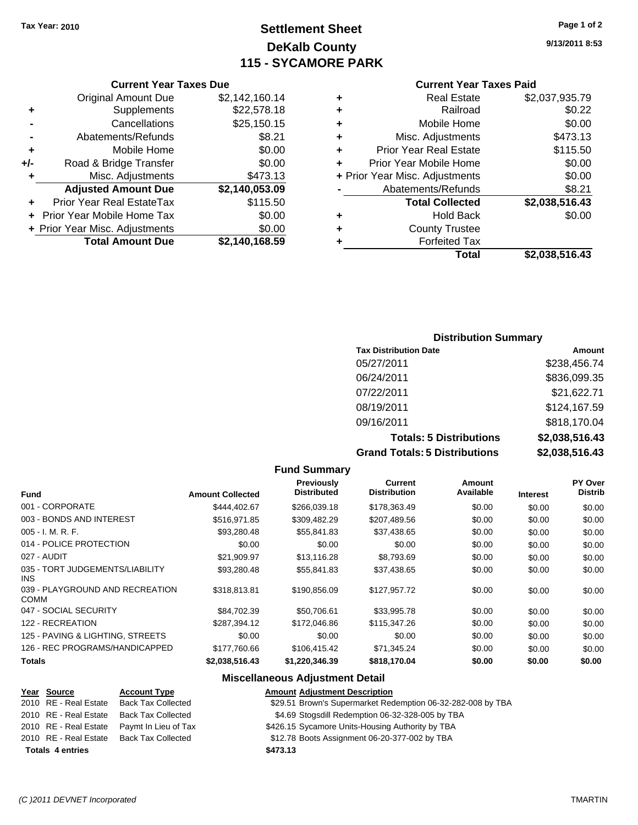# **Settlement Sheet Tax Year: 2010 Page 1 of 2 DeKalb County 115 - SYCAMORE PARK**

**9/13/2011 8:53**

#### **Current Year Taxes Paid**

|   | <b>Real Estate</b>             | \$2,037,935.79 |
|---|--------------------------------|----------------|
| ٠ | Railroad                       | \$0.22         |
| ٠ | Mobile Home                    | \$0.00         |
| ٠ | Misc. Adjustments              | \$473.13       |
| ٠ | <b>Prior Year Real Estate</b>  | \$115.50       |
| ٠ | Prior Year Mobile Home         | \$0.00         |
|   | + Prior Year Misc. Adjustments | \$0.00         |
|   | Abatements/Refunds             | \$8.21         |
|   | <b>Total Collected</b>         | \$2,038,516.43 |
| ٠ | <b>Hold Back</b>               | \$0.00         |
| ٠ | <b>County Trustee</b>          |                |
|   | <b>Forfeited Tax</b>           |                |
|   | Total                          | \$2,038,516.43 |

#### **Current Year Taxes Due** Original Amount Due \$2,142,160.14 **+** Supplements \$22,578.18 **-** Cancellations \$25,150.15 **-** Abatements/Refunds **\$8.21 +** Mobile Home \$0.00 **+/-** Road & Bridge Transfer \$0.00 **+** Misc. Adjustments \$473.13 **Adjusted Amount Due \$2,140,053.09 +** Prior Year Real EstateTax \$115.50 **+** Prior Year Mobile Home Tax \$0.00 **+ Prior Year Misc. Adjustments**  $$0.00$ **Total Amount Due \$2,140,168.59**

#### **Distribution Summary**

| <b>Tax Distribution Date</b>         | Amount         |
|--------------------------------------|----------------|
| 05/27/2011                           | \$238,456.74   |
| 06/24/2011                           | \$836,099.35   |
| 07/22/2011                           | \$21,622.71    |
| 08/19/2011                           | \$124,167.59   |
| 09/16/2011                           | \$818,170.04   |
| <b>Totals: 5 Distributions</b>       | \$2,038,516.43 |
| <b>Grand Totals: 5 Distributions</b> | \$2,038,516.43 |

| <b>Fund Summary</b>                            |                         |                                         |                                |                     |                 |                                  |
|------------------------------------------------|-------------------------|-----------------------------------------|--------------------------------|---------------------|-----------------|----------------------------------|
| <b>Fund</b>                                    | <b>Amount Collected</b> | <b>Previously</b><br><b>Distributed</b> | Current<br><b>Distribution</b> | Amount<br>Available | <b>Interest</b> | <b>PY Over</b><br><b>Distrib</b> |
| 001 - CORPORATE                                | \$444,402.67            | \$266,039.18                            | \$178,363.49                   | \$0.00              | \$0.00          | \$0.00                           |
| 003 - BONDS AND INTEREST                       | \$516.971.85            | \$309,482.29                            | \$207,489.56                   | \$0.00              | \$0.00          | \$0.00                           |
| $005 - I. M. R. F.$                            | \$93,280.48             | \$55,841.83                             | \$37,438.65                    | \$0.00              | \$0.00          | \$0.00                           |
| 014 - POLICE PROTECTION                        | \$0.00                  | \$0.00                                  | \$0.00                         | \$0.00              | \$0.00          | \$0.00                           |
| 027 - AUDIT                                    | \$21.909.97             | \$13,116.28                             | \$8,793.69                     | \$0.00              | \$0.00          | \$0.00                           |
| 035 - TORT JUDGEMENTS/LIABILITY<br>INS.        | \$93,280.48             | \$55,841.83                             | \$37,438.65                    | \$0.00              | \$0.00          | \$0.00                           |
| 039 - PLAYGROUND AND RECREATION<br><b>COMM</b> | \$318,813.81            | \$190,856.09                            | \$127,957.72                   | \$0.00              | \$0.00          | \$0.00                           |
| 047 - SOCIAL SECURITY                          | \$84.702.39             | \$50,706.61                             | \$33,995.78                    | \$0.00              | \$0.00          | \$0.00                           |
| 122 - RECREATION                               | \$287.394.12            | \$172,046.86                            | \$115,347.26                   | \$0.00              | \$0.00          | \$0.00                           |
| 125 - PAVING & LIGHTING, STREETS               | \$0.00                  | \$0.00                                  | \$0.00                         | \$0.00              | \$0.00          | \$0.00                           |
| 126 - REC PROGRAMS/HANDICAPPED                 | \$177,760.66            | \$106,415.42                            | \$71,345.24                    | \$0.00              | \$0.00          | \$0.00                           |
| <b>Totals</b>                                  | \$2,038,516.43          | \$1,220,346.39                          | \$818,170.04                   | \$0.00              | \$0.00          | \$0.00                           |

#### **Miscellaneous Adjustment Detail**

#### **Year Source Account Type Amount Adjustment Description** 2010 RE - Real Estate Back Tax Collected \$29.51 Brown's Supermarket Redemption 06-32-282-008 by TBA 2010 RE - Real Estate Back Tax Collected \$4.69 Stogsdill Redemption 06-32-328-005 by TBA 2010 RE - Real Estate Paymt In Lieu of Tax \$426.15 Sycamore Units-Housing Authority by TBA 2010 RE - Real Estate Back Tax Collected \$12.78 Boots Assignment 06-20-377-002 by TBA **Totals \$473.13 4 entries**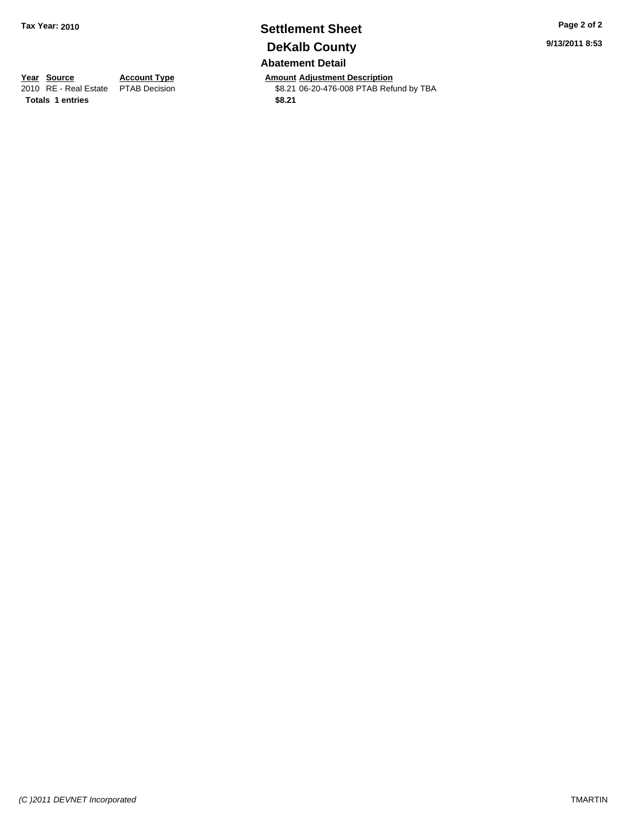# **Settlement Sheet Tax Year: 2010 Page 2 of 2 DeKalb County Abatement Detail**

**Year Source Account Type Amount Adjustment Description**<br>
2010 RE - Real Estate PTAB Decision **Amount** \$8.21 06-20-476-008 PTAB Refu \$8.21 06-20-476-008 PTAB Refund by TBA

**Totals \$8.21 1 entries**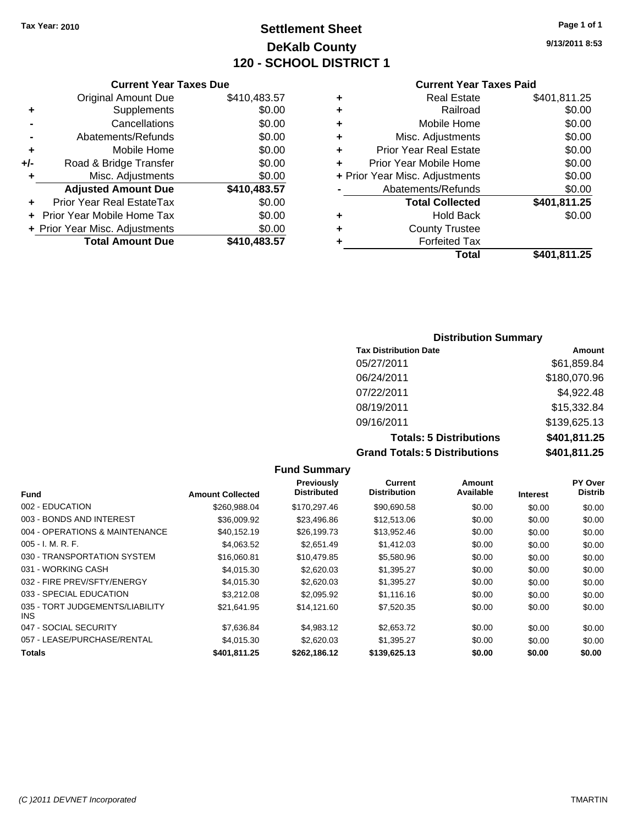# **Settlement Sheet Tax Year: 2010 Page 1 of 1 DeKalb County 120 - SCHOOL DISTRICT 1**

**9/13/2011 8:53**

#### **Current Year Taxes Paid**

| \$401,811.25 | <b>Real Estate</b>             | ٠ | 183.57 |
|--------------|--------------------------------|---|--------|
| \$0.00       | Railroad                       | ٠ | \$0.00 |
| \$0.00       | Mobile Home                    | ٠ | \$0.00 |
| \$0.00       | Misc. Adjustments              | ٠ | \$0.00 |
| \$0.00       | <b>Prior Year Real Estate</b>  | ٠ | \$0.00 |
| \$0.00       | Prior Year Mobile Home         |   | \$0.00 |
| \$0.00       | + Prior Year Misc. Adjustments |   | \$0.00 |
| \$0.00       | Abatements/Refunds             |   | 83.57  |
| \$401,811.25 | <b>Total Collected</b>         |   | \$0.00 |
| \$0.00       | <b>Hold Back</b>               | ٠ | \$0.00 |
|              | <b>County Trustee</b>          | ٠ | \$0.00 |
|              | <b>Forfeited Tax</b>           | ٠ | 83.57  |
| \$401,811.25 | <b>Total</b>                   |   |        |

|     | <b>Current Year Taxes Due</b>    |              |
|-----|----------------------------------|--------------|
|     | <b>Original Amount Due</b>       | \$410,483.57 |
| ٠   | Supplements                      | \$0.00       |
|     | Cancellations                    | \$0.00       |
|     | Abatements/Refunds               | \$0.00       |
| ÷   | Mobile Home                      | \$0.00       |
| +/- | Road & Bridge Transfer           | \$0.00       |
| ٠   | Misc. Adjustments                | \$0.00       |
|     | <b>Adjusted Amount Due</b>       | \$410,483.57 |
|     | <b>Prior Year Real EstateTax</b> | \$0.00       |
| ÷   | Prior Year Mobile Home Tax       | \$0.00       |
|     | + Prior Year Misc. Adjustments   | \$0.00       |
|     | <b>Total Amount Due</b>          | \$410,483.57 |

### **Distribution Summary**

| <b>Tax Distribution Date</b>         | Amount       |
|--------------------------------------|--------------|
| 05/27/2011                           | \$61,859.84  |
| 06/24/2011                           | \$180,070.96 |
| 07/22/2011                           | \$4,922.48   |
| 08/19/2011                           | \$15,332.84  |
| 09/16/2011                           | \$139,625.13 |
| <b>Totals: 5 Distributions</b>       | \$401,811.25 |
| <b>Grand Totals: 5 Distributions</b> | \$401,811.25 |

| <b>Fund Summary</b>                     |                         |                                  |                                       |                     |                 |                           |
|-----------------------------------------|-------------------------|----------------------------------|---------------------------------------|---------------------|-----------------|---------------------------|
| Fund                                    | <b>Amount Collected</b> | Previously<br><b>Distributed</b> | <b>Current</b><br><b>Distribution</b> | Amount<br>Available | <b>Interest</b> | PY Over<br><b>Distrib</b> |
| 002 - EDUCATION                         | \$260.988.04            | \$170,297.46                     | \$90,690.58                           | \$0.00              | \$0.00          | \$0.00                    |
| 003 - BONDS AND INTEREST                | \$36,009.92             | \$23,496.86                      | \$12,513.06                           | \$0.00              | \$0.00          | \$0.00                    |
| 004 - OPERATIONS & MAINTENANCE          | \$40,152.19             | \$26,199.73                      | \$13,952.46                           | \$0.00              | \$0.00          | \$0.00                    |
| $005 - I. M. R. F.$                     | \$4,063.52              | \$2,651.49                       | \$1,412.03                            | \$0.00              | \$0.00          | \$0.00                    |
| 030 - TRANSPORTATION SYSTEM             | \$16,060.81             | \$10.479.85                      | \$5,580.96                            | \$0.00              | \$0.00          | \$0.00                    |
| 031 - WORKING CASH                      | \$4.015.30              | \$2,620.03                       | \$1,395.27                            | \$0.00              | \$0.00          | \$0.00                    |
| 032 - FIRE PREV/SFTY/ENERGY             | \$4,015.30              | \$2,620.03                       | \$1,395.27                            | \$0.00              | \$0.00          | \$0.00                    |
| 033 - SPECIAL EDUCATION                 | \$3,212.08              | \$2,095.92                       | \$1,116.16                            | \$0.00              | \$0.00          | \$0.00                    |
| 035 - TORT JUDGEMENTS/LIABILITY<br>INS. | \$21,641.95             | \$14,121.60                      | \$7,520.35                            | \$0.00              | \$0.00          | \$0.00                    |
| 047 - SOCIAL SECURITY                   | \$7.636.84              | \$4.983.12                       | \$2,653.72                            | \$0.00              | \$0.00          | \$0.00                    |
| 057 - LEASE/PURCHASE/RENTAL             | \$4,015.30              | \$2,620.03                       | \$1,395.27                            | \$0.00              | \$0.00          | \$0.00                    |
| <b>Totals</b>                           | \$401.811.25            | \$262.186.12                     | \$139,625.13                          | \$0.00              | \$0.00          | \$0.00                    |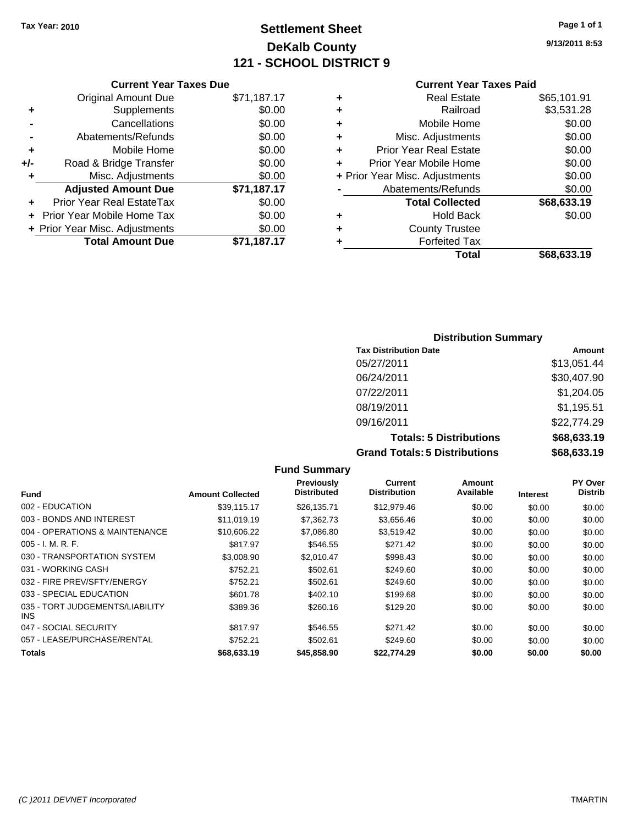# **Settlement Sheet Tax Year: 2010 Page 1 of 1 DeKalb County 121 - SCHOOL DISTRICT 9**

**9/13/2011 8:53**

#### **Current Year Taxes Paid**

|   | Total                          | \$68,633.19 |
|---|--------------------------------|-------------|
| ٠ | <b>Forfeited Tax</b>           |             |
| ٠ | <b>County Trustee</b>          |             |
| ٠ | <b>Hold Back</b>               | \$0.00      |
|   | <b>Total Collected</b>         | \$68,633.19 |
|   | Abatements/Refunds             | \$0.00      |
|   | + Prior Year Misc. Adjustments | \$0.00      |
| ÷ | Prior Year Mobile Home         | \$0.00      |
| ٠ | <b>Prior Year Real Estate</b>  | \$0.00      |
| ÷ | Misc. Adjustments              | \$0.00      |
| ٠ | Mobile Home                    | \$0.00      |
| ٠ | Railroad                       | \$3,531.28  |
| ٠ | <b>Real Estate</b>             | \$65,101.91 |
|   |                                |             |

# **Distribution Summary Tax Distribution Date Amount** 05/27/2011 \$13,051.44 06/24/2011 \$30,407.90 07/22/2011 \$1,204.05 08/19/2011 \$1,195.51 09/16/2011 \$22,774.29 **Totals: 5 Distributions \$68,633.19**

|                                               |                         |                                         | <b>Grand Totals: 5 Distributions</b> |                     | \$68,633.19     |                           |
|-----------------------------------------------|-------------------------|-----------------------------------------|--------------------------------------|---------------------|-----------------|---------------------------|
|                                               |                         | <b>Fund Summary</b>                     |                                      |                     |                 |                           |
| <b>Fund</b>                                   | <b>Amount Collected</b> | <b>Previously</b><br><b>Distributed</b> | Current<br><b>Distribution</b>       | Amount<br>Available | <b>Interest</b> | PY Over<br><b>Distrib</b> |
| 002 - EDUCATION                               | \$39,115.17             | \$26,135.71                             | \$12,979.46                          | \$0.00              | \$0.00          | \$0.00                    |
| 003 - BONDS AND INTEREST                      | \$11.019.19             | \$7,362.73                              | \$3,656.46                           | \$0.00              | \$0.00          | \$0.00                    |
| 004 - OPERATIONS & MAINTENANCE                | \$10,606.22             | \$7,086.80                              | \$3,519.42                           | \$0.00              | \$0.00          | \$0.00                    |
| $005 - I. M. R. F.$                           | \$817.97                | \$546.55                                | \$271.42                             | \$0.00              | \$0.00          | \$0.00                    |
| 030 - TRANSPORTATION SYSTEM                   | \$3,008.90              | \$2.010.47                              | \$998.43                             | \$0.00              | \$0.00          | \$0.00                    |
| 031 - WORKING CASH                            | \$752.21                | \$502.61                                | \$249.60                             | \$0.00              | \$0.00          | \$0.00                    |
| 032 - FIRE PREV/SFTY/ENERGY                   | \$752.21                | \$502.61                                | \$249.60                             | \$0.00              | \$0.00          | \$0.00                    |
| 033 - SPECIAL EDUCATION                       | \$601.78                | \$402.10                                | \$199.68                             | \$0.00              | \$0.00          | \$0.00                    |
| 035 - TORT JUDGEMENTS/LIABILITY<br><b>INS</b> | \$389.36                | \$260.16                                | \$129.20                             | \$0.00              | \$0.00          | \$0.00                    |
| 047 - SOCIAL SECURITY                         | \$817.97                | \$546.55                                | \$271.42                             | \$0.00              | \$0.00          | \$0.00                    |

057 - LEASE/PURCHASE/RENTAL \$752.21 \$249.60 \$0.00 \$0.00 \$0.00 \$0.00 **Totals \$68,633.19 \$45,858.90 \$22,774.29 \$0.00 \$0.00 \$0.00**

|                | <b>Current Year Taxes Due</b>  |             |
|----------------|--------------------------------|-------------|
|                | <b>Original Amount Due</b>     | \$71,187.17 |
| ٠              | Supplements                    | \$0.00      |
|                | Cancellations                  | \$0.00      |
| $\blacksquare$ | Abatements/Refunds             | \$0.00      |
| ٠              | Mobile Home                    | \$0.00      |
| +/-            | Road & Bridge Transfer         | \$0.00      |
| ٠              | Misc. Adjustments              | \$0.00      |
|                | <b>Adjusted Amount Due</b>     | \$71,187.17 |
|                | Prior Year Real EstateTax      | \$0.00      |
|                | Prior Year Mobile Home Tax     | \$0.00      |
|                | + Prior Year Misc. Adjustments | \$0.00      |
|                | <b>Total Amount Due</b>        | \$71,187.17 |

*(C )2011 DEVNET Incorporated* TMARTIN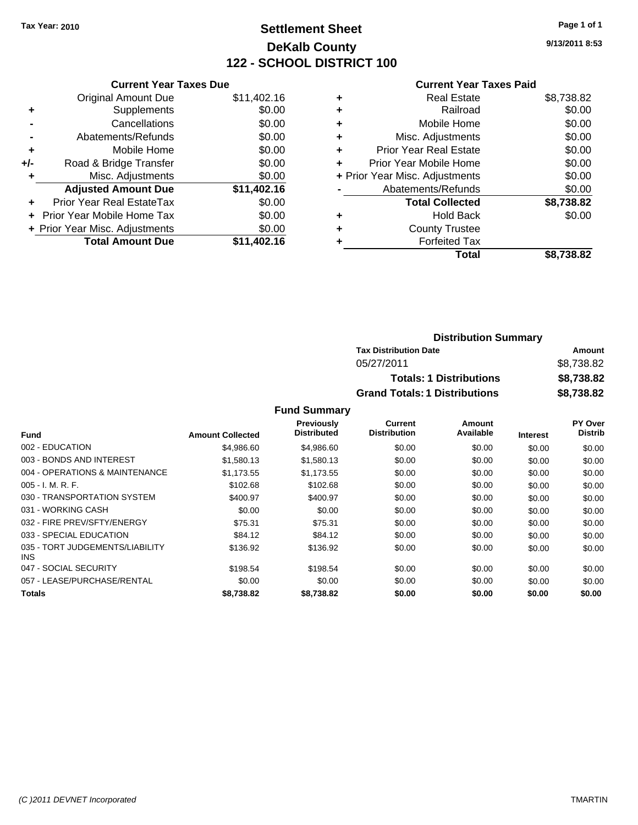# **Settlement Sheet Tax Year: 2010 Page 1 of 1 DeKalb County 122 - SCHOOL DISTRICT 100**

**9/13/2011 8:53**

#### **Current Year Taxes Paid**

| <b>Current Year Taxes Due</b>     |                                |
|-----------------------------------|--------------------------------|
| <b>Original Amount Due</b>        | \$11,402.16                    |
| Supplements                       | \$0.00                         |
| Cancellations                     | \$0.00                         |
| Abatements/Refunds                | \$0.00                         |
| Mobile Home                       | \$0.00                         |
| Road & Bridge Transfer            | \$0.00                         |
| Misc. Adjustments                 | \$0.00                         |
| <b>Adjusted Amount Due</b>        | \$11,402.16                    |
| Prior Year Real EstateTax         | \$0.00                         |
| <b>Prior Year Mobile Home Tax</b> | \$0.00                         |
|                                   | \$0.00                         |
| <b>Total Amount Due</b>           | \$11.402.16                    |
|                                   | + Prior Year Misc. Adjustments |

| \$8,738.82 |
|------------|
| \$0.00     |
| \$0.00     |
| \$0.00     |
| \$0.00     |
| \$0.00     |
| \$0.00     |
| \$0.00     |
| \$8,738.82 |
| \$0.00     |
|            |
|            |
| \$8,738.82 |
|            |

| <b>Distribution Summary</b>          |            |
|--------------------------------------|------------|
| <b>Tax Distribution Date</b>         | Amount     |
| 05/27/2011                           | \$8.738.82 |
| <b>Totals: 1 Distributions</b>       | \$8,738.82 |
| <b>Grand Totals: 1 Distributions</b> | \$8,738.82 |

#### **Fund Summary**

|                                         |                         | <b>Previously</b>  | <b>Current</b>      | Amount    |                 | PY Over        |
|-----------------------------------------|-------------------------|--------------------|---------------------|-----------|-----------------|----------------|
| <b>Fund</b>                             | <b>Amount Collected</b> | <b>Distributed</b> | <b>Distribution</b> | Available | <b>Interest</b> | <b>Distrib</b> |
| 002 - EDUCATION                         | \$4,986.60              | \$4,986.60         | \$0.00              | \$0.00    | \$0.00          | \$0.00         |
| 003 - BONDS AND INTEREST                | \$1,580.13              | \$1,580.13         | \$0.00              | \$0.00    | \$0.00          | \$0.00         |
| 004 - OPERATIONS & MAINTENANCE          | \$1,173.55              | \$1,173.55         | \$0.00              | \$0.00    | \$0.00          | \$0.00         |
| $005 - I. M. R. F.$                     | \$102.68                | \$102.68           | \$0.00              | \$0.00    | \$0.00          | \$0.00         |
| 030 - TRANSPORTATION SYSTEM             | \$400.97                | \$400.97           | \$0.00              | \$0.00    | \$0.00          | \$0.00         |
| 031 - WORKING CASH                      | \$0.00                  | \$0.00             | \$0.00              | \$0.00    | \$0.00          | \$0.00         |
| 032 - FIRE PREV/SFTY/ENERGY             | \$75.31                 | \$75.31            | \$0.00              | \$0.00    | \$0.00          | \$0.00         |
| 033 - SPECIAL EDUCATION                 | \$84.12                 | \$84.12            | \$0.00              | \$0.00    | \$0.00          | \$0.00         |
| 035 - TORT JUDGEMENTS/LIABILITY<br>INS. | \$136.92                | \$136.92           | \$0.00              | \$0.00    | \$0.00          | \$0.00         |
| 047 - SOCIAL SECURITY                   | \$198.54                | \$198.54           | \$0.00              | \$0.00    | \$0.00          | \$0.00         |
| 057 - LEASE/PURCHASE/RENTAL             | \$0.00                  | \$0.00             | \$0.00              | \$0.00    | \$0.00          | \$0.00         |
| <b>Totals</b>                           | \$8,738.82              | \$8,738.82         | \$0.00              | \$0.00    | \$0.00          | \$0.00         |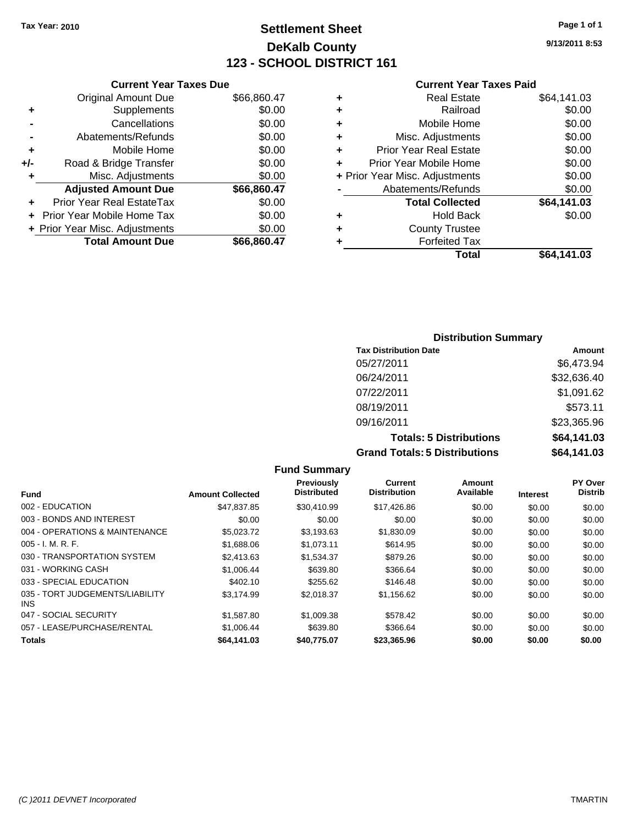#### **Settlement Sheet Tax Year: 2010 Page 1 of 1 DeKalb County 123 - SCHOOL DISTRICT 161**

**9/13/2011 8:53**

# **Current Year Taxes Paid**

|     | <b>Current Year Taxes Due</b>  |             |
|-----|--------------------------------|-------------|
|     | Original Amount Due            | \$66,860.47 |
| ٠   | Supplements                    | \$0.00      |
|     | Cancellations                  | \$0.00      |
|     | Abatements/Refunds             | \$0.00      |
| ٠   | Mobile Home                    | \$0.00      |
| +/- | Road & Bridge Transfer         | \$0.00      |
| ٠   | Misc. Adjustments              | \$0.00      |
|     | <b>Adjusted Amount Due</b>     | \$66,860.47 |
|     | Prior Year Real EstateTax      | \$0.00      |
|     | Prior Year Mobile Home Tax     | \$0.00      |
|     | + Prior Year Misc. Adjustments | \$0.00      |
|     | <b>Total Amount Due</b>        | \$66,860,47 |
|     |                                |             |

|   | <b>Real Estate</b>             | \$64,141.03 |
|---|--------------------------------|-------------|
| ٠ | Railroad                       | \$0.00      |
| ٠ | Mobile Home                    | \$0.00      |
| ٠ | Misc. Adjustments              | \$0.00      |
| ÷ | <b>Prior Year Real Estate</b>  | \$0.00      |
| ٠ | Prior Year Mobile Home         | \$0.00      |
|   | + Prior Year Misc. Adjustments | \$0.00      |
|   | Abatements/Refunds             | \$0.00      |
|   | <b>Total Collected</b>         | \$64,141.03 |
| ٠ | Hold Back                      | \$0.00      |
| ٠ | <b>County Trustee</b>          |             |
| ٠ | <b>Forfeited Tax</b>           |             |
|   | Total                          | \$64,141.03 |
|   |                                |             |

| <b>Distribution Summary</b>          |             |
|--------------------------------------|-------------|
| <b>Tax Distribution Date</b>         | Amount      |
| 05/27/2011                           | \$6,473.94  |
| 06/24/2011                           | \$32,636.40 |
| 07/22/2011                           | \$1,091.62  |
| 08/19/2011                           | \$573.11    |
| 09/16/2011                           | \$23,365.96 |
| <b>Totals: 5 Distributions</b>       | \$64,141.03 |
| <b>Grand Totals: 5 Distributions</b> | \$64,141.03 |

|                                         |                         | <b>Fund Summary</b>              |                                |                     |                 |                           |
|-----------------------------------------|-------------------------|----------------------------------|--------------------------------|---------------------|-----------------|---------------------------|
| Fund                                    | <b>Amount Collected</b> | Previously<br><b>Distributed</b> | Current<br><b>Distribution</b> | Amount<br>Available | <b>Interest</b> | PY Over<br><b>Distrib</b> |
| 002 - EDUCATION                         | \$47,837.85             | \$30,410.99                      | \$17,426.86                    | \$0.00              | \$0.00          | \$0.00                    |
| 003 - BONDS AND INTEREST                | \$0.00                  | \$0.00                           | \$0.00                         | \$0.00              | \$0.00          | \$0.00                    |
| 004 - OPERATIONS & MAINTENANCE          | \$5.023.72              | \$3.193.63                       | \$1,830.09                     | \$0.00              | \$0.00          | \$0.00                    |
| 005 - I. M. R. F.                       | \$1,688.06              | \$1,073.11                       | \$614.95                       | \$0.00              | \$0.00          | \$0.00                    |
| 030 - TRANSPORTATION SYSTEM             | \$2,413.63              | \$1,534.37                       | \$879.26                       | \$0.00              | \$0.00          | \$0.00                    |
| 031 - WORKING CASH                      | \$1,006.44              | \$639.80                         | \$366.64                       | \$0.00              | \$0.00          | \$0.00                    |
| 033 - SPECIAL EDUCATION                 | \$402.10                | \$255.62                         | \$146.48                       | \$0.00              | \$0.00          | \$0.00                    |
| 035 - TORT JUDGEMENTS/LIABILITY<br>INS. | \$3,174.99              | \$2,018.37                       | \$1,156.62                     | \$0.00              | \$0.00          | \$0.00                    |
| 047 - SOCIAL SECURITY                   | \$1,587.80              | \$1,009.38                       | \$578.42                       | \$0.00              | \$0.00          | \$0.00                    |
| 057 - LEASE/PURCHASE/RENTAL             | \$1,006.44              | \$639.80                         | \$366.64                       | \$0.00              | \$0.00          | \$0.00                    |
| <b>Totals</b>                           | \$64,141.03             | \$40.775.07                      | \$23,365.96                    | \$0.00              | \$0.00          | \$0.00                    |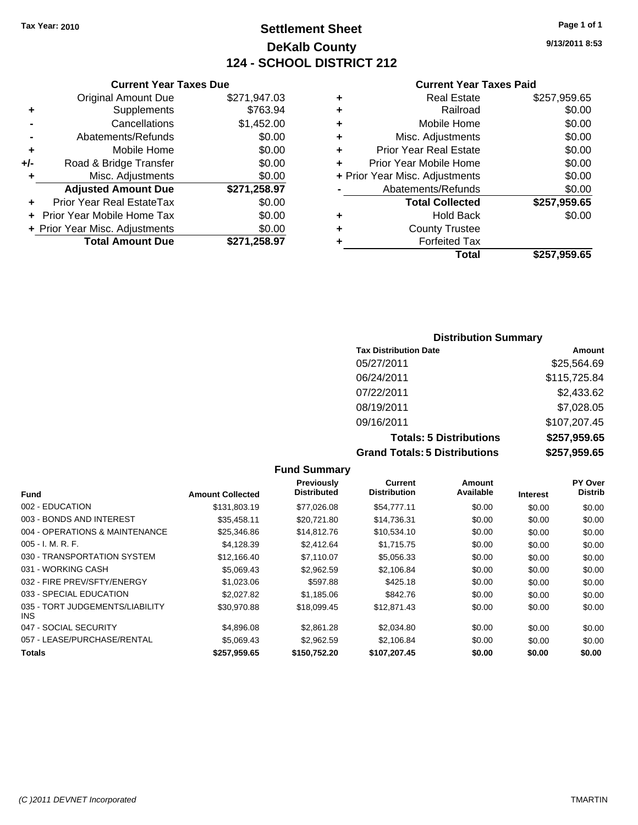#### **Settlement Sheet Tax Year: 2010 Page 1 of 1 DeKalb County 124 - SCHOOL DISTRICT 212**

**9/13/2011 8:53**

#### **Current Year Taxes Paid**

|     | OGNOM TOGET GAOS DUC              |              |  |
|-----|-----------------------------------|--------------|--|
|     | <b>Original Amount Due</b>        | \$271,947.03 |  |
| ٠   | <b>Supplements</b>                | \$763.94     |  |
|     | Cancellations                     | \$1,452.00   |  |
|     | Abatements/Refunds                | \$0.00       |  |
|     | Mobile Home                       | \$0.00       |  |
| +/- | Road & Bridge Transfer            | \$0.00       |  |
| ٠   | Misc. Adjustments                 | \$0.00       |  |
|     | <b>Adjusted Amount Due</b>        | \$271,258.97 |  |
|     | Prior Year Real EstateTax         | \$0.00       |  |
|     | <b>Prior Year Mobile Home Tax</b> | \$0.00       |  |
|     | + Prior Year Misc. Adjustments    | \$0.00       |  |
|     | <b>Total Amount Due</b>           | \$271,258.97 |  |
|     |                                   |              |  |

**Current Year Taxes Due**

|   | <b>Real Estate</b>             | \$257,959.65 |
|---|--------------------------------|--------------|
| ٠ | Railroad                       | \$0.00       |
| ÷ | Mobile Home                    | \$0.00       |
| ٠ | Misc. Adjustments              | \$0.00       |
| ٠ | <b>Prior Year Real Estate</b>  | \$0.00       |
| ÷ | Prior Year Mobile Home         | \$0.00       |
|   | + Prior Year Misc. Adjustments | \$0.00       |
|   | Abatements/Refunds             | \$0.00       |
|   | <b>Total Collected</b>         | \$257,959.65 |
| ٠ | <b>Hold Back</b>               | \$0.00       |
| ٠ | <b>County Trustee</b>          |              |
| ٠ | <b>Forfeited Tax</b>           |              |
|   | Total                          | \$257,959.65 |
|   |                                |              |

#### **Distribution Summary Tax Distribution Date Amount** 05/27/2011 \$25,564.69 06/24/2011 \$115,725.84 07/22/2011 \$2,433.62 08/19/2011 \$7,028.05 09/16/2011 \$107,207.45 **Totals: 5 Distributions \$257,959.65 Grand Totals: 5 Distributions \$257,959.65**

**Fund Summary Fund Interest Amount Collected Distributed PY Over Distrib Amount Available Current Distribution Previously** 002 - EDUCATION \$131,803.19 \$77,026.08 \$54,777.11 \$0.00 \$0.00 \$0.00 003 - BONDS AND INTEREST 60.00 \$35,458.11 \$20,721.80 \$14,736.31 \$0.00 \$0.00 \$0.00 004 - OPERATIONS & MAINTENANCE \$25,346.86 \$14,812.76 \$10,534.10 \$0.00 \$0.00 \$0.00 005 - I. M. R. F. \$4,128.39 \$2,412.64 \$1,715.75 \$0.00 \$0.00 \$0.00 030 - TRANSPORTATION SYSTEM \$12,166.40 \$7,110.07 \$5,056.33 \$0.00 \$0.00 \$0.00 031 - WORKING CASH \$5,069.43 \$2,962.59 \$2,106.84 \$0.00 \$0.00 \$0.00 032 - FIRE PREV/SFTY/ENERGY \$1,023.06 \$597.88 \$425.18 \$0.00 \$0.00 \$0.00 \$0.00 033 - SPECIAL EDUCATION \$2,027.82 \$1,185.06 \$842.76 \$0.00 \$0.00 \$0.00 \$0.00 035 - TORT JUDGEMENTS/LIABILITY INS \$30,970.88 \$18,099.45 \$12,871.43 \$0.00 \$0.00 \$0.00 047 - SOCIAL SECURITY \$4,896.08 \$2,861.28 \$2,034.80 \$0.00 \$0.00 \$0.00 057 - LEASE/PURCHASE/RENTAL  $$5,069.43$  \$2,962.59 \$2,106.84 \$0.00 \$0.00 \$0.00 \$0.00 **Totals \$257,959.65 \$150,752.20 \$107,207.45 \$0.00 \$0.00 \$0.00**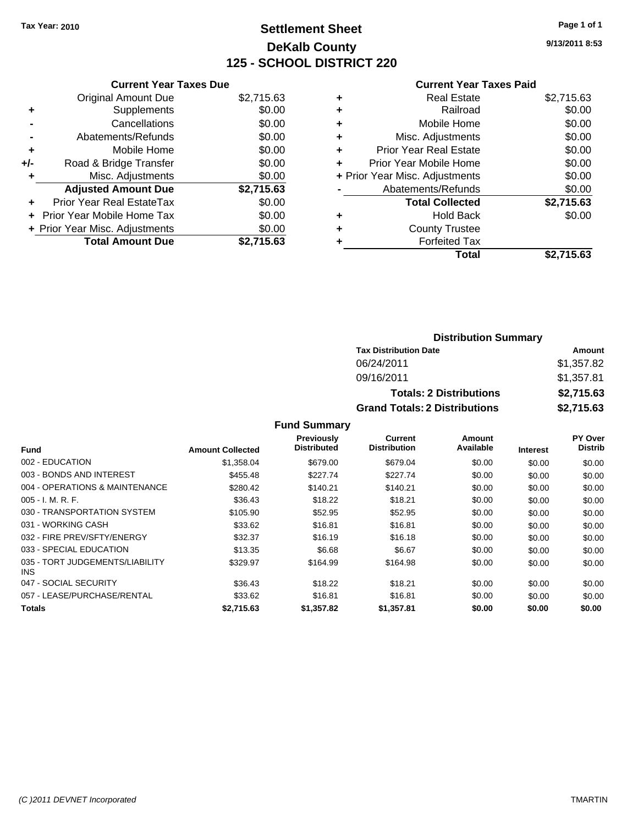#### **Settlement Sheet Tax Year: 2010 Page 1 of 1 DeKalb County 125 - SCHOOL DISTRICT 220**

**9/13/2011 8:53**

#### **Current Year Taxes Paid**

| <b>Current Year Taxes Due</b>     |            |
|-----------------------------------|------------|
| <b>Original Amount Due</b>        | \$2,715.63 |
| Supplements                       | \$0.00     |
| Cancellations                     | \$0.00     |
| Abatements/Refunds                | \$0.00     |
| Mobile Home                       | \$0.00     |
| Road & Bridge Transfer            | \$0.00     |
| Misc. Adjustments                 | \$0.00     |
| <b>Adjusted Amount Due</b>        | \$2,715.63 |
| Prior Year Real EstateTax         | \$0.00     |
| <b>Prior Year Mobile Home Tax</b> | \$0.00     |
| + Prior Year Misc. Adjustments    | \$0.00     |
| <b>Total Amount Due</b>           | \$2.715.63 |
|                                   |            |

| <b>Real Estate</b>     | \$2,715.63                                                                                                                    |
|------------------------|-------------------------------------------------------------------------------------------------------------------------------|
| Railroad               | \$0.00                                                                                                                        |
| Mobile Home            | \$0.00                                                                                                                        |
|                        | \$0.00                                                                                                                        |
|                        | \$0.00                                                                                                                        |
|                        | \$0.00                                                                                                                        |
|                        | \$0.00                                                                                                                        |
|                        | \$0.00                                                                                                                        |
| <b>Total Collected</b> | \$2,715.63                                                                                                                    |
| <b>Hold Back</b>       | \$0.00                                                                                                                        |
| <b>County Trustee</b>  |                                                                                                                               |
| <b>Forfeited Tax</b>   |                                                                                                                               |
| Total                  | \$2.715.63                                                                                                                    |
|                        | Misc. Adjustments<br>Prior Year Real Estate<br>Prior Year Mobile Home<br>+ Prior Year Misc. Adjustments<br>Abatements/Refunds |

| <b>Distribution Summary</b>          |            |
|--------------------------------------|------------|
| <b>Tax Distribution Date</b>         | Amount     |
| 06/24/2011                           | \$1,357.82 |
| 09/16/2011                           | \$1,357.81 |
| <b>Totals: 2 Distributions</b>       | \$2,715.63 |
| <b>Grand Totals: 2 Distributions</b> | \$2,715.63 |

**Fund Summary**

| Fund                                    | <b>Amount Collected</b> | <b>Previously</b><br><b>Distributed</b> | <b>Current</b><br><b>Distribution</b> | Amount<br>Available | <b>Interest</b> | PY Over<br><b>Distrib</b> |
|-----------------------------------------|-------------------------|-----------------------------------------|---------------------------------------|---------------------|-----------------|---------------------------|
| 002 - EDUCATION                         | \$1,358.04              | \$679.00                                | \$679.04                              | \$0.00              | \$0.00          | \$0.00                    |
| 003 - BONDS AND INTEREST                | \$455.48                | \$227.74                                | \$227.74                              | \$0.00              | \$0.00          | \$0.00                    |
| 004 - OPERATIONS & MAINTENANCE          | \$280.42                | \$140.21                                | \$140.21                              | \$0.00              | \$0.00          | \$0.00                    |
| $005 - I. M. R. F.$                     | \$36.43                 | \$18.22                                 | \$18.21                               | \$0.00              | \$0.00          | \$0.00                    |
| 030 - TRANSPORTATION SYSTEM             | \$105.90                | \$52.95                                 | \$52.95                               | \$0.00              | \$0.00          | \$0.00                    |
| 031 - WORKING CASH                      | \$33.62                 | \$16.81                                 | \$16.81                               | \$0.00              | \$0.00          | \$0.00                    |
| 032 - FIRE PREV/SFTY/ENERGY             | \$32.37                 | \$16.19                                 | \$16.18                               | \$0.00              | \$0.00          | \$0.00                    |
| 033 - SPECIAL EDUCATION                 | \$13.35                 | \$6.68                                  | \$6.67                                | \$0.00              | \$0.00          | \$0.00                    |
| 035 - TORT JUDGEMENTS/LIABILITY<br>INS. | \$329.97                | \$164.99                                | \$164.98                              | \$0.00              | \$0.00          | \$0.00                    |
| 047 - SOCIAL SECURITY                   | \$36.43                 | \$18.22                                 | \$18.21                               | \$0.00              | \$0.00          | \$0.00                    |
| 057 - LEASE/PURCHASE/RENTAL             | \$33.62                 | \$16.81                                 | \$16.81                               | \$0.00              | \$0.00          | \$0.00                    |
| <b>Totals</b>                           | \$2,715.63              | \$1,357.82                              | \$1.357.81                            | \$0.00              | \$0.00          | \$0.00                    |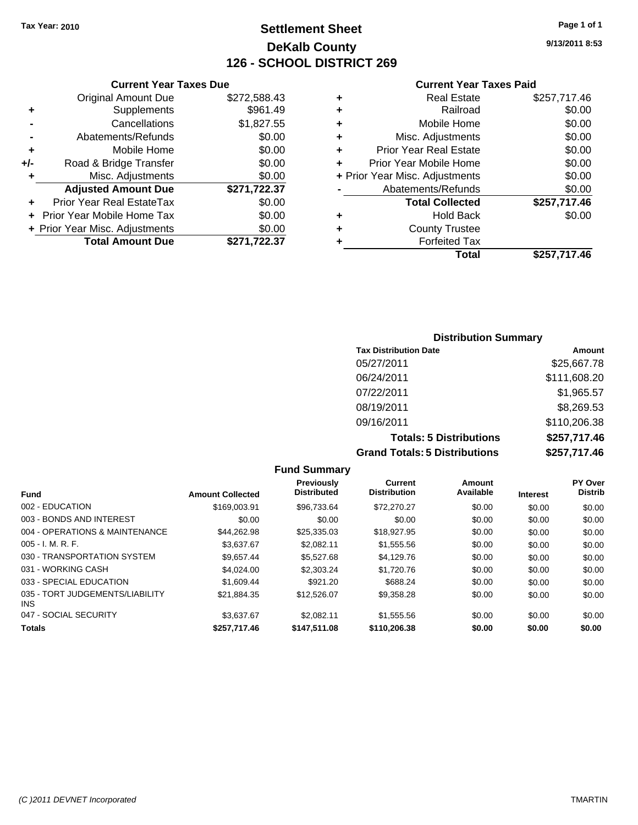#### **Settlement Sheet Tax Year: 2010 Page 1 of 1 DeKalb County 126 - SCHOOL DISTRICT 269**

**9/13/2011 8:53**

#### **Current Year Taxes Paid**

|      | Total                          | \$257,717.46 |
|------|--------------------------------|--------------|
| .37  | <b>Forfeited Tax</b>           |              |
| 0.00 | <b>County Trustee</b><br>٠     |              |
| 00.  | <b>Hold Back</b><br>٠          | \$0.00       |
| 00.  | <b>Total Collected</b>         | \$257,717.46 |
| .37  | Abatements/Refunds             | \$0.00       |
| 00.( | + Prior Year Misc. Adjustments | \$0.00       |
| 0.00 | Prior Year Mobile Home         | \$0.00       |
| 0.00 | <b>Prior Year Real Estate</b>  | \$0.00       |
| 0.00 | Misc. Adjustments<br>٠         | \$0.00       |
| .55  | Mobile Home<br>٠               | \$0.00       |
| .49  | Railroad<br>٠                  | \$0.00       |
| .43  | <b>Real Estate</b><br>٠        | \$257,717.46 |
|      |                                |              |

|     | <b>Total Amount Due</b>        | \$271,722.37 |
|-----|--------------------------------|--------------|
|     | + Prior Year Misc. Adjustments | \$0.00       |
|     | Prior Year Mobile Home Tax     | \$0.00       |
| ٠   | Prior Year Real EstateTax      | \$0.00       |
|     | <b>Adjusted Amount Due</b>     | \$271,722.37 |
| ٠   | Misc. Adjustments              | \$0.00       |
| +/- | Road & Bridge Transfer         | \$0.00       |
| ٠   | Mobile Home                    | \$0.00       |
|     | Abatements/Refunds             | \$0.00       |
|     | Cancellations                  | \$1,827.55   |
| ٠   | Supplements                    | \$961.49     |
|     | <b>Original Amount Due</b>     | \$272,588.43 |

**Current Year Taxes Due**

#### **Distribution Summary**

| <b>Tax Distribution Date</b>         | Amount       |
|--------------------------------------|--------------|
| 05/27/2011                           | \$25,667.78  |
| 06/24/2011                           | \$111,608.20 |
| 07/22/2011                           | \$1,965.57   |
| 08/19/2011                           | \$8,269.53   |
| 09/16/2011                           | \$110,206.38 |
| <b>Totals: 5 Distributions</b>       | \$257,717.46 |
| <b>Grand Totals: 5 Distributions</b> | \$257,717.46 |

|                                               |                         | <b>Fund Summary</b>              |                                       |                     |                 |                           |
|-----------------------------------------------|-------------------------|----------------------------------|---------------------------------------|---------------------|-----------------|---------------------------|
| <b>Fund</b>                                   | <b>Amount Collected</b> | Previously<br><b>Distributed</b> | <b>Current</b><br><b>Distribution</b> | Amount<br>Available | <b>Interest</b> | PY Over<br><b>Distrib</b> |
| 002 - EDUCATION                               | \$169,003.91            | \$96.733.64                      | \$72,270.27                           | \$0.00              | \$0.00          | \$0.00                    |
| 003 - BONDS AND INTEREST                      | \$0.00                  | \$0.00                           | \$0.00                                | \$0.00              | \$0.00          | \$0.00                    |
| 004 - OPERATIONS & MAINTENANCE                | \$44.262.98             | \$25,335.03                      | \$18,927.95                           | \$0.00              | \$0.00          | \$0.00                    |
| $005 - I. M. R. F.$                           | \$3.637.67              | \$2.082.11                       | \$1,555.56                            | \$0.00              | \$0.00          | \$0.00                    |
| 030 - TRANSPORTATION SYSTEM                   | \$9,657.44              | \$5,527.68                       | \$4,129.76                            | \$0.00              | \$0.00          | \$0.00                    |
| 031 - WORKING CASH                            | \$4.024.00              | \$2,303.24                       | \$1,720.76                            | \$0.00              | \$0.00          | \$0.00                    |
| 033 - SPECIAL EDUCATION                       | \$1,609.44              | \$921.20                         | \$688.24                              | \$0.00              | \$0.00          | \$0.00                    |
| 035 - TORT JUDGEMENTS/LIABILITY<br><b>INS</b> | \$21.884.35             | \$12,526.07                      | \$9,358.28                            | \$0.00              | \$0.00          | \$0.00                    |
| 047 - SOCIAL SECURITY                         | \$3.637.67              | \$2.082.11                       | \$1,555.56                            | \$0.00              | \$0.00          | \$0.00                    |
| <b>Totals</b>                                 | \$257.717.46            | \$147,511.08                     | \$110,206,38                          | \$0.00              | \$0.00          | \$0.00                    |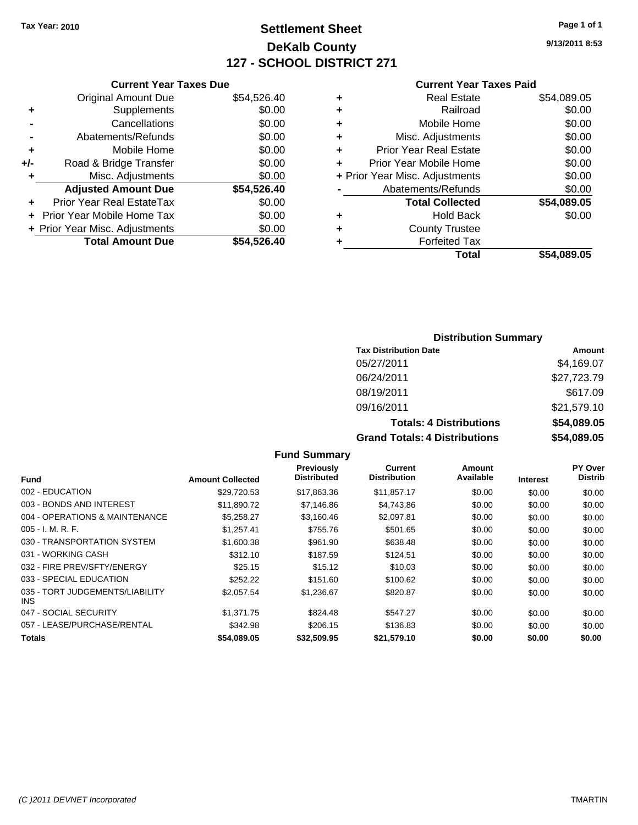## **Settlement Sheet Tax Year: 2010 Page 1 of 1 DeKalb County 127 - SCHOOL DISTRICT 271**

09/16/2011 \$21,579.10

**9/13/2011 8:53**

| <b>Current Year Taxes Paid</b> |  |  |  |
|--------------------------------|--|--|--|
|--------------------------------|--|--|--|

| <b>Original Amount Due</b>     | \$54,526.40                   |
|--------------------------------|-------------------------------|
| Supplements                    | \$0.00                        |
| Cancellations                  | \$0.00                        |
| Abatements/Refunds             | \$0.00                        |
| Mobile Home                    | \$0.00                        |
| Road & Bridge Transfer         | \$0.00                        |
| Misc. Adjustments              | \$0.00                        |
| <b>Adjusted Amount Due</b>     | \$54,526.40                   |
| Prior Year Real EstateTax      | \$0.00                        |
| Prior Year Mobile Home Tax     | \$0.00                        |
| + Prior Year Misc. Adjustments | \$0.00                        |
| <b>Total Amount Due</b>        | \$54.526.40                   |
|                                | <b>Current Year Taxes Due</b> |

| ٠ | <b>Real Estate</b>             | \$54,089.05 |
|---|--------------------------------|-------------|
| ٠ | Railroad                       | \$0.00      |
| ٠ | Mobile Home                    | \$0.00      |
| ٠ | Misc. Adjustments              | \$0.00      |
| ٠ | <b>Prior Year Real Estate</b>  | \$0.00      |
| ÷ | Prior Year Mobile Home         | \$0.00      |
|   | + Prior Year Misc. Adjustments | \$0.00      |
|   | Abatements/Refunds             | \$0.00      |
|   | <b>Total Collected</b>         | \$54,089.05 |
| ٠ | <b>Hold Back</b>               | \$0.00      |
| ٠ | <b>County Trustee</b>          |             |
|   | <b>Forfeited Tax</b>           |             |
|   | Total                          | \$54,089.05 |
|   |                                |             |

#### **Distribution Summary Tax Distribution Date Amount** 05/27/2011 \$4,169.07 06/24/2011 \$27,723.79 08/19/2011 \$617.09

| 09/16/2011                           |
|--------------------------------------|
| <b>Totals: 4 Distributions</b>       |
| <b>Grand Totals: 4 Distributions</b> |

| <b>Totals: 4 Distributions</b>       | \$54,089.05 |
|--------------------------------------|-------------|
| <b>Grand Totals: 4 Distributions</b> | \$54,089.05 |

|                                               |                         | Previously         | Current             | Amount    |                 | <b>PY Over</b> |
|-----------------------------------------------|-------------------------|--------------------|---------------------|-----------|-----------------|----------------|
| <b>Fund</b>                                   | <b>Amount Collected</b> | <b>Distributed</b> | <b>Distribution</b> | Available | <b>Interest</b> | <b>Distrib</b> |
| 002 - EDUCATION                               | \$29,720.53             | \$17,863.36        | \$11,857.17         | \$0.00    | \$0.00          | \$0.00         |
| 003 - BONDS AND INTEREST                      | \$11.890.72             | \$7,146.86         | \$4,743.86          | \$0.00    | \$0.00          | \$0.00         |
| 004 - OPERATIONS & MAINTENANCE                | \$5.258.27              | \$3.160.46         | \$2.097.81          | \$0.00    | \$0.00          | \$0.00         |
| $005 - I. M. R. F.$                           | \$1,257.41              | \$755.76           | \$501.65            | \$0.00    | \$0.00          | \$0.00         |
| 030 - TRANSPORTATION SYSTEM                   | \$1,600.38              | \$961.90           | \$638.48            | \$0.00    | \$0.00          | \$0.00         |
| 031 - WORKING CASH                            | \$312.10                | \$187.59           | \$124.51            | \$0.00    | \$0.00          | \$0.00         |
| 032 - FIRE PREV/SFTY/ENERGY                   | \$25.15                 | \$15.12            | \$10.03             | \$0.00    | \$0.00          | \$0.00         |
| 033 - SPECIAL EDUCATION                       | \$252.22                | \$151.60           | \$100.62            | \$0.00    | \$0.00          | \$0.00         |
| 035 - TORT JUDGEMENTS/LIABILITY<br><b>INS</b> | \$2,057.54              | \$1,236.67         | \$820.87            | \$0.00    | \$0.00          | \$0.00         |
| 047 - SOCIAL SECURITY                         | \$1,371.75              | \$824.48           | \$547.27            | \$0.00    | \$0.00          | \$0.00         |
| 057 - LEASE/PURCHASE/RENTAL                   | \$342.98                | \$206.15           | \$136.83            | \$0.00    | \$0.00          | \$0.00         |
| <b>Totals</b>                                 | \$54,089.05             | \$32.509.95        | \$21,579.10         | \$0.00    | \$0.00          | \$0.00         |

**Fund Summary**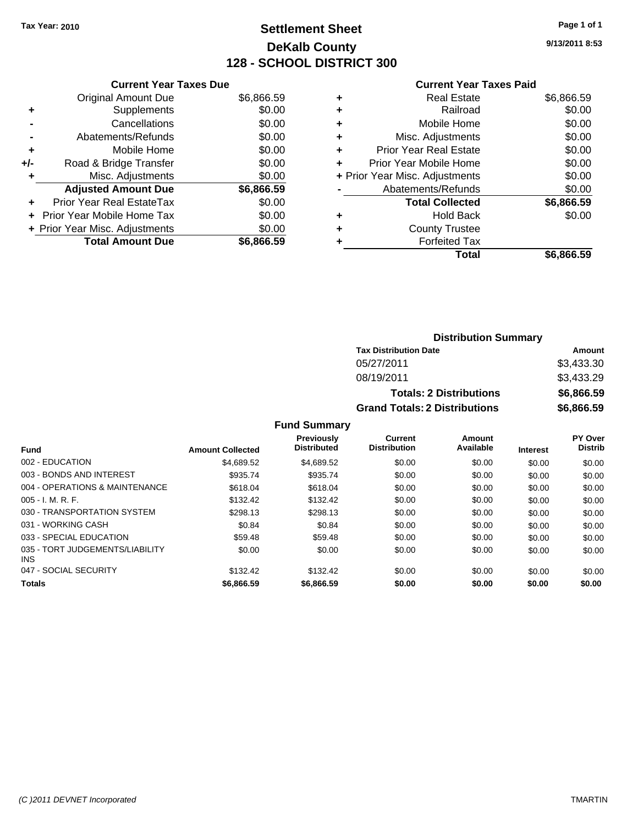#### **Settlement Sheet Tax Year: 2010 Page 1 of 1 DeKalb County 128 - SCHOOL DISTRICT 300**

**9/13/2011 8:53**

#### **Current Year Taxes Paid**

|     | <b>Current Year Taxes Due</b>     |            |
|-----|-----------------------------------|------------|
|     | <b>Original Amount Due</b>        | \$6,866.59 |
| ÷   | Supplements                       | \$0.00     |
|     | Cancellations                     | \$0.00     |
|     | Abatements/Refunds                | \$0.00     |
| ٠   | Mobile Home                       | \$0.00     |
| +/- | Road & Bridge Transfer            | \$0.00     |
|     | Misc. Adjustments                 | \$0.00     |
|     | <b>Adjusted Amount Due</b>        | \$6,866.59 |
| ÷   | Prior Year Real EstateTax         | \$0.00     |
|     | <b>Prior Year Mobile Home Tax</b> | \$0.00     |
|     | + Prior Year Misc. Adjustments    | \$0.00     |
|     | <b>Total Amount Due</b>           | \$6,866.59 |
|     |                                   |            |

| ٠ | <b>Real Estate</b>             | \$6,866.59 |
|---|--------------------------------|------------|
| ٠ | Railroad                       | \$0.00     |
| ٠ | Mobile Home                    | \$0.00     |
| ٠ | Misc. Adjustments              | \$0.00     |
| ÷ | <b>Prior Year Real Estate</b>  | \$0.00     |
| ٠ | Prior Year Mobile Home         | \$0.00     |
|   | + Prior Year Misc. Adjustments | \$0.00     |
|   | Abatements/Refunds             | \$0.00     |
|   | <b>Total Collected</b>         | \$6,866.59 |
| ٠ | <b>Hold Back</b>               | \$0.00     |
| ٠ | <b>County Trustee</b>          |            |
|   | <b>Forfeited Tax</b>           |            |
|   | Total                          | \$6.866.59 |

#### **Distribution Summary Tax Distribution Date Amount** 05/27/2011 \$3,433.30 08/19/2011 \$3,433.29 **Totals: 2 Distributions \$6,866.59 Grand Totals: 2 Distributions \$6,866.59**

**Fund Summary**

|                                         |                         | <b>Previously</b>  | <b>Current</b>      | Amount    |                 | <b>PY Over</b> |
|-----------------------------------------|-------------------------|--------------------|---------------------|-----------|-----------------|----------------|
| <b>Fund</b>                             | <b>Amount Collected</b> | <b>Distributed</b> | <b>Distribution</b> | Available | <b>Interest</b> | <b>Distrib</b> |
| 002 - EDUCATION                         | \$4.689.52              | \$4,689.52         | \$0.00              | \$0.00    | \$0.00          | \$0.00         |
| 003 - BONDS AND INTEREST                | \$935.74                | \$935.74           | \$0.00              | \$0.00    | \$0.00          | \$0.00         |
| 004 - OPERATIONS & MAINTENANCE          | \$618.04                | \$618.04           | \$0.00              | \$0.00    | \$0.00          | \$0.00         |
| $005 - I. M. R. F.$                     | \$132.42                | \$132.42           | \$0.00              | \$0.00    | \$0.00          | \$0.00         |
| 030 - TRANSPORTATION SYSTEM             | \$298.13                | \$298.13           | \$0.00              | \$0.00    | \$0.00          | \$0.00         |
| 031 - WORKING CASH                      | \$0.84                  | \$0.84             | \$0.00              | \$0.00    | \$0.00          | \$0.00         |
| 033 - SPECIAL EDUCATION                 | \$59.48                 | \$59.48            | \$0.00              | \$0.00    | \$0.00          | \$0.00         |
| 035 - TORT JUDGEMENTS/LIABILITY<br>INS. | \$0.00                  | \$0.00             | \$0.00              | \$0.00    | \$0.00          | \$0.00         |
| 047 - SOCIAL SECURITY                   | \$132.42                | \$132.42           | \$0.00              | \$0.00    | \$0.00          | \$0.00         |
| <b>Totals</b>                           | \$6,866.59              | \$6,866,59         | \$0.00              | \$0.00    | \$0.00          | \$0.00         |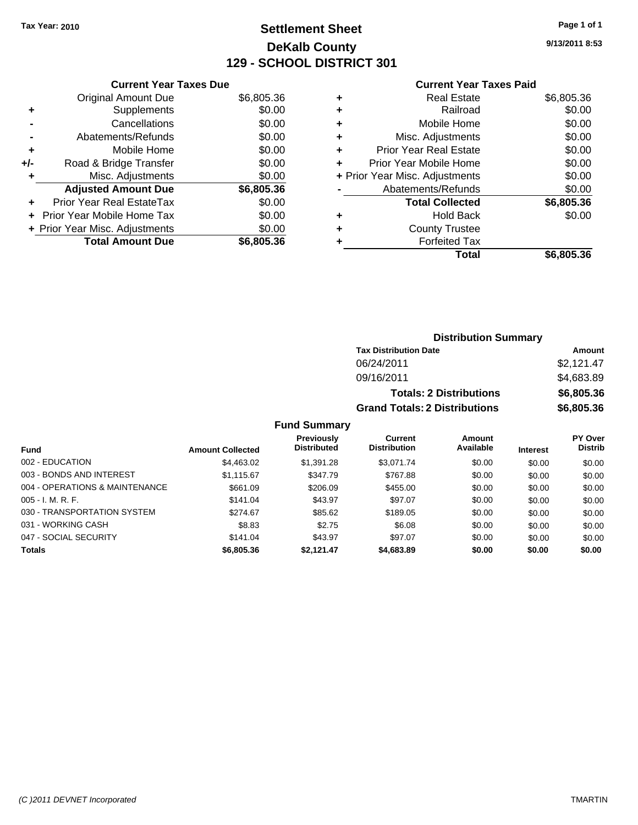#### **Settlement Sheet Tax Year: 2010 Page 1 of 1 DeKalb County 129 - SCHOOL DISTRICT 301**

**9/13/2011 8:53**

#### **Current Year Taxes Paid**

| <b>Current Year Taxes Due</b>     |            |
|-----------------------------------|------------|
| <b>Original Amount Due</b>        | \$6,805.36 |
| Supplements                       | \$0.00     |
| Cancellations                     | \$0.00     |
| Abatements/Refunds                | \$0.00     |
| Mobile Home                       | \$0.00     |
| Road & Bridge Transfer            | \$0.00     |
| Misc. Adjustments                 | \$0.00     |
| <b>Adjusted Amount Due</b>        | \$6,805.36 |
| Prior Year Real EstateTax         | \$0.00     |
| <b>Prior Year Mobile Home Tax</b> | \$0.00     |
| + Prior Year Misc. Adjustments    | \$0.00     |
| <b>Total Amount Due</b>           | \$6,805.36 |
|                                   |            |

|   | <b>Real Estate</b>             | \$6,805.36 |
|---|--------------------------------|------------|
| ٠ | Railroad                       | \$0.00     |
| ٠ | Mobile Home                    | \$0.00     |
| ٠ | Misc. Adjustments              | \$0.00     |
| ÷ | Prior Year Real Estate         | \$0.00     |
| ٠ | Prior Year Mobile Home         | \$0.00     |
|   | + Prior Year Misc. Adjustments | \$0.00     |
|   | Abatements/Refunds             | \$0.00     |
|   | <b>Total Collected</b>         | \$6,805.36 |
| ٠ | Hold Back                      | \$0.00     |
| ٠ | <b>County Trustee</b>          |            |
| ٠ | <b>Forfeited Tax</b>           |            |
|   | Total                          | \$6,805.36 |
|   |                                |            |

|                     |                                      | <b>Distribution Summary</b>    |            |
|---------------------|--------------------------------------|--------------------------------|------------|
|                     | <b>Tax Distribution Date</b>         |                                | Amount     |
|                     | 06/24/2011                           |                                | \$2,121.47 |
|                     | 09/16/2011                           |                                | \$4,683.89 |
|                     |                                      | <b>Totals: 2 Distributions</b> | \$6,805.36 |
|                     | <b>Grand Totals: 2 Distributions</b> |                                | \$6,805.36 |
| <b>Fund Summary</b> |                                      |                                |            |
| <b>Provinuely</b>   | $C$ urront                           | <b>Amount</b>                  | ימΩ PV ∩   |

|                                |                         | <b>Previously</b>  | Current             | Amount    |                 | <b>PY Over</b> |
|--------------------------------|-------------------------|--------------------|---------------------|-----------|-----------------|----------------|
| <b>Fund</b>                    | <b>Amount Collected</b> | <b>Distributed</b> | <b>Distribution</b> | Available | <b>Interest</b> | <b>Distrib</b> |
| 002 - EDUCATION                | \$4,463.02              | \$1,391.28         | \$3,071.74          | \$0.00    | \$0.00          | \$0.00         |
| 003 - BONDS AND INTEREST       | \$1,115.67              | \$347.79           | \$767.88            | \$0.00    | \$0.00          | \$0.00         |
| 004 - OPERATIONS & MAINTENANCE | \$661.09                | \$206.09           | \$455.00            | \$0.00    | \$0.00          | \$0.00         |
| $005 - I. M. R. F.$            | \$141.04                | \$43.97            | \$97.07             | \$0.00    | \$0.00          | \$0.00         |
| 030 - TRANSPORTATION SYSTEM    | \$274.67                | \$85.62            | \$189.05            | \$0.00    | \$0.00          | \$0.00         |
| 031 - WORKING CASH             | \$8.83                  | \$2.75             | \$6.08              | \$0.00    | \$0.00          | \$0.00         |
| 047 - SOCIAL SECURITY          | \$141.04                | \$43.97            | \$97.07             | \$0.00    | \$0.00          | \$0.00         |
| <b>Totals</b>                  | \$6,805.36              | \$2,121.47         | \$4,683.89          | \$0.00    | \$0.00          | \$0.00         |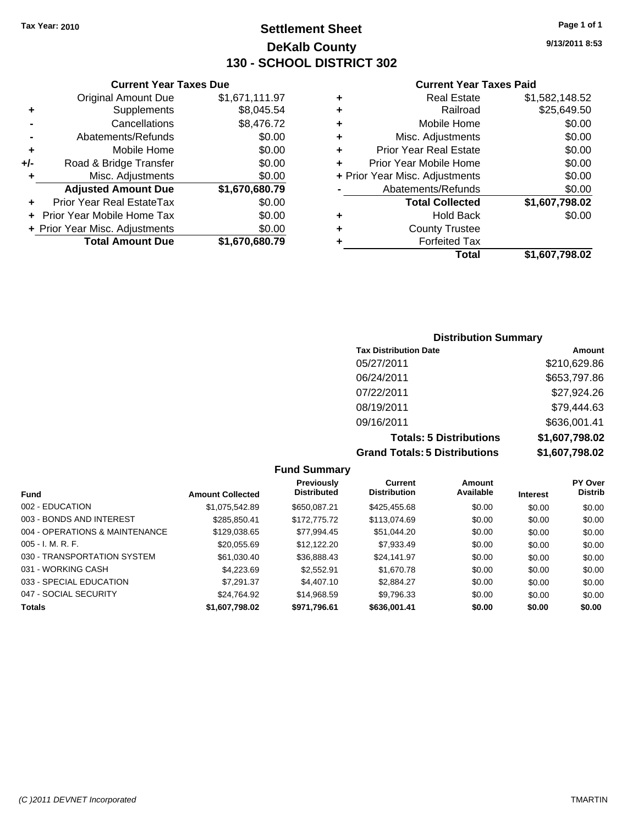**Current Year Taxes Due** Original Amount Due \$1,671,111.97

**Adjusted Amount Due \$1,670,680.79**

**Total Amount Due \$1,670,680.79**

**+** Supplements \$8,045.54 **-** Cancellations \$8,476.72 **-** Abatements/Refunds \$0.00 **+** Mobile Home \$0.00 **+/-** Road & Bridge Transfer \$0.00 **+** Misc. Adjustments \$0.00

**+** Prior Year Real EstateTax \$0.00 **+** Prior Year Mobile Home Tax \$0.00 **+ Prior Year Misc. Adjustments**  $$0.00$ 

#### **Settlement Sheet Tax Year: 2010 Page 1 of 1 DeKalb County 130 - SCHOOL DISTRICT 302**

**9/13/2011 8:53**

#### **Current Year Taxes Paid**

|   | Total                          | \$1,607,798.02 |
|---|--------------------------------|----------------|
|   | <b>Forfeited Tax</b>           |                |
| ٠ | <b>County Trustee</b>          |                |
| ٠ | <b>Hold Back</b>               | \$0.00         |
|   | <b>Total Collected</b>         | \$1,607,798.02 |
|   | Abatements/Refunds             | \$0.00         |
|   | + Prior Year Misc. Adjustments | \$0.00         |
| ÷ | Prior Year Mobile Home         | \$0.00         |
| ٠ | <b>Prior Year Real Estate</b>  | \$0.00         |
| ٠ | Misc. Adjustments              | \$0.00         |
| ٠ | Mobile Home                    | \$0.00         |
| ٠ | Railroad                       | \$25,649.50    |
| ٠ | <b>Real Estate</b>             | \$1,582,148.52 |

# **Distribution Summary**

| <b>Tax Distribution Date</b>         | Amount         |
|--------------------------------------|----------------|
| 05/27/2011                           | \$210,629.86   |
| 06/24/2011                           | \$653,797.86   |
| 07/22/2011                           | \$27,924.26    |
| 08/19/2011                           | \$79,444.63    |
| 09/16/2011                           | \$636,001.41   |
| <b>Totals: 5 Distributions</b>       | \$1,607,798.02 |
| <b>Grand Totals: 5 Distributions</b> | \$1,607,798.02 |

#### **Fund Summary Fund Interest Amount Collected Distributed PY Over Distrib Amount Available Current Distribution Previously** 002 - EDUCATION \$1,075,542.89 \$650,087.21 \$425,455.68 \$0.00 \$0.00 \$0.00 003 - BONDS AND INTEREST 6285,850.41 \$172,775.72 \$113,074.69 \$0.00 \$0.00 \$0.00 004 - OPERATIONS & MAINTENANCE \$129,038.65 \$77,994.45 \$51,044.20 \$0.00 \$0.00 \$0.00 005 - I. M. R. F. \$20,055.69 \$12,122.20 \$7,933.49 \$0.00 \$0.00 \$0.00 030 - TRANSPORTATION SYSTEM \$61,030.40 \$36,888.43 \$24,141.97 \$0.00 \$0.00 \$0.00 031 - WORKING CASH \$4,223.69 \$2,552.91 \$1,670.78 \$0.00 \$0.00 \$0.00 \$0.00 \$0.00 \$0.00 \$0.00 \$0.00 033 - SPECIAL EDUCATION \$ \$7,291.37 \$4,407.10 \$2,884.27 \$0.00 \$0.00 \$0.00 \$0.00 047 - SOCIAL SECURITY \$24,764.92 \$14,968.59 \$9,796.33 \$0.00 \$0.00 \$0.00 **Totals \$1,607,798.02 \$971,796.61 \$636,001.41 \$0.00 \$0.00 \$0.00**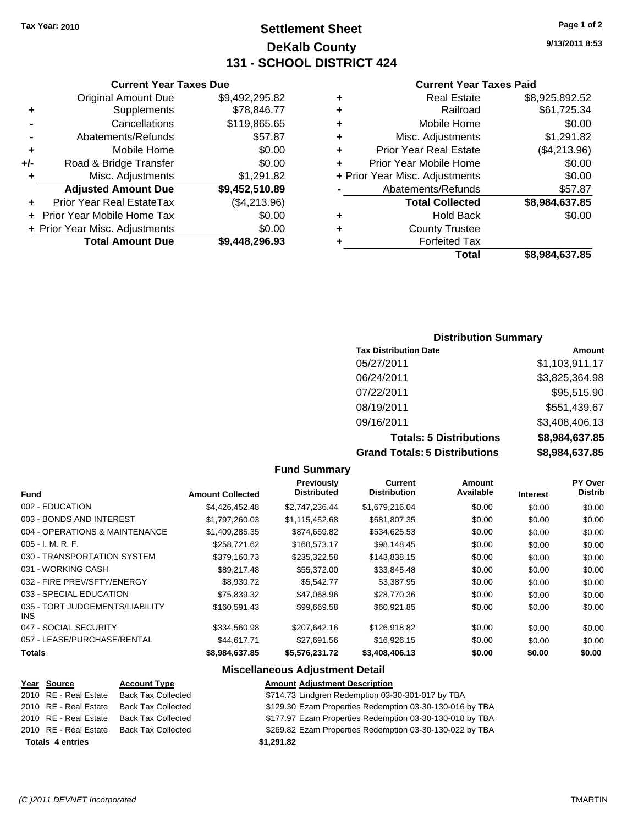#### **Settlement Sheet Tax Year: 2010 Page 1 of 2 DeKalb County 131 - SCHOOL DISTRICT 424**

#### **Current Year Taxes Due**

|     | <b>Original Amount Due</b>        | \$9,492,295.82 |
|-----|-----------------------------------|----------------|
| ٠   | Supplements                       | \$78,846.77    |
|     | Cancellations                     | \$119,865.65   |
|     | Abatements/Refunds                | \$57.87        |
| ٠   | Mobile Home                       | \$0.00         |
| +/- | Road & Bridge Transfer            | \$0.00         |
| ٠   | Misc. Adjustments                 | \$1,291.82     |
|     | <b>Adjusted Amount Due</b>        | \$9,452,510.89 |
|     | <b>Prior Year Real EstateTax</b>  | (\$4,213.96)   |
|     | <b>Prior Year Mobile Home Tax</b> | \$0.00         |
|     | + Prior Year Misc. Adjustments    | \$0.00         |
|     | <b>Total Amount Due</b>           | \$9,448,296.93 |

#### **Current Year Taxes Paid**

| ٠ | <b>Real Estate</b>             | \$8,925,892.52 |
|---|--------------------------------|----------------|
| ٠ | Railroad                       | \$61,725.34    |
| ٠ | Mobile Home                    | \$0.00         |
| ٠ | Misc. Adjustments              | \$1,291.82     |
| ÷ | <b>Prior Year Real Estate</b>  | (\$4,213.96)   |
| ÷ | Prior Year Mobile Home         | \$0.00         |
|   | + Prior Year Misc. Adjustments | \$0.00         |
|   | Abatements/Refunds             | \$57.87        |
|   | <b>Total Collected</b>         | \$8,984,637.85 |
| ٠ | Hold Back                      | \$0.00         |
| ٠ | <b>County Trustee</b>          |                |
| ٠ | <b>Forfeited Tax</b>           |                |
|   | Total                          | \$8,984,637.85 |
|   |                                |                |

#### **Distribution Summary**

| <b>Tax Distribution Date</b>         | Amount         |
|--------------------------------------|----------------|
| 05/27/2011                           | \$1,103,911.17 |
| 06/24/2011                           | \$3,825,364.98 |
| 07/22/2011                           | \$95,515.90    |
| 08/19/2011                           | \$551,439.67   |
| 09/16/2011                           | \$3,408,406.13 |
| <b>Totals: 5 Distributions</b>       | \$8,984,637.85 |
| <b>Grand Totals: 5 Distributions</b> | \$8,984,637.85 |

#### **Fund Summary Fund Interest Amount Collected Distributed PY Over Distrib Amount Available Current Distribution Previously** 002 - EDUCATION \$4,426,452.48 \$2,747,236.44 \$1,679,216.04 \$0.00 \$0.00 \$0.00 003 - BONDS AND INTEREST \$1,797,260.03 \$1,115,452.68 \$681,807.35 \$0.00 \$0.00 \$0.00 004 - OPERATIONS & MAINTENANCE \$1,409,285.35 \$874,659.82 \$534,625.53 \$0.00 \$0.00 \$0.00 005 - I. M. R. F. \$258,721.62 \$160,573.17 \$98,148.45 \$0.00 \$0.00 \$0.00 030 - TRANSPORTATION SYSTEM \$379,160.73 \$235,322.58 \$143,838.15 \$0.00 \$0.00 \$0.00 031 - WORKING CASH \$89,217.48 \$55,372.00 \$33,845.48 \$0.00 \$0.00 \$0.00 032 - FIRE PREV/SFTY/ENERGY \$8,930.72 \$5,542.77 \$3,387.95 \$0.00 \$0.00 \$0.00 \$0.00 033 - SPECIAL EDUCATION 6775,839.32 \$47,068.96 \$28,770.36 \$0.00 \$0.00 \$0.00 \$0.00 035 - TORT JUDGEMENTS/LIABILITY INS  $$160,591.43$   $$99,669.58$   $$60,921.85$   $$0.00$   $$0.00$   $$0.00$ 047 - SOCIAL SECURITY 6334,560.98 \$207,642.16 \$126,918.82 \$0.00 \$0.00 \$0.00 \$0.00 057 - LEASE/PURCHASE/RENTAL \$44,617.71 \$27,691.56 \$16,926.15 \$0.00 \$0.00 \$0.00 \$0.00 **Totals \$8,984,637.85 \$5,576,231.72 \$3,408,406.13 \$0.00 \$0.00 \$0.00**

#### **Miscellaneous Adjustment Detail Year Source Account Type Amount Adjustment Description**

| <b>Totals 4 entries</b> |                    | \$1.291.82                                               |
|-------------------------|--------------------|----------------------------------------------------------|
| 2010 RE - Real Estate   | Back Tax Collected | \$269.82 Ezam Properties Redemption 03-30-130-022 by TBA |
| 2010 RE - Real Estate   | Back Tax Collected | \$177.97 Ezam Properties Redemption 03-30-130-018 by TBA |
| 2010 RE - Real Estate   | Back Tax Collected | \$129.30 Ezam Properties Redemption 03-30-130-016 by TBA |
| 2010 RE - Real Estate   | Back Tax Collected | \$714.73 Lindgren Redemption 03-30-301-017 by TBA        |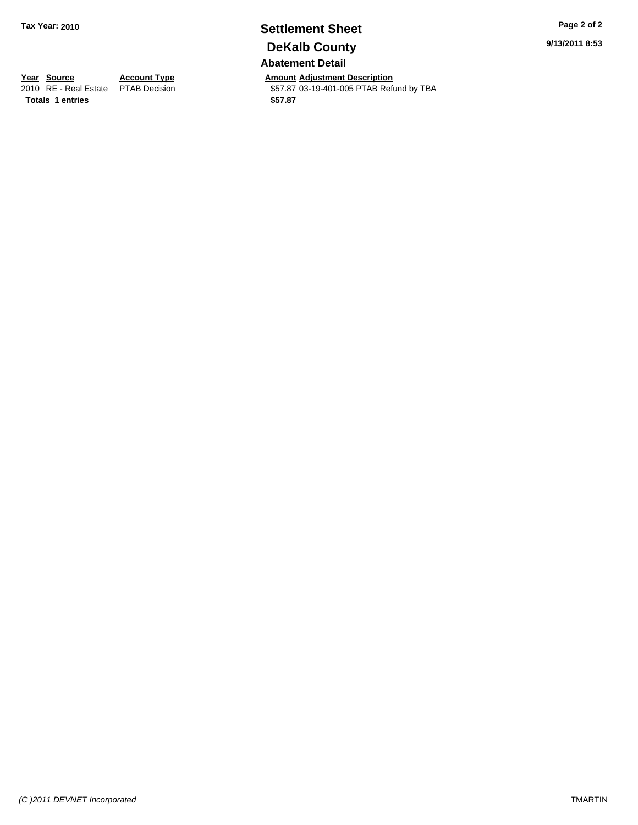# **Settlement Sheet Tax Year: 2010 Page 2 of 2 DeKalb County**

**Abatement Detail**

**Year Source Account Type Amount Adjustment Description**<br>
2010 RE - Real Estate PTAB Decision **Amount** \$57.87 03-19-401-005 PTAB Refu \$57.87 03-19-401-005 PTAB Refund by TBA

**9/13/2011 8:53**

**Totals \$57.87 1 entries**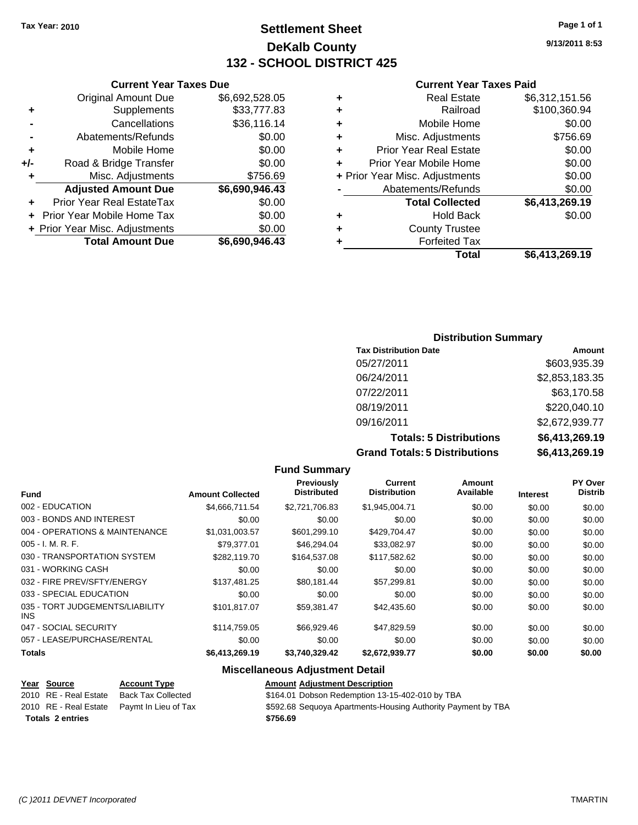#### **Settlement Sheet Tax Year: 2010 Page 1 of 1 DeKalb County 132 - SCHOOL DISTRICT 425**

**9/13/2011 8:53**

#### **Current Year Taxes Paid**

|   | <b>Real Estate</b>             | \$6,312,151.56 |
|---|--------------------------------|----------------|
| ٠ | Railroad                       | \$100,360.94   |
| ٠ | Mobile Home                    | \$0.00         |
| ٠ | Misc. Adjustments              | \$756.69       |
| ٠ | <b>Prior Year Real Estate</b>  | \$0.00         |
| ٠ | Prior Year Mobile Home         | \$0.00         |
|   | + Prior Year Misc. Adjustments | \$0.00         |
|   | Abatements/Refunds             | \$0.00         |
|   | <b>Total Collected</b>         | \$6,413,269.19 |
| ٠ | <b>Hold Back</b>               | \$0.00         |
|   | <b>County Trustee</b>          |                |
|   | <b>Forfeited Tax</b>           |                |
|   | Total                          | \$6,413,269.19 |

#### **Current Year Taxes Due** Original Amount Due \$6,692,528.05 **+** Supplements \$33,777.83 **-** Cancellations \$36,116.14 **-** Abatements/Refunds \$0.00 **+** Mobile Home \$0.00 **+/-** Road & Bridge Transfer \$0.00 **+** Misc. Adjustments \$756.69 **Adjusted Amount Due \$6,690,946.43 +** Prior Year Real EstateTax \$0.00 **+** Prior Year Mobile Home Tax \$0.00 **+ Prior Year Misc. Adjustments \$0.00<br>Total Amount Due \$6,690,946.43 Total Amount Due**

#### **Distribution Summary**

| <b>Tax Distribution Date</b>         | Amount         |
|--------------------------------------|----------------|
| 05/27/2011                           | \$603,935.39   |
| 06/24/2011                           | \$2,853,183.35 |
| 07/22/2011                           | \$63,170.58    |
| 08/19/2011                           | \$220,040.10   |
| 09/16/2011                           | \$2,672,939.77 |
| <b>Totals: 5 Distributions</b>       | \$6,413,269.19 |
| <b>Grand Totals: 5 Distributions</b> | \$6,413,269.19 |

|                                               |                         | <b>Fund Summary</b>              |                                |                     |                 |                                  |
|-----------------------------------------------|-------------------------|----------------------------------|--------------------------------|---------------------|-----------------|----------------------------------|
| <b>Fund</b>                                   | <b>Amount Collected</b> | Previously<br><b>Distributed</b> | Current<br><b>Distribution</b> | Amount<br>Available | <b>Interest</b> | <b>PY Over</b><br><b>Distrib</b> |
| 002 - EDUCATION                               | \$4,666,711.54          | \$2,721,706.83                   | \$1,945,004.71                 | \$0.00              | \$0.00          | \$0.00                           |
| 003 - BONDS AND INTEREST                      | \$0.00                  | \$0.00                           | \$0.00                         | \$0.00              | \$0.00          | \$0.00                           |
| 004 - OPERATIONS & MAINTENANCE                | \$1,031,003.57          | \$601,299.10                     | \$429,704.47                   | \$0.00              | \$0.00          | \$0.00                           |
| $005 - I. M. R. F.$                           | \$79.377.01             | \$46,294.04                      | \$33,082.97                    | \$0.00              | \$0.00          | \$0.00                           |
| 030 - TRANSPORTATION SYSTEM                   | \$282.119.70            | \$164,537.08                     | \$117,582.62                   | \$0.00              | \$0.00          | \$0.00                           |
| 031 - WORKING CASH                            | \$0.00                  | \$0.00                           | \$0.00                         | \$0.00              | \$0.00          | \$0.00                           |
| 032 - FIRE PREV/SFTY/ENERGY                   | \$137.481.25            | \$80.181.44                      | \$57.299.81                    | \$0.00              | \$0.00          | \$0.00                           |
| 033 - SPECIAL EDUCATION                       | \$0.00                  | \$0.00                           | \$0.00                         | \$0.00              | \$0.00          | \$0.00                           |
| 035 - TORT JUDGEMENTS/LIABILITY<br><b>INS</b> | \$101.817.07            | \$59,381.47                      | \$42,435.60                    | \$0.00              | \$0.00          | \$0.00                           |
| 047 - SOCIAL SECURITY                         | \$114.759.05            | \$66,929.46                      | \$47,829.59                    | \$0.00              | \$0.00          | \$0.00                           |
| 057 - LEASE/PURCHASE/RENTAL                   | \$0.00                  | \$0.00                           | \$0.00                         | \$0.00              | \$0.00          | \$0.00                           |
| Totals                                        | \$6,413,269.19          | \$3,740,329.42                   | \$2,672,939.77                 | \$0.00              | \$0.00          | \$0.00                           |

#### **Miscellaneous Adjustment Detail**

|                         | Year Source           | <b>Account Type</b>                        | <b>Amount Adiustment Description</b>                         |
|-------------------------|-----------------------|--------------------------------------------|--------------------------------------------------------------|
|                         | 2010 RE - Real Estate | <b>Back Tax Collected</b>                  | \$164.01 Dobson Redemption 13-15-402-010 by TBA              |
|                         |                       | 2010 RE - Real Estate Pavmt In Lieu of Tax | \$592.68 Sequoya Apartments-Housing Authority Payment by TBA |
| <b>Totals 2 entries</b> |                       |                                            | \$756.69                                                     |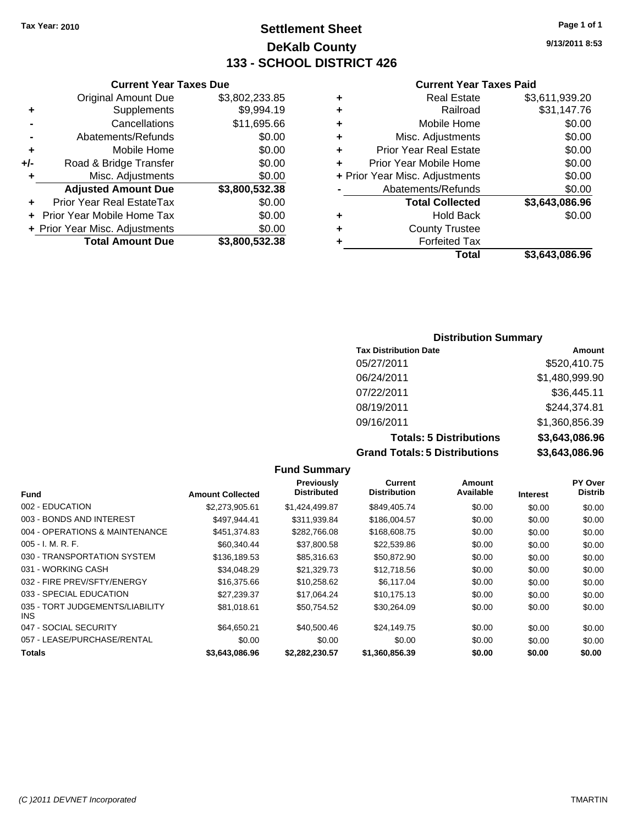#### **Settlement Sheet Tax Year: 2010 Page 1 of 1 DeKalb County 133 - SCHOOL DISTRICT 426**

**9/13/2011 8:53**

#### **Current Year Taxes Paid**

| ٠ | <b>Real Estate</b>             | \$3,611,939.20 |
|---|--------------------------------|----------------|
| ٠ | Railroad                       | \$31,147.76    |
| ٠ | Mobile Home                    | \$0.00         |
| ٠ | Misc. Adjustments              | \$0.00         |
| ٠ | <b>Prior Year Real Estate</b>  | \$0.00         |
| ÷ | Prior Year Mobile Home         | \$0.00         |
|   | + Prior Year Misc. Adjustments | \$0.00         |
|   | Abatements/Refunds             | \$0.00         |
|   | <b>Total Collected</b>         | \$3,643,086.96 |
| ٠ | <b>Hold Back</b>               | \$0.00         |
| ٠ | <b>County Trustee</b>          |                |
|   | <b>Forfeited Tax</b>           |                |
|   | Total                          | \$3.643.086.96 |

| <b>Current Year Taxes Due</b>  |                |
|--------------------------------|----------------|
| <b>Original Amount Due</b>     | \$3,802,233.85 |
| Supplements                    | \$9,994.19     |
| Cancellations                  | \$11,695.66    |
| Abatements/Refunds             | \$0.00         |
| Mobile Home                    | \$0.00         |
| Road & Bridge Transfer         | \$0.00         |
| Misc. Adjustments              | \$0.00         |
| <b>Adjusted Amount Due</b>     | \$3,800,532.38 |
| Prior Year Real EstateTax      | \$0.00         |
| Prior Year Mobile Home Tax     | \$0.00         |
| + Prior Year Misc. Adjustments | \$0.00         |
| <b>Total Amount Due</b>        | \$3,800,532.38 |
|                                |                |

#### **Distribution Summary**

| <b>Tax Distribution Date</b>         | Amount         |
|--------------------------------------|----------------|
| 05/27/2011                           | \$520,410.75   |
| 06/24/2011                           | \$1,480,999.90 |
| 07/22/2011                           | \$36,445.11    |
| 08/19/2011                           | \$244,374.81   |
| 09/16/2011                           | \$1,360,856.39 |
| <b>Totals: 5 Distributions</b>       | \$3,643,086.96 |
| <b>Grand Totals: 5 Distributions</b> | \$3,643,086.96 |

|                                         |                         | <b>Fund Summary</b>              |                                |                     |                 |                                  |
|-----------------------------------------|-------------------------|----------------------------------|--------------------------------|---------------------|-----------------|----------------------------------|
| <b>Fund</b>                             | <b>Amount Collected</b> | Previously<br><b>Distributed</b> | Current<br><b>Distribution</b> | Amount<br>Available | <b>Interest</b> | <b>PY Over</b><br><b>Distrib</b> |
| 002 - EDUCATION                         | \$2,273,905.61          | \$1,424,499.87                   | \$849,405.74                   | \$0.00              | \$0.00          | \$0.00                           |
| 003 - BONDS AND INTEREST                | \$497.944.41            | \$311,939.84                     | \$186,004.57                   | \$0.00              | \$0.00          | \$0.00                           |
| 004 - OPERATIONS & MAINTENANCE          | \$451,374.83            | \$282,766.08                     | \$168,608.75                   | \$0.00              | \$0.00          | \$0.00                           |
| $005 - I. M. R. F.$                     | \$60.340.44             | \$37,800.58                      | \$22,539.86                    | \$0.00              | \$0.00          | \$0.00                           |
| 030 - TRANSPORTATION SYSTEM             | \$136,189.53            | \$85,316.63                      | \$50,872.90                    | \$0.00              | \$0.00          | \$0.00                           |
| 031 - WORKING CASH                      | \$34,048.29             | \$21,329.73                      | \$12,718.56                    | \$0.00              | \$0.00          | \$0.00                           |
| 032 - FIRE PREV/SFTY/ENERGY             | \$16,375.66             | \$10,258.62                      | \$6,117.04                     | \$0.00              | \$0.00          | \$0.00                           |
| 033 - SPECIAL EDUCATION                 | \$27.239.37             | \$17,064.24                      | \$10,175.13                    | \$0.00              | \$0.00          | \$0.00                           |
| 035 - TORT JUDGEMENTS/LIABILITY<br>INS. | \$81.018.61             | \$50.754.52                      | \$30.264.09                    | \$0.00              | \$0.00          | \$0.00                           |
| 047 - SOCIAL SECURITY                   | \$64.650.21             | \$40,500.46                      | \$24,149.75                    | \$0.00              | \$0.00          | \$0.00                           |
| 057 - LEASE/PURCHASE/RENTAL             | \$0.00                  | \$0.00                           | \$0.00                         | \$0.00              | \$0.00          | \$0.00                           |
| <b>Totals</b>                           | \$3,643,086.96          | \$2.282.230.57                   | \$1,360,856.39                 | \$0.00              | \$0.00          | \$0.00                           |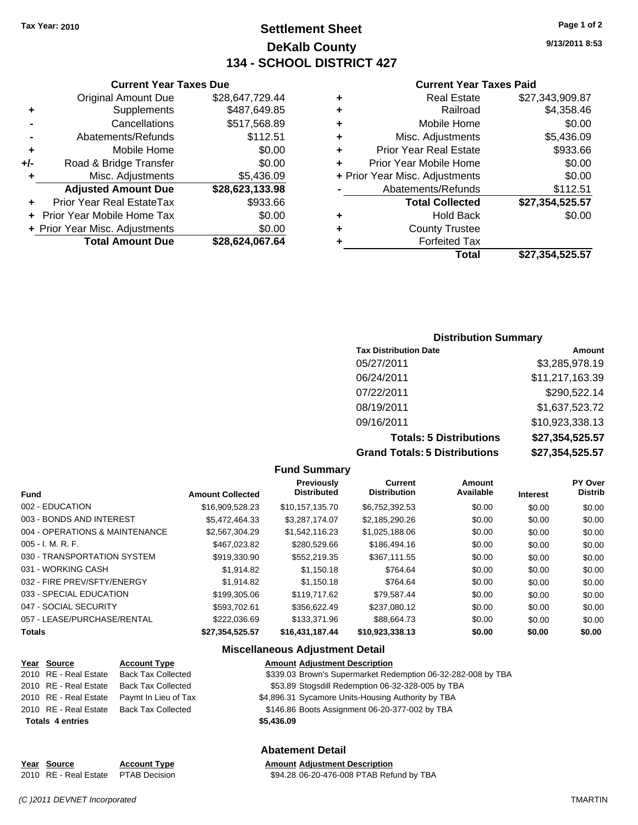#### **Settlement Sheet Tax Year: 2010 Page 1 of 2 DeKalb County 134 - SCHOOL DISTRICT 427**

**9/13/2011 8:53**

#### **Current Year Taxes Paid**

|   | Total                          | \$27,354,525.57 |
|---|--------------------------------|-----------------|
|   | <b>Forfeited Tax</b>           |                 |
| ٠ | <b>County Trustee</b>          |                 |
| ٠ | <b>Hold Back</b>               | \$0.00          |
|   | <b>Total Collected</b>         | \$27,354,525.57 |
|   | Abatements/Refunds             | \$112.51        |
|   | + Prior Year Misc. Adjustments | \$0.00          |
| ٠ | Prior Year Mobile Home         | \$0.00          |
| ٠ | <b>Prior Year Real Estate</b>  | \$933.66        |
| ٠ | Misc. Adjustments              | \$5,436.09      |
| ٠ | Mobile Home                    | \$0.00          |
| ٠ | Railroad                       | \$4,358.46      |
| ٠ | <b>Real Estate</b>             | \$27,343,909.87 |
|   |                                |                 |

# **Current Year Taxes Due**

|       | <b>Original Amount Due</b>        | \$28,647,729.44 |
|-------|-----------------------------------|-----------------|
| ٠     | Supplements                       | \$487,649.85    |
|       | Cancellations                     | \$517,568.89    |
|       | Abatements/Refunds                | \$112.51        |
| ÷     | Mobile Home                       | \$0.00          |
| $+/-$ | Road & Bridge Transfer            | \$0.00          |
| ٠     | Misc. Adjustments                 | \$5,436.09      |
|       | <b>Adjusted Amount Due</b>        | \$28,623,133.98 |
|       | Prior Year Real EstateTax         | \$933.66        |
|       | <b>Prior Year Mobile Home Tax</b> | \$0.00          |
|       | + Prior Year Misc. Adjustments    | \$0.00          |
|       | <b>Total Amount Due</b>           | \$28,624,067.64 |

#### **Distribution Summary**

| <b>Tax Distribution Date</b>         | Amount          |
|--------------------------------------|-----------------|
| 05/27/2011                           | \$3,285,978.19  |
| 06/24/2011                           | \$11,217,163.39 |
| 07/22/2011                           | \$290,522.14    |
| 08/19/2011                           | \$1,637,523.72  |
| 09/16/2011                           | \$10,923,338.13 |
| <b>Totals: 5 Distributions</b>       | \$27,354,525.57 |
| <b>Grand Totals: 5 Distributions</b> | \$27,354,525.57 |

#### **Fund Summary**

| <b>Fund</b>                    | <b>Amount Collected</b> | Previously<br><b>Distributed</b> | <b>Current</b><br><b>Distribution</b> | <b>Amount</b><br>Available | <b>Interest</b> | <b>PY Over</b><br><b>Distrib</b> |
|--------------------------------|-------------------------|----------------------------------|---------------------------------------|----------------------------|-----------------|----------------------------------|
| 002 - EDUCATION                | \$16,909,528.23         | \$10.157.135.70                  | \$6,752,392.53                        | \$0.00                     | \$0.00          | \$0.00                           |
| 003 - BONDS AND INTEREST       | \$5,472,464.33          | \$3,287,174.07                   | \$2,185,290.26                        | \$0.00                     | \$0.00          | \$0.00                           |
| 004 - OPERATIONS & MAINTENANCE | \$2,567,304.29          | \$1,542,116.23                   | \$1,025,188.06                        | \$0.00                     | \$0.00          | \$0.00                           |
| $005 - I. M. R. F.$            | \$467,023.82            | \$280,529.66                     | \$186,494.16                          | \$0.00                     | \$0.00          | \$0.00                           |
| 030 - TRANSPORTATION SYSTEM    | \$919,330.90            | \$552.219.35                     | \$367,111.55                          | \$0.00                     | \$0.00          | \$0.00                           |
| 031 - WORKING CASH             | \$1.914.82              | \$1.150.18                       | \$764.64                              | \$0.00                     | \$0.00          | \$0.00                           |
| 032 - FIRE PREV/SFTY/ENERGY    | \$1.914.82              | \$1.150.18                       | \$764.64                              | \$0.00                     | \$0.00          | \$0.00                           |
| 033 - SPECIAL EDUCATION        | \$199,305.06            | \$119,717.62                     | \$79.587.44                           | \$0.00                     | \$0.00          | \$0.00                           |
| 047 - SOCIAL SECURITY          | \$593.702.61            | \$356.622.49                     | \$237,080.12                          | \$0.00                     | \$0.00          | \$0.00                           |
| 057 - LEASE/PURCHASE/RENTAL    | \$222,036.69            | \$133,371.96                     | \$88,664.73                           | \$0.00                     | \$0.00          | \$0.00                           |
| <b>Totals</b>                  | \$27.354.525.57         | \$16,431,187.44                  | \$10.923.338.13                       | \$0.00                     | \$0.00          | \$0.00                           |

#### **Miscellaneous Adjustment Detail**

| Year Source | <b>Account Type</b>                        |
|-------------|--------------------------------------------|
|             | 2010 RE - Real Estate Back Tax Collected   |
|             | 2010 RE - Real Estate Back Tax Collected   |
|             | 2010 RE - Real Estate Paymt In Lieu of Tax |

#### **Amount Adjustment Description** \$339.03 Brown's Supermarket Redemption 06-32-282-008 by TBA

\$53.89 Stogsdill Redemption 06-32-328-005 by TBA

\$4,896.31 Sycamore Units-Housing Authority by TBA

2010 RE - Real Estate Back Tax Collected \$146.86 Boots Assignment 06-20-377-002 by TBA

**Totals \$5,436.09 4 entries**

#### **Abatement Detail**

**Year Source Account Type Amount Adjustment Description** 2010 RE - Real Estate \$94.28 06-20-476-008 PTAB Refund by TBA PTAB Decision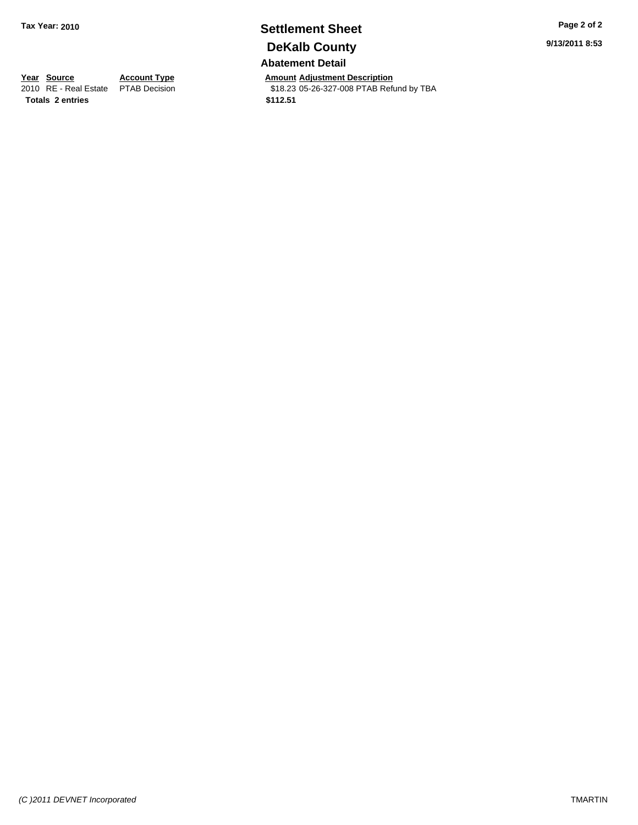#### **Settlement Sheet Tax Year: 2010 Page 2 of 2 DeKalb County Abatement Detail**

**Year Source Account Type Amount Adjustment Description**<br>
2010 RE - Real Estate PTAB Decision **Amount** \$18.23 05-26-327-008 PTAB Refu \$18.23 05-26-327-008 PTAB Refund by TBA

**Totals \$112.51 2 entries**

*(C )2011 DEVNET Incorporated* TMARTIN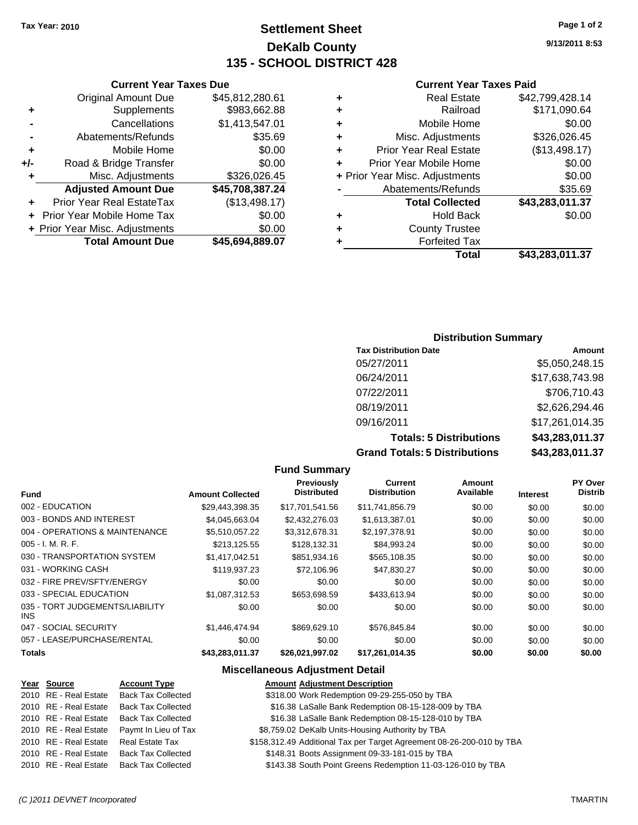#### **Settlement Sheet Tax Year: 2010 Page 1 of 2 DeKalb County 135 - SCHOOL DISTRICT 428**

**9/13/2011 8:53**

#### **Current Year Taxes Paid**

| <b>Real Estate</b><br>٠            | \$42,799,428.14          |
|------------------------------------|--------------------------|
| Railroad<br>٠                      | \$171,090.64             |
| Mobile Home<br>٠                   | \$0.00                   |
| Misc. Adjustments<br>٠             | \$326,026.45             |
| <b>Prior Year Real Estate</b><br>÷ | (\$13,498.17)            |
| Prior Year Mobile Home<br>÷        | \$0.00                   |
| + Prior Year Misc. Adjustments     | \$0.00                   |
| Abatements/Refunds                 | \$35.69                  |
| <b>Total Collected</b>             | \$43,283,011.37          |
| <b>Hold Back</b><br>٠              | \$0.00                   |
| <b>County Trustee</b><br>÷         |                          |
| <b>Forfeited Tax</b><br>٠          |                          |
|                                    | Total<br>\$43,283,011.37 |

|     | <b>Current Year Taxes Due</b>  |                 |  |
|-----|--------------------------------|-----------------|--|
|     | <b>Original Amount Due</b>     | \$45,812,280.61 |  |
| ٠   | Supplements                    | \$983,662.88    |  |
|     | Cancellations                  | \$1,413,547.01  |  |
|     | Abatements/Refunds             | \$35.69         |  |
| ٠   | Mobile Home                    | \$0.00          |  |
| +/- | Road & Bridge Transfer         | \$0.00          |  |
| ٠   | Misc. Adjustments              | \$326,026.45    |  |
|     | <b>Adjusted Amount Due</b>     | \$45,708,387.24 |  |
|     | Prior Year Real EstateTax      | (\$13,498.17)   |  |
|     | Prior Year Mobile Home Tax     | \$0.00          |  |
|     | + Prior Year Misc. Adjustments | \$0.00          |  |
|     | <b>Total Amount Due</b>        | \$45,694,889.07 |  |

#### **Distribution Summary**

| <b>Tax Distribution Date</b>         | Amount          |
|--------------------------------------|-----------------|
| 05/27/2011                           | \$5,050,248.15  |
| 06/24/2011                           | \$17,638,743.98 |
| 07/22/2011                           | \$706,710.43    |
| 08/19/2011                           | \$2,626,294.46  |
| 09/16/2011                           | \$17,261,014.35 |
| <b>Totals: 5 Distributions</b>       | \$43,283,011.37 |
| <b>Grand Totals: 5 Distributions</b> | \$43,283,011.37 |

**Fund Summary Fund Interest Amount Collected Distributed PY Over Distrib Amount Available Current Distribution Previously** 002 - EDUCATION \$29,443,398.35 \$17,701,541.56 \$11,741,856.79 \$0.00 \$0.00 \$0.00 003 - BONDS AND INTEREST \$4,045,663.04 \$2,432,276.03 \$1,613,387.01 \$0.00 \$0.00 \$0.00 004 - OPERATIONS & MAINTENANCE \$5,510,057.22 \$3,312,678.31 \$2,197,378.91 \$0.00 \$0.00 \$0.00 \$0.00 005 - I. M. R. F. \$213,125.55 \$128,132.31 \$84,993.24 \$0.00 \$0.00 \$0.00 030 - TRANSPORTATION SYSTEM \$1,417,042.51 \$851,934.16 \$565,108.35 \$0.00 \$0.00 \$0.00 031 - WORKING CASH \$119,937.23 \$72,106.96 \$47,830.27 \$0.00 \$0.00 \$0.00 \$0.00 032 - FIRE PREV/SFTY/ENERGY  $$0.00$  \$0.00 \$0.00 \$0.00 \$0.00 \$0.00 \$0.00 \$0.00 033 - SPECIAL EDUCATION \$1,087,312.53 \$653,698.59 \$433,613.94 \$0.00 \$0.00 \$0.00 035 - TORT JUDGEMENTS/LIABILITY INS \$0.00 \$0.00 \$0.00 \$0.00 \$0.00 \$0.00 047 - SOCIAL SECURITY \$1,446,474.94 \$869,629.10 \$576,845.84 \$0.00 \$0.00 \$0.00 057 - LEASE/PURCHASE/RENTAL  $$0.00$   $$0.00$   $$0.00$   $$0.00$   $$0.00$   $$0.00$   $$0.00$   $$0.00$ **Totals \$43,283,011.37 \$26,021,997.02 \$17,261,014.35 \$0.00 \$0.00 \$0.00**

#### **Miscellaneous Adjustment Detail**

| Year Source           | <b>Account Type</b>                      | <b>Amount Adjustment Description</b>                                  |
|-----------------------|------------------------------------------|-----------------------------------------------------------------------|
| 2010 RE - Real Estate | <b>Back Tax Collected</b>                | \$318.00 Work Redemption 09-29-255-050 by TBA                         |
| 2010 RE - Real Estate | <b>Back Tax Collected</b>                | \$16.38 LaSalle Bank Redemption 08-15-128-009 by TBA                  |
| 2010 RE - Real Estate | Back Tax Collected                       | \$16.38 LaSalle Bank Redemption 08-15-128-010 by TBA                  |
| 2010 RE - Real Estate | Paymt In Lieu of Tax                     | \$8,759.02 DeKalb Units-Housing Authority by TBA                      |
| 2010 RE - Real Estate | Real Estate Tax                          | \$158,312.49 Additional Tax per Target Agreement 08-26-200-010 by TBA |
|                       | 2010 RE - Real Estate Back Tax Collected | \$148.31 Boots Assignment 09-33-181-015 by TBA                        |
|                       | 2010 RE - Real Estate Back Tax Collected | \$143.38 South Point Greens Redemption 11-03-126-010 by TBA           |
|                       |                                          |                                                                       |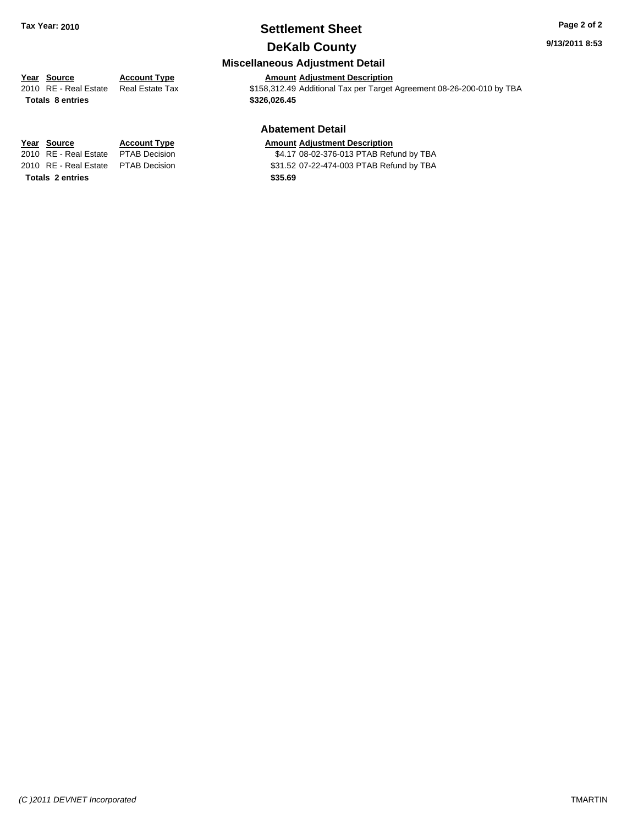#### **Settlement Sheet Tax Year: 2010 Page 2 of 2 DeKalb County**

**9/13/2011 8:53**

#### **Miscellaneous Adjustment Detail**

**Year Source Account Type Amount Adjustment Description**<br>2010 RE - Real Estate Real Estate Tax **S158,312.49** Additional Tax per Target \$158,312.49 Additional Tax per Target Agreement 08-26-200-010 by TBA

### **Abatement Detail**

#### **Year Source Account Type Amount Adjustment Description**

2010 RE - Real Estate \$4.17 08-02-376-013 PTAB Refund by TBA PTAB Decision 2010 RE - Real Estate \$31.52 07-22-474-003 PTAB Refund by TBA PTAB Decision

**Totals \$326,026.45 8 entries**

**Totals \$35.69 2 entries**

*(C )2011 DEVNET Incorporated* TMARTIN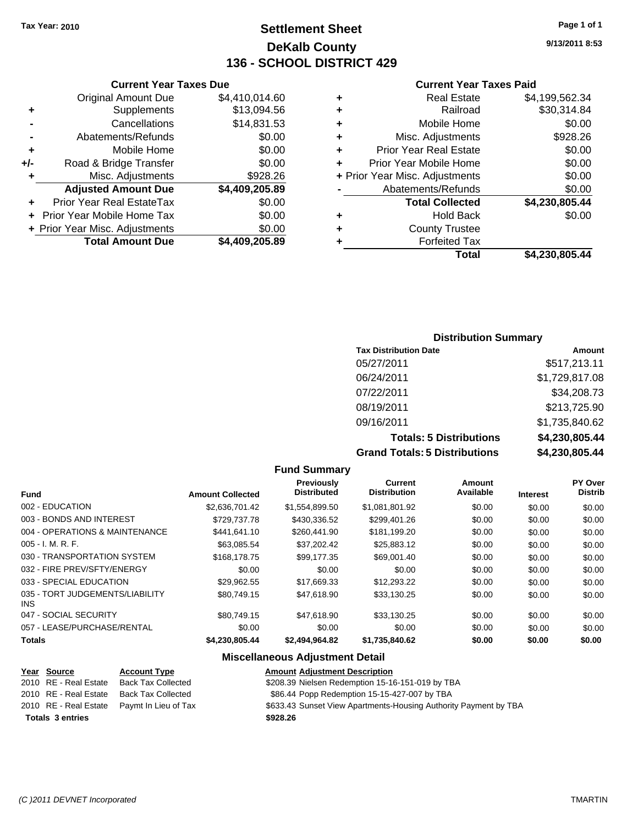#### **Settlement Sheet Tax Year: 2010 Page 1 of 1 DeKalb County 136 - SCHOOL DISTRICT 429**

**9/13/2011 8:53**

#### **Current Year Taxes Paid**

| ٠ | Real Estate                    | \$4,199,562.34 |
|---|--------------------------------|----------------|
| ٠ | Railroad                       | \$30,314.84    |
| ٠ | Mobile Home                    | \$0.00         |
| ٠ | Misc. Adjustments              | \$928.26       |
| ٠ | <b>Prior Year Real Estate</b>  | \$0.00         |
| ÷ | Prior Year Mobile Home         | \$0.00         |
|   | + Prior Year Misc. Adjustments | \$0.00         |
|   | Abatements/Refunds             | \$0.00         |
|   | <b>Total Collected</b>         | \$4,230,805.44 |
| ٠ | <b>Hold Back</b>               | \$0.00         |
| ٠ | <b>County Trustee</b>          |                |
|   | <b>Forfeited Tax</b>           |                |
|   | Total                          | \$4,230,805.44 |

|     | <b>Current Year Taxes Due</b>     |                |
|-----|-----------------------------------|----------------|
|     | <b>Original Amount Due</b>        | \$4,410,014.60 |
| ٠   | Supplements                       | \$13,094.56    |
|     | Cancellations                     | \$14,831.53    |
|     | Abatements/Refunds                | \$0.00         |
| ٠   | Mobile Home                       | \$0.00         |
| +/- | Road & Bridge Transfer            | \$0.00         |
| ٠   | Misc. Adjustments                 | \$928.26       |
|     | <b>Adjusted Amount Due</b>        | \$4,409,205.89 |
|     | Prior Year Real EstateTax         | \$0.00         |
|     | <b>Prior Year Mobile Home Tax</b> | \$0.00         |
|     | + Prior Year Misc. Adjustments    | \$0.00         |
|     | <b>Total Amount Due</b>           | \$4,409,205.89 |

#### **Distribution Summary**

| <b>Tax Distribution Date</b>         | Amount         |
|--------------------------------------|----------------|
| 05/27/2011                           | \$517,213.11   |
| 06/24/2011                           | \$1,729,817.08 |
| 07/22/2011                           | \$34,208.73    |
| 08/19/2011                           | \$213,725.90   |
| 09/16/2011                           | \$1,735,840.62 |
| <b>Totals: 5 Distributions</b>       | \$4,230,805.44 |
| <b>Grand Totals: 5 Distributions</b> | \$4,230,805.44 |

|                                         |                         | <b>Fund Summary</b>              |                                |                     |                 |                           |
|-----------------------------------------|-------------------------|----------------------------------|--------------------------------|---------------------|-----------------|---------------------------|
| <b>Fund</b>                             | <b>Amount Collected</b> | Previously<br><b>Distributed</b> | Current<br><b>Distribution</b> | Amount<br>Available | <b>Interest</b> | PY Over<br><b>Distrib</b> |
| 002 - EDUCATION                         | \$2,636,701.42          | \$1,554,899.50                   | \$1,081,801.92                 | \$0.00              | \$0.00          | \$0.00                    |
| 003 - BONDS AND INTEREST                | \$729,737.78            | \$430,336.52                     | \$299,401.26                   | \$0.00              | \$0.00          | \$0.00                    |
| 004 - OPERATIONS & MAINTENANCE          | \$441.641.10            | \$260,441.90                     | \$181,199.20                   | \$0.00              | \$0.00          | \$0.00                    |
| $005 - I. M. R. F.$                     | \$63,085.54             | \$37,202.42                      | \$25,883.12                    | \$0.00              | \$0.00          | \$0.00                    |
| 030 - TRANSPORTATION SYSTEM             | \$168,178.75            | \$99.177.35                      | \$69,001.40                    | \$0.00              | \$0.00          | \$0.00                    |
| 032 - FIRE PREV/SFTY/ENERGY             | \$0.00                  | \$0.00                           | \$0.00                         | \$0.00              | \$0.00          | \$0.00                    |
| 033 - SPECIAL EDUCATION                 | \$29,962.55             | \$17,669.33                      | \$12,293.22                    | \$0.00              | \$0.00          | \$0.00                    |
| 035 - TORT JUDGEMENTS/LIABILITY<br>INS. | \$80,749.15             | \$47,618.90                      | \$33,130.25                    | \$0.00              | \$0.00          | \$0.00                    |
| 047 - SOCIAL SECURITY                   | \$80.749.15             | \$47.618.90                      | \$33,130.25                    | \$0.00              | \$0.00          | \$0.00                    |
| 057 - LEASE/PURCHASE/RENTAL             | \$0.00                  | \$0.00                           | \$0.00                         | \$0.00              | \$0.00          | \$0.00                    |
| <b>Totals</b>                           | \$4,230,805.44          | \$2,494,964.82                   | \$1,735,840.62                 | \$0.00              | \$0.00          | \$0.00                    |

#### **Miscellaneous Adjustment Detail**

| Year Source             | <b>Account Type</b>                        | <b>Amount Adjustment Description</b>                             |
|-------------------------|--------------------------------------------|------------------------------------------------------------------|
| 2010 RE - Real Estate   | Back Tax Collected                         | \$208.39 Nielsen Redemption 15-16-151-019 by TBA                 |
| 2010 RE - Real Estate   | Back Tax Collected                         | \$86.44 Popp Redemption 15-15-427-007 by TBA                     |
|                         | 2010 RE - Real Estate Paymt In Lieu of Tax | \$633.43 Sunset View Apartments-Housing Authority Payment by TBA |
| <b>Totals 3 entries</b> |                                            | \$928.26                                                         |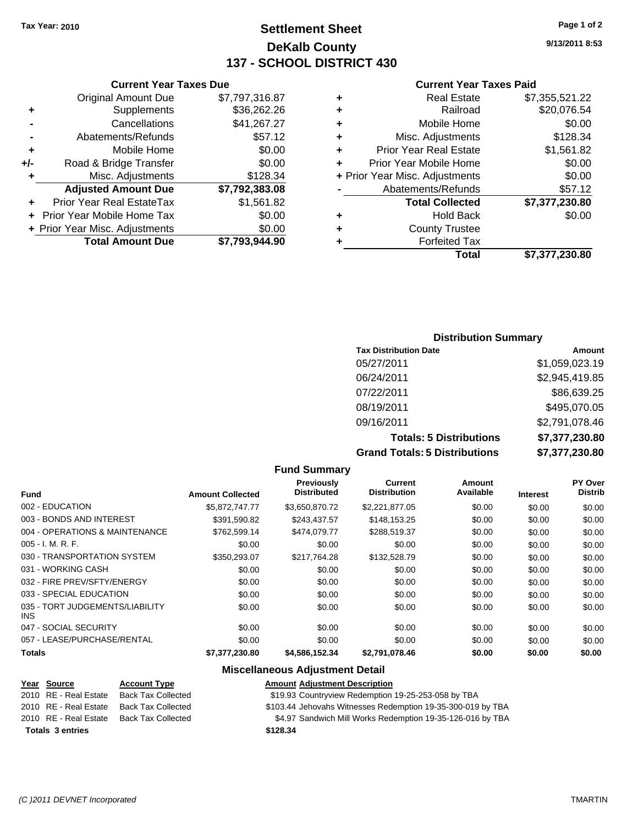#### **Settlement Sheet Tax Year: 2010 Page 1 of 2 DeKalb County 137 - SCHOOL DISTRICT 430**

**9/13/2011 8:53**

#### **Current Year Taxes Paid**

|                                | <b>Real Estate</b>            | \$7,355,521.22 |
|--------------------------------|-------------------------------|----------------|
| ٠                              | Railroad                      | \$20,076.54    |
| ٠                              | Mobile Home                   | \$0.00         |
| ٠                              | Misc. Adjustments             | \$128.34       |
| ÷                              | <b>Prior Year Real Estate</b> | \$1,561.82     |
| ÷                              | Prior Year Mobile Home        | \$0.00         |
| + Prior Year Misc. Adjustments |                               | \$0.00         |
|                                | Abatements/Refunds            | \$57.12        |
|                                | <b>Total Collected</b>        | \$7,377,230.80 |
| ٠                              | <b>Hold Back</b>              | \$0.00         |
|                                | <b>County Trustee</b>         |                |
|                                | <b>Forfeited Tax</b>          |                |
|                                | Total                         | \$7,377,230.80 |

#### **Current Year Taxes Due** Original Amount Due \$7,797,316.87 **+** Supplements \$36,262.26 **-** Cancellations \$41,267.27 **-** Abatements/Refunds \$57.12 **+** Mobile Home \$0.00 **+/-** Road & Bridge Transfer \$0.00 **+** Misc. Adjustments \$128.34 **Adjusted Amount Due \$7,792,383.08 +** Prior Year Real EstateTax \$1,561.82 **+** Prior Year Mobile Home Tax \$0.00 **+** Prior Year Misc. Adjustments  $$0.00$ **Total Amount Due \$7,793,944.90**

#### **Distribution Summary**

| <b>Tax Distribution Date</b>         | Amount         |
|--------------------------------------|----------------|
| 05/27/2011                           | \$1,059,023.19 |
| 06/24/2011                           | \$2,945,419.85 |
| 07/22/2011                           | \$86,639.25    |
| 08/19/2011                           | \$495,070.05   |
| 09/16/2011                           | \$2,791,078.46 |
| <b>Totals: 5 Distributions</b>       | \$7,377,230.80 |
| <b>Grand Totals: 5 Distributions</b> | \$7,377,230.80 |

#### **Fund Summary Fund Interest Amount Collected Distributed PY Over Distrib Amount Available Current Distribution Previously** 002 - EDUCATION \$5,872,747.77 \$3,650,870.72 \$2,221,877.05 \$0.00 \$0.00 \$0.00 003 - BONDS AND INTEREST 6391,590.82 \$243,437.57 \$148,153.25 \$0.00 \$0.00 \$0.00 004 - OPERATIONS & MAINTENANCE \$762,599.14 \$474,079.77 \$288,519.37 \$0.00 \$0.00 \$0.00 005 - I. M. R. F. Channel Communication of the South State of South State South State South State South State S 030 - TRANSPORTATION SYSTEM \$350,293.07 \$217,764.28 \$132,528.79 \$0.00 \$0.00 \$0.00 031 - WORKING CASH \$0.00 \$0.00 \$0.00 \$0.00 \$0.00 \$0.00 032 - FIRE PREV/SFTY/ENERGY \$0.00 \$0.00 \$0.00 \$0.00 \$0.00 \$0.00 033 - SPECIAL EDUCATION 60.00 \$0.00 \$0.00 \$0.00 \$0.00 \$0.00 \$0.00 \$0.00 \$0.00 \$0.00 035 - TORT JUDGEMENTS/LIABILITY INS \$0.00 \$0.00 \$0.00 \$0.00 \$0.00 \$0.00 047 - SOCIAL SECURITY \$0.00 \$0.00 \$0.00 \$0.00 \$0.00 \$0.00 057 - LEASE/PURCHASE/RENTAL  $$0.00$   $$0.00$   $$0.00$   $$0.00$   $$0.00$   $$0.00$   $$0.00$   $$0.00$ **Totals \$7,377,230.80 \$4,586,152.34 \$2,791,078.46 \$0.00 \$0.00 \$0.00**

#### **Miscellaneous Adjustment Detail**

| <u>Year Source</u>      | <b>Account Type</b>       | <b>Amount Adjustment Description</b>                        |
|-------------------------|---------------------------|-------------------------------------------------------------|
| 2010 RE - Real Estate   | <b>Back Tax Collected</b> | \$19.93 Countryview Redemption 19-25-253-058 by TBA         |
| 2010 RE - Real Estate   | <b>Back Tax Collected</b> | \$103.44 Jehovahs Witnesses Redemption 19-35-300-019 by TBA |
| 2010 RE - Real Estate   | <b>Back Tax Collected</b> | \$4.97 Sandwich Mill Works Redemption 19-35-126-016 by TBA  |
| <b>Totals 3 entries</b> |                           | \$128.34                                                    |
|                         |                           |                                                             |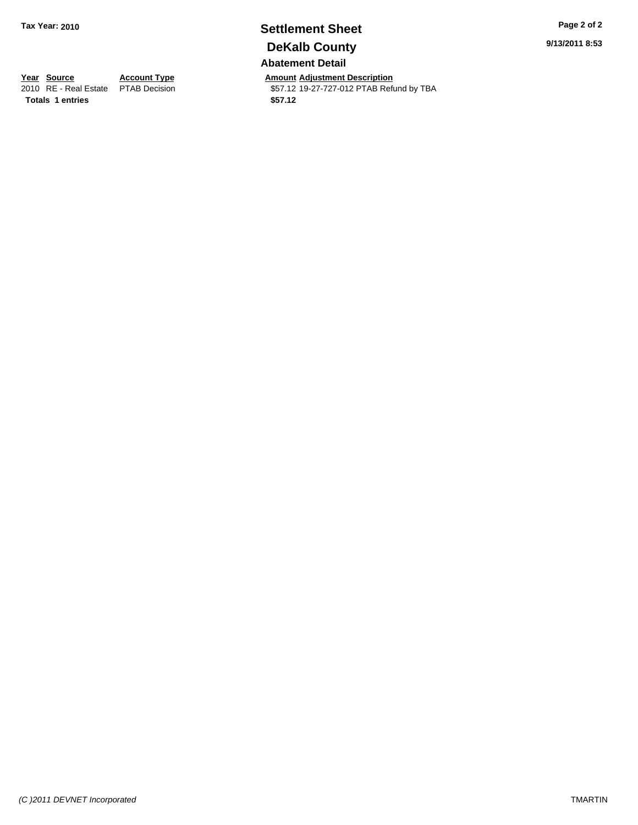#### **Settlement Sheet Tax Year: 2010 Page 2 of 2 DeKalb County Abatement Detail**

**Year Source Account Type Amount Adjustment Description**<br>
2010 RE - Real Estate PTAB Decision **Amount** 19-27-727-012 PTAB Refu \$57.12 19-27-727-012 PTAB Refund by TBA

**Totals 1 entries** \$57.12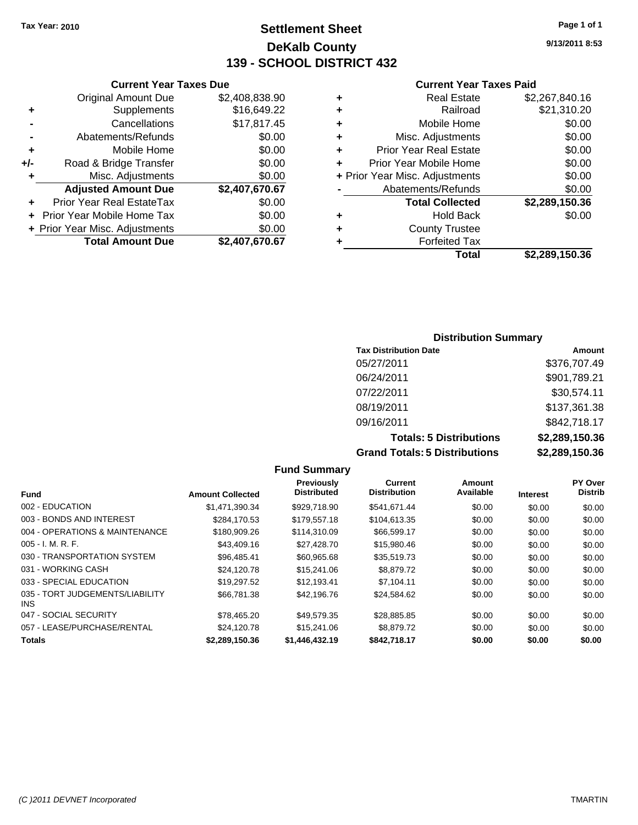#### **Settlement Sheet Tax Year: 2010 Page 1 of 1 DeKalb County 139 - SCHOOL DISTRICT 432**

**9/13/2011 8:53**

#### **Current Year Taxes Paid**

| <b>Hold Back</b>               | \$0.00                                        |
|--------------------------------|-----------------------------------------------|
| <b>Total Collected</b>         | \$2,289,150.36                                |
| Abatements/Refunds             | \$0.00                                        |
| + Prior Year Misc. Adjustments | \$0.00                                        |
| Prior Year Mobile Home         | \$0.00                                        |
| <b>Prior Year Real Estate</b>  | \$0.00                                        |
| Misc. Adjustments              | \$0.00                                        |
| Mobile Home                    | \$0.00                                        |
| Railroad                       | \$21,310.20                                   |
| <b>Real Estate</b>             | \$2,267,840.16                                |
|                                | <b>County Trustee</b><br><b>Forfeited Tax</b> |

|     | <b>Current Year Taxes Due</b>     |                |
|-----|-----------------------------------|----------------|
|     | <b>Original Amount Due</b>        | \$2,408,838.90 |
| ٠   | Supplements                       | \$16,649.22    |
|     | Cancellations                     | \$17,817.45    |
|     | Abatements/Refunds                | \$0.00         |
| ÷   | Mobile Home                       | \$0.00         |
| +/- | Road & Bridge Transfer            | \$0.00         |
| ٠   | Misc. Adjustments                 | \$0.00         |
|     | <b>Adjusted Amount Due</b>        | \$2,407,670.67 |
|     | Prior Year Real EstateTax         | \$0.00         |
|     | <b>Prior Year Mobile Home Tax</b> | \$0.00         |
|     | + Prior Year Misc. Adjustments    | \$0.00         |
|     | <b>Total Amount Due</b>           | \$2,407,670.67 |

#### **Distribution Summary**

| <b>Tax Distribution Date</b>         | Amount         |
|--------------------------------------|----------------|
| 05/27/2011                           | \$376,707.49   |
| 06/24/2011                           | \$901,789.21   |
| 07/22/2011                           | \$30,574.11    |
| 08/19/2011                           | \$137,361.38   |
| 09/16/2011                           | \$842,718.17   |
| <b>Totals: 5 Distributions</b>       | \$2,289,150.36 |
| <b>Grand Totals: 5 Distributions</b> | \$2,289,150.36 |

|                                         |                         | <b>Fund Summary</b>                     |                                |                     |                 |                           |
|-----------------------------------------|-------------------------|-----------------------------------------|--------------------------------|---------------------|-----------------|---------------------------|
| <b>Fund</b>                             | <b>Amount Collected</b> | <b>Previously</b><br><b>Distributed</b> | Current<br><b>Distribution</b> | Amount<br>Available | <b>Interest</b> | PY Over<br><b>Distrib</b> |
| 002 - EDUCATION                         | \$1,471,390.34          | \$929,718.90                            | \$541,671.44                   | \$0.00              | \$0.00          | \$0.00                    |
| 003 - BONDS AND INTEREST                | \$284.170.53            | \$179.557.18                            | \$104.613.35                   | \$0.00              | \$0.00          | \$0.00                    |
| 004 - OPERATIONS & MAINTENANCE          | \$180,909.26            | \$114,310.09                            | \$66,599.17                    | \$0.00              | \$0.00          | \$0.00                    |
| $005 - I. M. R. F.$                     | \$43,409.16             | \$27,428.70                             | \$15,980.46                    | \$0.00              | \$0.00          | \$0.00                    |
| 030 - TRANSPORTATION SYSTEM             | \$96,485.41             | \$60,965.68                             | \$35,519.73                    | \$0.00              | \$0.00          | \$0.00                    |
| 031 - WORKING CASH                      | \$24.120.78             | \$15,241.06                             | \$8,879.72                     | \$0.00              | \$0.00          | \$0.00                    |
| 033 - SPECIAL EDUCATION                 | \$19,297.52             | \$12.193.41                             | \$7.104.11                     | \$0.00              | \$0.00          | \$0.00                    |
| 035 - TORT JUDGEMENTS/LIABILITY<br>INS. | \$66,781,38             | \$42,196.76                             | \$24,584.62                    | \$0.00              | \$0.00          | \$0.00                    |
| 047 - SOCIAL SECURITY                   | \$78,465.20             | \$49.579.35                             | \$28,885.85                    | \$0.00              | \$0.00          | \$0.00                    |
| 057 - LEASE/PURCHASE/RENTAL             | \$24,120.78             | \$15,241.06                             | \$8,879.72                     | \$0.00              | \$0.00          | \$0.00                    |
| <b>Totals</b>                           | \$2,289,150.36          | \$1,446,432.19                          | \$842.718.17                   | \$0.00              | \$0.00          | \$0.00                    |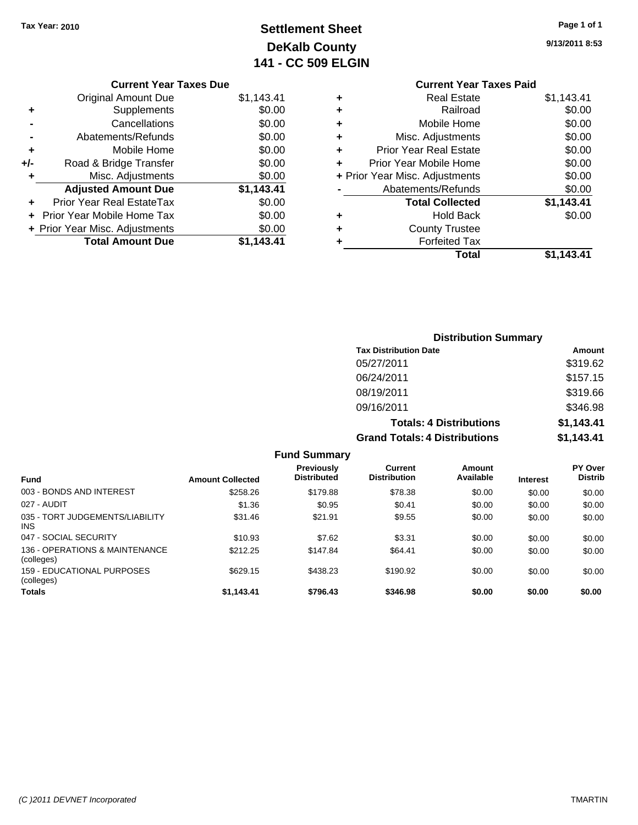## **Settlement Sheet Tax Year: 2010 Page 1 of 1 DeKalb County 141 - CC 509 ELGIN**

#### **9/13/2011 8:53**

|   | <b>Current Year Taxes Paid</b> |            |
|---|--------------------------------|------------|
| ٠ | <b>Real Estate</b>             | \$1,143.41 |
| ٠ | Railroad                       | \$0.00     |
| ٠ | Mobile Home                    | \$0.00     |
| ÷ | Misc. Adjustments              | \$0.00     |
| ٠ | <b>Prior Year Real Estate</b>  | \$0.00     |
| ÷ | Prior Year Mobile Home         | \$0.00     |
|   | + Prior Year Misc. Adjustments | \$0.00     |
|   | Abatements/Refunds             | \$0.00     |
|   | <b>Total Collected</b>         | \$1,143.41 |
| ٠ | <b>Hold Back</b>               | \$0.00     |
| ٠ | <b>County Trustee</b>          |            |
|   | <b>Forfeited Tax</b>           |            |
|   | Total                          | \$1.143.41 |

|     | <b>Current Year Taxes Due</b>  |            |
|-----|--------------------------------|------------|
|     | Original Amount Due            | \$1,143.41 |
| ٠   | Supplements                    | \$0.00     |
|     | Cancellations                  | \$0.00     |
|     | Abatements/Refunds             | \$0.00     |
| ٠   | Mobile Home                    | \$0.00     |
| +/- | Road & Bridge Transfer         | \$0.00     |
|     | Misc. Adjustments              | \$0.00     |
|     | <b>Adjusted Amount Due</b>     | \$1,143.41 |
|     | Prior Year Real EstateTax      | \$0.00     |
|     | Prior Year Mobile Home Tax     | \$0.00     |
|     | + Prior Year Misc. Adjustments | \$0.00     |
|     | <b>Total Amount Due</b>        | \$1.143.41 |
|     |                                |            |

| <b>Distribution Summary</b>          |            |
|--------------------------------------|------------|
| <b>Tax Distribution Date</b>         | Amount     |
| 05/27/2011                           | \$319.62   |
| 06/24/2011                           | \$157.15   |
| 08/19/2011                           | \$319.66   |
| 09/16/2011                           | \$346.98   |
| <b>Totals: 4 Distributions</b>       | \$1,143.41 |
| <b>Grand Totals: 4 Distributions</b> | \$1,143.41 |

|                                               |                         | <b>Fund Summary</b>              |                                |                     |                 |                           |
|-----------------------------------------------|-------------------------|----------------------------------|--------------------------------|---------------------|-----------------|---------------------------|
| <b>Fund</b>                                   | <b>Amount Collected</b> | Previously<br><b>Distributed</b> | Current<br><b>Distribution</b> | Amount<br>Available | <b>Interest</b> | PY Over<br><b>Distrib</b> |
| 003 - BONDS AND INTEREST                      | \$258.26                | \$179.88                         | \$78.38                        | \$0.00              | \$0.00          | \$0.00                    |
| 027 - AUDIT                                   | \$1.36                  | \$0.95                           | \$0.41                         | \$0.00              | \$0.00          | \$0.00                    |
| 035 - TORT JUDGEMENTS/LIABILITY<br><b>INS</b> | \$31.46                 | \$21.91                          | \$9.55                         | \$0.00              | \$0.00          | \$0.00                    |
| 047 - SOCIAL SECURITY                         | \$10.93                 | \$7.62                           | \$3.31                         | \$0.00              | \$0.00          | \$0.00                    |
| 136 - OPERATIONS & MAINTENANCE<br>(colleges)  | \$212.25                | \$147.84                         | \$64.41                        | \$0.00              | \$0.00          | \$0.00                    |
| 159 - FDUCATIONAL PURPOSES<br>(colleges)      | \$629.15                | \$438.23                         | \$190.92                       | \$0.00              | \$0.00          | \$0.00                    |
| <b>Totals</b>                                 | \$1,143.41              | \$796.43                         | \$346.98                       | \$0.00              | \$0.00          | \$0.00                    |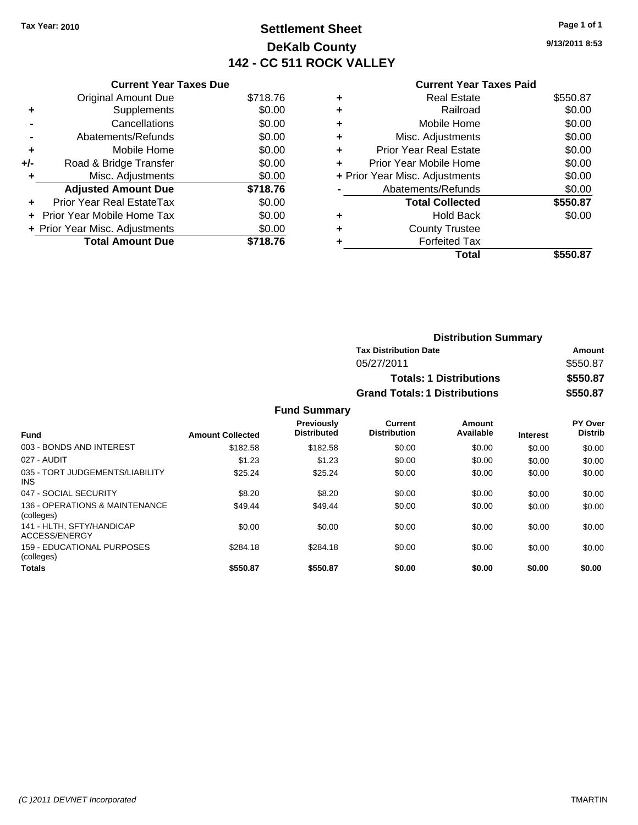## **Settlement Sheet Tax Year: 2010 Page 1 of 1 DeKalb County 142 - CC 511 ROCK VALLEY**

**9/13/2011 8:53**

#### **Current Year Taxes Paid**

|     | <b>Current Year Taxes Due</b>     |          |
|-----|-----------------------------------|----------|
|     | <b>Original Amount Due</b>        | \$718.76 |
| ÷   | Supplements                       | \$0.00   |
|     | Cancellations                     | \$0.00   |
|     | Abatements/Refunds                | \$0.00   |
| ٠   | Mobile Home                       | \$0.00   |
| +/- | Road & Bridge Transfer            | \$0.00   |
|     | Misc. Adjustments                 | \$0.00   |
|     | <b>Adjusted Amount Due</b>        | \$718.76 |
| ٠   | Prior Year Real EstateTax         | \$0.00   |
|     | <b>Prior Year Mobile Home Tax</b> | \$0.00   |
|     | + Prior Year Misc. Adjustments    | \$0.00   |
|     | <b>Total Amount Due</b>           | \$718.76 |

|   | Total                          | \$550.87 |
|---|--------------------------------|----------|
|   | <b>Forfeited Tax</b>           |          |
|   | <b>County Trustee</b>          |          |
| ٠ | <b>Hold Back</b>               | \$0.00   |
|   | <b>Total Collected</b>         | \$550.87 |
|   | Abatements/Refunds             | \$0.00   |
|   | + Prior Year Misc. Adjustments | \$0.00   |
| ÷ | Prior Year Mobile Home         | \$0.00   |
| ÷ | <b>Prior Year Real Estate</b>  | \$0.00   |
| ٠ | Misc. Adjustments              | \$0.00   |
| ٠ | Mobile Home                    | \$0.00   |
| ٠ | Railroad                       | \$0.00   |
| ٠ | <b>Real Estate</b>             | \$550.87 |
|   |                                |          |

| <b>Distribution Summary</b>          |          |
|--------------------------------------|----------|
| <b>Tax Distribution Date</b>         | Amount   |
| 05/27/2011                           | \$550.87 |
| <b>Totals: 1 Distributions</b>       | \$550.87 |
| <b>Grand Totals: 1 Distributions</b> | \$550.87 |

#### **Fund Summary**

| <b>Fund</b>                                   | <b>Amount Collected</b> | <b>Previously</b><br><b>Distributed</b> | <b>Current</b><br><b>Distribution</b> | Amount<br>Available | <b>Interest</b> | PY Over<br><b>Distrib</b> |
|-----------------------------------------------|-------------------------|-----------------------------------------|---------------------------------------|---------------------|-----------------|---------------------------|
| 003 - BONDS AND INTEREST                      | \$182.58                | \$182.58                                | \$0.00                                | \$0.00              | \$0.00          | \$0.00                    |
| 027 - AUDIT                                   | \$1.23                  | \$1.23                                  | \$0.00                                | \$0.00              | \$0.00          | \$0.00                    |
| 035 - TORT JUDGEMENTS/LIABILITY<br><b>INS</b> | \$25.24                 | \$25.24                                 | \$0.00                                | \$0.00              | \$0.00          | \$0.00                    |
| 047 - SOCIAL SECURITY                         | \$8.20                  | \$8.20                                  | \$0.00                                | \$0.00              | \$0.00          | \$0.00                    |
| 136 - OPERATIONS & MAINTENANCE<br>(colleges)  | \$49.44                 | \$49.44                                 | \$0.00                                | \$0.00              | \$0.00          | \$0.00                    |
| 141 - HLTH, SFTY/HANDICAP<br>ACCESS/ENERGY    | \$0.00                  | \$0.00                                  | \$0.00                                | \$0.00              | \$0.00          | \$0.00                    |
| 159 - EDUCATIONAL PURPOSES<br>(colleges)      | \$284.18                | \$284.18                                | \$0.00                                | \$0.00              | \$0.00          | \$0.00                    |
| <b>Totals</b>                                 | \$550.87                | \$550.87                                | \$0.00                                | \$0.00              | \$0.00          | \$0.00                    |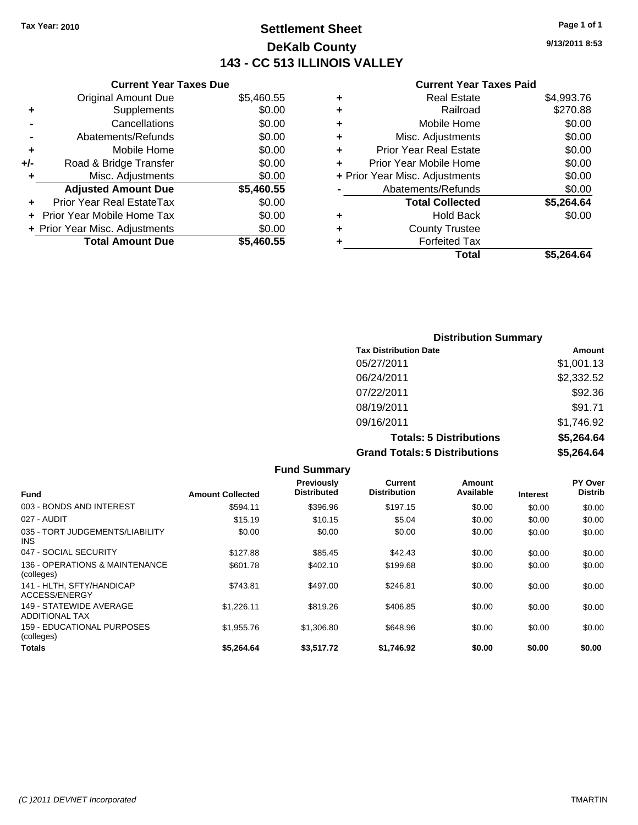#### **Settlement Sheet Tax Year: 2010 Page 1 of 1 DeKalb County 143 - CC 513 ILLINOIS VALLEY**

**9/13/2011 8:53**

| <b>Current Year Taxes Paid</b> |  |  |  |
|--------------------------------|--|--|--|
|--------------------------------|--|--|--|

|     | <b>Current Year Taxes Due</b>     |            |
|-----|-----------------------------------|------------|
|     | <b>Original Amount Due</b>        | \$5,460.55 |
| ٠   | Supplements                       | \$0.00     |
|     | Cancellations                     | \$0.00     |
|     | Abatements/Refunds                | \$0.00     |
| ÷   | Mobile Home                       | \$0.00     |
| +/- | Road & Bridge Transfer            | \$0.00     |
| ٠   | Misc. Adjustments                 | \$0.00     |
|     | <b>Adjusted Amount Due</b>        | \$5,460.55 |
| ٠   | Prior Year Real EstateTax         | \$0.00     |
|     | <b>Prior Year Mobile Home Tax</b> | \$0.00     |
|     | + Prior Year Misc. Adjustments    | \$0.00     |
|     | <b>Total Amount Due</b>           | \$5,460.55 |
|     |                                   |            |

| ٠ | <b>Real Estate</b>             | \$4,993.76 |
|---|--------------------------------|------------|
| ٠ | Railroad                       | \$270.88   |
| ٠ | Mobile Home                    | \$0.00     |
| ÷ | Misc. Adjustments              | \$0.00     |
| ٠ | Prior Year Real Estate         | \$0.00     |
| ٠ | Prior Year Mobile Home         | \$0.00     |
|   | + Prior Year Misc. Adjustments | \$0.00     |
|   | Abatements/Refunds             | \$0.00     |
|   | <b>Total Collected</b>         | \$5,264.64 |
| ٠ | <b>Hold Back</b>               | \$0.00     |
| ٠ | <b>County Trustee</b>          |            |
| ٠ | <b>Forfeited Tax</b>           |            |
|   | Total                          | \$5,264.64 |
|   |                                |            |

| <b>Distribution Summary</b>          |            |
|--------------------------------------|------------|
| <b>Tax Distribution Date</b>         | Amount     |
| 05/27/2011                           | \$1,001.13 |
| 06/24/2011                           | \$2,332.52 |
| 07/22/2011                           | \$92.36    |
| 08/19/2011                           | \$91.71    |
| 09/16/2011                           | \$1,746.92 |
| <b>Totals: 5 Distributions</b>       | \$5,264.64 |
| <b>Grand Totals: 5 Distributions</b> | \$5,264.64 |

|                                                  |                         | <b>Fund Summary</b>                     |                                |                     |                 |                                  |
|--------------------------------------------------|-------------------------|-----------------------------------------|--------------------------------|---------------------|-----------------|----------------------------------|
| <b>Fund</b>                                      | <b>Amount Collected</b> | <b>Previously</b><br><b>Distributed</b> | Current<br><b>Distribution</b> | Amount<br>Available | <b>Interest</b> | <b>PY Over</b><br><b>Distrib</b> |
| 003 - BONDS AND INTEREST                         | \$594.11                | \$396.96                                | \$197.15                       | \$0.00              | \$0.00          | \$0.00                           |
| 027 - AUDIT                                      | \$15.19                 | \$10.15                                 | \$5.04                         | \$0.00              | \$0.00          | \$0.00                           |
| 035 - TORT JUDGEMENTS/LIABILITY<br><b>INS</b>    | \$0.00                  | \$0.00                                  | \$0.00                         | \$0.00              | \$0.00          | \$0.00                           |
| 047 - SOCIAL SECURITY                            | \$127.88                | \$85.45                                 | \$42.43                        | \$0.00              | \$0.00          | \$0.00                           |
| 136 - OPERATIONS & MAINTENANCE<br>(colleges)     | \$601.78                | \$402.10                                | \$199.68                       | \$0.00              | \$0.00          | \$0.00                           |
| 141 - HLTH, SFTY/HANDICAP<br>ACCESS/ENERGY       | \$743.81                | \$497.00                                | \$246.81                       | \$0.00              | \$0.00          | \$0.00                           |
| 149 - STATEWIDE AVERAGE<br><b>ADDITIONAL TAX</b> | \$1,226.11              | \$819.26                                | \$406.85                       | \$0.00              | \$0.00          | \$0.00                           |
| 159 - EDUCATIONAL PURPOSES<br>(colleges)         | \$1,955.76              | \$1,306.80                              | \$648.96                       | \$0.00              | \$0.00          | \$0.00                           |
| <b>Totals</b>                                    | \$5,264.64              | \$3,517.72                              | \$1,746.92                     | \$0.00              | \$0.00          | \$0.00                           |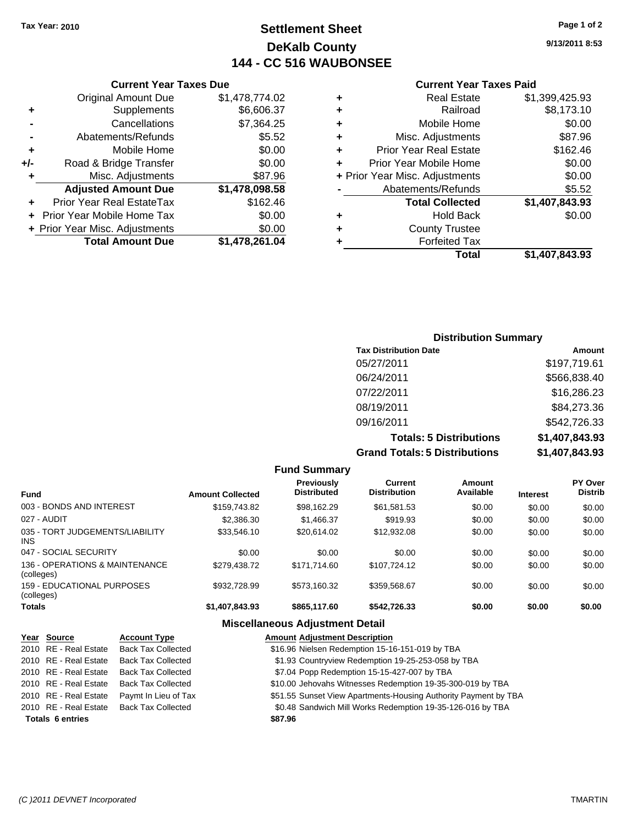#### **Settlement Sheet Tax Year: 2010 Page 1 of 2 DeKalb County 144 - CC 516 WAUBONSEE**

**Current Year Taxes Due**

|     | <b>Original Amount Due</b>     | \$1,478,774.02 |
|-----|--------------------------------|----------------|
| ٠   | Supplements                    | \$6,606.37     |
|     | Cancellations                  | \$7,364.25     |
|     | Abatements/Refunds             | \$5.52         |
| ٠   | Mobile Home                    | \$0.00         |
| +/- | Road & Bridge Transfer         | \$0.00         |
| ÷   | Misc. Adjustments              | \$87.96        |
|     | <b>Adjusted Amount Due</b>     | \$1,478,098.58 |
|     | Prior Year Real EstateTax      | \$162.46       |
|     | Prior Year Mobile Home Tax     | \$0.00         |
|     | + Prior Year Misc. Adjustments | \$0.00         |
|     | <b>Total Amount Due</b>        | \$1,478,261.04 |

#### **Current Year Taxes Paid**

| ٠ | <b>Real Estate</b>             | \$1,399,425.93 |
|---|--------------------------------|----------------|
| ٠ | Railroad                       | \$8,173.10     |
| ٠ | Mobile Home                    | \$0.00         |
| ٠ | Misc. Adjustments              | \$87.96        |
| ÷ | <b>Prior Year Real Estate</b>  | \$162.46       |
| ٠ | Prior Year Mobile Home         | \$0.00         |
|   | + Prior Year Misc. Adjustments | \$0.00         |
|   | Abatements/Refunds             | \$5.52         |
|   | <b>Total Collected</b>         | \$1,407,843.93 |
| ٠ | <b>Hold Back</b>               | \$0.00         |
| ٠ | <b>County Trustee</b>          |                |
| ٠ | <b>Forfeited Tax</b>           |                |
|   | Total                          | \$1,407,843.93 |
|   |                                |                |

#### **Distribution Summary Tax Distribution Date Amount** 05/27/2011 \$197,719.61 06/24/2011 \$566,838.40 07/22/2011 \$16,286.23 08/19/2011 \$84,273.36 09/16/2011 \$542,726.33 **Totals: 5 Distributions \$1,407,843.93 Grand Totals: 5 Distributions \$1,407,843.93**

**Fund Summary Fund Interest Amount Collected Distributed PY Over Distrib Amount Available Current Distribution Previously** 003 - BONDS AND INTEREST 6159.743.82 \$98.162.29 \$61.581.53 \$0.00 \$0.00 \$0.00 \$0.00 027 - AUDIT \$2,386.30 \$1,466.37 \$919.93 \$0.00 \$0.00 \$0.00 035 - TORT JUDGEMENTS/LIABILITY INS \$33,546.10 \$20,614.02 \$12,932.08 \$0.00 \$0.00 \$0.00 \$0.00 047 - SOCIAL SECURITY \$0.00 \$0.00 \$0.00 \$0.00 \$0.00 \$0.00 136 - OPERATIONS & MAINTENANCE (colleges) \$279,438.72 \$171,714.60 \$107,724.12 \$0.00 \$0.00 \$0.00 159 - EDUCATIONAL PURPOSES (colleges)  $$932,728.99$   $$573,160.32$   $$359,568.67$   $$0.00$   $$0.00$   $$0.00$ **Totals \$1,407,843.93 \$865,117.60 \$542,726.33 \$0.00 \$0.00 \$0.00 Miscellaneous Adjustment Detail**

| Year Source             | <b>Account Type</b>                      | <b>Amount Adjustment Description</b>                            |
|-------------------------|------------------------------------------|-----------------------------------------------------------------|
| 2010 RE - Real Estate   | <b>Back Tax Collected</b>                | \$16.96 Nielsen Redemption 15-16-151-019 by TBA                 |
| 2010 RE - Real Estate   | <b>Back Tax Collected</b>                | \$1.93 Countryview Redemption 19-25-253-058 by TBA              |
| 2010 RE - Real Estate   | <b>Back Tax Collected</b>                | \$7.04 Popp Redemption 15-15-427-007 by TBA                     |
| 2010 RE - Real Estate   | <b>Back Tax Collected</b>                | \$10.00 Jehovahs Witnesses Redemption 19-35-300-019 by TBA      |
| 2010 RE - Real Estate   | Paymt In Lieu of Tax                     | \$51.55 Sunset View Apartments-Housing Authority Payment by TBA |
|                         | 2010 RE - Real Estate Back Tax Collected | \$0.48 Sandwich Mill Works Redemption 19-35-126-016 by TBA      |
| <b>Totals 6 entries</b> |                                          | \$87.96                                                         |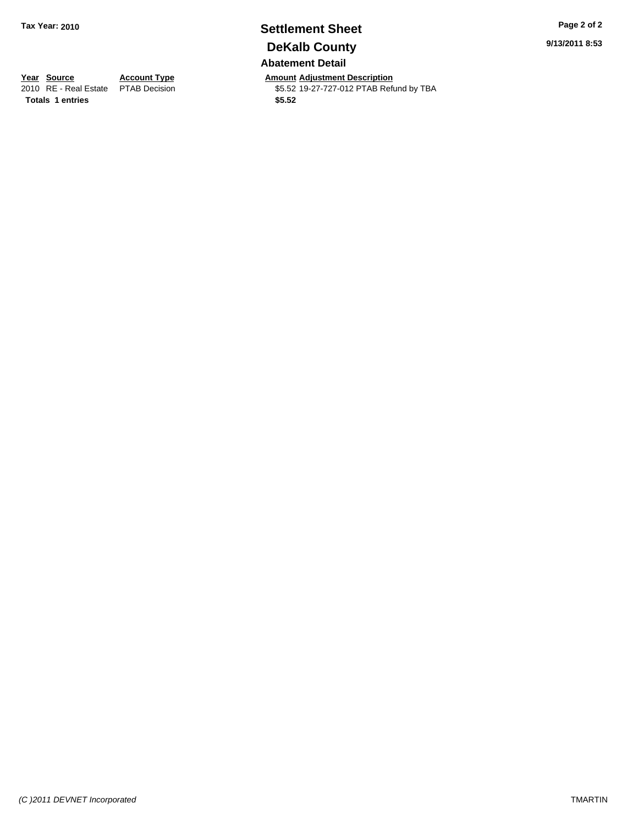#### **Settlement Sheet Tax Year: 2010 Page 2 of 2 DeKalb County Abatement Detail**

**Year Source Account Type Amount Adjustment Description**<br>
2010 RE - Real Estate PTAB Decision **Amount** \$5.52 19-27-727-012 PTAB Refu \$5.52 19-27-727-012 PTAB Refund by TBA

Totals 1 entries \$5.52

*(C )2011 DEVNET Incorporated* TMARTIN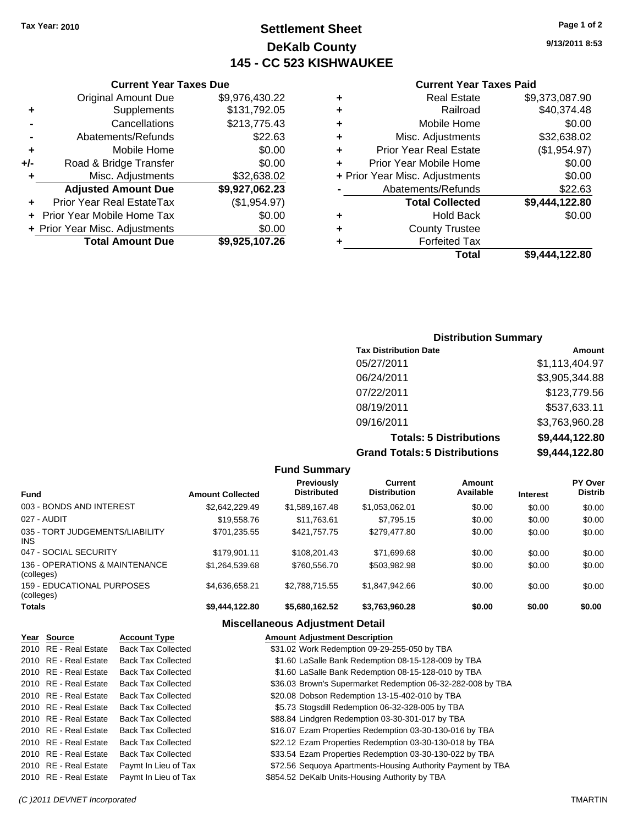#### **Settlement Sheet Tax Year: 2010 Page 1 of 2 DeKalb County 145 - CC 523 KISHWAUKEE**

**9/13/2011 8:53**

#### **Current Year Taxes Paid**

| ٠ | Mobile Home                    | \$0.00         |
|---|--------------------------------|----------------|
| ٠ | Misc. Adjustments              | \$32,638.02    |
| ٠ | <b>Prior Year Real Estate</b>  | (\$1,954.97)   |
| ٠ | Prior Year Mobile Home         | \$0.00         |
|   | + Prior Year Misc. Adjustments | \$0.00         |
|   | Abatements/Refunds             | \$22.63        |
|   | <b>Total Collected</b>         | \$9,444,122.80 |
|   |                                |                |
| ٠ | <b>Hold Back</b>               | \$0.00         |
| ٠ | <b>County Trustee</b>          |                |
|   | <b>Forfeited Tax</b>           |                |

|     | <b>Current Year Taxes Due</b>  |                |
|-----|--------------------------------|----------------|
|     | <b>Original Amount Due</b>     | \$9,976,430.22 |
| ٠   | Supplements                    | \$131,792.05   |
|     | Cancellations                  | \$213,775.43   |
|     | Abatements/Refunds             | \$22.63        |
| ٠   | Mobile Home                    | \$0.00         |
| +/- | Road & Bridge Transfer         | \$0.00         |
| ٠   | Misc. Adjustments              | \$32,638.02    |
|     | <b>Adjusted Amount Due</b>     | \$9,927,062.23 |
|     | Prior Year Real EstateTax      | (\$1,954.97)   |
|     | Prior Year Mobile Home Tax     | \$0.00         |
|     | + Prior Year Misc. Adjustments | \$0.00         |
|     | <b>Total Amount Due</b>        | \$9,925,107.26 |

#### **Distribution Summary**

| <b>Tax Distribution Date</b>         | Amount         |
|--------------------------------------|----------------|
| 05/27/2011                           | \$1,113,404.97 |
| 06/24/2011                           | \$3,905,344.88 |
| 07/22/2011                           | \$123,779.56   |
| 08/19/2011                           | \$537,633.11   |
| 09/16/2011                           | \$3,763,960.28 |
| <b>Totals: 5 Distributions</b>       | \$9,444,122.80 |
| <b>Grand Totals: 5 Distributions</b> | \$9,444,122.80 |

|                                                 |                         | <b>Fund Summary</b>                     |                                       |                     |                 |                           |
|-------------------------------------------------|-------------------------|-----------------------------------------|---------------------------------------|---------------------|-----------------|---------------------------|
| <b>Fund</b>                                     | <b>Amount Collected</b> | <b>Previously</b><br><b>Distributed</b> | <b>Current</b><br><b>Distribution</b> | Amount<br>Available | <b>Interest</b> | PY Over<br><b>Distrib</b> |
| 003 - BONDS AND INTEREST                        | \$2,642,229.49          | \$1,589,167.48                          | \$1,053,062.01                        | \$0.00              | \$0.00          | \$0.00                    |
| 027 - AUDIT                                     | \$19,558.76             | \$11.763.61                             | \$7.795.15                            | \$0.00              | \$0.00          | \$0.00                    |
| 035 - TORT JUDGEMENTS/LIABILITY<br>INS.         | \$701.235.55            | \$421,757,75                            | \$279,477,80                          | \$0.00              | \$0.00          | \$0.00                    |
| 047 - SOCIAL SECURITY                           | \$179.901.11            | \$108.201.43                            | \$71.699.68                           | \$0.00              | \$0.00          | \$0.00                    |
| 136 - OPERATIONS & MAINTENANCE<br>(colleges)    | \$1.264.539.68          | \$760,556.70                            | \$503.982.98                          | \$0.00              | \$0.00          | \$0.00                    |
| <b>159 - EDUCATIONAL PURPOSES</b><br>(colleges) | \$4.636.658.21          | \$2.788.715.55                          | \$1.847.942.66                        | \$0.00              | \$0.00          | \$0.00                    |
| Totals                                          | \$9,444,122.80          | \$5,680,162.52                          | \$3,763,960.28                        | \$0.00              | \$0.00          | \$0.00                    |
|                                                 |                         | <b>Miscellaneous Adjustment Detail</b>  |                                       |                     |                 |                           |

\$31.02 Work Redemption 09-29-255-050 by TBA

## **Year Source Account Type Amount Adjustment Description**

| ZUIU KE Keal Estate   | Dack Tax Collected        | 331.02 WORK REGEMBRION 09-29-255-050 BY TDA                 |
|-----------------------|---------------------------|-------------------------------------------------------------|
| 2010 RE - Real Estate | <b>Back Tax Collected</b> | \$1.60 LaSalle Bank Redemption 08-15-128-009 by TBA         |
| 2010 RE - Real Estate | <b>Back Tax Collected</b> | \$1.60 LaSalle Bank Redemption 08-15-128-010 by TBA         |
| 2010 RE - Real Estate | <b>Back Tax Collected</b> | \$36.03 Brown's Supermarket Redemption 06-32-282-008 by TBA |
| 2010 RE - Real Estate | <b>Back Tax Collected</b> | \$20.08 Dobson Redemption 13-15-402-010 by TBA              |
| 2010 RE - Real Estate | <b>Back Tax Collected</b> | \$5.73 Stogsdill Redemption 06-32-328-005 by TBA            |
| 2010 RE - Real Estate | <b>Back Tax Collected</b> | \$88.84 Lindgren Redemption 03-30-301-017 by TBA            |
| 2010 RE - Real Estate | <b>Back Tax Collected</b> | \$16.07 Ezam Properties Redemption 03-30-130-016 by TBA     |
| 2010 RE - Real Estate | <b>Back Tax Collected</b> | \$22.12 Ezam Properties Redemption 03-30-130-018 by TBA     |
| 2010 RE - Real Estate | <b>Back Tax Collected</b> | \$33.54 Ezam Properties Redemption 03-30-130-022 by TBA     |
| 2010 RE - Real Estate | Paymt In Lieu of Tax      | \$72.56 Sequoya Apartments-Housing Authority Payment by TBA |
| 2010 RE - Real Estate | Paymt In Lieu of Tax      | \$854.52 DeKalb Units-Housing Authority by TBA              |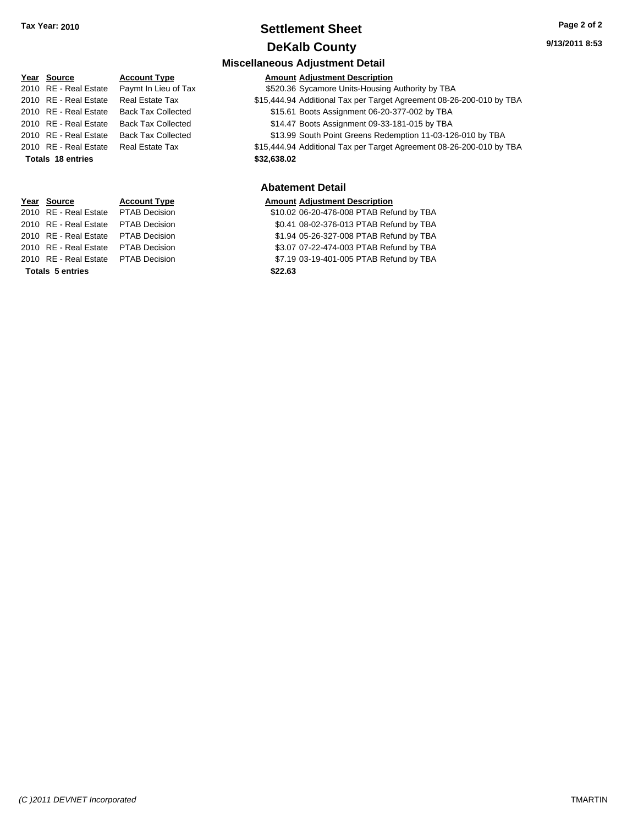#### **Settlement Sheet Tax Year: 2010 Page 2 of 2 DeKalb County**

**9/13/2011 8:53**

#### **Miscellaneous Adjustment Detail Year Source Account Type Amount Adjustment Description** 2010 RE - Real Estate Paymt In Lieu of Tax \$520.36 Sycamore Units-Housing Authority by TBA 2010 RE - Real Estate Real Estate Tax \$15,444.94 Additional Tax per Target Agreement 08-26-200-010 by TBA 2010 RE - Real Estate Back Tax Collected \$15.61 Boots Assignment 06-20-377-002 by TBA 2010 RE - Real Estate Back Tax Collected \$14.47 Boots Assignment 09-33-181-015 by TBA 2010 RE - Real Estate Back Tax Collected \$13.99 South Point Greens Redemption 11-03-126-010 by TBA 2010 RE - Real Estate Real Estate Tax \$15,444.94 Additional Tax per Target Agreement 08-26-200-010 by TBA **Totals 18 entries** \$32,638.02 **Abatement Detail Year Source Account Type Amount Adjustment Description** \$10.02 06-20-476-008 PTAB Refund by TBA 2010 RE - Real Estate \$0.41 08-02-376-013 PTAB Refund by TBA PTAB Decision 2010 RE - Real Estate \$1.94 05-26-327-008 PTAB Refund by TBA PTAB Decision

2010 RE - Real Estate \$3.07 07-22-474-003 PTAB Refund by TBA PTAB Decision

2010 RE - Real Estate \$7.19 03-19-401-005 PTAB Refund by TBA PTAB Decision **Totals \$22.63 5 entries**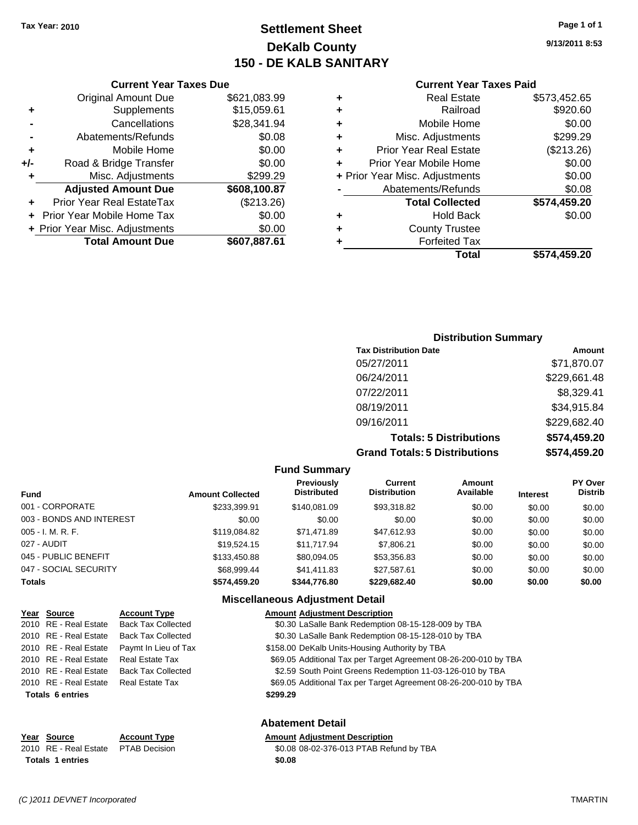## **Settlement Sheet Tax Year: 2010 Page 1 of 1 DeKalb County 150 - DE KALB SANITARY**

**9/13/2011 8:53**

| <b>Current Year Taxes Paid</b> |  |  |  |
|--------------------------------|--|--|--|
|--------------------------------|--|--|--|

#### **Current Year Taxes Due** Original Amount Due \$621,083.99 **+** Supplements \$15,059.61 **-** Cancellations \$28,341.9 **-** Abatements/Refunds \$0.08 **+** Mobile Home \$0.00 **+/-** Road & Bridge Transfer \$0.00 **+** Misc. Adjustments \$299.29 Adjusted Amount Due \$608,100.8 **+** Prior Year Real EstateTax (\$213.26) **+** Prior Year Mobile Home Tax  $$0.00$ **+ Prior Year Misc. Adjustments \$0.00 Total Amount Due \$607,887.61**

#### **Distribution Summary Tax Distribution Date Amount** 05/27/2011 \$71,870.07 06/24/2011 \$229,661.48 07/22/2011 \$8,329.41 08/19/2011 \$34,915.84 09/16/2011 \$229,682.40 **Totals: 5 Distributions \$574,459.20 Grand Totals: 5 Distributions \$574,459.20**

|                          |                         | <b>Fund Summary</b>                     |                                       |                     |                 |                           |
|--------------------------|-------------------------|-----------------------------------------|---------------------------------------|---------------------|-----------------|---------------------------|
| <b>Fund</b>              | <b>Amount Collected</b> | <b>Previously</b><br><b>Distributed</b> | <b>Current</b><br><b>Distribution</b> | Amount<br>Available | <b>Interest</b> | PY Over<br><b>Distrib</b> |
| 001 - CORPORATE          | \$233.399.91            | \$140.081.09                            | \$93,318.82                           | \$0.00              | \$0.00          | \$0.00                    |
| 003 - BONDS AND INTEREST | \$0.00                  | \$0.00                                  | \$0.00                                | \$0.00              | \$0.00          | \$0.00                    |
| $005 - I. M. R. F.$      | \$119,084.82            | \$71.471.89                             | \$47,612.93                           | \$0.00              | \$0.00          | \$0.00                    |
| 027 - AUDIT              | \$19.524.15             | \$11.717.94                             | \$7,806.21                            | \$0.00              | \$0.00          | \$0.00                    |
| 045 - PUBLIC BENEFIT     | \$133,450.88            | \$80,094.05                             | \$53,356.83                           | \$0.00              | \$0.00          | \$0.00                    |
| 047 - SOCIAL SECURITY    | \$68,999.44             | \$41,411.83                             | \$27,587.61                           | \$0.00              | \$0.00          | \$0.00                    |
| <b>Totals</b>            | \$574,459.20            | \$344.776.80                            | \$229,682.40                          | \$0.00              | \$0.00          | \$0.00                    |

#### **Miscellaneous Adjustment Detail**

| Year Source             | <b>Account Type</b>       | <b>Amount Adjustment Description</b>                             |
|-------------------------|---------------------------|------------------------------------------------------------------|
| 2010 RE - Real Estate   | <b>Back Tax Collected</b> | \$0.30 LaSalle Bank Redemption 08-15-128-009 by TBA              |
| 2010 RE - Real Estate   | <b>Back Tax Collected</b> | \$0.30 LaSalle Bank Redemption 08-15-128-010 by TBA              |
| 2010 RE - Real Estate   | Paymt In Lieu of Tax      | \$158.00 DeKalb Units-Housing Authority by TBA                   |
| 2010 RE - Real Estate   | <b>Real Estate Tax</b>    | \$69.05 Additional Tax per Target Agreement 08-26-200-010 by TBA |
| 2010 RE - Real Estate   | <b>Back Tax Collected</b> | \$2.59 South Point Greens Redemption 11-03-126-010 by TBA        |
| 2010 RE - Real Estate   | <b>Real Estate Tax</b>    | \$69.05 Additional Tax per Target Agreement 08-26-200-010 by TBA |
| <b>Totals 6 entries</b> |                           | \$299.29                                                         |
|                         |                           | <b>Abatement Detail</b>                                          |
| Year Source             | <b>Account Type</b>       | <b>Amount Adjustment Description</b>                             |

#### 2010 RE - Real Estate PTAB Decision 30.08 08-02-376-013 PTAB Refund by TBA **Totals \$0.08 1 entries**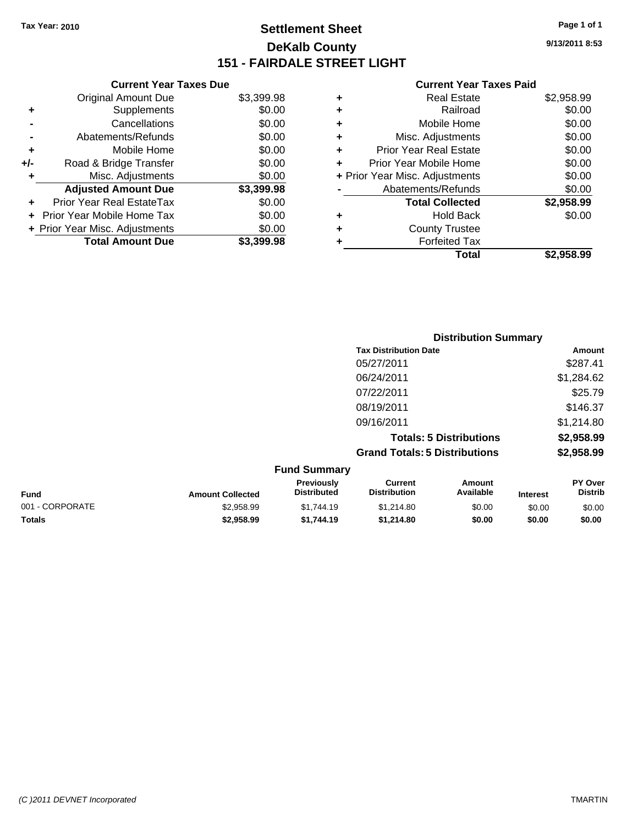## **Settlement Sheet Tax Year: 2010 Page 1 of 1 DeKalb County 151 - FAIRDALE STREET LIGHT**

**9/13/2011 8:53**

#### **Current Year Taxes Paid**

| \$3,399.98 |
|------------|
|            |
| \$0.00     |
| \$0.00     |
| \$0.00     |
| \$0.00     |
| \$0.00     |
| \$0.00     |
| \$3,399.98 |
| \$0.00     |
| \$0.00     |
| \$0.00     |
|            |
| \$3.399.98 |

| \$0.00     |
|------------|
| \$0.00     |
| \$0.00     |
| \$0.00     |
| \$0.00     |
| \$0.00     |
| \$0.00     |
| \$2,958.99 |
| \$0.00     |
|            |
|            |
| \$2.958.99 |
|            |

|                 |                         |                                  | <b>Distribution Summary</b>           |                                |                 |                           |
|-----------------|-------------------------|----------------------------------|---------------------------------------|--------------------------------|-----------------|---------------------------|
|                 |                         |                                  | <b>Tax Distribution Date</b>          |                                |                 | Amount                    |
|                 |                         |                                  | 05/27/2011                            |                                |                 | \$287.41                  |
|                 |                         |                                  | 06/24/2011                            |                                |                 | \$1,284.62                |
|                 |                         |                                  | 07/22/2011                            |                                |                 | \$25.79                   |
|                 |                         |                                  | 08/19/2011                            |                                |                 | \$146.37                  |
|                 |                         |                                  | 09/16/2011                            |                                |                 | \$1,214.80                |
|                 |                         |                                  |                                       | <b>Totals: 5 Distributions</b> |                 | \$2,958.99                |
|                 |                         |                                  | <b>Grand Totals: 5 Distributions</b>  |                                |                 | \$2,958.99                |
|                 |                         | <b>Fund Summary</b>              |                                       |                                |                 |                           |
| <b>Fund</b>     | <b>Amount Collected</b> | Previously<br><b>Distributed</b> | <b>Current</b><br><b>Distribution</b> | Amount<br>Available            | <b>Interest</b> | PY Over<br><b>Distrib</b> |
| 001 - CORPORATE | \$2,958.99              | \$1,744.19                       | \$1,214.80                            | \$0.00                         | \$0.00          | \$0.00                    |

**Totals \$2,958.99 \$1,744.19 \$1,214.80 \$0.00 \$0.00 \$0.00**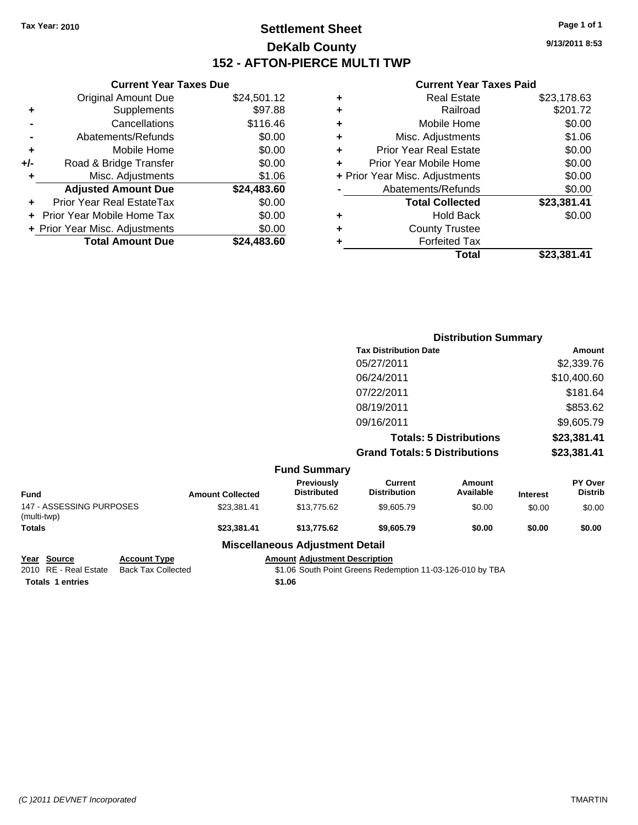#### **Settlement Sheet Tax Year: 2010 Page 1 of 1 DeKalb County 152 - AFTON-PIERCE MULTI TWP**

**9/13/2011 8:53**

#### **Current Year Taxes Paid**

| ٠ | Real Estate                    | \$23,178.63 |
|---|--------------------------------|-------------|
| ٠ | Railroad                       | \$201.72    |
| ٠ | Mobile Home                    | \$0.00      |
| ٠ | Misc. Adjustments              | \$1.06      |
| ٠ | <b>Prior Year Real Estate</b>  | \$0.00      |
| ٠ | Prior Year Mobile Home         | \$0.00      |
|   | + Prior Year Misc. Adjustments | \$0.00      |
|   | Abatements/Refunds             | \$0.00      |
|   | <b>Total Collected</b>         | \$23,381.41 |
| ٠ | <b>Hold Back</b>               | \$0.00      |
| ٠ | <b>County Trustee</b>          |             |
| ٠ | <b>Forfeited Tax</b>           |             |
|   | Total                          | \$23.381.41 |

|     | <b>Current Year Taxes Due</b>  |             |
|-----|--------------------------------|-------------|
|     | <b>Original Amount Due</b>     | \$24,501.12 |
| ÷   | Supplements                    | \$97.88     |
|     | Cancellations                  | \$116.46    |
|     | Abatements/Refunds             | \$0.00      |
| ٠   | Mobile Home                    | \$0.00      |
| +/- | Road & Bridge Transfer         | \$0.00      |
| ٠   | Misc. Adjustments              | \$1.06      |
|     | <b>Adjusted Amount Due</b>     | \$24,483.60 |
|     | Prior Year Real EstateTax      | \$0.00      |
|     | Prior Year Mobile Home Tax     | \$0.00      |
|     | + Prior Year Misc. Adjustments | \$0.00      |
|     | <b>Total Amount Due</b>        | \$24,483.60 |
|     |                                |             |

|                         |                         |                                  |                                       | <b>Distribution Summary</b>    |                 |                           |
|-------------------------|-------------------------|----------------------------------|---------------------------------------|--------------------------------|-----------------|---------------------------|
|                         |                         |                                  | <b>Tax Distribution Date</b>          |                                |                 | Amount                    |
|                         |                         |                                  | 05/27/2011                            |                                |                 | \$2,339.76                |
|                         |                         |                                  | 06/24/2011                            |                                |                 | \$10,400.60               |
|                         |                         |                                  | 07/22/2011                            |                                |                 | \$181.64                  |
|                         |                         |                                  | 08/19/2011                            |                                |                 | \$853.62                  |
|                         |                         |                                  | 09/16/2011                            |                                |                 | \$9,605.79                |
|                         |                         |                                  |                                       | <b>Totals: 5 Distributions</b> |                 | \$23,381.41               |
|                         |                         |                                  | <b>Grand Totals: 5 Distributions</b>  |                                |                 | \$23,381.41               |
|                         |                         | <b>Fund Summary</b>              |                                       |                                |                 |                           |
|                         | <b>Amount Collected</b> | Previously<br><b>Distributed</b> | <b>Current</b><br><b>Distribution</b> | <b>Amount</b><br>Available     | <b>Interest</b> | PY Over<br><b>Distrib</b> |
| <b>SECOINIO DURACEO</b> | 0.000011                | 0.4077500                        | 0.0057                                | $\sim$ $\sim$                  | $\cdots$        | $\sim$ $\sim$             |

|                                         |                         | Missellanessen, Adhistorial Detail |                     |           |                 |                |
|-----------------------------------------|-------------------------|------------------------------------|---------------------|-----------|-----------------|----------------|
| <b>Totals</b>                           | \$23.381.41             | \$13.775.62                        | \$9,605.79          | \$0.00    | \$0.00          | \$0.00         |
| 147 - ASSESSING PURPOSES<br>(multi-twp) | \$23.381.41             | \$13,775.62                        | \$9,605.79          | \$0.00    | \$0.00          | \$0.00         |
|                                         |                         |                                    |                     |           |                 |                |
| Fund                                    | <b>Amount Collected</b> | <b>Distributed</b>                 | <b>Distribution</b> | Available | <b>Interest</b> | <b>Distrib</b> |
|                                         |                         | _______                            |                     |           |                 |                |

**Miscellaneous Adjustment Detail**

**Totals \$1.06 1 entries**

**Year Source Account Type Amount Adjustment Description** \$1.06 South Point Greens Redemption 11-03-126-010 by TBA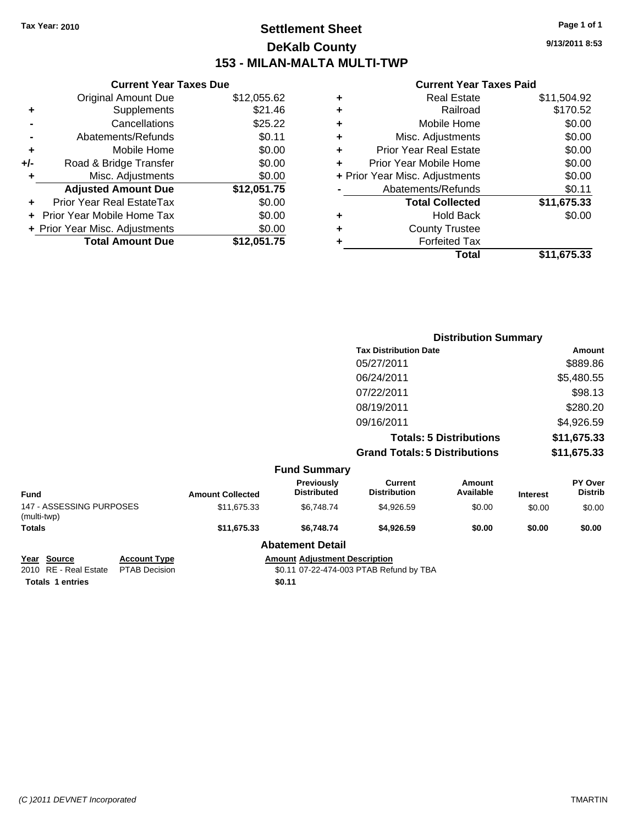#### **Settlement Sheet Tax Year: 2010 Page 1 of 1 DeKalb County 153 - MILAN-MALTA MULTI-TWP**

**9/13/2011 8:53**

#### **Current Year Taxes Paid**

|     | <b>Current Year Taxes Due</b>  |             |   |                 |
|-----|--------------------------------|-------------|---|-----------------|
|     | <b>Original Amount Due</b>     | \$12,055.62 | ٠ |                 |
|     | <b>Supplements</b>             | \$21.46     | ٠ |                 |
|     | Cancellations                  | \$25.22     | ٠ |                 |
|     | Abatements/Refunds             | \$0.11      | ٠ | Mi              |
|     | Mobile Home                    | \$0.00      | ÷ | Prior Y         |
| +/- | Road & Bridge Transfer         | \$0.00      |   | Prior Ye        |
| ٠   | Misc. Adjustments              | \$0.00      |   | + Prior Year Mi |
|     | <b>Adjusted Amount Due</b>     | \$12,051.75 |   | Abat            |
|     | Prior Year Real EstateTax      | \$0.00      |   |                 |
|     | + Prior Year Mobile Home Tax   | \$0.00      | ٠ |                 |
|     | + Prior Year Misc. Adjustments | \$0.00      |   |                 |
|     | <b>Total Amount Due</b>        | \$12,051.75 |   |                 |
|     |                                |             |   |                 |

|   | <b>Real Estate</b>             | \$11,504.92 |
|---|--------------------------------|-------------|
| ٠ | Railroad                       | \$170.52    |
| ٠ | Mobile Home                    | \$0.00      |
| ٠ | Misc. Adjustments              | \$0.00      |
| ٠ | <b>Prior Year Real Estate</b>  | \$0.00      |
|   | Prior Year Mobile Home         | \$0.00      |
|   | + Prior Year Misc. Adjustments | \$0.00      |
|   | Abatements/Refunds             | \$0.11      |
|   | <b>Total Collected</b>         | \$11,675.33 |
| ٠ | <b>Hold Back</b>               | \$0.00      |
| ٠ | <b>County Trustee</b>          |             |
|   | <b>Forfeited Tax</b>           |             |
|   | Total                          | \$11,675.33 |

|                                         |                     |                                         |                                         | <b>Distribution Summary</b>           |                                |                 |                           |
|-----------------------------------------|---------------------|-----------------------------------------|-----------------------------------------|---------------------------------------|--------------------------------|-----------------|---------------------------|
|                                         |                     |                                         |                                         | <b>Tax Distribution Date</b>          |                                |                 | Amount                    |
|                                         |                     |                                         |                                         | 05/27/2011                            |                                |                 | \$889.86                  |
|                                         |                     |                                         |                                         | 06/24/2011                            |                                |                 | \$5,480.55                |
|                                         |                     |                                         |                                         | 07/22/2011                            |                                |                 | \$98.13                   |
|                                         |                     |                                         |                                         | 08/19/2011                            |                                |                 | \$280.20                  |
|                                         |                     |                                         |                                         | 09/16/2011                            |                                |                 | \$4,926.59                |
|                                         |                     |                                         |                                         |                                       | <b>Totals: 5 Distributions</b> |                 | \$11,675.33               |
|                                         |                     |                                         |                                         | <b>Grand Totals: 5 Distributions</b>  |                                |                 | \$11,675.33               |
|                                         |                     |                                         | <b>Fund Summary</b>                     |                                       |                                |                 |                           |
| <b>Fund</b>                             |                     | <b>Amount Collected</b>                 | <b>Previously</b><br><b>Distributed</b> | <b>Current</b><br><b>Distribution</b> | <b>Amount</b><br>Available     | <b>Interest</b> | PY Over<br><b>Distrib</b> |
| 147 - ASSESSING PURPOSES<br>(multi-twp) |                     | \$11,675.33                             | \$6,748.74                              | \$4,926.59                            | \$0.00                         | \$0.00          | \$0.00                    |
| <b>Totals</b>                           |                     | \$11,675.33                             | \$6,748.74                              | \$4,926.59                            | \$0.00                         | \$0.00          | \$0.00                    |
|                                         |                     |                                         | <b>Abatement Detail</b>                 |                                       |                                |                 |                           |
| Year Source                             | <b>Account Type</b> |                                         | <b>Amount Adjustment Description</b>    |                                       |                                |                 |                           |
| 2010 RE - Real Estate                   | PTAB Decision       | \$0.11 07-22-474-003 PTAB Refund by TBA |                                         |                                       |                                |                 |                           |

**Totals 1 entries** \$0.11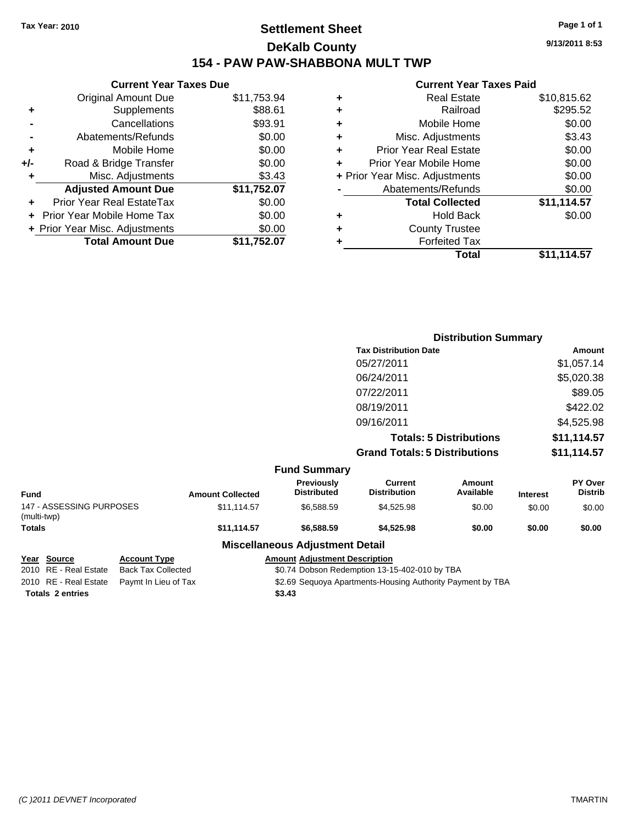#### **Settlement Sheet Tax Year: 2010 Page 1 of 1 DeKalb County 154 - PAW PAW-SHABBONA MULT TWP**

**9/13/2011 8:53**

# **Current Year Taxes Paid**

|     | <b>Current Year Taxes Due</b>  |             |
|-----|--------------------------------|-------------|
|     | Original Amount Due            | \$11,753.94 |
|     | Supplements                    | \$88.61     |
|     | Cancellations                  | \$93.91     |
|     | Abatements/Refunds             | \$0.00      |
| ٠   | Mobile Home                    | \$0.00      |
| +/- | Road & Bridge Transfer         | \$0.00      |
| ٠   | Misc. Adjustments              | \$3.43      |
|     | <b>Adjusted Amount Due</b>     | \$11,752.07 |
|     | Prior Year Real EstateTax      | \$0.00      |
|     | Prior Year Mobile Home Tax     | \$0.00      |
|     | + Prior Year Misc. Adjustments | \$0.00      |
|     | <b>Total Amount Due</b>        | \$11,752.07 |
|     |                                |             |

|   | <b>Real Estate</b>             | \$10,815.62 |
|---|--------------------------------|-------------|
| ٠ | Railroad                       | \$295.52    |
| ٠ | Mobile Home                    | \$0.00      |
| ٠ | Misc. Adjustments              | \$3.43      |
| ٠ | Prior Year Real Estate         | \$0.00      |
|   | Prior Year Mobile Home         | \$0.00      |
|   | + Prior Year Misc. Adjustments | \$0.00      |
|   | Abatements/Refunds             | \$0.00      |
|   | <b>Total Collected</b>         | \$11,114.57 |
| ٠ | <b>Hold Back</b>               | \$0.00      |
| ٠ | <b>County Trustee</b>          |             |
| ٠ | <b>Forfeited Tax</b>           |             |
|   | Total                          | \$11,114.57 |
|   |                                |             |

|                                         |                         |                                  | <b>Distribution Summary</b>          |                                |                 |                                  |
|-----------------------------------------|-------------------------|----------------------------------|--------------------------------------|--------------------------------|-----------------|----------------------------------|
|                                         |                         |                                  | <b>Tax Distribution Date</b>         |                                |                 | Amount                           |
|                                         |                         |                                  | 05/27/2011                           |                                |                 | \$1,057.14                       |
|                                         |                         |                                  | 06/24/2011                           |                                |                 | \$5,020.38                       |
|                                         |                         |                                  | 07/22/2011                           |                                |                 | \$89.05                          |
|                                         |                         |                                  | 08/19/2011                           |                                |                 | \$422.02                         |
|                                         |                         |                                  | 09/16/2011                           |                                |                 | \$4,525.98                       |
|                                         |                         |                                  |                                      | <b>Totals: 5 Distributions</b> |                 | \$11,114.57                      |
|                                         |                         |                                  | <b>Grand Totals: 5 Distributions</b> |                                |                 | \$11,114.57                      |
|                                         |                         | <b>Fund Summary</b>              |                                      |                                |                 |                                  |
| <b>Fund</b>                             | <b>Amount Collected</b> | Previously<br><b>Distributed</b> | Current<br><b>Distribution</b>       | <b>Amount</b><br>Available     | <b>Interest</b> | <b>PY Over</b><br><b>Distrib</b> |
| 147 - ASSESSING PURPOSES<br>(multi-twp) | \$11,114.57             | \$6,588.59                       | \$4,525.98                           | \$0.00                         | \$0.00          | \$0.00                           |

**Totals \$11,114.57 \$6,588.59 \$4,525.98 \$0.00 \$0.00 \$0.00**

**Totals \$3.43 2 entries**

**Miscellaneous Adjustment Detail Year Source Account Type Amount Adjustment Description**

2010 RE - Real Estate Back Tax Collected \$0.74 Dobson Redemption 13-15-402-010 by TBA

2010 RE - Real Estate Paymt In Lieu of Tax **\$2.69 Sequoya Apartments-Housing Authority Payment by TBA**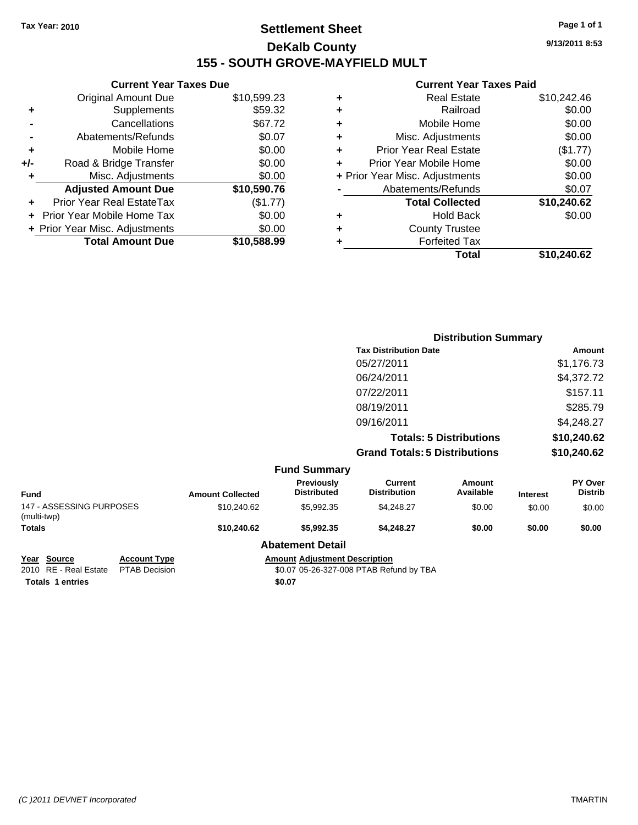#### **Settlement Sheet Tax Year: 2010 Page 1 of 1 DeKalb County 155 - SOUTH GROVE-MAYFIELD MULT**

**9/13/2011 8:53**

#### **Current Year Taxes Paid**

|     | <b>Current Year Taxes Due</b>     |             |
|-----|-----------------------------------|-------------|
|     | <b>Original Amount Due</b>        | \$10,599.23 |
| ٠   | Supplements                       | \$59.32     |
|     | Cancellations                     | \$67.72     |
|     | Abatements/Refunds                | \$0.07      |
| ٠   | Mobile Home                       | \$0.00      |
| +/- | Road & Bridge Transfer            | \$0.00      |
| ٠   | Misc. Adjustments                 | \$0.00      |
|     | <b>Adjusted Amount Due</b>        | \$10,590.76 |
|     | Prior Year Real EstateTax         | (\$1.77)    |
|     | <b>Prior Year Mobile Home Tax</b> | \$0.00      |
|     | + Prior Year Misc. Adjustments    | \$0.00      |
|     | <b>Total Amount Due</b>           | \$10,588,99 |
|     |                                   |             |

| Prior Year Mobile Home<br>+ Prior Year Misc. Adjustments<br>Abatements/Refunds<br><b>Total Collected</b><br>Hold Back<br><b>County Trustee</b><br><b>Forfeited Tax</b> | \$0.00<br>\$0.00<br>\$0.07<br>\$10,240.62<br>\$0.00 |
|------------------------------------------------------------------------------------------------------------------------------------------------------------------------|-----------------------------------------------------|
|                                                                                                                                                                        |                                                     |
|                                                                                                                                                                        |                                                     |
|                                                                                                                                                                        |                                                     |
|                                                                                                                                                                        |                                                     |
|                                                                                                                                                                        |                                                     |
|                                                                                                                                                                        |                                                     |
|                                                                                                                                                                        |                                                     |
| <b>Prior Year Real Estate</b>                                                                                                                                          | (\$1.77)                                            |
| Misc. Adjustments                                                                                                                                                      | \$0.00                                              |
| Mobile Home                                                                                                                                                            | \$0.00                                              |
| Railroad                                                                                                                                                               | \$0.00                                              |
| <b>Real Estate</b>                                                                                                                                                     | \$10,242.46                                         |
|                                                                                                                                                                        |                                                     |

|                                         |                     |                         |                                         | <b>Distribution Summary</b>           |                                |                 |                           |
|-----------------------------------------|---------------------|-------------------------|-----------------------------------------|---------------------------------------|--------------------------------|-----------------|---------------------------|
|                                         |                     |                         |                                         | <b>Tax Distribution Date</b>          |                                |                 | Amount                    |
|                                         |                     |                         |                                         | 05/27/2011                            |                                |                 | \$1,176.73                |
|                                         |                     |                         |                                         | 06/24/2011                            |                                |                 | \$4,372.72                |
|                                         |                     |                         |                                         | 07/22/2011                            |                                |                 | \$157.11                  |
|                                         |                     |                         |                                         | 08/19/2011                            |                                |                 | \$285.79                  |
|                                         |                     |                         |                                         | 09/16/2011                            |                                |                 | \$4,248.27                |
|                                         |                     |                         |                                         |                                       | <b>Totals: 5 Distributions</b> |                 | \$10,240.62               |
|                                         |                     |                         |                                         | <b>Grand Totals: 5 Distributions</b>  |                                |                 | \$10,240.62               |
|                                         |                     |                         | <b>Fund Summary</b>                     |                                       |                                |                 |                           |
| <b>Fund</b>                             |                     | <b>Amount Collected</b> | <b>Previously</b><br><b>Distributed</b> | <b>Current</b><br><b>Distribution</b> | Amount<br>Available            | <b>Interest</b> | PY Over<br><b>Distrib</b> |
| 147 - ASSESSING PURPOSES<br>(multi-twp) |                     | \$10,240.62             | \$5,992.35                              | \$4,248.27                            | \$0.00                         | \$0.00          | \$0.00                    |
| <b>Totals</b>                           |                     | \$10,240.62             | \$5,992.35                              | \$4,248.27                            | \$0.00                         | \$0.00          | \$0.00                    |
|                                         |                     |                         | <b>Abatement Detail</b>                 |                                       |                                |                 |                           |
| Source<br>Year                          | <b>Account Type</b> |                         | <b>Amount Adjustment Description</b>    |                                       |                                |                 |                           |

**Totals 1 entries** \$0.07

2010 RE - Real Estate \$0.07 05-26-327-008 PTAB Refund by TBA PTAB Decision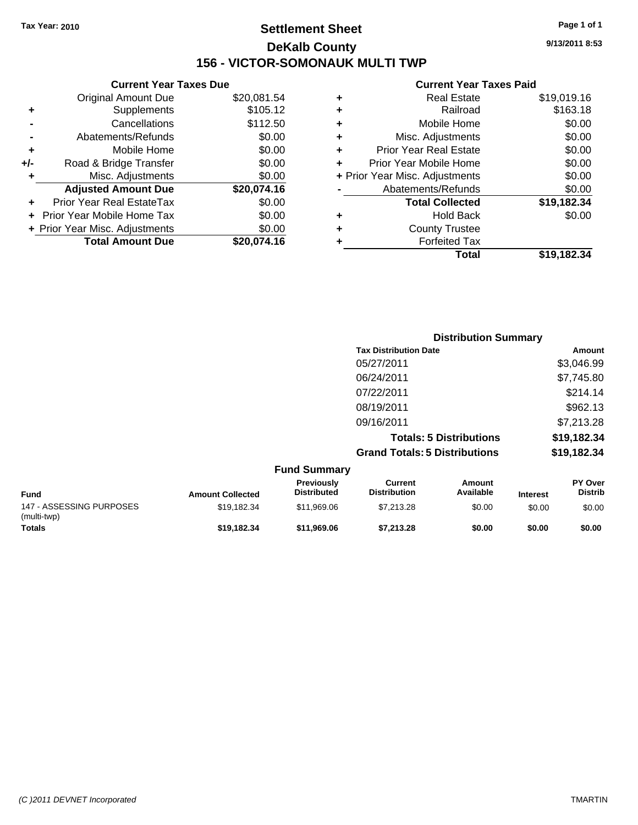#### **Settlement Sheet Tax Year: 2010 Page 1 of 1 DeKalb County 156 - VICTOR-SOMONAUK MULTI TWP**

**9/13/2011 8:53**

#### **Current Year Taxes Paid**

|     | <b>Current Year Taxes Due</b>  |             |
|-----|--------------------------------|-------------|
|     | <b>Original Amount Due</b>     | \$20,081.54 |
| ٠   | Supplements                    | \$105.12    |
|     | Cancellations                  | \$112.50    |
|     | Abatements/Refunds             | \$0.00      |
| ٠   | Mobile Home                    | \$0.00      |
| +/- | Road & Bridge Transfer         | \$0.00      |
| ٠   | Misc. Adjustments              | \$0.00      |
|     | <b>Adjusted Amount Due</b>     | \$20,074.16 |
| ٠   | Prior Year Real EstateTax      | \$0.00      |
|     | Prior Year Mobile Home Tax     | \$0.00      |
|     | + Prior Year Misc. Adjustments | \$0.00      |
|     | <b>Total Amount Due</b>        | \$20.074.16 |
|     |                                |             |

| ٠ | <b>Real Estate</b>             | \$19,019.16 |
|---|--------------------------------|-------------|
| ٠ | Railroad                       | \$163.18    |
| ٠ | Mobile Home                    | \$0.00      |
| ٠ | Misc. Adjustments              | \$0.00      |
| ÷ | <b>Prior Year Real Estate</b>  | \$0.00      |
| ٠ | Prior Year Mobile Home         | \$0.00      |
|   | + Prior Year Misc. Adjustments | \$0.00      |
|   | Abatements/Refunds             | \$0.00      |
|   | <b>Total Collected</b>         | \$19,182.34 |
| ٠ | Hold Back                      | \$0.00      |
| ٠ | <b>County Trustee</b>          |             |
| ٠ | <b>Forfeited Tax</b>           |             |
|   | Total                          | \$19,182.34 |

|                          |                         |                                  | <b>Distribution Summary</b>           |                                |                 |                           |
|--------------------------|-------------------------|----------------------------------|---------------------------------------|--------------------------------|-----------------|---------------------------|
|                          |                         |                                  | <b>Tax Distribution Date</b>          |                                |                 | Amount                    |
|                          |                         |                                  | 05/27/2011                            |                                |                 | \$3,046.99                |
|                          |                         |                                  | 06/24/2011                            |                                |                 | \$7,745.80                |
|                          |                         |                                  | 07/22/2011                            |                                |                 | \$214.14                  |
|                          |                         |                                  | 08/19/2011                            |                                |                 | \$962.13                  |
|                          |                         |                                  | 09/16/2011                            |                                |                 | \$7,213.28                |
|                          |                         |                                  |                                       | <b>Totals: 5 Distributions</b> |                 | \$19,182.34               |
|                          |                         |                                  | <b>Grand Totals: 5 Distributions</b>  |                                |                 | \$19,182.34               |
|                          |                         | <b>Fund Summary</b>              |                                       |                                |                 |                           |
| <b>Fund</b>              | <b>Amount Collected</b> | Previously<br><b>Distributed</b> | <b>Current</b><br><b>Distribution</b> | Amount<br>Available            | <b>Interest</b> | PY Over<br><b>Distrib</b> |
| 147 - ASSESSING PURPOSES | \$19,182.34             | \$11,969.06                      | \$7,213,28                            | \$0.00                         | \$0.00          | \$0.00                    |

**Totals \$19,182.34 \$11,969.06 \$7,213.28 \$0.00 \$0.00 \$0.00**

(multi-twp)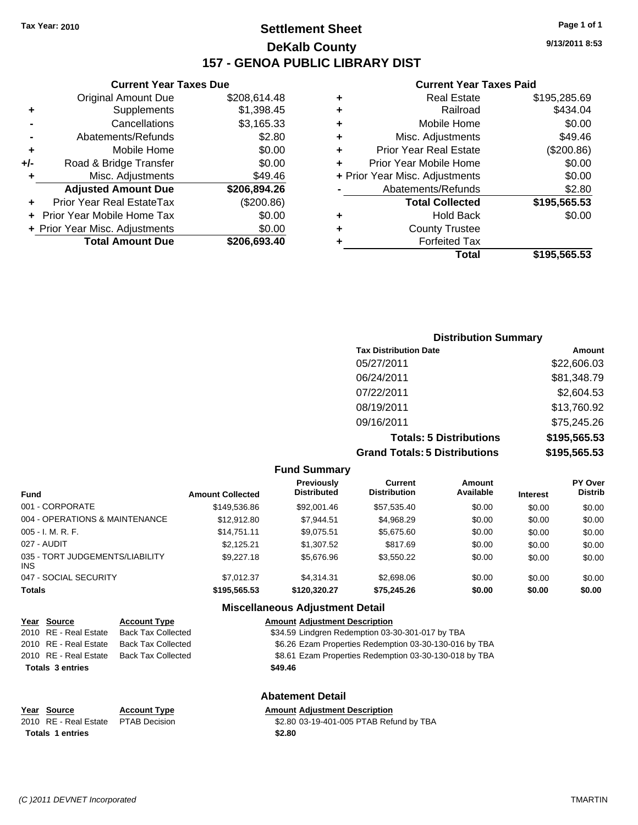#### **Settlement Sheet Tax Year: 2010 Page 1 of 1 DeKalb County 157 - GENOA PUBLIC LIBRARY DIST**

**Current Year Taxes Due**

|     | <b>Original Amount Due</b>     | \$208,614.48 |
|-----|--------------------------------|--------------|
| ٠   | Supplements                    | \$1,398.45   |
|     | Cancellations                  | \$3,165.33   |
|     | Abatements/Refunds             | \$2.80       |
| ٠   | Mobile Home                    | \$0.00       |
| +/- | Road & Bridge Transfer         | \$0.00       |
| ٠   | Misc. Adjustments              | \$49.46      |
|     | <b>Adjusted Amount Due</b>     | \$206,894.26 |
|     | Prior Year Real EstateTax      | (\$200.86)   |
|     | Prior Year Mobile Home Tax     | \$0.00       |
|     | + Prior Year Misc. Adjustments | \$0.00       |
|     | <b>Total Amount Due</b>        | \$206,693.40 |

#### **Current Year Taxes Paid**

| ٠ | <b>Real Estate</b>             | \$195,285.69 |
|---|--------------------------------|--------------|
| ٠ | Railroad                       | \$434.04     |
| ٠ | Mobile Home                    | \$0.00       |
| ٠ | Misc. Adjustments              | \$49.46      |
| ٠ | <b>Prior Year Real Estate</b>  | (\$200.86)   |
| ٠ | Prior Year Mobile Home         | \$0.00       |
|   | + Prior Year Misc. Adjustments | \$0.00       |
|   | Abatements/Refunds             | \$2.80       |
|   | <b>Total Collected</b>         | \$195,565.53 |
| ٠ | Hold Back                      | \$0.00       |
| ٠ | <b>County Trustee</b>          |              |
| ٠ | <b>Forfeited Tax</b>           |              |
|   | Total                          | \$195,565.53 |
|   |                                |              |

| <b>Distribution Summary</b>          |              |
|--------------------------------------|--------------|
| <b>Tax Distribution Date</b>         | Amount       |
| 05/27/2011                           | \$22,606.03  |
| 06/24/2011                           | \$81,348.79  |
| 07/22/2011                           | \$2,604.53   |
| 08/19/2011                           | \$13,760.92  |
| 09/16/2011                           | \$75,245.26  |
| <b>Totals: 5 Distributions</b>       | \$195,565.53 |
| <b>Grand Totals: 5 Distributions</b> | \$195,565.53 |

#### **Fund Summary**

| <b>Amount Collected</b> | Previously<br><b>Distributed</b> | Current<br><b>Distribution</b> | Amount<br>Available | <b>Interest</b> | <b>PY Over</b><br><b>Distrib</b> |
|-------------------------|----------------------------------|--------------------------------|---------------------|-----------------|----------------------------------|
| \$149,536.86            | \$92,001.46                      | \$57,535.40                    | \$0.00              | \$0.00          | \$0.00                           |
| \$12,912.80             | \$7,944.51                       | \$4,968.29                     | \$0.00              | \$0.00          | \$0.00                           |
| \$14.751.11             | \$9,075.51                       | \$5,675.60                     | \$0.00              | \$0.00          | \$0.00                           |
| \$2.125.21              | \$1,307.52                       | \$817.69                       | \$0.00              | \$0.00          | \$0.00                           |
| \$9,227.18              | \$5,676.96                       | \$3,550.22                     | \$0.00              | \$0.00          | \$0.00                           |
| \$7.012.37              | \$4.314.31                       | \$2,698.06                     | \$0.00              | \$0.00          | \$0.00                           |
| \$195,565.53            | \$120,320.27                     | \$75,245.26                    | \$0.00              | \$0.00          | \$0.00                           |
|                         |                                  |                                |                     |                 |                                  |

#### **Miscellaneous Adjustment Detail Year Source Account Type Amount Adjustment Description**

|                         | <b>I</b> cal <b>Journe</b> | ACCOUNT TYPE              | Allioulit Aujustinent Description                      |  |
|-------------------------|----------------------------|---------------------------|--------------------------------------------------------|--|
|                         | 2010 RE - Real Estate      | <b>Back Tax Collected</b> | \$34.59 Lindgren Redemption 03-30-301-017 by TBA       |  |
|                         | 2010 RE - Real Estate      | <b>Back Tax Collected</b> | \$6.26 Ezam Properties Redemption 03-30-130-016 by TBA |  |
|                         | 2010 RE - Real Estate      | <b>Back Tax Collected</b> | \$8.61 Ezam Properties Redemption 03-30-130-018 by TBA |  |
|                         | <b>Totals 3 entries</b>    |                           | \$49.46                                                |  |
| <b>Abatement Detail</b> |                            |                           |                                                        |  |

| Year Source                         | <b>Account Type</b> | <b>Amount Adjustment Description</b>    |
|-------------------------------------|---------------------|-----------------------------------------|
| 2010 RE - Real Estate PTAB Decision |                     | \$2.80 03-19-401-005 PTAB Refund by TBA |
| Totals 1 entries                    |                     | \$2.80                                  |

**9/13/2011 8:53**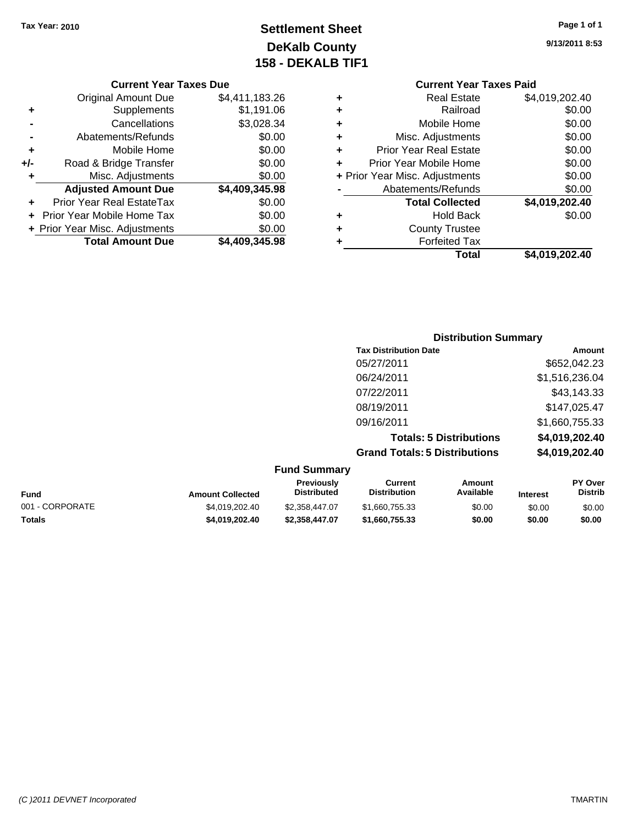## **Settlement Sheet Tax Year: 2010 Page 1 of 1 DeKalb County 158 - DEKALB TIF1**

**9/13/2011 8:53**

|     | <b>Current Year Taxes Due</b>    |                |  |  |  |  |
|-----|----------------------------------|----------------|--|--|--|--|
|     | <b>Original Amount Due</b>       | \$4,411,183.26 |  |  |  |  |
| ٠   | Supplements                      | \$1,191.06     |  |  |  |  |
|     | Cancellations                    | \$3,028.34     |  |  |  |  |
|     | Abatements/Refunds               | \$0.00         |  |  |  |  |
| ٠   | Mobile Home                      | \$0.00         |  |  |  |  |
| +/- | Road & Bridge Transfer           | \$0.00         |  |  |  |  |
| ٠   | Misc. Adjustments                | \$0.00         |  |  |  |  |
|     | <b>Adjusted Amount Due</b>       | \$4,409,345.98 |  |  |  |  |
| ÷   | <b>Prior Year Real EstateTax</b> | \$0.00         |  |  |  |  |
|     | Prior Year Mobile Home Tax       | \$0.00         |  |  |  |  |
|     | + Prior Year Misc. Adjustments   | \$0.00         |  |  |  |  |
|     | <b>Total Amount Due</b>          | \$4,409,345.98 |  |  |  |  |
|     |                                  |                |  |  |  |  |

| <b>Current Year Taxes Paid</b>     |                |  |  |  |
|------------------------------------|----------------|--|--|--|
| Real Estate<br>÷                   | \$4,019,202.40 |  |  |  |
| Railroad<br>٠                      | \$0.00         |  |  |  |
| Mobile Home<br>٠                   | \$0.00         |  |  |  |
| Misc. Adjustments<br>٠             | \$0.00         |  |  |  |
| <b>Prior Year Real Estate</b><br>÷ | \$0.00         |  |  |  |
| Prior Year Mobile Home<br>٠        | \$0.00         |  |  |  |
| + Prior Year Misc. Adjustments     | \$0.00         |  |  |  |
| Abatements/Refunds                 | \$0.00         |  |  |  |
| <b>Total Collected</b>             | \$4,019,202.40 |  |  |  |
| Hold Back<br>٠                     | \$0.00         |  |  |  |
| <b>County Trustee</b>              |                |  |  |  |
| <b>Forfeited Tax</b>               |                |  |  |  |
| <b>Total</b>                       | \$4,019,202.40 |  |  |  |
|                                    |                |  |  |  |

| <b>Distribution Summary</b>          |                |
|--------------------------------------|----------------|
| <b>Tax Distribution Date</b>         | Amount         |
| 05/27/2011                           | \$652,042.23   |
| 06/24/2011                           | \$1,516,236.04 |
| 07/22/2011                           | \$43,143.33    |
| 08/19/2011                           | \$147,025.47   |
| 09/16/2011                           | \$1,660,755.33 |
| <b>Totals: 5 Distributions</b>       | \$4,019,202.40 |
| <b>Grand Totals: 5 Distributions</b> | \$4,019,202.40 |

| <b>Fund Summary</b> |  |
|---------------------|--|
|---------------------|--|

| <b>Fund</b>     | <b>Amount Collected</b> | <b>Previously</b><br><b>Distributed</b> | Current<br><b>Distribution</b> | Amount<br>Available | <b>Interest</b> | <b>PY Over</b><br><b>Distrib</b> |
|-----------------|-------------------------|-----------------------------------------|--------------------------------|---------------------|-----------------|----------------------------------|
| 001 - CORPORATE | \$4.019.202.40          | \$2,358,447,07                          | \$1,660,755.33                 | \$0.00              | \$0.00          | \$0.00                           |
| <b>Totals</b>   | \$4.019.202.40          | \$2,358,447.07                          | \$1,660,755,33                 | \$0.00              | \$0.00          | \$0.00                           |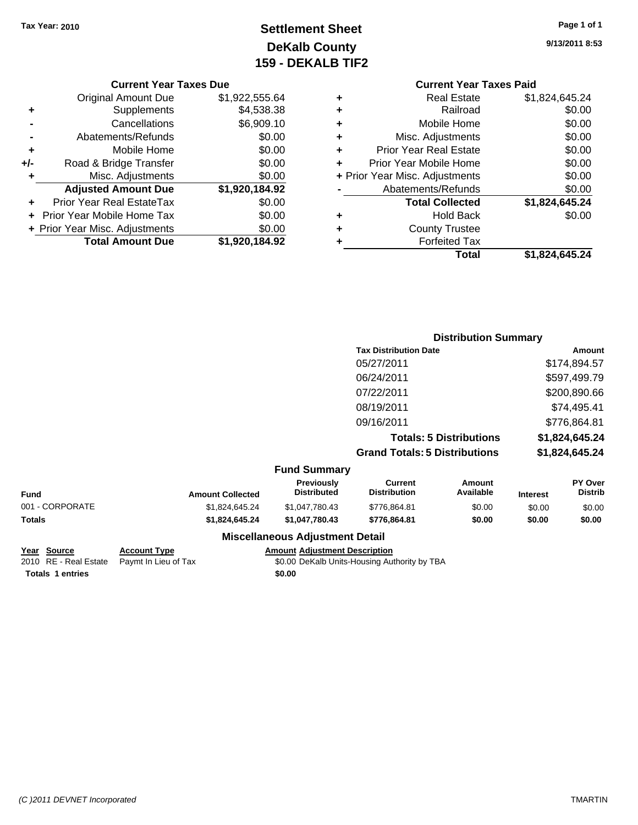# **Settlement Sheet Tax Year: 2010 Page 1 of 1 DeKalb County 159 - DEKALB TIF2**

### **9/13/2011 8:53**

| <b>Current Year Taxes Due</b> |                |   |                |
|-------------------------------|----------------|---|----------------|
| <b>Original Amount Due</b>    | \$1,922,555.64 | ٠ |                |
| Supplements                   | \$4,538.38     | ٠ |                |
| Cancellations                 | \$6,909.10     | ٠ |                |
| Abatements/Refunds            | \$0.00         | ٠ | N              |
| Mobile Home                   | \$0.00         | ÷ | Prior          |
| ad & Bridge Transfer          | \$0.00         |   | Prior Y        |
| Misc. Adjustments             | \$0.00         |   | + Prior Year M |
| <b>djusted Amount Due</b>     | \$1,920,184.92 |   | Aba            |
| <b>Year Real EstateTax</b>    | ደ0 00          |   |                |

|     | <b>Total Amount Due</b>           | \$1,920,184.92 |
|-----|-----------------------------------|----------------|
|     | + Prior Year Misc. Adjustments    | \$0.00         |
|     | <b>Prior Year Mobile Home Tax</b> | \$0.00         |
|     | Prior Year Real EstateTax         | \$0.00         |
|     | <b>Adjusted Amount Due</b>        | \$1,920,184.92 |
| ٠   | Misc. Adjustments                 | \$0.00         |
| +/- | Road & Bridge Transfer            | \$0.00         |
| ٠   | Mobile Home                       | \$0.00         |
|     | Abatements/Refunds                | \$0.00         |
|     | Cancellations                     | \$6,909.10     |
|     | Supplements                       | \$4,538.38     |
|     |                                   |                |

### **Current Year Taxes Paid +** Real Estate \$1,824,645.24

|   | Total                          | \$1,824,645.24 |
|---|--------------------------------|----------------|
|   | <b>Forfeited Tax</b>           |                |
| ٠ | <b>County Trustee</b>          |                |
| ٠ | <b>Hold Back</b>               | \$0.00         |
|   | <b>Total Collected</b>         | \$1,824,645.24 |
|   | Abatements/Refunds             | \$0.00         |
|   | + Prior Year Misc. Adjustments | \$0.00         |
|   | Prior Year Mobile Home         | \$0.00         |
| ÷ | <b>Prior Year Real Estate</b>  | \$0.00         |
| ÷ | Misc. Adjustments              | \$0.00         |
| ÷ | Mobile Home                    | \$0.00         |
| ÷ | Railroad                       | \$0.00         |
|   |                                |                |

### **Distribution Summary Tax Distribution Date Amount** 05/27/2011 \$174,894.57 06/24/2011 \$597,499.79 07/22/2011 \$200,890.66 08/19/2011 \$74,495.41 09/16/2011 \$776,864.81 **Totals: 5 Distributions \$1,824,645.24 Grand Totals: 5 Distributions \$1,824,645.24**

#### **Fund Summary**

| Fund            | <b>Amount Collected</b> | <b>Previously</b><br><b>Distributed</b> | Current<br><b>Distribution</b> | Amount<br>Available | <b>Interest</b> | <b>PY Over</b><br><b>Distrib</b> |  |  |
|-----------------|-------------------------|-----------------------------------------|--------------------------------|---------------------|-----------------|----------------------------------|--|--|
| 001 - CORPORATE | \$1.824.645.24          | \$1,047,780,43                          | \$776.864.81                   | \$0.00              | \$0.00          | \$0.00                           |  |  |
| Totals          | \$1,824,645.24          | \$1.047.780.43                          | \$776.864.81                   | \$0.00              | \$0.00          | \$0.00                           |  |  |
|                 |                         |                                         |                                |                     |                 |                                  |  |  |

#### **Miscellaneous Adjustment Detail**

#### **Account Type Amount Adjustment Description**

2010 State Paymt In Lieu of Tax **Fayme 10.000 DeKalb Units-Housing Authority by TBA** 

| Year Source             | <b>Account Type</b>                        | Amount |
|-------------------------|--------------------------------------------|--------|
|                         | 2010 RE - Real Estate Paymt In Lieu of Tax | \$0.00 |
| <b>Totals 1 entries</b> |                                            | \$0.00 |

*(C )2011 DEVNET Incorporated* TMARTIN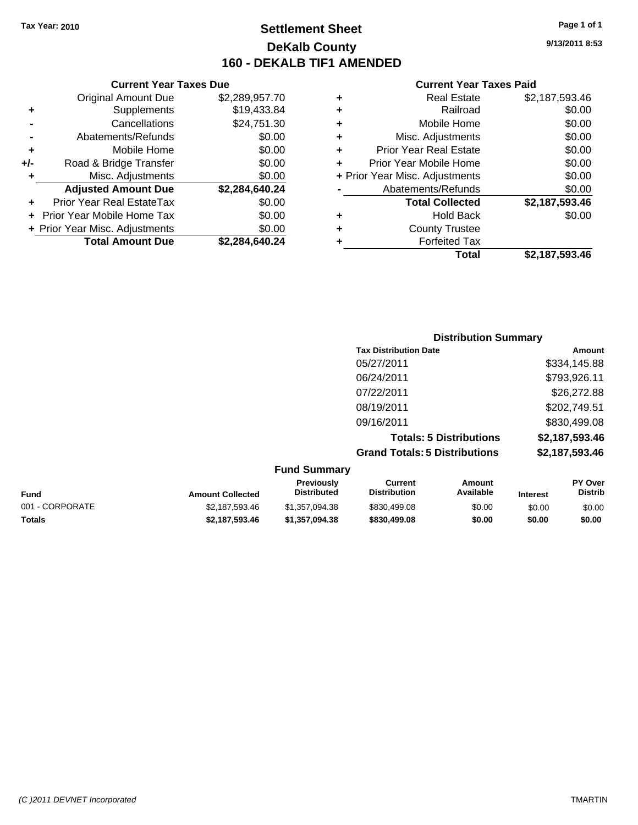**Current Year Taxes Due** Original Amount Due \$2,289,957.70

**+** Supplements \$19,433.84 **-** Cancellations \$24,751.30 **-** Abatements/Refunds \$0.00 **+** Mobile Home \$0.00 **+/-** Road & Bridge Transfer \$0.00 **+** Misc. Adjustments \$0.00 **Adjusted Amount Due \$2,284,640.24**

**+** Prior Year Real EstateTax \$0.00 **+** Prior Year Mobile Home Tax \$0.00 **+ Prior Year Misc. Adjustments**  $$0.00$ 

**Total Amount Due \$2,284,640.24**

### **Settlement Sheet Tax Year: 2010 Page 1 of 1 DeKalb County 160 - DEKALB TIF1 AMENDED**

**9/13/2011 8:53**

#### **Current Year Taxes Paid**

|   | Total                          | \$2,187,593.46 |
|---|--------------------------------|----------------|
| ٠ | <b>Forfeited Tax</b>           |                |
| ٠ | <b>County Trustee</b>          |                |
| ٠ | <b>Hold Back</b>               | \$0.00         |
|   | <b>Total Collected</b>         | \$2,187,593.46 |
|   | Abatements/Refunds             | \$0.00         |
|   | + Prior Year Misc. Adjustments | \$0.00         |
| ٠ | Prior Year Mobile Home         | \$0.00         |
| ٠ | <b>Prior Year Real Estate</b>  | \$0.00         |
| ÷ | Misc. Adjustments              | \$0.00         |
| ٠ | Mobile Home                    | \$0.00         |
| ٠ | Railroad                       | \$0.00         |
| ٠ | <b>Real Estate</b>             | \$2,187,593.46 |
|   |                                |                |

| <b>Distribution Summary</b>          |                |
|--------------------------------------|----------------|
| <b>Tax Distribution Date</b>         | Amount         |
| 05/27/2011                           | \$334,145.88   |
| 06/24/2011                           | \$793,926.11   |
| 07/22/2011                           | \$26,272.88    |
| 08/19/2011                           | \$202,749.51   |
| 09/16/2011                           | \$830,499.08   |
| <b>Totals: 5 Distributions</b>       | \$2,187,593.46 |
| <b>Grand Totals: 5 Distributions</b> | \$2,187,593.46 |

**Fund Summary Fund Interest Amount Collected Distributed PY Over Distrib Amount Available Current Distribution Previously** 001 - CORPORATE \$2,187,593.46 \$1,357,094.38 \$830,499.08 \$0.00 \$0.00 \$0.00 **Totals \$2,187,593.46 \$1,357,094.38 \$830,499.08 \$0.00 \$0.00 \$0.00**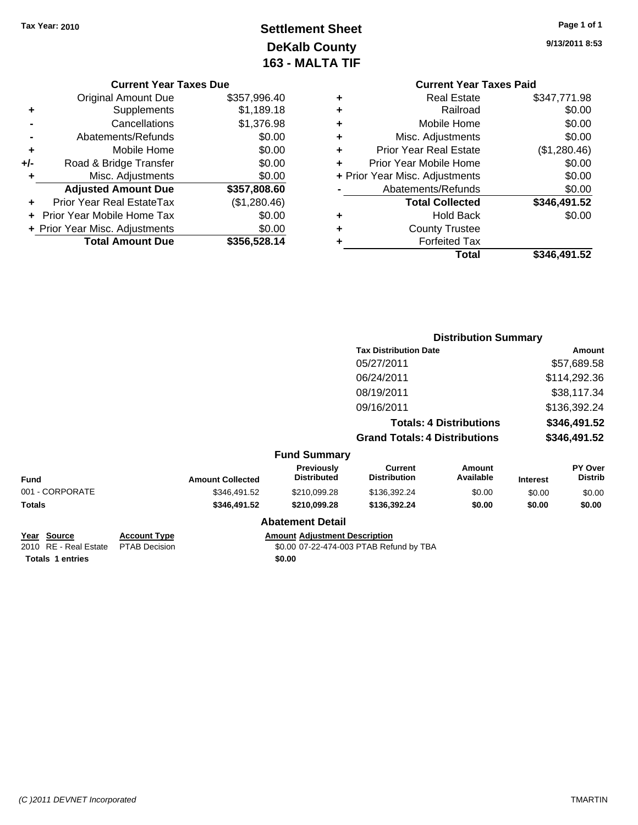# **Settlement Sheet Tax Year: 2010 Page 1 of 1 DeKalb County 163 - MALTA TIF**

**9/13/2011 8:53**

|   | <b>Current Year Taxes Paid</b> |              |
|---|--------------------------------|--------------|
| ٠ | <b>Real Estate</b>             | \$347,771.98 |
| ٠ | Railroad                       | \$0.00       |
| ٠ | Mobile Home                    | \$0.00       |
| ÷ | Misc. Adjustments              | \$0.00       |
| ÷ | <b>Prior Year Real Estate</b>  | (\$1,280.46) |
| ÷ | Prior Year Mobile Home         | \$0.00       |
|   | + Prior Year Misc. Adjustments | \$0.00       |
|   | Abatements/Refunds             | \$0.00       |
|   | <b>Total Collected</b>         | \$346,491.52 |
| ٠ | <b>Hold Back</b>               | \$0.00       |
| ٠ | <b>County Trustee</b>          |              |
| ٠ | <b>Forfeited Tax</b>           |              |
|   | Total                          | \$346,491.52 |

|                                                       |                                             |                         |                                         | <b>Distribution Summary</b>             |                                |                 |                                  |
|-------------------------------------------------------|---------------------------------------------|-------------------------|-----------------------------------------|-----------------------------------------|--------------------------------|-----------------|----------------------------------|
|                                                       |                                             |                         |                                         | <b>Tax Distribution Date</b>            |                                | Amount          |                                  |
|                                                       |                                             |                         |                                         | 05/27/2011                              |                                |                 | \$57,689.58                      |
|                                                       |                                             |                         |                                         | 06/24/2011                              |                                |                 | \$114,292.36                     |
|                                                       |                                             |                         |                                         | 08/19/2011                              |                                |                 | \$38,117.34                      |
|                                                       |                                             |                         |                                         | 09/16/2011                              |                                |                 | \$136,392.24                     |
|                                                       |                                             |                         |                                         |                                         | <b>Totals: 4 Distributions</b> |                 | \$346,491.52                     |
|                                                       |                                             |                         |                                         | <b>Grand Totals: 4 Distributions</b>    |                                | \$346,491.52    |                                  |
|                                                       |                                             |                         | <b>Fund Summary</b>                     |                                         |                                |                 |                                  |
| <b>Fund</b>                                           |                                             | <b>Amount Collected</b> | <b>Previously</b><br><b>Distributed</b> | <b>Current</b><br><b>Distribution</b>   | Amount<br>Available            | <b>Interest</b> | <b>PY Over</b><br><b>Distrib</b> |
| 001 - CORPORATE                                       |                                             | \$346,491.52            | \$210,099.28                            | \$136,392.24                            | \$0.00                         | \$0.00          | \$0.00                           |
| <b>Totals</b>                                         |                                             | \$346,491.52            | \$210,099.28                            | \$136,392.24                            | \$0.00                         | \$0.00          | \$0.00                           |
|                                                       |                                             |                         | <b>Abatement Detail</b>                 |                                         |                                |                 |                                  |
| <u>Year</u><br><b>Source</b><br>2010 RE - Real Estate | <b>Account Type</b><br><b>PTAB Decision</b> |                         | <b>Amount Adjustment Description</b>    | \$0.00 07-22-474-003 PTAB Refund by TBA |                                |                 |                                  |

**Totals 1 entries** \$0.00

**Current Year Taxes Due** Original Amount Due \$357,996.40

**Adjusted Amount Due \$357,808.60**

**Total Amount Due \$356,528.14**

**+** Supplements \$1,189.18 **-** Cancellations \$1,376.98 **-** Abatements/Refunds \$0.00 **+** Mobile Home \$0.00 **+/-** Road & Bridge Transfer \$0.00 **+** Misc. Adjustments \$0.00

**+** Prior Year Real EstateTax (\$1,280.46) **+** Prior Year Mobile Home Tax \$0.00 **+ Prior Year Misc. Adjustments**  $$0.00$ 

*(C )2011 DEVNET Incorporated* TMARTIN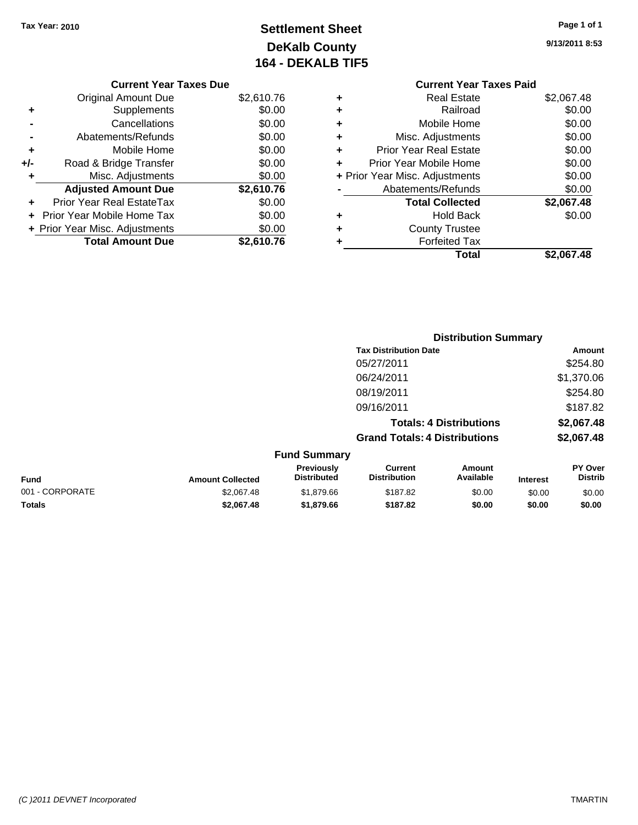# **Settlement Sheet Tax Year: 2010 Page 1 of 1 DeKalb County 164 - DEKALB TIF5**

# **9/13/2011 8:53**

| <b>Current Year Taxes Due</b>   |            |
|---------------------------------|------------|
| <b>Original Amount Due</b>      | \$2,610.76 |
| Supplements<br>٠                | \$0.00     |
| Cancellations                   | \$0.00     |
| Abatements/Refunds              | \$0.00     |
| Mobile Home<br>٠                | \$0.00     |
| Road & Bridge Transfer<br>$+/-$ | \$0.00     |
| Misc. Adjustments<br>٠          | \$0.00     |
| <b>Adjusted Amount Due</b>      | \$2,610.76 |
| Prior Year Real EstateTax       | \$0.00     |
| Prior Year Mobile Home Tax      | \$0.00     |
| + Prior Year Misc. Adjustments  | \$0.00     |
| <b>Total Amount Due</b>         | \$2.610.76 |
|                                 |            |

#### **Current Year Taxes Paid +** Real Estate \$2,067.48 **+** Railroad \$0.00 **+** Mobile Home \$0.00 **+** Misc. Adjustments \$0.00 **+** Prior Year Real Estate \$0.00 **+** Prior Year Mobile Home \$0.00 **+ Prior Year Misc. Adjustments**  $$0.00$ **-** Abatements/Refunds \$0.00 **Total Collected \$2,067.48 +** Hold Back \$0.00 **+** County Trustee **+** Forfeited Tax **Total \$2,067.48**

|                 | <b>Distribution Summary</b> |                                         |                                       |                                |                 |                           |
|-----------------|-----------------------------|-----------------------------------------|---------------------------------------|--------------------------------|-----------------|---------------------------|
|                 |                             |                                         | <b>Tax Distribution Date</b>          |                                |                 | Amount                    |
|                 |                             |                                         | 05/27/2011                            |                                |                 | \$254.80                  |
|                 |                             |                                         | 06/24/2011                            |                                |                 | \$1,370.06                |
|                 |                             |                                         | 08/19/2011                            |                                |                 | \$254.80                  |
|                 |                             |                                         | 09/16/2011                            |                                |                 | \$187.82                  |
|                 |                             |                                         |                                       | <b>Totals: 4 Distributions</b> |                 | \$2,067.48                |
|                 |                             |                                         | <b>Grand Totals: 4 Distributions</b>  |                                |                 | \$2,067.48                |
|                 |                             | <b>Fund Summary</b>                     |                                       |                                |                 |                           |
| Fund            | <b>Amount Collected</b>     | <b>Previously</b><br><b>Distributed</b> | <b>Current</b><br><b>Distribution</b> | Amount<br>Available            | <b>Interest</b> | PY Over<br><b>Distrib</b> |
| 001 - CORPORATE | \$2,067.48                  | \$1,879.66                              | \$187.82                              | \$0.00                         | \$0.00          | \$0.00                    |
| Totals          | \$2,067.48                  | \$1,879.66                              | \$187.82                              | \$0.00                         | \$0.00          | \$0.00                    |
|                 |                             |                                         |                                       |                                |                 |                           |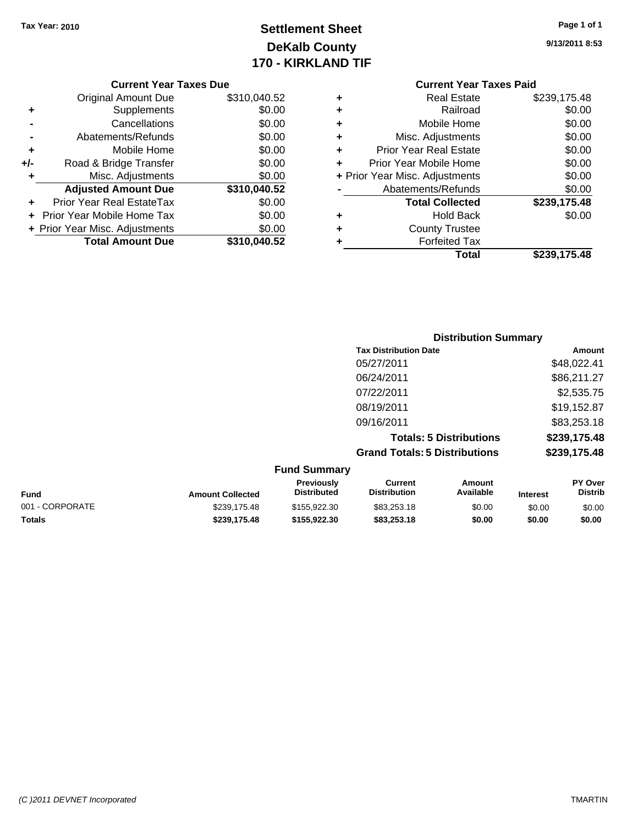# **Settlement Sheet Tax Year: 2010 Page 1 of 1 DeKalb County 170 - KIRKLAND TIF**

**9/13/2011 8:53**

#### **Current Year Taxes Due**

|       | <b>Original Amount Due</b>     | \$310,040.52 |
|-------|--------------------------------|--------------|
| ٠     | Supplements                    | \$0.00       |
|       | Cancellations                  | \$0.00       |
|       | Abatements/Refunds             | \$0.00       |
| ٠     | Mobile Home                    | \$0.00       |
| $+/-$ | Road & Bridge Transfer         | \$0.00       |
|       | Misc. Adjustments              | \$0.00       |
|       | <b>Adjusted Amount Due</b>     | \$310,040.52 |
|       | Prior Year Real EstateTax      | \$0.00       |
|       | Prior Year Mobile Home Tax     | \$0.00       |
|       | + Prior Year Misc. Adjustments | \$0.00       |
|       | <b>Total Amount Due</b>        | \$310,040.52 |

### **Current Year Taxes Paid**

| ٠ | <b>Real Estate</b>             | \$239,175.48 |
|---|--------------------------------|--------------|
| ٠ | Railroad                       | \$0.00       |
| ٠ | Mobile Home                    | \$0.00       |
| ٠ | Misc. Adjustments              | \$0.00       |
| ٠ | <b>Prior Year Real Estate</b>  | \$0.00       |
| ÷ | Prior Year Mobile Home         | \$0.00       |
|   | + Prior Year Misc. Adjustments | \$0.00       |
|   | Abatements/Refunds             | \$0.00       |
|   | <b>Total Collected</b>         | \$239,175.48 |
| ٠ | <b>Hold Back</b>               | \$0.00       |
| ٠ | <b>County Trustee</b>          |              |
| ٠ | <b>Forfeited Tax</b>           |              |
|   | Total                          | \$239,175.48 |
|   |                                |              |

### **Distribution Summary Tax Distribution Date Amount** 05/27/2011 \$48,022.41 06/24/2011 \$86,211.27 07/22/2011 \$2,535.75 08/19/2011 \$19,152.87 09/16/2011 \$83,253.18 **Totals: 5 Distributions \$239,175.48 Grand Totals: 5 Distributions \$239,175.48**

|                 |                         | <b>Fund Summary</b>                     |                                |                     |                 |                                  |
|-----------------|-------------------------|-----------------------------------------|--------------------------------|---------------------|-----------------|----------------------------------|
| <b>Fund</b>     | <b>Amount Collected</b> | <b>Previously</b><br><b>Distributed</b> | Current<br><b>Distribution</b> | Amount<br>Available | <b>Interest</b> | <b>PY Over</b><br><b>Distrib</b> |
| 001 - CORPORATE | \$239,175.48            | \$155,922,30                            | \$83,253.18                    | \$0.00              | \$0.00          | \$0.00                           |
| <b>Totals</b>   | \$239.175.48            | \$155,922,30                            | \$83,253,18                    | \$0.00              | \$0.00          | \$0.00                           |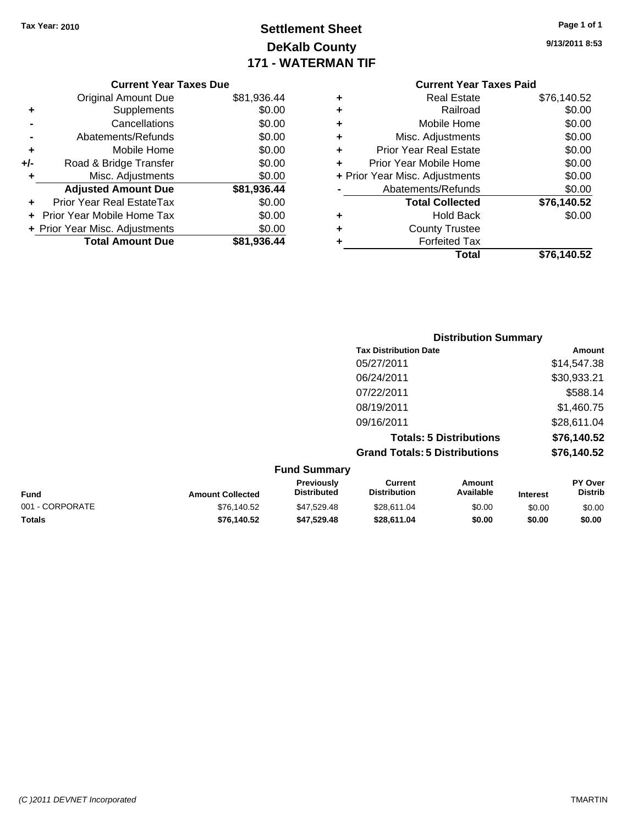# **Settlement Sheet Tax Year: 2010 Page 1 of 1 DeKalb County 171 - WATERMAN TIF**

**9/13/2011 8:53**

|     | <b>Current Year Taxes Due</b>  |             |
|-----|--------------------------------|-------------|
|     | <b>Original Amount Due</b>     | \$81,936.44 |
| ٠   | Supplements                    | \$0.00      |
|     | Cancellations                  | \$0.00      |
|     | Abatements/Refunds             | \$0.00      |
| ٠   | Mobile Home                    | \$0.00      |
| +/- | Road & Bridge Transfer         | \$0.00      |
| ٠   | Misc. Adjustments              | \$0.00      |
|     | <b>Adjusted Amount Due</b>     | \$81,936.44 |
|     | Prior Year Real EstateTax      | \$0.00      |
|     | Prior Year Mobile Home Tax     | \$0.00      |
|     | + Prior Year Misc. Adjustments | \$0.00      |
|     | <b>Total Amount Due</b>        | \$81,936.44 |
|     |                                |             |

#### **Current Year Taxes Paid +** Real Estate \$76,140.52 **+** Railroad \$0.00 **+** Mobile Home \$0.00 **+** Misc. Adjustments \$0.00 **+** Prior Year Real Estate \$0.00 **+** Prior Year Mobile Home \$0.00 **+ Prior Year Misc. Adjustments**  $$0.00$ **-** Abatements/Refunds \$0.00 **Total Collected \$76,140.52 +** Hold Back \$0.00 **+** County Trustee **+** Forfeited Tax **Total \$76,140.52**

|                 |                         |                                  | <b>Distribution Summary</b>           |                                |                 |                                  |
|-----------------|-------------------------|----------------------------------|---------------------------------------|--------------------------------|-----------------|----------------------------------|
|                 |                         |                                  | <b>Tax Distribution Date</b>          |                                |                 | Amount                           |
|                 |                         |                                  | 05/27/2011                            |                                |                 | \$14,547.38                      |
|                 |                         |                                  | 06/24/2011                            |                                |                 | \$30,933.21                      |
|                 |                         |                                  | 07/22/2011                            |                                |                 | \$588.14                         |
|                 |                         |                                  | 08/19/2011                            |                                |                 | \$1,460.75                       |
|                 |                         |                                  | 09/16/2011                            |                                |                 | \$28,611.04                      |
|                 |                         |                                  |                                       | <b>Totals: 5 Distributions</b> |                 | \$76,140.52                      |
|                 |                         |                                  | <b>Grand Totals: 5 Distributions</b>  |                                |                 | \$76,140.52                      |
|                 |                         | <b>Fund Summary</b>              |                                       |                                |                 |                                  |
| Fund            | <b>Amount Collected</b> | Previously<br><b>Distributed</b> | <b>Current</b><br><b>Distribution</b> | <b>Amount</b><br>Available     | <b>Interest</b> | <b>PY Over</b><br><b>Distrib</b> |
| 001 - CORPORATE | \$76,140.52             | \$47,529.48                      | \$28,611.04                           | \$0.00                         | \$0.00          | \$0.00                           |

**Totals \$76,140.52 \$47,529.48 \$28,611.04 \$0.00 \$0.00 \$0.00**

*(C )2011 DEVNET Incorporated* TMARTIN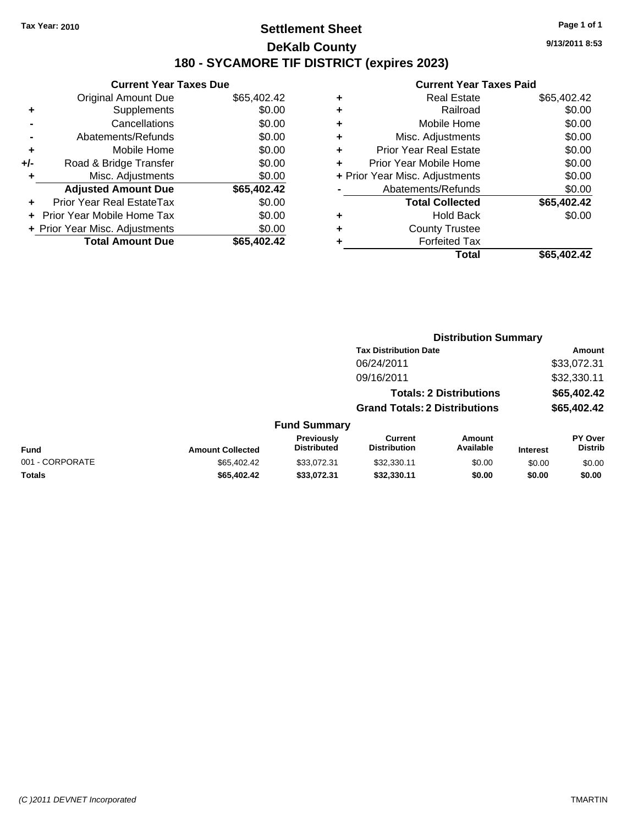### **Settlement Sheet Tax Year: 2010 Page 1 of 1 DeKalb County 180 - SYCAMORE TIF DISTRICT (expires 2023)**

**Current Year Taxes Due** Original Amount Due \$65,402.42 **+** Supplements \$0.00 **-** Cancellations \$0.00 **-** Abatements/Refunds \$0.00 **+** Mobile Home \$0.00 **+/-** Road & Bridge Transfer \$0.00 **+** Misc. Adjustments \$0.00 **Adjusted Amount Due \$65,402.42 +** Prior Year Real EstateTax \$0.00 **+** Prior Year Mobile Home Tax \$0.00 **+ Prior Year Misc. Adjustments \$0.00<br>Total Amount Due \$65,402.42 Total Amount Due** 

# **Current Year Taxes Paid**

|   | Total                          | \$65,402.42 |
|---|--------------------------------|-------------|
| ٠ | <b>Forfeited Tax</b>           |             |
| ٠ | <b>County Trustee</b>          |             |
| ٠ | Hold Back                      | \$0.00      |
|   | <b>Total Collected</b>         | \$65,402.42 |
|   | Abatements/Refunds             | \$0.00      |
|   | + Prior Year Misc. Adjustments | \$0.00      |
| ٠ | Prior Year Mobile Home         | \$0.00      |
| ٠ | <b>Prior Year Real Estate</b>  | \$0.00      |
| ٠ | Misc. Adjustments              | \$0.00      |
| ٠ | Mobile Home                    | \$0.00      |
| ٠ | Railroad                       | \$0.00      |
|   | <b>Real Estate</b>             | \$65,402.42 |

**Distribution Summary**

|                 |                         |                                  | <b>Tax Distribution Date</b>          |                                |                 | Amount                    |
|-----------------|-------------------------|----------------------------------|---------------------------------------|--------------------------------|-----------------|---------------------------|
|                 |                         |                                  | 06/24/2011                            |                                |                 | \$33,072.31               |
|                 |                         |                                  | 09/16/2011                            |                                |                 | \$32,330.11               |
|                 |                         |                                  |                                       | <b>Totals: 2 Distributions</b> |                 | \$65,402.42               |
|                 |                         |                                  | <b>Grand Totals: 2 Distributions</b>  |                                | \$65,402.42     |                           |
|                 |                         | <b>Fund Summary</b>              |                                       |                                |                 |                           |
| <b>Fund</b>     | <b>Amount Collected</b> | Previously<br><b>Distributed</b> | <b>Current</b><br><b>Distribution</b> | <b>Amount</b><br>Available     | <b>Interest</b> | PY Over<br><b>Distrib</b> |
| 001 - CORPORATE | \$65,402.42             | \$33.072.31                      | \$32,330.11                           | \$0.00                         | \$0.00          | \$0.00                    |
| Totals          | \$65,402.42             | \$33,072.31                      | \$32,330.11                           | \$0.00                         | \$0.00          | \$0.00                    |
|                 |                         |                                  |                                       |                                |                 |                           |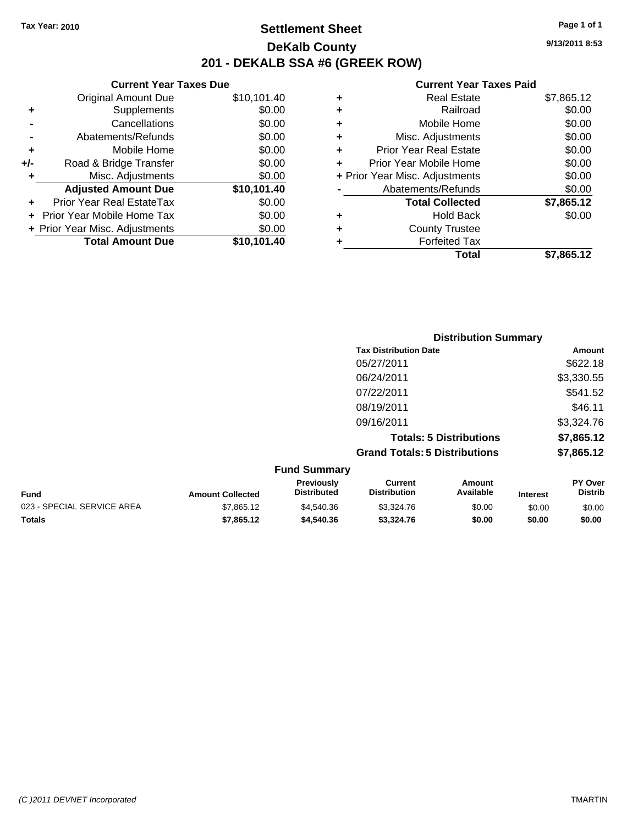**Current Year Taxes Due** Original Amount Due \$10,101.40

**Adjusted Amount Due \$10,101.40**

**Total Amount Due \$10,101.40**

**+** Supplements \$0.00 **-** Cancellations \$0.00 **-** Abatements/Refunds \$0.00 **+** Mobile Home \$0.00 **+/-** Road & Bridge Transfer \$0.00 **+** Misc. Adjustments \$0.00

**+** Prior Year Real EstateTax \$0.00 **+** Prior Year Mobile Home Tax \$0.00 **+ Prior Year Misc. Adjustments**  $$0.00$ 

### **Settlement Sheet Tax Year: 2010 Page 1 of 1 DeKalb County 201 - DEKALB SSA #6 (GREEK ROW)**

**9/13/2011 8:53**

#### **Current Year Taxes Paid**

|   | Total                          | \$7.865.12 |
|---|--------------------------------|------------|
| ٠ | <b>Forfeited Tax</b>           |            |
| ٠ | <b>County Trustee</b>          |            |
| ٠ | <b>Hold Back</b>               | \$0.00     |
|   | <b>Total Collected</b>         | \$7,865.12 |
|   | Abatements/Refunds             | \$0.00     |
|   | + Prior Year Misc. Adjustments | \$0.00     |
| ÷ | Prior Year Mobile Home         | \$0.00     |
| ÷ | <b>Prior Year Real Estate</b>  | \$0.00     |
| ٠ | Misc. Adjustments              | \$0.00     |
| ٠ | Mobile Home                    | \$0.00     |
| ٠ | Railroad                       | \$0.00     |
| ٠ | <b>Real Estate</b>             | \$7,865.12 |
|   |                                |            |

|                            |                         |                                  |                                       | <b>Distribution Summary</b>    |                 |                                  |
|----------------------------|-------------------------|----------------------------------|---------------------------------------|--------------------------------|-----------------|----------------------------------|
|                            |                         |                                  | <b>Tax Distribution Date</b>          |                                |                 | Amount                           |
|                            |                         |                                  | 05/27/2011                            |                                |                 | \$622.18                         |
|                            |                         |                                  | 06/24/2011                            |                                |                 | \$3,330.55                       |
|                            |                         |                                  | 07/22/2011                            |                                |                 | \$541.52                         |
|                            |                         |                                  | 08/19/2011                            |                                |                 | \$46.11                          |
|                            |                         |                                  | 09/16/2011                            |                                |                 | \$3,324.76                       |
|                            |                         |                                  |                                       | <b>Totals: 5 Distributions</b> |                 | \$7,865.12                       |
|                            |                         |                                  | <b>Grand Totals: 5 Distributions</b>  |                                |                 | \$7,865.12                       |
|                            |                         | <b>Fund Summary</b>              |                                       |                                |                 |                                  |
| <b>Fund</b>                | <b>Amount Collected</b> | Previously<br><b>Distributed</b> | <b>Current</b><br><b>Distribution</b> | Amount<br>Available            | <b>Interest</b> | <b>PY Over</b><br><b>Distrib</b> |
| 023 - SPECIAL SERVICE AREA | \$7,865.12              | \$4,540.36                       | \$3,324.76                            | \$0.00                         | \$0.00          | \$0.00                           |

**Totals \$7,865.12 \$4,540.36 \$3,324.76 \$0.00 \$0.00 \$0.00**

| (C)2011 DEVNET Incorporated | <b>TMARTIN</b> |
|-----------------------------|----------------|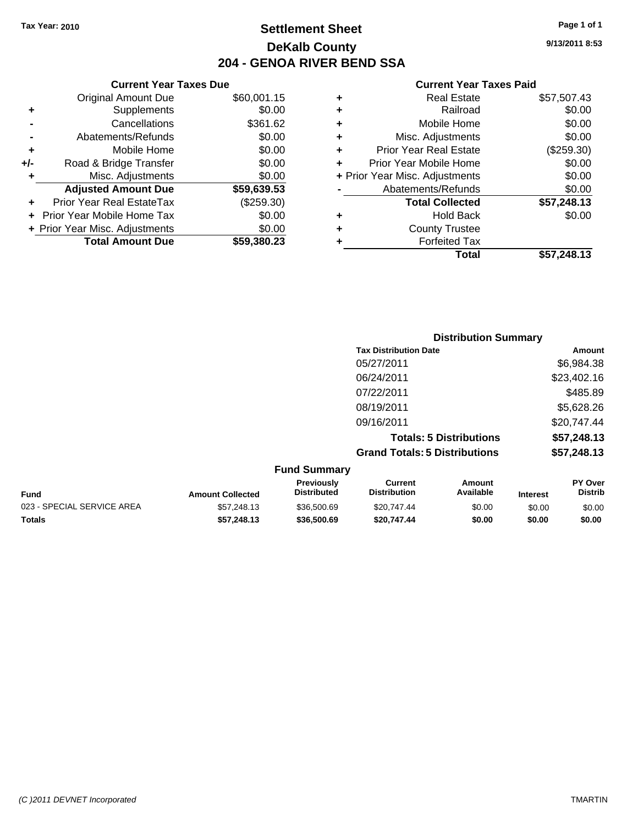**Current Year Taxes Due** Original Amount Due \$60,001.15

**Adjusted Amount Due \$59,639.53**

**Total Amount Due \$59,380.23**

**+** Supplements \$0.00 **-** Cancellations \$361.62 **-** Abatements/Refunds \$0.00 **+** Mobile Home \$0.00 **+/-** Road & Bridge Transfer \$0.00 **+** Misc. Adjustments \$0.00

**+** Prior Year Real EstateTax (\$259.30) **+** Prior Year Mobile Home Tax \$0.00 **+ Prior Year Misc. Adjustments**  $$0.00$ 

### **Settlement Sheet Tax Year: 2010 Page 1 of 1 DeKalb County 204 - GENOA RIVER BEND SSA**

**9/13/2011 8:53**

| ٠ | <b>Real Estate</b>             | \$57,507.43 |
|---|--------------------------------|-------------|
| ٠ | Railroad                       | \$0.00      |
| ٠ | Mobile Home                    | \$0.00      |
| ٠ | Misc. Adjustments              | \$0.00      |
| ٠ | <b>Prior Year Real Estate</b>  | (\$259.30)  |
| ÷ | Prior Year Mobile Home         | \$0.00      |
|   | + Prior Year Misc. Adjustments | \$0.00      |
|   | Abatements/Refunds             | \$0.00      |
|   | <b>Total Collected</b>         | \$57,248.13 |
| ٠ | <b>Hold Back</b>               | \$0.00      |
| ٠ | <b>County Trustee</b>          |             |
|   | <b>Forfeited Tax</b>           |             |
|   | Total                          | \$57.248.13 |

|                     |                                      | <b>Distribution Summary</b>    |                |
|---------------------|--------------------------------------|--------------------------------|----------------|
|                     | <b>Tax Distribution Date</b>         |                                | Amount         |
|                     | 05/27/2011                           |                                | \$6,984.38     |
|                     | 06/24/2011                           |                                | \$23,402.16    |
|                     | 07/22/2011                           |                                | \$485.89       |
|                     | 08/19/2011                           |                                | \$5,628.26     |
|                     | 09/16/2011                           |                                | \$20,747.44    |
|                     |                                      | <b>Totals: 5 Distributions</b> | \$57,248.13    |
|                     | <b>Grand Totals: 5 Distributions</b> |                                | \$57,248.13    |
| <b>Fund Summary</b> |                                      |                                |                |
| Previously          | <b>Current</b>                       | Amount                         | <b>PY Over</b> |

| <b>Fund</b>                | <b>Amount Collected</b> | <b>Previously</b><br><b>Distributed</b> | Current<br><b>Distribution</b> | Amount<br>Available | <b>Interest</b> | <b>PY Over</b><br><b>Distrib</b> |
|----------------------------|-------------------------|-----------------------------------------|--------------------------------|---------------------|-----------------|----------------------------------|
| 023 - SPECIAL SERVICE AREA | \$57,248.13             | \$36,500.69                             | \$20.747.44                    | \$0.00              | \$0.00          | \$0.00                           |
| <b>Totals</b>              | \$57,248,13             | \$36,500.69                             | \$20.747.44                    | \$0.00              | \$0.00          | \$0.00                           |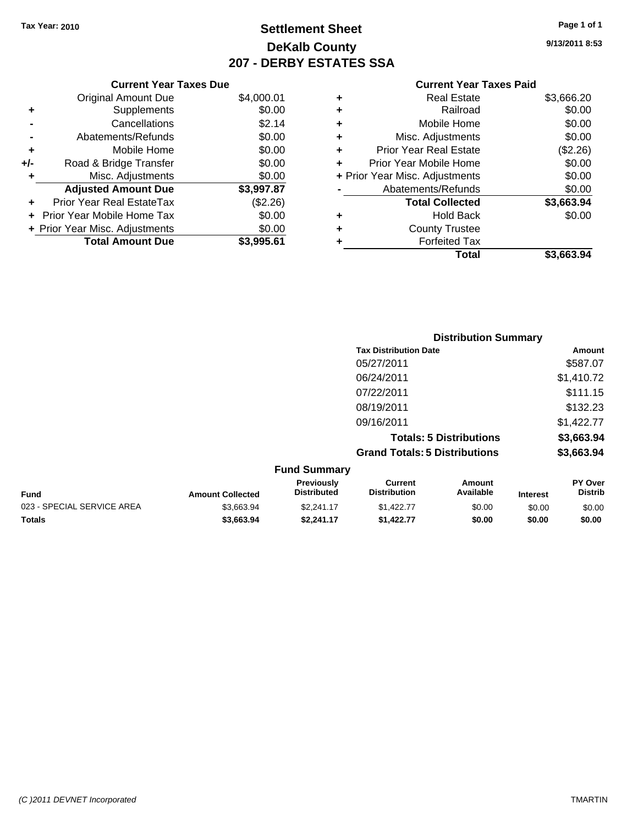# **Settlement Sheet Tax Year: 2010 Page 1 of 1 DeKalb County 207 - DERBY ESTATES SSA**

**9/13/2011 8:53**

|     | <b>Current Year Taxes Due</b>  |            |
|-----|--------------------------------|------------|
|     | <b>Original Amount Due</b>     | \$4,000.01 |
| ٠   | Supplements                    | \$0.00     |
|     | Cancellations                  | \$2.14     |
|     | Abatements/Refunds             | \$0.00     |
| ٠   | Mobile Home                    | \$0.00     |
| +/- | Road & Bridge Transfer         | \$0.00     |
| ٠   | Misc. Adjustments              | \$0.00     |
|     | <b>Adjusted Amount Due</b>     | \$3,997.87 |
|     | Prior Year Real EstateTax      | (\$2.26)   |
|     | Prior Year Mobile Home Tax     | \$0.00     |
|     | + Prior Year Misc. Adjustments | \$0.00     |
|     | <b>Total Amount Due</b>        | \$3.995.61 |
|     |                                |            |
|     |                                |            |

|   | Total                          | \$3,663.94 |
|---|--------------------------------|------------|
| ٠ | <b>Forfeited Tax</b>           |            |
| ÷ | <b>County Trustee</b>          |            |
| ٠ | <b>Hold Back</b>               | \$0.00     |
|   | <b>Total Collected</b>         | \$3,663.94 |
|   | Abatements/Refunds             | \$0.00     |
|   | + Prior Year Misc. Adjustments | \$0.00     |
| ٠ | Prior Year Mobile Home         | \$0.00     |
| ÷ | <b>Prior Year Real Estate</b>  | (\$2.26)   |
| ٠ | Misc. Adjustments              | \$0.00     |
| ٠ | Mobile Home                    | \$0.00     |
| ٠ | Railroad                       | \$0.00     |
| ٠ | <b>Real Estate</b>             | \$3,666.20 |
|   |                                |            |

|                  |                                  |                                       | <b>Distribution Summary</b>    |          |                           |
|------------------|----------------------------------|---------------------------------------|--------------------------------|----------|---------------------------|
|                  |                                  | <b>Tax Distribution Date</b>          |                                |          | Amount                    |
|                  |                                  | 05/27/2011                            |                                |          | \$587.07                  |
|                  |                                  | 06/24/2011                            |                                |          | \$1,410.72                |
|                  |                                  | 07/22/2011                            |                                |          | \$111.15                  |
|                  |                                  | 08/19/2011                            |                                |          | \$132.23                  |
|                  |                                  | 09/16/2011                            |                                |          | \$1,422.77                |
|                  |                                  |                                       | <b>Totals: 5 Distributions</b> |          | \$3,663.94                |
|                  |                                  | <b>Grand Totals: 5 Distributions</b>  |                                |          | \$3,663.94                |
|                  | <b>Fund Summary</b>              |                                       |                                |          |                           |
| Amount Collected | Previously<br><b>Distributed</b> | <b>Current</b><br><b>Distribution</b> | Amount<br>Available            | Interest | PY Over<br><b>Distrib</b> |

| <b>Fund</b>                | <b>Amount Collected</b> | <b>Previously</b><br><b>Distributed</b> | Current<br><b>Distribution</b> | Amount<br>Available | <b>Interest</b> | <b>PY Over</b><br><b>Distrib</b> |
|----------------------------|-------------------------|-----------------------------------------|--------------------------------|---------------------|-----------------|----------------------------------|
| 023 - SPECIAL SERVICE AREA | \$3.663.94              | \$2,241.17                              | \$1,422,77                     | \$0.00              | \$0.00          | \$0.00                           |
| <b>Totals</b>              | \$3.663.94              | \$2.241.17                              | \$1,422,77                     | \$0.00              | \$0.00          | \$0.00                           |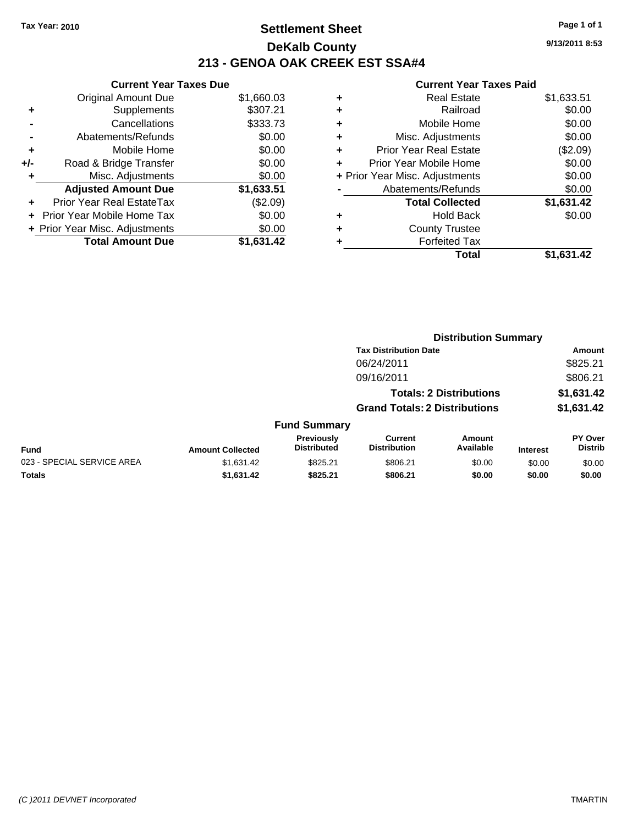**Current Year Taxes Due** Original Amount Due \$1,660.03

**Adjusted Amount Due \$1,633.51**

**Total Amount Due \$1,631.42**

**+** Supplements \$307.21 **-** Cancellations \$333.73 **-** Abatements/Refunds \$0.00 **+** Mobile Home \$0.00 **+/-** Road & Bridge Transfer \$0.00 **+** Misc. Adjustments \$0.00

**+** Prior Year Real EstateTax (\$2.09) **+** Prior Year Mobile Home Tax \$0.00 **+ Prior Year Misc. Adjustments**  $$0.00$ 

### **Settlement Sheet Tax Year: 2010 Page 1 of 1 DeKalb County 213 - GENOA OAK CREEK EST SSA#4**

**9/13/2011 8:53**

| ٠ | <b>Real Estate</b>             | \$1,633.51 |
|---|--------------------------------|------------|
| ٠ | Railroad                       | \$0.00     |
| ٠ | Mobile Home                    | \$0.00     |
| ٠ | Misc. Adjustments              | \$0.00     |
| ÷ | <b>Prior Year Real Estate</b>  | (\$2.09)   |
| ÷ | Prior Year Mobile Home         | \$0.00     |
|   | + Prior Year Misc. Adjustments | \$0.00     |
|   | Abatements/Refunds             | \$0.00     |
|   | <b>Total Collected</b>         | \$1,631.42 |
| ٠ | <b>Hold Back</b>               | \$0.00     |
| ٠ | <b>County Trustee</b>          |            |
|   | <b>Forfeited Tax</b>           |            |
|   | Total                          | \$1.631.42 |
|   |                                |            |

|                            |                         |                                         |                                       | <b>Distribution Summary</b>    |                 |                                  |
|----------------------------|-------------------------|-----------------------------------------|---------------------------------------|--------------------------------|-----------------|----------------------------------|
|                            |                         |                                         | <b>Tax Distribution Date</b>          |                                |                 | Amount                           |
|                            |                         |                                         | 06/24/2011                            |                                |                 | \$825.21                         |
|                            |                         |                                         | 09/16/2011                            |                                |                 | \$806.21                         |
|                            |                         |                                         |                                       | <b>Totals: 2 Distributions</b> |                 | \$1,631.42                       |
|                            |                         |                                         | <b>Grand Totals: 2 Distributions</b>  |                                |                 | \$1,631.42                       |
|                            |                         | <b>Fund Summary</b>                     |                                       |                                |                 |                                  |
| Fund                       | <b>Amount Collected</b> | <b>Previously</b><br><b>Distributed</b> | <b>Current</b><br><b>Distribution</b> | Amount<br>Available            | <b>Interest</b> | <b>PY Over</b><br><b>Distrib</b> |
| 023 - SPECIAL SERVICE AREA | \$1,631.42              | \$825.21                                | \$806.21                              | \$0.00                         | \$0.00          | \$0.00                           |
| Totals                     | \$1,631.42              | \$825.21                                | \$806.21                              | \$0.00                         | \$0.00          | \$0.00                           |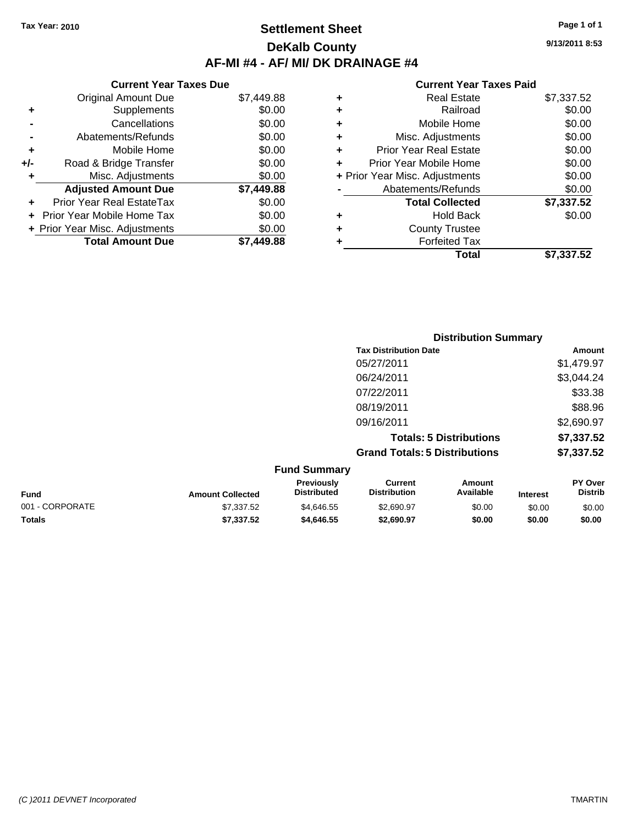### **Settlement Sheet Tax Year: 2010 Page 1 of 1 DeKalb County AF-MI #4 - AF/ MI/ DK DRAINAGE #4**

**9/13/2011 8:53**

#### **Current Year Taxes Paid**

| <b>Original Amount Due</b> | \$7,449.88                                                                                 |
|----------------------------|--------------------------------------------------------------------------------------------|
| Supplements                | \$0.00                                                                                     |
| Cancellations              | \$0.00                                                                                     |
| Abatements/Refunds         | \$0.00                                                                                     |
| Mobile Home                | \$0.00                                                                                     |
| Road & Bridge Transfer     | \$0.00                                                                                     |
| Misc. Adjustments          | \$0.00                                                                                     |
| <b>Adjusted Amount Due</b> | \$7,449.88                                                                                 |
| Prior Year Real EstateTax  | \$0.00                                                                                     |
| Prior Year Mobile Home Tax | \$0.00                                                                                     |
|                            | \$0.00                                                                                     |
|                            | \$7.449.88                                                                                 |
|                            | <b>Current Year Taxes Due</b><br>+ Prior Year Misc. Adjustments<br><b>Total Amount Due</b> |

| ٠ | <b>Real Estate</b>             | \$7,337.52 |
|---|--------------------------------|------------|
| ٠ | Railroad                       | \$0.00     |
| ٠ | Mobile Home                    | \$0.00     |
| ٠ | Misc. Adjustments              | \$0.00     |
| ÷ | <b>Prior Year Real Estate</b>  | \$0.00     |
| ÷ | Prior Year Mobile Home         | \$0.00     |
|   | + Prior Year Misc. Adjustments | \$0.00     |
|   | Abatements/Refunds             | \$0.00     |
|   | <b>Total Collected</b>         | \$7,337.52 |
| ٠ | Hold Back                      | \$0.00     |
| ٠ | <b>County Trustee</b>          |            |
| ٠ | <b>Forfeited Tax</b>           |            |
|   | Total                          | \$7,337.52 |

|                 |                         |                                  |                                       | <b>Distribution Summary</b>    |                 |                           |
|-----------------|-------------------------|----------------------------------|---------------------------------------|--------------------------------|-----------------|---------------------------|
|                 |                         |                                  | <b>Tax Distribution Date</b>          |                                |                 | Amount                    |
|                 |                         |                                  | 05/27/2011                            |                                |                 | \$1,479.97                |
|                 |                         |                                  | 06/24/2011                            |                                |                 | \$3,044.24                |
|                 |                         |                                  | 07/22/2011                            |                                |                 | \$33.38                   |
|                 |                         |                                  | 08/19/2011                            |                                |                 | \$88.96                   |
|                 |                         |                                  | 09/16/2011                            |                                |                 | \$2,690.97                |
|                 |                         |                                  |                                       | <b>Totals: 5 Distributions</b> |                 | \$7,337.52                |
|                 |                         |                                  | <b>Grand Totals: 5 Distributions</b>  |                                |                 | \$7,337.52                |
|                 |                         | <b>Fund Summary</b>              |                                       |                                |                 |                           |
| <b>Fund</b>     | <b>Amount Collected</b> | Previously<br><b>Distributed</b> | <b>Current</b><br><b>Distribution</b> | Amount<br>Available            | <b>Interest</b> | PY Over<br><b>Distrib</b> |
| 001 - CORPORATE | \$7,337.52              | \$4,646.55                       | \$2,690.97                            | \$0.00                         | \$0.00          | \$0.00                    |

**Totals \$7,337.52 \$4,646.55 \$2,690.97 \$0.00 \$0.00 \$0.00**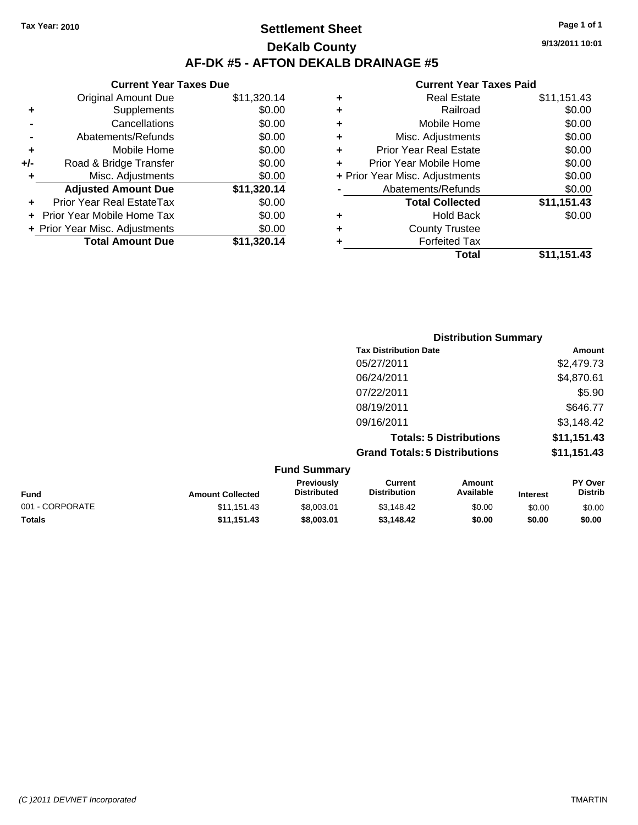## **Settlement Sheet Tax Year: 2010 Page 1 of 1 DeKalb County AF-DK #5 - AFTON DEKALB DRAINAGE #5**

| <b>Original Amount Due</b>        | \$11,320.14                                                     |
|-----------------------------------|-----------------------------------------------------------------|
| Supplements                       | \$0.00                                                          |
| Cancellations                     | \$0.00                                                          |
| Abatements/Refunds                | \$0.00                                                          |
| Mobile Home                       | \$0.00                                                          |
| Road & Bridge Transfer            | \$0.00                                                          |
| Misc. Adjustments                 | \$0.00                                                          |
| <b>Adjusted Amount Due</b>        | \$11,320.14                                                     |
| Prior Year Real EstateTax         | \$0.00                                                          |
| <b>Prior Year Mobile Home Tax</b> | \$0.00                                                          |
|                                   | \$0.00                                                          |
| <b>Total Amount Due</b>           | \$11,320.14                                                     |
|                                   | <b>Current Year Taxes Due</b><br>+ Prior Year Misc. Adjustments |

| ٠ | <b>Real Estate</b>             | \$11,151.43 |
|---|--------------------------------|-------------|
| ٠ | Railroad                       | \$0.00      |
| ٠ | Mobile Home                    | \$0.00      |
| ٠ | Misc. Adjustments              | \$0.00      |
| ÷ | <b>Prior Year Real Estate</b>  | \$0.00      |
| ٠ | Prior Year Mobile Home         | \$0.00      |
|   | + Prior Year Misc. Adjustments | \$0.00      |
|   | Abatements/Refunds             | \$0.00      |
|   | <b>Total Collected</b>         | \$11,151.43 |
| ٠ | <b>Hold Back</b>               | \$0.00      |
| ٠ | <b>County Trustee</b>          |             |
| ٠ | <b>Forfeited Tax</b>           |             |
|   | Total                          | \$11,151.43 |
|   |                                |             |

|                                      | <b>Distribution Summary</b> |  |  |  |  |
|--------------------------------------|-----------------------------|--|--|--|--|
| <b>Tax Distribution Date</b>         | Amount                      |  |  |  |  |
| 05/27/2011                           | \$2,479.73                  |  |  |  |  |
| 06/24/2011                           | \$4,870.61                  |  |  |  |  |
| 07/22/2011                           | \$5.90                      |  |  |  |  |
| 08/19/2011                           | \$646.77                    |  |  |  |  |
| 09/16/2011                           | \$3,148.42                  |  |  |  |  |
| <b>Totals: 5 Distributions</b>       | \$11,151.43                 |  |  |  |  |
| <b>Grand Totals: 5 Distributions</b> | \$11,151.43                 |  |  |  |  |
| <b>Fund Summary</b>                  |                             |  |  |  |  |

| <b>Fund</b>     | <b>Amount Collected</b> | <b>Previously</b><br><b>Distributed</b> | Current<br><b>Distribution</b> | Amount<br>Available | <b>Interest</b> | <b>PY Over</b><br><b>Distrib</b> |
|-----------------|-------------------------|-----------------------------------------|--------------------------------|---------------------|-----------------|----------------------------------|
| 001 - CORPORATE | \$11.151.43             | \$8,003.01                              | \$3.148.42                     | \$0.00              | \$0.00          | \$0.00                           |
| Totals          | \$11.151.43             | \$8,003,01                              | \$3.148.42                     | \$0.00              | \$0.00          | \$0.00                           |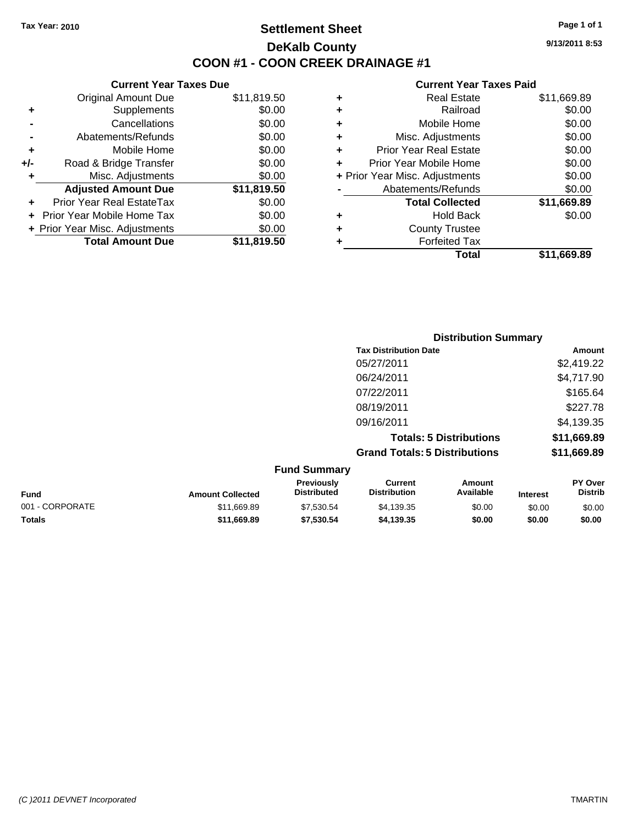**Current Year Taxes Due** Original Amount Due \$11,819.50

**Adjusted Amount Due \$11,819.50**

**Total Amount Due \$11,819.50**

**+** Supplements \$0.00 **-** Cancellations \$0.00 **-** Abatements/Refunds \$0.00 **+** Mobile Home \$0.00 **+/-** Road & Bridge Transfer \$0.00 **+** Misc. Adjustments \$0.00

**+** Prior Year Real EstateTax \$0.00 **+** Prior Year Mobile Home Tax \$0.00 **+ Prior Year Misc. Adjustments**  $$0.00$ 

### **Settlement Sheet Tax Year: 2010 Page 1 of 1 DeKalb County COON #1 - COON CREEK DRAINAGE #1**

**9/13/2011 8:53**

#### **Current Year Taxes Paid**

| Total                          | \$11.669.89 |
|--------------------------------|-------------|
| <b>Forfeited Tax</b>           |             |
| <b>County Trustee</b>          |             |
| <b>Hold Back</b>               | \$0.00      |
| <b>Total Collected</b>         | \$11,669.89 |
| Abatements/Refunds             | \$0.00      |
| + Prior Year Misc. Adjustments | \$0.00      |
| Prior Year Mobile Home         | \$0.00      |
| <b>Prior Year Real Estate</b>  | \$0.00      |
| Misc. Adjustments              | \$0.00      |
| Mobile Home                    | \$0.00      |
| Railroad                       | \$0.00      |
| Real Estate                    | \$11,669.89 |
|                                |             |

|                 |                         |                                  |                                       | <b>Distribution Summary</b>    |                 |                                  |
|-----------------|-------------------------|----------------------------------|---------------------------------------|--------------------------------|-----------------|----------------------------------|
|                 |                         |                                  | <b>Tax Distribution Date</b>          |                                |                 | Amount                           |
|                 |                         |                                  | 05/27/2011                            |                                |                 | \$2,419.22                       |
|                 |                         |                                  | 06/24/2011                            |                                |                 | \$4,717.90                       |
|                 |                         |                                  | 07/22/2011                            |                                |                 | \$165.64                         |
|                 |                         |                                  | 08/19/2011                            |                                |                 | \$227.78                         |
|                 |                         |                                  | 09/16/2011                            |                                |                 | \$4,139.35                       |
|                 |                         |                                  |                                       | <b>Totals: 5 Distributions</b> |                 | \$11,669.89                      |
|                 |                         |                                  | <b>Grand Totals: 5 Distributions</b>  |                                |                 | \$11,669.89                      |
|                 |                         | <b>Fund Summary</b>              |                                       |                                |                 |                                  |
| <b>Fund</b>     | <b>Amount Collected</b> | Previously<br><b>Distributed</b> | <b>Current</b><br><b>Distribution</b> | Amount<br>Available            | <b>Interest</b> | <b>PY Over</b><br><b>Distrib</b> |
| 001 - CORPORATE | \$11,669.89             | \$7,530.54                       | \$4,139.35                            | \$0.00                         | \$0.00          | \$0.00                           |

**Totals \$11,669.89 \$7,530.54 \$4,139.35 \$0.00 \$0.00 \$0.00**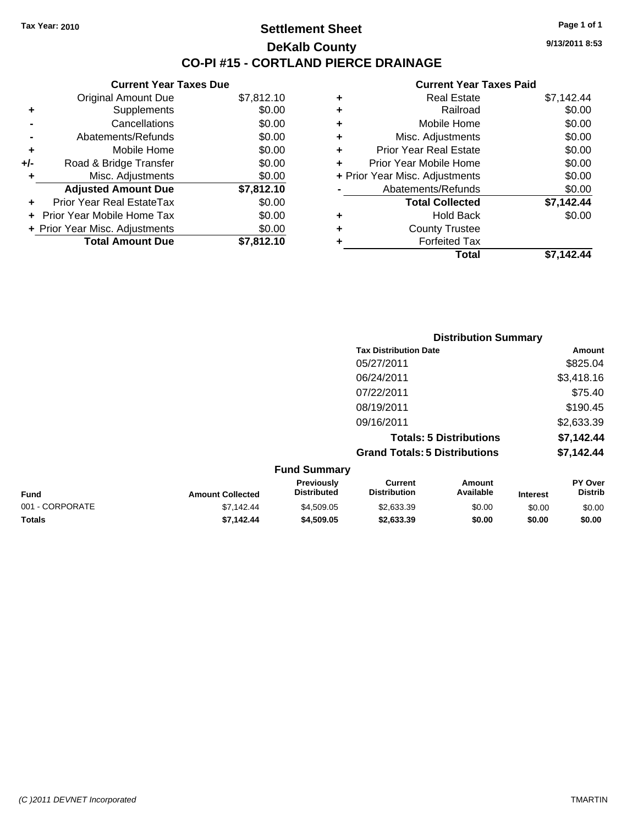### **Settlement Sheet Tax Year: 2010 Page 1 of 1 DeKalb County CO-PI #15 - CORTLAND PIERCE DRAINAGE**

**9/13/2011 8:53**

|     | <b>Current Year Taxes Due</b>  |            |
|-----|--------------------------------|------------|
|     | <b>Original Amount Due</b>     | \$7,812.10 |
| ٠   | Supplements                    | \$0.00     |
|     | Cancellations                  | \$0.00     |
|     | Abatements/Refunds             | \$0.00     |
| ٠   | Mobile Home                    | \$0.00     |
| +/- | Road & Bridge Transfer         | \$0.00     |
| ٠   | Misc. Adjustments              | \$0.00     |
|     | <b>Adjusted Amount Due</b>     | \$7,812.10 |
|     | Prior Year Real EstateTax      | \$0.00     |
|     | Prior Year Mobile Home Tax     | \$0.00     |
|     | + Prior Year Misc. Adjustments | \$0.00     |
|     | <b>Total Amount Due</b>        | \$7,812.10 |
|     |                                |            |

|   | <b>Real Estate</b>             | \$7,142.44 |
|---|--------------------------------|------------|
| ٠ | Railroad                       | \$0.00     |
| ٠ | Mobile Home                    | \$0.00     |
| ٠ | Misc. Adjustments              | \$0.00     |
| ÷ | <b>Prior Year Real Estate</b>  | \$0.00     |
| ٠ | Prior Year Mobile Home         | \$0.00     |
|   | + Prior Year Misc. Adjustments | \$0.00     |
|   | Abatements/Refunds             | \$0.00     |
|   | <b>Total Collected</b>         | \$7,142.44 |
| ٠ | <b>Hold Back</b>               | \$0.00     |
| ٠ | <b>County Trustee</b>          |            |
| ٠ | <b>Forfeited Tax</b>           |            |
|   | Total                          | \$7.142.44 |
|   |                                |            |

|                                    |                                         | <b>Distribution Summary</b>          |                                |                                    |                     |  |
|------------------------------------|-----------------------------------------|--------------------------------------|--------------------------------|------------------------------------|---------------------|--|
|                                    |                                         | <b>Tax Distribution Date</b>         |                                |                                    | Amount              |  |
|                                    |                                         | 05/27/2011                           |                                |                                    | \$825.04            |  |
|                                    |                                         | 06/24/2011                           |                                |                                    | \$3,418.16          |  |
|                                    |                                         | 07/22/2011                           |                                |                                    | \$75.40             |  |
|                                    |                                         | 08/19/2011                           |                                |                                    | \$190.45            |  |
|                                    |                                         | 09/16/2011                           |                                |                                    | \$2,633.39          |  |
|                                    |                                         |                                      | <b>Totals: 5 Distributions</b> |                                    | \$7,142.44          |  |
|                                    |                                         | <b>Grand Totals: 5 Distributions</b> |                                |                                    | \$7,142.44          |  |
|                                    | <b>Fund Summary</b>                     |                                      |                                |                                    |                     |  |
| $\sim$ $\sim$ $\sim$ $\sim$ $\sim$ | <b>Previously</b><br><b>Dietributed</b> | <b>Current</b><br>Dietribution       | Amount<br><b>Available</b>     | $\sim$ $\sim$ $\sim$ $\sim$ $\sim$ | PY Over<br>Dietrik. |  |

| <b>Fund</b>     | <b>Amount Collected</b> | <b>Previously</b><br><b>Distributed</b> | Current<br><b>Distribution</b> | Amount<br>Available | <b>Interest</b> | <b>PY Over</b><br>Distrib |
|-----------------|-------------------------|-----------------------------------------|--------------------------------|---------------------|-----------------|---------------------------|
| 001 - CORPORATE | \$7.142.44              | \$4,509.05                              | \$2.633.39                     | \$0.00              | \$0.00          | \$0.00                    |
| <b>Totals</b>   | \$7.142.44              | \$4.509.05                              | \$2,633,39                     | \$0.00              | \$0.00          | \$0.00                    |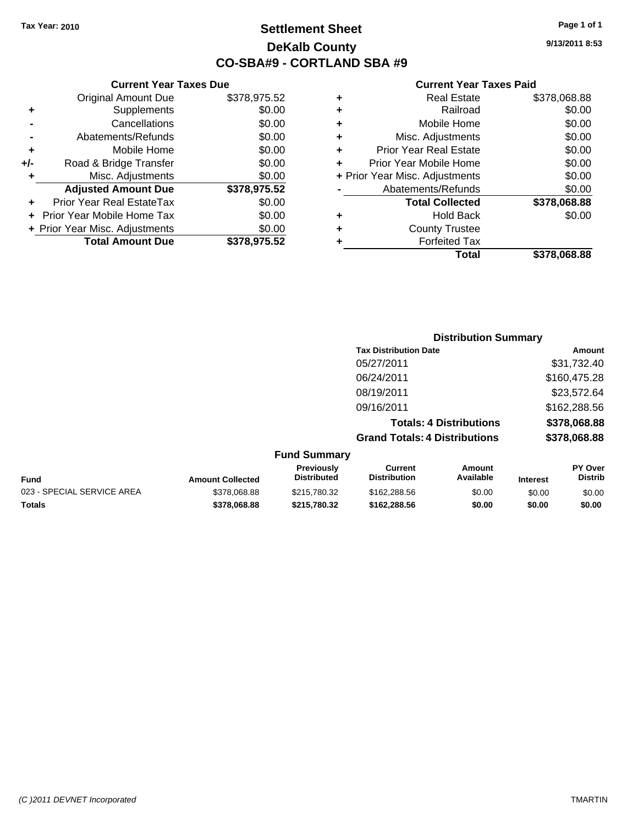### **Settlement Sheet Tax Year: 2010 Page 1 of 1 DeKalb County CO-SBA#9 - CORTLAND SBA #9**

**9/13/2011 8:53**

|   | Total                          | \$378,068.88 |
|---|--------------------------------|--------------|
|   | <b>Forfeited Tax</b>           |              |
| ٠ | <b>County Trustee</b>          |              |
| ٠ | <b>Hold Back</b>               | \$0.00       |
|   | <b>Total Collected</b>         | \$378,068.88 |
|   | Abatements/Refunds             | \$0.00       |
|   | + Prior Year Misc. Adjustments | \$0.00       |
|   | Prior Year Mobile Home         | \$0.00       |
| ٠ | <b>Prior Year Real Estate</b>  | \$0.00       |
| ٠ | Misc. Adjustments              | \$0.00       |
| ٠ | Mobile Home                    | \$0.00       |
| ٠ | Railroad                       | \$0.00       |
|   | <b>Real Estate</b>             | \$378,068.88 |

|     | <b>Current Year Taxes Due</b>  |              |
|-----|--------------------------------|--------------|
|     | <b>Original Amount Due</b>     | \$378,975.52 |
| ٠   | Supplements                    | \$0.00       |
|     | Cancellations                  | \$0.00       |
|     | Abatements/Refunds             | \$0.00       |
| ٠   | Mobile Home                    | \$0.00       |
| +/- | Road & Bridge Transfer         | \$0.00       |
| ٠   | Misc. Adjustments              | \$0.00       |
|     | <b>Adjusted Amount Due</b>     | \$378,975.52 |
|     | Prior Year Real EstateTax      | \$0.00       |
|     | Prior Year Mobile Home Tax     | \$0.00       |
|     | + Prior Year Misc. Adjustments | \$0.00       |
|     | <b>Total Amount Due</b>        | \$378,975.52 |

|                     | <b>Distribution Summary</b>          |              |
|---------------------|--------------------------------------|--------------|
|                     | <b>Tax Distribution Date</b>         | Amount       |
|                     | 05/27/2011                           | \$31,732.40  |
|                     | 06/24/2011                           | \$160,475.28 |
|                     | 08/19/2011                           | \$23,572.64  |
|                     | 09/16/2011                           | \$162,288.56 |
|                     | <b>Totals: 4 Distributions</b>       | \$378,068.88 |
|                     | <b>Grand Totals: 4 Distributions</b> | \$378,068.88 |
| <b>Fund Summary</b> |                                      |              |

| Fund                       | <b>Amount Collected</b> | <b>Previously</b><br><b>Distributed</b> | Current<br><b>Distribution</b> | Amount<br>Available | <b>Interest</b> | <b>PY Over</b><br>Distrib |
|----------------------------|-------------------------|-----------------------------------------|--------------------------------|---------------------|-----------------|---------------------------|
| 023 - SPECIAL SERVICE AREA | \$378,068.88            | \$215,780.32                            | \$162,288,56                   | \$0.00              | \$0.00          | \$0.00                    |
| Totals                     | \$378,068,88            | \$215.780.32                            | \$162.288.56                   | \$0.00              | \$0.00          | \$0.00                    |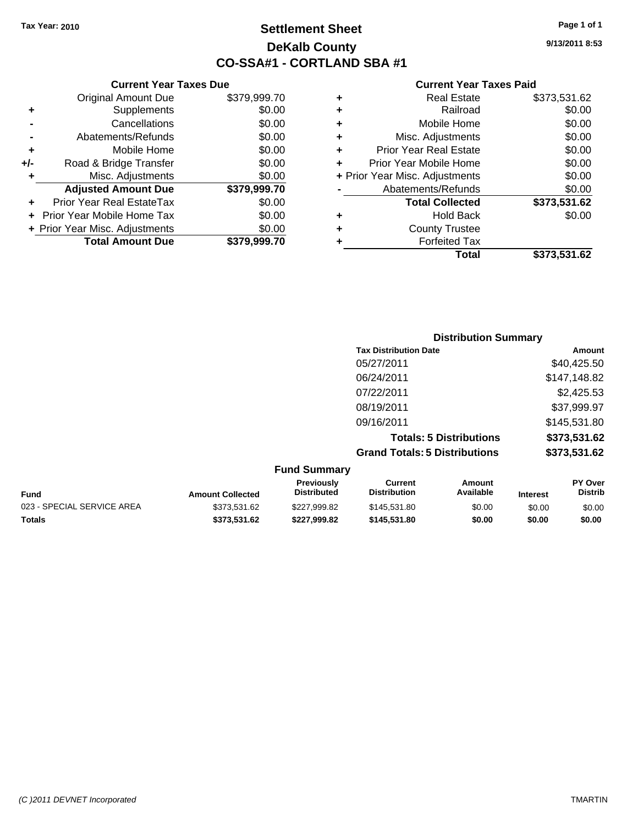**+** Supplements **-** Cancellations **-** Abatements/Refunds **+** Mobile Home **+/-** Road & Bridge Transfer **+** Misc. Adjustments

**+** Prior Year Real EstateTax \$0.00 **+** Prior Year Mobile Home Tax **+ Prior Year Misc. Adjustments** 

**Current Year Taxes Due**

## **Settlement Sheet Tax Year: 2010 Page 1 of 1 DeKalb County CO-SSA#1 - CORTLAND SBA #1**

**9/13/2011 8:53**

#### **Current Year Taxes Paid**

| <b>Original Amount Due</b> | \$379,999.70 | <b>Real Estate</b><br>٠            | \$373,531.62 |
|----------------------------|--------------|------------------------------------|--------------|
| Supplements                | \$0.00       | Railroad<br>٠                      | \$0.00       |
| Cancellations              | \$0.00       | Mobile Home<br>٠                   | \$0.00       |
| Abatements/Refunds         | \$0.00       | Misc. Adjustments<br>٠             | \$0.00       |
| Mobile Home                | \$0.00       | <b>Prior Year Real Estate</b><br>٠ | \$0.00       |
| Road & Bridge Transfer     | \$0.00       | Prior Year Mobile Home             | \$0.00       |
| Misc. Adjustments          | \$0.00       | + Prior Year Misc. Adjustments     | \$0.00       |
| <b>Adjusted Amount Due</b> | \$379,999.70 | Abatements/Refunds                 | \$0.00       |
| ior Year Real EstateTax    | \$0.00       | <b>Total Collected</b>             | \$373,531.62 |
| r Year Mobile Home Tax     | \$0.00       | <b>Hold Back</b><br>٠              | \$0.00       |
| Year Misc. Adjustments     | \$0.00       | <b>County Trustee</b><br>٠         |              |
| <b>Total Amount Due</b>    | \$379,999.70 | <b>Forfeited Tax</b>               |              |
|                            |              | Total                              | \$373,531.62 |

|                            |                         |                                  |                                       | <b>Distribution Summary</b>    |                 |                           |
|----------------------------|-------------------------|----------------------------------|---------------------------------------|--------------------------------|-----------------|---------------------------|
|                            |                         |                                  | <b>Tax Distribution Date</b>          |                                |                 | <b>Amount</b>             |
|                            |                         |                                  | 05/27/2011                            |                                |                 | \$40,425.50               |
|                            |                         |                                  | 06/24/2011                            |                                |                 | \$147,148.82              |
|                            |                         |                                  | 07/22/2011                            |                                |                 | \$2,425.53                |
|                            |                         |                                  | 08/19/2011                            |                                |                 | \$37,999.97               |
|                            |                         |                                  | 09/16/2011                            |                                |                 | \$145,531.80              |
|                            |                         |                                  |                                       | <b>Totals: 5 Distributions</b> |                 | \$373,531.62              |
|                            |                         |                                  | <b>Grand Totals: 5 Distributions</b>  |                                |                 | \$373,531.62              |
|                            |                         | <b>Fund Summary</b>              |                                       |                                |                 |                           |
| <b>Fund</b>                | <b>Amount Collected</b> | Previously<br><b>Distributed</b> | <b>Current</b><br><b>Distribution</b> | Amount<br>Available            | <b>Interest</b> | PY Over<br><b>Distrib</b> |
| 023 - SPECIAL SERVICE AREA | \$373,531.62            | \$227,999.82                     | \$145,531.80                          | \$0.00                         | \$0.00          | \$0.00                    |

**Totals \$373,531.62 \$227,999.82 \$145,531.80 \$0.00 \$0.00 \$0.00**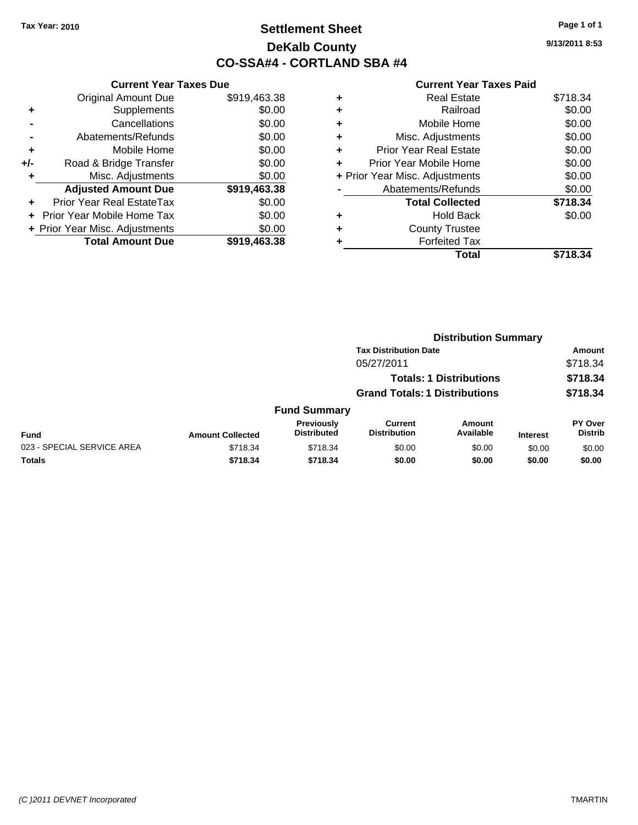## **Settlement Sheet Tax Year: 2010 Page 1 of 1 DeKalb County CO-SSA#4 - CORTLAND SBA #4**

**9/13/2011 8:53**

| <b>Current Year Taxes Due</b>     |              |
|-----------------------------------|--------------|
| <b>Original Amount Due</b>        | \$919,463.38 |
| Supplements                       | \$0.00       |
| Cancellations                     | \$0.00       |
| Abatements/Refunds                | \$0.00       |
| Mobile Home                       | \$0.00       |
| Road & Bridge Transfer            | \$0.00       |
| Misc. Adjustments                 | \$0.00       |
| <b>Adjusted Amount Due</b>        | \$919,463.38 |
| Prior Year Real EstateTax         | \$0.00       |
| <b>Prior Year Mobile Home Tax</b> | \$0.00       |
| + Prior Year Misc. Adjustments    | \$0.00       |
| <b>Total Amount Due</b>           | \$919,463.38 |
|                                   |              |

| ٠ | <b>Real Estate</b>             | \$718.34 |
|---|--------------------------------|----------|
| ٠ | Railroad                       | \$0.00   |
| ٠ | Mobile Home                    | \$0.00   |
| ٠ | Misc. Adjustments              | \$0.00   |
| ٠ | <b>Prior Year Real Estate</b>  | \$0.00   |
| ٠ | Prior Year Mobile Home         | \$0.00   |
|   | + Prior Year Misc. Adjustments | \$0.00   |
|   | Abatements/Refunds             | \$0.00   |
|   | <b>Total Collected</b>         | \$718.34 |
| ٠ | <b>Hold Back</b>               | \$0.00   |
| ٠ | <b>County Trustee</b>          |          |
| ٠ | <b>Forfeited Tax</b>           |          |
|   | Total                          | \$718.34 |
|   |                                |          |

|                            |                         |                                  |                                       | <b>Distribution Summary</b>    |                 |                           |
|----------------------------|-------------------------|----------------------------------|---------------------------------------|--------------------------------|-----------------|---------------------------|
|                            |                         |                                  | <b>Tax Distribution Date</b>          |                                |                 | Amount                    |
|                            |                         |                                  | 05/27/2011                            |                                |                 | \$718.34                  |
|                            |                         |                                  |                                       | <b>Totals: 1 Distributions</b> |                 | \$718.34                  |
|                            |                         |                                  | <b>Grand Totals: 1 Distributions</b>  |                                |                 | \$718.34                  |
|                            |                         | <b>Fund Summary</b>              |                                       |                                |                 |                           |
| <b>Fund</b>                | <b>Amount Collected</b> | Previously<br><b>Distributed</b> | <b>Current</b><br><b>Distribution</b> | Amount<br>Available            | <b>Interest</b> | PY Over<br><b>Distrib</b> |
| 023 - SPECIAL SERVICE AREA | \$718.34                | \$718.34                         | \$0.00                                | \$0.00                         | \$0.00          | \$0.00                    |
| Totals                     | \$718.34                | \$718.34                         | \$0.00                                | \$0.00                         | \$0.00          | \$0.00                    |
|                            |                         |                                  |                                       |                                |                 |                           |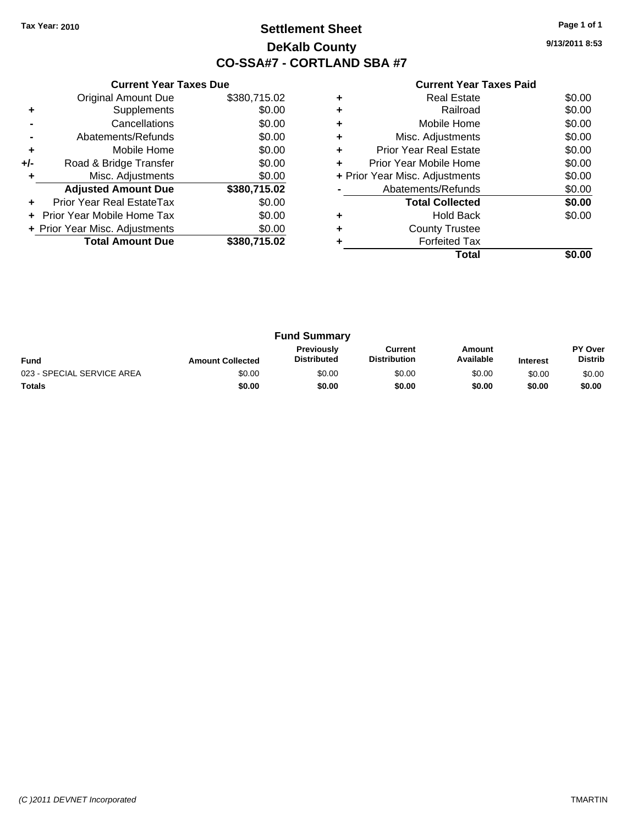## **Settlement Sheet Tax Year: 2010 Page 1 of 1 DeKalb County CO-SSA#7 - CORTLAND SBA #7**

**9/13/2011 8:53**

|     | <b>Current Year Taxes Due</b>     |              |
|-----|-----------------------------------|--------------|
|     | <b>Original Amount Due</b>        | \$380,715.02 |
| ٠   | Supplements                       | \$0.00       |
|     | Cancellations                     | \$0.00       |
|     | Abatements/Refunds                | \$0.00       |
| ٠   | Mobile Home                       | \$0.00       |
| +/- | Road & Bridge Transfer            | \$0.00       |
|     | Misc. Adjustments                 | \$0.00       |
|     | <b>Adjusted Amount Due</b>        | \$380,715.02 |
|     | Prior Year Real EstateTax         | \$0.00       |
|     | <b>Prior Year Mobile Home Tax</b> | \$0.00       |
|     | + Prior Year Misc. Adjustments    | \$0.00       |
|     | <b>Total Amount Due</b>           | \$380,715.02 |
|     |                                   |              |

|   | Total                          |        |
|---|--------------------------------|--------|
|   | <b>Forfeited Tax</b>           |        |
| ٠ | <b>County Trustee</b>          |        |
|   | <b>Hold Back</b>               | \$0.00 |
|   | <b>Total Collected</b>         | \$0.00 |
|   | Abatements/Refunds             | \$0.00 |
|   | + Prior Year Misc. Adjustments | \$0.00 |
| ÷ | Prior Year Mobile Home         | \$0.00 |
| ٠ | <b>Prior Year Real Estate</b>  | \$0.00 |
| ٠ | Misc. Adjustments              | \$0.00 |
| ٠ | Mobile Home                    | \$0.00 |
|   | Railroad                       | \$0.00 |
| ٠ | <b>Real Estate</b>             | \$0.00 |
|   |                                |        |

|                            |                         | <b>Fund Summary</b>                     |                                |                     |                 |                           |
|----------------------------|-------------------------|-----------------------------------------|--------------------------------|---------------------|-----------------|---------------------------|
| <b>Fund</b>                | <b>Amount Collected</b> | <b>Previously</b><br><b>Distributed</b> | Current<br><b>Distribution</b> | Amount<br>Available | <b>Interest</b> | PY Over<br><b>Distrib</b> |
| 023 - SPECIAL SERVICE AREA | \$0.00                  | \$0.00                                  | \$0.00                         | \$0.00              | \$0.00          | \$0.00                    |
| <b>Totals</b>              | \$0.00                  | \$0.00                                  | \$0.00                         | \$0.00              | \$0.00          | \$0.00                    |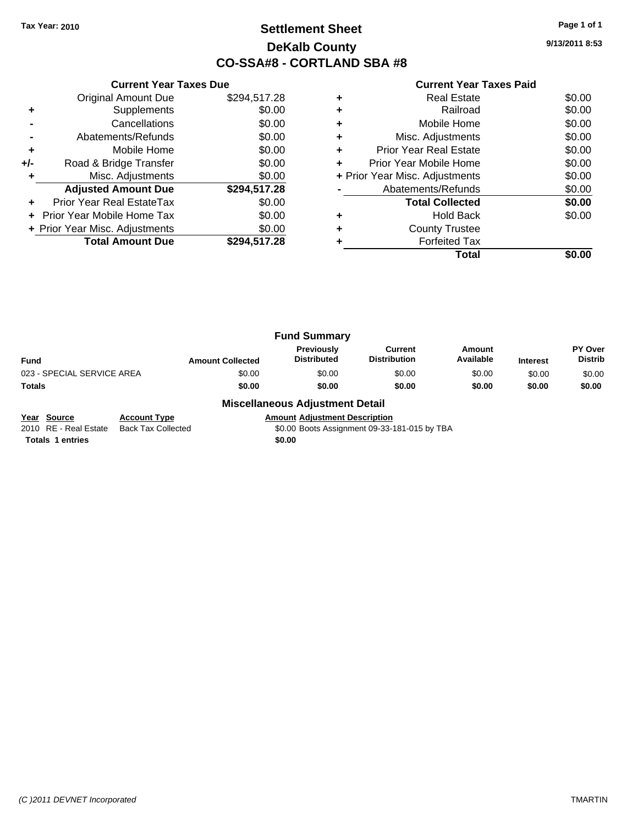## **Settlement Sheet Tax Year: 2010 Page 1 of 1 DeKalb County CO-SSA#8 - CORTLAND SBA #8**

**9/13/2011 8:53**

#### **Current Year Taxes Paid**

|     | <b>Current Year Taxes Due</b>  |              |
|-----|--------------------------------|--------------|
|     | <b>Original Amount Due</b>     | \$294,517.28 |
| ٠   | Supplements                    | \$0.00       |
|     | Cancellations                  | \$0.00       |
|     | Abatements/Refunds             | \$0.00       |
| ÷   | Mobile Home                    | \$0.00       |
| +/- | Road & Bridge Transfer         | \$0.00       |
|     | Misc. Adjustments              | \$0.00       |
|     | <b>Adjusted Amount Due</b>     | \$294,517.28 |
|     | Prior Year Real EstateTax      | \$0.00       |
|     | Prior Year Mobile Home Tax     | \$0.00       |
|     | + Prior Year Misc. Adjustments | \$0.00       |
|     | <b>Total Amount Due</b>        | \$294,517.28 |
|     |                                |              |

| <b>Real Estate</b>                 | \$0.00 |
|------------------------------------|--------|
| Railroad                           | \$0.00 |
| Mobile Home                        | \$0.00 |
| Misc. Adjustments                  | \$0.00 |
| <b>Prior Year Real Estate</b><br>٠ | \$0.00 |
| Prior Year Mobile Home             | \$0.00 |
| + Prior Year Misc. Adjustments     | \$0.00 |
| Abatements/Refunds                 | \$0.00 |
| <b>Total Collected</b>             | \$0.00 |
| <b>Hold Back</b>                   | \$0.00 |
| <b>County Trustee</b>              |        |
| <b>Forfeited Tax</b>               |        |
| Total                              |        |

|                            |                         | <b>Fund Summary</b>              |                                |                     |                 |                                  |
|----------------------------|-------------------------|----------------------------------|--------------------------------|---------------------|-----------------|----------------------------------|
| Fund                       | <b>Amount Collected</b> | Previously<br><b>Distributed</b> | Current<br><b>Distribution</b> | Amount<br>Available | <b>Interest</b> | <b>PY Over</b><br><b>Distrib</b> |
| 023 - SPECIAL SERVICE AREA | \$0.00                  | \$0.00                           | \$0.00                         | \$0.00              | \$0.00          | \$0.00                           |
| Totals                     | \$0.00                  | \$0.00                           | \$0.00                         | \$0.00              | \$0.00          | \$0.00                           |

#### **Miscellaneous Adjustment Detail**

**Year Source Account Type Annount Adjustment Description**<br>2010 RE - Real Estate Back Tax Collected \$0.00 Boots Assignment 09-33- $\overline{$0.00}$  Boots Assignment 09-33-181-015 by TBA

**Totals 1 entries** \$0.00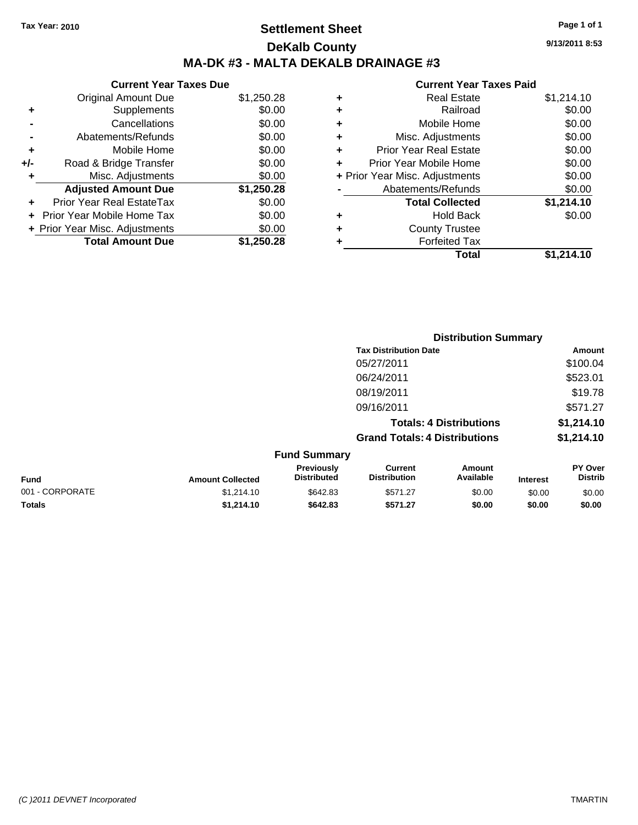## **Settlement Sheet Tax Year: 2010 Page 1 of 1 DeKalb County MA-DK #3 - MALTA DEKALB DRAINAGE #3**

**9/13/2011 8:53**

| <b>Current Year Taxes Due</b>  |            |
|--------------------------------|------------|
| <b>Original Amount Due</b>     | \$1,250.28 |
| Supplements                    | \$0.00     |
| Cancellations                  | \$0.00     |
| Abatements/Refunds             | \$0.00     |
| Mobile Home                    | \$0.00     |
| Road & Bridge Transfer         | \$0.00     |
| Misc. Adjustments              | \$0.00     |
| <b>Adjusted Amount Due</b>     | \$1,250.28 |
| Prior Year Real EstateTax      | \$0.00     |
|                                |            |
| Prior Year Mobile Home Tax     | \$0.00     |
| + Prior Year Misc. Adjustments | \$0.00     |
|                                |            |

|   | <b>Total</b>                   | \$1,214.10 |
|---|--------------------------------|------------|
| ٠ | <b>Forfeited Tax</b>           |            |
| ٠ | <b>County Trustee</b>          |            |
| ٠ | Hold Back                      | \$0.00     |
|   | <b>Total Collected</b>         | \$1,214.10 |
|   | Abatements/Refunds             | \$0.00     |
|   | + Prior Year Misc. Adjustments | \$0.00     |
| ٠ | Prior Year Mobile Home         | \$0.00     |
| ÷ | <b>Prior Year Real Estate</b>  | \$0.00     |
| ٠ | Misc. Adjustments              | \$0.00     |
| ٠ | Mobile Home                    | \$0.00     |
| ٠ | Railroad                       | \$0.00     |
| ٠ | <b>Real Estate</b>             | \$1,214.10 |
|   |                                |            |

|                 |                         |                                  | <b>Distribution Summary</b>           |                                |                 |                                  |
|-----------------|-------------------------|----------------------------------|---------------------------------------|--------------------------------|-----------------|----------------------------------|
|                 |                         |                                  | <b>Tax Distribution Date</b>          |                                |                 | Amount                           |
|                 |                         |                                  | 05/27/2011                            |                                |                 | \$100.04                         |
|                 |                         |                                  | 06/24/2011                            |                                |                 | \$523.01                         |
|                 |                         |                                  | 08/19/2011                            |                                |                 | \$19.78                          |
|                 |                         |                                  | 09/16/2011                            |                                |                 | \$571.27                         |
|                 |                         |                                  |                                       | <b>Totals: 4 Distributions</b> |                 | \$1,214.10                       |
|                 |                         |                                  | <b>Grand Totals: 4 Distributions</b>  |                                |                 | \$1,214.10                       |
|                 |                         | <b>Fund Summary</b>              |                                       |                                |                 |                                  |
| <b>Fund</b>     | <b>Amount Collected</b> | Previously<br><b>Distributed</b> | <b>Current</b><br><b>Distribution</b> | Amount<br>Available            | <b>Interest</b> | <b>PY Over</b><br><b>Distrib</b> |
| 001 - CORPORATE | \$1,214.10              | \$642.83                         | \$571.27                              | \$0.00                         | \$0.00          | \$0.00                           |
| Totals          | \$1,214.10              | \$642.83                         | \$571.27                              | \$0.00                         | \$0.00          | \$0.00                           |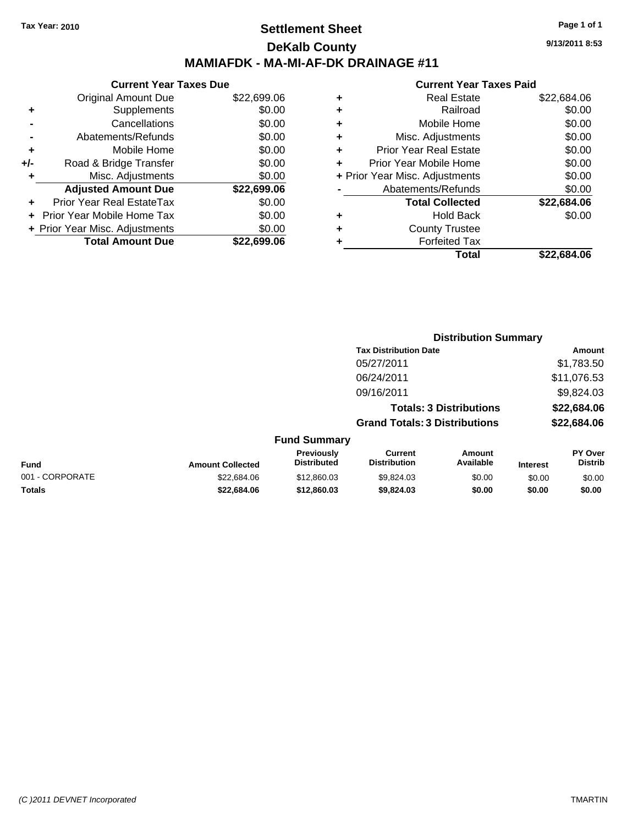### **Settlement Sheet Tax Year: 2010 Page 1 of 1 DeKalb County MAMIAFDK - MA-MI-AF-DK DRAINAGE #11**

**9/13/2011 8:53**

| 99.06  | ٠ | <b>Real Estate</b>             | \$22,684.06 |
|--------|---|--------------------------------|-------------|
| \$0.00 | ٠ | Railroad                       | \$0.00      |
| \$0.00 | ٠ | Mobile Home                    | \$0.00      |
| \$0.00 | ٠ | Misc. Adjustments              | \$0.00      |
| \$0.00 | ٠ | <b>Prior Year Real Estate</b>  | \$0.00      |
| \$0.00 | ٠ | Prior Year Mobile Home         | \$0.00      |
| \$0.00 |   | + Prior Year Misc. Adjustments | \$0.00      |
| 99.06  |   | Abatements/Refunds             | \$0.00      |
| \$0.00 |   | <b>Total Collected</b>         | \$22,684.06 |
| \$0.00 | ٠ | <b>Hold Back</b>               | \$0.00      |
| \$0.00 | ٠ | <b>County Trustee</b>          |             |
| 99.06  | ٠ | <b>Forfeited Tax</b>           |             |
|        |   | <b>Total</b>                   | \$22,684.06 |

|     | <b>Current Year Taxes Due</b>  |             |  |  |  |
|-----|--------------------------------|-------------|--|--|--|
|     | <b>Original Amount Due</b>     | \$22,699.06 |  |  |  |
| ٠   | Supplements                    | \$0.00      |  |  |  |
|     | Cancellations                  | \$0.00      |  |  |  |
|     | Abatements/Refunds             | \$0.00      |  |  |  |
| ٠   | Mobile Home                    | \$0.00      |  |  |  |
| +/- | Road & Bridge Transfer         | \$0.00      |  |  |  |
|     | Misc. Adjustments              | \$0.00      |  |  |  |
|     | <b>Adjusted Amount Due</b>     | \$22,699.06 |  |  |  |
|     | Prior Year Real EstateTax      | \$0.00      |  |  |  |
|     | Prior Year Mobile Home Tax     | \$0.00      |  |  |  |
|     | + Prior Year Misc. Adjustments | \$0.00      |  |  |  |
|     | <b>Total Amount Due</b>        | \$22,699.06 |  |  |  |

|                 |                         |                                  |                                       | <b>Distribution Summary</b>    |                 |                                  |
|-----------------|-------------------------|----------------------------------|---------------------------------------|--------------------------------|-----------------|----------------------------------|
|                 |                         |                                  | <b>Tax Distribution Date</b>          |                                |                 | Amount                           |
|                 |                         |                                  | 05/27/2011                            |                                |                 | \$1,783.50                       |
|                 |                         |                                  | 06/24/2011                            |                                |                 | \$11,076.53                      |
|                 |                         |                                  | 09/16/2011                            |                                |                 | \$9,824.03                       |
|                 |                         |                                  |                                       | <b>Totals: 3 Distributions</b> |                 | \$22,684.06                      |
|                 |                         |                                  | <b>Grand Totals: 3 Distributions</b>  |                                |                 | \$22,684.06                      |
|                 |                         | <b>Fund Summary</b>              |                                       |                                |                 |                                  |
| <b>Fund</b>     | <b>Amount Collected</b> | Previously<br><b>Distributed</b> | <b>Current</b><br><b>Distribution</b> | <b>Amount</b><br>Available     | <b>Interest</b> | <b>PY Over</b><br><b>Distrib</b> |
| 001 - CORPORATE | \$22,684.06             | \$12,860.03                      | \$9,824.03                            | \$0.00                         | \$0.00          | \$0.00                           |
| Totals          | \$22,684.06             | \$12,860.03                      | \$9,824.03                            | \$0.00                         | \$0.00          | \$0.00                           |
|                 |                         |                                  |                                       |                                |                 |                                  |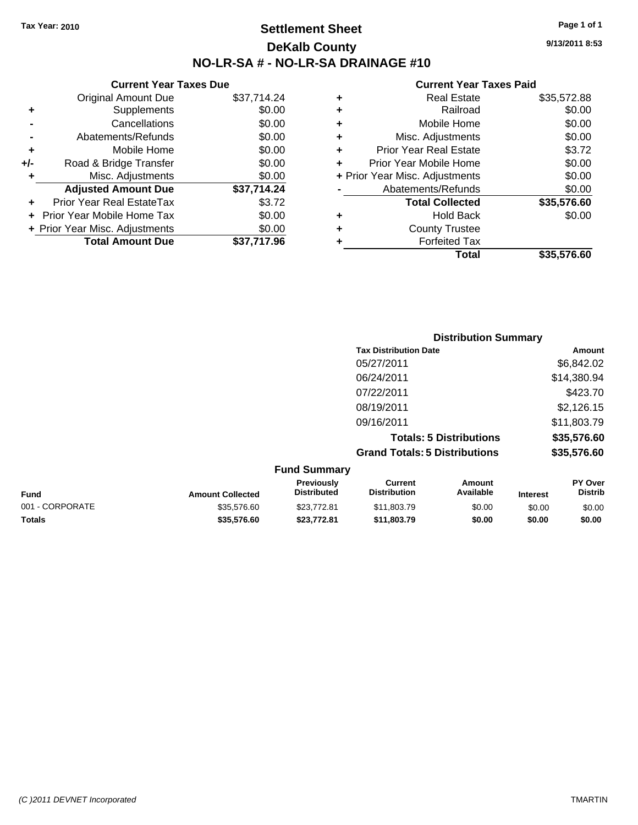**Current Year Taxes Due** Original Amount Due \$37,714.24

**Adjusted Amount Due \$37,714.24**

**Total Amount Due \$37,717.96**

**+** Supplements \$0.00 **-** Cancellations \$0.00 **-** Abatements/Refunds \$0.00 **+** Mobile Home \$0.00 **+/-** Road & Bridge Transfer \$0.00 **+** Misc. Adjustments \$0.00

**+** Prior Year Real EstateTax \$3.72 **+** Prior Year Mobile Home Tax \$0.00 **+ Prior Year Misc. Adjustments**  $$0.00$ 

### **Settlement Sheet Tax Year: 2010 Page 1 of 1 DeKalb County NO-LR-SA # - NO-LR-SA DRAINAGE #10**

**9/13/2011 8:53**

#### **Current Year Taxes Paid**

|   | <b>Total</b>                   | \$35,576.60 |
|---|--------------------------------|-------------|
| ٠ | <b>Forfeited Tax</b>           |             |
| ٠ | <b>County Trustee</b>          |             |
| ٠ | <b>Hold Back</b>               | \$0.00      |
|   | <b>Total Collected</b>         | \$35,576.60 |
|   | Abatements/Refunds             | \$0.00      |
|   | + Prior Year Misc. Adjustments | \$0.00      |
| ÷ | Prior Year Mobile Home         | \$0.00      |
| ٠ | <b>Prior Year Real Estate</b>  | \$3.72      |
| ٠ | Misc. Adjustments              | \$0.00      |
| ٠ | Mobile Home                    | \$0.00      |
| ٠ | Railroad                       | \$0.00      |
| ٠ | <b>Real Estate</b>             | \$35,572.88 |
|   |                                |             |

|                 |                         |                                         |                                       | <b>Distribution Summary</b>    |                 |                           |
|-----------------|-------------------------|-----------------------------------------|---------------------------------------|--------------------------------|-----------------|---------------------------|
|                 |                         |                                         | <b>Tax Distribution Date</b>          |                                |                 | Amount                    |
|                 |                         |                                         | 05/27/2011                            |                                |                 | \$6,842.02                |
|                 |                         |                                         | 06/24/2011                            |                                |                 | \$14,380.94               |
|                 |                         |                                         | 07/22/2011                            |                                |                 | \$423.70                  |
|                 |                         |                                         | 08/19/2011                            |                                |                 | \$2,126.15                |
|                 |                         |                                         | 09/16/2011                            |                                |                 | \$11,803.79               |
|                 |                         |                                         |                                       | <b>Totals: 5 Distributions</b> |                 | \$35,576.60               |
|                 |                         |                                         | <b>Grand Totals: 5 Distributions</b>  |                                |                 | \$35,576.60               |
|                 |                         | <b>Fund Summary</b>                     |                                       |                                |                 |                           |
| <b>Fund</b>     | <b>Amount Collected</b> | <b>Previously</b><br><b>Distributed</b> | <b>Current</b><br><b>Distribution</b> | Amount<br>Available            | <b>Interest</b> | PY Over<br><b>Distrib</b> |
| 001 - CORPORATE | \$35,576.60             | \$23,772.81                             | \$11,803.79                           | \$0.00                         | \$0.00          | \$0.00                    |

**Totals \$35,576.60 \$23,772.81 \$11,803.79 \$0.00 \$0.00 \$0.00**

```
(C )2011 DEVNET Incorporated TMARTIN
```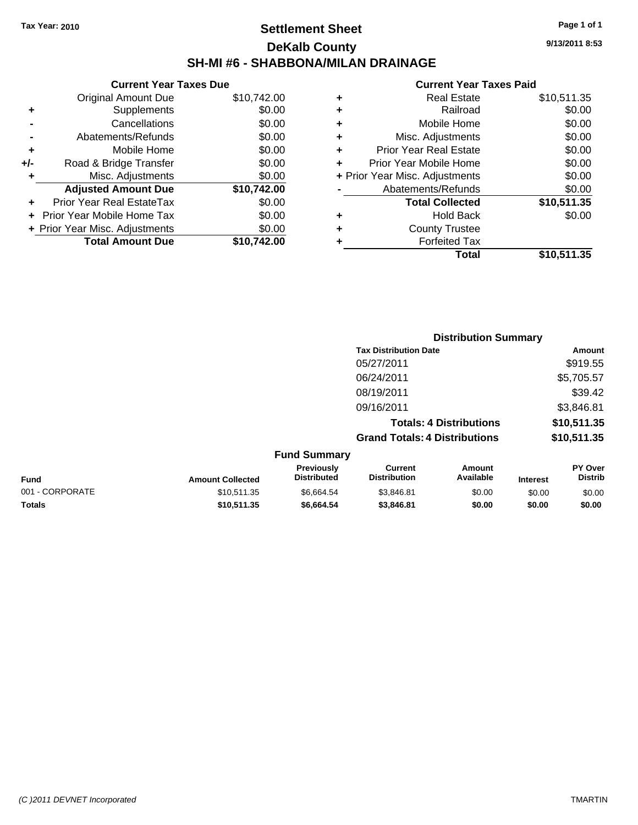### **Settlement Sheet Tax Year: 2010 Page 1 of 1 DeKalb County SH-MI #6 - SHABBONA/MILAN DRAINAGE**

**9/13/2011 8:53**

#### **Current Year Taxes Paid**

|     | <b>Current Year Taxes Due</b>     |             |   |              |
|-----|-----------------------------------|-------------|---|--------------|
|     | Original Amount Due               | \$10,742.00 | ٠ |              |
|     | <b>Supplements</b>                | \$0.00      | ٠ |              |
|     | Cancellations                     | \$0.00      | ٠ |              |
|     | Abatements/Refunds                | \$0.00      | ٠ |              |
|     | Mobile Home                       | \$0.00      |   | Pric         |
| +/- | Road & Bridge Transfer            | \$0.00      |   | Prior        |
|     | Misc. Adjustments                 | \$0.00      |   | + Prior Year |
|     | <b>Adjusted Amount Due</b>        | \$10,742.00 |   | Αł           |
|     | Prior Year Real EstateTax         | \$0.00      |   |              |
|     | <b>Prior Year Mobile Home Tax</b> | \$0.00      |   |              |
|     | + Prior Year Misc. Adjustments    | \$0.00      |   |              |
|     | <b>Total Amount Due</b>           | \$10,742.00 |   |              |
|     |                                   |             |   |              |

|   | <b>Real Estate</b>             | \$10,511.35 |
|---|--------------------------------|-------------|
| ٠ | Railroad                       | \$0.00      |
| ٠ | Mobile Home                    | \$0.00      |
| ÷ | Misc. Adjustments              | \$0.00      |
| ٠ | <b>Prior Year Real Estate</b>  | \$0.00      |
|   | Prior Year Mobile Home         | \$0.00      |
|   | + Prior Year Misc. Adjustments | \$0.00      |
|   | Abatements/Refunds             | \$0.00      |
|   | <b>Total Collected</b>         | \$10,511.35 |
| ٠ | <b>Hold Back</b>               | \$0.00      |
| ٠ | <b>County Trustee</b>          |             |
|   | <b>Forfeited Tax</b>           |             |
|   | Total                          | \$10,511.35 |
|   |                                |             |

|                 |                         |                                  |                                       | <b>Distribution Summary</b>    |                 |                           |
|-----------------|-------------------------|----------------------------------|---------------------------------------|--------------------------------|-----------------|---------------------------|
|                 |                         |                                  | <b>Tax Distribution Date</b>          |                                |                 | Amount                    |
|                 |                         |                                  | 05/27/2011                            |                                |                 | \$919.55                  |
|                 |                         |                                  | 06/24/2011                            |                                |                 | \$5,705.57                |
|                 |                         |                                  | 08/19/2011                            |                                |                 | \$39.42                   |
|                 |                         |                                  | 09/16/2011                            |                                |                 | \$3,846.81                |
|                 |                         |                                  |                                       | <b>Totals: 4 Distributions</b> |                 | \$10,511.35               |
|                 |                         |                                  | <b>Grand Totals: 4 Distributions</b>  |                                |                 | \$10,511.35               |
|                 |                         | <b>Fund Summary</b>              |                                       |                                |                 |                           |
| <b>Fund</b>     | <b>Amount Collected</b> | Previously<br><b>Distributed</b> | <b>Current</b><br><b>Distribution</b> | Amount<br>Available            | <b>Interest</b> | PY Over<br><b>Distrib</b> |
| 001 - CORPORATE | \$10,511.35             | \$6,664.54                       | \$3,846.81                            | \$0.00                         | \$0.00          | \$0.00                    |

**Totals \$10,511.35 \$6,664.54 \$3,846.81 \$0.00 \$0.00 \$0.00**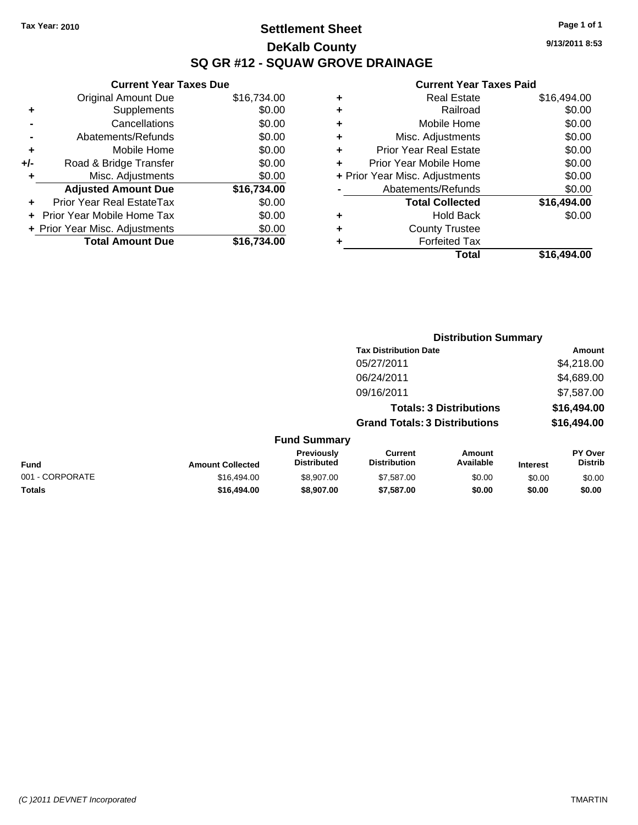**Current Year Taxes Due** Original Amount Due \$16,734.00

**Adjusted Amount Due \$16,734.00**

**Total Amount Due \$16,734.00**

**+** Supplements \$0.00 **-** Cancellations \$0.00 **-** Abatements/Refunds \$0.00 **+** Mobile Home \$0.00 **+/-** Road & Bridge Transfer \$0.00 **+** Misc. Adjustments \$0.00

**+** Prior Year Real EstateTax \$0.00 **+** Prior Year Mobile Home Tax \$0.00 **+ Prior Year Misc. Adjustments**  $$0.00$ 

### **Settlement Sheet Tax Year: 2010 Page 1 of 1 DeKalb County SQ GR #12 - SQUAW GROVE DRAINAGE**

**9/13/2011 8:53**

|   | Total                          | \$16.494.00 |
|---|--------------------------------|-------------|
|   | <b>Forfeited Tax</b>           |             |
| ٠ | <b>County Trustee</b>          |             |
| ٠ | <b>Hold Back</b>               | \$0.00      |
|   | <b>Total Collected</b>         | \$16,494.00 |
|   | Abatements/Refunds             | \$0.00      |
|   | + Prior Year Misc. Adjustments | \$0.00      |
| ÷ | Prior Year Mobile Home         | \$0.00      |
| ٠ | <b>Prior Year Real Estate</b>  | \$0.00      |
| ٠ | Misc. Adjustments              | \$0.00      |
| ÷ | Mobile Home                    | \$0.00      |
| ÷ | Railroad                       | \$0.00      |
| ٠ | <b>Real Estate</b>             | \$16,494.00 |

|                 |                         |                                  |                                       | <b>Distribution Summary</b>    |                 |                                  |
|-----------------|-------------------------|----------------------------------|---------------------------------------|--------------------------------|-----------------|----------------------------------|
|                 |                         |                                  | <b>Tax Distribution Date</b>          |                                |                 | <b>Amount</b>                    |
|                 |                         |                                  | 05/27/2011                            |                                |                 | \$4,218.00                       |
|                 |                         |                                  | 06/24/2011                            |                                |                 | \$4,689.00                       |
|                 |                         |                                  | 09/16/2011                            |                                |                 | \$7,587.00                       |
|                 |                         |                                  |                                       | <b>Totals: 3 Distributions</b> |                 | \$16,494.00                      |
|                 |                         |                                  | <b>Grand Totals: 3 Distributions</b>  |                                |                 | \$16,494.00                      |
|                 |                         | <b>Fund Summary</b>              |                                       |                                |                 |                                  |
| <b>Fund</b>     | <b>Amount Collected</b> | Previously<br><b>Distributed</b> | <b>Current</b><br><b>Distribution</b> | Amount<br>Available            | <b>Interest</b> | <b>PY Over</b><br><b>Distrib</b> |
| 001 - CORPORATE | \$16,494.00             | \$8,907.00                       | \$7,587.00                            | \$0.00                         | \$0.00          | \$0.00                           |
| Totals          | \$16,494.00             | \$8,907.00                       | \$7,587.00                            | \$0.00                         | \$0.00          | \$0.00                           |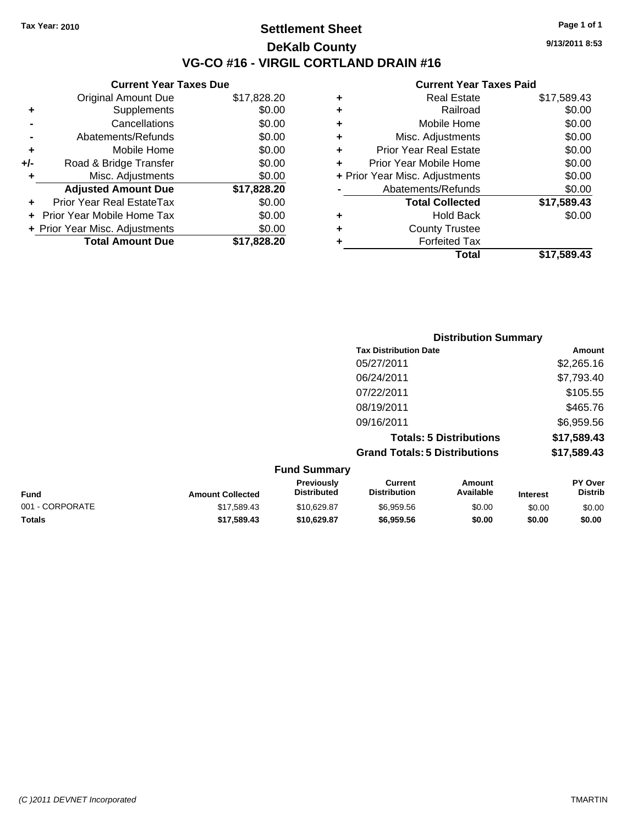**Current Year Taxes Due** Original Amount Due \$17,828.20

**Adjusted Amount Due \$17,828.20**

**Total Amount Due \$17,828.20**

**+** Supplements \$0.00 **-** Cancellations \$0.00 **-** Abatements/Refunds \$0.00 **+** Mobile Home \$0.00 **+/-** Road & Bridge Transfer \$0.00 **+** Misc. Adjustments \$0.00

**+** Prior Year Real EstateTax \$0.00 **+** Prior Year Mobile Home Tax \$0.00 **+ Prior Year Misc. Adjustments**  $$0.00$ 

### **Settlement Sheet Tax Year: 2010 Page 1 of 1 DeKalb County VG-CO #16 - VIRGIL CORTLAND DRAIN #16**

**9/13/2011 8:53**

#### **Current Year Taxes Paid**

|   | Total                          | \$17,589.43 |
|---|--------------------------------|-------------|
|   | <b>Forfeited Tax</b>           |             |
| ٠ | <b>County Trustee</b>          |             |
| ٠ | <b>Hold Back</b>               | \$0.00      |
|   | <b>Total Collected</b>         | \$17,589.43 |
|   | Abatements/Refunds             | \$0.00      |
|   | + Prior Year Misc. Adjustments | \$0.00      |
|   | Prior Year Mobile Home         | \$0.00      |
| ٠ | <b>Prior Year Real Estate</b>  | \$0.00      |
| ٠ | Misc. Adjustments              | \$0.00      |
| ٠ | Mobile Home                    | \$0.00      |
| ٠ | Railroad                       | \$0.00      |
| ٠ | <b>Real Estate</b>             | \$17,589.43 |
|   |                                |             |

|                 |                         |                                  |                                       | <b>Distribution Summary</b>    |                 |                           |
|-----------------|-------------------------|----------------------------------|---------------------------------------|--------------------------------|-----------------|---------------------------|
|                 |                         |                                  | <b>Tax Distribution Date</b>          |                                |                 | Amount                    |
|                 |                         |                                  | 05/27/2011                            |                                |                 | \$2,265.16                |
|                 |                         |                                  | 06/24/2011                            |                                |                 | \$7,793.40                |
|                 |                         |                                  | 07/22/2011                            |                                |                 | \$105.55                  |
|                 |                         |                                  | 08/19/2011                            |                                |                 | \$465.76                  |
|                 |                         |                                  | 09/16/2011                            |                                |                 | \$6,959.56                |
|                 |                         |                                  |                                       | <b>Totals: 5 Distributions</b> |                 | \$17,589.43               |
|                 |                         |                                  | <b>Grand Totals: 5 Distributions</b>  |                                |                 | \$17,589.43               |
|                 |                         | <b>Fund Summary</b>              |                                       |                                |                 |                           |
| <b>Fund</b>     | <b>Amount Collected</b> | Previously<br><b>Distributed</b> | <b>Current</b><br><b>Distribution</b> | Amount<br>Available            | <b>Interest</b> | PY Over<br><b>Distrib</b> |
| 001 - CORPORATE | \$17,589.43             | \$10,629.87                      | \$6,959.56                            | \$0.00                         | \$0.00          | \$0.00                    |

**Totals \$17,589.43 \$10,629.87 \$6,959.56 \$0.00 \$0.00 \$0.00**

```
(C )2011 DEVNET Incorporated TMARTIN
```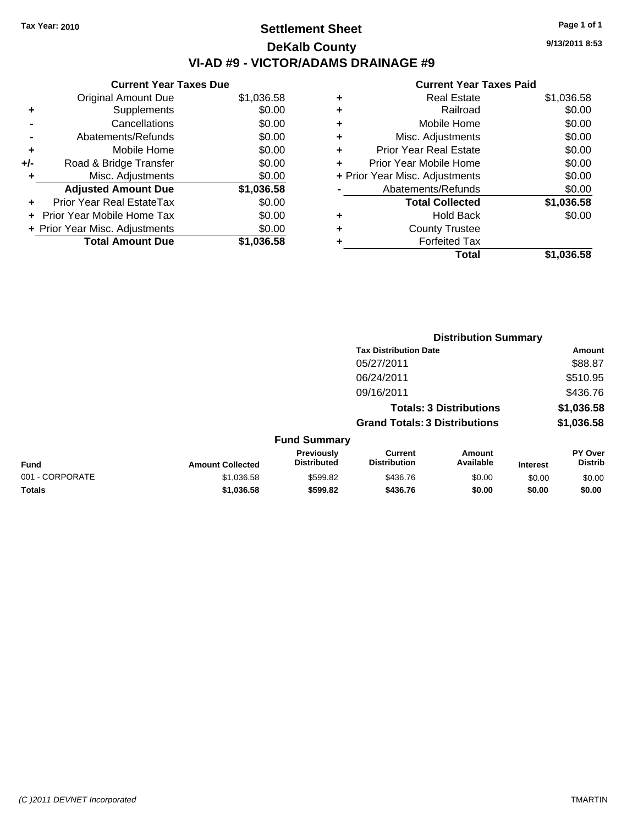### **Settlement Sheet Tax Year: 2010 Page 1 of 1 DeKalb County VI-AD #9 - VICTOR/ADAMS DRAINAGE #9**

**9/13/2011 8:53**

|       | <b>Current Year Taxes Due</b>     |            |
|-------|-----------------------------------|------------|
|       | <b>Original Amount Due</b>        | \$1,036.58 |
| ٠     | Supplements                       | \$0.00     |
|       | Cancellations                     | \$0.00     |
|       | Abatements/Refunds                | \$0.00     |
| ٠     | Mobile Home                       | \$0.00     |
| $+/-$ | Road & Bridge Transfer            | \$0.00     |
|       | Misc. Adjustments                 | \$0.00     |
|       | <b>Adjusted Amount Due</b>        | \$1,036.58 |
|       | Prior Year Real EstateTax         | \$0.00     |
|       | <b>Prior Year Mobile Home Tax</b> | \$0.00     |
|       | + Prior Year Misc. Adjustments    | \$0.00     |
|       | <b>Total Amount Due</b>           | \$1.036.58 |
|       |                                   |            |

|   | Total                          | \$1,036.58 |
|---|--------------------------------|------------|
|   | <b>Forfeited Tax</b>           |            |
| ٠ | <b>County Trustee</b>          |            |
| ٠ | Hold Back                      | \$0.00     |
|   | <b>Total Collected</b>         | \$1,036.58 |
|   | Abatements/Refunds             | \$0.00     |
|   | + Prior Year Misc. Adjustments | \$0.00     |
| ٠ | Prior Year Mobile Home         | \$0.00     |
| ÷ | <b>Prior Year Real Estate</b>  | \$0.00     |
| ٠ | Misc. Adjustments              | \$0.00     |
| ÷ | Mobile Home                    | \$0.00     |
| ÷ | Railroad                       | \$0.00     |
| ٠ | <b>Real Estate</b>             | \$1,036.58 |
|   |                                |            |

|                 |                         |                                  |                                       | <b>Distribution Summary</b>    |                 |                           |
|-----------------|-------------------------|----------------------------------|---------------------------------------|--------------------------------|-----------------|---------------------------|
|                 |                         |                                  | <b>Tax Distribution Date</b>          |                                |                 | Amount                    |
|                 |                         |                                  | 05/27/2011                            |                                |                 | \$88.87                   |
|                 |                         |                                  | 06/24/2011                            |                                |                 | \$510.95                  |
|                 |                         |                                  | 09/16/2011                            |                                |                 | \$436.76                  |
|                 |                         |                                  |                                       | <b>Totals: 3 Distributions</b> |                 | \$1,036.58                |
|                 |                         |                                  | <b>Grand Totals: 3 Distributions</b>  |                                |                 | \$1,036.58                |
|                 |                         | <b>Fund Summary</b>              |                                       |                                |                 |                           |
| Fund            | <b>Amount Collected</b> | Previously<br><b>Distributed</b> | <b>Current</b><br><b>Distribution</b> | Amount<br>Available            | <b>Interest</b> | PY Over<br><b>Distrib</b> |
| 001 - CORPORATE | \$1,036.58              | \$599.82                         | \$436.76                              | \$0.00                         | \$0.00          | \$0.00                    |
| Totals          | \$1,036.58              | \$599.82                         | \$436.76                              | \$0.00                         | \$0.00          | \$0.00                    |
|                 |                         |                                  |                                       |                                |                 |                           |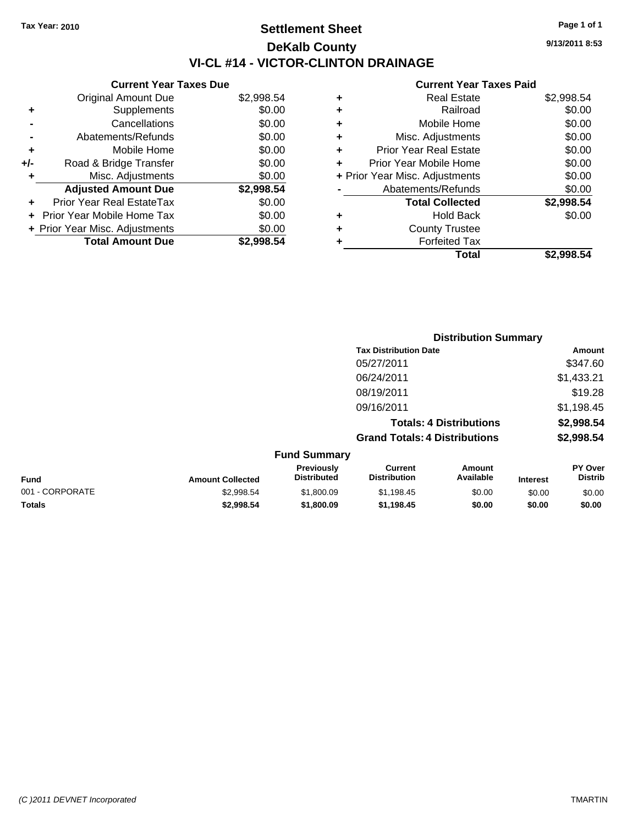**Current Year Taxes Due** Original Amount Due \$2,998.54

**Adjusted Amount Due \$2,998.54**

**Total Amount Due \$2,998.54**

**+** Supplements \$0.00 **-** Cancellations \$0.00 **-** Abatements/Refunds \$0.00 **+** Mobile Home \$0.00 **+/-** Road & Bridge Transfer \$0.00 **+** Misc. Adjustments \$0.00

**+** Prior Year Real EstateTax \$0.00 **+** Prior Year Mobile Home Tax \$0.00 **+ Prior Year Misc. Adjustments**  $$0.00$ 

# **Settlement Sheet Tax Year: 2010 Page 1 of 1 DeKalb County VI-CL #14 - VICTOR-CLINTON DRAINAGE**

**9/13/2011 8:53**

|   | Total                          | \$2.998.54 |
|---|--------------------------------|------------|
|   | <b>Forfeited Tax</b>           |            |
| ٠ | <b>County Trustee</b>          |            |
| ٠ | <b>Hold Back</b>               | \$0.00     |
|   | <b>Total Collected</b>         | \$2,998.54 |
|   | Abatements/Refunds             | \$0.00     |
|   | + Prior Year Misc. Adjustments | \$0.00     |
| ٠ | Prior Year Mobile Home         | \$0.00     |
| ÷ | Prior Year Real Estate         | \$0.00     |
| ÷ | Misc. Adjustments              | \$0.00     |
| ÷ | Mobile Home                    | \$0.00     |
| ٠ | Railroad                       | \$0.00     |
| ٠ | <b>Real Estate</b>             | \$2,998.54 |
|   |                                |            |

|                 |                         |                                  | <b>Distribution Summary</b>           |                                |                 |                           |
|-----------------|-------------------------|----------------------------------|---------------------------------------|--------------------------------|-----------------|---------------------------|
|                 |                         |                                  | <b>Tax Distribution Date</b>          |                                |                 | Amount                    |
|                 |                         |                                  | 05/27/2011                            |                                |                 | \$347.60                  |
|                 |                         |                                  | 06/24/2011                            |                                |                 | \$1,433.21                |
|                 |                         |                                  | 08/19/2011                            |                                |                 | \$19.28                   |
|                 |                         |                                  | 09/16/2011                            |                                |                 | \$1,198.45                |
|                 |                         |                                  |                                       | <b>Totals: 4 Distributions</b> |                 | \$2,998.54                |
|                 |                         |                                  | <b>Grand Totals: 4 Distributions</b>  |                                |                 | \$2,998.54                |
|                 |                         | <b>Fund Summary</b>              |                                       |                                |                 |                           |
| <b>Fund</b>     | <b>Amount Collected</b> | Previously<br><b>Distributed</b> | <b>Current</b><br><b>Distribution</b> | Amount<br>Available            | <b>Interest</b> | PY Over<br><b>Distrib</b> |
| 001 - CORPORATE | \$2,998.54              | \$1,800.09                       | \$1,198.45                            | \$0.00                         | \$0.00          | \$0.00                    |
| Totals          | \$2,998.54              | \$1,800.09                       | \$1,198.45                            | \$0.00                         | \$0.00          | \$0.00                    |